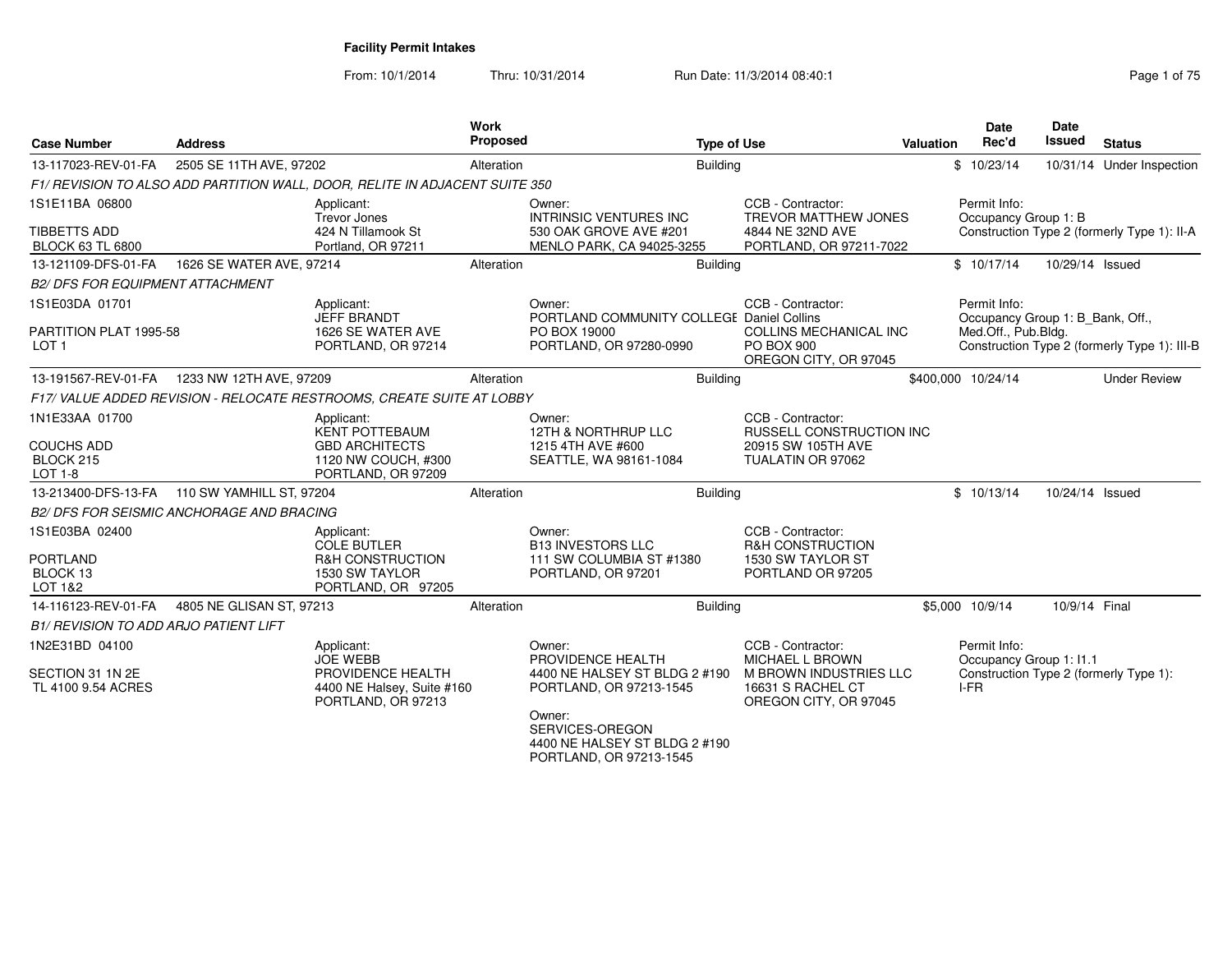| <b>Case Number</b>                                                 | <b>Address</b>                                   |                                                                                                           | Work<br>Proposed |                                                                                                                                                                                  | <b>Type of Use</b>                                                                                                  | Valuation | <b>Date</b><br>Rec'd |                      | Date<br>Issued          | <b>Status</b>                                                                    |
|--------------------------------------------------------------------|--------------------------------------------------|-----------------------------------------------------------------------------------------------------------|------------------|----------------------------------------------------------------------------------------------------------------------------------------------------------------------------------|---------------------------------------------------------------------------------------------------------------------|-----------|----------------------|----------------------|-------------------------|----------------------------------------------------------------------------------|
| 13-117023-REV-01-FA                                                | 2505 SE 11TH AVE, 97202                          |                                                                                                           | Alteration       |                                                                                                                                                                                  | <b>Building</b>                                                                                                     |           | \$10/23/14           |                      |                         | 10/31/14 Under Inspection                                                        |
|                                                                    |                                                  | F1/ REVISION TO ALSO ADD PARTITION WALL, DOOR, RELITE IN ADJACENT SUITE 350                               |                  |                                                                                                                                                                                  |                                                                                                                     |           |                      |                      |                         |                                                                                  |
| 1S1E11BA 06800<br><b>TIBBETTS ADD</b><br><b>BLOCK 63 TL 6800</b>   |                                                  | Applicant:<br><b>Trevor Jones</b><br>424 N Tillamook St<br>Portland, OR 97211                             |                  | Owner:<br><b>INTRINSIC VENTURES INC</b><br>530 OAK GROVE AVE #201<br>MENLO PARK, CA 94025-3255                                                                                   | CCB - Contractor:<br><b>TREVOR MATTHEW JONES</b><br>4844 NE 32ND AVE<br>PORTLAND, OR 97211-7022                     |           | Permit Info:         | Occupancy Group 1: B |                         | Construction Type 2 (formerly Type 1): II-A                                      |
| 13-121109-DFS-01-FA                                                | 1626 SE WATER AVE, 97214                         |                                                                                                           | Alteration       |                                                                                                                                                                                  | <b>Building</b>                                                                                                     |           | \$10/17/14           |                      | 10/29/14 Issued         |                                                                                  |
| <b>B2/ DFS FOR EQUIPMENT ATTACHMENT</b>                            |                                                  |                                                                                                           |                  |                                                                                                                                                                                  |                                                                                                                     |           |                      |                      |                         |                                                                                  |
| 1S1E03DA 01701                                                     |                                                  | Applicant:                                                                                                |                  | Owner:                                                                                                                                                                           | CCB - Contractor:                                                                                                   |           | Permit Info:         |                      |                         |                                                                                  |
| PARTITION PLAT 1995-58<br>LOT <sub>1</sub>                         |                                                  | JEFF BRANDT<br>1626 SE WATER AVE<br>PORTLAND, OR 97214                                                    |                  | PORTLAND COMMUNITY COLLEGE Daniel Collins<br>PO BOX 19000<br>PORTLAND, OR 97280-0990                                                                                             | COLLINS MECHANICAL INC<br><b>PO BOX 900</b><br>OREGON CITY, OR 97045                                                |           |                      | Med.Off., Pub.Bldg.  |                         | Occupancy Group 1: B_Bank, Off.,<br>Construction Type 2 (formerly Type 1): III-B |
|                                                                    | 13-191567-REV-01-FA   1233 NW 12TH AVE, 97209    |                                                                                                           | Alteration       |                                                                                                                                                                                  | <b>Building</b>                                                                                                     |           | \$400,000 10/24/14   |                      |                         | <b>Under Review</b>                                                              |
|                                                                    |                                                  | F17/ VALUE ADDED REVISION - RELOCATE RESTROOMS, CREATE SUITE AT LOBBY                                     |                  |                                                                                                                                                                                  |                                                                                                                     |           |                      |                      |                         |                                                                                  |
| 1N1E33AA 01700<br><b>COUCHS ADD</b><br>BLOCK 215<br><b>LOT 1-8</b> |                                                  | Applicant:<br><b>KENT POTTEBAUM</b><br><b>GBD ARCHITECTS</b><br>1120 NW COUCH, #300<br>PORTLAND, OR 97209 |                  | Owner:<br>12TH & NORTHRUP LLC<br>1215 4TH AVE #600<br>SEATTLE, WA 98161-1084                                                                                                     | CCB - Contractor:<br>RUSSELL CONSTRUCTION INC<br>20915 SW 105TH AVE<br>TUALATIN OR 97062                            |           |                      |                      |                         |                                                                                  |
| 13-213400-DFS-13-FA                                                | 110 SW YAMHILL ST, 97204                         |                                                                                                           | Alteration       |                                                                                                                                                                                  | <b>Building</b>                                                                                                     |           | \$10/13/14           |                      | 10/24/14 Issued         |                                                                                  |
|                                                                    | <b>B2/ DFS FOR SEISMIC ANCHORAGE AND BRACING</b> |                                                                                                           |                  |                                                                                                                                                                                  |                                                                                                                     |           |                      |                      |                         |                                                                                  |
| 1S1E03BA 02400<br><b>PORTLAND</b><br>BLOCK 13<br>LOT 1&2           |                                                  | Applicant:<br><b>COLE BUTLER</b><br>R&H CONSTRUCTION<br>1530 SW TAYLOR<br>PORTLAND, OR 97205              |                  | Owner:<br><b>B13 INVESTORS LLC</b><br>111 SW COLUMBIA ST #1380<br>PORTLAND, OR 97201                                                                                             | CCB - Contractor:<br><b>R&amp;H CONSTRUCTION</b><br>1530 SW TAYLOR ST<br>PORTLAND OR 97205                          |           |                      |                      |                         |                                                                                  |
| 14-116123-REV-01-FA                                                | 4805 NE GLISAN ST, 97213                         |                                                                                                           | Alteration       |                                                                                                                                                                                  | <b>Building</b>                                                                                                     |           | \$5,000 10/9/14      |                      | 10/9/14 Final           |                                                                                  |
| <b>B1/ REVISION TO ADD ARJO PATIENT LIFT</b>                       |                                                  |                                                                                                           |                  |                                                                                                                                                                                  |                                                                                                                     |           |                      |                      |                         |                                                                                  |
| 1N2E31BD 04100<br>SECTION 31 1N 2E<br>TL 4100 9.54 ACRES           |                                                  | Applicant:<br><b>JOE WEBB</b><br>PROVIDENCE HEALTH<br>4400 NE Halsey, Suite #160<br>PORTLAND, OR 97213    |                  | Owner:<br>PROVIDENCE HEALTH<br>4400 NE HALSEY ST BLDG 2 #190<br>PORTLAND, OR 97213-1545<br>Owner:<br>SERVICES-OREGON<br>4400 NE HALSEY ST BLDG 2 #190<br>PORTLAND, OR 97213-1545 | CCB - Contractor:<br><b>MICHAEL L BROWN</b><br>M BROWN INDUSTRIES LLC<br>16631 S RACHEL CT<br>OREGON CITY, OR 97045 |           | Permit Info:<br>I-FR |                      | Occupancy Group 1: I1.1 | Construction Type 2 (formerly Type 1):                                           |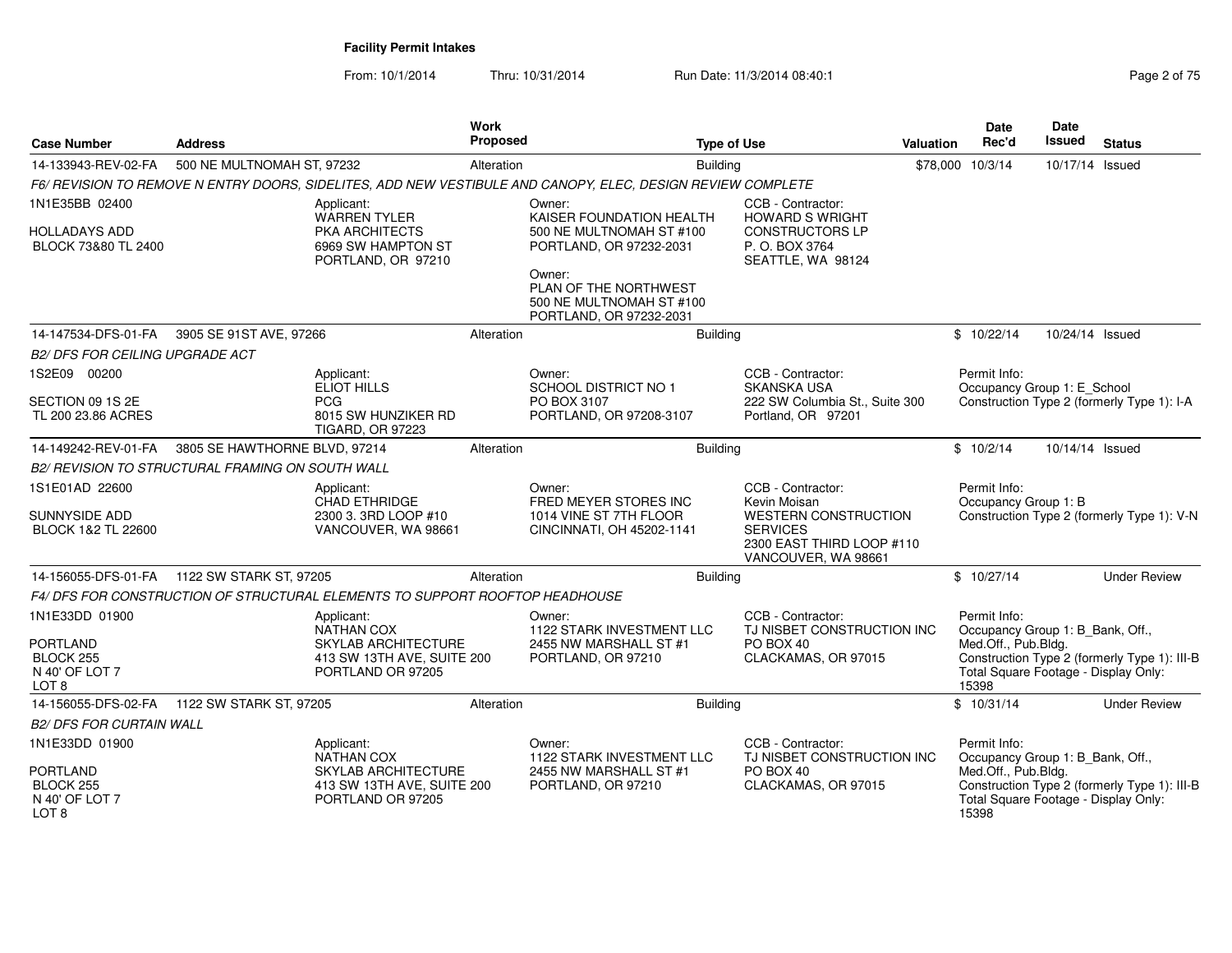| Page 2 of 75 |  |  |
|--------------|--|--|
|--------------|--|--|

| <b>Case Number</b>                                                 | <b>Address</b>                                                                                              | <b>Work</b><br><b>Proposed</b> |                                                                                        | <b>Type of Use</b>                                                                                 | <b>Valuation</b> | Date<br>Rec'd                                                        | <b>Date</b><br><b>Issued</b> | <b>Status</b>                                |
|--------------------------------------------------------------------|-------------------------------------------------------------------------------------------------------------|--------------------------------|----------------------------------------------------------------------------------------|----------------------------------------------------------------------------------------------------|------------------|----------------------------------------------------------------------|------------------------------|----------------------------------------------|
| 14-133943-REV-02-FA                                                | 500 NE MULTNOMAH ST, 97232                                                                                  | Alteration                     | <b>Building</b>                                                                        |                                                                                                    |                  | \$78,000 10/3/14                                                     | 10/17/14 Issued              |                                              |
|                                                                    | F6/ REVISION TO REMOVE N ENTRY DOORS, SIDELITES, ADD NEW VESTIBULE AND CANOPY, ELEC, DESIGN REVIEW COMPLETE |                                |                                                                                        |                                                                                                    |                  |                                                                      |                              |                                              |
| 1N1E35BB 02400                                                     | Applicant:<br><b>WARREN TYLER</b>                                                                           |                                | Owner:<br>KAISER FOUNDATION HEALTH                                                     | CCB - Contractor:<br><b>HOWARD S WRIGHT</b>                                                        |                  |                                                                      |                              |                                              |
| <b>HOLLADAYS ADD</b><br>BLOCK 73&80 TL 2400                        | PKA ARCHITECTS<br>6969 SW HAMPTON ST<br>PORTLAND, OR 97210                                                  |                                | 500 NE MULTNOMAH ST #100<br>PORTLAND, OR 97232-2031                                    | <b>CONSTRUCTORS LP</b><br>P. O. BOX 3764<br>SEATTLE, WA 98124                                      |                  |                                                                      |                              |                                              |
|                                                                    |                                                                                                             |                                | Owner:<br>PLAN OF THE NORTHWEST<br>500 NE MULTNOMAH ST #100<br>PORTLAND, OR 97232-2031 |                                                                                                    |                  |                                                                      |                              |                                              |
| 14-147534-DFS-01-FA                                                | 3905 SE 91ST AVE, 97266                                                                                     | Alteration                     | <b>Building</b>                                                                        |                                                                                                    |                  | \$10/22/14                                                           | 10/24/14 Issued              |                                              |
| <b>B2/ DFS FOR CEILING UPGRADE ACT</b>                             |                                                                                                             |                                |                                                                                        |                                                                                                    |                  |                                                                      |                              |                                              |
| 1S2E09 00200                                                       | Applicant:<br>ELIOT HILLS                                                                                   |                                | Owner:<br><b>SCHOOL DISTRICT NO 1</b>                                                  | CCB - Contractor:<br><b>SKANSKA USA</b>                                                            |                  | Permit Info:<br>Occupancy Group 1: E_School                          |                              |                                              |
| SECTION 09 1S 2E<br>TL 200 23.86 ACRES                             | <b>PCG</b><br>8015 SW HUNZIKER RD<br><b>TIGARD, OR 97223</b>                                                |                                | PO BOX 3107<br>PORTLAND, OR 97208-3107                                                 | 222 SW Columbia St., Suite 300<br>Portland, OR 97201                                               |                  |                                                                      |                              | Construction Type 2 (formerly Type 1): I-A   |
| 14-149242-REV-01-FA                                                | 3805 SE HAWTHORNE BLVD, 97214                                                                               | Alteration                     | Building                                                                               |                                                                                                    |                  | \$10/2/14                                                            | 10/14/14 Issued              |                                              |
|                                                                    | <b>B2/ REVISION TO STRUCTURAL FRAMING ON SOUTH WALL</b>                                                     |                                |                                                                                        |                                                                                                    |                  |                                                                      |                              |                                              |
| 1S1E01AD 22600                                                     | Applicant:<br>CHAD ETHRIDGE                                                                                 |                                | Owner:<br>FRED MEYER STORES INC                                                        | CCB - Contractor:<br>Kevin Moisan                                                                  |                  | Permit Info:<br>Occupancy Group 1: B                                 |                              |                                              |
| SUNNYSIDE ADD<br>BLOCK 1&2 TL 22600                                | 2300 3. 3RD LOOP #10<br>VANCOUVER, WA 98661                                                                 |                                | 1014 VINE ST 7TH FLOOR<br>CINCINNATI, OH 45202-1141                                    | <b>WESTERN CONSTRUCTION</b><br><b>SERVICES</b><br>2300 EAST THIRD LOOP #110<br>VANCOUVER, WA 98661 |                  |                                                                      |                              | Construction Type 2 (formerly Type 1): V-N   |
|                                                                    |                                                                                                             | Alteration                     | <b>Building</b>                                                                        |                                                                                                    |                  | \$10/27/14                                                           |                              | <b>Under Review</b>                          |
|                                                                    | F4/ DFS FOR CONSTRUCTION OF STRUCTURAL ELEMENTS TO SUPPORT ROOFTOP HEADHOUSE                                |                                |                                                                                        |                                                                                                    |                  |                                                                      |                              |                                              |
| 1N1E33DD 01900                                                     | Applicant:<br>NATHAN COX                                                                                    |                                | Owner:<br>1122 STARK INVESTMENT LLC                                                    | CCB - Contractor:<br>TJ NISBET CONSTRUCTION INC                                                    |                  | Permit Info:<br>Occupancy Group 1: B_Bank, Off.,                     |                              |                                              |
| <b>PORTLAND</b><br>BLOCK 255<br>N 40' OF LOT 7<br>LOT <sub>8</sub> | SKYLAB ARCHITECTURE<br>413 SW 13TH AVE, SUITE 200<br>PORTLAND OR 97205                                      |                                | 2455 NW MARSHALL ST #1<br>PORTLAND, OR 97210                                           | PO BOX 40<br>CLACKAMAS, OR 97015                                                                   |                  | Med.Off., Pub.Bldg.<br>Total Square Footage - Display Only:<br>15398 |                              | Construction Type 2 (formerly Type 1): III-B |
| 14-156055-DFS-02-FA                                                | 1122 SW STARK ST, 97205                                                                                     | Alteration                     | <b>Building</b>                                                                        |                                                                                                    |                  | \$10/31/14                                                           |                              | <b>Under Review</b>                          |
| <b>B2/ DFS FOR CURTAIN WALL</b>                                    |                                                                                                             |                                |                                                                                        |                                                                                                    |                  |                                                                      |                              |                                              |
| 1N1E33DD 01900                                                     | Applicant:<br><b>NATHAN COX</b>                                                                             |                                | Owner:<br>1122 STARK INVESTMENT LLC                                                    | CCB - Contractor:<br>TJ NISBET CONSTRUCTION INC                                                    |                  | Permit Info:<br>Occupancy Group 1: B_Bank, Off.,                     |                              |                                              |
| <b>PORTLAND</b><br>BLOCK 255<br>N 40' OF LOT 7<br>LOT <sub>8</sub> | SKYLAB ARCHITECTURE<br>413 SW 13TH AVE, SUITE 200<br>PORTLAND OR 97205                                      |                                | 2455 NW MARSHALL ST #1<br>PORTLAND, OR 97210                                           | PO BOX 40<br>CLACKAMAS, OR 97015                                                                   |                  | Med.Off., Pub.Bldg.<br>Total Square Footage - Display Only:<br>15398 |                              | Construction Type 2 (formerly Type 1): III-B |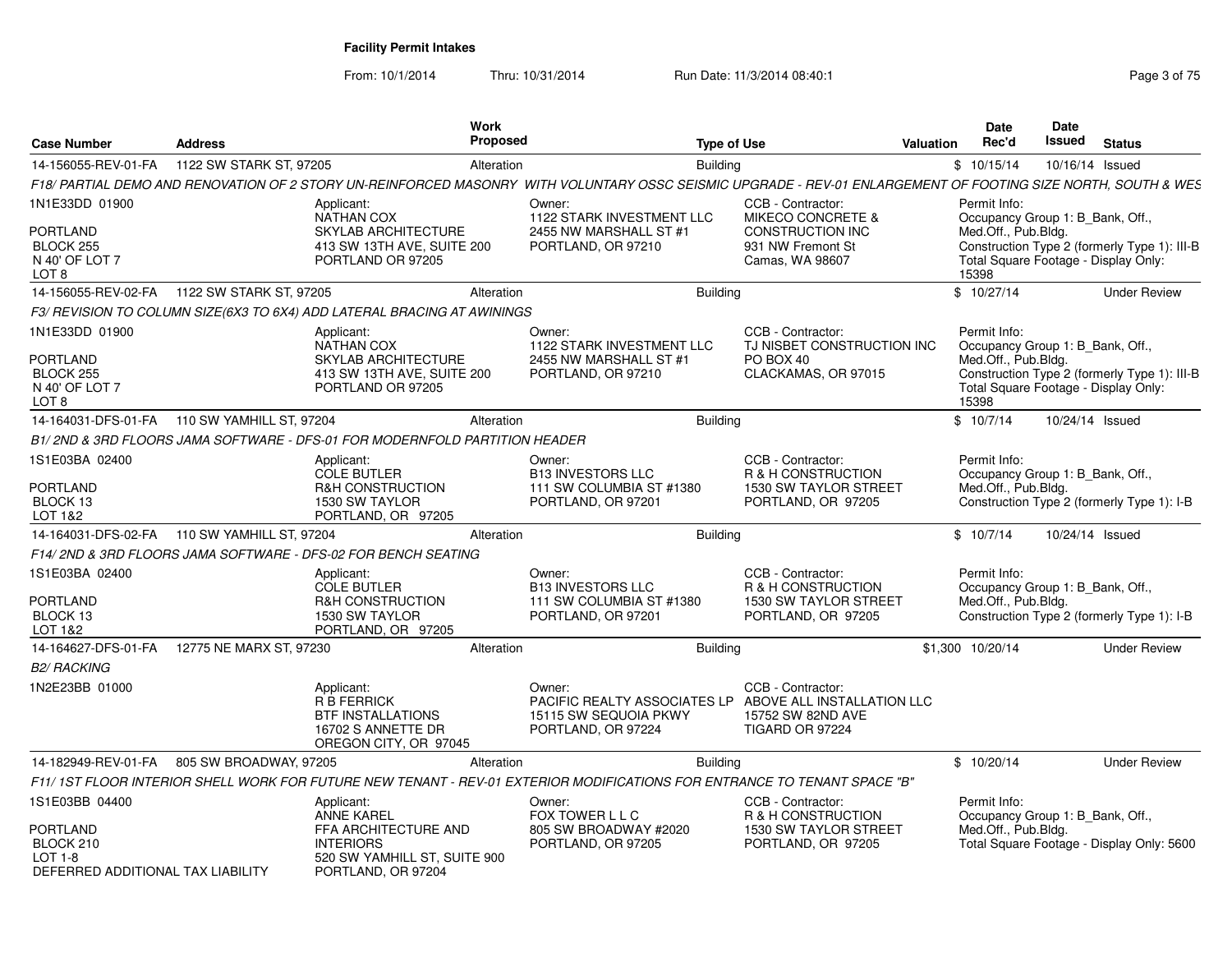From: 10/1/2014

Thru: 10/31/2014 Run Date: 11/3/2014 08:40:1

| <b>Case Number</b>                                                                               | <b>Address</b>                                 |                                                                                                                                   | <b>Work</b><br>Proposed |                                                                                                                                                               | <b>Type of Use</b>                                                                                        | Valuation | Date<br>Rec'd                                                                                                            | Date<br>Issued  | <b>Status</b>                                |
|--------------------------------------------------------------------------------------------------|------------------------------------------------|-----------------------------------------------------------------------------------------------------------------------------------|-------------------------|---------------------------------------------------------------------------------------------------------------------------------------------------------------|-----------------------------------------------------------------------------------------------------------|-----------|--------------------------------------------------------------------------------------------------------------------------|-----------------|----------------------------------------------|
| 14-156055-REV-01-FA                                                                              | 1122 SW STARK ST, 97205                        |                                                                                                                                   | Alteration              | <b>Building</b>                                                                                                                                               |                                                                                                           |           | \$10/15/14                                                                                                               | 10/16/14 Issued |                                              |
|                                                                                                  |                                                |                                                                                                                                   |                         | F18/ PARTIAL DEMO AND RENOVATION OF 2 STORY UN-REINFORCED MASONRY WITH VOLUNTARY OSSC SEISMIC UPGRADE - REV-01 ENLARGEMENT OF FOOTING SIZE NORTH, SOUTH & WES |                                                                                                           |           |                                                                                                                          |                 |                                              |
| 1N1E33DD 01900<br><b>PORTLAND</b><br>BLOCK 255<br>N 40' OF LOT 7<br>LOT 8                        |                                                | Applicant:<br><b>NATHAN COX</b><br>SKYLAB ARCHITECTURE<br>413 SW 13TH AVE, SUITE 200<br>PORTLAND OR 97205                         |                         | Owner:<br>1122 STARK INVESTMENT LLC<br>2455 NW MARSHALL ST #1<br>PORTLAND, OR 97210                                                                           | CCB - Contractor:<br>MIKECO CONCRETE &<br><b>CONSTRUCTION INC</b><br>931 NW Fremont St<br>Camas, WA 98607 |           | Permit Info:<br>Occupancy Group 1: B Bank, Off.,<br>Med.Off., Pub.Bldg.<br>Total Square Footage - Display Only:<br>15398 |                 | Construction Type 2 (formerly Type 1): III-B |
|                                                                                                  |                                                |                                                                                                                                   | Alteration              | <b>Building</b>                                                                                                                                               |                                                                                                           |           | \$10/27/14                                                                                                               |                 | <b>Under Review</b>                          |
|                                                                                                  |                                                | F3/ REVISION TO COLUMN SIZE(6X3 TO 6X4) ADD LATERAL BRACING AT AWININGS                                                           |                         |                                                                                                                                                               |                                                                                                           |           |                                                                                                                          |                 |                                              |
| 1N1E33DD 01900<br><b>PORTLAND</b><br>BLOCK 255<br>N 40' OF LOT 7<br>LOT <sub>8</sub>             |                                                | Applicant:<br><b>NATHAN COX</b><br>SKYLAB ARCHITECTURE<br>413 SW 13TH AVE, SUITE 200<br>PORTLAND OR 97205                         |                         | Owner:<br>1122 STARK INVESTMENT LLC<br>2455 NW MARSHALL ST #1<br>PORTLAND, OR 97210                                                                           | CCB - Contractor:<br>TJ NISBET CONSTRUCTION INC<br>PO BOX 40<br>CLACKAMAS, OR 97015                       |           | Permit Info:<br>Occupancy Group 1: B_Bank, Off.,<br>Med.Off., Pub.Bldg.<br>Total Square Footage - Display Only:<br>15398 |                 | Construction Type 2 (formerly Type 1): III-B |
|                                                                                                  | 14-164031-DFS-01-FA   110 SW YAMHILL ST, 97204 |                                                                                                                                   | Alteration              | Building                                                                                                                                                      |                                                                                                           |           | \$10/7/14                                                                                                                | 10/24/14 Issued |                                              |
|                                                                                                  |                                                | B1/2ND & 3RD FLOORS JAMA SOFTWARE - DFS-01 FOR MODERNFOLD PARTITION HEADER                                                        |                         |                                                                                                                                                               |                                                                                                           |           |                                                                                                                          |                 |                                              |
| 1S1E03BA 02400<br><b>PORTLAND</b><br>BLOCK 13<br>LOT 1&2                                         |                                                | Applicant:<br><b>COLE BUTLER</b><br><b>R&amp;H CONSTRUCTION</b><br>1530 SW TAYLOR<br>PORTLAND, OR 97205                           |                         | Owner:<br><b>B13 INVESTORS LLC</b><br>111 SW COLUMBIA ST #1380<br>PORTLAND, OR 97201                                                                          | CCB - Contractor:<br>R & H CONSTRUCTION<br><b>1530 SW TAYLOR STREET</b><br>PORTLAND, OR 97205             |           | Permit Info:<br>Occupancy Group 1: B Bank, Off.,<br>Med.Off., Pub.Bldg.                                                  |                 | Construction Type 2 (formerly Type 1): I-B   |
|                                                                                                  | 14-164031-DFS-02-FA   110 SW YAMHILL ST, 97204 |                                                                                                                                   | Alteration              | <b>Building</b>                                                                                                                                               |                                                                                                           |           | \$10/7/14                                                                                                                | 10/24/14 Issued |                                              |
|                                                                                                  |                                                | F14/2ND & 3RD FLOORS JAMA SOFTWARE - DFS-02 FOR BENCH SEATING                                                                     |                         |                                                                                                                                                               |                                                                                                           |           |                                                                                                                          |                 |                                              |
| 1S1E03BA 02400<br><b>PORTLAND</b><br>BLOCK 13<br>LOT 1&2                                         |                                                | Applicant:<br><b>COLE BUTLER</b><br><b>R&amp;H CONSTRUCTION</b><br>1530 SW TAYLOR<br>PORTLAND, OR 97205                           |                         | Owner:<br><b>B13 INVESTORS LLC</b><br>111 SW COLUMBIA ST #1380<br>PORTLAND, OR 97201                                                                          | CCB - Contractor:<br>R & H CONSTRUCTION<br><b>1530 SW TAYLOR STREET</b><br>PORTLAND, OR 97205             |           | Permit Info:<br>Occupancy Group 1: B_Bank, Off.,<br>Med.Off., Pub.Bldg.                                                  |                 | Construction Type 2 (formerly Type 1): I-B   |
| 14-164627-DFS-01-FA                                                                              | 12775 NE MARX ST, 97230                        |                                                                                                                                   | Alteration              | <b>Building</b>                                                                                                                                               |                                                                                                           |           | \$1,300 10/20/14                                                                                                         |                 | <b>Under Review</b>                          |
| <b>B2/ RACKING</b>                                                                               |                                                |                                                                                                                                   |                         |                                                                                                                                                               |                                                                                                           |           |                                                                                                                          |                 |                                              |
| 1N2E23BB 01000                                                                                   |                                                | Applicant:<br><b>R B FERRICK</b><br><b>BTF INSTALLATIONS</b><br>16702 S ANNETTE DR<br>OREGON CITY, OR 97045                       |                         | Owner:<br>PACIFIC REALTY ASSOCIATES LP<br>15115 SW SEQUOIA PKWY<br>PORTLAND, OR 97224                                                                         | CCB - Contractor:<br>ABOVE ALL INSTALLATION LLC<br>15752 SW 82ND AVE<br><b>TIGARD OR 97224</b>            |           |                                                                                                                          |                 |                                              |
| 14-182949-REV-01-FA                                                                              | 805 SW BROADWAY, 97205                         |                                                                                                                                   | Alteration              | <b>Building</b>                                                                                                                                               |                                                                                                           |           | \$10/20/14                                                                                                               |                 | <b>Under Review</b>                          |
|                                                                                                  |                                                |                                                                                                                                   |                         | F11/ 1ST FLOOR INTERIOR SHELL WORK FOR FUTURE NEW TENANT - REV-01 EXTERIOR MODIFICATIONS FOR ENTRANCE TO TENANT SPACE "B"                                     |                                                                                                           |           |                                                                                                                          |                 |                                              |
| 1S1E03BB 04400<br><b>PORTLAND</b><br>BLOCK 210<br>$LOT 1-8$<br>DEFERRED ADDITIONAL TAX LIABILITY |                                                | Applicant:<br><b>ANNE KAREL</b><br>FFA ARCHITECTURE AND<br><b>INTERIORS</b><br>520 SW YAMHILL ST, SUITE 900<br>PORTLAND, OR 97204 |                         | Owner:<br>FOX TOWER L L C<br>805 SW BROADWAY #2020<br>PORTLAND, OR 97205                                                                                      | CCB - Contractor:<br>R & H CONSTRUCTION<br>1530 SW TAYLOR STREET<br>PORTLAND, OR 97205                    |           | Permit Info:<br>Occupancy Group 1: B Bank, Off.,<br>Med.Off., Pub.Bldg.                                                  |                 | Total Square Footage - Display Only: 5600    |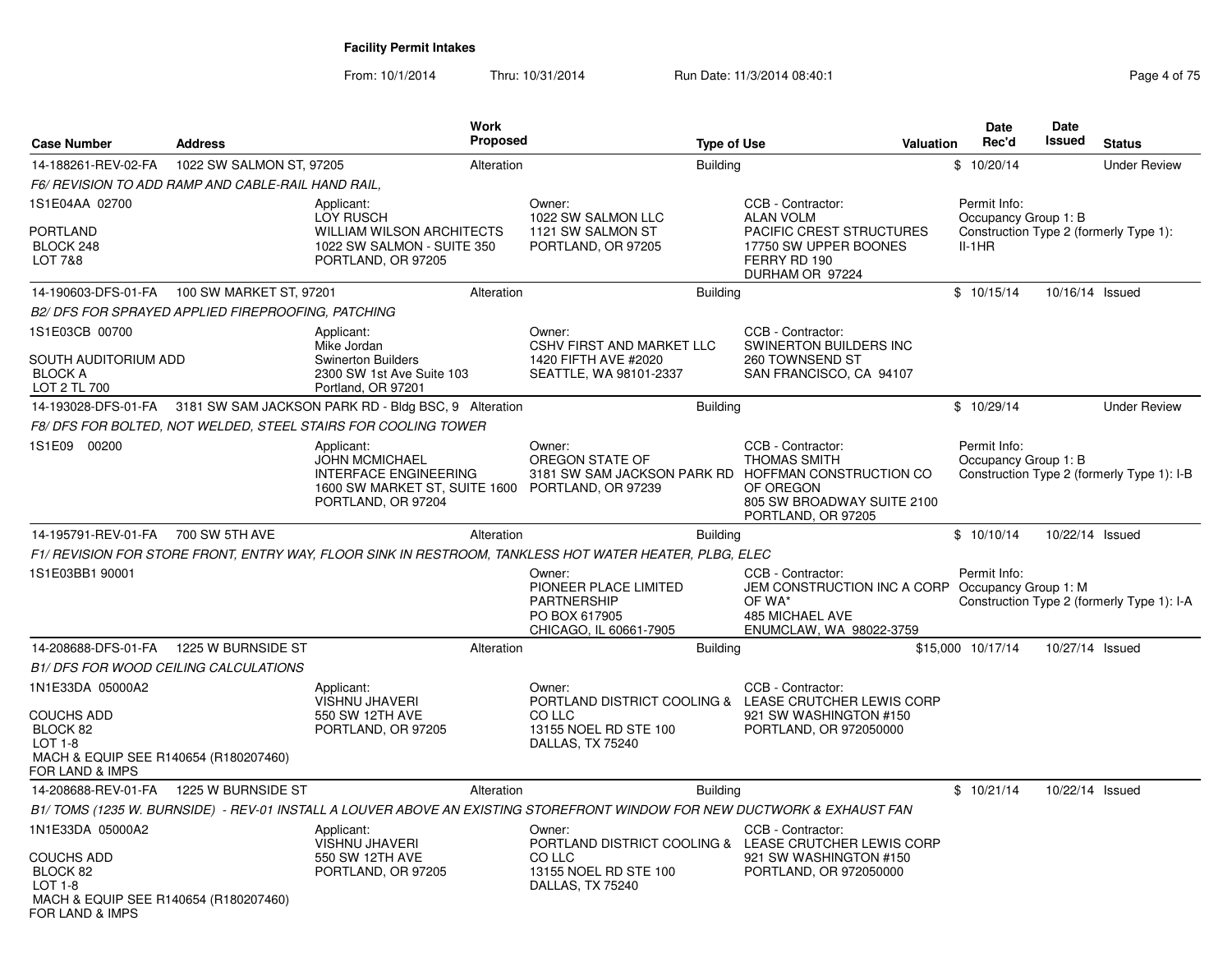From: 10/1/2014Thru: 10/31/2014 Run Date: 11/3/2014 08:40:1<br>
Page 4 of 75

| <b>Case Number</b>                                                                                                         | <b>Address</b>                                     | <b>Work</b><br>Proposed                                                                                                                       |                                                                                                  | <b>Type of Use</b> | <b>Valuation</b>                                                                                                                                          | <b>Date</b><br>Rec'd     | <b>Date</b><br>Issued | <b>Status</b>                              |
|----------------------------------------------------------------------------------------------------------------------------|----------------------------------------------------|-----------------------------------------------------------------------------------------------------------------------------------------------|--------------------------------------------------------------------------------------------------|--------------------|-----------------------------------------------------------------------------------------------------------------------------------------------------------|--------------------------|-----------------------|--------------------------------------------|
| 14-188261-REV-02-FA                                                                                                        | 1022 SW SALMON ST, 97205                           | Alteration                                                                                                                                    |                                                                                                  | <b>Building</b>    |                                                                                                                                                           | \$10/20/14               |                       | <b>Under Review</b>                        |
|                                                                                                                            | F6/ REVISION TO ADD RAMP AND CABLE-RAIL HAND RAIL. |                                                                                                                                               |                                                                                                  |                    |                                                                                                                                                           |                          |                       |                                            |
| 1S1E04AA 02700<br><b>PORTLAND</b><br>BLOCK 248<br><b>LOT 7&amp;8</b>                                                       |                                                    | Applicant:<br><b>LOY RUSCH</b><br><b>WILLIAM WILSON ARCHITECTS</b><br>1022 SW SALMON - SUITE 350<br>PORTLAND, OR 97205                        | Owner:<br>1022 SW SALMON LLC<br>1121 SW SALMON ST<br>PORTLAND, OR 97205                          |                    | CCB - Contractor:<br><b>ALAN VOLM</b><br>PACIFIC CREST STRUCTURES<br>17750 SW UPPER BOONES<br>FERRY RD 190<br>DURHAM OR 97224                             | Permit Info:<br>$II-1HR$ | Occupancy Group 1: B  | Construction Type 2 (formerly Type 1):     |
|                                                                                                                            | 14-190603-DFS-01-FA 100 SW MARKET ST, 97201        | Alteration                                                                                                                                    |                                                                                                  | <b>Building</b>    |                                                                                                                                                           | \$10/15/14               |                       | 10/16/14 Issued                            |
|                                                                                                                            | B2/ DFS FOR SPRAYED APPLIED FIREPROOFING, PATCHING |                                                                                                                                               |                                                                                                  |                    |                                                                                                                                                           |                          |                       |                                            |
| 1S1E03CB 00700<br>SOUTH AUDITORIUM ADD<br><b>BLOCK A</b><br>LOT 2 TL 700                                                   |                                                    | Applicant:<br>Mike Jordan<br><b>Swinerton Builders</b><br>2300 SW 1st Ave Suite 103<br>Portland, OR 97201                                     | Owner:<br>CSHV FIRST AND MARKET LLC<br>1420 FIFTH AVE #2020<br>SEATTLE, WA 98101-2337            |                    | CCB - Contractor:<br><b>SWINERTON BUILDERS INC</b><br>260 TOWNSEND ST<br>SAN FRANCISCO, CA 94107                                                          |                          |                       |                                            |
|                                                                                                                            |                                                    | 14-193028-DFS-01-FA 3181 SW SAM JACKSON PARK RD - Bldg BSC, 9 Alteration                                                                      |                                                                                                  | <b>Building</b>    |                                                                                                                                                           | \$10/29/14               |                       | <b>Under Review</b>                        |
|                                                                                                                            |                                                    | F8/DFS FOR BOLTED, NOT WELDED, STEEL STAIRS FOR COOLING TOWER                                                                                 |                                                                                                  |                    |                                                                                                                                                           |                          |                       |                                            |
| 1S1E09 00200                                                                                                               |                                                    | Applicant:<br><b>JOHN MCMICHAEL</b><br><b>INTERFACE ENGINEERING</b><br>1600 SW MARKET ST, SUITE 1600 PORTLAND, OR 97239<br>PORTLAND, OR 97204 | Owner:<br>OREGON STATE OF                                                                        |                    | CCB - Contractor:<br>THOMAS SMITH<br>3181 SW SAM JACKSON PARK RD HOFFMAN CONSTRUCTION CO<br>OF OREGON<br>805 SW BROADWAY SUITE 2100<br>PORTLAND, OR 97205 | Permit Info:             | Occupancy Group 1: B  | Construction Type 2 (formerly Type 1): I-B |
| 14-195791-REV-01-FA 700 SW 5TH AVE                                                                                         |                                                    | Alteration                                                                                                                                    |                                                                                                  | <b>Building</b>    |                                                                                                                                                           | \$10/10/14               |                       | 10/22/14 Issued                            |
|                                                                                                                            |                                                    | F1/ REVISION FOR STORE FRONT, ENTRY WAY, FLOOR SINK IN RESTROOM, TANKLESS HOT WATER HEATER, PLBG, ELEC                                        |                                                                                                  |                    |                                                                                                                                                           |                          |                       |                                            |
| 1S1E03BB1 90001                                                                                                            |                                                    |                                                                                                                                               | Owner:<br>PIONEER PLACE LIMITED<br><b>PARTNERSHIP</b><br>PO BOX 617905<br>CHICAGO, IL 60661-7905 |                    | CCB - Contractor:<br>JEM CONSTRUCTION INC A CORP<br>OF WA*<br>485 MICHAEL AVE<br>ENUMCLAW, WA 98022-3759                                                  | Permit Info:             | Occupancy Group 1: M  | Construction Type 2 (formerly Type 1): I-A |
| 14-208688-DFS-01-FA                                                                                                        | 1225 W BURNSIDE ST                                 | Alteration                                                                                                                                    |                                                                                                  | <b>Building</b>    |                                                                                                                                                           | \$15,000 10/17/14        |                       | 10/27/14 Issued                            |
|                                                                                                                            | <b>B1/ DFS FOR WOOD CEILING CALCULATIONS</b>       |                                                                                                                                               |                                                                                                  |                    |                                                                                                                                                           |                          |                       |                                            |
| 1N1E33DA 05000A2<br><b>COUCHS ADD</b><br>BLOCK 82<br>$LOT 1-8$<br>MACH & EQUIP SEE R140654 (R180207460)<br>FOR LAND & IMPS |                                                    | Applicant:<br>VISHNU JHAVERI<br>550 SW 12TH AVE<br>PORTLAND, OR 97205                                                                         | Owner:<br>CO LLC<br>13155 NOEL RD STE 100<br>DALLAS, TX 75240                                    |                    | CCB - Contractor:<br>PORTLAND DISTRICT COOLING & LEASE CRUTCHER LEWIS CORP<br>921 SW WASHINGTON #150<br>PORTLAND, OR 972050000                            |                          |                       |                                            |
| 14-208688-REV-01-FA                                                                                                        | 1225 W BURNSIDE ST                                 | Alteration                                                                                                                                    |                                                                                                  | <b>Building</b>    |                                                                                                                                                           | \$10/21/14               |                       | 10/22/14 Issued                            |
|                                                                                                                            |                                                    | B1/TOMS (1235 W. BURNSIDE) - REV-01 INSTALL A LOUVER ABOVE AN EXISTING STOREFRONT WINDOW FOR NEW DUCTWORK & EXHAUST FAN                       |                                                                                                  |                    |                                                                                                                                                           |                          |                       |                                            |
| 1N1E33DA 05000A2<br><b>COUCHS ADD</b><br>BLOCK 82<br>LOT 1-8<br>MACH & EQUIP SEE R140654 (R180207460)<br>FOR LAND & IMPS   |                                                    | Applicant:<br><b>VISHNU JHAVERI</b><br>550 SW 12TH AVE<br>PORTLAND, OR 97205                                                                  | Owner:<br>CO LLC<br>13155 NOEL RD STE 100<br>DALLAS, TX 75240                                    |                    | CCB - Contractor:<br>PORTLAND DISTRICT COOLING & LEASE CRUTCHER LEWIS CORP<br>921 SW WASHINGTON #150<br>PORTLAND, OR 972050000                            |                          |                       |                                            |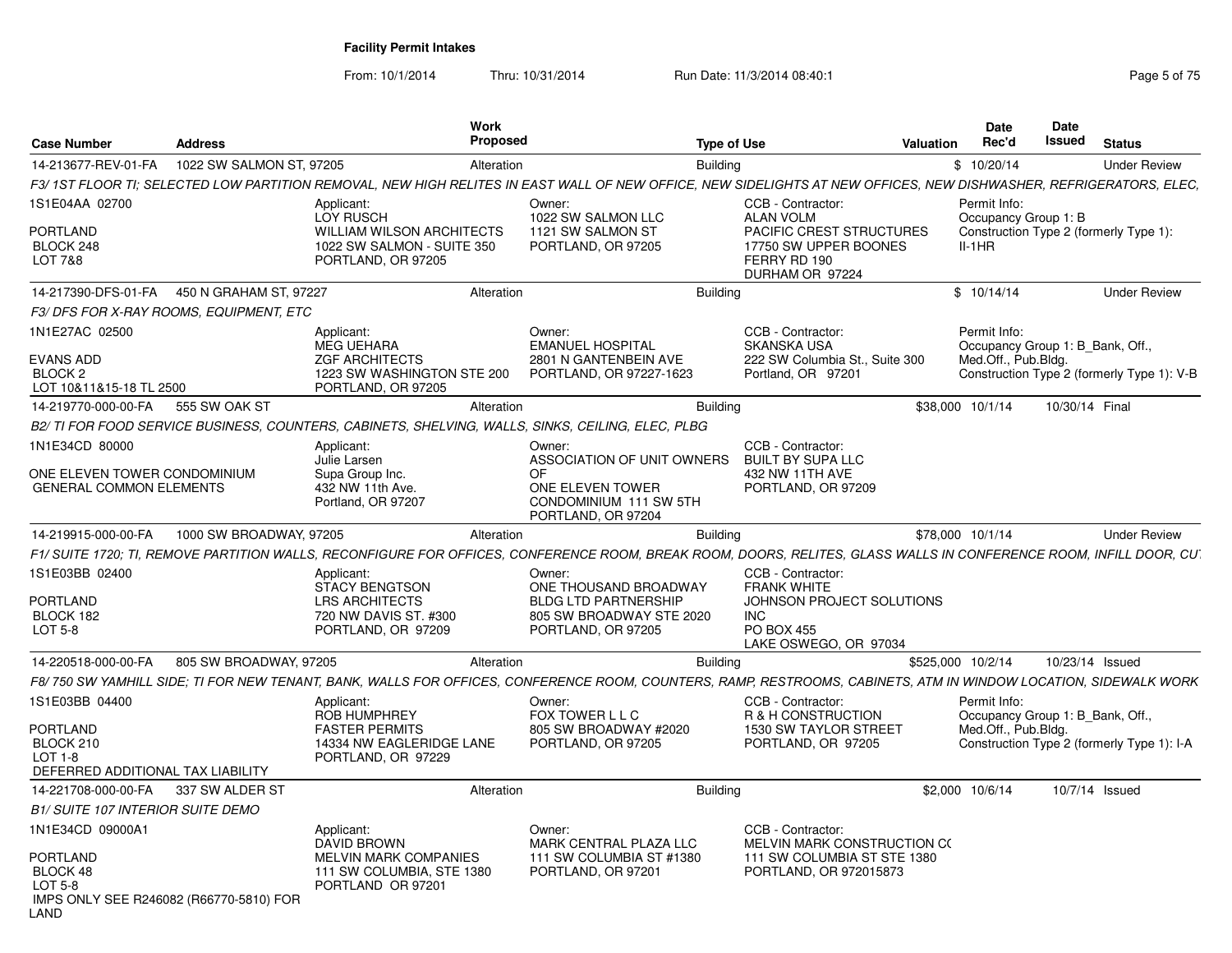From: 10/1/2014

Thru: 10/31/2014 Run Date: 11/3/2014 08:40:1

| <b>Case Number</b>                                                                 | <b>Address</b>                         |                                                                                                                                                                    | Work<br><b>Proposed</b> |                                                                         | <b>Type of Use</b> |                                                                                      | Valuation         | <b>Date</b><br>Rec'd                             | Date<br><b>Issued</b> | <b>Status</b>                              |
|------------------------------------------------------------------------------------|----------------------------------------|--------------------------------------------------------------------------------------------------------------------------------------------------------------------|-------------------------|-------------------------------------------------------------------------|--------------------|--------------------------------------------------------------------------------------|-------------------|--------------------------------------------------|-----------------------|--------------------------------------------|
| 14-213677-REV-01-FA                                                                | 1022 SW SALMON ST, 97205               |                                                                                                                                                                    | Alteration              |                                                                         | <b>Building</b>    |                                                                                      |                   | \$10/20/14                                       |                       | <b>Under Review</b>                        |
|                                                                                    |                                        | F3/ 1ST FLOOR TI: SELECTED LOW PARTITION REMOVAL. NEW HIGH RELITES IN EAST WALL OF NEW OFFICE. NEW SIDELIGHTS AT NEW OFFICES. NEW DISHWASHER. REFRIGERATORS. ELEC. |                         |                                                                         |                    |                                                                                      |                   |                                                  |                       |                                            |
| 1S1E04AA 02700                                                                     |                                        | Applicant:<br>LOY RUSCH                                                                                                                                            |                         | Owner:<br>1022 SW SALMON LLC                                            |                    | CCB - Contractor:<br><b>ALAN VOLM</b>                                                |                   | Permit Info:<br>Occupancy Group 1: B             |                       |                                            |
| <b>PORTLAND</b><br>BLOCK 248<br>LOT 7&8                                            |                                        | <b>WILLIAM WILSON ARCHITECTS</b><br>1022 SW SALMON - SUITE 350<br>PORTLAND, OR 97205                                                                               |                         | 1121 SW SALMON ST<br>PORTLAND, OR 97205                                 |                    | PACIFIC CREST STRUCTURES<br>17750 SW UPPER BOONES<br>FERRY RD 190<br>DURHAM OR 97224 |                   | $II-1HR$                                         |                       | Construction Type 2 (formerly Type 1):     |
| 14-217390-DFS-01-FA                                                                | 450 N GRAHAM ST, 97227                 |                                                                                                                                                                    | Alteration              |                                                                         | <b>Building</b>    |                                                                                      |                   | \$10/14/14                                       |                       | <b>Under Review</b>                        |
|                                                                                    | F3/DFS FOR X-RAY ROOMS, EQUIPMENT, ETC |                                                                                                                                                                    |                         |                                                                         |                    |                                                                                      |                   |                                                  |                       |                                            |
| 1N1E27AC 02500                                                                     |                                        | Applicant:<br><b>MEG UEHARA</b>                                                                                                                                    |                         | Owner:<br><b>EMANUEL HOSPITAL</b>                                       |                    | CCB - Contractor:<br><b>SKANSKA USA</b>                                              |                   | Permit Info:<br>Occupancy Group 1: B Bank, Off., |                       |                                            |
| <b>EVANS ADD</b><br>BLOCK <sub>2</sub><br>LOT 10&11&15-18 TL 2500                  |                                        | <b>ZGF ARCHITECTS</b><br>1223 SW WASHINGTON STE 200<br>PORTLAND, OR 97205                                                                                          |                         | 2801 N GANTENBEIN AVE<br>PORTLAND, OR 97227-1623                        |                    | 222 SW Columbia St., Suite 300<br>Portland, OR 97201                                 |                   | Med.Off., Pub.Bldg.                              |                       | Construction Type 2 (formerly Type 1): V-B |
| 14-219770-000-00-FA                                                                | 555 SW OAK ST                          |                                                                                                                                                                    | Alteration              |                                                                         | <b>Building</b>    |                                                                                      |                   | \$38,000 10/1/14                                 | 10/30/14 Final        |                                            |
|                                                                                    |                                        | B2/ TI FOR FOOD SERVICE BUSINESS, COUNTERS, CABINETS, SHELVING, WALLS, SINKS, CEILING, ELEC, PLBG                                                                  |                         |                                                                         |                    |                                                                                      |                   |                                                  |                       |                                            |
| 1N1E34CD 80000                                                                     |                                        | Applicant:<br>Julie Larsen                                                                                                                                         |                         | Owner:<br>ASSOCIATION OF UNIT OWNERS                                    |                    | CCB - Contractor:<br><b>BUILT BY SUPA LLC</b>                                        |                   |                                                  |                       |                                            |
| ONE ELEVEN TOWER CONDOMINIUM<br><b>GENERAL COMMON ELEMENTS</b>                     |                                        | Supa Group Inc.<br>432 NW 11th Ave.<br>Portland, OR 97207                                                                                                          |                         | OF.<br>ONE ELEVEN TOWER<br>CONDOMINIUM 111 SW 5TH<br>PORTLAND, OR 97204 |                    | 432 NW 11TH AVE<br>PORTLAND, OR 97209                                                |                   |                                                  |                       |                                            |
| 14-219915-000-00-FA                                                                | 1000 SW BROADWAY, 97205                |                                                                                                                                                                    | Alteration              |                                                                         | <b>Building</b>    |                                                                                      |                   | \$78,000 10/1/14                                 |                       | <b>Under Review</b>                        |
|                                                                                    |                                        | F1/ SUITE 1720; TI, REMOVE PARTITION WALLS, RECONFIGURE FOR OFFICES, CONFERENCE ROOM, BREAK ROOM, DOORS, RELITES, GLASS WALLS IN CONFERENCE ROOM, INFILL DOOR, CU  |                         |                                                                         |                    |                                                                                      |                   |                                                  |                       |                                            |
| 1S1E03BB 02400                                                                     |                                        | Applicant:<br><b>STACY BENGTSON</b>                                                                                                                                |                         | Owner:<br>ONE THOUSAND BROADWAY                                         |                    | CCB - Contractor:<br><b>FRANK WHITE</b>                                              |                   |                                                  |                       |                                            |
| PORTLAND<br>BLOCK 182                                                              |                                        | <b>LRS ARCHITECTS</b><br>720 NW DAVIS ST. #300                                                                                                                     |                         | <b>BLDG LTD PARTNERSHIP</b><br>805 SW BROADWAY STE 2020                 |                    | JOHNSON PROJECT SOLUTIONS<br><b>INC</b>                                              |                   |                                                  |                       |                                            |
| LOT 5-8                                                                            |                                        | PORTLAND, OR 97209                                                                                                                                                 |                         | PORTLAND, OR 97205                                                      |                    | <b>PO BOX 455</b><br>LAKE OSWEGO, OR 97034                                           |                   |                                                  |                       |                                            |
| 14-220518-000-00-FA                                                                | 805 SW BROADWAY, 97205                 |                                                                                                                                                                    | Alteration              |                                                                         | <b>Building</b>    |                                                                                      | \$525.000 10/2/14 |                                                  | 10/23/14 Issued       |                                            |
|                                                                                    |                                        | F8/ 750 SW YAMHILL SIDE: TI FOR NEW TENANT, BANK, WALLS FOR OFFICES, CONFERENCE ROOM, COUNTERS, RAMP, RESTROOMS, CABINETS, ATM IN WINDOW LOCATION, SIDEWALK WORK   |                         |                                                                         |                    |                                                                                      |                   |                                                  |                       |                                            |
| 1S1E03BB 04400                                                                     |                                        | Applicant:<br>ROB HUMPHREY                                                                                                                                         |                         | Owner:<br>FOX TOWER L L C                                               |                    | CCB - Contractor:<br>R & H CONSTRUCTION                                              |                   | Permit Info:<br>Occupancy Group 1: B_Bank, Off., |                       |                                            |
| <b>PORTLAND</b>                                                                    |                                        | <b>FASTER PERMITS</b>                                                                                                                                              |                         | 805 SW BROADWAY #2020                                                   |                    | 1530 SW TAYLOR STREET                                                                |                   | Med.Off., Pub.Bldg.                              |                       |                                            |
| BLOCK 210<br>LOT 1-8                                                               |                                        | 14334 NW EAGLERIDGE LANE                                                                                                                                           |                         | PORTLAND, OR 97205                                                      |                    | PORTLAND, OR 97205                                                                   |                   |                                                  |                       | Construction Type 2 (formerly Type 1): I-A |
| DEFERRED ADDITIONAL TAX LIABILITY                                                  |                                        | PORTLAND, OR 97229                                                                                                                                                 |                         |                                                                         |                    |                                                                                      |                   |                                                  |                       |                                            |
| 14-221708-000-00-FA                                                                | 337 SW ALDER ST                        |                                                                                                                                                                    | Alteration              |                                                                         | Building           |                                                                                      |                   | \$2,000 10/6/14                                  |                       | 10/7/14 Issued                             |
| <b>B1/ SUITE 107 INTERIOR SUITE DEMO</b>                                           |                                        |                                                                                                                                                                    |                         |                                                                         |                    |                                                                                      |                   |                                                  |                       |                                            |
| 1N1E34CD 09000A1                                                                   |                                        | Applicant:<br><b>DAVID BROWN</b>                                                                                                                                   |                         | Owner:<br>MARK CENTRAL PLAZA LLC                                        |                    | CCB - Contractor:<br>MELVIN MARK CONSTRUCTION CO                                     |                   |                                                  |                       |                                            |
| PORTLAND<br>BLOCK 48<br>LOT 5-8<br>IMPS ONLY SEE R246082 (R66770-5810) FOR<br>LAND |                                        | MELVIN MARK COMPANIES<br>111 SW COLUMBIA, STE 1380<br>PORTLAND OR 97201                                                                                            |                         | 111 SW COLUMBIA ST #1380<br>PORTLAND, OR 97201                          |                    | 111 SW COLUMBIA ST STE 1380<br>PORTLAND, OR 972015873                                |                   |                                                  |                       |                                            |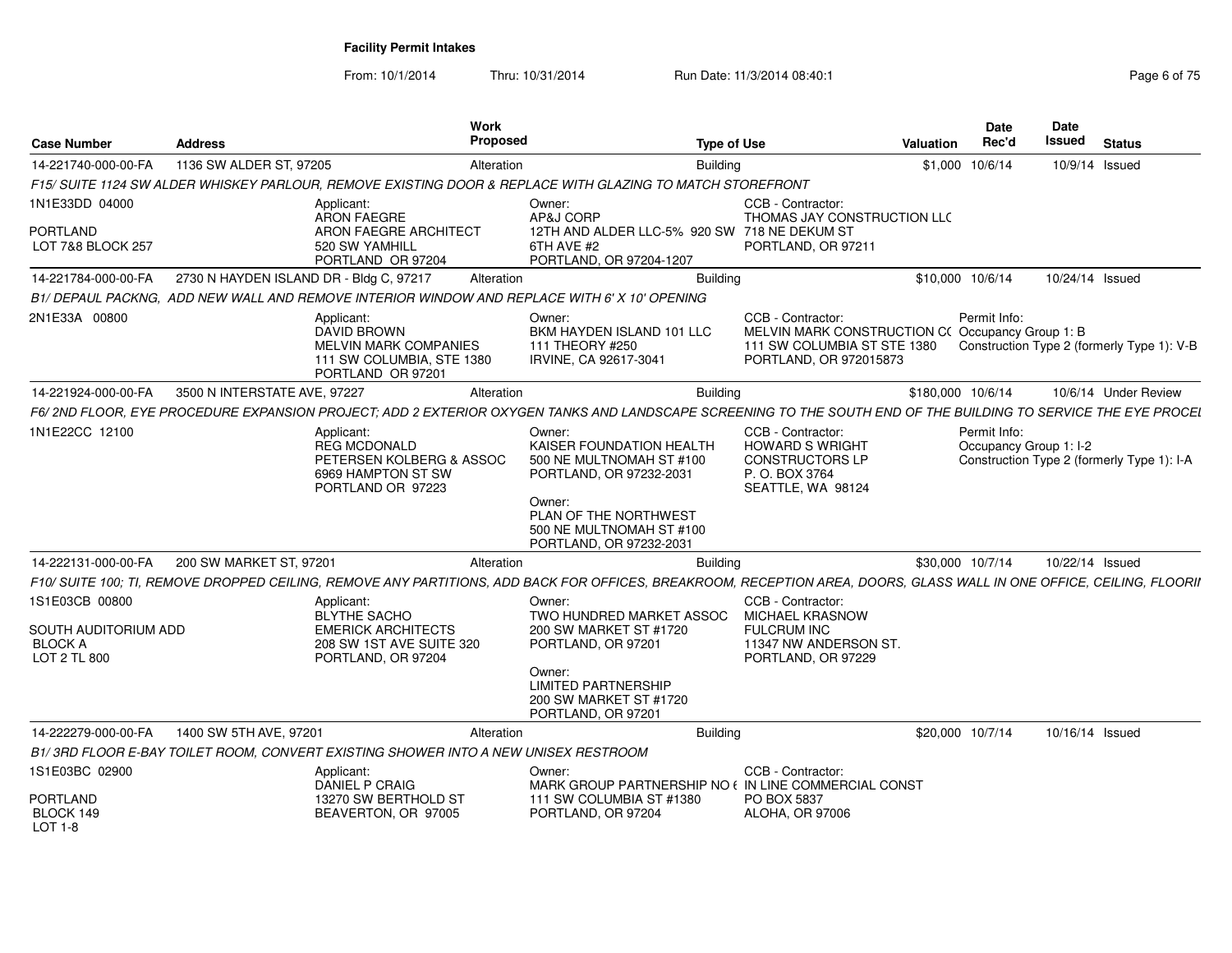| Case Number                                                              | <b>Address</b>                          | <b>Work</b><br>Proposed                                                                                          |                                                                                                                                                                                     | <b>Type of Use</b>                                                                                                            | <b>Valuation</b>  | Date<br>Rec'd                          | <b>Date</b><br><b>Issued</b> | <b>Status</b>                              |
|--------------------------------------------------------------------------|-----------------------------------------|------------------------------------------------------------------------------------------------------------------|-------------------------------------------------------------------------------------------------------------------------------------------------------------------------------------|-------------------------------------------------------------------------------------------------------------------------------|-------------------|----------------------------------------|------------------------------|--------------------------------------------|
| 14-221740-000-00-FA                                                      | 1136 SW ALDER ST, 97205                 | Alteration                                                                                                       | <b>Building</b>                                                                                                                                                                     |                                                                                                                               |                   | \$1,000 10/6/14                        | 10/9/14 Issued               |                                            |
|                                                                          |                                         |                                                                                                                  | F15/ SUITE 1124 SW ALDER WHISKEY PARLOUR, REMOVE EXISTING DOOR & REPLACE WITH GLAZING TO MATCH STOREFRONT                                                                           |                                                                                                                               |                   |                                        |                              |                                            |
| 1N1E33DD 04000                                                           |                                         | Applicant:<br><b>ARON FAEGRE</b>                                                                                 | Owner:<br>AP&J CORP                                                                                                                                                                 | CCB - Contractor:<br>THOMAS JAY CONSTRUCTION LLC                                                                              |                   |                                        |                              |                                            |
| PORTLAND<br>LOT 7&8 BLOCK 257                                            |                                         | <b>ARON FAEGRE ARCHITECT</b><br>520 SW YAMHILL<br>PORTLAND OR 97204                                              | 12TH AND ALDER LLC-5% 920 SW 718 NE DEKUM ST<br>6TH AVE #2<br>PORTLAND, OR 97204-1207                                                                                               | PORTLAND, OR 97211                                                                                                            |                   |                                        |                              |                                            |
| 14-221784-000-00-FA                                                      | 2730 N HAYDEN ISLAND DR - Bldg C, 97217 | Alteration                                                                                                       | <b>Building</b>                                                                                                                                                                     |                                                                                                                               | \$10.000 10/6/14  |                                        | 10/24/14 Issued              |                                            |
|                                                                          |                                         | B1/ DEPAUL PACKNG. ADD NEW WALL AND REMOVE INTERIOR WINDOW AND REPLACE WITH 6' X 10' OPENING                     |                                                                                                                                                                                     |                                                                                                                               |                   |                                        |                              |                                            |
| 2N1E33A 00800                                                            |                                         | Applicant:<br>DAVID BROWN<br><b>MELVIN MARK COMPANIES</b><br>111 SW COLUMBIA, STE 1380<br>PORTLAND OR 97201      | Owner:<br>BKM HAYDEN ISLAND 101 LLC<br>111 THEORY #250<br>IRVINE, CA 92617-3041                                                                                                     | CCB - Contractor:<br>MELVIN MARK CONSTRUCTION C(Occupancy Group 1: B<br>111 SW COLUMBIA ST STE 1380<br>PORTLAND, OR 972015873 |                   | Permit Info:                           |                              | Construction Type 2 (formerly Type 1): V-B |
| 14-221924-000-00-FA                                                      | 3500 N INTERSTATE AVE, 97227            | Alteration                                                                                                       | Building                                                                                                                                                                            |                                                                                                                               | \$180,000 10/6/14 |                                        |                              | 10/6/14 Under Review                       |
|                                                                          |                                         |                                                                                                                  | F6/2ND FLOOR, EYE PROCEDURE EXPANSION PROJECT; ADD 2 EXTERIOR OXYGEN TANKS AND LANDSCAPE SCREENING TO THE SOUTH END OF THE BUILDING TO SERVICE THE EYE PROCEL                       |                                                                                                                               |                   |                                        |                              |                                            |
| 1N1E22CC 12100                                                           |                                         | Applicant:<br><b>REG MCDONALD</b><br>PETERSEN KOLBERG & ASSOC<br>6969 HAMPTON ST SW<br>PORTLAND OR 97223         | Owner:<br>KAISER FOUNDATION HEALTH<br>500 NE MULTNOMAH ST #100<br>PORTLAND, OR 97232-2031<br>Owner:<br>PLAN OF THE NORTHWEST<br>500 NE MULTNOMAH ST #100<br>PORTLAND, OR 97232-2031 | CCB - Contractor:<br><b>HOWARD S WRIGHT</b><br><b>CONSTRUCTORS LP</b><br>P. O. BOX 3764<br>SEATTLE, WA 98124                  |                   | Permit Info:<br>Occupancy Group 1: I-2 |                              | Construction Type 2 (formerly Type 1): I-A |
| 14-222131-000-00-FA                                                      | 200 SW MARKET ST, 97201                 | Alteration                                                                                                       | <b>Building</b>                                                                                                                                                                     |                                                                                                                               | \$30,000 10/7/14  |                                        | 10/22/14 Issued              |                                            |
|                                                                          |                                         |                                                                                                                  | F10/ SUITE 100; TI, REMOVE DROPPED CEILING, REMOVE ANY PARTITIONS, ADD BACK FOR OFFICES, BREAKROOM, RECEPTION AREA, DOORS, GLASS WALL IN ONE OFFICE, CEILING, FLOORII               |                                                                                                                               |                   |                                        |                              |                                            |
| 1S1E03CB 00800<br>SOUTH AUDITORIUM ADD<br><b>BLOCK A</b><br>LOT 2 TL 800 |                                         | Applicant:<br><b>BLYTHE SACHO</b><br><b>EMERICK ARCHITECTS</b><br>208 SW 1ST AVE SUITE 320<br>PORTLAND, OR 97204 | Owner:<br>TWO HUNDRED MARKET ASSOC<br>200 SW MARKET ST #1720<br>PORTLAND, OR 97201                                                                                                  | CCB - Contractor:<br><b>MICHAEL KRASNOW</b><br><b>FULCRUM INC</b><br>11347 NW ANDERSON ST.<br>PORTLAND, OR 97229              |                   |                                        |                              |                                            |
|                                                                          |                                         |                                                                                                                  | Owner:<br><b>LIMITED PARTNERSHIP</b><br>200 SW MARKET ST #1720<br>PORTLAND, OR 97201                                                                                                |                                                                                                                               |                   |                                        |                              |                                            |
| 14-222279-000-00-FA                                                      | 1400 SW 5TH AVE, 97201                  | Alteration                                                                                                       | Building                                                                                                                                                                            |                                                                                                                               | \$20,000 10/7/14  |                                        | 10/16/14 Issued              |                                            |
|                                                                          |                                         | B1/3RD FLOOR E-BAY TOILET ROOM, CONVERT EXISTING SHOWER INTO A NEW UNISEX RESTROOM                               |                                                                                                                                                                                     |                                                                                                                               |                   |                                        |                              |                                            |
| 1S1E03BC 02900                                                           |                                         | Applicant:<br>DANIEL P CRAIG                                                                                     | Owner:<br>MARK GROUP PARTNERSHIP NO ( IN LINE COMMERCIAL CONST                                                                                                                      | CCB - Contractor:                                                                                                             |                   |                                        |                              |                                            |
| <b>PORTLAND</b><br>BLOCK 149<br>LOT 1-8                                  |                                         | 13270 SW BERTHOLD ST<br>BEAVERTON, OR 97005                                                                      | 111 SW COLUMBIA ST #1380<br>PORTLAND, OR 97204                                                                                                                                      | PO BOX 5837<br><b>ALOHA, OR 97006</b>                                                                                         |                   |                                        |                              |                                            |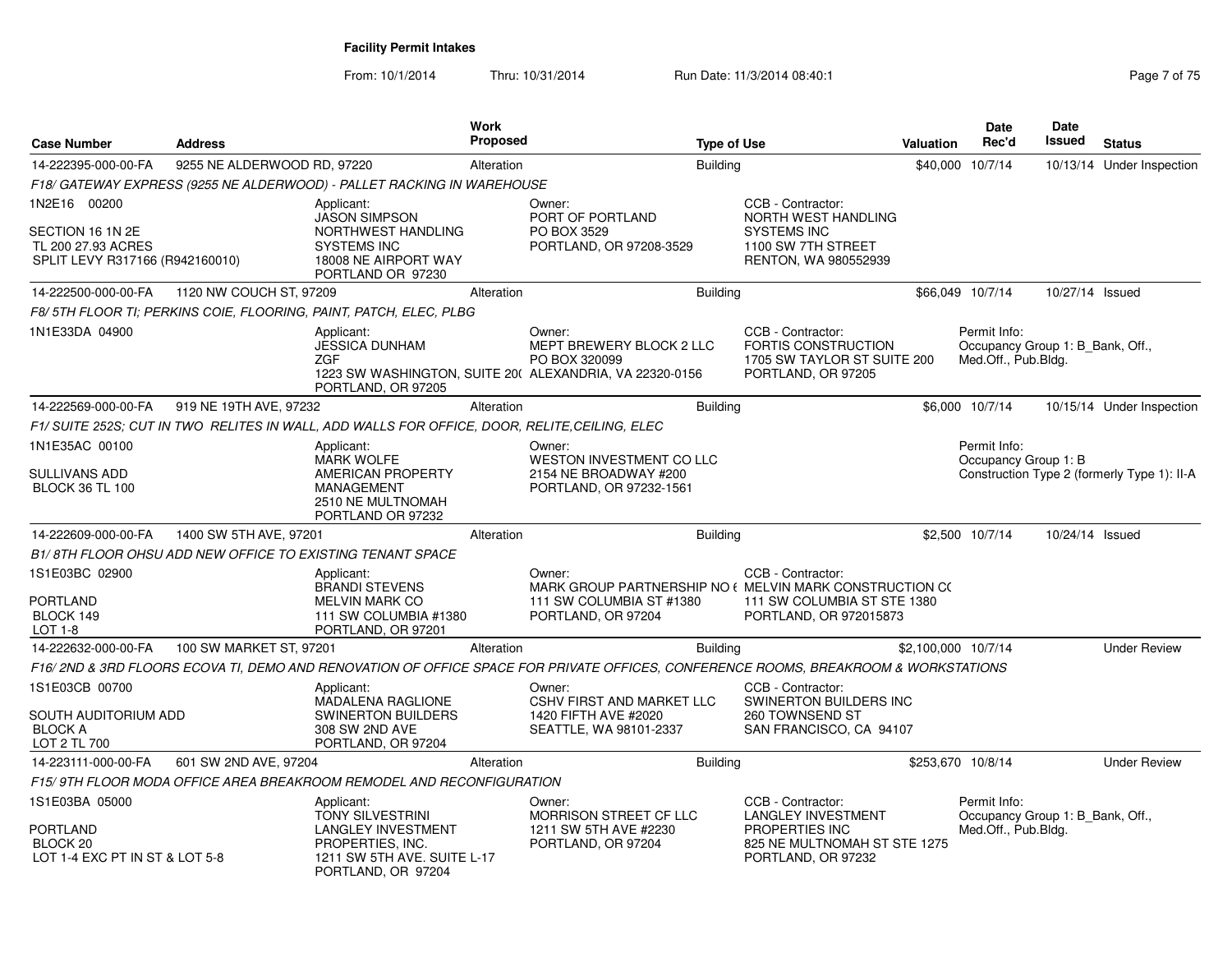| <b>Case Number</b>                                                                  | <b>Address</b>              |                                                                                                                                             | <b>Work</b><br><b>Proposed</b> |                                                                                                                                    | <b>Type of Use</b> |                                                                                                                        | Valuation | <b>Date</b><br>Rec'd                                                    | Date<br><b>Issued</b> | <b>Status</b>                               |
|-------------------------------------------------------------------------------------|-----------------------------|---------------------------------------------------------------------------------------------------------------------------------------------|--------------------------------|------------------------------------------------------------------------------------------------------------------------------------|--------------------|------------------------------------------------------------------------------------------------------------------------|-----------|-------------------------------------------------------------------------|-----------------------|---------------------------------------------|
| 14-222395-000-00-FA                                                                 | 9255 NE ALDERWOOD RD, 97220 |                                                                                                                                             | Alteration                     |                                                                                                                                    | <b>Building</b>    |                                                                                                                        | \$40,000  | 10/7/14                                                                 |                       | 10/13/14 Under Inspection                   |
|                                                                                     |                             | F18/ GATEWAY EXPRESS (9255 NE ALDERWOOD) - PALLET RACKING IN WAREHOUSE                                                                      |                                |                                                                                                                                    |                    |                                                                                                                        |           |                                                                         |                       |                                             |
| 1N2E16 00200                                                                        |                             | Applicant:                                                                                                                                  |                                | Owner:                                                                                                                             |                    | CCB - Contractor:                                                                                                      |           |                                                                         |                       |                                             |
| SECTION 16 1N 2E<br>TL 200 27.93 ACRES<br>SPLIT LEVY R317166 (R942160010)           |                             | <b>JASON SIMPSON</b><br>NORTHWEST HANDLING<br><b>SYSTEMS INC</b><br>18008 NE AIRPORT WAY<br>PORTLAND OR 97230                               |                                | PORT OF PORTLAND<br>PO BOX 3529<br>PORTLAND, OR 97208-3529                                                                         |                    | NORTH WEST HANDLING<br><b>SYSTEMS INC</b><br>1100 SW 7TH STREET<br>RENTON, WA 980552939                                |           |                                                                         |                       |                                             |
| 14-222500-000-00-FA                                                                 | 1120 NW COUCH ST, 97209     |                                                                                                                                             | Alteration                     |                                                                                                                                    | <b>Building</b>    |                                                                                                                        |           | \$66,049 10/7/14                                                        | 10/27/14 Issued       |                                             |
|                                                                                     |                             | F8/5TH FLOOR TI; PERKINS COIE, FLOORING, PAINT, PATCH, ELEC, PLBG                                                                           |                                |                                                                                                                                    |                    |                                                                                                                        |           |                                                                         |                       |                                             |
| 1N1E33DA 04900                                                                      |                             | Applicant:<br><b>JESSICA DUNHAM</b><br><b>ZGF</b><br>PORTLAND, OR 97205                                                                     |                                | Owner:<br>MEPT BREWERY BLOCK 2 LLC<br>PO BOX 320099<br>1223 SW WASHINGTON, SUITE 20( ALEXANDRIA, VA 22320-0156                     |                    | CCB - Contractor:<br>FORTIS CONSTRUCTION<br>1705 SW TAYLOR ST SUITE 200<br>PORTLAND, OR 97205                          |           | Permit Info:<br>Occupancy Group 1: B_Bank, Off.,<br>Med.Off., Pub.Bldg. |                       |                                             |
| 14-222569-000-00-FA                                                                 | 919 NE 19TH AVE, 97232      |                                                                                                                                             | Alteration                     |                                                                                                                                    | <b>Building</b>    |                                                                                                                        |           | \$6,000 10/7/14                                                         |                       | 10/15/14 Under Inspection                   |
|                                                                                     |                             | F1/ SUITE 252S; CUT IN TWO RELITES IN WALL, ADD WALLS FOR OFFICE, DOOR, RELITE,CEILING, ELEC                                                |                                |                                                                                                                                    |                    |                                                                                                                        |           |                                                                         |                       |                                             |
| 1N1E35AC 00100                                                                      |                             | Applicant:                                                                                                                                  |                                | Owner:                                                                                                                             |                    |                                                                                                                        |           | Permit Info:                                                            |                       |                                             |
| SULLIVANS ADD<br><b>BLOCK 36 TL 100</b>                                             |                             | <b>MARK WOLFE</b><br>AMERICAN PROPERTY<br>MANAGEMENT<br>2510 NE MULTNOMAH<br>PORTLAND OR 97232                                              |                                | WESTON INVESTMENT CO LLC<br>2154 NE BROADWAY #200<br>PORTLAND, OR 97232-1561                                                       |                    |                                                                                                                        |           | Occupancy Group 1: B                                                    |                       | Construction Type 2 (formerly Type 1): II-A |
| 14-222609-000-00-FA                                                                 | 1400 SW 5TH AVE, 97201      |                                                                                                                                             | Alteration                     |                                                                                                                                    | <b>Building</b>    |                                                                                                                        |           | \$2,500 10/7/14                                                         | 10/24/14 Issued       |                                             |
|                                                                                     |                             | B1/8TH FLOOR OHSU ADD NEW OFFICE TO EXISTING TENANT SPACE                                                                                   |                                |                                                                                                                                    |                    |                                                                                                                        |           |                                                                         |                       |                                             |
| 1S1E03BC 02900<br>PORTLAND<br>BLOCK 149                                             |                             | Applicant:<br><b>BRANDI STEVENS</b><br><b>MELVIN MARK CO</b>                                                                                |                                | Owner:<br>MARK GROUP PARTNERSHIP NO ( MELVIN MARK CONSTRUCTION CO<br>111 SW COLUMBIA ST #1380                                      |                    | CCB - Contractor:<br>111 SW COLUMBIA ST STE 1380<br>PORTLAND, OR 972015873                                             |           |                                                                         |                       |                                             |
| LOT 1-8                                                                             |                             | 111 SW COLUMBIA #1380<br>PORTLAND, OR 97201                                                                                                 |                                | PORTLAND, OR 97204                                                                                                                 |                    |                                                                                                                        |           |                                                                         |                       |                                             |
| 14-222632-000-00-FA                                                                 | 100 SW MARKET ST, 97201     |                                                                                                                                             | Alteration                     |                                                                                                                                    | <b>Building</b>    |                                                                                                                        |           | \$2,100,000 10/7/14                                                     |                       | <b>Under Review</b>                         |
|                                                                                     |                             |                                                                                                                                             |                                | F16/2ND & 3RD FLOORS ECOVA TI, DEMO AND RENOVATION OF OFFICE SPACE FOR PRIVATE OFFICES, CONFERENCE ROOMS, BREAKROOM & WORKSTATIONS |                    |                                                                                                                        |           |                                                                         |                       |                                             |
| 1S1E03CB 00700                                                                      |                             | Applicant:                                                                                                                                  |                                | Owner:                                                                                                                             |                    | CCB - Contractor:                                                                                                      |           |                                                                         |                       |                                             |
| SOUTH AUDITORIUM ADD<br><b>BLOCK A</b><br>LOT 2 TL 700                              |                             | <b>MADALENA RAGLIONE</b><br><b>SWINERTON BUILDERS</b><br>308 SW 2ND AVE<br>PORTLAND, OR 97204                                               |                                | <b>CSHV FIRST AND MARKET LLC</b><br>1420 FIFTH AVE #2020<br>SEATTLE, WA 98101-2337                                                 |                    | SWINERTON BUILDERS INC<br>260 TOWNSEND ST<br>SAN FRANCISCO, CA 94107                                                   |           |                                                                         |                       |                                             |
| 14-223111-000-00-FA                                                                 | 601 SW 2ND AVE, 97204       |                                                                                                                                             | Alteration                     |                                                                                                                                    | <b>Building</b>    |                                                                                                                        |           | \$253,670 10/8/14                                                       |                       | <b>Under Review</b>                         |
|                                                                                     |                             | F15/9TH FLOOR MODA OFFICE AREA BREAKROOM REMODEL AND RECONFIGURATION                                                                        |                                |                                                                                                                                    |                    |                                                                                                                        |           |                                                                         |                       |                                             |
| 1S1E03BA 05000<br>PORTLAND<br>BLOCK <sub>20</sub><br>LOT 1-4 EXC PT IN ST & LOT 5-8 |                             | Applicant:<br><b>TONY SILVESTRINI</b><br><b>LANGLEY INVESTMENT</b><br>PROPERTIES, INC.<br>1211 SW 5TH AVE, SUITE L-17<br>PORTLAND, OR 97204 |                                | Owner:<br>MORRISON STREET CF LLC<br>1211 SW 5TH AVE #2230<br>PORTLAND, OR 97204                                                    |                    | CCB - Contractor:<br><b>LANGLEY INVESTMENT</b><br>PROPERTIES INC<br>825 NE MULTNOMAH ST STE 1275<br>PORTLAND, OR 97232 |           | Permit Info:<br>Occupancy Group 1: B Bank, Off.,<br>Med.Off., Pub.Bldg. |                       |                                             |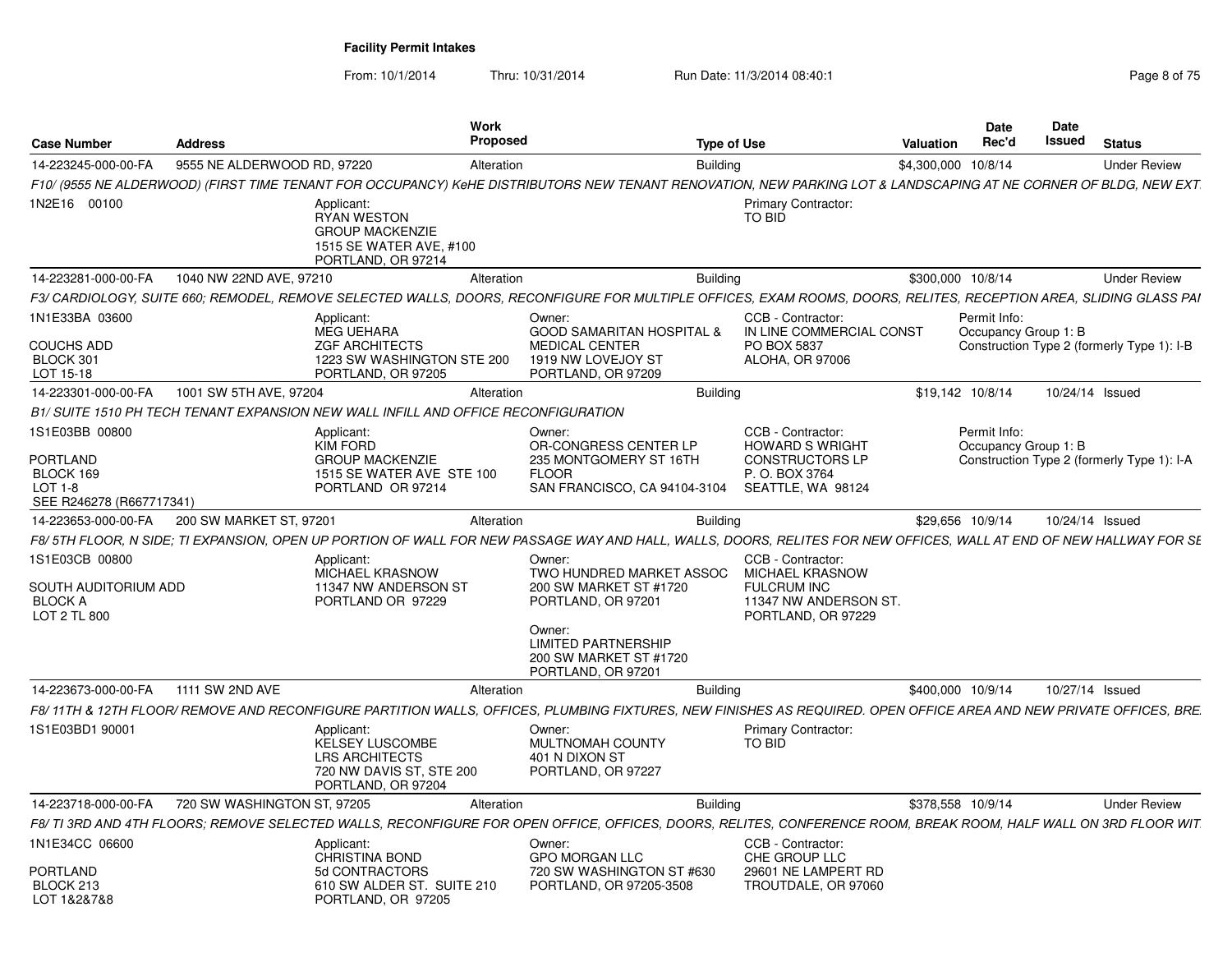| <b>Case Number</b>                                                       | <b>Address</b>              |                                                                                                             | Work<br><b>Proposed</b> |                                                                                                                                                                    | <b>Type of Use</b>                                                                                               | <b>Valuation</b>    | <b>Date</b><br>Rec'd                 | Date<br><b>Issued</b> | <b>Status</b>                              |
|--------------------------------------------------------------------------|-----------------------------|-------------------------------------------------------------------------------------------------------------|-------------------------|--------------------------------------------------------------------------------------------------------------------------------------------------------------------|------------------------------------------------------------------------------------------------------------------|---------------------|--------------------------------------|-----------------------|--------------------------------------------|
| 14-223245-000-00-FA                                                      | 9555 NE ALDERWOOD RD, 97220 |                                                                                                             | Alteration              |                                                                                                                                                                    | <b>Building</b>                                                                                                  | \$4,300,000 10/8/14 |                                      |                       | <b>Under Review</b>                        |
|                                                                          |                             |                                                                                                             |                         | F10/ (9555 NE ALDERWOOD) (FIRST TIME TENANT FOR OCCUPANCY) KeHE DISTRIBUTORS NEW TENANT RENOVATION, NEW PARKING LOT & LANDSCAPING AT NE CORNER OF BLDG, NEW EXT.   |                                                                                                                  |                     |                                      |                       |                                            |
| IN2E16 00100                                                             |                             | Applicant:<br><b>RYAN WESTON</b><br><b>GROUP MACKENZIE</b><br>1515 SE WATER AVE, #100<br>PORTLAND, OR 97214 |                         |                                                                                                                                                                    | Primary Contractor:<br><b>TO BID</b>                                                                             |                     |                                      |                       |                                            |
| 14-223281-000-00-FA                                                      | 1040 NW 22ND AVE, 97210     |                                                                                                             | Alteration              |                                                                                                                                                                    | <b>Building</b>                                                                                                  | \$300,000 10/8/14   |                                      |                       | <b>Under Review</b>                        |
|                                                                          |                             |                                                                                                             |                         | F3/ CARDIOLOGY, SUITE 660; REMODEL, REMOVE SELECTED WALLS, DOORS, RECONFIGURE FOR MULTIPLE OFFICES, EXAM ROOMS, DOORS, RELITES, RECEPTION AREA, SLIDING GLASS PAI  |                                                                                                                  |                     |                                      |                       |                                            |
| 1N1E33BA 03600<br>COUCHS ADD                                             |                             | Applicant:<br><b>MEG UEHARA</b><br><b>ZGF ARCHITECTS</b>                                                    |                         | Owner:<br><b>GOOD SAMARITAN HOSPITAL &amp;</b><br><b>MEDICAL CENTER</b>                                                                                            | CCB - Contractor:<br>IN LINE COMMERCIAL CONST<br>PO BOX 5837                                                     |                     | Permit Info:<br>Occupancy Group 1: B |                       | Construction Type 2 (formerly Type 1): I-B |
| BLOCK 301<br>LOT 15-18                                                   |                             | 1223 SW WASHINGTON STE 200<br>PORTLAND, OR 97205                                                            |                         | 1919 NW LOVEJOY ST<br>PORTLAND, OR 97209                                                                                                                           | ALOHA, OR 97006                                                                                                  |                     |                                      |                       |                                            |
| 14-223301-000-00-FA                                                      | 1001 SW 5TH AVE, 97204      |                                                                                                             | Alteration              |                                                                                                                                                                    | Building                                                                                                         | \$19.142 10/8/14    |                                      | 10/24/14 Issued       |                                            |
|                                                                          |                             | B1/ SUITE 1510 PH TECH TENANT EXPANSION NEW WALL INFILL AND OFFICE RECONFIGURATION                          |                         |                                                                                                                                                                    |                                                                                                                  |                     |                                      |                       |                                            |
| 1S1E03BB 00800<br>PORTLAND                                               |                             | Applicant:<br>KIM FORD<br><b>GROUP MACKENZIE</b>                                                            |                         | Owner:<br>OR-CONGRESS CENTER LP<br>235 MONTGOMERY ST 16TH                                                                                                          | CCB - Contractor:<br><b>HOWARD S WRIGHT</b><br><b>CONSTRUCTORS LP</b>                                            |                     | Permit Info:<br>Occupancy Group 1: B |                       | Construction Type 2 (formerly Type 1): I-A |
| BLOCK 169<br>LOT 1-8<br>SEE R246278 (R667717341)                         |                             | 1515 SE WATER AVE STE 100<br>PORTLAND OR 97214                                                              |                         | <b>FLOOR</b><br>SAN FRANCISCO, CA 94104-3104                                                                                                                       | P. O. BOX 3764<br>SEATTLE, WA 98124                                                                              |                     |                                      |                       |                                            |
| 14-223653-000-00-FA                                                      | 200 SW MARKET ST, 97201     |                                                                                                             | Alteration              |                                                                                                                                                                    | <b>Building</b>                                                                                                  | \$29.656 10/9/14    |                                      | 10/24/14 Issued       |                                            |
|                                                                          |                             |                                                                                                             |                         | F8/5TH FLOOR, N SIDE; TI EXPANSION, OPEN UP PORTION OF WALL FOR NEW PASSAGE WAY AND HALL, WALLS, DOORS, RELITES FOR NEW OFFICES, WALL AT END OF NEW HALLWAY FOR SE |                                                                                                                  |                     |                                      |                       |                                            |
| 1S1E03CB 00800<br>SOUTH AUDITORIUM ADD<br><b>BLOCK A</b><br>LOT 2 TL 800 |                             | Applicant:<br><b>MICHAEL KRASNOW</b><br>11347 NW ANDERSON ST<br>PORTLAND OR 97229                           |                         | Owner:<br>TWO HUNDRED MARKET ASSOC<br>200 SW MARKET ST #1720<br>PORTLAND, OR 97201                                                                                 | CCB - Contractor:<br><b>MICHAEL KRASNOW</b><br><b>FULCRUM INC</b><br>11347 NW ANDERSON ST.<br>PORTLAND, OR 97229 |                     |                                      |                       |                                            |
|                                                                          |                             |                                                                                                             |                         | Owner:<br>LIMITED PARTNERSHIP<br>200 SW MARKET ST #1720<br>PORTLAND, OR 97201                                                                                      |                                                                                                                  |                     |                                      |                       |                                            |
| 14-223673-000-00-FA                                                      | 1111 SW 2ND AVE             |                                                                                                             | Alteration              |                                                                                                                                                                    | <b>Building</b>                                                                                                  | \$400.000 10/9/14   |                                      |                       | 10/27/14 Issued                            |
|                                                                          |                             |                                                                                                             |                         | F8/11TH & 12TH FLOOR/ REMOVE AND RECONFIGURE PARTITION WALLS. OFFICES. PLUMBING FIXTURES. NEW FINISHES AS REQUIRED. OPEN OFFICE AREA AND NEW PRIVATE OFFICES. BRE. |                                                                                                                  |                     |                                      |                       |                                            |
| 1S1E03BD1 90001                                                          |                             | Applicant:<br>KELSEY LUSCOMBE<br>LRS ARCHITECTS<br>720 NW DAVIS ST, STE 200<br>PORTLAND, OR 97204           |                         | Owner:<br>MULTNOMAH COUNTY<br>401 N DIXON ST<br>PORTLAND, OR 97227                                                                                                 | <b>Primary Contractor:</b><br>TO BID                                                                             |                     |                                      |                       |                                            |
| 14-223718-000-00-FA                                                      | 720 SW WASHINGTON ST, 97205 |                                                                                                             | Alteration              |                                                                                                                                                                    | <b>Building</b>                                                                                                  | \$378.558 10/9/14   |                                      |                       | <b>Under Review</b>                        |
|                                                                          |                             |                                                                                                             |                         | F8/TI 3RD AND 4TH FLOORS; REMOVE SELECTED WALLS, RECONFIGURE FOR OPEN OFFICE, OFFICES, DOORS, RELITES, CONFERENCE ROOM, BREAK ROOM, HALF WALL ON 3RD FLOOR WIT     |                                                                                                                  |                     |                                      |                       |                                            |
| 1N1E34CC 06600                                                           |                             | Applicant:<br><b>CHRISTINA BOND</b>                                                                         |                         | Owner:<br><b>GPO MORGAN LLC</b>                                                                                                                                    | CCB - Contractor:<br>CHE GROUP LLC                                                                               |                     |                                      |                       |                                            |
| PORTLAND<br>BLOCK 213<br>LOT 1&2&7&8                                     |                             | 5d CONTRACTORS<br>610 SW ALDER ST. SUITE 210<br>PORTLAND, OR 97205                                          |                         | 720 SW WASHINGTON ST #630<br>PORTLAND, OR 97205-3508                                                                                                               | 29601 NE LAMPERT RD<br>TROUTDALE, OR 97060                                                                       |                     |                                      |                       |                                            |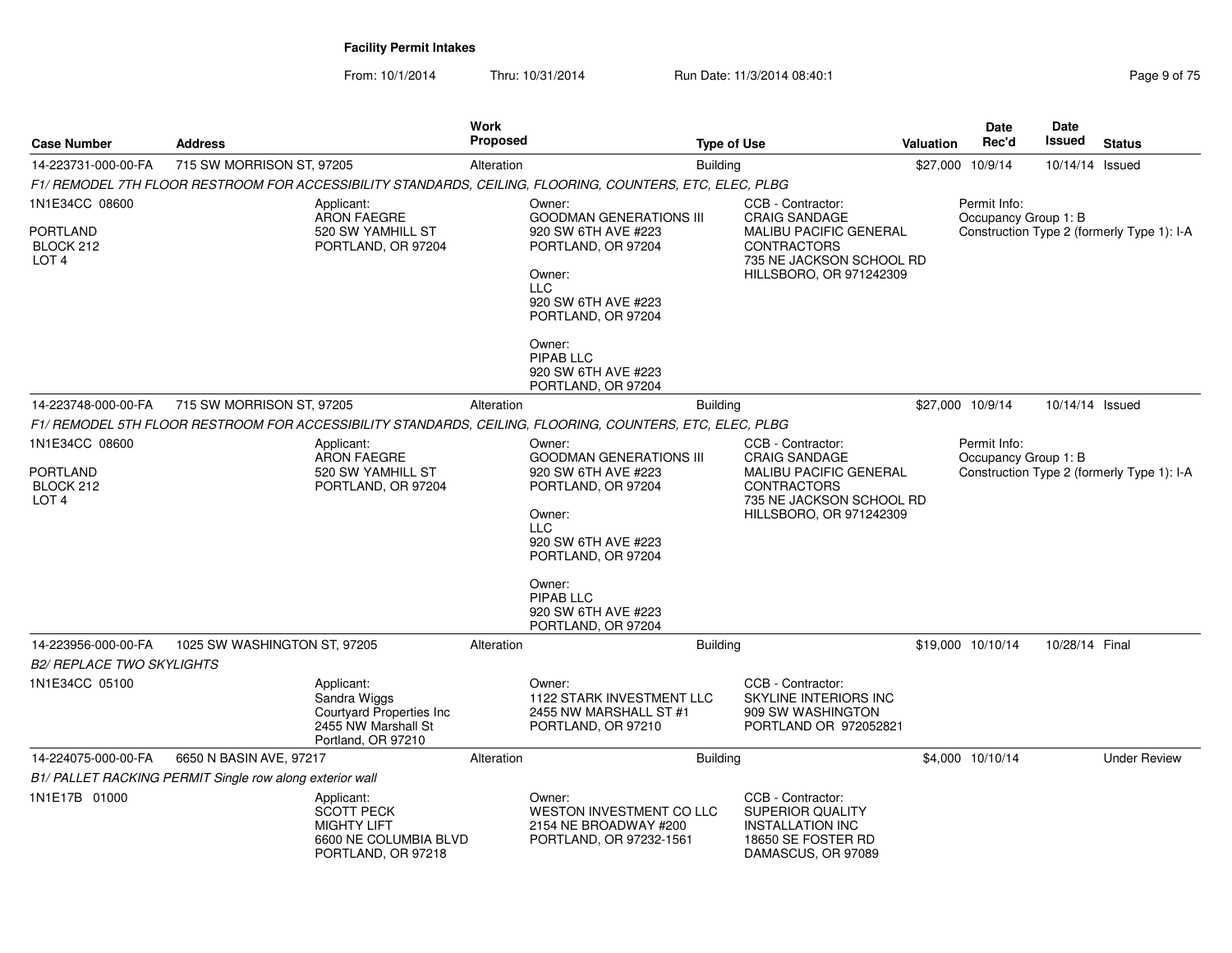From: 10/1/2014

Thru: 10/31/2014 Run Date: 11/3/2014 08:40:1

| <b>Case Number</b>                                          | <b>Address</b>                                           |                                                                                                      | <b>Work</b><br><b>Proposed</b> |                                                                                                                                                                                                                                       | <b>Type of Use</b> |                                                                                                                                                         | <b>Valuation</b> | Date<br>Rec'd                        | <b>Date</b><br>Issued | <b>Status</b>                              |
|-------------------------------------------------------------|----------------------------------------------------------|------------------------------------------------------------------------------------------------------|--------------------------------|---------------------------------------------------------------------------------------------------------------------------------------------------------------------------------------------------------------------------------------|--------------------|---------------------------------------------------------------------------------------------------------------------------------------------------------|------------------|--------------------------------------|-----------------------|--------------------------------------------|
| 14-223731-000-00-FA                                         | 715 SW MORRISON ST, 97205                                |                                                                                                      | Alteration                     |                                                                                                                                                                                                                                       | <b>Building</b>    |                                                                                                                                                         |                  | \$27,000 10/9/14                     | 10/14/14 Issued       |                                            |
|                                                             |                                                          |                                                                                                      |                                | F1/ REMODEL 7TH FLOOR RESTROOM FOR ACCESSIBILITY STANDARDS, CEILING, FLOORING, COUNTERS, ETC, ELEC, PLBG                                                                                                                              |                    |                                                                                                                                                         |                  |                                      |                       |                                            |
| 1N1E34CC 08600                                              |                                                          | Applicant:<br><b>ARON FAEGRE</b>                                                                     |                                | Owner:<br><b>GOODMAN GENERATIONS III</b>                                                                                                                                                                                              |                    | CCB - Contractor:<br><b>CRAIG SANDAGE</b>                                                                                                               |                  | Permit Info:<br>Occupancy Group 1: B |                       |                                            |
| PORTLAND<br>BLOCK 212<br>LOT <sub>4</sub>                   |                                                          | 520 SW YAMHILL ST<br>PORTLAND, OR 97204                                                              |                                | 920 SW 6TH AVE #223<br>PORTLAND, OR 97204<br>Owner:<br><b>LLC</b><br>920 SW 6TH AVE #223<br>PORTLAND, OR 97204                                                                                                                        |                    | <b>MALIBU PACIFIC GENERAL</b><br><b>CONTRACTORS</b><br>735 NE JACKSON SCHOOL RD<br>HILLSBORO, OR 971242309                                              |                  |                                      |                       | Construction Type 2 (formerly Type 1): I-A |
|                                                             |                                                          |                                                                                                      |                                | Owner:<br>PIPAB LLC<br>920 SW 6TH AVE #223<br>PORTLAND, OR 97204                                                                                                                                                                      |                    |                                                                                                                                                         |                  |                                      |                       |                                            |
| 14-223748-000-00-FA                                         | 715 SW MORRISON ST, 97205                                |                                                                                                      | Alteration                     |                                                                                                                                                                                                                                       | <b>Building</b>    |                                                                                                                                                         |                  | \$27,000 10/9/14                     | 10/14/14 Issued       |                                            |
|                                                             |                                                          |                                                                                                      |                                | F1/ REMODEL 5TH FLOOR RESTROOM FOR ACCESSIBILITY STANDARDS, CEILING, FLOORING, COUNTERS, ETC, ELEC, PLBG                                                                                                                              |                    |                                                                                                                                                         |                  |                                      |                       |                                            |
| 1N1E34CC 08600<br>PORTLAND<br>BLOCK 212<br>LOT <sub>4</sub> |                                                          | Applicant:<br><b>ARON FAEGRE</b><br>520 SW YAMHILL ST<br>PORTLAND, OR 97204                          |                                | Owner:<br><b>GOODMAN GENERATIONS III</b><br>920 SW 6TH AVE #223<br>PORTLAND, OR 97204<br>Owner:<br><b>LLC</b><br>920 SW 6TH AVE #223<br>PORTLAND, OR 97204<br>Owner:<br><b>PIPAB LLC</b><br>920 SW 6TH AVE #223<br>PORTLAND, OR 97204 |                    | CCB - Contractor:<br><b>CRAIG SANDAGE</b><br><b>MALIBU PACIFIC GENERAL</b><br><b>CONTRACTORS</b><br>735 NE JACKSON SCHOOL RD<br>HILLSBORO, OR 971242309 |                  | Permit Info:<br>Occupancy Group 1: B |                       | Construction Type 2 (formerly Type 1): I-A |
| 14-223956-000-00-FA                                         | 1025 SW WASHINGTON ST, 97205                             |                                                                                                      | Alteration                     |                                                                                                                                                                                                                                       | <b>Building</b>    |                                                                                                                                                         |                  | \$19,000 10/10/14                    | 10/28/14 Final        |                                            |
| <b>B2/ REPLACE TWO SKYLIGHTS</b>                            |                                                          |                                                                                                      |                                |                                                                                                                                                                                                                                       |                    |                                                                                                                                                         |                  |                                      |                       |                                            |
| 1N1E34CC 05100                                              |                                                          | Applicant:<br>Sandra Wiggs<br>Courtyard Properties Inc<br>2455 NW Marshall St<br>Portland, OR 97210  |                                | Owner:<br><b>1122 STARK INVESTMENT LLC</b><br>2455 NW MARSHALL ST #1<br>PORTLAND, OR 97210                                                                                                                                            |                    | CCB - Contractor:<br>SKYLINE INTERIORS INC<br>909 SW WASHINGTON<br>PORTLAND OR 972052821                                                                |                  |                                      |                       |                                            |
| 14-224075-000-00-FA                                         | 6650 N BASIN AVE, 97217                                  |                                                                                                      | Alteration                     |                                                                                                                                                                                                                                       | <b>Building</b>    |                                                                                                                                                         |                  | \$4,000 10/10/14                     |                       | <b>Under Review</b>                        |
|                                                             | B1/ PALLET RACKING PERMIT Single row along exterior wall |                                                                                                      |                                |                                                                                                                                                                                                                                       |                    |                                                                                                                                                         |                  |                                      |                       |                                            |
| 1N1E17B 01000                                               |                                                          | Applicant:<br><b>SCOTT PECK</b><br><b>MIGHTY LIFT</b><br>6600 NE COLUMBIA BLVD<br>PORTLAND, OR 97218 |                                | Owner:<br>WESTON INVESTMENT CO LLC<br>2154 NE BROADWAY #200<br>PORTLAND, OR 97232-1561                                                                                                                                                |                    | CCB - Contractor:<br>SUPERIOR QUALITY<br><b>INSTALLATION INC</b><br>18650 SE FOSTER RD<br>DAMASCUS, OR 97089                                            |                  |                                      |                       |                                            |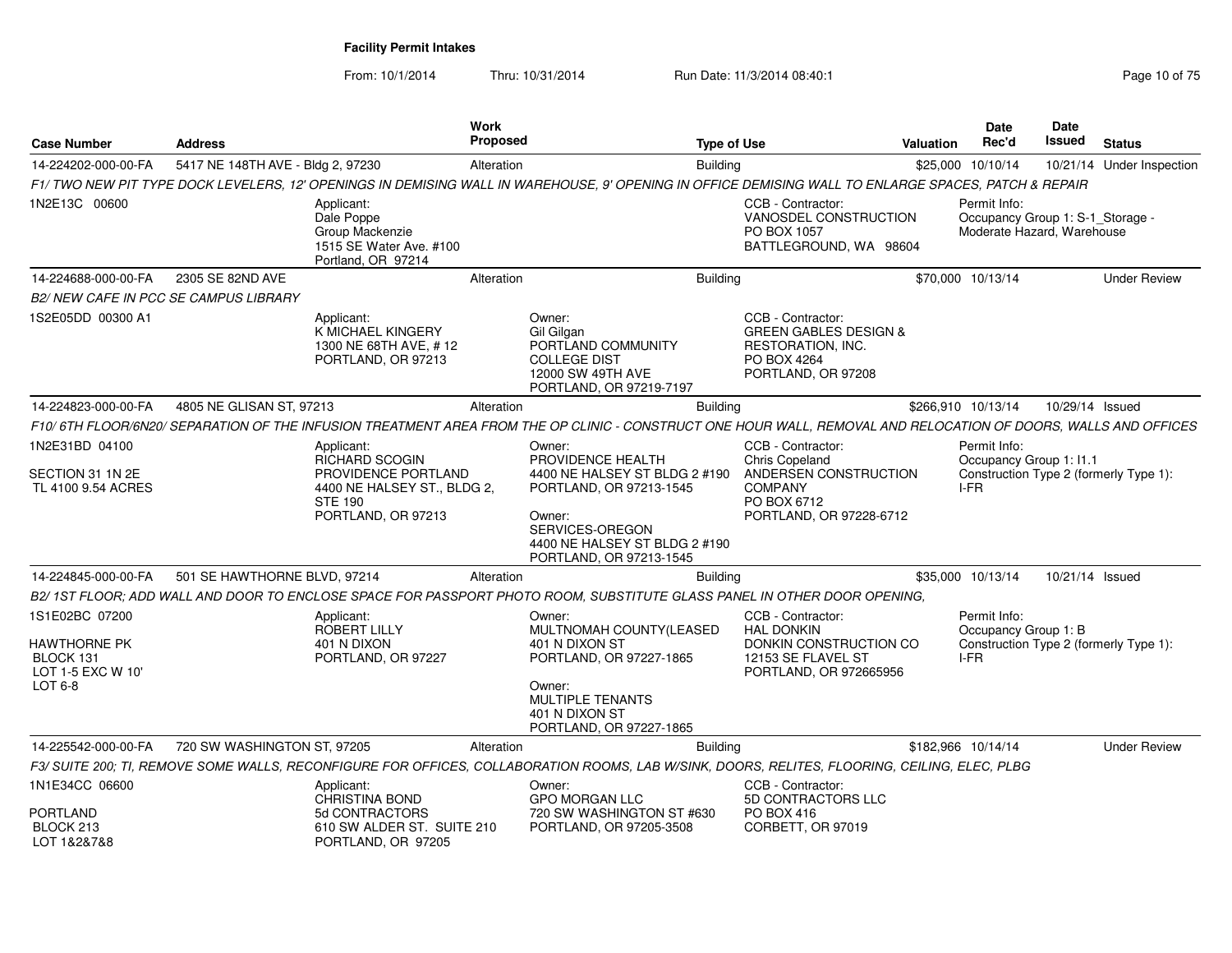| <b>Case Number</b>                                                          | <b>Address</b>                    |                                                                                                                     | <b>Work</b><br><b>Proposed</b> |                                                                                                                                                                        | <b>Type of Use</b> |                                                                                                                        | Valuation | Date<br>Rec'd                                                                  | Date<br>Issued  | <b>Status</b>                          |
|-----------------------------------------------------------------------------|-----------------------------------|---------------------------------------------------------------------------------------------------------------------|--------------------------------|------------------------------------------------------------------------------------------------------------------------------------------------------------------------|--------------------|------------------------------------------------------------------------------------------------------------------------|-----------|--------------------------------------------------------------------------------|-----------------|----------------------------------------|
| 14-224202-000-00-FA                                                         | 5417 NE 148TH AVE - Bldg 2, 97230 |                                                                                                                     | Alteration                     |                                                                                                                                                                        | <b>Building</b>    |                                                                                                                        |           | \$25,000 10/10/14                                                              |                 | 10/21/14 Under Inspection              |
|                                                                             |                                   |                                                                                                                     |                                | F1/ TWO NEW PIT TYPE DOCK LEVELERS, 12' OPENINGS IN DEMISING WALL IN WAREHOUSE, 9' OPENING IN OFFICE DEMISING WALL TO ENLARGE SPACES, PATCH & REPAIR                   |                    |                                                                                                                        |           |                                                                                |                 |                                        |
| 1N2E13C 00600                                                               |                                   | Applicant:<br>Dale Poppe<br>Group Mackenzie<br>1515 SE Water Ave. #100<br>Portland, OR 97214                        |                                |                                                                                                                                                                        |                    | CCB - Contractor:<br>VANOSDEL CONSTRUCTION<br>PO BOX 1057<br>BATTLEGROUND, WA 98604                                    |           | Permit Info:<br>Occupancy Group 1: S-1_Storage -<br>Moderate Hazard, Warehouse |                 |                                        |
| 14-224688-000-00-FA                                                         | 2305 SE 82ND AVE                  |                                                                                                                     | Alteration                     |                                                                                                                                                                        | Building           |                                                                                                                        |           | \$70,000 10/13/14                                                              |                 | <b>Under Review</b>                    |
| B2/ NEW CAFE IN PCC SE CAMPUS LIBRARY                                       |                                   |                                                                                                                     |                                |                                                                                                                                                                        |                    |                                                                                                                        |           |                                                                                |                 |                                        |
| 1S2E05DD 00300 A1                                                           |                                   | Applicant:<br>K MICHAEL KINGERY<br>1300 NE 68TH AVE, #12<br>PORTLAND, OR 97213                                      |                                | Owner:<br>Gil Gilgan<br>PORTLAND COMMUNITY<br><b>COLLEGE DIST</b><br>12000 SW 49TH AVE<br>PORTLAND, OR 97219-7197                                                      |                    | CCB - Contractor:<br><b>GREEN GABLES DESIGN &amp;</b><br><b>RESTORATION, INC.</b><br>PO BOX 4264<br>PORTLAND, OR 97208 |           |                                                                                |                 |                                        |
| 14-224823-000-00-FA                                                         | 4805 NE GLISAN ST, 97213          |                                                                                                                     | Alteration                     |                                                                                                                                                                        | Building           |                                                                                                                        |           | \$266,910 10/13/14                                                             | 10/29/14 Issued |                                        |
|                                                                             |                                   |                                                                                                                     |                                | F10/6TH FLOOR/6N20/SEPARATION OF THE INFUSION TREATMENT AREA FROM THE OP CLINIC - CONSTRUCT ONE HOUR WALL, REMOVAL AND RELOCATION OF DOORS, WALLS AND OFFICES          |                    |                                                                                                                        |           |                                                                                |                 |                                        |
| 1N2E31BD 04100                                                              |                                   | Applicant:                                                                                                          |                                | Owner:                                                                                                                                                                 |                    | CCB - Contractor:                                                                                                      |           | Permit Info:                                                                   |                 |                                        |
| SECTION 31 1N 2E<br>TL 4100 9.54 ACRES                                      |                                   | <b>RICHARD SCOGIN</b><br>PROVIDENCE PORTLAND<br>4400 NE HALSEY ST., BLDG 2,<br><b>STE 190</b><br>PORTLAND, OR 97213 |                                | PROVIDENCE HEALTH<br>4400 NE HALSEY ST BLDG 2 #190<br>PORTLAND, OR 97213-1545<br>Owner:<br>SERVICES-OREGON<br>4400 NE HALSEY ST BLDG 2 #190<br>PORTLAND, OR 97213-1545 |                    | Chris Copeland<br>ANDERSEN CONSTRUCTION<br><b>COMPANY</b><br>PO BOX 6712<br>PORTLAND, OR 97228-6712                    |           | Occupancy Group 1: I1.1<br>I-FR                                                |                 | Construction Type 2 (formerly Type 1): |
| 14-224845-000-00-FA                                                         | 501 SE HAWTHORNE BLVD, 97214      |                                                                                                                     | Alteration                     |                                                                                                                                                                        | <b>Building</b>    |                                                                                                                        |           | \$35,000 10/13/14                                                              | 10/21/14 Issued |                                        |
|                                                                             |                                   |                                                                                                                     |                                | B2/1ST FLOOR; ADD WALL AND DOOR TO ENCLOSE SPACE FOR PASSPORT PHOTO ROOM, SUBSTITUTE GLASS PANEL IN OTHER DOOR OPENING,                                                |                    |                                                                                                                        |           |                                                                                |                 |                                        |
| 1S1E02BC 07200<br>HAWTHORNE PK<br>BLOCK 131<br>LOT 1-5 EXC W 10'<br>LOT 6-8 |                                   | Applicant:<br><b>ROBERT LILLY</b><br>401 N DIXON<br>PORTLAND, OR 97227                                              |                                | Owner:<br>MULTNOMAH COUNTY(LEASED<br>401 N DIXON ST<br>PORTLAND, OR 97227-1865<br>Owner:<br><b>MULTIPLE TENANTS</b><br>401 N DIXON ST<br>PORTLAND, OR 97227-1865       |                    | CCB - Contractor:<br><b>HAL DONKIN</b><br>DONKIN CONSTRUCTION CO<br>12153 SE FLAVEL ST<br>PORTLAND, OR 972665956       |           | Permit Info:<br>Occupancy Group 1: B<br>I-FR                                   |                 | Construction Type 2 (formerly Type 1): |
| 14-225542-000-00-FA                                                         | 720 SW WASHINGTON ST, 97205       |                                                                                                                     | Alteration                     |                                                                                                                                                                        | <b>Building</b>    |                                                                                                                        |           | \$182,966 10/14/14                                                             |                 | <b>Under Review</b>                    |
|                                                                             |                                   |                                                                                                                     |                                | F3/ SUITE 200; TI, REMOVE SOME WALLS, RECONFIGURE FOR OFFICES, COLLABORATION ROOMS, LAB W/SINK, DOORS, RELITES, FLOORING, CEILING, ELEC, PLBG                          |                    |                                                                                                                        |           |                                                                                |                 |                                        |
| 1N1E34CC 06600                                                              |                                   | Applicant:<br>CHRISTINA BOND                                                                                        |                                | Owner:<br><b>GPO MORGAN LLC</b>                                                                                                                                        |                    | CCB - Contractor:<br>5D CONTRACTORS LLC                                                                                |           |                                                                                |                 |                                        |
| PORTLAND<br>BLOCK 213<br>LOT 1&2&7&8                                        |                                   | 5d CONTRACTORS<br>610 SW ALDER ST. SUITE 210<br>PORTLAND, OR 97205                                                  |                                | 720 SW WASHINGTON ST #630<br>PORTLAND, OR 97205-3508                                                                                                                   |                    | PO BOX 416<br>CORBETT, OR 97019                                                                                        |           |                                                                                |                 |                                        |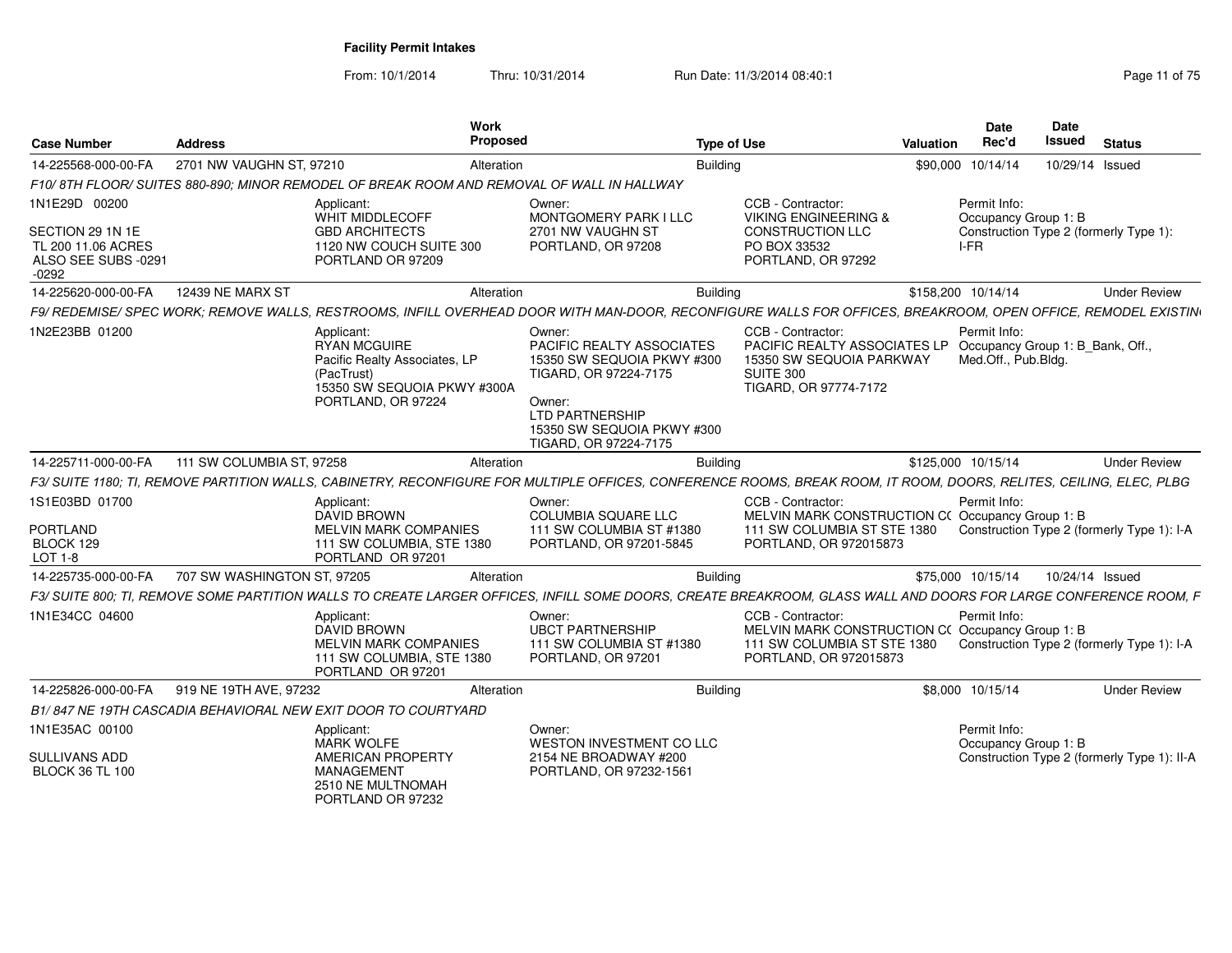| <b>Case Number</b>                                                                        | <b>Address</b>              | Work                                                                                                                           | Proposed                                                                                                                                                                                     | <b>Type of Use</b>                                                                                                                                          | Valuation          | <b>Date</b><br>Rec'd                                                                   | <b>Date</b><br><b>Issued</b> | <b>Status</b> |                     |
|-------------------------------------------------------------------------------------------|-----------------------------|--------------------------------------------------------------------------------------------------------------------------------|----------------------------------------------------------------------------------------------------------------------------------------------------------------------------------------------|-------------------------------------------------------------------------------------------------------------------------------------------------------------|--------------------|----------------------------------------------------------------------------------------|------------------------------|---------------|---------------------|
| 14-225568-000-00-FA                                                                       | 2701 NW VAUGHN ST, 97210    |                                                                                                                                | Alteration                                                                                                                                                                                   | Building                                                                                                                                                    |                    | \$90,000 10/14/14                                                                      | 10/29/14 Issued              |               |                     |
|                                                                                           |                             | F10/8TH FLOOR/SUITES 880-890: MINOR REMODEL OF BREAK ROOM AND REMOVAL OF WALL IN HALLWAY                                       |                                                                                                                                                                                              |                                                                                                                                                             |                    |                                                                                        |                              |               |                     |
| 1N1E29D 00200<br>SECTION 29 1N 1E<br>TL 200 11.06 ACRES<br>ALSO SEE SUBS -0291<br>$-0292$ |                             | Applicant:<br>WHIT MIDDLECOFF<br><b>GBD ARCHITECTS</b><br>1120 NW COUCH SUITE 300<br>PORTLAND OR 97209                         | Owner:<br>MONTGOMERY PARK I LLC<br>2701 NW VAUGHN ST<br>PORTLAND, OR 97208                                                                                                                   | CCB - Contractor:<br><b>VIKING ENGINEERING &amp;</b><br><b>CONSTRUCTION LLC</b><br>PO BOX 33532<br>PORTLAND, OR 97292                                       |                    | Permit Info:<br>Occupancy Group 1: B<br>Construction Type 2 (formerly Type 1):<br>I-FR |                              |               |                     |
| 14-225620-000-00-FA                                                                       | <b>12439 NE MARX ST</b>     |                                                                                                                                | Alteration                                                                                                                                                                                   | <b>Building</b>                                                                                                                                             | \$158,200 10/14/14 |                                                                                        |                              |               | <b>Under Review</b> |
|                                                                                           |                             |                                                                                                                                | F9/ REDEMISE/ SPEC WORK; REMOVE WALLS, RESTROOMS, INFILL OVERHEAD DOOR WITH MAN-DOOR, RECONFIGURE WALLS FOR OFFICES, BREAKROOM, OPEN OFFICE, REMODEL EXISTIN                                 |                                                                                                                                                             |                    |                                                                                        |                              |               |                     |
| 1N2E23BB 01200                                                                            |                             | Applicant:<br>RYAN MCGUIRE<br>Pacific Realty Associates, LP<br>(PacTrust)<br>15350 SW SEQUOIA PKWY #300A<br>PORTLAND, OR 97224 | Owner:<br><b>PACIFIC REALTY ASSOCIATES</b><br>15350 SW SEQUOIA PKWY #300<br>TIGARD, OR 97224-7175<br>Owner:<br><b>LTD PARTNERSHIP</b><br>15350 SW SEQUOIA PKWY #300<br>TIGARD, OR 97224-7175 | CCB - Contractor:<br>PACIFIC REALTY ASSOCIATES LP Occupancy Group 1: B_Bank, Off.,<br>15350 SW SEQUOIA PARKWAY<br><b>SUITE 300</b><br>TIGARD, OR 97774-7172 |                    | Permit Info:<br>Med.Off., Pub.Bldg.                                                    |                              |               |                     |
| 14-225711-000-00-FA                                                                       | 111 SW COLUMBIA ST, 97258   |                                                                                                                                | Alteration                                                                                                                                                                                   | <b>Building</b>                                                                                                                                             | \$125.000 10/15/14 |                                                                                        |                              |               | <b>Under Review</b> |
|                                                                                           |                             |                                                                                                                                | F3/ SUITE 1180: TI. REMOVE PARTITION WALLS. CABINETRY. RECONFIGURE FOR MULTIPLE OFFICES. CONFERENCE ROOMS. BREAK ROOM. IT ROOM. DOORS. RELITES. CEILING. ELEC. PLBG                          |                                                                                                                                                             |                    |                                                                                        |                              |               |                     |
| 1S1E03BD 01700<br><b>PORTLAND</b><br>BLOCK 129<br>LOT 1-8                                 |                             | Applicant:<br><b>DAVID BROWN</b><br><b>MELVIN MARK COMPANIES</b><br>111 SW COLUMBIA, STE 1380<br>PORTLAND OR 97201             | Owner:<br>COLUMBIA SOUARE LLC<br>111 SW COLUMBIA ST #1380<br>PORTLAND, OR 97201-5845                                                                                                         | CCB - Contractor:<br>MELVIN MARK CONSTRUCTION C(Occupancy Group 1: B<br>111 SW COLUMBIA ST STE 1380<br>PORTLAND, OR 972015873                               |                    | Permit Info:<br>Construction Type 2 (formerly Type 1): I-A                             |                              |               |                     |
| 14-225735-000-00-FA                                                                       | 707 SW WASHINGTON ST, 97205 |                                                                                                                                | Alteration                                                                                                                                                                                   | <b>Building</b>                                                                                                                                             |                    | \$75,000 10/15/14                                                                      | 10/24/14 Issued              |               |                     |
|                                                                                           |                             |                                                                                                                                | F3/ SUITE 800; TI, REMOVE SOME PARTITION WALLS TO CREATE LARGER OFFICES, INFILL SOME DOORS, CREATE BREAKROOM, GLASS WALL AND DOORS FOR LARGE CONFERENCE ROOM. F                              |                                                                                                                                                             |                    |                                                                                        |                              |               |                     |
| 1N1E34CC 04600                                                                            |                             | Applicant:<br>DAVID BROWN<br><b>MELVIN MARK COMPANIES</b><br>111 SW COLUMBIA, STE 1380<br>PORTLAND OR 97201                    | Owner:<br><b>UBCT PARTNERSHIP</b><br>111 SW COLUMBIA ST #1380<br>PORTLAND, OR 97201                                                                                                          | CCB - Contractor:<br>MELVIN MARK CONSTRUCTION C(Occupancy Group 1: B<br>111 SW COLUMBIA ST STE 1380<br>PORTLAND, OR 972015873                               |                    | Permit Info:<br>Construction Type 2 (formerly Type 1): I-A                             |                              |               |                     |
| 14-225826-000-00-FA                                                                       | 919 NE 19TH AVE, 97232      |                                                                                                                                | Alteration                                                                                                                                                                                   | Building                                                                                                                                                    |                    | \$8.000 10/15/14                                                                       |                              |               | <b>Under Review</b> |
|                                                                                           |                             | B1/847 NE 19TH CASCADIA BEHAVIORAL NEW EXIT DOOR TO COURTYARD                                                                  |                                                                                                                                                                                              |                                                                                                                                                             |                    |                                                                                        |                              |               |                     |
| 1N1E35AC 00100                                                                            |                             | Applicant:                                                                                                                     | Owner:                                                                                                                                                                                       |                                                                                                                                                             |                    | Permit Info:                                                                           |                              |               |                     |
| SULLIVANS ADD<br><b>BLOCK 36 TL 100</b>                                                   |                             | <b>MARK WOLFE</b><br>AMERICAN PROPERTY<br>MANAGEMENT<br>2510 NE MULTNOMAH<br>PORTLAND OR 97232                                 | WESTON INVESTMENT CO LLC<br>2154 NE BROADWAY #200<br>PORTLAND, OR 97232-1561                                                                                                                 |                                                                                                                                                             |                    | Occupancy Group 1: B<br>Construction Type 2 (formerly Type 1): II-A                    |                              |               |                     |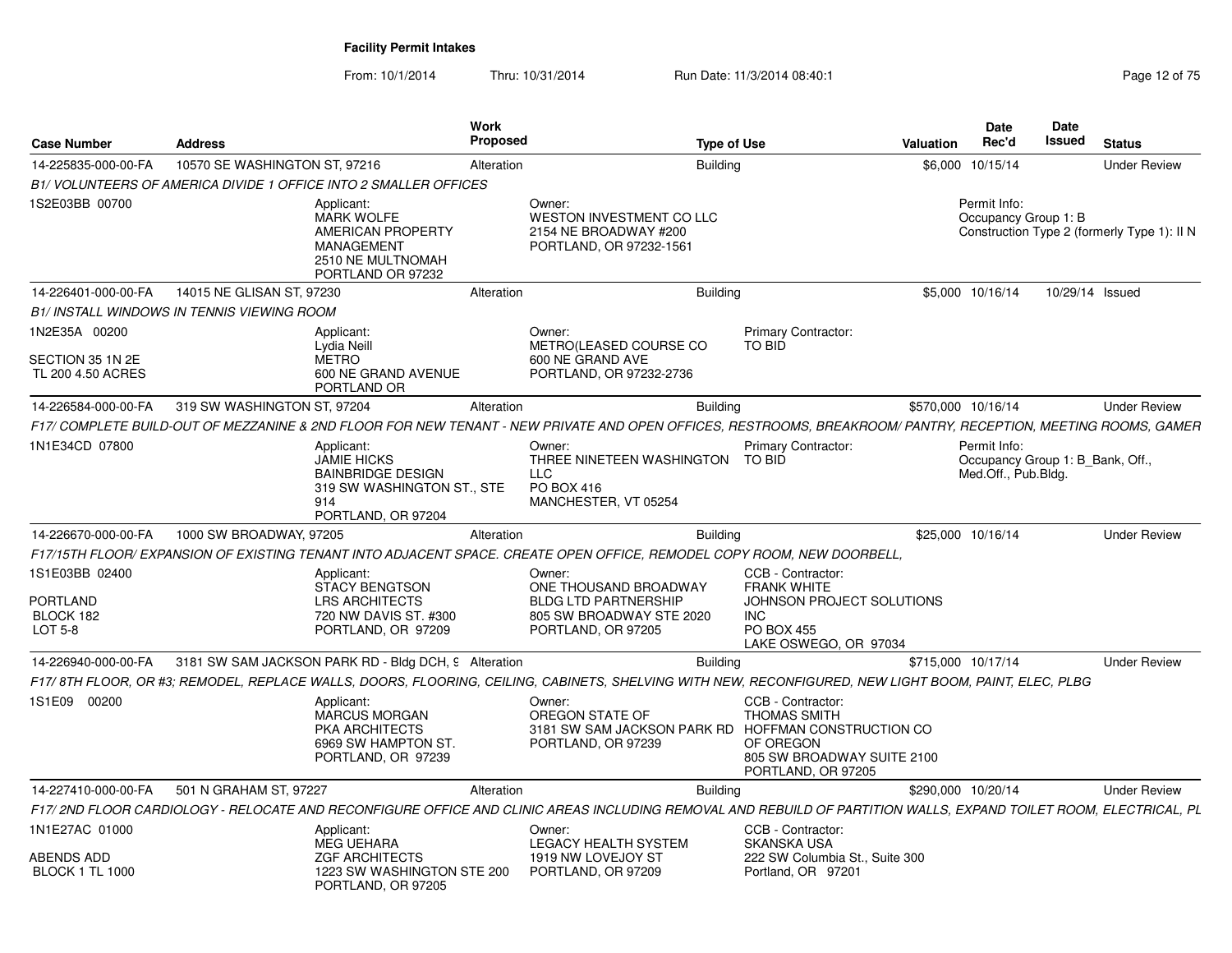| Case Number                                            | <b>Address</b>                                                                                                                                                    | Work<br>Proposed |                                                                                                                  | <b>Type of Use</b>                                                                                        | Valuation | Date<br>Rec'd                                                           | Date<br><b>Issued</b> | <b>Status</b>                               |
|--------------------------------------------------------|-------------------------------------------------------------------------------------------------------------------------------------------------------------------|------------------|------------------------------------------------------------------------------------------------------------------|-----------------------------------------------------------------------------------------------------------|-----------|-------------------------------------------------------------------------|-----------------------|---------------------------------------------|
| 14-225835-000-00-FA                                    | 10570 SE WASHINGTON ST, 97216                                                                                                                                     | Alteration       | <b>Building</b>                                                                                                  |                                                                                                           |           | \$6,000 10/15/14                                                        |                       | <b>Under Review</b>                         |
|                                                        | B1/VOLUNTEERS OF AMERICA DIVIDE 1 OFFICE INTO 2 SMALLER OFFICES                                                                                                   |                  |                                                                                                                  |                                                                                                           |           |                                                                         |                       |                                             |
| 1S2E03BB 00700                                         | Applicant:<br><b>MARK WOLFE</b><br>AMERICAN PROPERTY<br><b>MANAGEMENT</b><br>2510 NE MULTNOMAH<br>PORTLAND OR 97232                                               |                  | Owner:<br>WESTON INVESTMENT CO LLC<br>2154 NE BROADWAY #200<br>PORTLAND, OR 97232-1561                           |                                                                                                           |           | Permit Info:<br>Occupancy Group 1: B                                    |                       | Construction Type 2 (formerly Type 1): II N |
| 14-226401-000-00-FA                                    | 14015 NE GLISAN ST, 97230                                                                                                                                         | Alteration       | <b>Building</b>                                                                                                  |                                                                                                           |           | \$5,000 10/16/14                                                        | 10/29/14 Issued       |                                             |
|                                                        | B1/ INSTALL WINDOWS IN TENNIS VIEWING ROOM                                                                                                                        |                  |                                                                                                                  |                                                                                                           |           |                                                                         |                       |                                             |
| 1N2E35A 00200<br>SECTION 35 1N 2E<br>TL 200 4.50 ACRES | Applicant:<br>Lydia Neill<br><b>METRO</b><br>600 NE GRAND AVENUE<br>PORTLAND OR                                                                                   |                  | Owner:<br>METRO(LEASED COURSE CO<br>600 NE GRAND AVE<br>PORTLAND, OR 97232-2736                                  | <b>Primary Contractor:</b><br>TO BID                                                                      |           |                                                                         |                       |                                             |
| 14-226584-000-00-FA                                    | 319 SW WASHINGTON ST, 97204                                                                                                                                       | Alteration       | <b>Building</b>                                                                                                  |                                                                                                           |           | \$570,000 10/16/14                                                      |                       | <b>Under Review</b>                         |
|                                                        | F17/ COMPLETE BUILD-OUT OF MEZZANINE & 2ND FLOOR FOR NEW TENANT - NEW PRIVATE AND OPEN OFFICES, RESTROOMS, BREAKROOM/ PANTRY, RECEPTION, MEETING ROOMS, GAMER     |                  |                                                                                                                  |                                                                                                           |           |                                                                         |                       |                                             |
| 1N1E34CD 07800                                         | Applicant:<br><b>JAMIE HICKS</b><br><b>BAINBRIDGE DESIGN</b><br>319 SW WASHINGTON ST., STE<br>914<br>PORTLAND, OR 97204                                           |                  | Owner:<br>THREE NINETEEN WASHINGTON<br><b>LLC</b><br>PO BOX 416<br>MANCHESTER. VT 05254                          | <b>Primary Contractor:</b><br>TO BID                                                                      |           | Permit Info:<br>Occupancy Group 1: B_Bank, Off.,<br>Med.Off., Pub.Bldg. |                       |                                             |
| 14-226670-000-00-FA                                    | 1000 SW BROADWAY, 97205                                                                                                                                           | Alteration       | <b>Building</b>                                                                                                  |                                                                                                           |           | \$25,000 10/16/14                                                       |                       | <b>Under Review</b>                         |
|                                                        | F17/15TH FLOOR/ EXPANSION OF EXISTING TENANT INTO ADJACENT SPACE. CREATE OPEN OFFICE, REMODEL COPY ROOM, NEW DOORBELL                                             |                  |                                                                                                                  |                                                                                                           |           |                                                                         |                       |                                             |
| 1S1E03BB 02400<br>PORTLAND<br>BLOCK 182<br>LOT 5-8     | Applicant:<br><b>STACY BENGTSON</b><br><b>LRS ARCHITECTS</b><br>720 NW DAVIS ST. #300<br>PORTLAND, OR 97209                                                       |                  | Owner:<br>ONE THOUSAND BROADWAY<br><b>BLDG LTD PARTNERSHIP</b><br>805 SW BROADWAY STE 2020<br>PORTLAND, OR 97205 | CCB - Contractor:<br><b>FRANK WHITE</b><br>JOHNSON PROJECT SOLUTIONS<br><b>INC</b><br><b>PO BOX 455</b>   |           |                                                                         |                       |                                             |
|                                                        |                                                                                                                                                                   |                  |                                                                                                                  | LAKE OSWEGO, OR 97034                                                                                     |           | \$715,000 10/17/14                                                      |                       |                                             |
| 14-226940-000-00-FA                                    | 3181 SW SAM JACKSON PARK RD - Bldg DCH, 9 Alteration                                                                                                              |                  | <b>Building</b>                                                                                                  |                                                                                                           |           |                                                                         |                       | <b>Under Review</b>                         |
|                                                        | F17/8TH FLOOR, OR #3; REMODEL, REPLACE WALLS, DOORS, FLOORING, CEILING, CABINETS, SHELVING WITH NEW, RECONFIGURED, NEW LIGHT BOOM, PAINT, ELEC, PLBG              |                  |                                                                                                                  |                                                                                                           |           |                                                                         |                       |                                             |
| 1S1E09 00200                                           | Applicant:<br><b>MARCUS MORGAN</b><br><b>PKA ARCHITECTS</b><br>6969 SW HAMPTON ST<br>PORTLAND, OR 97239                                                           |                  | Owner:<br>OREGON STATE OF<br>3181 SW SAM JACKSON PARK RD HOFFMAN CONSTRUCTION CO<br>PORTLAND, OR 97239           | CCB - Contractor:<br><b>THOMAS SMITH</b><br>OF OREGON<br>805 SW BROADWAY SUITE 2100<br>PORTLAND, OR 97205 |           |                                                                         |                       |                                             |
| 14-227410-000-00-FA                                    | 501 N GRAHAM ST, 97227                                                                                                                                            | Alteration       | <b>Building</b>                                                                                                  |                                                                                                           |           | \$290,000 10/20/14                                                      |                       | <b>Under Review</b>                         |
|                                                        | F17/ 2ND FLOOR CARDIOLOGY - RELOCATE AND RECONFIGURE OFFICE AND CLINIC AREAS INCLUDING REMOVAL AND REBUILD OF PARTITION WALLS, EXPAND TOILET ROOM, ELECTRICAL, PL |                  |                                                                                                                  |                                                                                                           |           |                                                                         |                       |                                             |
| 1N1E27AC 01000                                         | Applicant:<br><b>MEG UEHARA</b>                                                                                                                                   |                  | Owner:<br><b>LEGACY HEALTH SYSTEM</b>                                                                            | CCB - Contractor:<br><b>SKANSKA USA</b>                                                                   |           |                                                                         |                       |                                             |
| ABENDS ADD<br><b>BLOCK 1 TL 1000</b>                   | <b>ZGF ARCHITECTS</b><br>1223 SW WASHINGTON STE 200<br>PORTLAND, OR 97205                                                                                         |                  | 1919 NW LOVEJOY ST<br>PORTLAND, OR 97209                                                                         | 222 SW Columbia St., Suite 300<br>Portland, OR 97201                                                      |           |                                                                         |                       |                                             |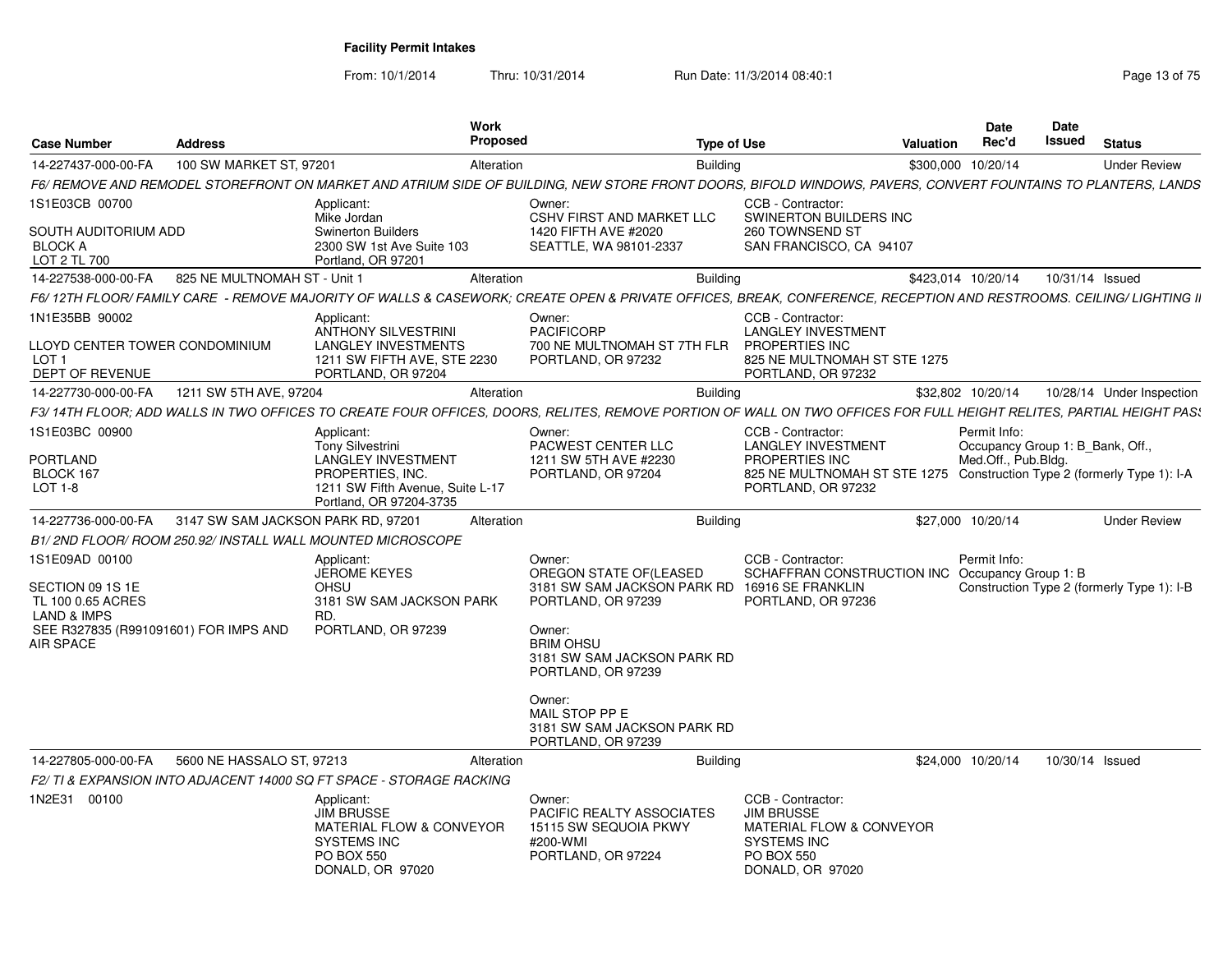| <b>Case Number</b>                                        | <b>Address</b>                     |                                                                                                                                       | Work<br><b>Proposed</b> |                                                                                                                                                                    | <b>Type of Use</b> |                                                                                                                                              | Valuation | <b>Date</b><br>Rec'd                             | <b>Date</b><br>Issued | <b>Status</b>                              |
|-----------------------------------------------------------|------------------------------------|---------------------------------------------------------------------------------------------------------------------------------------|-------------------------|--------------------------------------------------------------------------------------------------------------------------------------------------------------------|--------------------|----------------------------------------------------------------------------------------------------------------------------------------------|-----------|--------------------------------------------------|-----------------------|--------------------------------------------|
| 14-227437-000-00-FA                                       | 100 SW MARKET ST, 97201            |                                                                                                                                       | Alteration              |                                                                                                                                                                    | <b>Building</b>    |                                                                                                                                              |           | \$300,000 10/20/14                               |                       | <b>Under Review</b>                        |
|                                                           |                                    |                                                                                                                                       |                         | F6/ REMOVE AND REMODEL STOREFRONT ON MARKET AND ATRIUM SIDE OF BUILDING. NEW STORE FRONT DOORS. BIFOLD WINDOWS, PAVERS, CONVERT FOUNTAINS TO PLANTERS, LANDS       |                    |                                                                                                                                              |           |                                                  |                       |                                            |
| 1S1E03CB 00700                                            |                                    | Applicant:<br>Mike Jordan                                                                                                             |                         | Owner:<br><b>CSHV FIRST AND MARKET LLC</b>                                                                                                                         |                    | CCB - Contractor:<br>SWINERTON BUILDERS INC                                                                                                  |           |                                                  |                       |                                            |
| SOUTH AUDITORIUM ADD<br><b>BLOCK A</b><br>LOT 2 TL 700    |                                    | <b>Swinerton Builders</b><br>2300 SW 1st Ave Suite 103<br>Portland, OR 97201                                                          |                         | 1420 FIFTH AVE #2020<br>SEATTLE, WA 98101-2337                                                                                                                     |                    | 260 TOWNSEND ST<br>SAN FRANCISCO, CA 94107                                                                                                   |           |                                                  |                       |                                            |
| 14-227538-000-00-FA                                       | 825 NE MULTNOMAH ST - Unit 1       |                                                                                                                                       | Alteration              |                                                                                                                                                                    | <b>Building</b>    |                                                                                                                                              |           | \$423,014 10/20/14                               | 10/31/14 Issued       |                                            |
|                                                           |                                    |                                                                                                                                       |                         | F6/12TH FLOOR/FAMILY CARE - REMOVE MAJORITY OF WALLS & CASEWORK; CREATE OPEN & PRIVATE OFFICES, BREAK, CONFERENCE, RECEPTION AND RESTROOMS. CEILING/LIGHTING II    |                    |                                                                                                                                              |           |                                                  |                       |                                            |
| 1N1E35BB 90002<br>LLOYD CENTER TOWER CONDOMINIUM          |                                    | Applicant:<br><b>ANTHONY SILVESTRINI</b><br><b>LANGLEY INVESTMENTS</b>                                                                |                         | Owner:<br><b>PACIFICORP</b><br>700 NE MULTNOMAH ST 7TH FLR                                                                                                         |                    | CCB - Contractor:<br><b>LANGLEY INVESTMENT</b><br>PROPERTIES INC                                                                             |           |                                                  |                       |                                            |
| LOT <sub>1</sub><br><b>DEPT OF REVENUE</b>                |                                    | 1211 SW FIFTH AVE, STE 2230<br>PORTLAND, OR 97204                                                                                     |                         | PORTLAND, OR 97232                                                                                                                                                 |                    | 825 NE MULTNOMAH ST STE 1275<br>PORTLAND, OR 97232                                                                                           |           |                                                  |                       |                                            |
| 14-227730-000-00-FA                                       | 1211 SW 5TH AVE, 97204             |                                                                                                                                       | Alteration              |                                                                                                                                                                    | <b>Building</b>    |                                                                                                                                              |           | \$32,802 10/20/14                                |                       | 10/28/14 Under Inspection                  |
|                                                           |                                    |                                                                                                                                       |                         | F3/14TH FLOOR; ADD WALLS IN TWO OFFICES TO CREATE FOUR OFFICES, DOORS, RELITES, REMOVE PORTION OF WALL ON TWO OFFICES FOR FULL HEIGHT RELITES, PARTIAL HEIGHT PAS. |                    |                                                                                                                                              |           |                                                  |                       |                                            |
| 1S1E03BC 00900                                            |                                    | Applicant:<br><b>Tony Silvestrini</b>                                                                                                 |                         | Owner:<br>PACWEST CENTER LLC                                                                                                                                       |                    | CCB - Contractor:<br><b>LANGLEY INVESTMENT</b>                                                                                               |           | Permit Info:<br>Occupancy Group 1: B Bank, Off., |                       |                                            |
| <b>PORTLAND</b>                                           |                                    | <b>LANGLEY INVESTMENT</b>                                                                                                             |                         | 1211 SW 5TH AVE #2230                                                                                                                                              |                    | PROPERTIES INC                                                                                                                               |           | Med.Off., Pub.Bldg.                              |                       |                                            |
| BLOCK 167<br>$LOT 1-8$                                    |                                    | PROPERTIES, INC.<br>1211 SW Fifth Avenue, Suite L-17<br>Portland, OR 97204-3735                                                       |                         | PORTLAND, OR 97204                                                                                                                                                 |                    | 825 NE MULTNOMAH ST STE 1275 Construction Type 2 (formerly Type 1): I-A<br>PORTLAND, OR 97232                                                |           |                                                  |                       |                                            |
| 14-227736-000-00-FA                                       | 3147 SW SAM JACKSON PARK RD, 97201 |                                                                                                                                       | Alteration              |                                                                                                                                                                    | <b>Building</b>    |                                                                                                                                              |           | \$27,000 10/20/14                                |                       | <b>Under Review</b>                        |
| B1/2ND FLOOR/ROOM 250.92/INSTALL WALL MOUNTED MICROSCOPE  |                                    |                                                                                                                                       |                         |                                                                                                                                                                    |                    |                                                                                                                                              |           |                                                  |                       |                                            |
| 1S1E09AD 00100                                            |                                    | Applicant:                                                                                                                            |                         | Owner:                                                                                                                                                             |                    | CCB - Contractor:                                                                                                                            |           | Permit Info:                                     |                       |                                            |
| SECTION 09 1S 1E<br>TL 100 0.65 ACRES<br>LAND & IMPS      |                                    | <b>JEROME KEYES</b><br><b>OHSU</b><br>3181 SW SAM JACKSON PARK<br>RD.                                                                 |                         | OREGON STATE OF (LEASED<br>3181 SW SAM JACKSON PARK RD<br>PORTLAND, OR 97239                                                                                       |                    | SCHAFFRAN CONSTRUCTION INC<br>16916 SE FRANKLIN<br>PORTLAND, OR 97236                                                                        |           | Occupancy Group 1: B                             |                       | Construction Type 2 (formerly Type 1): I-B |
| SEE R327835 (R991091601) FOR IMPS AND<br><b>AIR SPACE</b> |                                    | PORTLAND, OR 97239                                                                                                                    |                         | Owner:<br><b>BRIM OHSU</b><br>3181 SW SAM JACKSON PARK RD<br>PORTLAND, OR 97239                                                                                    |                    |                                                                                                                                              |           |                                                  |                       |                                            |
|                                                           |                                    |                                                                                                                                       |                         | Owner:<br>MAIL STOP PP E<br>3181 SW SAM JACKSON PARK RD<br>PORTLAND, OR 97239                                                                                      |                    |                                                                                                                                              |           |                                                  |                       |                                            |
| 14-227805-000-00-FA                                       | 5600 NE HASSALO ST, 97213          |                                                                                                                                       | Alteration              |                                                                                                                                                                    | <b>Building</b>    |                                                                                                                                              |           | \$24,000 10/20/14                                | 10/30/14 Issued       |                                            |
|                                                           |                                    | F2/TI & EXPANSION INTO ADJACENT 14000 SQ FT SPACE - STORAGE RACKING                                                                   |                         |                                                                                                                                                                    |                    |                                                                                                                                              |           |                                                  |                       |                                            |
| 1N2E31 00100                                              |                                    | Applicant:<br><b>JIM BRUSSE</b><br><b>MATERIAL FLOW &amp; CONVEYOR</b><br><b>SYSTEMS INC</b><br><b>PO BOX 550</b><br>DONALD, OR 97020 |                         | Owner:<br><b>PACIFIC REALTY ASSOCIATES</b><br>15115 SW SEQUOIA PKWY<br>#200-WMI<br>PORTLAND, OR 97224                                                              |                    | CCB - Contractor:<br><b>JIM BRUSSE</b><br><b>MATERIAL FLOW &amp; CONVEYOR</b><br><b>SYSTEMS INC</b><br><b>PO BOX 550</b><br>DONALD, OR 97020 |           |                                                  |                       |                                            |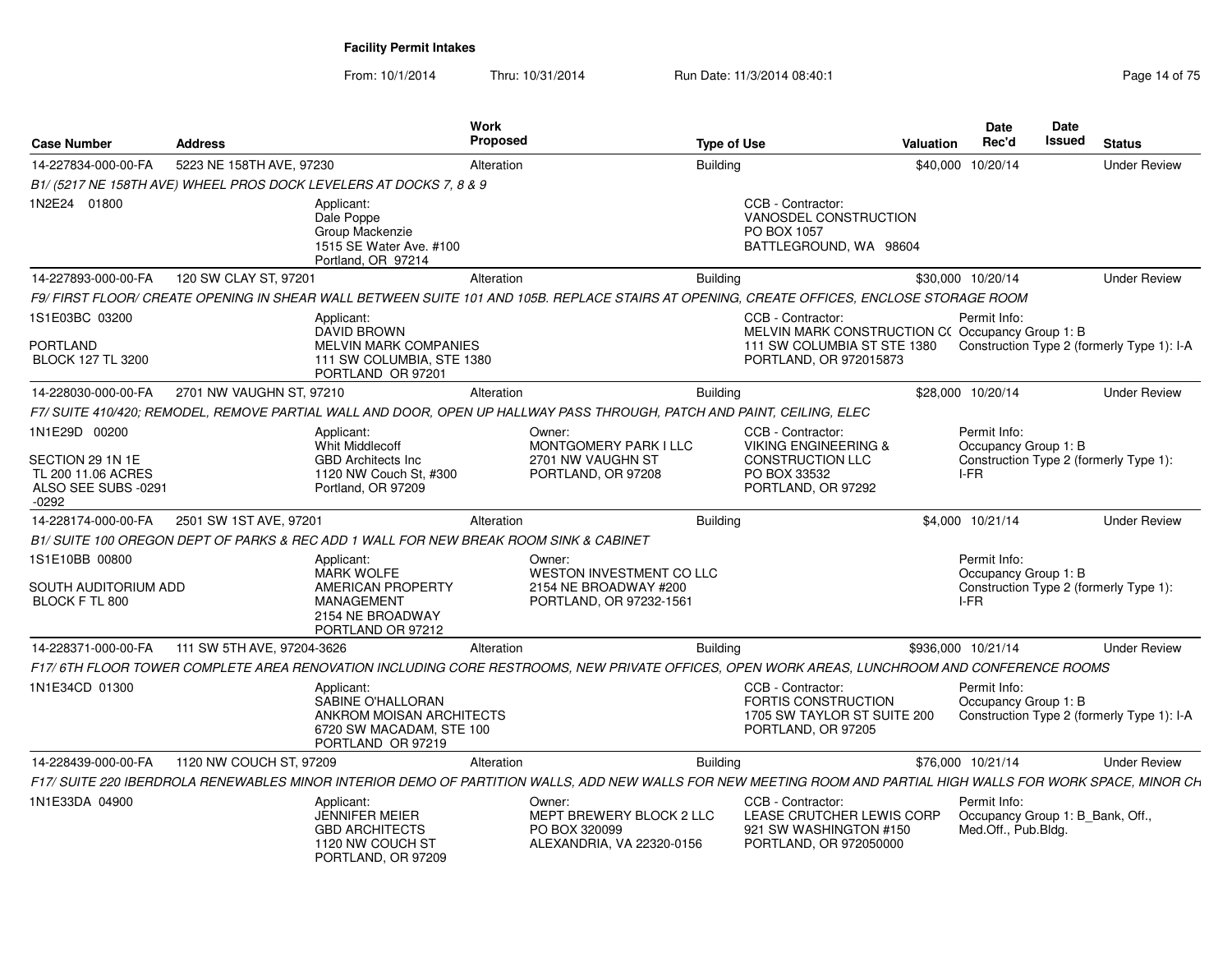| <b>Case Number</b>                                                       | <b>Address</b>             |                                                                                                              | Work<br><b>Proposed</b> |                                                                                                                                                                | <b>Type of Use</b> |                                                                                                      | Valuation | <b>Date</b><br>Rec'd                                                    | Date<br><b>Issued</b> | <b>Status</b>                              |
|--------------------------------------------------------------------------|----------------------------|--------------------------------------------------------------------------------------------------------------|-------------------------|----------------------------------------------------------------------------------------------------------------------------------------------------------------|--------------------|------------------------------------------------------------------------------------------------------|-----------|-------------------------------------------------------------------------|-----------------------|--------------------------------------------|
| 14-227834-000-00-FA                                                      | 5223 NE 158TH AVE, 97230   |                                                                                                              | Alteration              |                                                                                                                                                                | <b>Buildina</b>    |                                                                                                      |           | \$40,000 10/20/14                                                       |                       | <b>Under Review</b>                        |
|                                                                          |                            | B1/ (5217 NE 158TH AVE) WHEEL PROS DOCK LEVELERS AT DOCKS 7, 8 & 9                                           |                         |                                                                                                                                                                |                    |                                                                                                      |           |                                                                         |                       |                                            |
| 1N2E24 01800                                                             |                            | Applicant:<br>Dale Poppe<br>Group Mackenzie<br>1515 SE Water Ave. #100<br>Portland, OR 97214                 |                         |                                                                                                                                                                |                    | CCB - Contractor:<br>VANOSDEL CONSTRUCTION<br>PO BOX 1057<br>BATTLEGROUND, WA 98604                  |           |                                                                         |                       |                                            |
| 14-227893-000-00-FA                                                      | 120 SW CLAY ST, 97201      |                                                                                                              | Alteration              |                                                                                                                                                                | <b>Building</b>    |                                                                                                      |           | \$30,000 10/20/14                                                       |                       | <b>Under Review</b>                        |
|                                                                          |                            |                                                                                                              |                         | F9/FIRST FLOOR/CREATE OPENING IN SHEAR WALL BETWEEN SUITE 101 AND 105B. REPLACE STAIRS AT OPENING, CREATE OFFICES, ENCLOSE STORAGE ROOM                        |                    |                                                                                                      |           |                                                                         |                       |                                            |
| 1S1E03BC 03200<br><b>PORTLAND</b>                                        |                            | Applicant:<br>DAVID BROWN<br><b>MELVIN MARK COMPANIES</b>                                                    |                         |                                                                                                                                                                |                    | CCB - Contractor:<br>MELVIN MARK CONSTRUCTION C(Occupancy Group 1: B<br>111 SW COLUMBIA ST STE 1380  |           | Permit Info:                                                            |                       | Construction Type 2 (formerly Type 1): I-A |
| <b>BLOCK 127 TL 3200</b>                                                 |                            | 111 SW COLUMBIA, STE 1380<br>PORTLAND OR 97201                                                               |                         |                                                                                                                                                                |                    | PORTLAND, OR 972015873                                                                               |           |                                                                         |                       |                                            |
| 14-228030-000-00-FA                                                      | 2701 NW VAUGHN ST, 97210   |                                                                                                              | Alteration              |                                                                                                                                                                | <b>Building</b>    |                                                                                                      |           | \$28,000 10/20/14                                                       |                       | <b>Under Review</b>                        |
|                                                                          |                            |                                                                                                              |                         | F7/ SUITE 410/420; REMODEL, REMOVE PARTIAL WALL AND DOOR, OPEN UP HALLWAY PASS THROUGH, PATCH AND PAINT, CEILING, ELEC                                         |                    |                                                                                                      |           |                                                                         |                       |                                            |
| 1N1E29D 00200                                                            |                            | Applicant:<br>Whit Middlecoff                                                                                |                         | Owner:<br>MONTGOMERY PARK I LLC                                                                                                                                |                    | CCB - Contractor:<br><b>VIKING ENGINEERING &amp;</b>                                                 |           | Permit Info:<br>Occupancy Group 1: B                                    |                       |                                            |
| SECTION 29 1N 1E<br>TL 200 11.06 ACRES<br>ALSO SEE SUBS -0291<br>$-0292$ |                            | <b>GBD Architects Inc.</b><br>1120 NW Couch St, #300<br>Portland, OR 97209                                   |                         | 2701 NW VAUGHN ST<br>PORTLAND, OR 97208                                                                                                                        |                    | <b>CONSTRUCTION LLC</b><br>PO BOX 33532<br>PORTLAND, OR 97292                                        |           | I-FR                                                                    |                       | Construction Type 2 (formerly Type 1):     |
| 14-228174-000-00-FA                                                      | 2501 SW 1ST AVE, 97201     |                                                                                                              | Alteration              |                                                                                                                                                                | Building           |                                                                                                      |           | \$4.000 10/21/14                                                        |                       | <b>Under Review</b>                        |
|                                                                          |                            | B1/SUITE 100 OREGON DEPT OF PARKS & REC ADD 1 WALL FOR NEW BREAK ROOM SINK & CABINET                         |                         |                                                                                                                                                                |                    |                                                                                                      |           |                                                                         |                       |                                            |
| 1S1E10BB 00800                                                           |                            | Applicant:<br><b>MARK WOLFE</b>                                                                              |                         | Owner:<br>WESTON INVESTMENT CO LLC                                                                                                                             |                    |                                                                                                      |           | Permit Info:<br>Occupancy Group 1: B                                    |                       |                                            |
| SOUTH AUDITORIUM ADD<br>BLOCK F TL 800                                   |                            | AMERICAN PROPERTY<br><b>MANAGEMENT</b><br>2154 NE BROADWAY<br>PORTLAND OR 97212                              |                         | 2154 NE BROADWAY #200<br>PORTLAND, OR 97232-1561                                                                                                               |                    |                                                                                                      |           | I-FR                                                                    |                       | Construction Type 2 (formerly Type 1):     |
| 14-228371-000-00-FA                                                      | 111 SW 5TH AVE, 97204-3626 |                                                                                                              | Alteration              |                                                                                                                                                                | <b>Building</b>    |                                                                                                      |           | \$936,000 10/21/14                                                      |                       | <b>Under Review</b>                        |
|                                                                          |                            |                                                                                                              |                         | F17/ 6TH FLOOR TOWER COMPLETE AREA RENOVATION INCLUDING CORE RESTROOMS. NEW PRIVATE OFFICES. OPEN WORK AREAS. LUNCHROOM AND CONFERENCE ROOMS                   |                    |                                                                                                      |           |                                                                         |                       |                                            |
| 1N1E34CD 01300                                                           |                            | Applicant:<br>SABINE O'HALLORAN<br>ANKROM MOISAN ARCHITECTS<br>6720 SW MACADAM, STE 100<br>PORTLAND OR 97219 |                         |                                                                                                                                                                |                    | CCB - Contractor:<br><b>FORTIS CONSTRUCTION</b><br>1705 SW TAYLOR ST SUITE 200<br>PORTLAND, OR 97205 |           | Permit Info:<br>Occupancy Group 1: B                                    |                       | Construction Type 2 (formerly Type 1): I-A |
| 14-228439-000-00-FA                                                      | 1120 NW COUCH ST, 97209    |                                                                                                              | Alteration              |                                                                                                                                                                | <b>Building</b>    |                                                                                                      |           | \$76,000 10/21/14                                                       |                       | <b>Under Review</b>                        |
|                                                                          |                            |                                                                                                              |                         | F17/ SUITE 220 IBERDROLA RENEWABLES MINOR INTERIOR DEMO OF PARTITION WALLS, ADD NEW WALLS FOR NEW MEETING ROOM AND PARTIAL HIGH WALLS FOR WORK SPACE, MINOR CH |                    |                                                                                                      |           |                                                                         |                       |                                            |
| 1N1E33DA 04900                                                           |                            | Applicant:<br><b>JENNIFER MEIER</b><br><b>GBD ARCHITECTS</b><br>1120 NW COUCH ST<br>PORTLAND, OR 97209       |                         | Owner:<br>MEPT BREWERY BLOCK 2 LLC<br>PO BOX 320099<br>ALEXANDRIA, VA 22320-0156                                                                               |                    | CCB - Contractor:<br>LEASE CRUTCHER LEWIS CORP<br>921 SW WASHINGTON #150<br>PORTLAND, OR 972050000   |           | Permit Info:<br>Occupancy Group 1: B Bank, Off.,<br>Med.Off., Pub.Bldg. |                       |                                            |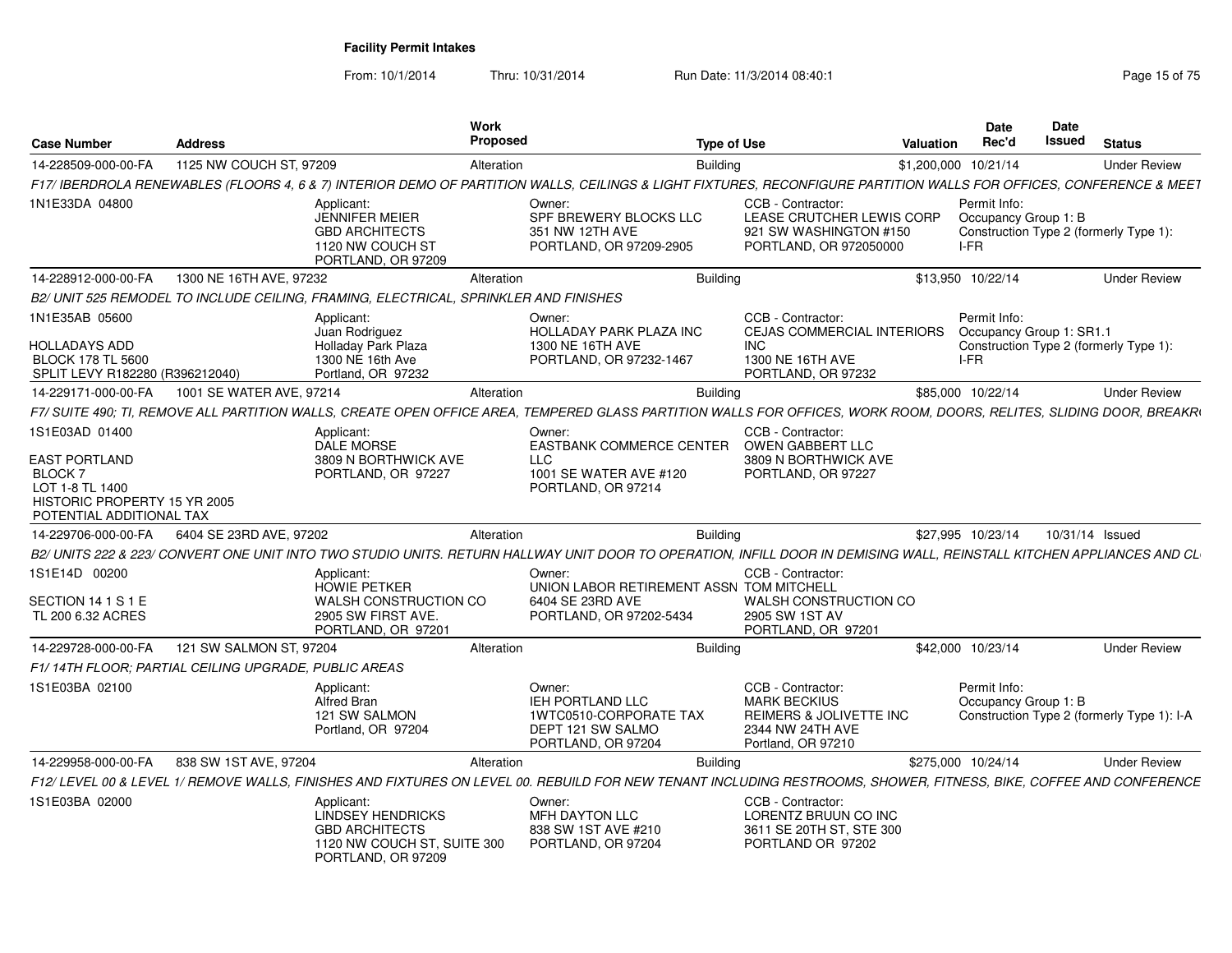From: 10/1/2014

Thru: 10/31/2014 Run Date: 11/3/2014 08:40:1

| <b>Case Number</b>                                                                                            | Address                                              |                                                                                                                      | Work<br><b>Proposed</b> |                                                                                                                                                                       | <b>Type of Use</b> |                                                                                                                | Valuation | <b>Date</b><br>Rec'd                             | <b>Date</b><br>Issued | <b>Status</b>                              |
|---------------------------------------------------------------------------------------------------------------|------------------------------------------------------|----------------------------------------------------------------------------------------------------------------------|-------------------------|-----------------------------------------------------------------------------------------------------------------------------------------------------------------------|--------------------|----------------------------------------------------------------------------------------------------------------|-----------|--------------------------------------------------|-----------------------|--------------------------------------------|
| 14-228509-000-00-FA                                                                                           | 1125 NW COUCH ST, 97209                              |                                                                                                                      | Alteration              |                                                                                                                                                                       | <b>Building</b>    |                                                                                                                |           | \$1,200,000 10/21/14                             |                       | <b>Under Review</b>                        |
|                                                                                                               |                                                      |                                                                                                                      |                         | F17/ IBERDROLA RENEWABLES (FLOORS 4, 6 & 7) INTERIOR DEMO OF PARTITION WALLS, CEILINGS & LIGHT FIXTURES, RECONFIGURE PARTITION WALLS FOR OFFICES, CONFERENCE & MEET   |                    |                                                                                                                |           |                                                  |                       |                                            |
| 1N1E33DA 04800                                                                                                |                                                      | Applicant:<br><b>JENNIFER MEIER</b><br><b>GBD ARCHITECTS</b><br>1120 NW COUCH ST<br>PORTLAND, OR 97209               |                         | Owner:<br>SPF BREWERY BLOCKS LLC<br>351 NW 12TH AVE<br>PORTLAND, OR 97209-2905                                                                                        |                    | CCB - Contractor:<br>LEASE CRUTCHER LEWIS CORP<br>921 SW WASHINGTON #150<br>PORTLAND, OR 972050000             |           | Permit Info:<br>Occupancy Group 1: B<br>I-FR     |                       | Construction Type 2 (formerly Type 1):     |
| 14-228912-000-00-FA                                                                                           | 1300 NE 16TH AVE, 97232                              |                                                                                                                      | Alteration              |                                                                                                                                                                       | <b>Building</b>    |                                                                                                                |           | \$13,950 10/22/14                                |                       | <b>Under Review</b>                        |
|                                                                                                               |                                                      | B2/ UNIT 525 REMODEL TO INCLUDE CEILING. FRAMING. ELECTRICAL. SPRINKLER AND FINISHES                                 |                         |                                                                                                                                                                       |                    |                                                                                                                |           |                                                  |                       |                                            |
| 1N1E35AB 05600<br><b>HOLLADAYS ADD</b><br><b>BLOCK 178 TL 5600</b><br>SPLIT LEVY R182280 (R396212040)         |                                                      | Applicant:<br>Juan Rodriguez<br><b>Holladav Park Plaza</b><br>1300 NE 16th Ave<br>Portland, OR 97232                 |                         | Owner:<br><b>HOLLADAY PARK PLAZA INC</b><br>1300 NE 16TH AVE<br>PORTLAND, OR 97232-1467                                                                               |                    | CCB - Contractor:<br><b>CEJAS COMMERCIAL INTERIORS</b><br><b>INC</b><br>1300 NE 16TH AVE<br>PORTLAND, OR 97232 |           | Permit Info:<br>Occupancy Group 1: SR1.1<br>I-FR |                       | Construction Type 2 (formerly Type 1):     |
| 14-229171-000-00-FA                                                                                           | 1001 SE WATER AVE, 97214                             |                                                                                                                      | Alteration              |                                                                                                                                                                       | <b>Building</b>    |                                                                                                                |           | \$85,000 10/22/14                                |                       | <b>Under Review</b>                        |
|                                                                                                               |                                                      |                                                                                                                      |                         | F7/ SUITE 490; TI, REMOVE ALL PARTITION WALLS, CREATE OPEN OFFICE AREA, TEMPERED GLASS PARTITION WALLS FOR OFFICES, WORK ROOM, DOORS, RELITES, SLIDING DOOR, BREAKRI  |                    |                                                                                                                |           |                                                  |                       |                                            |
| 1S1E03AD 01400                                                                                                |                                                      | Applicant:<br><b>DALE MORSE</b>                                                                                      |                         | Owner:<br><b>EASTBANK COMMERCE CENTER</b>                                                                                                                             |                    | CCB - Contractor:<br>OWEN GABBERT LLC                                                                          |           |                                                  |                       |                                            |
| EAST PORTLAND<br><b>BLOCK7</b><br>LOT 1-8 TL 1400<br>HISTORIC PROPERTY 15 YR 2005<br>POTENTIAL ADDITIONAL TAX |                                                      | 3809 N BORTHWICK AVE<br>PORTLAND, OR 97227                                                                           |                         | <b>LLC</b><br>1001 SE WATER AVE #120<br>PORTLAND, OR 97214                                                                                                            |                    | 3809 N BORTHWICK AVE<br>PORTLAND, OR 97227                                                                     |           |                                                  |                       |                                            |
| 14-229706-000-00-FA                                                                                           | 6404 SE 23RD AVE, 97202                              |                                                                                                                      | Alteration              |                                                                                                                                                                       | <b>Building</b>    |                                                                                                                |           | \$27,995 10/23/14                                |                       | 10/31/14 Issued                            |
|                                                                                                               |                                                      |                                                                                                                      |                         | B2/ UNITS 222 & 223/ CONVERT ONE UNIT INTO TWO STUDIO UNITS. RETURN HALLWAY UNIT DOOR TO OPERATION. INFILL DOOR IN DEMISING WALL. REINSTALL KITCHEN APPLIANCES AND CL |                    |                                                                                                                |           |                                                  |                       |                                            |
| 1S1E14D 00200<br>SECTION 14 1 S 1 E<br>TL 200 6.32 ACRES                                                      |                                                      | Applicant:<br><b>HOWIE PETKER</b><br>WALSH CONSTRUCTION CO<br>2905 SW FIRST AVE.<br>PORTLAND, OR 97201               |                         | Owner:<br>UNION LABOR RETIREMENT ASSN TOM MITCHELL<br>6404 SE 23RD AVE<br>PORTLAND, OR 97202-5434                                                                     |                    | CCB - Contractor:<br><b>WALSH CONSTRUCTION CO</b><br>2905 SW 1ST AV<br>PORTLAND, OR 97201                      |           |                                                  |                       |                                            |
| 14-229728-000-00-FA                                                                                           | 121 SW SALMON ST, 97204                              |                                                                                                                      | Alteration              |                                                                                                                                                                       | <b>Building</b>    |                                                                                                                |           | \$42,000 10/23/14                                |                       | <b>Under Review</b>                        |
|                                                                                                               | F1/14TH FLOOR: PARTIAL CEILING UPGRADE. PUBLIC AREAS |                                                                                                                      |                         |                                                                                                                                                                       |                    |                                                                                                                |           |                                                  |                       |                                            |
| 1S1E03BA 02100                                                                                                |                                                      | Applicant:<br>Alfred Bran<br>121 SW SALMON<br>Portland, OR 97204                                                     |                         | Owner:<br><b>IEH PORTLAND LLC</b><br>1WTC0510-CORPORATE TAX<br>DEPT 121 SW SALMO<br>PORTLAND, OR 97204                                                                |                    | CCB - Contractor:<br><b>MARK BECKIUS</b><br>REIMERS & JOLIVETTE INC<br>2344 NW 24TH AVE<br>Portland, OR 97210  |           | Permit Info:<br>Occupancy Group 1: B             |                       | Construction Type 2 (formerly Type 1): I-A |
| 14-229958-000-00-FA                                                                                           | 838 SW 1ST AVE, 97204                                |                                                                                                                      | Alteration              |                                                                                                                                                                       | Building           |                                                                                                                |           | \$275,000 10/24/14                               |                       | <b>Under Review</b>                        |
|                                                                                                               |                                                      |                                                                                                                      |                         | F12/ LEVEL 00 & LEVEL 1/ REMOVE WALLS, FINISHES AND FIXTURES ON LEVEL 00. REBUILD FOR NEW TENANT INCLUDING RESTROOMS, SHOWER, FITNESS, BIKE, COFFEE AND CONFERENCE    |                    |                                                                                                                |           |                                                  |                       |                                            |
| 1S1E03BA 02000                                                                                                |                                                      | Applicant:<br><b>LINDSEY HENDRICKS</b><br><b>GBD ARCHITECTS</b><br>1120 NW COUCH ST, SUITE 300<br>PORTLAND, OR 97209 |                         | Owner:<br>MFH DAYTON LLC<br>838 SW 1ST AVE #210<br>PORTLAND, OR 97204                                                                                                 |                    | CCB - Contractor:<br>LORENTZ BRUUN CO INC<br>3611 SE 20TH ST, STE 300<br>PORTLAND OR 97202                     |           |                                                  |                       |                                            |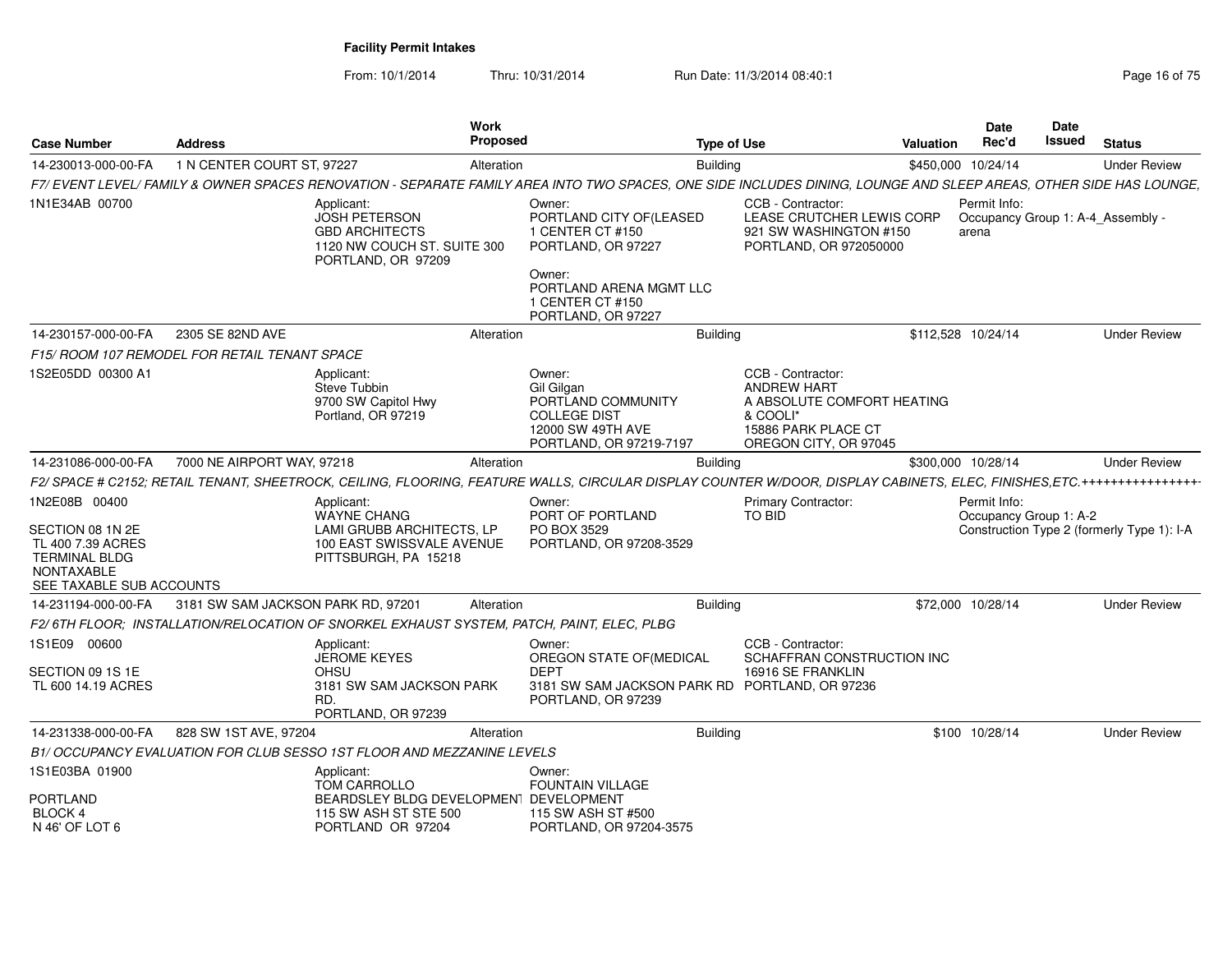| <b>Case Number</b>                                                                                                              | <b>Address</b>                                |                                                                                                                    | Work<br>Proposed |                                                                                                                           | <b>Type of Use</b>                                                                                                                                                          | Valuation          | <b>Date</b><br>Rec'd  | <b>Date</b><br>Issued  | <b>Status</b>                              |
|---------------------------------------------------------------------------------------------------------------------------------|-----------------------------------------------|--------------------------------------------------------------------------------------------------------------------|------------------|---------------------------------------------------------------------------------------------------------------------------|-----------------------------------------------------------------------------------------------------------------------------------------------------------------------------|--------------------|-----------------------|------------------------|--------------------------------------------|
| 14-230013-000-00-FA                                                                                                             | 1 N CENTER COURT ST, 97227                    |                                                                                                                    | Alteration       |                                                                                                                           | <b>Building</b>                                                                                                                                                             | \$450,000 10/24/14 |                       |                        | <b>Under Review</b>                        |
|                                                                                                                                 |                                               |                                                                                                                    |                  |                                                                                                                           | F7/ EVENT LEVEL/ FAMILY & OWNER SPACES RENOVATION - SEPARATE FAMILY AREA INTO TWO SPACES, ONE SIDE INCLUDES DINING, LOUNGE AND SLEEP AREAS, OTHER SIDE HAS LOUNGE,          |                    |                       |                        |                                            |
| 1N1E34AB 00700                                                                                                                  |                                               | Applicant:<br>JOSH PETERSON<br><b>GBD ARCHITECTS</b><br>1120 NW COUCH ST. SUITE 300<br>PORTLAND, OR 97209          |                  | Owner:<br>PORTLAND CITY OF(LEASED<br>1 CENTER CT #150<br>PORTLAND, OR 97227<br>Owner:<br>PORTLAND ARENA MGMT LLC          | CCB - Contractor:<br>LEASE CRUTCHER LEWIS CORP<br>921 SW WASHINGTON #150<br>PORTLAND, OR 972050000                                                                          |                    | Permit Info:<br>arena |                        | Occupancy Group 1: A-4_Assembly -          |
|                                                                                                                                 |                                               |                                                                                                                    |                  | 1 CENTER CT #150<br>PORTLAND, OR 97227                                                                                    |                                                                                                                                                                             |                    |                       |                        |                                            |
| 14-230157-000-00-FA                                                                                                             | 2305 SE 82ND AVE                              |                                                                                                                    | Alteration       |                                                                                                                           | <b>Building</b>                                                                                                                                                             | \$112,528 10/24/14 |                       |                        | <b>Under Review</b>                        |
|                                                                                                                                 | F15/ ROOM 107 REMODEL FOR RETAIL TENANT SPACE |                                                                                                                    |                  |                                                                                                                           |                                                                                                                                                                             |                    |                       |                        |                                            |
| 1S2E05DD 00300 A1                                                                                                               |                                               | Applicant:<br>Steve Tubbin<br>9700 SW Capitol Hwy<br>Portland, OR 97219                                            |                  | Owner:<br>Gil Gilgan<br>PORTLAND COMMUNITY<br><b>COLLEGE DIST</b><br>12000 SW 49TH AVE<br>PORTLAND, OR 97219-7197         | CCB - Contractor:<br><b>ANDREW HART</b><br>A ABSOLUTE COMFORT HEATING<br>& COOLI*<br>15886 PARK PLACE CT<br>OREGON CITY, OR 97045                                           |                    |                       |                        |                                            |
| 14-231086-000-00-FA                                                                                                             | 7000 NE AIRPORT WAY, 97218                    |                                                                                                                    | Alteration       |                                                                                                                           | <b>Building</b>                                                                                                                                                             |                    | \$300,000 10/28/14    |                        | <b>Under Review</b>                        |
|                                                                                                                                 |                                               |                                                                                                                    |                  |                                                                                                                           | F2/ SPACE # C2152; RETAIL TENANT, SHEETROCK, CEILING, FLOORING, FEATURE WALLS, CIRCULAR DISPLAY COUNTER W/DOOR, DISPLAY CABINETS, ELEC, FINISHES, ETC.+++++++++++++++++++++ |                    |                       |                        |                                            |
| 1N2E08B 00400<br>SECTION 08 1N 2E<br>TL 400 7.39 ACRES<br><b>TERMINAL BLDG</b><br><b>NONTAXABLE</b><br>SEE TAXABLE SUB ACCOUNTS |                                               | Applicant:<br><b>WAYNE CHANG</b><br>LAMI GRUBB ARCHITECTS. LP<br>100 EAST SWISSVALE AVENUE<br>PITTSBURGH, PA 15218 |                  | Owner:<br>PORT OF PORTLAND<br>PO BOX 3529<br>PORTLAND, OR 97208-3529                                                      | <b>Primary Contractor:</b><br><b>TO BID</b>                                                                                                                                 |                    | Permit Info:          | Occupancy Group 1: A-2 | Construction Type 2 (formerly Type 1): I-A |
| 14-231194-000-00-FA                                                                                                             | 3181 SW SAM JACKSON PARK RD, 97201            |                                                                                                                    | Alteration       |                                                                                                                           | <b>Building</b>                                                                                                                                                             |                    | \$72,000 10/28/14     |                        | <b>Under Review</b>                        |
|                                                                                                                                 |                                               | F2/6TH FLOOR; INSTALLATION/RELOCATION OF SNORKEL EXHAUST SYSTEM, PATCH, PAINT, ELEC, PLBG                          |                  |                                                                                                                           |                                                                                                                                                                             |                    |                       |                        |                                            |
| 1S1E09 00600<br>SECTION 09 1S 1E<br>TL 600 14.19 ACRES                                                                          |                                               | Applicant:<br><b>JEROME KEYES</b><br><b>OHSU</b><br>3181 SW SAM JACKSON PARK<br>RD.<br>PORTLAND, OR 97239          |                  | Owner:<br>OREGON STATE OF (MEDICAL<br><b>DEPT</b><br>3181 SW SAM JACKSON PARK RD PORTLAND, OR 97236<br>PORTLAND, OR 97239 | CCB - Contractor:<br>SCHAFFRAN CONSTRUCTION INC<br>16916 SE FRANKLIN                                                                                                        |                    |                       |                        |                                            |
| 14-231338-000-00-FA                                                                                                             | 828 SW 1ST AVE, 97204                         |                                                                                                                    | Alteration       |                                                                                                                           | <b>Building</b>                                                                                                                                                             |                    | \$100 10/28/14        |                        | <b>Under Review</b>                        |
|                                                                                                                                 |                                               | B1/ OCCUPANCY EVALUATION FOR CLUB SESSO 1ST FLOOR AND MEZZANINE LEVELS                                             |                  |                                                                                                                           |                                                                                                                                                                             |                    |                       |                        |                                            |
| 1S1E03BA 01900                                                                                                                  |                                               | Applicant:<br>TOM CARROLLO                                                                                         |                  | Owner:<br>FOUNTAIN VILLAGE                                                                                                |                                                                                                                                                                             |                    |                       |                        |                                            |
| <b>PORTLAND</b><br><b>BLOCK4</b><br>N 46' OF LOT 6                                                                              |                                               | BEARDSLEY BLDG DEVELOPMENT DEVELOPMENT<br>115 SW ASH ST STE 500<br>PORTLAND OR 97204                               |                  | 115 SW ASH ST #500<br>PORTLAND, OR 97204-3575                                                                             |                                                                                                                                                                             |                    |                       |                        |                                            |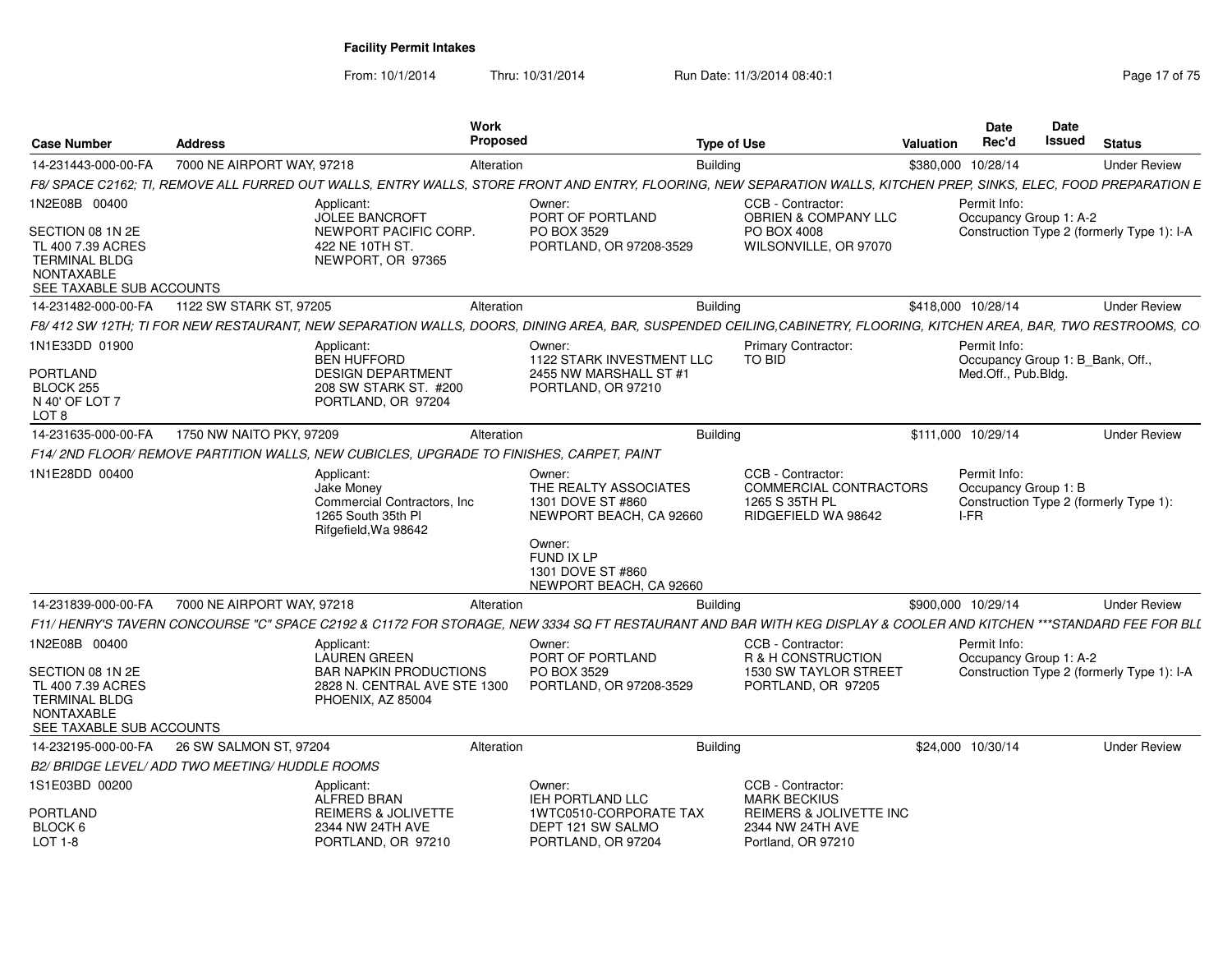From: 10/1/2014

Thru: 10/31/2014 Run Date: 11/3/2014 08:40:1

| <b>Case Number</b>                                                                                                              | <b>Address</b>                                                                                                                                                                                                                                                                                | <b>Work</b><br><b>Proposed</b>                                                                                                      | <b>Type of Use</b>                                                                           | <b>Date</b><br>Rec'd<br><b>Valuation</b> | Date<br><b>Issued</b>            | <b>Status</b>                              |
|---------------------------------------------------------------------------------------------------------------------------------|-----------------------------------------------------------------------------------------------------------------------------------------------------------------------------------------------------------------------------------------------------------------------------------------------|-------------------------------------------------------------------------------------------------------------------------------------|----------------------------------------------------------------------------------------------|------------------------------------------|----------------------------------|--------------------------------------------|
| 14-231443-000-00-FA                                                                                                             | 7000 NE AIRPORT WAY, 97218                                                                                                                                                                                                                                                                    | Alteration                                                                                                                          | <b>Building</b>                                                                              | \$380,000 10/28/14                       |                                  | <b>Under Review</b>                        |
|                                                                                                                                 | F8/ SPACE C2162; TI, REMOVE ALL FURRED OUT WALLS, ENTRY WALLS, STORE FRONT AND ENTRY, FLOORING, NEW SEPARATION WALLS, KITCHEN PREP, SINKS, ELEC, FOOD PREPARATION E                                                                                                                           |                                                                                                                                     |                                                                                              |                                          |                                  |                                            |
| 1N2E08B 00400<br>SECTION 08 1N 2E<br>TL 400 7.39 ACRES<br><b>TERMINAL BLDG</b><br><b>NONTAXABLE</b><br>SEE TAXABLE SUB ACCOUNTS | Applicant:<br><b>JOLEE BANCROFT</b><br>NEWPORT PACIFIC CORP.<br>422 NE 10TH ST.<br>NEWPORT, OR 97365                                                                                                                                                                                          | Owner:<br>PORT OF PORTLAND<br>PO BOX 3529<br>PORTLAND, OR 97208-3529                                                                | CCB - Contractor:<br><b>OBRIEN &amp; COMPANY LLC</b><br>PO BOX 4008<br>WILSONVILLE, OR 97070 | Permit Info:                             | Occupancy Group 1: A-2           | Construction Type 2 (formerly Type 1): I-A |
| 14-231482-000-00-FA                                                                                                             | 1122 SW STARK ST, 97205                                                                                                                                                                                                                                                                       | Alteration                                                                                                                          | <b>Building</b>                                                                              | \$418,000 10/28/14                       |                                  | <b>Under Review</b>                        |
|                                                                                                                                 | F8/412 SW 12TH; TI FOR NEW RESTAURANT, NEW SEPARATION WALLS, DOORS, DINING AREA, BAR, SUSPENDED CEILING,CABINETRY, FLOORING, KITCHEN AREA, BAR, TWO RESTROOMS, CO                                                                                                                             |                                                                                                                                     |                                                                                              |                                          |                                  |                                            |
| 1N1E33DD 01900<br><b>PORTLAND</b><br>BLOCK <sub>255</sub><br>N 40' OF LOT 7<br>LOT <sub>8</sub>                                 | Applicant:<br><b>BEN HUFFORD</b><br><b>DESIGN DEPARTMENT</b><br>208 SW STARK ST. #200<br>PORTLAND, OR 97204                                                                                                                                                                                   | Owner:<br>1122 STARK INVESTMENT LLC<br>2455 NW MARSHALL ST #1<br>PORTLAND, OR 97210                                                 | <b>Primary Contractor:</b><br>TO BID                                                         | Permit Info:<br>Med.Off., Pub.Blda.      | Occupancy Group 1: B_Bank, Off., |                                            |
| 14-231635-000-00-FA                                                                                                             | 1750 NW NAITO PKY, 97209                                                                                                                                                                                                                                                                      | Alteration                                                                                                                          | <b>Building</b>                                                                              | \$111,000 10/29/14                       |                                  | <b>Under Review</b>                        |
|                                                                                                                                 | F14/2ND FLOOR/ REMOVE PARTITION WALLS, NEW CUBICLES, UPGRADE TO FINISHES, CARPET, PAINT                                                                                                                                                                                                       |                                                                                                                                     |                                                                                              |                                          |                                  |                                            |
| 1N1E28DD 00400                                                                                                                  | Applicant:<br><b>Jake Monev</b><br>Commercial Contractors, Inc.<br>1265 South 35th PI<br>Rifgefield, Wa 98642                                                                                                                                                                                 | Owner:<br>THE REALTY ASSOCIATES<br>1301 DOVE ST #860<br>NEWPORT BEACH, CA 92660<br>Owner:<br><b>FUND IX LP</b><br>1301 DOVE ST #860 | CCB - Contractor:<br><b>COMMERCIAL CONTRACTORS</b><br>1265 S 35TH PL<br>RIDGEFIELD WA 98642  | Permit Info:<br>I-FR                     | Occupancy Group 1: B             | Construction Type 2 (formerly Type 1):     |
|                                                                                                                                 |                                                                                                                                                                                                                                                                                               | NEWPORT BEACH, CA 92660                                                                                                             |                                                                                              |                                          |                                  |                                            |
| 14-231839-000-00-FA                                                                                                             | 7000 NE AIRPORT WAY, 97218                                                                                                                                                                                                                                                                    | Alteration                                                                                                                          | <b>Building</b>                                                                              | \$900,000 10/29/14                       |                                  | <b>Under Review</b>                        |
| 1N2E08B 00400<br>SECTION 08 1N 2E<br>TL 400 7.39 ACRES<br><b>TERMINAL BLDG</b><br><b>NONTAXABLE</b><br>SEE TAXABLE SUB ACCOUNTS | F11/ HENRY'S TAVERN CONCOURSE "C" SPACE C2192 & C1172 FOR STORAGE. NEW 3334 SQ FT RESTAURANT AND BAR WITH KEG DISPLAY & COOLER AND KITCHEN ***STANDARD FEE FOR BLL<br>Applicant:<br><b>LAUREN GREEN</b><br><b>BAR NAPKIN PRODUCTIONS</b><br>2828 N. CENTRAL AVE STE 1300<br>PHOENIX, AZ 85004 | Owner:<br>PORT OF PORTLAND<br>PO BOX 3529<br>PORTLAND, OR 97208-3529                                                                | CCB - Contractor:<br>R & H CONSTRUCTION<br>1530 SW TAYLOR STREET<br>PORTLAND, OR 97205       | Permit Info:                             | Occupancy Group 1: A-2           | Construction Type 2 (formerly Type 1): I-A |
| 14-232195-000-00-FA                                                                                                             | 26 SW SALMON ST, 97204                                                                                                                                                                                                                                                                        | Alteration                                                                                                                          | <b>Building</b>                                                                              | \$24,000 10/30/14                        |                                  | <b>Under Review</b>                        |
|                                                                                                                                 | B2/ BRIDGE LEVEL/ ADD TWO MEETING/ HUDDLE ROOMS                                                                                                                                                                                                                                               |                                                                                                                                     |                                                                                              |                                          |                                  |                                            |
| 1S1E03BD 00200                                                                                                                  | Applicant:<br><b>ALFRED BRAN</b>                                                                                                                                                                                                                                                              | Owner:<br><b>IEH PORTLAND LLC</b>                                                                                                   | CCB - Contractor:<br><b>MARK BECKIUS</b>                                                     |                                          |                                  |                                            |
| <b>PORTLAND</b><br>BLOCK 6<br>LOT 1-8                                                                                           | <b>REIMERS &amp; JOLIVETTE</b><br>2344 NW 24TH AVE<br>PORTLAND, OR 97210                                                                                                                                                                                                                      | 1WTC0510-CORPORATE TAX<br>DEPT 121 SW SALMO<br>PORTLAND, OR 97204                                                                   | REIMERS & JOLIVETTE INC<br>2344 NW 24TH AVE<br>Portland, OR 97210                            |                                          |                                  |                                            |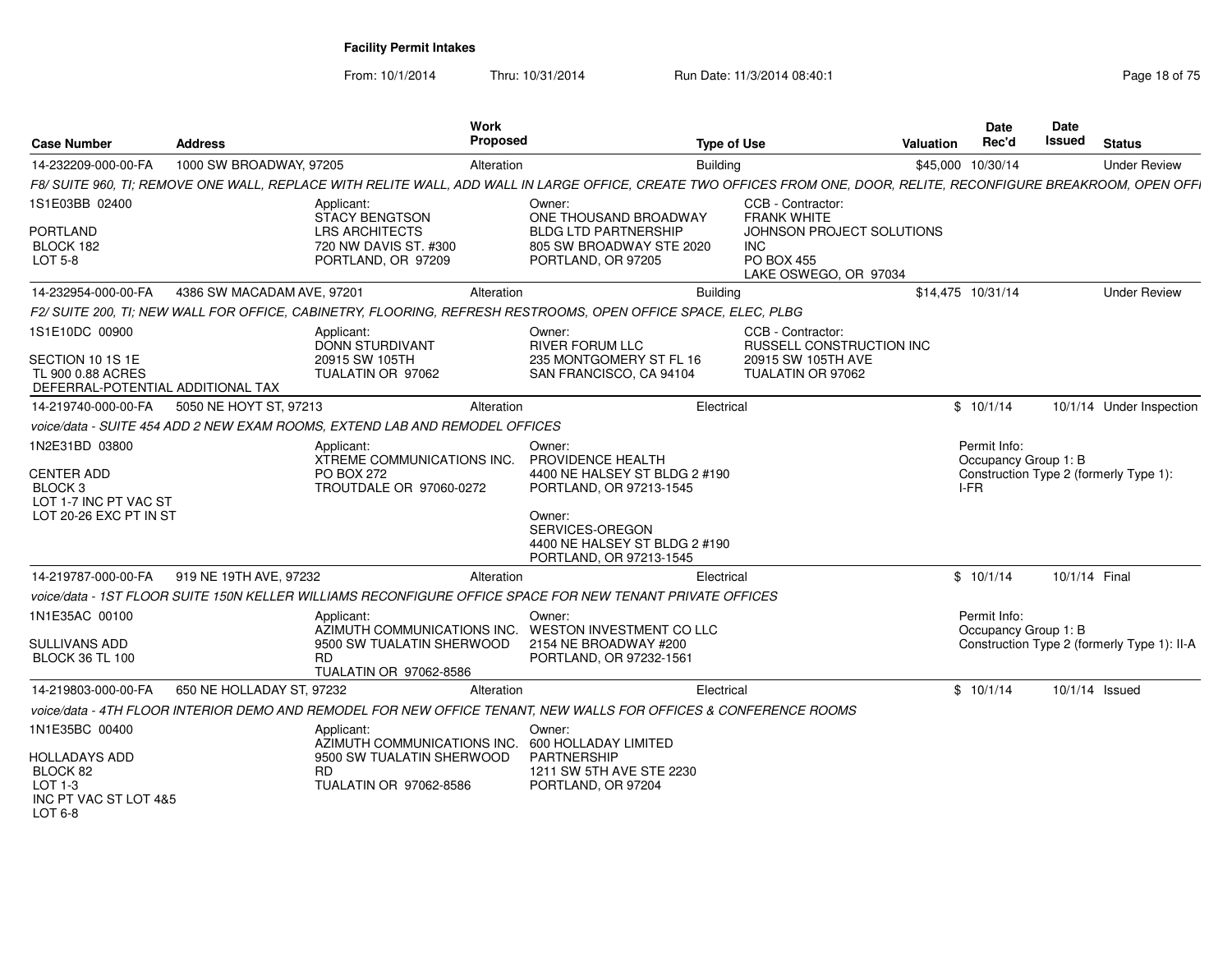| <b>Case Number</b>                                                                                    | <b>Address</b>             | <b>Work</b><br>Proposed                                                                                              | Type of Use                                                                                                                                                                      |                                                                                                         | <b>Valuation</b>  | <b>Date</b><br>Rec'd                         | <b>Date</b><br>Issued | <b>Status</b>                               |
|-------------------------------------------------------------------------------------------------------|----------------------------|----------------------------------------------------------------------------------------------------------------------|----------------------------------------------------------------------------------------------------------------------------------------------------------------------------------|---------------------------------------------------------------------------------------------------------|-------------------|----------------------------------------------|-----------------------|---------------------------------------------|
| 14-232209-000-00-FA                                                                                   | 1000 SW BROADWAY, 97205    | Alteration                                                                                                           | <b>Building</b>                                                                                                                                                                  |                                                                                                         |                   | \$45,000 10/30/14                            |                       | <b>Under Review</b>                         |
|                                                                                                       |                            |                                                                                                                      | F8/ SUITE 960. TI: REMOVE ONE WALL. REPLACE WITH RELITE WALL. ADD WALL IN LARGE OFFICE. CREATE TWO OFFICES FROM ONE. DOOR. RELITE. RECONFIGURE BREAKROOM. OPEN OFFI              |                                                                                                         |                   |                                              |                       |                                             |
| 1S1E03BB 02400<br><b>PORTLAND</b><br>BLOCK 182<br><b>LOT 5-8</b>                                      |                            | Applicant:<br><b>STACY BENGTSON</b><br><b>LRS ARCHITECTS</b><br>720 NW DAVIS ST. #300<br>PORTLAND, OR 97209          | Owner:<br>ONE THOUSAND BROADWAY<br><b>BLDG LTD PARTNERSHIP</b><br>805 SW BROADWAY STE 2020<br>PORTLAND, OR 97205                                                                 | CCB - Contractor:<br><b>FRANK WHITE</b><br>JOHNSON PROJECT SOLUTIONS<br><b>INC</b><br><b>PO BOX 455</b> |                   |                                              |                       |                                             |
| 14-232954-000-00-FA                                                                                   | 4386 SW MACADAM AVE, 97201 | Alteration                                                                                                           | <b>Building</b>                                                                                                                                                                  | LAKE OSWEGO, OR 97034                                                                                   | \$14.475 10/31/14 |                                              |                       | <b>Under Review</b>                         |
|                                                                                                       |                            |                                                                                                                      | F2/ SUITE 200. TI: NEW WALL FOR OFFICE, CABINETRY, FLOORING, REFRESH RESTROOMS, OPEN OFFICE SPACE, ELEC, PLBG                                                                    |                                                                                                         |                   |                                              |                       |                                             |
| 1S1E10DC 00900<br>SECTION 10 1S 1E<br>TL 900 0.88 ACRES<br>DEFERRAL-POTENTIAL ADDITIONAL TAX          |                            | Applicant:<br><b>DONN STURDIVANT</b><br>20915 SW 105TH<br>TUALATIN OR 97062                                          | Owner:<br><b>RIVER FORUM LLC</b><br>235 MONTGOMERY ST FL 16<br>SAN FRANCISCO, CA 94104                                                                                           | CCB - Contractor:<br>RUSSELL CONSTRUCTION INC<br>20915 SW 105TH AVE<br>TUALATIN OR 97062                |                   |                                              |                       |                                             |
| 14-219740-000-00-FA                                                                                   | 5050 NE HOYT ST, 97213     | Alteration                                                                                                           | Electrical                                                                                                                                                                       |                                                                                                         |                   | \$10/1/14                                    |                       | 10/1/14 Under Inspection                    |
|                                                                                                       |                            | voice/data - SUITE 454 ADD 2 NEW EXAM ROOMS. EXTEND LAB AND REMODEL OFFICES                                          |                                                                                                                                                                                  |                                                                                                         |                   |                                              |                       |                                             |
| 1N2E31BD 03800<br>CENTER ADD<br>BLOCK <sub>3</sub><br>LOT 1-7 INC PT VAC ST<br>LOT 20-26 EXC PT IN ST |                            | Applicant:<br><b>XTREME COMMUNICATIONS INC.</b><br><b>PO BOX 272</b><br>TROUTDALE OR 97060-0272                      | Owner:<br>PROVIDENCE HEALTH<br>4400 NE HALSEY ST BLDG 2 #190<br>PORTLAND, OR 97213-1545<br>Owner:<br>SERVICES-OREGON<br>4400 NE HALSEY ST BLDG 2 #190<br>PORTLAND, OR 97213-1545 |                                                                                                         |                   | Permit Info:<br>Occupancy Group 1: B<br>I-FR |                       | Construction Type 2 (formerly Type 1):      |
| 14-219787-000-00-FA                                                                                   | 919 NE 19TH AVE, 97232     | Alteration                                                                                                           | Electrical                                                                                                                                                                       |                                                                                                         |                   | \$10/1/14                                    | 10/1/14 Final         |                                             |
|                                                                                                       |                            |                                                                                                                      | voice/data - 1ST FLOOR SUITE 150N KELLER WILLIAMS RECONFIGURE OFFICE SPACE FOR NEW TENANT PRIVATE OFFICES                                                                        |                                                                                                         |                   |                                              |                       |                                             |
| 1N1E35AC 00100<br><b>SULLIVANS ADD</b><br><b>BLOCK 36 TL 100</b>                                      |                            | Applicant:<br>AZIMUTH COMMUNICATIONS INC.<br>9500 SW TUALATIN SHERWOOD<br><b>RD</b><br><b>TUALATIN OR 97062-8586</b> | Owner:<br>WESTON INVESTMENT CO LLC<br>2154 NE BROADWAY #200<br>PORTLAND, OR 97232-1561                                                                                           |                                                                                                         |                   | Permit Info:<br>Occupancy Group 1: B         |                       | Construction Type 2 (formerly Type 1): II-A |
| 14-219803-000-00-FA                                                                                   | 650 NE HOLLADAY ST, 97232  | Alteration                                                                                                           | Electrical                                                                                                                                                                       |                                                                                                         |                   | \$10/1/14                                    |                       | 10/1/14 Issued                              |
|                                                                                                       |                            |                                                                                                                      | voice/data - 4TH FLOOR INTERIOR DEMO AND REMODEL FOR NEW OFFICE TENANT, NEW WALLS FOR OFFICES & CONFERENCE ROOMS                                                                 |                                                                                                         |                   |                                              |                       |                                             |
| 1N1E35BC 00400<br>HOLLADAYS ADD<br>BLOCK 82<br>$LOT 1-3$<br>INC PT VAC ST LOT 4&5<br>LOT 6-8          |                            | Applicant:<br>AZIMUTH COMMUNICATIONS INC.<br>9500 SW TUALATIN SHERWOOD<br><b>RD</b><br><b>TUALATIN OR 97062-8586</b> | Owner:<br>600 HOLLADAY LIMITED<br><b>PARTNERSHIP</b><br>1211 SW 5TH AVE STE 2230<br>PORTLAND, OR 97204                                                                           |                                                                                                         |                   |                                              |                       |                                             |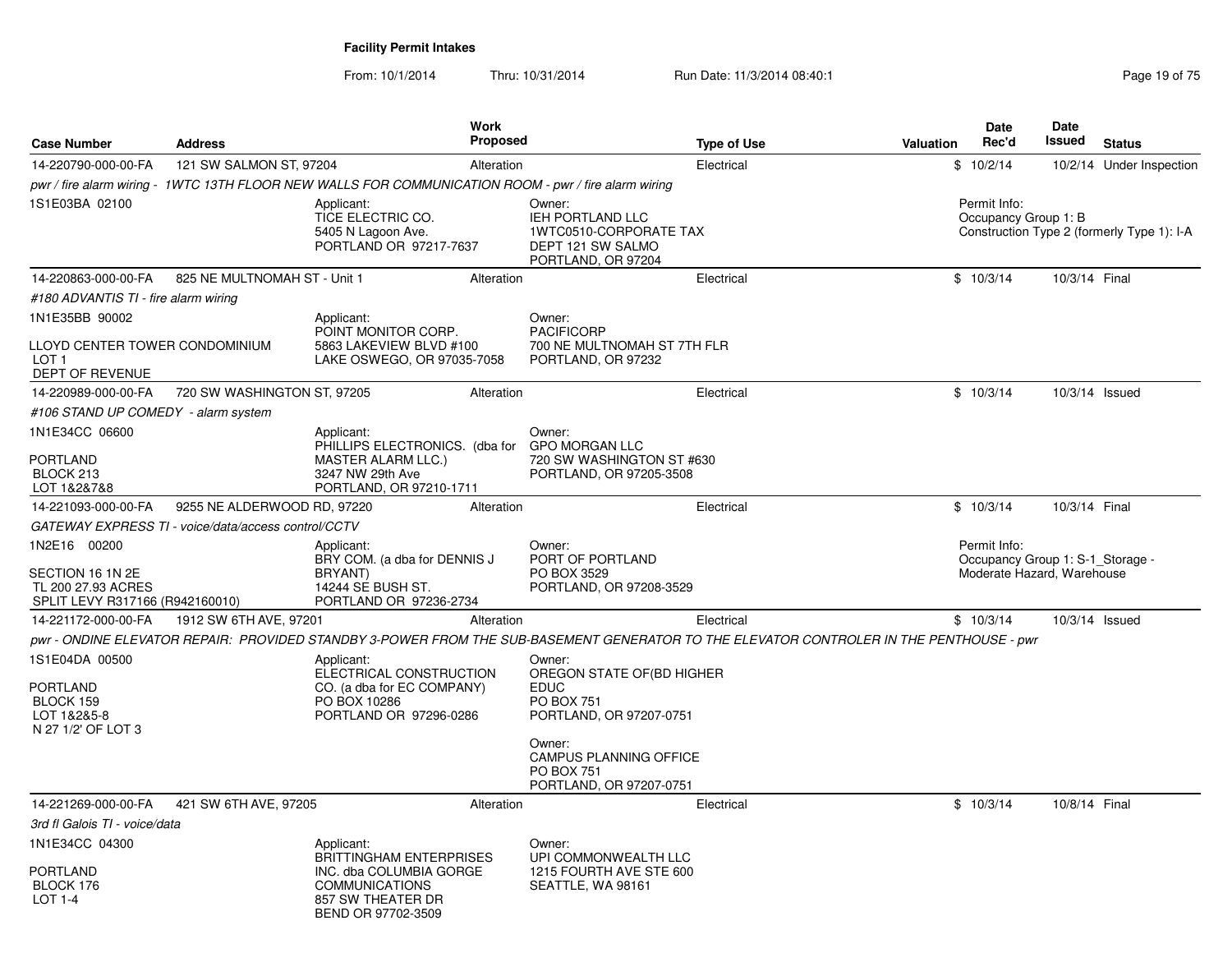|                                                                                           |                                                     |                                                                                                                                         | Work            |                                                                                                     |                    |                  |           | <b>Date</b>                          | <b>Date</b>                                                    |                                            |
|-------------------------------------------------------------------------------------------|-----------------------------------------------------|-----------------------------------------------------------------------------------------------------------------------------------------|-----------------|-----------------------------------------------------------------------------------------------------|--------------------|------------------|-----------|--------------------------------------|----------------------------------------------------------------|--------------------------------------------|
| <b>Case Number</b>                                                                        | <b>Address</b>                                      |                                                                                                                                         | <b>Proposed</b> |                                                                                                     | <b>Type of Use</b> | <b>Valuation</b> |           | Rec'd                                | Issued                                                         | <b>Status</b>                              |
| 14-220790-000-00-FA                                                                       | 121 SW SALMON ST, 97204                             |                                                                                                                                         | Alteration      |                                                                                                     | Electrical         |                  | \$10/2/14 |                                      |                                                                | 10/2/14 Under Inspection                   |
|                                                                                           |                                                     | pwr / fire alarm wiring - 1WTC 13TH FLOOR NEW WALLS FOR COMMUNICATION ROOM - pwr / fire alarm wiring                                    |                 |                                                                                                     |                    |                  |           |                                      |                                                                |                                            |
| 1S1E03BA 02100                                                                            |                                                     | Applicant:<br>TICE ELECTRIC CO.<br>5405 N Lagoon Ave.<br>PORTLAND OR 97217-7637                                                         |                 | Owner:<br>IEH PORTLAND LLC<br>1WTC0510-CORPORATE TAX<br>DEPT 121 SW SALMO<br>PORTLAND, OR 97204     |                    |                  |           | Permit Info:<br>Occupancy Group 1: B |                                                                | Construction Type 2 (formerly Type 1): I-A |
| 14-220863-000-00-FA                                                                       | 825 NE MULTNOMAH ST - Unit 1                        |                                                                                                                                         | Alteration      |                                                                                                     | Electrical         |                  | \$10/3/14 |                                      | 10/3/14 Final                                                  |                                            |
| #180 ADVANTIS TI - fire alarm wiring                                                      |                                                     |                                                                                                                                         |                 |                                                                                                     |                    |                  |           |                                      |                                                                |                                            |
| 1N1E35BB 90002                                                                            |                                                     | Applicant:<br>POINT MONITOR CORP.                                                                                                       |                 | Owner:<br><b>PACIFICORP</b>                                                                         |                    |                  |           |                                      |                                                                |                                            |
| LLOYD CENTER TOWER CONDOMINIUM<br>LOT <sub>1</sub><br>DEPT OF REVENUE                     |                                                     | 5863 LAKEVIEW BLVD #100<br>LAKE OSWEGO, OR 97035-7058                                                                                   |                 | 700 NE MULTNOMAH ST 7TH FLR<br>PORTLAND, OR 97232                                                   |                    |                  |           |                                      |                                                                |                                            |
| 14-220989-000-00-FA                                                                       | 720 SW WASHINGTON ST, 97205                         |                                                                                                                                         | Alteration      |                                                                                                     | Electrical         |                  | \$10/3/14 |                                      | 10/3/14 Issued                                                 |                                            |
| #106 STAND UP COMEDY - alarm system                                                       |                                                     |                                                                                                                                         |                 |                                                                                                     |                    |                  |           |                                      |                                                                |                                            |
| 1N1E34CC 06600                                                                            |                                                     | Applicant:<br>PHILLIPS ELECTRONICS. (dba for GPO MORGAN LLC                                                                             |                 | Owner:                                                                                              |                    |                  |           |                                      |                                                                |                                            |
| PORTLAND<br>BLOCK 213<br>LOT 1&2&7&8                                                      |                                                     | <b>MASTER ALARM LLC.)</b><br>3247 NW 29th Ave<br>PORTLAND, OR 97210-1711                                                                |                 | 720 SW WASHINGTON ST #630<br>PORTLAND, OR 97205-3508                                                |                    |                  |           |                                      |                                                                |                                            |
| 14-221093-000-00-FA                                                                       | 9255 NE ALDERWOOD RD, 97220                         |                                                                                                                                         | Alteration      |                                                                                                     | Electrical         |                  | \$10/3/14 |                                      | 10/3/14 Final                                                  |                                            |
|                                                                                           | GATEWAY EXPRESS TI - voice/data/access control/CCTV |                                                                                                                                         |                 |                                                                                                     |                    |                  |           |                                      |                                                                |                                            |
| 1N2E16 00200<br>SECTION 16 1N 2E<br>TL 200 27.93 ACRES<br>SPLIT LEVY R317166 (R942160010) |                                                     | Applicant:<br>BRY COM. (a dba for DENNIS J<br>BRYANT)<br>14244 SE BUSH ST.<br>PORTLAND OR 97236-2734                                    |                 | Owner:<br>PORT OF PORTLAND<br>PO BOX 3529<br>PORTLAND, OR 97208-3529                                |                    |                  |           | Permit Info:                         | Occupancy Group 1: S-1_Storage -<br>Moderate Hazard, Warehouse |                                            |
| 14-221172-000-00-FA                                                                       | 1912 SW 6TH AVE, 97201                              |                                                                                                                                         | Alteration      |                                                                                                     | Electrical         |                  | \$10/3/14 |                                      | 10/3/14 Issued                                                 |                                            |
|                                                                                           |                                                     | pwr - ONDINE ELEVATOR REPAIR: PROVIDED STANDBY 3-POWER FROM THE SUB-BASEMENT GENERATOR TO THE ELEVATOR CONTROLER IN THE PENTHOUSE - pwr |                 |                                                                                                     |                    |                  |           |                                      |                                                                |                                            |
| 1S1E04DA 00500<br><b>PORTLAND</b><br>BLOCK 159<br>LOT 1&2&5-8<br>N 27 1/2' OF LOT 3       |                                                     | Applicant:<br>ELECTRICAL CONSTRUCTION<br>CO. (a dba for EC COMPANY)<br>PO BOX 10286<br>PORTLAND OR 97296-0286                           |                 | Owner:<br>OREGON STATE OF (BD HIGHER<br><b>EDUC</b><br><b>PO BOX 751</b><br>PORTLAND, OR 97207-0751 |                    |                  |           |                                      |                                                                |                                            |
|                                                                                           |                                                     |                                                                                                                                         |                 | Owner:<br><b>CAMPUS PLANNING OFFICE</b><br>PO BOX 751<br>PORTLAND, OR 97207-0751                    |                    |                  |           |                                      |                                                                |                                            |
| 14-221269-000-00-FA                                                                       | 421 SW 6TH AVE, 97205                               |                                                                                                                                         | Alteration      |                                                                                                     | Electrical         |                  | \$10/3/14 |                                      | 10/8/14 Final                                                  |                                            |
| 3rd fl Galois TI - voice/data                                                             |                                                     |                                                                                                                                         |                 |                                                                                                     |                    |                  |           |                                      |                                                                |                                            |
| 1N1E34CC 04300<br>PORTLAND<br>BLOCK 176                                                   |                                                     | Applicant:<br><b>BRITTINGHAM ENTERPRISES</b><br>INC. dba COLUMBIA GORGE<br><b>COMMUNICATIONS</b>                                        |                 | Owner:<br>UPI COMMONWEALTH LLC<br>1215 FOURTH AVE STE 600<br>SEATTLE, WA 98161                      |                    |                  |           |                                      |                                                                |                                            |
| $LOT 1-4$                                                                                 |                                                     | 857 SW THEATER DR<br>BEND OR 97702-3509                                                                                                 |                 |                                                                                                     |                    |                  |           |                                      |                                                                |                                            |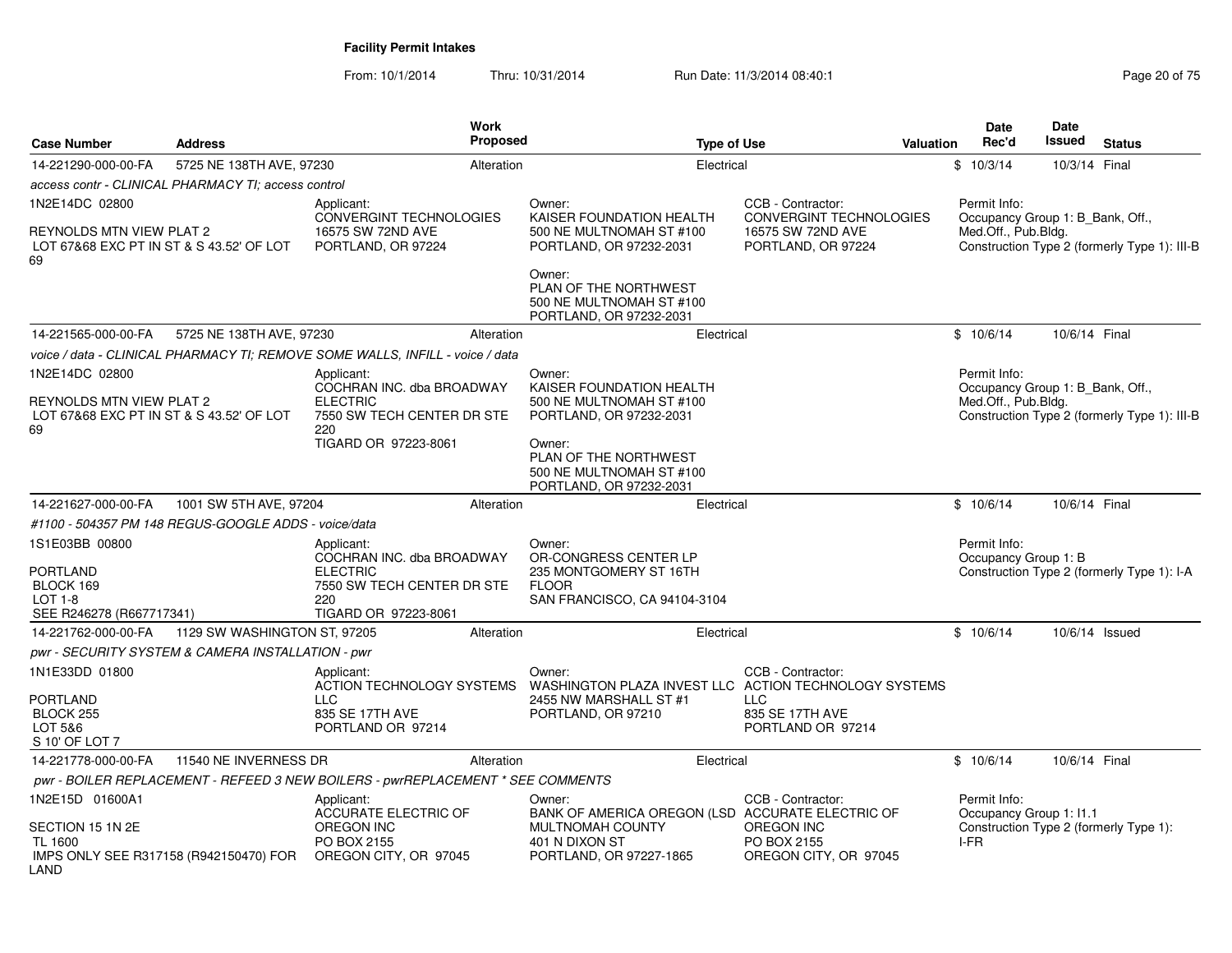From: 10/1/2014Thru: 10/31/2014 Run Date: 11/3/2014 08:40:1<br>
Run Date: 11/3/2014 08:40:1

| Case Number                                                                                         | <b>Address</b>                                       | <b>Work</b><br>Proposed                                                                                                 | <b>Type of Use</b>                                                                                              | <b>Valuation</b>                                                                               |      | Date<br>Rec'd                        | <b>Date</b><br>Issued            | <b>Status</b>                                |
|-----------------------------------------------------------------------------------------------------|------------------------------------------------------|-------------------------------------------------------------------------------------------------------------------------|-----------------------------------------------------------------------------------------------------------------|------------------------------------------------------------------------------------------------|------|--------------------------------------|----------------------------------|----------------------------------------------|
| 14-221290-000-00-FA                                                                                 | 5725 NE 138TH AVE, 97230                             | Alteration                                                                                                              | Electrical                                                                                                      |                                                                                                |      | \$10/3/14                            | 10/3/14 Final                    |                                              |
|                                                                                                     | access contr - CLINICAL PHARMACY TI; access control  |                                                                                                                         |                                                                                                                 |                                                                                                |      |                                      |                                  |                                              |
| 1N2E14DC 02800<br>REYNOLDS MTN VIEW PLAT 2<br>LOT 67&68 EXC PT IN ST & S 43.52' OF LOT              |                                                      | Applicant:<br><b>CONVERGINT TECHNOLOGIES</b><br>16575 SW 72ND AVE<br>PORTLAND, OR 97224                                 | Owner:<br>KAISER FOUNDATION HEALTH<br>500 NE MULTNOMAH ST #100<br>PORTLAND, OR 97232-2031                       | CCB - Contractor:<br><b>CONVERGINT TECHNOLOGIES</b><br>16575 SW 72ND AVE<br>PORTLAND, OR 97224 |      | Permit Info:<br>Med.Off., Pub.Bldg.  | Occupancy Group 1: B_Bank, Off., | Construction Type 2 (formerly Type 1): III-B |
| 69                                                                                                  |                                                      |                                                                                                                         | Owner:<br>PLAN OF THE NORTHWEST<br>500 NE MULTNOMAH ST #100<br>PORTLAND, OR 97232-2031                          |                                                                                                |      |                                      |                                  |                                              |
| 14-221565-000-00-FA                                                                                 | 5725 NE 138TH AVE, 97230                             | Alteration                                                                                                              | Electrical                                                                                                      |                                                                                                |      | \$10/6/14                            | 10/6/14 Final                    |                                              |
|                                                                                                     |                                                      | voice / data - CLINICAL PHARMACY TI; REMOVE SOME WALLS, INFILL - voice / data                                           |                                                                                                                 |                                                                                                |      |                                      |                                  |                                              |
| 1N2E14DC 02800<br><b>REYNOLDS MTN VIEW PLAT 2</b><br>LOT 67&68 EXC PT IN ST & S 43.52' OF LOT<br>69 |                                                      | Applicant:<br>COCHRAN INC. dba BROADWAY<br><b>ELECTRIC</b><br>7550 SW TECH CENTER DR STE<br>220                         | Owner:<br>KAISER FOUNDATION HEALTH<br>500 NE MULTNOMAH ST #100<br>PORTLAND, OR 97232-2031                       |                                                                                                |      | Permit Info:<br>Med.Off., Pub.Bldg.  | Occupancy Group 1: B Bank, Off., | Construction Type 2 (formerly Type 1): III-B |
|                                                                                                     |                                                      | TIGARD OR 97223-8061                                                                                                    | Owner:<br>PLAN OF THE NORTHWEST<br>500 NE MULTNOMAH ST #100<br>PORTLAND, OR 97232-2031                          |                                                                                                |      |                                      |                                  |                                              |
| 14-221627-000-00-FA                                                                                 | 1001 SW 5TH AVE, 97204                               | Alteration                                                                                                              | Electrical                                                                                                      |                                                                                                |      | \$10/6/14                            | 10/6/14 Final                    |                                              |
|                                                                                                     | #1100 - 504357 PM 148 REGUS-GOOGLE ADDS - voice/data |                                                                                                                         |                                                                                                                 |                                                                                                |      |                                      |                                  |                                              |
| 1S1E03BB 00800<br>PORTLAND<br>BLOCK 169<br>LOT 1-8<br>SEE R246278 (R667717341)                      |                                                      | Applicant:<br>COCHRAN INC. dba BROADWAY<br><b>ELECTRIC</b><br>7550 SW TECH CENTER DR STE<br>220<br>TIGARD OR 97223-8061 | Owner:<br>OR-CONGRESS CENTER LP<br>235 MONTGOMERY ST 16TH<br><b>FLOOR</b><br>SAN FRANCISCO, CA 94104-3104       |                                                                                                |      | Permit Info:<br>Occupancy Group 1: B |                                  | Construction Type 2 (formerly Type 1): I-A   |
| 14-221762-000-00-FA                                                                                 | 1129 SW WASHINGTON ST, 97205                         | Alteration                                                                                                              | Electrical                                                                                                      |                                                                                                |      | \$10/6/14                            |                                  | 10/6/14 Issued                               |
|                                                                                                     | pwr - SECURITY SYSTEM & CAMERA INSTALLATION - pwr    |                                                                                                                         |                                                                                                                 |                                                                                                |      |                                      |                                  |                                              |
| 1N1E33DD 01800<br>PORTLAND<br>BLOCK 255<br>LOT 5&6<br>S 10' OF LOT 7                                |                                                      | Applicant:<br><b>ACTION TECHNOLOGY SYSTEMS</b><br><b>LLC</b><br>835 SE 17TH AVE<br>PORTLAND OR 97214                    | Owner:<br>WASHINGTON PLAZA INVEST LLC ACTION TECHNOLOGY SYSTEMS<br>2455 NW MARSHALL ST #1<br>PORTLAND, OR 97210 | CCB - Contractor:<br><b>LLC</b><br>835 SE 17TH AVE<br>PORTLAND OR 97214                        |      |                                      |                                  |                                              |
| 14-221778-000-00-FA                                                                                 | 11540 NE INVERNESS DR                                | Alteration                                                                                                              | Electrical                                                                                                      |                                                                                                |      | \$10/6/14                            | 10/6/14 Final                    |                                              |
|                                                                                                     |                                                      | pwr - BOILER REPLACEMENT - REFEED 3 NEW BOILERS - pwrREPLACEMENT * SEE COMMENTS                                         |                                                                                                                 |                                                                                                |      |                                      |                                  |                                              |
| 1N2E15D 01600A1<br>SECTION 15 1N 2E                                                                 |                                                      | Applicant:<br><b>ACCURATE ELECTRIC OF</b><br>OREGON INC                                                                 | Owner:<br>BANK OF AMERICA OREGON (LSD ACCURATE ELECTRIC OF<br>MULTNOMAH COUNTY                                  | CCB - Contractor:<br><b>OREGON INC</b>                                                         |      | Permit Info:                         | Occupancy Group 1: I1.1          | Construction Type 2 (formerly Type 1):       |
| TL 1600<br>IMPS ONLY SEE R317158 (R942150470) FOR<br>AND.                                           |                                                      | PO BOX 2155<br>OREGON CITY, OR 97045                                                                                    | 401 N DIXON ST<br>PORTLAND, OR 97227-1865                                                                       | PO BOX 2155<br>OREGON CITY, OR 97045                                                           | I-FR |                                      |                                  |                                              |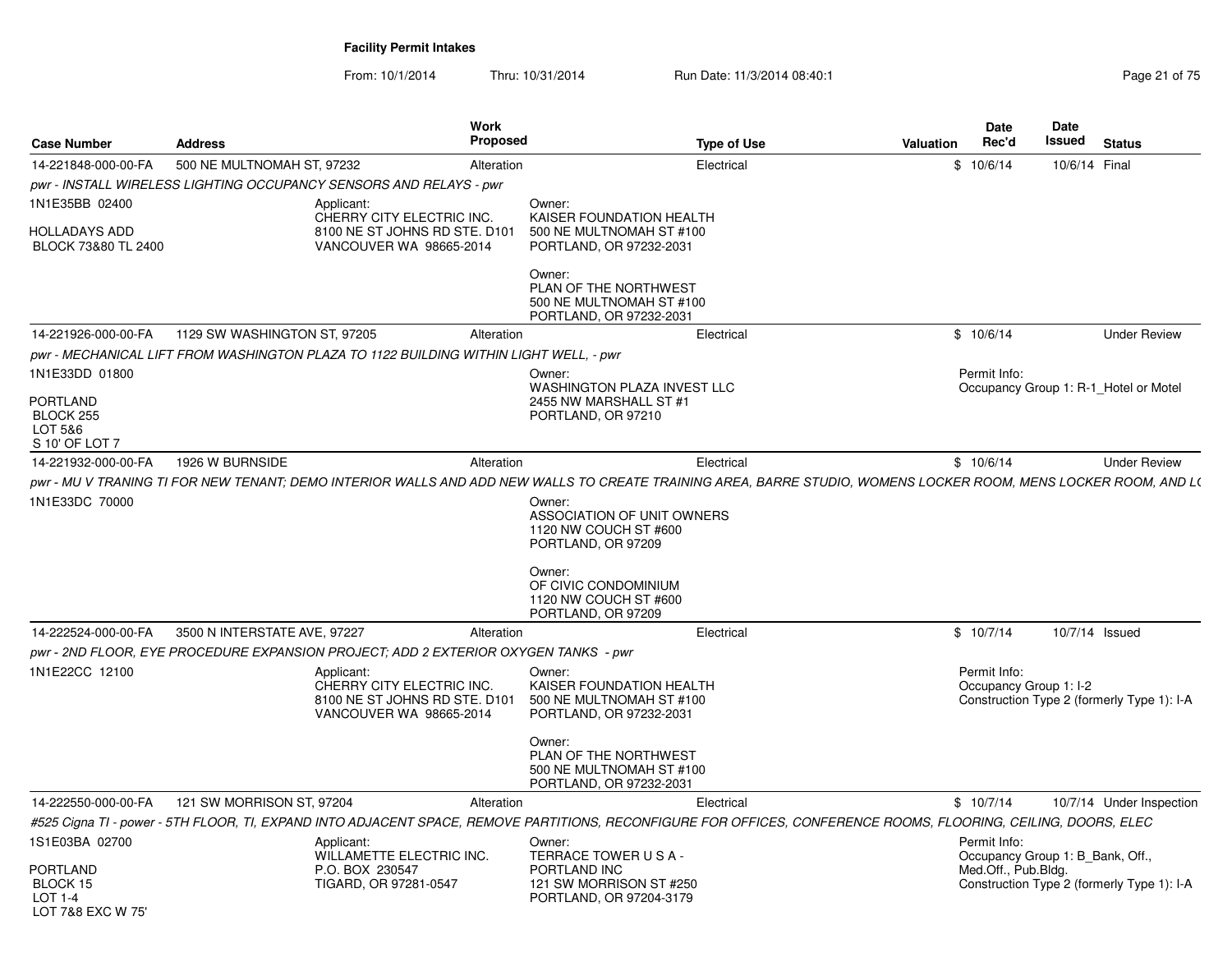| <b>Case Number</b>                                        | <b>Address</b>               | <b>Work</b><br><b>Proposed</b>                                                                                                                                  |                                                                                           | <b>Type of Use</b> | Valuation | <b>Date</b><br>Rec'd                   | <b>Date</b><br>Issued | <b>Status</b>                              |
|-----------------------------------------------------------|------------------------------|-----------------------------------------------------------------------------------------------------------------------------------------------------------------|-------------------------------------------------------------------------------------------|--------------------|-----------|----------------------------------------|-----------------------|--------------------------------------------|
| 14-221848-000-00-FA                                       | 500 NE MULTNOMAH ST. 97232   | Alteration                                                                                                                                                      |                                                                                           | Electrical         |           | \$10/6/14                              | 10/6/14 Final         |                                            |
|                                                           |                              | pwr - INSTALL WIRELESS LIGHTING OCCUPANCY SENSORS AND RELAYS - pwr                                                                                              |                                                                                           |                    |           |                                        |                       |                                            |
| 1N1E35BB 02400<br>HOLLADAYS ADD                           |                              | Applicant:<br>CHERRY CITY ELECTRIC INC.<br>8100 NE ST JOHNS RD STE. D101                                                                                        | Owner:<br>KAISER FOUNDATION HEALTH<br>500 NE MULTNOMAH ST #100                            |                    |           |                                        |                       |                                            |
| BLOCK 73&80 TL 2400                                       |                              | VANCOUVER WA 98665-2014                                                                                                                                         | PORTLAND, OR 97232-2031                                                                   |                    |           |                                        |                       |                                            |
|                                                           |                              |                                                                                                                                                                 | Owner:<br>PLAN OF THE NORTHWEST<br>500 NE MULTNOMAH ST #100<br>PORTLAND, OR 97232-2031    |                    |           |                                        |                       |                                            |
| 14-221926-000-00-FA                                       | 1129 SW WASHINGTON ST, 97205 | Alteration                                                                                                                                                      |                                                                                           | Electrical         |           | \$10/6/14                              |                       | <b>Under Review</b>                        |
|                                                           |                              | pwr - MECHANICAL LIFT FROM WASHINGTON PLAZA TO 1122 BUILDING WITHIN LIGHT WELL, - pwr                                                                           |                                                                                           |                    |           |                                        |                       |                                            |
| 1N1E33DD 01800                                            |                              |                                                                                                                                                                 | Owner:                                                                                    |                    |           | Permit Info:                           |                       |                                            |
| <b>PORTLAND</b><br>BLOCK 255<br>LOT 5&6<br>S 10' OF LOT 7 |                              |                                                                                                                                                                 | WASHINGTON PLAZA INVEST LLC<br>2455 NW MARSHALL ST #1<br>PORTLAND, OR 97210               |                    |           |                                        |                       | Occupancy Group 1: R-1_Hotel or Motel      |
| 14-221932-000-00-FA                                       | 1926 W BURNSIDE              | Alteration                                                                                                                                                      |                                                                                           | Electrical         |           | \$10/6/14                              |                       | <b>Under Review</b>                        |
|                                                           |                              | pwr - MU V TRANING TI FOR NEW TENANT; DEMO INTERIOR WALLS AND ADD NEW WALLS TO CREATE TRAINING AREA, BARRE STUDIO, WOMENS LOCKER ROOM, MENS LOCKER ROOM, AND L( |                                                                                           |                    |           |                                        |                       |                                            |
| 1N1E33DC 70000                                            |                              |                                                                                                                                                                 | Owner:                                                                                    |                    |           |                                        |                       |                                            |
|                                                           |                              |                                                                                                                                                                 | ASSOCIATION OF UNIT OWNERS<br>1120 NW COUCH ST #600<br>PORTLAND, OR 97209                 |                    |           |                                        |                       |                                            |
|                                                           |                              |                                                                                                                                                                 | Owner:<br>OF CIVIC CONDOMINIUM<br>1120 NW COUCH ST #600<br>PORTLAND, OR 97209             |                    |           |                                        |                       |                                            |
| 14-222524-000-00-FA                                       | 3500 N INTERSTATE AVE, 97227 | Alteration                                                                                                                                                      |                                                                                           | Electrical         |           | \$10/7/14                              |                       | 10/7/14 Issued                             |
|                                                           |                              | pwr - 2ND FLOOR, EYE PROCEDURE EXPANSION PROJECT; ADD 2 EXTERIOR OXYGEN TANKS - pwr                                                                             |                                                                                           |                    |           |                                        |                       |                                            |
| 1N1E22CC 12100                                            |                              | Applicant:<br>CHERRY CITY ELECTRIC INC.<br>8100 NE ST JOHNS RD STE. D101<br>VANCOUVER WA 98665-2014                                                             | Owner:<br>KAISER FOUNDATION HEALTH<br>500 NE MULTNOMAH ST #100<br>PORTLAND, OR 97232-2031 |                    |           | Permit Info:<br>Occupancy Group 1: I-2 |                       | Construction Type 2 (formerly Type 1): I-A |
|                                                           |                              |                                                                                                                                                                 | Owner:<br>PLAN OF THE NORTHWEST<br>500 NE MULTNOMAH ST #100<br>PORTLAND, OR 97232-2031    |                    |           |                                        |                       |                                            |
| 14-222550-000-00-FA                                       | 121 SW MORRISON ST, 97204    | Alteration                                                                                                                                                      |                                                                                           | Electrical         |           | \$10/7/14                              |                       | 10/7/14 Under Inspection                   |
|                                                           |                              | #525 Cigna TI - power - 5TH FLOOR, TI, EXPAND INTO ADJACENT SPACE, REMOVE PARTITIONS, RECONFIGURE FOR OFFICES, CONFERENCE ROOMS, FLOORING, CEILING, DOORS, ELEC |                                                                                           |                    |           |                                        |                       |                                            |
| 1S1E03BA 02700                                            |                              | Applicant:                                                                                                                                                      | Owner:                                                                                    |                    |           | Permit Info:                           |                       |                                            |
|                                                           |                              | WILLAMETTE ELECTRIC INC.                                                                                                                                        | TERRACE TOWER USA-                                                                        |                    |           | Occupancy Group 1: B Bank, Off.,       |                       |                                            |
| PORTLAND<br>BLOCK 15                                      |                              | P.O. BOX 230547<br>TIGARD, OR 97281-0547                                                                                                                        | PORTLAND INC<br>121 SW MORRISON ST #250                                                   |                    |           | Med.Off., Pub.Bldg.                    |                       | Construction Type 2 (formerly Type 1): I-A |
| LOT 1-4<br>LOT 7&8 EXC W 75'                              |                              |                                                                                                                                                                 | PORTLAND, OR 97204-3179                                                                   |                    |           |                                        |                       |                                            |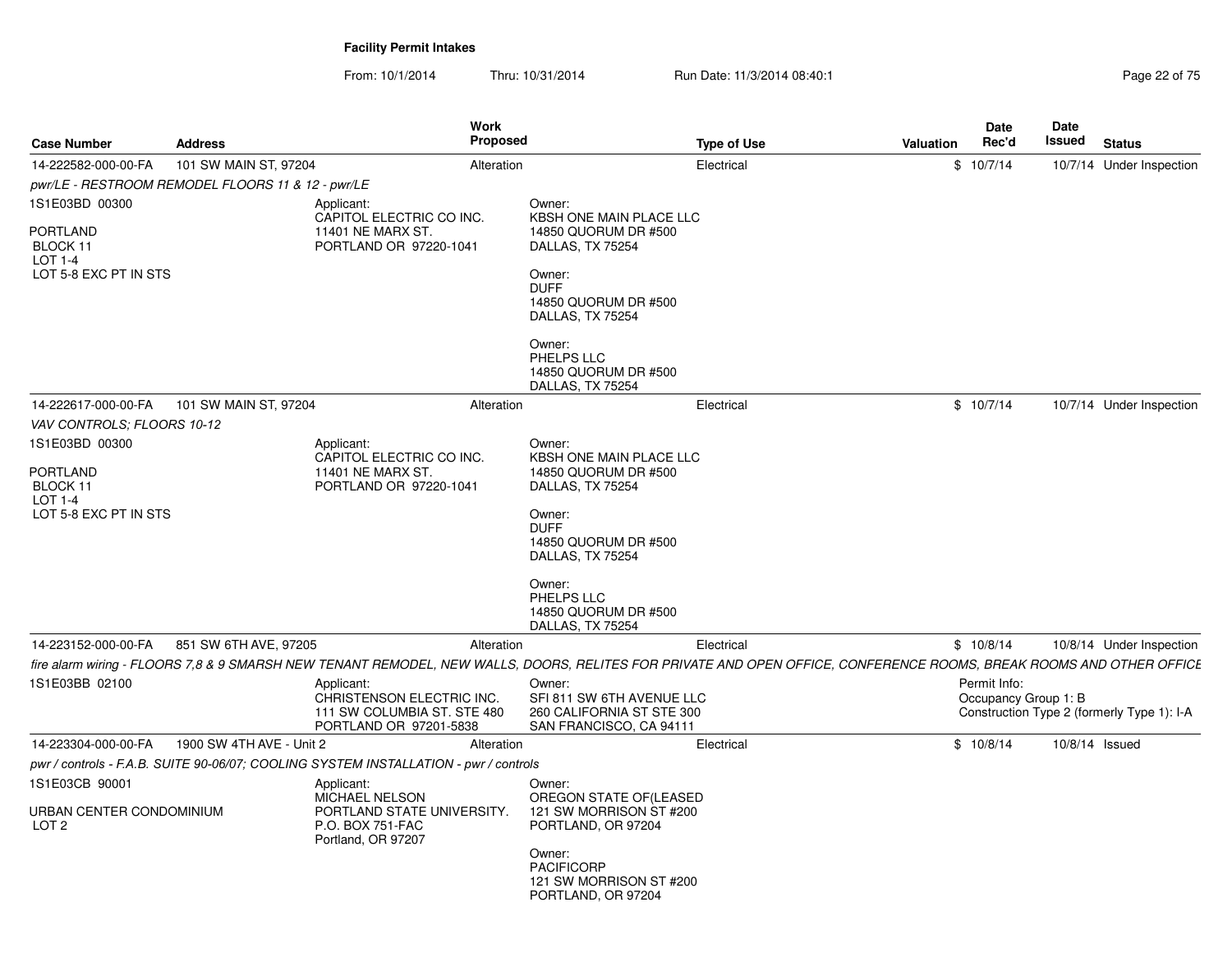| <b>Case Number</b>                                | <b>Address</b>           |                                                                                                  | Work<br><b>Proposed</b> |                                                                                                                                                                     | <b>Type of Use</b> | Valuation | Date<br>Rec'd                        | Date<br>Issued | <b>Status</b>                              |
|---------------------------------------------------|--------------------------|--------------------------------------------------------------------------------------------------|-------------------------|---------------------------------------------------------------------------------------------------------------------------------------------------------------------|--------------------|-----------|--------------------------------------|----------------|--------------------------------------------|
| 14-222582-000-00-FA                               | 101 SW MAIN ST, 97204    |                                                                                                  | Alteration              |                                                                                                                                                                     | Electrical         |           | \$10/7/14                            |                | 10/7/14 Under Inspection                   |
| pwr/LE - RESTROOM REMODEL FLOORS 11 & 12 - pwr/LE |                          |                                                                                                  |                         |                                                                                                                                                                     |                    |           |                                      |                |                                            |
| 1S1E03BD 00300                                    |                          | Applicant:<br>CAPITOL ELECTRIC CO INC.                                                           |                         | Owner:<br>KBSH ONE MAIN PLACE LLC                                                                                                                                   |                    |           |                                      |                |                                            |
| <b>PORTLAND</b><br>BLOCK 11<br>LOT 1-4            |                          | 11401 NE MARX ST.<br>PORTLAND OR 97220-1041                                                      |                         | 14850 QUORUM DR #500<br>DALLAS, TX 75254                                                                                                                            |                    |           |                                      |                |                                            |
| LOT 5-8 EXC PT IN STS                             |                          |                                                                                                  |                         | Owner:<br><b>DUFF</b><br>14850 QUORUM DR #500<br>DALLAS, TX 75254                                                                                                   |                    |           |                                      |                |                                            |
|                                                   |                          |                                                                                                  |                         | Owner:<br>PHELPS LLC<br>14850 QUORUM DR #500<br>DALLAS, TX 75254                                                                                                    |                    |           |                                      |                |                                            |
| 14-222617-000-00-FA                               | 101 SW MAIN ST, 97204    |                                                                                                  | Alteration              |                                                                                                                                                                     | Electrical         |           | \$10/7/14                            |                | 10/7/14 Under Inspection                   |
| VAV CONTROLS; FLOORS 10-12                        |                          |                                                                                                  |                         |                                                                                                                                                                     |                    |           |                                      |                |                                            |
| 1S1E03BD 00300                                    |                          | Applicant:                                                                                       |                         | Owner:                                                                                                                                                              |                    |           |                                      |                |                                            |
| <b>PORTLAND</b>                                   |                          | CAPITOL ELECTRIC CO INC.<br>11401 NE MARX ST.                                                    |                         | KBSH ONE MAIN PLACE LLC<br>14850 QUORUM DR #500                                                                                                                     |                    |           |                                      |                |                                            |
| BLOCK 11                                          |                          | PORTLAND OR 97220-1041                                                                           |                         | DALLAS, TX 75254                                                                                                                                                    |                    |           |                                      |                |                                            |
| $LOT 1-4$                                         |                          |                                                                                                  |                         |                                                                                                                                                                     |                    |           |                                      |                |                                            |
| LOT 5-8 EXC PT IN STS                             |                          |                                                                                                  |                         | Owner:<br><b>DUFF</b><br>14850 QUORUM DR #500<br>DALLAS, TX 75254                                                                                                   |                    |           |                                      |                |                                            |
|                                                   |                          |                                                                                                  |                         | Owner:<br>PHELPS LLC<br>14850 QUORUM DR #500<br>DALLAS, TX 75254                                                                                                    |                    |           |                                      |                |                                            |
| 14-223152-000-00-FA                               | 851 SW 6TH AVE, 97205    |                                                                                                  | Alteration              |                                                                                                                                                                     | Electrical         |           | \$10/8/14                            |                | 10/8/14 Under Inspection                   |
|                                                   |                          |                                                                                                  |                         | fire alarm wiring - FLOORS 7,8 & 9 SMARSH NEW TENANT REMODEL, NEW WALLS, DOORS, RELITES FOR PRIVATE AND OPEN OFFICE, CONFERENCE ROOMS, BREAK ROOMS AND OTHER OFFICE |                    |           |                                      |                |                                            |
| 1S1E03BB 02100                                    |                          | Applicant:<br>CHRISTENSON ELECTRIC INC.<br>111 SW COLUMBIA ST. STE 480<br>PORTLAND OR 97201-5838 |                         | Owner:<br>SFI 811 SW 6TH AVENUE LLC<br>260 CALIFORNIA ST STE 300<br>SAN FRANCISCO, CA 94111                                                                         |                    |           | Permit Info:<br>Occupancy Group 1: B |                | Construction Type 2 (formerly Type 1): I-A |
| 14-223304-000-00-FA                               | 1900 SW 4TH AVE - Unit 2 |                                                                                                  | Alteration              |                                                                                                                                                                     | Electrical         |           | \$10/8/14                            |                | 10/8/14 Issued                             |
|                                                   |                          | pwr / controls - F.A.B. SUITE 90-06/07; COOLING SYSTEM INSTALLATION - pwr / controls             |                         |                                                                                                                                                                     |                    |           |                                      |                |                                            |
| 1S1E03CB 90001                                    |                          | Applicant:                                                                                       |                         | Owner:                                                                                                                                                              |                    |           |                                      |                |                                            |
| URBAN CENTER CONDOMINIUM<br>LOT <sub>2</sub>      |                          | <b>MICHAEL NELSON</b><br>PORTLAND STATE UNIVERSITY.<br>P.O. BOX 751-FAC<br>Portland, OR 97207    |                         | OREGON STATE OF(LEASED<br>121 SW MORRISON ST #200<br>PORTLAND, OR 97204                                                                                             |                    |           |                                      |                |                                            |
|                                                   |                          |                                                                                                  |                         | Owner:<br><b>PACIFICORP</b><br>121 SW MORRISON ST #200<br>PORTLAND, OR 97204                                                                                        |                    |           |                                      |                |                                            |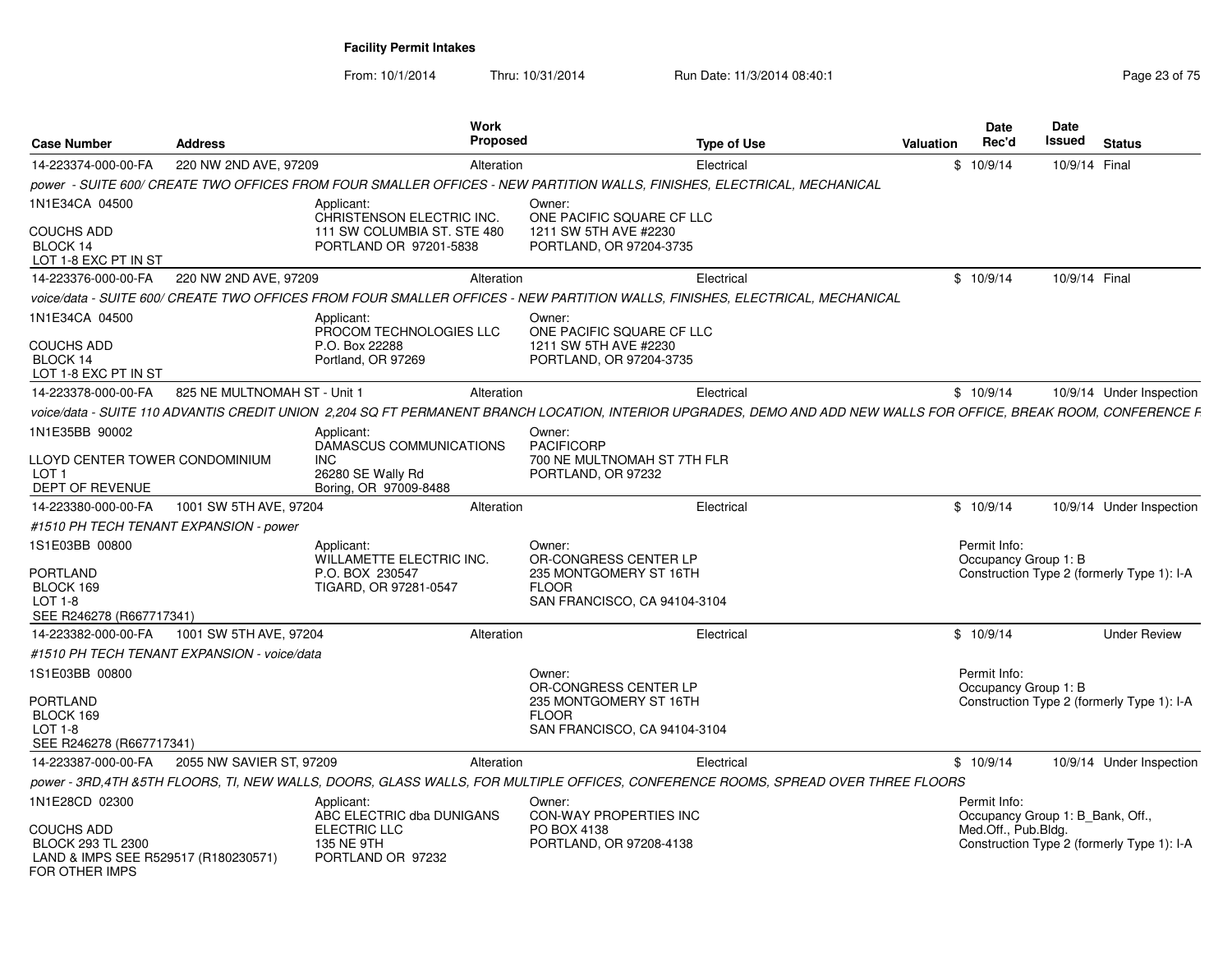| <b>Case Number</b>                                                                               | <b>Address</b>                                                        | <b>Work</b><br><b>Proposed</b>                                                                                                                                     |                                                                        | <b>Type of Use</b> | Valuation | <b>Date</b><br>Rec'd                             | Date<br>Issued | <b>Status</b>                              |
|--------------------------------------------------------------------------------------------------|-----------------------------------------------------------------------|--------------------------------------------------------------------------------------------------------------------------------------------------------------------|------------------------------------------------------------------------|--------------------|-----------|--------------------------------------------------|----------------|--------------------------------------------|
| 14-223374-000-00-FA                                                                              | 220 NW 2ND AVE, 97209                                                 | Alteration                                                                                                                                                         |                                                                        | Electrical         |           | \$10/9/14                                        | 10/9/14 Final  |                                            |
|                                                                                                  |                                                                       | power - SUITE 600/ CREATE TWO OFFICES FROM FOUR SMALLER OFFICES - NEW PARTITION WALLS, FINISHES, ELECTRICAL, MECHANICAL                                            |                                                                        |                    |           |                                                  |                |                                            |
| 1N1E34CA 04500                                                                                   |                                                                       | Applicant:<br>CHRISTENSON ELECTRIC INC.                                                                                                                            | Owner:<br>ONE PACIFIC SQUARE CF LLC                                    |                    |           |                                                  |                |                                            |
| COUCHS ADD<br>BLOCK 14<br>LOT 1-8 EXC PT IN ST                                                   |                                                                       | 111 SW COLUMBIA ST. STE 480<br>PORTLAND OR 97201-5838                                                                                                              | 1211 SW 5TH AVE #2230<br>PORTLAND, OR 97204-3735                       |                    |           |                                                  |                |                                            |
| 14-223376-000-00-FA                                                                              | 220 NW 2ND AVE, 97209                                                 | Alteration                                                                                                                                                         |                                                                        | Electrical         |           | \$10/9/14                                        | 10/9/14 Final  |                                            |
|                                                                                                  |                                                                       | voice/data - SUITE 600/ CREATE TWO OFFICES FROM FOUR SMALLER OFFICES - NEW PARTITION WALLS, FINISHES, ELECTRICAL, MECHANICAL                                       |                                                                        |                    |           |                                                  |                |                                            |
| 1N1E34CA 04500<br>COUCHS ADD                                                                     |                                                                       | Applicant:<br>PROCOM TECHNOLOGIES LLC<br>P.O. Box 22288                                                                                                            | Owner:<br>ONE PACIFIC SQUARE CF LLC<br>1211 SW 5TH AVE #2230           |                    |           |                                                  |                |                                            |
| BLOCK 14<br>LOT 1-8 EXC PT IN ST                                                                 |                                                                       | Portland, OR 97269                                                                                                                                                 | PORTLAND, OR 97204-3735                                                |                    |           |                                                  |                |                                            |
| 14-223378-000-00-FA                                                                              | 825 NE MULTNOMAH ST - Unit 1                                          | Alteration                                                                                                                                                         |                                                                        | Electrical         |           | \$10/9/14                                        |                | 10/9/14 Under Inspection                   |
|                                                                                                  |                                                                       | voice/data - SUITE 110 ADVANTIS CREDIT UNION 2,204 SQ FT PERMANENT BRANCH LOCATION, INTERIOR UPGRADES, DEMO AND ADD NEW WALLS FOR OFFICE, BREAK ROOM, CONFERENCE F |                                                                        |                    |           |                                                  |                |                                            |
| 1N1E35BB 90002                                                                                   |                                                                       | Applicant:<br>DAMASCUS COMMUNICATIONS                                                                                                                              | Owner:<br><b>PACIFICORP</b>                                            |                    |           |                                                  |                |                                            |
| LLOYD CENTER TOWER CONDOMINIUM<br>LOT 1<br>DEPT OF REVENUE                                       |                                                                       | <b>INC</b><br>26280 SE Wally Rd<br>Boring, OR 97009-8488                                                                                                           | 700 NE MULTNOMAH ST 7TH FLR<br>PORTLAND, OR 97232                      |                    |           |                                                  |                |                                            |
| 14-223380-000-00-FA                                                                              | 1001 SW 5TH AVE, 97204                                                | Alteration                                                                                                                                                         |                                                                        | Electrical         |           | \$10/9/14                                        |                | 10/9/14 Under Inspection                   |
| #1510 PH TECH TENANT EXPANSION - power                                                           |                                                                       |                                                                                                                                                                    |                                                                        |                    |           |                                                  |                |                                            |
| 1S1E03BB 00800                                                                                   |                                                                       | Applicant:<br>WILLAMETTE ELECTRIC INC.                                                                                                                             | Owner:<br>OR-CONGRESS CENTER LP                                        |                    |           | Permit Info:<br>Occupancy Group 1: B             |                |                                            |
| PORTLAND<br>BLOCK 169<br>LOT 1-8                                                                 |                                                                       | P.O. BOX 230547<br>TIGARD, OR 97281-0547                                                                                                                           | 235 MONTGOMERY ST 16TH<br><b>FLOOR</b><br>SAN FRANCISCO, CA 94104-3104 |                    |           |                                                  |                | Construction Type 2 (formerly Type 1): I-A |
| SEE R246278 (R667717341)                                                                         |                                                                       |                                                                                                                                                                    |                                                                        |                    |           |                                                  |                |                                            |
| 14-223382-000-00-FA                                                                              | 1001 SW 5TH AVE, 97204<br>#1510 PH TECH TENANT EXPANSION - voice/data | Alteration                                                                                                                                                         |                                                                        | Electrical         |           | \$10/9/14                                        |                | <b>Under Review</b>                        |
| 1S1E03BB 00800                                                                                   |                                                                       |                                                                                                                                                                    | Owner:                                                                 |                    |           | Permit Info:                                     |                |                                            |
|                                                                                                  |                                                                       |                                                                                                                                                                    | OR-CONGRESS CENTER LP                                                  |                    |           | Occupancy Group 1: B                             |                |                                            |
| PORTLAND                                                                                         |                                                                       |                                                                                                                                                                    | 235 MONTGOMERY ST 16TH                                                 |                    |           |                                                  |                | Construction Type 2 (formerly Type 1): I-A |
| BLOCK 169<br>LOT 1-8                                                                             |                                                                       |                                                                                                                                                                    | <b>FLOOR</b><br>SAN FRANCISCO, CA 94104-3104                           |                    |           |                                                  |                |                                            |
| SEE R246278 (R667717341)                                                                         |                                                                       |                                                                                                                                                                    |                                                                        |                    |           |                                                  |                |                                            |
| 14-223387-000-00-FA                                                                              | 2055 NW SAVIER ST, 97209                                              | Alteration                                                                                                                                                         |                                                                        | Electrical         |           | \$10/9/14                                        |                | 10/9/14 Under Inspection                   |
|                                                                                                  |                                                                       | power - 3RD,4TH &5TH FLOORS, TI, NEW WALLS, DOORS, GLASS WALLS, FOR MULTIPLE OFFICES, CONFERENCE ROOMS, SPREAD OVER THREE FLOORS                                   |                                                                        |                    |           |                                                  |                |                                            |
| 1N1E28CD 02300                                                                                   |                                                                       | Applicant:<br>ABC ELECTRIC dba DUNIGANS                                                                                                                            | Owner:<br>CON-WAY PROPERTIES INC                                       |                    |           | Permit Info:<br>Occupancy Group 1: B Bank, Off., |                |                                            |
| COUCHS ADD<br><b>BLOCK 293 TL 2300</b><br>LAND & IMPS SEE R529517 (R180230571)<br>FOR OTHER IMPS |                                                                       | ELECTRIC LLC<br>135 NE 9TH<br>PORTLAND OR 97232                                                                                                                    | PO BOX 4138<br>PORTLAND, OR 97208-4138                                 |                    |           | Med.Off., Pub.Bldg.                              |                | Construction Type 2 (formerly Type 1): I-A |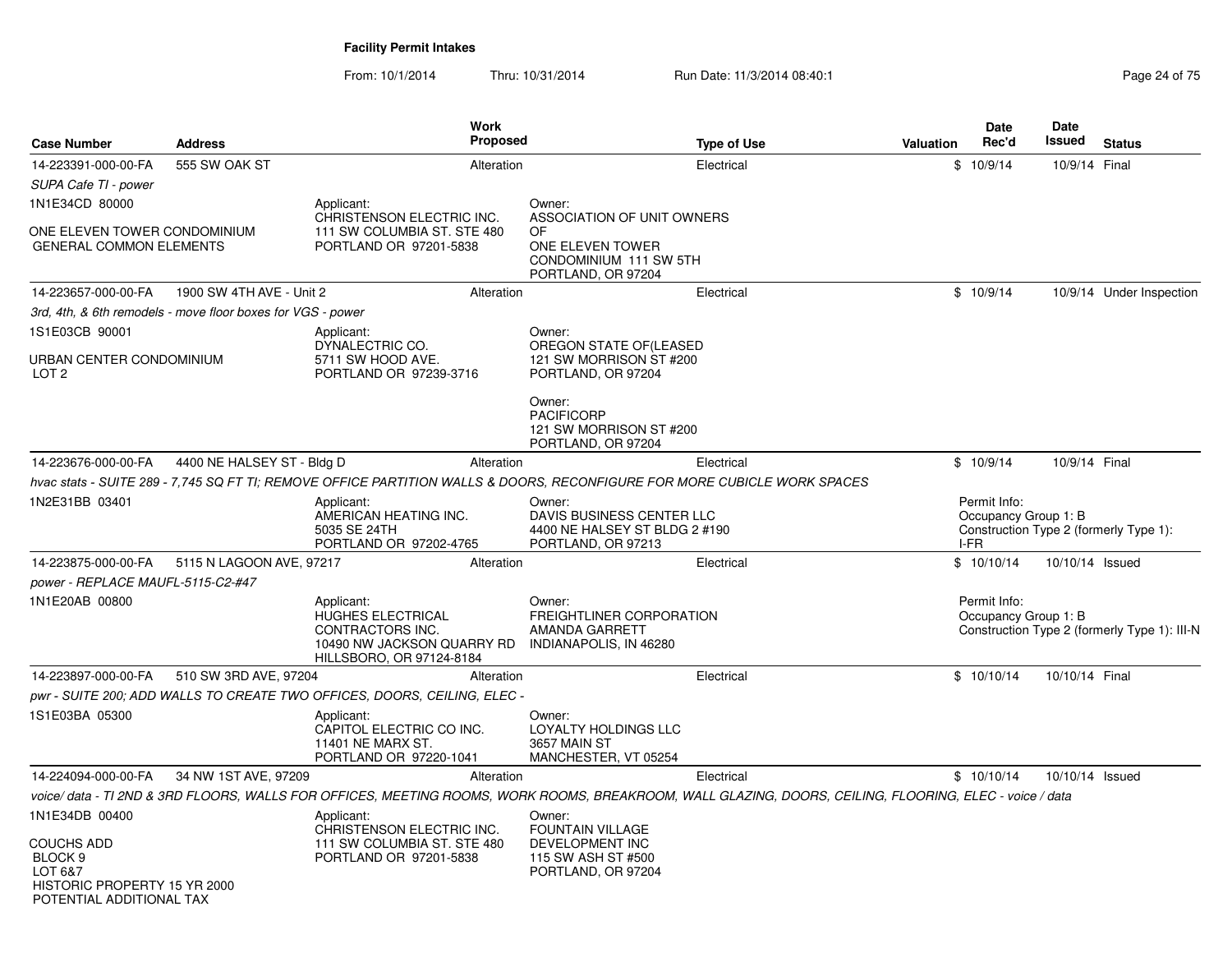| <b>Case Number</b>                                                                                             | <b>Address</b>                                              | Work<br>Proposed                                                                                                                                       |                                                                                                      | <b>Type of Use</b> | Valuation | Date<br>Rec'd                                | <b>Date</b><br>Issued | <b>Status</b>                                |
|----------------------------------------------------------------------------------------------------------------|-------------------------------------------------------------|--------------------------------------------------------------------------------------------------------------------------------------------------------|------------------------------------------------------------------------------------------------------|--------------------|-----------|----------------------------------------------|-----------------------|----------------------------------------------|
| 14-223391-000-00-FA                                                                                            | 555 SW OAK ST                                               | Alteration                                                                                                                                             |                                                                                                      | Electrical         |           | \$10/9/14                                    | 10/9/14 Final         |                                              |
| SUPA Cafe TI - power                                                                                           |                                                             |                                                                                                                                                        |                                                                                                      |                    |           |                                              |                       |                                              |
| 1N1E34CD 80000                                                                                                 |                                                             | Applicant:                                                                                                                                             | Owner:                                                                                               |                    |           |                                              |                       |                                              |
| ONE ELEVEN TOWER CONDOMINIUM<br><b>GENERAL COMMON ELEMENTS</b>                                                 |                                                             | CHRISTENSON ELECTRIC INC.<br>111 SW COLUMBIA ST. STE 480<br>PORTLAND OR 97201-5838                                                                     | ASSOCIATION OF UNIT OWNERS<br>OF<br>ONE ELEVEN TOWER<br>CONDOMINIUM 111 SW 5TH<br>PORTLAND, OR 97204 |                    |           |                                              |                       |                                              |
| 14-223657-000-00-FA                                                                                            | 1900 SW 4TH AVE - Unit 2                                    | Alteration                                                                                                                                             |                                                                                                      | Electrical         |           | \$10/9/14                                    |                       | 10/9/14 Under Inspection                     |
|                                                                                                                | 3rd, 4th, & 6th remodels - move floor boxes for VGS - power |                                                                                                                                                        |                                                                                                      |                    |           |                                              |                       |                                              |
| 1S1E03CB 90001                                                                                                 |                                                             | Applicant:<br>DYNALECTRIC CO.                                                                                                                          | Owner:<br>OREGON STATE OF(LEASED                                                                     |                    |           |                                              |                       |                                              |
| URBAN CENTER CONDOMINIUM<br>LOT <sub>2</sub>                                                                   |                                                             | 5711 SW HOOD AVE.<br>PORTLAND OR 97239-3716                                                                                                            | 121 SW MORRISON ST #200<br>PORTLAND, OR 97204                                                        |                    |           |                                              |                       |                                              |
|                                                                                                                |                                                             |                                                                                                                                                        | Owner:<br><b>PACIFICORP</b><br>121 SW MORRISON ST #200<br>PORTLAND, OR 97204                         |                    |           |                                              |                       |                                              |
| 14-223676-000-00-FA                                                                                            | 4400 NE HALSEY ST - Bldg D                                  | Alteration                                                                                                                                             |                                                                                                      | Electrical         |           | \$10/9/14                                    | 10/9/14 Final         |                                              |
|                                                                                                                |                                                             | hvac stats - SUITE 289 - 7,745 SQ FT TI; REMOVE OFFICE PARTITION WALLS & DOORS, RECONFIGURE FOR MORE CUBICLE WORK SPACES                               |                                                                                                      |                    |           |                                              |                       |                                              |
| 1N2E31BB 03401                                                                                                 |                                                             | Applicant:<br>AMERICAN HEATING INC.<br>5035 SE 24TH<br>PORTLAND OR 97202-4765                                                                          | Owner:<br>DAVIS BUSINESS CENTER LLC<br>4400 NE HALSEY ST BLDG 2 #190<br>PORTLAND, OR 97213           |                    |           | Permit Info:<br>Occupancy Group 1: B<br>I-FR |                       | Construction Type 2 (formerly Type 1):       |
| 14-223875-000-00-FA                                                                                            | 5115 N LAGOON AVE, 97217                                    | Alteration                                                                                                                                             |                                                                                                      | Electrical         |           | \$10/10/14                                   | 10/10/14 Issued       |                                              |
| power - REPLACE MAUFL-5115-C2-#47                                                                              |                                                             |                                                                                                                                                        |                                                                                                      |                    |           |                                              |                       |                                              |
| 1N1E20AB 00800                                                                                                 |                                                             | Applicant:<br><b>HUGHES ELECTRICAL</b><br>CONTRACTORS INC.<br>10490 NW JACKSON QUARRY RD<br>HILLSBORO, OR 97124-8184                                   | Owner:<br>FREIGHTLINER CORPORATION<br>AMANDA GARRETT<br>INDIANAPOLIS, IN 46280                       |                    |           | Permit Info:<br>Occupancy Group 1: B         |                       | Construction Type 2 (formerly Type 1): III-N |
| 14-223897-000-00-FA                                                                                            | 510 SW 3RD AVE, 97204                                       | Alteration                                                                                                                                             |                                                                                                      | Electrical         |           | \$10/10/14                                   | 10/10/14 Final        |                                              |
|                                                                                                                |                                                             | pwr - SUITE 200; ADD WALLS TO CREATE TWO OFFICES, DOORS, CEILING, ELEC -                                                                               |                                                                                                      |                    |           |                                              |                       |                                              |
| 1S1E03BA 05300                                                                                                 |                                                             | Applicant:<br>CAPITOL ELECTRIC CO INC.<br>11401 NE MARX ST.<br>PORTLAND OR 97220-1041                                                                  | Owner:<br>LOYALTY HOLDINGS LLC<br>3657 MAIN ST<br>MANCHESTER, VT 05254                               |                    |           |                                              |                       |                                              |
| 14-224094-000-00-FA                                                                                            | 34 NW 1ST AVE, 97209                                        | Alteration                                                                                                                                             |                                                                                                      | Electrical         |           | \$10/10/14                                   | 10/10/14 Issued       |                                              |
|                                                                                                                |                                                             | voice/data - TI 2ND & 3RD FLOORS, WALLS FOR OFFICES, MEETING ROOMS, WORK ROOMS, BREAKROOM, WALL GLAZING, DOORS, CEILING, FLOORING, ELEC - voice / data |                                                                                                      |                    |           |                                              |                       |                                              |
| 1N1E34DB 00400                                                                                                 |                                                             | Applicant:<br>CHRISTENSON ELECTRIC INC.                                                                                                                | Owner:<br><b>FOUNTAIN VILLAGE</b>                                                                    |                    |           |                                              |                       |                                              |
| <b>COUCHS ADD</b><br>BLOCK <sub>9</sub><br>LOT 6&7<br>HISTORIC PROPERTY 15 YR 2000<br>POTENTIAL ADDITIONAL TAX |                                                             | 111 SW COLUMBIA ST. STE 480<br>PORTLAND OR 97201-5838                                                                                                  | DEVELOPMENT INC<br>115 SW ASH ST #500<br>PORTLAND, OR 97204                                          |                    |           |                                              |                       |                                              |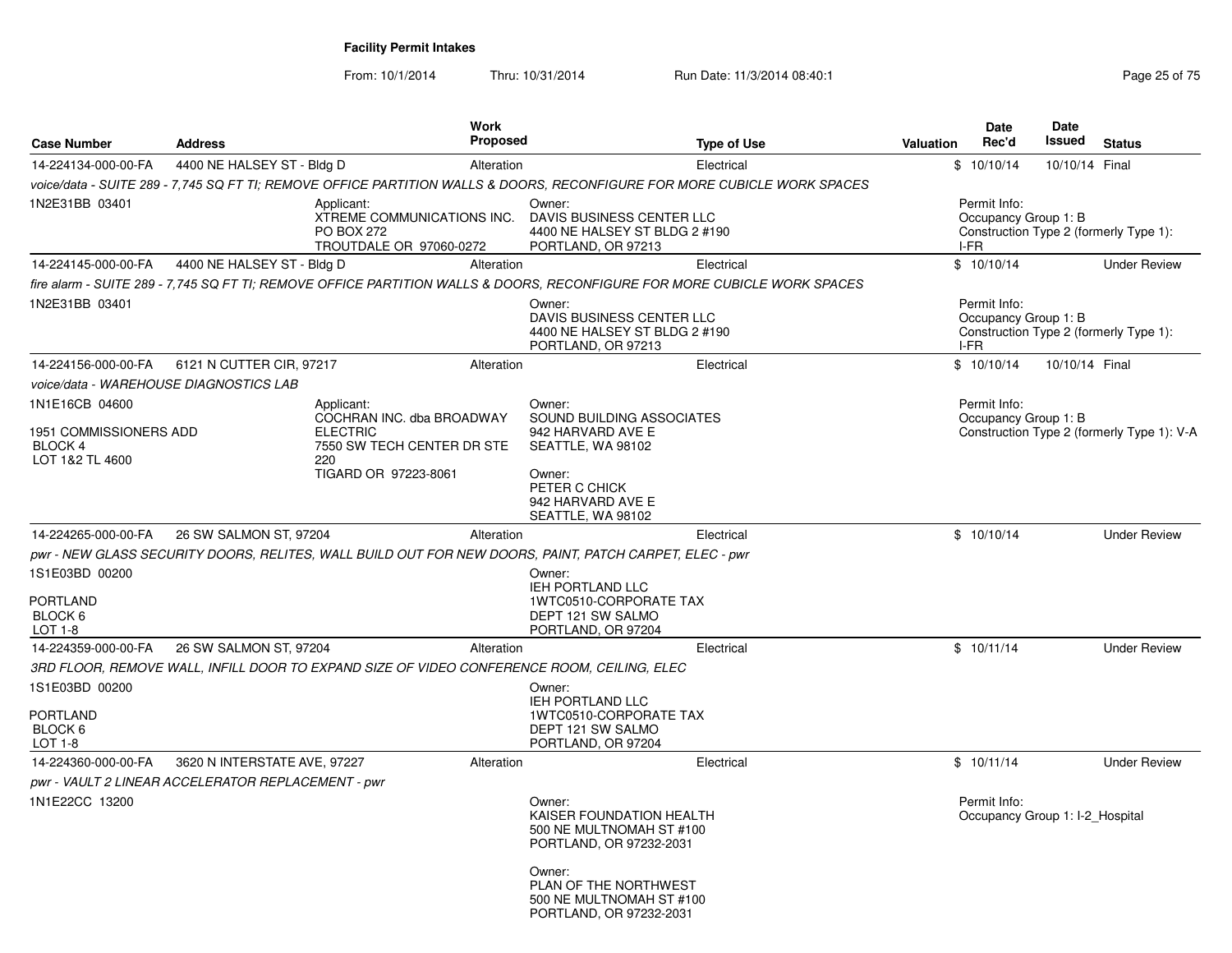| <b>Case Number</b>                                                            | <b>Address</b>                                     |                                                                                                                         | <b>Work</b><br><b>Proposed</b> |                                                                                                                                                    | <b>Type of Use</b>                                                                                                       | <b>Valuation</b> | Date<br>Rec'd                                | <b>Date</b><br>Issued           | <b>Status</b>                              |
|-------------------------------------------------------------------------------|----------------------------------------------------|-------------------------------------------------------------------------------------------------------------------------|--------------------------------|----------------------------------------------------------------------------------------------------------------------------------------------------|--------------------------------------------------------------------------------------------------------------------------|------------------|----------------------------------------------|---------------------------------|--------------------------------------------|
| 14-224134-000-00-FA                                                           | 4400 NE HALSEY ST - Bldg D                         |                                                                                                                         | Alteration                     |                                                                                                                                                    | Electrical                                                                                                               |                  | \$10/10/14                                   | 10/10/14 Final                  |                                            |
|                                                                               |                                                    |                                                                                                                         |                                |                                                                                                                                                    | voice/data - SUITE 289 - 7,745 SQ FT TI; REMOVE OFFICE PARTITION WALLS & DOORS, RECONFIGURE FOR MORE CUBICLE WORK SPACES |                  |                                              |                                 |                                            |
| 1N2E31BB 03401                                                                |                                                    | Applicant:<br>XTREME COMMUNICATIONS INC.<br><b>PO BOX 272</b><br>TROUTDALE OR 97060-0272                                |                                | Owner:<br>DAVIS BUSINESS CENTER LLC<br>4400 NE HALSEY ST BLDG 2 #190<br>PORTLAND, OR 97213                                                         |                                                                                                                          |                  | Permit Info:<br>Occupancy Group 1: B<br>I-FR |                                 | Construction Type 2 (formerly Type 1):     |
| 14-224145-000-00-FA                                                           | 4400 NE HALSEY ST - Bldg D                         |                                                                                                                         | Alteration                     |                                                                                                                                                    | Electrical                                                                                                               |                  | \$10/10/14                                   |                                 | <b>Under Review</b>                        |
|                                                                               |                                                    |                                                                                                                         |                                |                                                                                                                                                    | fire alarm - SUITE 289 - 7,745 SQ FT TI; REMOVE OFFICE PARTITION WALLS & DOORS, RECONFIGURE FOR MORE CUBICLE WORK SPACES |                  |                                              |                                 |                                            |
| 1N2E31BB 03401                                                                |                                                    |                                                                                                                         |                                | Owner:<br>DAVIS BUSINESS CENTER LLC<br>4400 NE HALSEY ST BLDG 2 #190<br>PORTLAND, OR 97213                                                         |                                                                                                                          |                  | Permit Info:<br>Occupancy Group 1: B<br>I-FR |                                 | Construction Type 2 (formerly Type 1):     |
| 14-224156-000-00-FA                                                           | 6121 N CUTTER CIR, 97217                           |                                                                                                                         | Alteration                     |                                                                                                                                                    | Electrical                                                                                                               |                  | \$10/10/14                                   | 10/10/14 Final                  |                                            |
|                                                                               | voice/data - WAREHOUSE DIAGNOSTICS LAB             |                                                                                                                         |                                |                                                                                                                                                    |                                                                                                                          |                  |                                              |                                 |                                            |
| 1N1E16CB 04600<br>1951 COMMISSIONERS ADD<br><b>BLOCK 4</b><br>LOT 1&2 TL 4600 |                                                    | Applicant:<br>COCHRAN INC. dba BROADWAY<br><b>ELECTRIC</b><br>7550 SW TECH CENTER DR STE<br>220<br>TIGARD OR 97223-8061 |                                | Owner:<br>SOUND BUILDING ASSOCIATES<br>942 HARVARD AVE E<br>SEATTLE, WA 98102<br>Owner:<br>PETER C CHICK<br>942 HARVARD AVE E<br>SEATTLE, WA 98102 |                                                                                                                          |                  | Permit Info:<br>Occupancy Group 1: B         |                                 | Construction Type 2 (formerly Type 1): V-A |
| 14-224265-000-00-FA                                                           | 26 SW SALMON ST, 97204                             |                                                                                                                         | Alteration                     |                                                                                                                                                    | Electrical                                                                                                               |                  | \$10/10/14                                   |                                 | <b>Under Review</b>                        |
|                                                                               |                                                    |                                                                                                                         |                                | pwr - NEW GLASS SECURITY DOORS, RELITES, WALL BUILD OUT FOR NEW DOORS, PAINT, PATCH CARPET, ELEC - pwr                                             |                                                                                                                          |                  |                                              |                                 |                                            |
| 1S1E03BD 00200<br><b>PORTLAND</b><br>BLOCK 6<br>LOT 1-8                       |                                                    |                                                                                                                         |                                | Owner:<br><b>IEH PORTLAND LLC</b><br><b>1WTC0510-CORPORATE TAX</b><br>DEPT 121 SW SALMO<br>PORTLAND, OR 97204                                      |                                                                                                                          |                  |                                              |                                 |                                            |
| 14-224359-000-00-FA                                                           | 26 SW SALMON ST, 97204                             |                                                                                                                         | Alteration                     |                                                                                                                                                    | Electrical                                                                                                               |                  | \$10/11/14                                   |                                 | <b>Under Review</b>                        |
|                                                                               |                                                    |                                                                                                                         |                                | 3RD FLOOR, REMOVE WALL, INFILL DOOR TO EXPAND SIZE OF VIDEO CONFERENCE ROOM, CEILING, ELEC                                                         |                                                                                                                          |                  |                                              |                                 |                                            |
| 1S1E03BD 00200<br><b>PORTLAND</b><br>BLOCK 6<br>LOT 1-8                       |                                                    |                                                                                                                         |                                | Owner:<br><b>IEH PORTLAND LLC</b><br>1WTC0510-CORPORATE TAX<br>DEPT 121 SW SALMO<br>PORTLAND, OR 97204                                             |                                                                                                                          |                  |                                              |                                 |                                            |
| 14-224360-000-00-FA                                                           | 3620 N INTERSTATE AVE, 97227                       |                                                                                                                         | Alteration                     |                                                                                                                                                    | Electrical                                                                                                               |                  | \$10/11/14                                   |                                 | <b>Under Review</b>                        |
|                                                                               | pwr - VAULT 2 LINEAR ACCELERATOR REPLACEMENT - pwr |                                                                                                                         |                                |                                                                                                                                                    |                                                                                                                          |                  |                                              |                                 |                                            |
| 1N1E22CC 13200                                                                |                                                    |                                                                                                                         |                                | Owner:<br>KAISER FOUNDATION HEALTH<br>500 NE MULTNOMAH ST #100<br>PORTLAND, OR 97232-2031                                                          |                                                                                                                          |                  | Permit Info:                                 | Occupancy Group 1: I-2 Hospital |                                            |
|                                                                               |                                                    |                                                                                                                         |                                | Owner:<br>PLAN OF THE NORTHWEST<br>500 NE MULTNOMAH ST #100<br>PORTLAND, OR 97232-2031                                                             |                                                                                                                          |                  |                                              |                                 |                                            |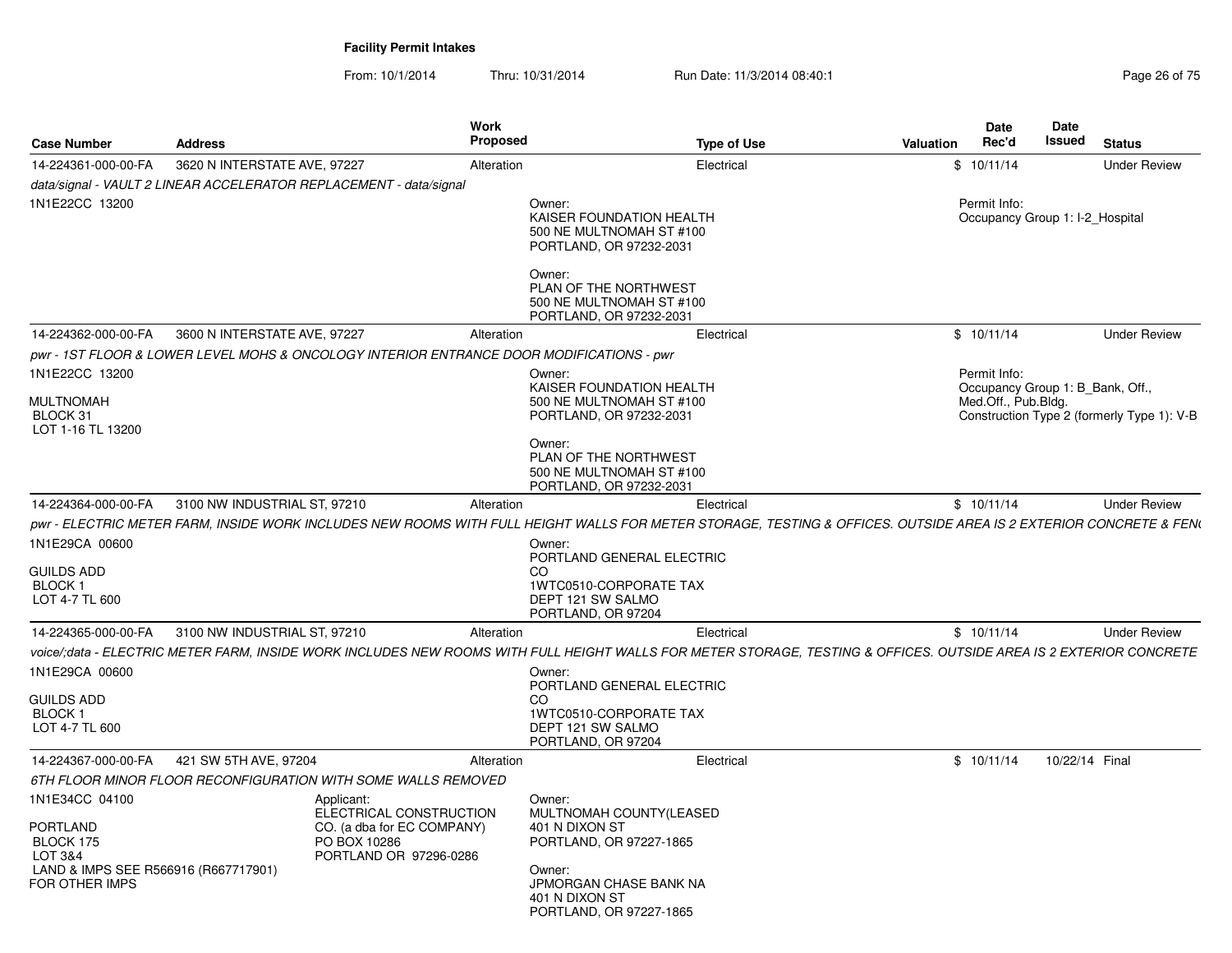|                                                                                                              |                              | <b>Work</b><br>Proposed                                                                                                                                            |                                                                                                                    |                    |           | Date                                                                    | Date<br>Issued |                                            |
|--------------------------------------------------------------------------------------------------------------|------------------------------|--------------------------------------------------------------------------------------------------------------------------------------------------------------------|--------------------------------------------------------------------------------------------------------------------|--------------------|-----------|-------------------------------------------------------------------------|----------------|--------------------------------------------|
| <b>Case Number</b>                                                                                           | <b>Address</b>               |                                                                                                                                                                    |                                                                                                                    | <b>Type of Use</b> | Valuation | Rec'd                                                                   |                | <b>Status</b>                              |
| 14-224361-000-00-FA                                                                                          | 3620 N INTERSTATE AVE, 97227 | Alteration                                                                                                                                                         |                                                                                                                    | Electrical         |           | \$10/11/14                                                              |                | <b>Under Review</b>                        |
|                                                                                                              |                              | data/signal - VAULT 2 LINEAR ACCELERATOR REPLACEMENT - data/signal                                                                                                 |                                                                                                                    |                    |           |                                                                         |                |                                            |
| 1N1E22CC 13200                                                                                               |                              |                                                                                                                                                                    | Owner:<br>KAISER FOUNDATION HEALTH<br>500 NE MULTNOMAH ST #100<br>PORTLAND, OR 97232-2031                          |                    |           | Permit Info:<br>Occupancy Group 1: I-2_Hospital                         |                |                                            |
|                                                                                                              |                              |                                                                                                                                                                    | Owner:<br>PLAN OF THE NORTHWEST<br>500 NE MULTNOMAH ST #100<br>PORTLAND, OR 97232-2031                             |                    |           |                                                                         |                |                                            |
| 14-224362-000-00-FA                                                                                          | 3600 N INTERSTATE AVE, 97227 | Alteration                                                                                                                                                         |                                                                                                                    | Electrical         |           | \$10/11/14                                                              |                | <b>Under Review</b>                        |
|                                                                                                              |                              | pwr - 1ST FLOOR & LOWER LEVEL MOHS & ONCOLOGY INTERIOR ENTRANCE DOOR MODIFICATIONS - pwr                                                                           |                                                                                                                    |                    |           |                                                                         |                |                                            |
| 1N1E22CC 13200<br><b>MULTNOMAH</b>                                                                           |                              |                                                                                                                                                                    | Owner:<br>KAISER FOUNDATION HEALTH<br>500 NE MULTNOMAH ST #100                                                     |                    |           | Permit Info:<br>Occupancy Group 1: B_Bank, Off.,<br>Med.Off., Pub.Bldg. |                |                                            |
| BLOCK 31<br>LOT 1-16 TL 13200                                                                                |                              |                                                                                                                                                                    | PORTLAND, OR 97232-2031<br>Owner:<br>PLAN OF THE NORTHWEST                                                         |                    |           |                                                                         |                | Construction Type 2 (formerly Type 1): V-B |
|                                                                                                              |                              |                                                                                                                                                                    | 500 NE MULTNOMAH ST #100<br>PORTLAND, OR 97232-2031                                                                |                    |           |                                                                         |                |                                            |
| 14-224364-000-00-FA                                                                                          | 3100 NW INDUSTRIAL ST, 97210 | Alteration                                                                                                                                                         |                                                                                                                    | Electrical         |           | \$10/11/14                                                              |                | <b>Under Review</b>                        |
|                                                                                                              |                              | pwr - ELECTRIC METER FARM, INSIDE WORK INCLUDES NEW ROOMS WITH FULL HEIGHT WALLS FOR METER STORAGE, TESTING & OFFICES. OUTSIDE AREA IS 2 EXTERIOR CONCRETE & FEN(  |                                                                                                                    |                    |           |                                                                         |                |                                            |
| 1N1E29CA 00600                                                                                               |                              |                                                                                                                                                                    | Owner:<br>PORTLAND GENERAL ELECTRIC                                                                                |                    |           |                                                                         |                |                                            |
| <b>GUILDS ADD</b><br>BLOCK 1<br>LOT 4-7 TL 600                                                               |                              |                                                                                                                                                                    | CO.<br>1WTC0510-CORPORATE TAX<br>DEPT 121 SW SALMO<br>PORTLAND, OR 97204                                           |                    |           |                                                                         |                |                                            |
| 14-224365-000-00-FA                                                                                          | 3100 NW INDUSTRIAL ST, 97210 | Alteration                                                                                                                                                         |                                                                                                                    | Electrical         |           | \$10/11/14                                                              |                | <b>Under Review</b>                        |
|                                                                                                              |                              | voice/:data - ELECTRIC METER FARM. INSIDE WORK INCLUDES NEW ROOMS WITH FULL HEIGHT WALLS FOR METER STORAGE. TESTING & OFFICES. OUTSIDE AREA IS 2 EXTERIOR CONCRETE |                                                                                                                    |                    |           |                                                                         |                |                                            |
| 1N1E29CA 00600                                                                                               |                              |                                                                                                                                                                    | Owner:<br>PORTLAND GENERAL ELECTRIC                                                                                |                    |           |                                                                         |                |                                            |
| <b>GUILDS ADD</b><br>BLOCK 1<br>LOT 4-7 TL 600                                                               |                              |                                                                                                                                                                    | <b>CO</b><br>1WTC0510-CORPORATE TAX<br>DEPT 121 SW SALMO<br>PORTLAND, OR 97204                                     |                    |           |                                                                         |                |                                            |
| 14-224367-000-00-FA                                                                                          | 421 SW 5TH AVE, 97204        | Alteration                                                                                                                                                         |                                                                                                                    | Electrical         |           | \$10/11/14                                                              | 10/22/14 Final |                                            |
|                                                                                                              |                              |                                                                                                                                                                    |                                                                                                                    |                    |           |                                                                         |                |                                            |
|                                                                                                              |                              | 6TH FLOOR MINOR FLOOR RECONFIGURATION WITH SOME WALLS REMOVED                                                                                                      |                                                                                                                    |                    |           |                                                                         |                |                                            |
| 1N1E34CC 04100<br>PORTLAND<br>BLOCK 175<br>LOT 3&4<br>LAND & IMPS SEE R566916 (R667717901)<br>FOR OTHER IMPS |                              | Applicant:<br>ELECTRICAL CONSTRUCTION<br>CO. (a dba for EC COMPANY)<br>PO BOX 10286<br>PORTLAND OR 97296-0286                                                      | Owner:<br>MULTNOMAH COUNTY(LEASED<br>401 N DIXON ST<br>PORTLAND, OR 97227-1865<br>Owner:<br>JPMORGAN CHASE BANK NA |                    |           |                                                                         |                |                                            |
|                                                                                                              |                              |                                                                                                                                                                    | 401 N DIXON ST<br>PORTLAND, OR 97227-1865                                                                          |                    |           |                                                                         |                |                                            |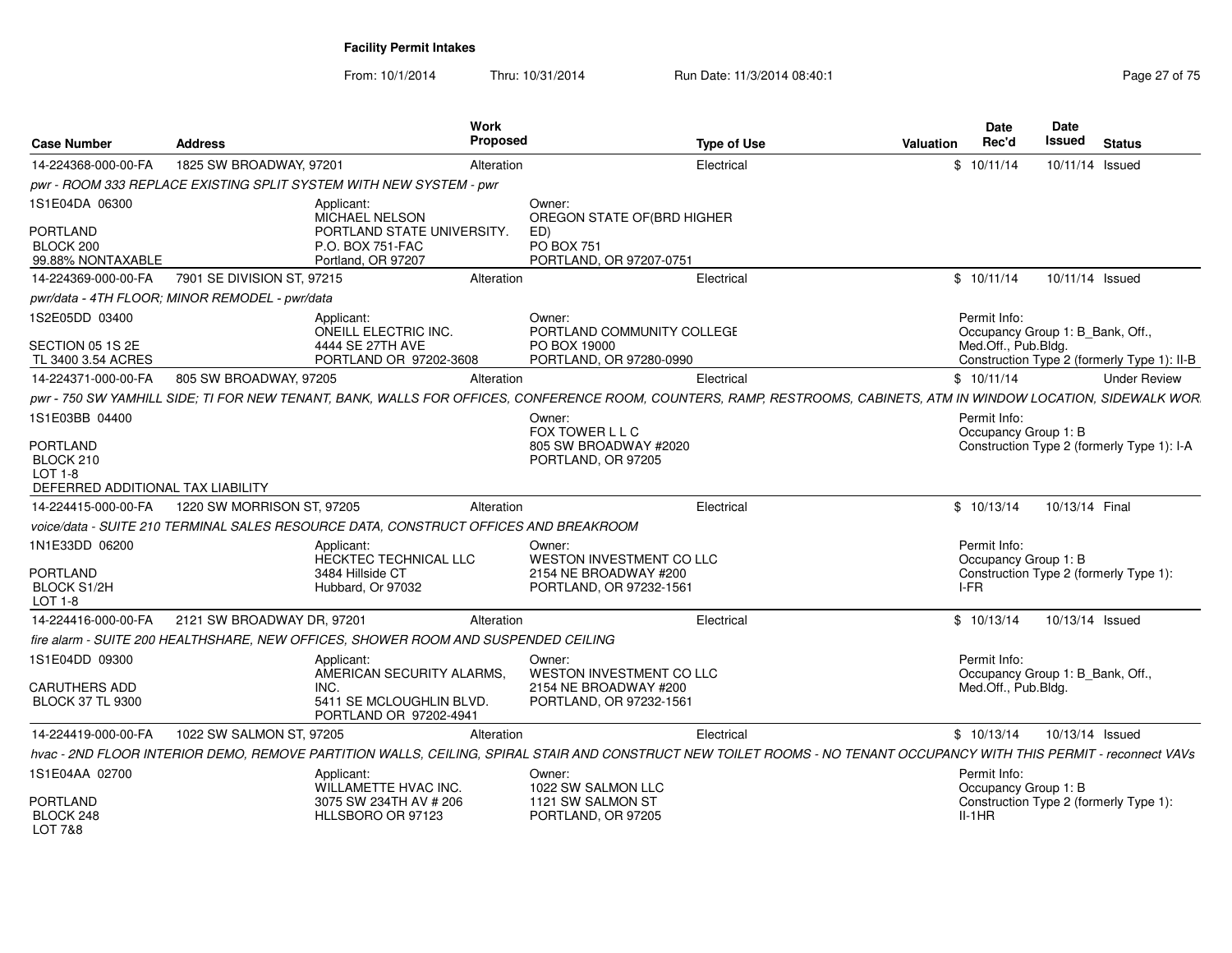| Page 27 of 75 |  |
|---------------|--|

| <b>Case Number</b>                                                                  | <b>Address</b>                                 |                                                                                      | Work<br>Proposed | <b>Type of Use</b>                                                                                                                                                   | Valuation | Date<br>Rec'd | <b>Date</b><br><b>Issued</b>     |                | <b>Status</b>                               |
|-------------------------------------------------------------------------------------|------------------------------------------------|--------------------------------------------------------------------------------------|------------------|----------------------------------------------------------------------------------------------------------------------------------------------------------------------|-----------|---------------|----------------------------------|----------------|---------------------------------------------|
| 14-224368-000-00-FA                                                                 | 1825 SW BROADWAY, 97201                        |                                                                                      | Alteration       | Electrical                                                                                                                                                           |           | \$10/11/14    |                                  |                | 10/11/14 Issued                             |
|                                                                                     |                                                | pwr - ROOM 333 REPLACE EXISTING SPLIT SYSTEM WITH NEW SYSTEM - pwr                   |                  |                                                                                                                                                                      |           |               |                                  |                |                                             |
| 1S1E04DA 06300<br><b>PORTLAND</b>                                                   |                                                | Applicant:<br>MICHAEL NELSON<br>PORTLAND STATE UNIVERSITY.                           |                  | Owner:<br>OREGON STATE OF (BRD HIGHER<br>ED)                                                                                                                         |           |               |                                  |                |                                             |
| BLOCK 200<br>99.88% NONTAXABLE                                                      |                                                | P.O. BOX 751-FAC<br>Portland, OR 97207                                               |                  | <b>PO BOX 751</b><br>PORTLAND, OR 97207-0751                                                                                                                         |           |               |                                  |                |                                             |
| 14-224369-000-00-FA                                                                 | 7901 SE DIVISION ST, 97215                     |                                                                                      | Alteration       | Electrical                                                                                                                                                           |           | \$10/11/14    |                                  |                | 10/11/14 Issued                             |
|                                                                                     | pwr/data - 4TH FLOOR; MINOR REMODEL - pwr/data |                                                                                      |                  |                                                                                                                                                                      |           |               |                                  |                |                                             |
| 1S2E05DD 03400                                                                      |                                                | Applicant:<br>ONEILL ELECTRIC INC.                                                   |                  | Owner:<br>PORTLAND COMMUNITY COLLEGE                                                                                                                                 |           | Permit Info:  | Occupancy Group 1: B_Bank, Off., |                |                                             |
| SECTION 05 1S 2E<br>TL 3400 3.54 ACRES                                              |                                                | 4444 SE 27TH AVE<br>PORTLAND OR 97202-3608                                           |                  | PO BOX 19000<br>PORTLAND, OR 97280-0990                                                                                                                              |           |               | Med.Off., Pub.Bldg.              |                | Construction Type 2 (formerly Type 1): II-B |
| 14-224371-000-00-FA                                                                 | 805 SW BROADWAY, 97205                         |                                                                                      | Alteration       | Electrical                                                                                                                                                           |           | \$10/11/14    |                                  |                | <b>Under Review</b>                         |
|                                                                                     |                                                |                                                                                      |                  | pwr - 750 SW YAMHILL SIDE; TI FOR NEW TENANT, BANK, WALLS FOR OFFICES, CONFERENCE ROOM, COUNTERS, RAMP, RESTROOMS, CABINETS, ATM IN WINDOW LOCATION, SIDEWALK WOR    |           |               |                                  |                |                                             |
| 1S1E03BB 04400                                                                      |                                                |                                                                                      |                  | Owner:                                                                                                                                                               |           | Permit Info:  |                                  |                |                                             |
| <b>PORTLAND</b><br>BLOCK 210<br><b>LOT 1-8</b><br>DEFERRED ADDITIONAL TAX LIABILITY |                                                |                                                                                      |                  | FOX TOWER L L C<br>805 SW BROADWAY #2020<br>PORTLAND, OR 97205                                                                                                       |           |               | Occupancy Group 1: B             |                | Construction Type 2 (formerly Type 1): I-A  |
| 14-224415-000-00-FA                                                                 | 1220 SW MORRISON ST, 97205                     |                                                                                      | Alteration       | Electrical                                                                                                                                                           |           | \$10/13/14    |                                  | 10/13/14 Final |                                             |
|                                                                                     |                                                | voice/data - SUITE 210 TERMINAL SALES RESOURCE DATA, CONSTRUCT OFFICES AND BREAKROOM |                  |                                                                                                                                                                      |           |               |                                  |                |                                             |
| 1N1E33DD 06200                                                                      |                                                | Applicant:<br><b>HECKTEC TECHNICAL LLC</b>                                           |                  | Owner:<br>WESTON INVESTMENT CO LLC                                                                                                                                   |           | Permit Info:  | Occupancy Group 1: B             |                |                                             |
| <b>PORTLAND</b><br><b>BLOCK S1/2H</b><br>LOT 1-8                                    |                                                | 3484 Hillside CT<br>Hubbard, Or 97032                                                |                  | 2154 NE BROADWAY #200<br>PORTLAND, OR 97232-1561                                                                                                                     |           | I-FR          |                                  |                | Construction Type 2 (formerly Type 1):      |
| 14-224416-000-00-FA                                                                 | 2121 SW BROADWAY DR, 97201                     |                                                                                      | Alteration       | Electrical                                                                                                                                                           |           | \$10/13/14    |                                  |                | 10/13/14 Issued                             |
|                                                                                     |                                                | fire alarm - SUITE 200 HEALTHSHARE, NEW OFFICES, SHOWER ROOM AND SUSPENDED CEILING   |                  |                                                                                                                                                                      |           |               |                                  |                |                                             |
| 1S1E04DD 09300                                                                      |                                                | Applicant:<br>AMERICAN SECURITY ALARMS.                                              |                  | Owner:<br>WESTON INVESTMENT CO LLC                                                                                                                                   |           | Permit Info:  | Occupancy Group 1: B_Bank, Off., |                |                                             |
| <b>CARUTHERS ADD</b><br><b>BLOCK 37 TL 9300</b>                                     |                                                | INC.<br>5411 SE MCLOUGHLIN BLVD.<br>PORTLAND OR 97202-4941                           |                  | 2154 NE BROADWAY #200<br>PORTLAND, OR 97232-1561                                                                                                                     |           |               | Med.Off., Pub.Bldg.              |                |                                             |
| 14-224419-000-00-FA                                                                 | 1022 SW SALMON ST, 97205                       |                                                                                      | Alteration       | Electrical                                                                                                                                                           |           | \$10/13/14    |                                  |                | 10/13/14 Issued                             |
|                                                                                     |                                                |                                                                                      |                  | hvac - 2ND FLOOR INTERIOR DEMO, REMOVE PARTITION WALLS, CEILING, SPIRAL STAIR AND CONSTRUCT NEW TOILET ROOMS - NO TENANT OCCUPANCY WITH THIS PERMIT - reconnect VAVs |           |               |                                  |                |                                             |
| 1S1E04AA 02700                                                                      |                                                | Applicant:<br>WILLAMETTE HVAC INC.                                                   |                  | Owner:<br>1022 SW SALMON LLC                                                                                                                                         |           | Permit Info:  | Occupancy Group 1: B             |                |                                             |
| <b>PORTLAND</b><br>BLOCK 248<br><b>LOT 7&amp;8</b>                                  |                                                | 3075 SW 234TH AV # 206<br>HLLSBORO OR 97123                                          |                  | 1121 SW SALMON ST<br>PORTLAND, OR 97205                                                                                                                              |           | $II-1HR$      |                                  |                | Construction Type 2 (formerly Type 1):      |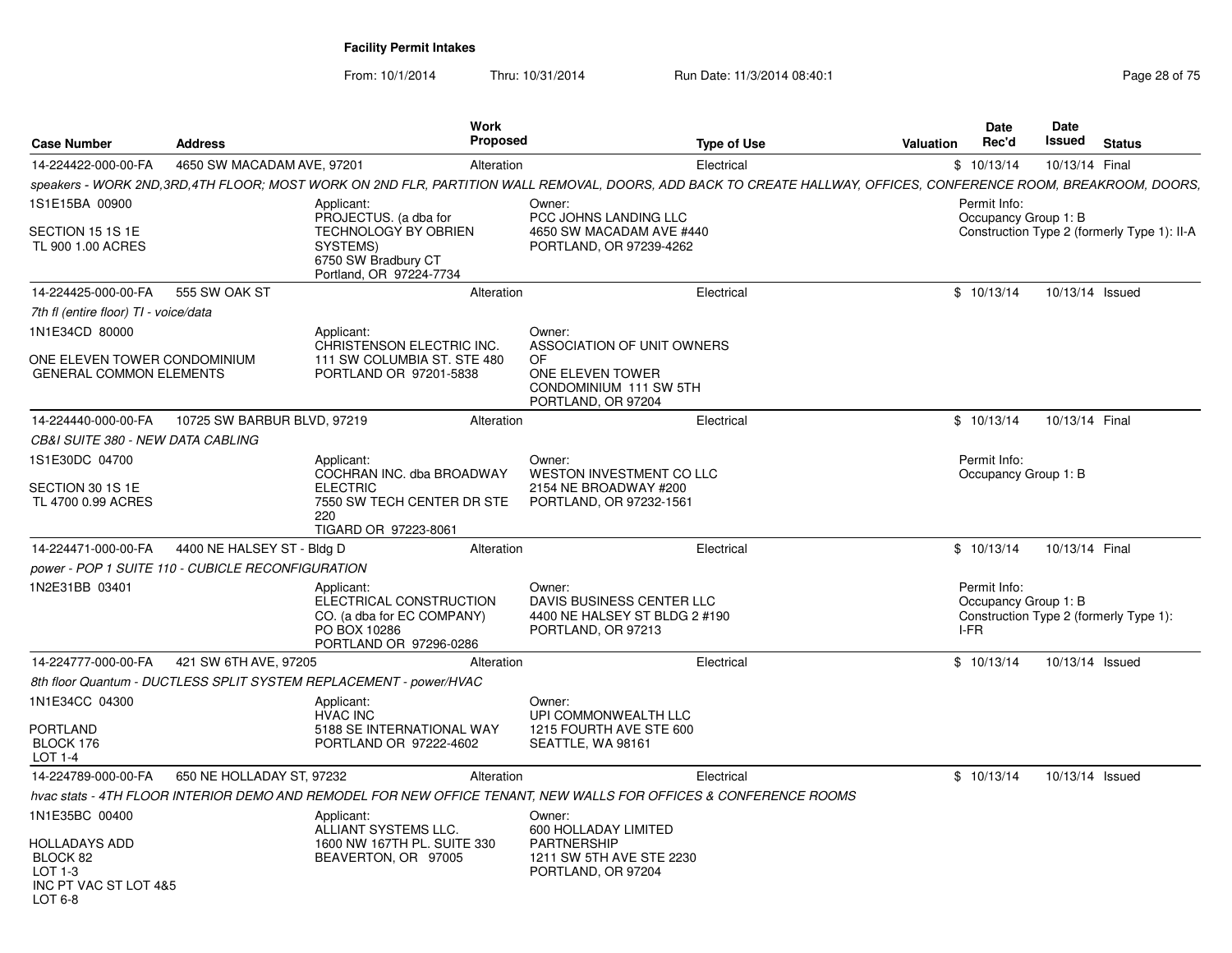|                                                                                  |                                                   | Work                                                                                                                             |                                                                                                                                                                 |           | Date                                                                                   | Date            |                                             |
|----------------------------------------------------------------------------------|---------------------------------------------------|----------------------------------------------------------------------------------------------------------------------------------|-----------------------------------------------------------------------------------------------------------------------------------------------------------------|-----------|----------------------------------------------------------------------------------------|-----------------|---------------------------------------------|
| <b>Case Number</b>                                                               | <b>Address</b>                                    | Proposed                                                                                                                         | <b>Type of Use</b>                                                                                                                                              | Valuation | Rec'd                                                                                  | Issued          | <b>Status</b>                               |
| 14-224422-000-00-FA                                                              | 4650 SW MACADAM AVE, 97201                        | Alteration                                                                                                                       | Electrical                                                                                                                                                      |           | \$10/13/14                                                                             | 10/13/14 Final  |                                             |
|                                                                                  |                                                   |                                                                                                                                  | speakers - WORK 2ND,3RD,4TH FLOOR; MOST WORK ON 2ND FLR, PARTITION WALL REMOVAL, DOORS, ADD BACK TO CREATE HALLWAY, OFFICES, CONFERENCE ROOM, BREAKROOM, DOORS, |           |                                                                                        |                 |                                             |
| 1S1E15BA 00900<br>SECTION 15 1S 1E<br>TL 900 1.00 ACRES                          |                                                   | Applicant:<br>PROJECTUS. (a dba for<br><b>TECHNOLOGY BY OBRIEN</b><br>SYSTEMS)<br>6750 SW Bradbury CT<br>Portland, OR 97224-7734 | Owner:<br>PCC JOHNS LANDING LLC<br>4650 SW MACADAM AVE #440<br>PORTLAND, OR 97239-4262                                                                          |           | Permit Info:<br>Occupancy Group 1: B                                                   |                 | Construction Type 2 (formerly Type 1): II-A |
| 14-224425-000-00-FA                                                              | 555 SW OAK ST                                     | Alteration                                                                                                                       | Electrical                                                                                                                                                      |           | \$10/13/14                                                                             | 10/13/14 Issued |                                             |
| 7th fl (entire floor) TI - voice/data                                            |                                                   |                                                                                                                                  |                                                                                                                                                                 |           |                                                                                        |                 |                                             |
| 1N1E34CD 80000<br>ONE ELEVEN TOWER CONDOMINIUM<br><b>GENERAL COMMON ELEMENTS</b> |                                                   | Applicant:<br>CHRISTENSON ELECTRIC INC.<br>111 SW COLUMBIA ST. STE 480<br>PORTLAND OR 97201-5838                                 | Owner:<br>ASSOCIATION OF UNIT OWNERS<br>OF.<br>ONE ELEVEN TOWER<br>CONDOMINIUM 111 SW 5TH<br>PORTLAND, OR 97204                                                 |           |                                                                                        |                 |                                             |
| 14-224440-000-00-FA                                                              | 10725 SW BARBUR BLVD, 97219                       | Alteration                                                                                                                       | Electrical                                                                                                                                                      |           | \$10/13/14                                                                             | 10/13/14 Final  |                                             |
| CB&I SUITE 380 - NEW DATA CABLING                                                |                                                   |                                                                                                                                  |                                                                                                                                                                 |           |                                                                                        |                 |                                             |
| 1S1E30DC 04700<br>SECTION 30 1S 1E<br>TL 4700 0.99 ACRES                         |                                                   | Applicant:<br>COCHRAN INC. dba BROADWAY<br><b>ELECTRIC</b><br>7550 SW TECH CENTER DR STE<br>220<br>TIGARD OR 97223-8061          | Owner:<br>WESTON INVESTMENT CO LLC<br>2154 NE BROADWAY #200<br>PORTLAND, OR 97232-1561                                                                          |           | Permit Info:<br>Occupancy Group 1: B                                                   |                 |                                             |
| 14-224471-000-00-FA                                                              | 4400 NE HALSEY ST - Bldg D                        | Alteration                                                                                                                       | Electrical                                                                                                                                                      |           | \$10/13/14                                                                             | 10/13/14 Final  |                                             |
|                                                                                  | power - POP 1 SUITE 110 - CUBICLE RECONFIGURATION |                                                                                                                                  |                                                                                                                                                                 |           |                                                                                        |                 |                                             |
| 1N2E31BB 03401                                                                   |                                                   | Applicant:<br>ELECTRICAL CONSTRUCTION<br>CO. (a dba for EC COMPANY)<br>PO BOX 10286<br>PORTLAND OR 97296-0286                    | Owner:<br>DAVIS BUSINESS CENTER LLC<br>4400 NE HALSEY ST BLDG 2 #190<br>PORTLAND, OR 97213                                                                      |           | Permit Info:<br>Occupancy Group 1: B<br>Construction Type 2 (formerly Type 1):<br>I-FR |                 |                                             |
| 14-224777-000-00-FA                                                              | 421 SW 6TH AVE, 97205                             | Alteration                                                                                                                       | Electrical                                                                                                                                                      |           | \$10/13/14                                                                             | 10/13/14 Issued |                                             |
|                                                                                  |                                                   | 8th floor Quantum - DUCTLESS SPLIT SYSTEM REPLACEMENT - power/HVAC                                                               |                                                                                                                                                                 |           |                                                                                        |                 |                                             |
| 1N1E34CC 04300<br>PORTLAND<br>BLOCK 176<br>LOT 1-4                               |                                                   | Applicant:<br><b>HVAC INC</b><br>5188 SE INTERNATIONAL WAY<br>PORTLAND OR 97222-4602                                             | Owner:<br>UPI COMMONWEALTH LLC<br>1215 FOURTH AVE STE 600<br>SEATTLE, WA 98161                                                                                  |           |                                                                                        |                 |                                             |
| 14-224789-000-00-FA                                                              | 650 NE HOLLADAY ST, 97232                         | Alteration                                                                                                                       | Electrical                                                                                                                                                      |           | \$10/13/14                                                                             | 10/13/14 Issued |                                             |
|                                                                                  |                                                   |                                                                                                                                  | hvac stats - 4TH FLOOR INTERIOR DEMO AND REMODEL FOR NEW OFFICE TENANT, NEW WALLS FOR OFFICES & CONFERENCE ROOMS                                                |           |                                                                                        |                 |                                             |
| 1N1E35BC 00400<br><b>HOLLADAYS ADD</b>                                           |                                                   | Applicant:<br>ALLIANT SYSTEMS LLC.<br>1600 NW 167TH PL. SUITE 330                                                                | Owner:<br>600 HOLLADAY LIMITED<br>PARTNERSHIP                                                                                                                   |           |                                                                                        |                 |                                             |
| BLOCK 82<br>LOT 1-3<br>INC PT VAC ST LOT 4&5<br>LOT $6-8$                        |                                                   | BEAVERTON, OR 97005                                                                                                              | 1211 SW 5TH AVE STE 2230<br>PORTLAND, OR 97204                                                                                                                  |           |                                                                                        |                 |                                             |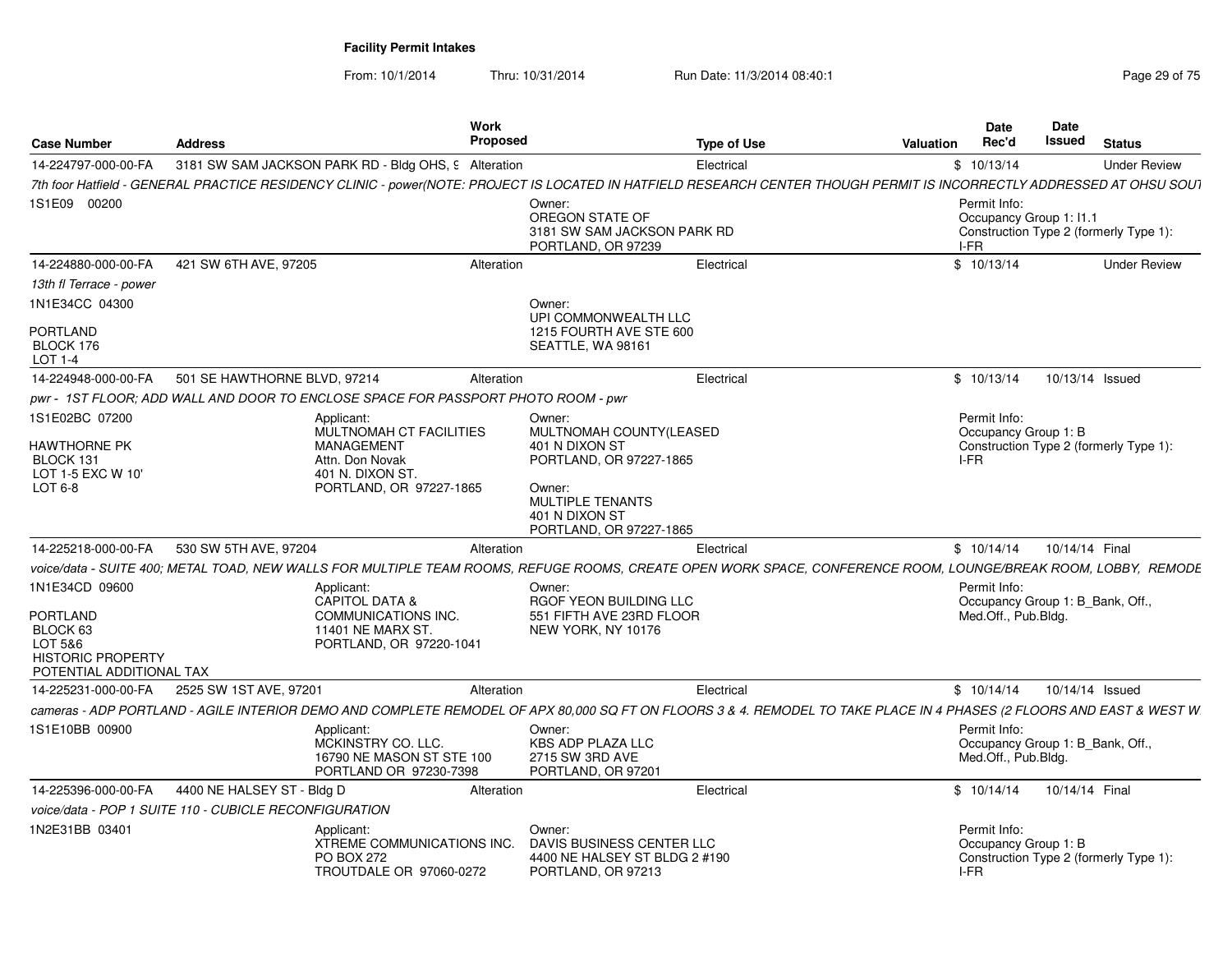From: 10/1/2014

Thru: 10/31/2014 Run Date: 11/3/2014 08:40:1

| <b>Case Number</b>                                   | <b>Address</b>                                                                    | Work<br>Proposed | <b>Type of Use</b>                                                                                                                                                     | Valuation | <b>Date</b><br>Rec'd                            | <b>Date</b><br>Issued | <b>Status</b>                          |
|------------------------------------------------------|-----------------------------------------------------------------------------------|------------------|------------------------------------------------------------------------------------------------------------------------------------------------------------------------|-----------|-------------------------------------------------|-----------------------|----------------------------------------|
| 14-224797-000-00-FA                                  | 3181 SW SAM JACKSON PARK RD - Bldg OHS, 9 Alteration                              |                  | Electrical                                                                                                                                                             |           | \$10/13/14                                      |                       | <b>Under Review</b>                    |
|                                                      |                                                                                   |                  | 7th foor Hatfield - GENERAL PRACTICE RESIDENCY CLINIC - power(NOTE: PROJECT IS LOCATED IN HATFIELD RESEARCH CENTER THOUGH PERMIT IS INCORRECTLY ADDRESSED AT OHSU SOUT |           |                                                 |                       |                                        |
| 1S1E09 00200                                         |                                                                                   |                  | Owner:<br>OREGON STATE OF<br>3181 SW SAM JACKSON PARK RD<br>PORTLAND, OR 97239                                                                                         |           | Permit Info:<br>Occupancy Group 1: 11.1<br>I-FR |                       | Construction Type 2 (formerly Type 1): |
| 14-224880-000-00-FA                                  | 421 SW 6TH AVE, 97205                                                             | Alteration       | Electrical                                                                                                                                                             |           | \$10/13/14                                      |                       | <b>Under Review</b>                    |
| 13th fl Terrace - power                              |                                                                                   |                  |                                                                                                                                                                        |           |                                                 |                       |                                        |
| 1N1E34CC 04300                                       |                                                                                   |                  | Owner:<br>UPI COMMONWEALTH LLC                                                                                                                                         |           |                                                 |                       |                                        |
| PORTLAND<br>BLOCK 176<br>LOT 1-4                     |                                                                                   |                  | 1215 FOURTH AVE STE 600<br>SEATTLE, WA 98161                                                                                                                           |           |                                                 |                       |                                        |
| 14-224948-000-00-FA                                  | 501 SE HAWTHORNE BLVD, 97214                                                      | Alteration       | Electrical                                                                                                                                                             |           | \$10/13/14                                      |                       | 10/13/14 Issued                        |
|                                                      | pwr - 1ST FLOOR; ADD WALL AND DOOR TO ENCLOSE SPACE FOR PASSPORT PHOTO ROOM - pwr |                  |                                                                                                                                                                        |           |                                                 |                       |                                        |
| 1S1E02BC 07200                                       | Applicant:<br>MULTNOMAH CT FACILITIES                                             |                  | Owner:<br>MULTNOMAH COUNTY(LEASED                                                                                                                                      |           | Permit Info:<br>Occupancy Group 1: B            |                       |                                        |
| HAWTHORNE PK<br>BLOCK 131                            | <b>MANAGEMENT</b><br>Attn. Don Novak                                              |                  | 401 N DIXON ST<br>PORTLAND, OR 97227-1865                                                                                                                              |           | I-FR                                            |                       | Construction Type 2 (formerly Type 1): |
| LOT 1-5 EXC W 10'                                    | 401 N. DIXON ST.                                                                  |                  |                                                                                                                                                                        |           |                                                 |                       |                                        |
| LOT 6-8                                              | PORTLAND, OR 97227-1865                                                           |                  | Owner:<br><b>MULTIPLE TENANTS</b><br>401 N DIXON ST<br>PORTLAND, OR 97227-1865                                                                                         |           |                                                 |                       |                                        |
| 14-225218-000-00-FA                                  | 530 SW 5TH AVE, 97204                                                             | Alteration       | Electrical                                                                                                                                                             |           | \$10/14/14                                      | 10/14/14 Final        |                                        |
|                                                      |                                                                                   |                  | voice/data - SUITE 400; METAL TOAD, NEW WALLS FOR MULTIPLE TEAM ROOMS, REFUGE ROOMS, CREATE OPEN WORK SPACE, CONFERENCE ROOM, LOUNGE/BREAK ROOM, LOBBY,  REMODE        |           |                                                 |                       |                                        |
| 1N1E34CD 09600                                       | Applicant:                                                                        |                  | Owner:                                                                                                                                                                 |           | Permit Info:                                    |                       |                                        |
|                                                      | <b>CAPITOL DATA &amp;</b>                                                         |                  | RGOF YEON BUILDING LLC                                                                                                                                                 |           | Occupancy Group 1: B_Bank, Off.,                |                       |                                        |
| PORTLAND<br>BLOCK 63                                 | COMMUNICATIONS INC.<br>11401 NE MARX ST.                                          |                  | 551 FIFTH AVE 23RD FLOOR<br>NEW YORK, NY 10176                                                                                                                         |           | Med.Off., Pub.Bldg.                             |                       |                                        |
| LOT 5&6                                              | PORTLAND, OR 97220-1041                                                           |                  |                                                                                                                                                                        |           |                                                 |                       |                                        |
| <b>HISTORIC PROPERTY</b><br>POTENTIAL ADDITIONAL TAX |                                                                                   |                  |                                                                                                                                                                        |           |                                                 |                       |                                        |
| 14-225231-000-00-FA                                  | 2525 SW 1ST AVE, 97201                                                            | Alteration       | Electrical                                                                                                                                                             |           | \$10/14/14                                      |                       | 10/14/14 Issued                        |
|                                                      |                                                                                   |                  | cameras - ADP PORTLAND - AGILE INTERIOR DEMO AND COMPLETE REMODEL OF APX 80.000 SQ FT ON FLOORS 3 & 4. REMODEL TO TAKE PLACE IN 4 PHASES (2 FLOORS AND EAST & WEST W   |           |                                                 |                       |                                        |
| 1S1E10BB 00900                                       | Applicant:                                                                        |                  | Owner:                                                                                                                                                                 |           | Permit Info:                                    |                       |                                        |
|                                                      | MCKINSTRY CO. LLC.                                                                |                  | <b>KBS ADP PLAZA LLC</b>                                                                                                                                               |           | Occupancy Group 1: B_Bank, Off.,                |                       |                                        |
|                                                      | 16790 NE MASON ST STE 100<br>PORTLAND OR 97230-7398                               |                  | 2715 SW 3RD AVE<br>PORTLAND, OR 97201                                                                                                                                  |           | Med.Off., Pub.Bldg.                             |                       |                                        |
| 14-225396-000-00-FA                                  | 4400 NE HALSEY ST - Bldg D                                                        | Alteration       | Electrical                                                                                                                                                             |           | \$10/14/14                                      | 10/14/14 Final        |                                        |
|                                                      | voice/data - POP 1 SUITE 110 - CUBICLE RECONFIGURATION                            |                  |                                                                                                                                                                        |           |                                                 |                       |                                        |
| 1N2E31BB 03401                                       | Applicant:                                                                        |                  | Owner:                                                                                                                                                                 |           | Permit Info:                                    |                       |                                        |
|                                                      | XTREME COMMUNICATIONS INC.                                                        |                  | DAVIS BUSINESS CENTER LLC                                                                                                                                              |           | Occupancy Group 1: B                            |                       |                                        |
|                                                      | <b>PO BOX 272</b><br>TROUTDALE OR 97060-0272                                      |                  | 4400 NE HALSEY ST BLDG 2 #190<br>PORTLAND, OR 97213                                                                                                                    |           | I-FR                                            |                       | Construction Type 2 (formerly Type 1): |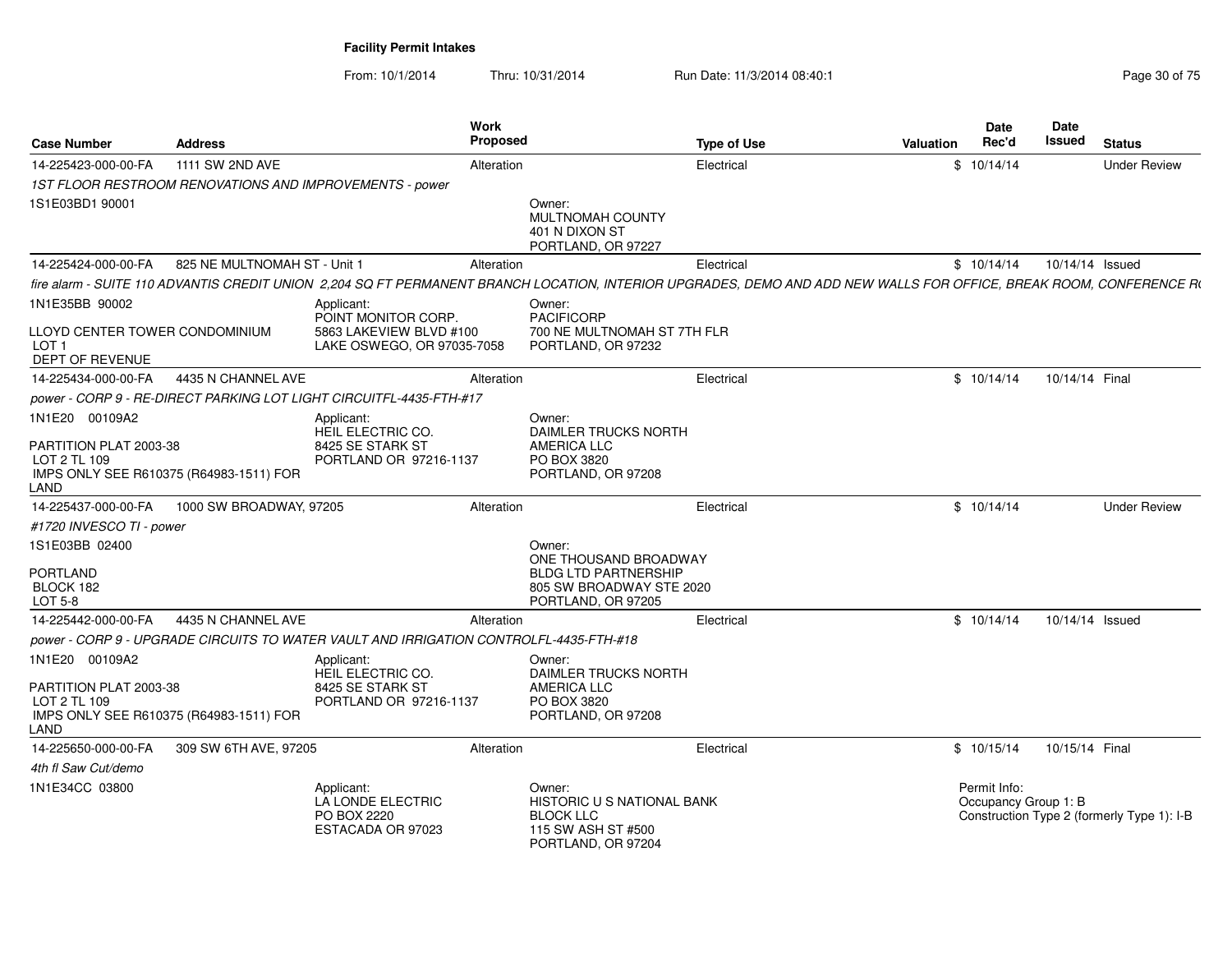| <b>Case Number</b>                                                    | <b>Address</b>                          | <b>Work</b><br><b>Proposed</b>                                                                                                                                      |                                                                                                                  | <b>Type of Use</b> | Valuation | Date<br>Rec'd                        | Date<br>Issued  | <b>Status</b>                              |
|-----------------------------------------------------------------------|-----------------------------------------|---------------------------------------------------------------------------------------------------------------------------------------------------------------------|------------------------------------------------------------------------------------------------------------------|--------------------|-----------|--------------------------------------|-----------------|--------------------------------------------|
| 14-225423-000-00-FA                                                   | 1111 SW 2ND AVE                         | Alteration                                                                                                                                                          |                                                                                                                  | Electrical         |           | \$10/14/14                           |                 | <b>Under Review</b>                        |
|                                                                       |                                         | 1ST FLOOR RESTROOM RENOVATIONS AND IMPROVEMENTS - power                                                                                                             |                                                                                                                  |                    |           |                                      |                 |                                            |
| 1S1E03BD1 90001                                                       |                                         |                                                                                                                                                                     | Owner:<br>MULTNOMAH COUNTY<br>401 N DIXON ST<br>PORTLAND, OR 97227                                               |                    |           |                                      |                 |                                            |
| 14-225424-000-00-FA                                                   | 825 NE MULTNOMAH ST - Unit 1            | Alteration                                                                                                                                                          |                                                                                                                  | Electrical         |           | \$10/14/14                           | 10/14/14 Issued |                                            |
|                                                                       |                                         | fire alarm - SUITE 110 ADVANTIS CREDIT UNION 2,204 SQ FT PERMANENT BRANCH LOCATION, INTERIOR UPGRADES, DEMO AND ADD NEW WALLS FOR OFFICE, BREAK ROOM, CONFERENCE RI |                                                                                                                  |                    |           |                                      |                 |                                            |
| 1N1E35BB 90002                                                        |                                         | Applicant:<br>POINT MONITOR CORP.                                                                                                                                   | Owner:<br><b>PACIFICORP</b>                                                                                      |                    |           |                                      |                 |                                            |
| LLOYD CENTER TOWER CONDOMINIUM<br>LOT <sub>1</sub><br>DEPT OF REVENUE |                                         | 5863 LAKEVIEW BLVD #100<br>LAKE OSWEGO, OR 97035-7058                                                                                                               | 700 NE MULTNOMAH ST 7TH FLR<br>PORTLAND, OR 97232                                                                |                    |           |                                      |                 |                                            |
| 14-225434-000-00-FA                                                   | 4435 N CHANNEL AVE                      | Alteration                                                                                                                                                          |                                                                                                                  | Electrical         |           | \$10/14/14                           | 10/14/14 Final  |                                            |
|                                                                       |                                         | power - CORP 9 - RE-DIRECT PARKING LOT LIGHT CIRCUITFL-4435-FTH-#17                                                                                                 |                                                                                                                  |                    |           |                                      |                 |                                            |
| 1N1E20 00109A2                                                        |                                         | Applicant:<br>HEIL ELECTRIC CO.                                                                                                                                     | Owner:<br><b>DAIMLER TRUCKS NORTH</b>                                                                            |                    |           |                                      |                 |                                            |
| PARTITION PLAT 2003-38<br>LOT 2 TL 109<br>LAND                        | IMPS ONLY SEE R610375 (R64983-1511) FOR | 8425 SE STARK ST<br>PORTLAND OR 97216-1137                                                                                                                          | <b>AMERICA LLC</b><br>PO BOX 3820<br>PORTLAND, OR 97208                                                          |                    |           |                                      |                 |                                            |
| 14-225437-000-00-FA                                                   | 1000 SW BROADWAY, 97205                 | Alteration                                                                                                                                                          |                                                                                                                  | Electrical         |           | \$10/14/14                           |                 | <b>Under Review</b>                        |
| #1720 INVESCO TI - power                                              |                                         |                                                                                                                                                                     |                                                                                                                  |                    |           |                                      |                 |                                            |
| 1S1E03BB 02400<br><b>PORTLAND</b><br>BLOCK 182<br>LOT 5-8             |                                         |                                                                                                                                                                     | Owner:<br>ONE THOUSAND BROADWAY<br><b>BLDG LTD PARTNERSHIP</b><br>805 SW BROADWAY STE 2020<br>PORTLAND, OR 97205 |                    |           |                                      |                 |                                            |
| 14-225442-000-00-FA                                                   | 4435 N CHANNEL AVE                      | Alteration                                                                                                                                                          |                                                                                                                  | Electrical         |           | \$10/14/14                           | 10/14/14 Issued |                                            |
|                                                                       |                                         | power - CORP 9 - UPGRADE CIRCUITS TO WATER VAULT AND IRRIGATION CONTROLFL-4435-FTH-#18                                                                              |                                                                                                                  |                    |           |                                      |                 |                                            |
| 1N1E20 00109A2                                                        |                                         | Applicant:                                                                                                                                                          | Owner:                                                                                                           |                    |           |                                      |                 |                                            |
| PARTITION PLAT 2003-38<br>LOT 2 TL 109<br>LAND                        | IMPS ONLY SEE R610375 (R64983-1511) FOR | HEIL ELECTRIC CO.<br>8425 SE STARK ST<br>PORTLAND OR 97216-1137                                                                                                     | DAIMLER TRUCKS NORTH<br>AMERICA LLC<br>PO BOX 3820<br>PORTLAND, OR 97208                                         |                    |           |                                      |                 |                                            |
| 14-225650-000-00-FA                                                   | 309 SW 6TH AVE, 97205                   | Alteration                                                                                                                                                          |                                                                                                                  | Electrical         |           | \$10/15/14                           | 10/15/14 Final  |                                            |
| 4th fl Saw Cut/demo                                                   |                                         |                                                                                                                                                                     |                                                                                                                  |                    |           |                                      |                 |                                            |
| 1N1E34CC 03800                                                        |                                         | Applicant:<br>LA LONDE ELECTRIC<br>PO BOX 2220<br>ESTACADA OR 97023                                                                                                 | Owner:<br>HISTORIC U S NATIONAL BANK<br><b>BLOCK LLC</b><br>115 SW ASH ST #500<br>PORTLAND, OR 97204             |                    |           | Permit Info:<br>Occupancy Group 1: B |                 | Construction Type 2 (formerly Type 1): I-B |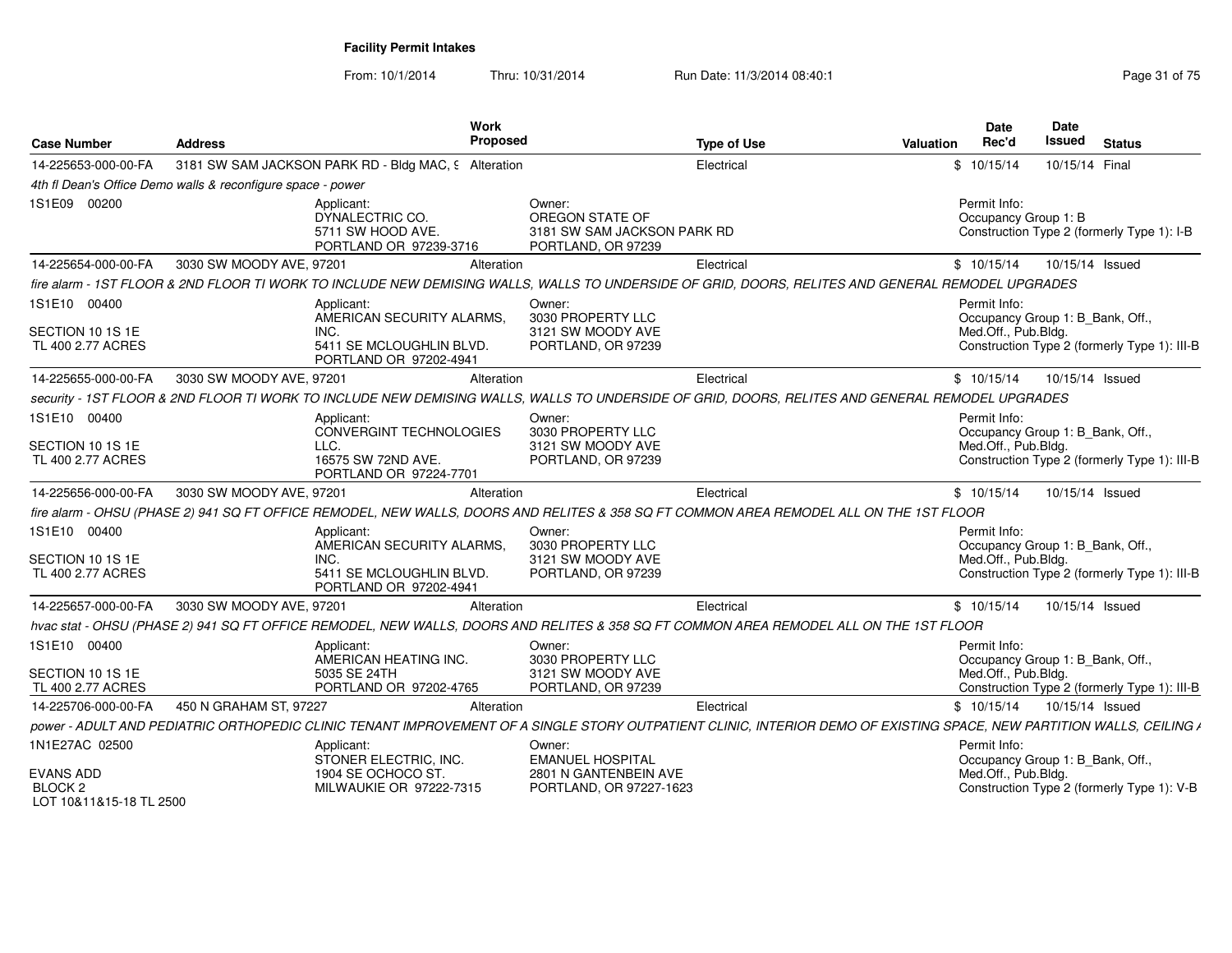| <b>Case Number</b>                            | <b>Address</b>                                              |                                                                  | Work<br>Proposed                                                                                                                                                      | <b>Type of Use</b> | <b>Valuation</b> | Date<br>Rec'd        | <b>Date</b><br><b>Issued</b><br><b>Status</b> |
|-----------------------------------------------|-------------------------------------------------------------|------------------------------------------------------------------|-----------------------------------------------------------------------------------------------------------------------------------------------------------------------|--------------------|------------------|----------------------|-----------------------------------------------|
| 14-225653-000-00-FA                           |                                                             | 3181 SW SAM JACKSON PARK RD - Bldg MAC, 9 Alteration             |                                                                                                                                                                       | Electrical         |                  | \$10/15/14           | 10/15/14 Final                                |
|                                               | 4th fl Dean's Office Demo walls & reconfigure space - power |                                                                  |                                                                                                                                                                       |                    |                  |                      |                                               |
| 1S1E09 00200                                  |                                                             | Applicant:                                                       | Owner:                                                                                                                                                                |                    |                  | Permit Info:         |                                               |
|                                               |                                                             | DYNALECTRIC CO.<br>5711 SW HOOD AVE.<br>PORTLAND OR 97239-3716   | OREGON STATE OF<br>3181 SW SAM JACKSON PARK RD<br>PORTLAND, OR 97239                                                                                                  |                    |                  | Occupancy Group 1: B | Construction Type 2 (formerly Type 1): I-B    |
| 14-225654-000-00-FA                           | 3030 SW MOODY AVE, 97201                                    |                                                                  | Alteration                                                                                                                                                            | Electrical         |                  | \$10/15/14           | 10/15/14 Issued                               |
|                                               |                                                             |                                                                  | fire alarm - 1ST FLOOR & 2ND FLOOR TI WORK TO INCLUDE NEW DEMISING WALLS, WALLS TO UNDERSIDE OF GRID, DOORS, RELITES AND GENERAL REMODEL UPGRADES                     |                    |                  |                      |                                               |
| 1S1E10 00400                                  |                                                             | Applicant:                                                       | Owner:                                                                                                                                                                |                    |                  | Permit Info:         |                                               |
|                                               |                                                             | AMERICAN SECURITY ALARMS,                                        | 3030 PROPERTY LLC                                                                                                                                                     |                    |                  |                      | Occupancy Group 1: B_Bank, Off.               |
| SECTION 10 1S 1E<br>TL 400 2.77 ACRES         |                                                             | <b>INC</b><br>5411 SE MCLOUGHLIN BLVD.<br>PORTLAND OR 97202-4941 | 3121 SW MOODY AVE<br>PORTLAND, OR 97239                                                                                                                               |                    |                  | Med.Off., Pub.Bldg.  | Construction Type 2 (formerly Type 1): III-B  |
| 14-225655-000-00-FA                           | 3030 SW MOODY AVE, 97201                                    |                                                                  | Alteration                                                                                                                                                            | Electrical         |                  | \$10/15/14           | 10/15/14 Issued                               |
|                                               |                                                             |                                                                  | security - 1ST FLOOR & 2ND FLOOR TI WORK TO INCLUDE NEW DEMISING WALLS, WALLS TO UNDERSIDE OF GRID, DOORS, RELITES AND GENERAL REMODEL UPGRADES                       |                    |                  |                      |                                               |
| 1S1E10 00400                                  |                                                             | Applicant:                                                       | Owner:                                                                                                                                                                |                    |                  | Permit Info:         |                                               |
|                                               |                                                             | CONVERGINT TECHNOLOGIES                                          | 3030 PROPERTY LLC                                                                                                                                                     |                    |                  |                      | Occupancy Group 1: B_Bank, Off.               |
| SECTION 10 1S 1E<br>TL 400 2.77 ACRES         |                                                             | LLC.<br>16575 SW 72ND AVE.                                       | 3121 SW MOODY AVE<br>PORTLAND, OR 97239                                                                                                                               |                    |                  | Med.Off., Pub.Bldg.  | Construction Type 2 (formerly Type 1): III-B  |
|                                               |                                                             | PORTLAND OR 97224-7701                                           |                                                                                                                                                                       |                    |                  |                      |                                               |
| 14-225656-000-00-FA                           | 3030 SW MOODY AVE, 97201                                    |                                                                  | Alteration                                                                                                                                                            | Electrical         |                  | \$10/15/14           | 10/15/14 Issued                               |
|                                               |                                                             |                                                                  | fire alarm - OHSU (PHASE 2) 941 SQ FT OFFICE REMODEL, NEW WALLS, DOORS AND RELITES & 358 SQ FT COMMON AREA REMODEL ALL ON THE 1ST FLOOR                               |                    |                  |                      |                                               |
| 1S1E10 00400                                  |                                                             | Applicant:                                                       | Owner:                                                                                                                                                                |                    |                  | Permit Info:         |                                               |
|                                               |                                                             | AMERICAN SECURITY ALARMS,                                        | 3030 PROPERTY LLC<br>3121 SW MOODY AVE                                                                                                                                |                    |                  |                      | Occupancy Group 1: B_Bank, Off.               |
| SECTION 10 1S 1E<br>TL 400 2.77 ACRES         |                                                             | INC.<br>5411 SE MCLOUGHLIN BLVD.                                 | PORTLAND, OR 97239                                                                                                                                                    |                    |                  | Med.Off., Pub.Bldg.  | Construction Type 2 (formerly Type 1): III-B  |
|                                               |                                                             | PORTLAND OR 97202-4941                                           |                                                                                                                                                                       |                    |                  |                      |                                               |
| 14-225657-000-00-FA                           | 3030 SW MOODY AVE, 97201                                    |                                                                  | Alteration                                                                                                                                                            | Electrical         |                  | \$10/15/14           | 10/15/14 Issued                               |
|                                               |                                                             |                                                                  | hvac stat - OHSU (PHASE 2) 941 SQ FT OFFICE REMODEL, NEW WALLS, DOORS AND RELITES & 358 SQ FT COMMON AREA REMODEL ALL ON THE 1ST FLOOR                                |                    |                  |                      |                                               |
| 1S1E10 00400                                  |                                                             | Applicant:                                                       | Owner:                                                                                                                                                                |                    |                  | Permit Info:         |                                               |
|                                               |                                                             | AMERICAN HEATING INC.                                            | 3030 PROPERTY LLC                                                                                                                                                     |                    |                  |                      | Occupancy Group 1: B_Bank, Off.,              |
| SECTION 10 1S 1E<br>TL 400 2.77 ACRES         |                                                             | 5035 SE 24TH<br>PORTLAND OR 97202-4765                           | 3121 SW MOODY AVE<br>PORTLAND, OR 97239                                                                                                                               |                    |                  | Med.Off., Pub.Bldg.  | Construction Type 2 (formerly Type 1): III-B  |
| 14-225706-000-00-FA                           | 450 N GRAHAM ST, 97227                                      |                                                                  | Alteration                                                                                                                                                            | Electrical         |                  | \$10/15/14           | 10/15/14 Issued                               |
|                                               |                                                             |                                                                  | power - ADULT AND PEDIATRIC ORTHOPEDIC CLINIC TENANT IMPROVEMENT OF A SINGLE STORY OUTPATIENT CLINIC, INTERIOR DEMO OF EXISTING SPACE, NEW PARTITION WALLS, CEILING A |                    |                  |                      |                                               |
| 1N1E27AC 02500                                |                                                             | Applicant:                                                       | Owner:                                                                                                                                                                |                    |                  | Permit Info:         |                                               |
|                                               |                                                             | STONER ELECTRIC, INC.                                            | <b>EMANUEL HOSPITAL</b>                                                                                                                                               |                    |                  |                      | Occupancy Group 1: B_Bank, Off.               |
| <b>EVANS ADD</b>                              |                                                             | 1904 SE OCHOCO ST                                                | 2801 N GANTENBEIN AVE                                                                                                                                                 |                    |                  | Med.Off., Pub.Bldg.  |                                               |
| BLOCK <sub>2</sub><br>LOT 10&11&15-18 TL 2500 |                                                             | MILWAUKIE OR 97222-7315                                          | PORTLAND, OR 97227-1623                                                                                                                                               |                    |                  |                      | Construction Type 2 (formerly Type 1): V-B    |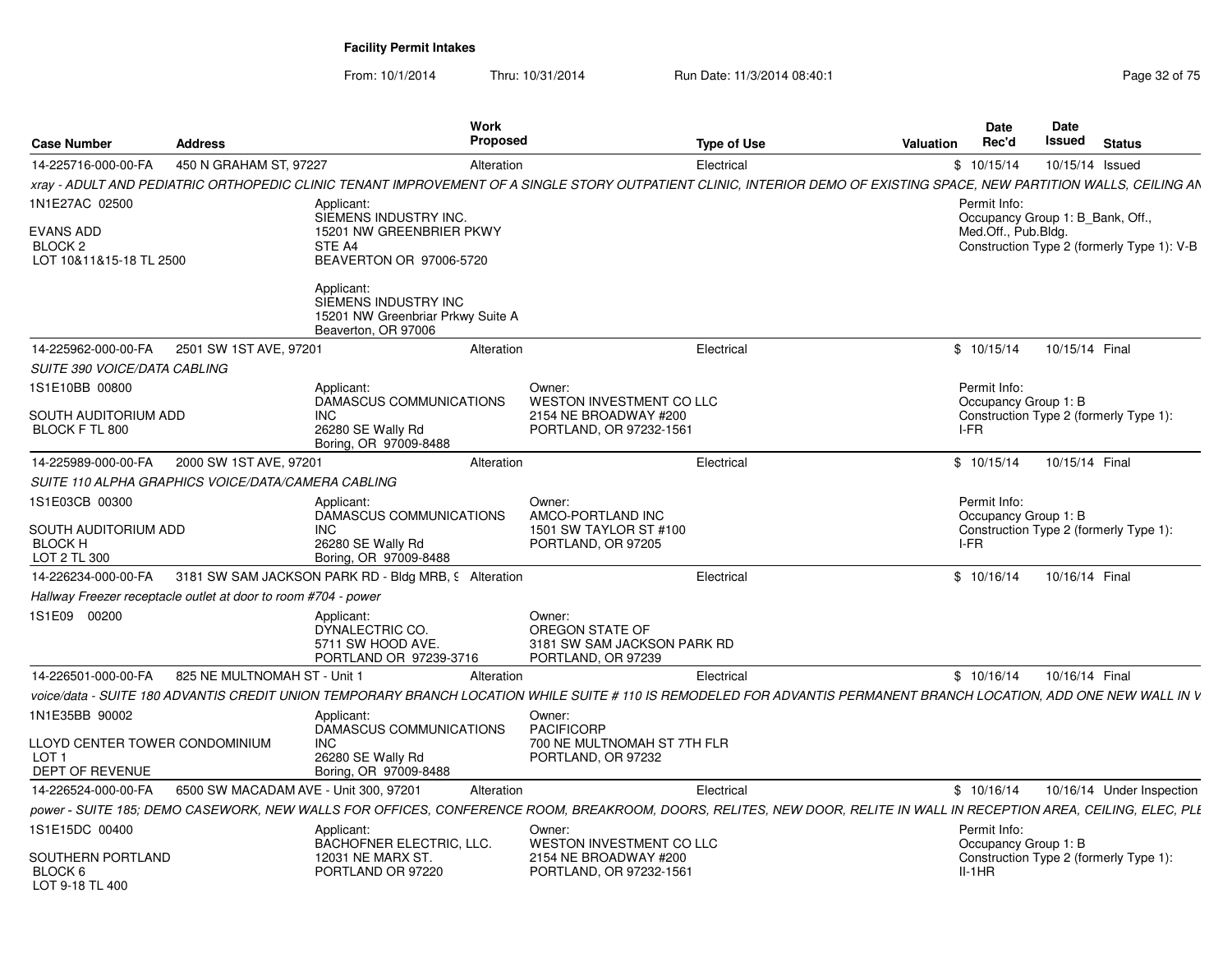| <b>Case Number</b>                                                           | <b>Address</b>                                                 | Work<br>Proposed                                                                                                                                                      |                                                                                               | <b>Type of Use</b> | Valuation | <b>Date</b><br>Rec'd                                                    | <b>Date</b><br>Issued | <b>Status</b>                              |
|------------------------------------------------------------------------------|----------------------------------------------------------------|-----------------------------------------------------------------------------------------------------------------------------------------------------------------------|-----------------------------------------------------------------------------------------------|--------------------|-----------|-------------------------------------------------------------------------|-----------------------|--------------------------------------------|
| 14-225716-000-00-FA                                                          | 450 N GRAHAM ST, 97227                                         | Alteration                                                                                                                                                            |                                                                                               | Electrical         |           | \$10/15/14                                                              |                       | 10/15/14 Issued                            |
|                                                                              |                                                                | xray - ADULT AND PEDIATRIC ORTHOPEDIC CLINIC TENANT IMPROVEMENT OF A SINGLE STORY OUTPATIENT CLINIC, INTERIOR DEMO OF EXISTING SPACE, NEW PARTITION WALLS, CEILING AN |                                                                                               |                    |           |                                                                         |                       |                                            |
| 1N1E27AC 02500<br>EVANS ADD<br>BLOCK <sub>2</sub><br>LOT 10&11&15-18 TL 2500 |                                                                | Applicant:<br>SIEMENS INDUSTRY INC.<br>15201 NW GREENBRIER PKWY<br>STE A4<br>BEAVERTON OR 97006-5720                                                                  |                                                                                               |                    |           | Permit Info:<br>Occupancy Group 1: B_Bank, Off.,<br>Med.Off., Pub.Bldg. |                       | Construction Type 2 (formerly Type 1): V-B |
|                                                                              |                                                                | Applicant:<br>SIEMENS INDUSTRY INC<br>15201 NW Greenbriar Prkwy Suite A<br>Beaverton, OR 97006                                                                        |                                                                                               |                    |           |                                                                         |                       |                                            |
| 14-225962-000-00-FA                                                          | 2501 SW 1ST AVE, 97201                                         | Alteration                                                                                                                                                            |                                                                                               | Electrical         |           | \$10/15/14                                                              | 10/15/14 Final        |                                            |
| SUITE 390 VOICE/DATA CABLING                                                 |                                                                |                                                                                                                                                                       |                                                                                               |                    |           |                                                                         |                       |                                            |
| IS1E10BB 00800<br>SOUTH AUDITORIUM ADD<br>BLOCK F TL 800                     |                                                                | Applicant:<br>DAMASCUS COMMUNICATIONS<br>INC.<br>26280 SE Wally Rd<br>Boring, OR 97009-8488                                                                           | Owner:<br><b>WESTON INVESTMENT CO LLC</b><br>2154 NE BROADWAY #200<br>PORTLAND, OR 97232-1561 |                    |           | Permit Info:<br>Occupancy Group 1: B<br>I-FR                            |                       | Construction Type 2 (formerly Type 1):     |
| 14-225989-000-00-FA                                                          | 2000 SW 1ST AVE, 97201                                         | Alteration                                                                                                                                                            |                                                                                               | Electrical         |           | \$10/15/14                                                              | 10/15/14 Final        |                                            |
|                                                                              | SUITE 110 ALPHA GRAPHICS VOICE/DATA/CAMERA CABLING             |                                                                                                                                                                       |                                                                                               |                    |           |                                                                         |                       |                                            |
| 1S1E03CB 00300<br>SOUTH AUDITORIUM ADD<br><b>BLOCK H</b><br>LOT 2 TL 300     |                                                                | Applicant:<br>DAMASCUS COMMUNICATIONS<br>INC.<br>26280 SE Wally Rd<br>Boring, OR 97009-8488                                                                           | Owner:<br>AMCO-PORTLAND INC<br>1501 SW TAYLOR ST #100<br>PORTLAND, OR 97205                   |                    |           | Permit Info:<br>Occupancy Group 1: B<br>I-FR                            |                       | Construction Type 2 (formerly Type 1):     |
| 14-226234-000-00-FA                                                          |                                                                | 3181 SW SAM JACKSON PARK RD - Bldg MRB, 9 Alteration                                                                                                                  |                                                                                               | Electrical         |           | \$10/16/14                                                              | 10/16/14 Final        |                                            |
|                                                                              | Hallway Freezer receptacle outlet at door to room #704 - power |                                                                                                                                                                       |                                                                                               |                    |           |                                                                         |                       |                                            |
| IS1E09 00200                                                                 |                                                                | Applicant:<br>DYNALECTRIC CO.<br>5711 SW HOOD AVE.<br>PORTLAND OR 97239-3716                                                                                          | Owner:<br>OREGON STATE OF<br>3181 SW SAM JACKSON PARK RD<br>PORTLAND, OR 97239                |                    |           |                                                                         |                       |                                            |
| 14-226501-000-00-FA                                                          | 825 NE MULTNOMAH ST - Unit                                     | Alteration                                                                                                                                                            |                                                                                               | Electrical         |           | \$10/16/14                                                              | 10/16/14 Final        |                                            |
|                                                                              |                                                                | voice/data - SUITE 180 ADVANTIS CREDIT UNION TEMPORARY BRANCH LOCATION WHILE SUITE # 110 IS REMODELED FOR ADVANTIS PERMANENT BRANCH LOCATION. ADD ONE NEW WALL IN V   |                                                                                               |                    |           |                                                                         |                       |                                            |
| 1N1E35BB 90002                                                               |                                                                | Applicant:                                                                                                                                                            | Owner:                                                                                        |                    |           |                                                                         |                       |                                            |
| LLOYD CENTER TOWER CONDOMINIUM<br>LOT <sub>1</sub><br>DEPT OF REVENUE        |                                                                | DAMASCUS COMMUNICATIONS<br><b>INC</b><br>26280 SE Wally Rd<br>Boring, OR 97009-8488                                                                                   | <b>PACIFICORP</b><br>700 NE MULTNOMAH ST 7TH FLR<br>PORTLAND, OR 97232                        |                    |           |                                                                         |                       |                                            |
| 14-226524-000-00-FA                                                          | 6500 SW MACADAM AVE - Unit 300, 97201                          | Alteration                                                                                                                                                            |                                                                                               | Electrical         |           | \$10/16/14                                                              |                       | 10/16/14 Under Inspection                  |
|                                                                              |                                                                | power - SUITE 185; DEMO CASEWORK, NEW WALLS FOR OFFICES, CONFERENCE ROOM, BREAKROOM, DOORS, RELITES, NEW DOOR, RELITE IN WALL IN RECEPTION AREA, CEILING, ELEC, PLI   |                                                                                               |                    |           |                                                                         |                       |                                            |
| IS1E15DC 00400                                                               |                                                                | Applicant:                                                                                                                                                            | Owner:                                                                                        |                    |           | Permit Info:                                                            |                       |                                            |
| SOUTHERN PORTLAND<br>BLOCK 6<br>LOT 9-18 TL 400                              |                                                                | BACHOFNER ELECTRIC, LLC.<br>12031 NE MARX ST<br>PORTLAND OR 97220                                                                                                     | WESTON INVESTMENT CO LLC<br>2154 NE BROADWAY #200<br>PORTLAND, OR 97232-1561                  |                    |           | Occupancy Group 1: B<br>$II-1HR$                                        |                       | Construction Type 2 (formerly Type 1):     |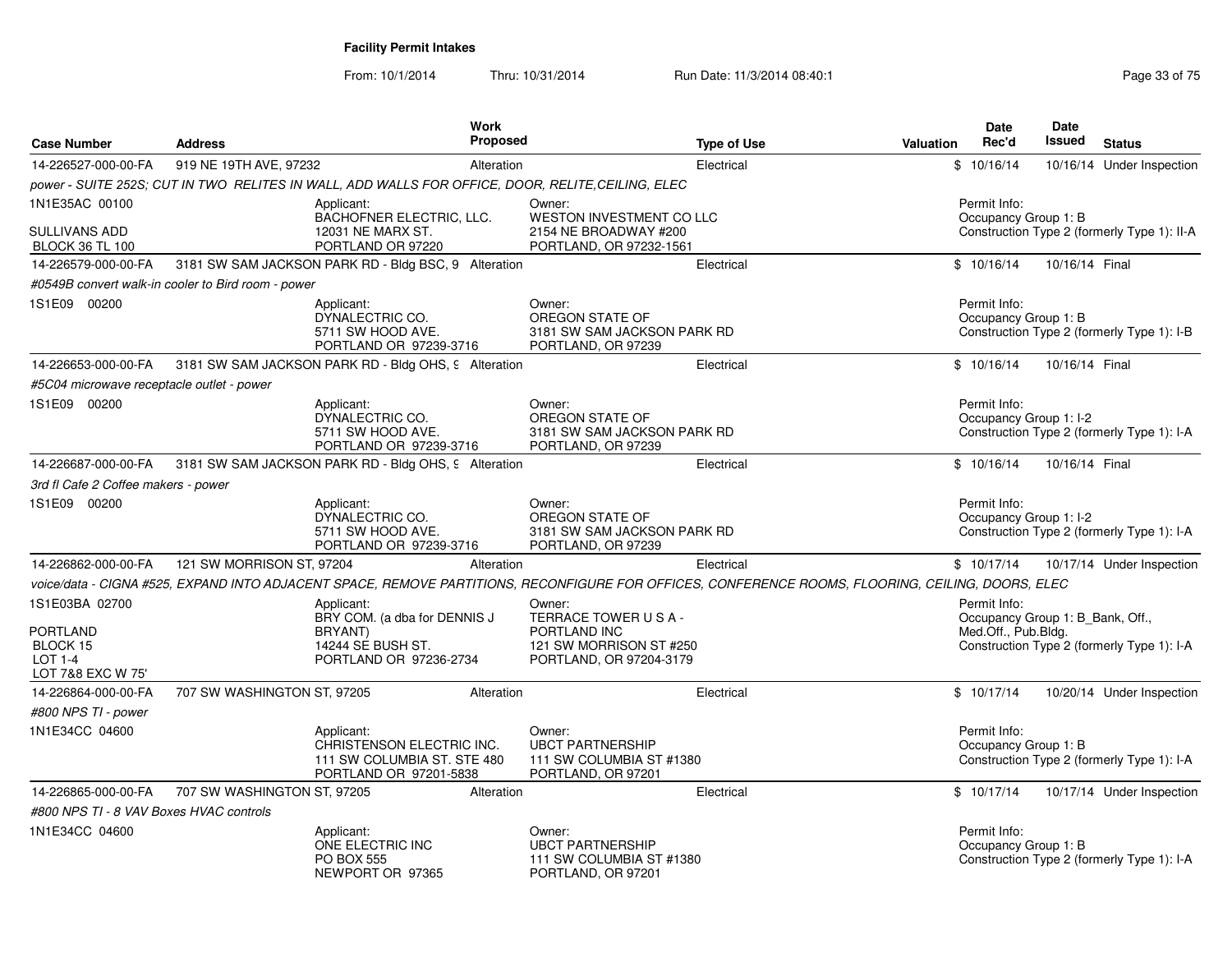| <b>Case Number</b>                                        | <b>Address</b>                                     | Work<br><b>Proposed</b>                                                                                                                           |                                                                                                    | <b>Type of Use</b> | <b>Valuation</b> | <b>Date</b><br>Rec'd                                                    | <b>Date</b><br><b>Issued</b> | <b>Status</b>                               |
|-----------------------------------------------------------|----------------------------------------------------|---------------------------------------------------------------------------------------------------------------------------------------------------|----------------------------------------------------------------------------------------------------|--------------------|------------------|-------------------------------------------------------------------------|------------------------------|---------------------------------------------|
| 14-226527-000-00-FA                                       | 919 NE 19TH AVE, 97232                             | Alteration                                                                                                                                        |                                                                                                    | Electrical         |                  | \$10/16/14                                                              |                              | 10/16/14 Under Inspection                   |
|                                                           |                                                    | power - SUITE 252S; CUT IN TWO RELITES IN WALL, ADD WALLS FOR OFFICE, DOOR, RELITE, CEILING, ELEC                                                 |                                                                                                    |                    |                  |                                                                         |                              |                                             |
| 1N1E35AC 00100<br>SULLIVANS ADD<br><b>BLOCK 36 TL 100</b> |                                                    | Applicant:<br>BACHOFNER ELECTRIC, LLC.<br>12031 NE MARX ST.<br>PORTLAND OR 97220                                                                  | Owner:<br>WESTON INVESTMENT CO LLC<br>2154 NE BROADWAY #200<br>PORTLAND, OR 97232-1561             |                    |                  | Permit Info:<br>Occupancy Group 1: B                                    |                              | Construction Type 2 (formerly Type 1): II-A |
| 14-226579-000-00-FA                                       |                                                    | 3181 SW SAM JACKSON PARK RD - Bldg BSC, 9 Alteration                                                                                              |                                                                                                    | Electrical         |                  | \$10/16/14                                                              | 10/16/14 Final               |                                             |
|                                                           | #0549B convert walk-in cooler to Bird room - power |                                                                                                                                                   |                                                                                                    |                    |                  |                                                                         |                              |                                             |
| 1S1E09 00200                                              |                                                    | Applicant:<br>DYNALECTRIC CO.<br>5711 SW HOOD AVE.<br>PORTLAND OR 97239-3716                                                                      | Owner:<br>OREGON STATE OF<br>3181 SW SAM JACKSON PARK RD<br>PORTLAND, OR 97239                     |                    |                  | Permit Info:<br>Occupancy Group 1: B                                    |                              | Construction Type 2 (formerly Type 1): I-B  |
| 14-226653-000-00-FA                                       |                                                    | 3181 SW SAM JACKSON PARK RD - Bldg OHS, 9 Alteration                                                                                              |                                                                                                    | Electrical         |                  | \$10/16/14                                                              | 10/16/14 Final               |                                             |
| #5C04 microwave receptacle outlet - power                 |                                                    |                                                                                                                                                   |                                                                                                    |                    |                  |                                                                         |                              |                                             |
| 1S1E09 00200                                              |                                                    | Applicant:<br>DYNALECTRIC CO.<br>5711 SW HOOD AVE.<br>PORTLAND OR 97239-3716                                                                      | Owner:<br>OREGON STATE OF<br>3181 SW SAM JACKSON PARK RD<br>PORTLAND, OR 97239                     |                    |                  | Permit Info:<br>Occupancy Group 1: I-2                                  |                              | Construction Type 2 (formerly Type 1): I-A  |
| 14-226687-000-00-FA                                       |                                                    | 3181 SW SAM JACKSON PARK RD - Bldg OHS, 9 Alteration                                                                                              |                                                                                                    | Electrical         |                  | \$10/16/14                                                              | 10/16/14 Final               |                                             |
| 3rd fl Cafe 2 Coffee makers - power                       |                                                    |                                                                                                                                                   |                                                                                                    |                    |                  |                                                                         |                              |                                             |
| 1S1E09 00200                                              |                                                    | Applicant:<br>DYNALECTRIC CO.<br>5711 SW HOOD AVE.<br>PORTLAND OR 97239-3716                                                                      | Owner:<br>OREGON STATE OF<br>3181 SW SAM JACKSON PARK RD<br>PORTLAND, OR 97239                     |                    |                  | Permit Info:<br>Occupancy Group 1: I-2                                  |                              | Construction Type 2 (formerly Type 1): I-A  |
| 14-226862-000-00-FA                                       | 121 SW MORRISON ST, 97204                          | Alteration                                                                                                                                        |                                                                                                    | Electrical         |                  | \$10/17/14                                                              |                              | 10/17/14 Under Inspection                   |
|                                                           |                                                    | voice/data - CIGNA #525, EXPAND INTO ADJACENT SPACE, REMOVE PARTITIONS, RECONFIGURE FOR OFFICES, CONFERENCE ROOMS, FLOORING, CEILING, DOORS, ELEC |                                                                                                    |                    |                  |                                                                         |                              |                                             |
| 1S1E03BA 02700<br>PORTLAND<br>BLOCK 15<br><b>LOT 1-4</b>  |                                                    | Applicant:<br>BRY COM. (a dba for DENNIS J<br><b>BRYANT</b> )<br>14244 SE BUSH ST.<br>PORTLAND OR 97236-2734                                      | Owner:<br>TERRACE TOWER USA-<br>PORTLAND INC<br>121 SW MORRISON ST #250<br>PORTLAND, OR 97204-3179 |                    |                  | Permit Info:<br>Occupancy Group 1: B_Bank, Off.,<br>Med.Off., Pub.Bldg. |                              | Construction Type 2 (formerly Type 1): I-A  |
| LOT 7&8 EXC W 75'                                         |                                                    |                                                                                                                                                   |                                                                                                    |                    |                  |                                                                         |                              |                                             |
| 14-226864-000-00-FA<br>#800 NPS TI - power                | 707 SW WASHINGTON ST, 97205                        | Alteration                                                                                                                                        |                                                                                                    | Electrical         |                  | \$10/17/14                                                              |                              | 10/20/14 Under Inspection                   |
| 1N1E34CC 04600                                            |                                                    | Applicant:<br>CHRISTENSON ELECTRIC INC.<br>111 SW COLUMBIA ST. STE 480<br>PORTLAND OR 97201-5838                                                  | Owner:<br><b>UBCT PARTNERSHIP</b><br>111 SW COLUMBIA ST #1380<br>PORTLAND, OR 97201                |                    |                  | Permit Info:<br>Occupancy Group 1: B                                    |                              | Construction Type 2 (formerly Type 1): I-A  |
| 14-226865-000-00-FA                                       | 707 SW WASHINGTON ST, 97205                        | Alteration                                                                                                                                        |                                                                                                    | Electrical         |                  | \$10/17/14                                                              |                              | 10/17/14 Under Inspection                   |
| #800 NPS TI - 8 VAV Boxes HVAC controls                   |                                                    |                                                                                                                                                   |                                                                                                    |                    |                  |                                                                         |                              |                                             |
| 1N1E34CC 04600                                            |                                                    | Applicant:<br>ONE ELECTRIC INC<br><b>PO BOX 555</b><br>NEWPORT OR 97365                                                                           | Owner:<br><b>UBCT PARTNERSHIP</b><br>111 SW COLUMBIA ST #1380<br>PORTLAND, OR 97201                |                    |                  | Permit Info:<br>Occupancy Group 1: B                                    |                              | Construction Type 2 (formerly Type 1): I-A  |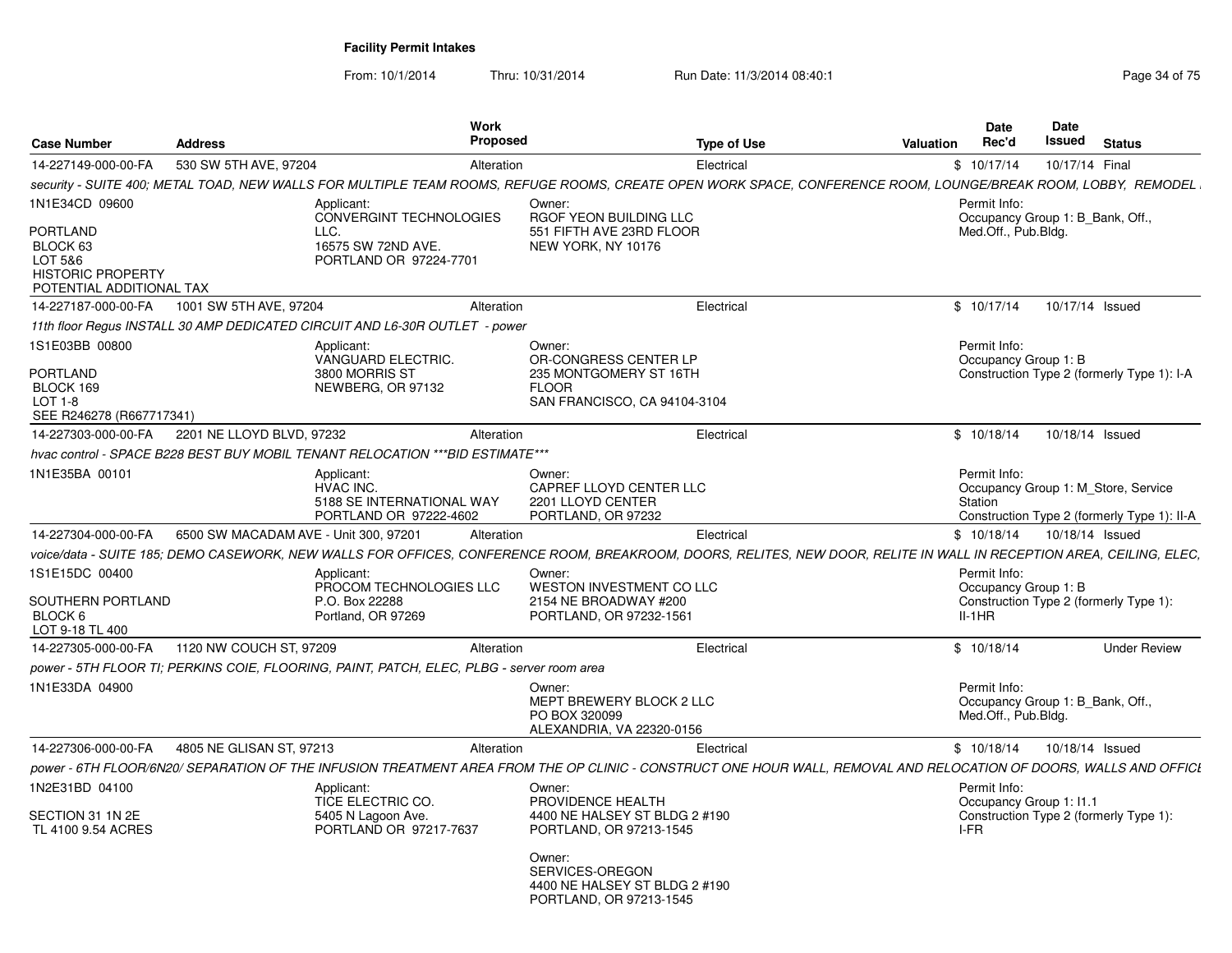| <b>Case Number</b>                                                                      | <b>Address</b>                        | Work<br><b>Proposed</b>                                                                   |                                                                                       | <b>Type of Use</b><br><b>Valuation</b>                                                                                                                               | Date<br>Rec'd                                                           | Date<br>Issued | <b>Status</b>                                                                      |
|-----------------------------------------------------------------------------------------|---------------------------------------|-------------------------------------------------------------------------------------------|---------------------------------------------------------------------------------------|----------------------------------------------------------------------------------------------------------------------------------------------------------------------|-------------------------------------------------------------------------|----------------|------------------------------------------------------------------------------------|
| 14-227149-000-00-FA                                                                     | 530 SW 5TH AVE, 97204                 | Alteration                                                                                |                                                                                       | Electrical                                                                                                                                                           | \$10/17/14                                                              | 10/17/14 Final |                                                                                    |
|                                                                                         |                                       |                                                                                           |                                                                                       | security - SUITE 400; METAL TOAD, NEW WALLS FOR MULTIPLE TEAM ROOMS, REFUGE ROOMS, CREATE OPEN WORK SPACE, CONFERENCE ROOM, LOUNGE/BREAK ROOM, LOBBY, REMODEL        |                                                                         |                |                                                                                    |
| 1N1E34CD 09600                                                                          |                                       | Applicant:<br><b>CONVERGINT TECHNOLOGIES</b>                                              | Owner:<br>RGOF YEON BUILDING LLC                                                      |                                                                                                                                                                      | Permit Info:<br>Occupancy Group 1: B_Bank, Off.,                        |                |                                                                                    |
| PORTLAND<br>BLOCK 63<br>LOT 5&6<br><b>HISTORIC PROPERTY</b><br>POTENTIAL ADDITIONAL TAX |                                       | LLC.<br>16575 SW 72ND AVE.<br>PORTLAND OR 97224-7701                                      | 551 FIFTH AVE 23RD FLOOR<br>NEW YORK, NY 10176                                        |                                                                                                                                                                      | Med.Off., Pub.Blda.                                                     |                |                                                                                    |
| 14-227187-000-00-FA                                                                     | 1001 SW 5TH AVE, 97204                | Alteration                                                                                |                                                                                       | Electrical                                                                                                                                                           | \$10/17/14                                                              |                | 10/17/14 Issued                                                                    |
|                                                                                         |                                       | 11th floor Regus INSTALL 30 AMP DEDICATED CIRCUIT AND L6-30R OUTLET - power               |                                                                                       |                                                                                                                                                                      |                                                                         |                |                                                                                    |
| 1S1E03BB 00800<br>PORTLAND                                                              |                                       | Applicant:<br>VANGUARD ELECTRIC.<br>3800 MORRIS ST                                        | Owner:<br>OR-CONGRESS CENTER LP<br>235 MONTGOMERY ST 16TH                             |                                                                                                                                                                      | Permit Info:<br>Occupancy Group 1: B                                    |                | Construction Type 2 (formerly Type 1): I-A                                         |
| BLOCK 169<br>$LOT 1-8$<br>SEE R246278 (R667717341)                                      |                                       | NEWBERG, OR 97132                                                                         | <b>FLOOR</b><br>SAN FRANCISCO, CA 94104-3104                                          |                                                                                                                                                                      |                                                                         |                |                                                                                    |
| 14-227303-000-00-FA                                                                     | 2201 NE LLOYD BLVD, 97232             | Alteration                                                                                |                                                                                       | Electrical                                                                                                                                                           | \$10/18/14                                                              |                | 10/18/14 Issued                                                                    |
|                                                                                         |                                       | hvac control - SPACE B228 BEST BUY MOBIL TENANT RELOCATION *** BID ESTIMATE***            |                                                                                       |                                                                                                                                                                      |                                                                         |                |                                                                                    |
| 1N1E35BA 00101                                                                          |                                       | Applicant:<br>HVAC INC.<br>5188 SE INTERNATIONAL WAY<br>PORTLAND OR 97222-4602            | Owner:<br>CAPREF LLOYD CENTER LLC<br>2201 LLOYD CENTER<br>PORTLAND, OR 97232          |                                                                                                                                                                      | Permit Info:<br>Station                                                 |                | Occupancy Group 1: M Store, Service<br>Construction Type 2 (formerly Type 1): II-A |
| 14-227304-000-00-FA                                                                     | 6500 SW MACADAM AVE - Unit 300, 97201 | Alteration                                                                                |                                                                                       | Electrical                                                                                                                                                           | \$10/18/14                                                              |                | 10/18/14 Issued                                                                    |
|                                                                                         |                                       |                                                                                           |                                                                                       | voice/data - SUITE 185; DEMO CASEWORK, NEW WALLS FOR OFFICES, CONFERENCE ROOM, BREAKROOM, DOORS, RELITES, NEW DOOR, RELITE IN WALL IN RECEPTION AREA, CEILING, ELEC, |                                                                         |                |                                                                                    |
| 1S1E15DC 00400                                                                          |                                       | Applicant:                                                                                | Owner:                                                                                |                                                                                                                                                                      | Permit Info:                                                            |                |                                                                                    |
| SOUTHERN PORTLAND<br>BLOCK 6<br>LOT 9-18 TL 400                                         |                                       | PROCOM TECHNOLOGIES LLC<br>P.O. Box 22288<br>Portland, OR 97269                           | WESTON INVESTMENT CO LLC<br>2154 NE BROADWAY #200<br>PORTLAND, OR 97232-1561          |                                                                                                                                                                      | Occupancy Group 1: B<br>$II-1HR$                                        |                | Construction Type 2 (formerly Type 1):                                             |
| 14-227305-000-00-FA                                                                     | 1120 NW COUCH ST, 97209               | Alteration                                                                                |                                                                                       | Electrical                                                                                                                                                           | \$10/18/14                                                              |                | <b>Under Review</b>                                                                |
|                                                                                         |                                       | power - 5TH FLOOR TI: PERKINS COIE, FLOORING, PAINT, PATCH, ELEC, PLBG - server room area |                                                                                       |                                                                                                                                                                      |                                                                         |                |                                                                                    |
| 1N1E33DA 04900                                                                          |                                       |                                                                                           | Owner:<br>MEPT BREWERY BLOCK 2 LLC<br>PO BOX 320099<br>ALEXANDRIA, VA 22320-0156      |                                                                                                                                                                      | Permit Info:<br>Occupancy Group 1: B_Bank, Off.,<br>Med.Off., Pub.Bldg. |                |                                                                                    |
| 14-227306-000-00-FA                                                                     | 4805 NE GLISAN ST, 97213              | Alteration                                                                                |                                                                                       | Electrical                                                                                                                                                           | \$10/18/14                                                              |                | 10/18/14 Issued                                                                    |
|                                                                                         |                                       |                                                                                           |                                                                                       | power - 6TH FLOOR/6N20/ SEPARATION OF THE INFUSION TREATMENT AREA FROM THE OP CLINIC - CONSTRUCT ONE HOUR WALL, REMOVAL AND RELOCATION OF DOORS, WALLS AND OFFICI    |                                                                         |                |                                                                                    |
| 1N2E31BD 04100                                                                          |                                       | Applicant:<br>TICE ELECTRIC CO.                                                           | Owner:<br>PROVIDENCE HEALTH                                                           |                                                                                                                                                                      | Permit Info:<br>Occupancy Group 1: I1.1                                 |                |                                                                                    |
| SECTION 31 1N 2E<br>TL 4100 9.54 ACRES                                                  |                                       | 5405 N Lagoon Ave.<br>PORTLAND OR 97217-7637                                              | 4400 NE HALSEY ST BLDG 2 #190<br>PORTLAND, OR 97213-1545                              |                                                                                                                                                                      | I-FR                                                                    |                | Construction Type 2 (formerly Type 1):                                             |
|                                                                                         |                                       |                                                                                           | Owner:<br>SERVICES-OREGON<br>4400 NE HALSEY ST BLDG 2 #190<br>PORTLAND, OR 97213-1545 |                                                                                                                                                                      |                                                                         |                |                                                                                    |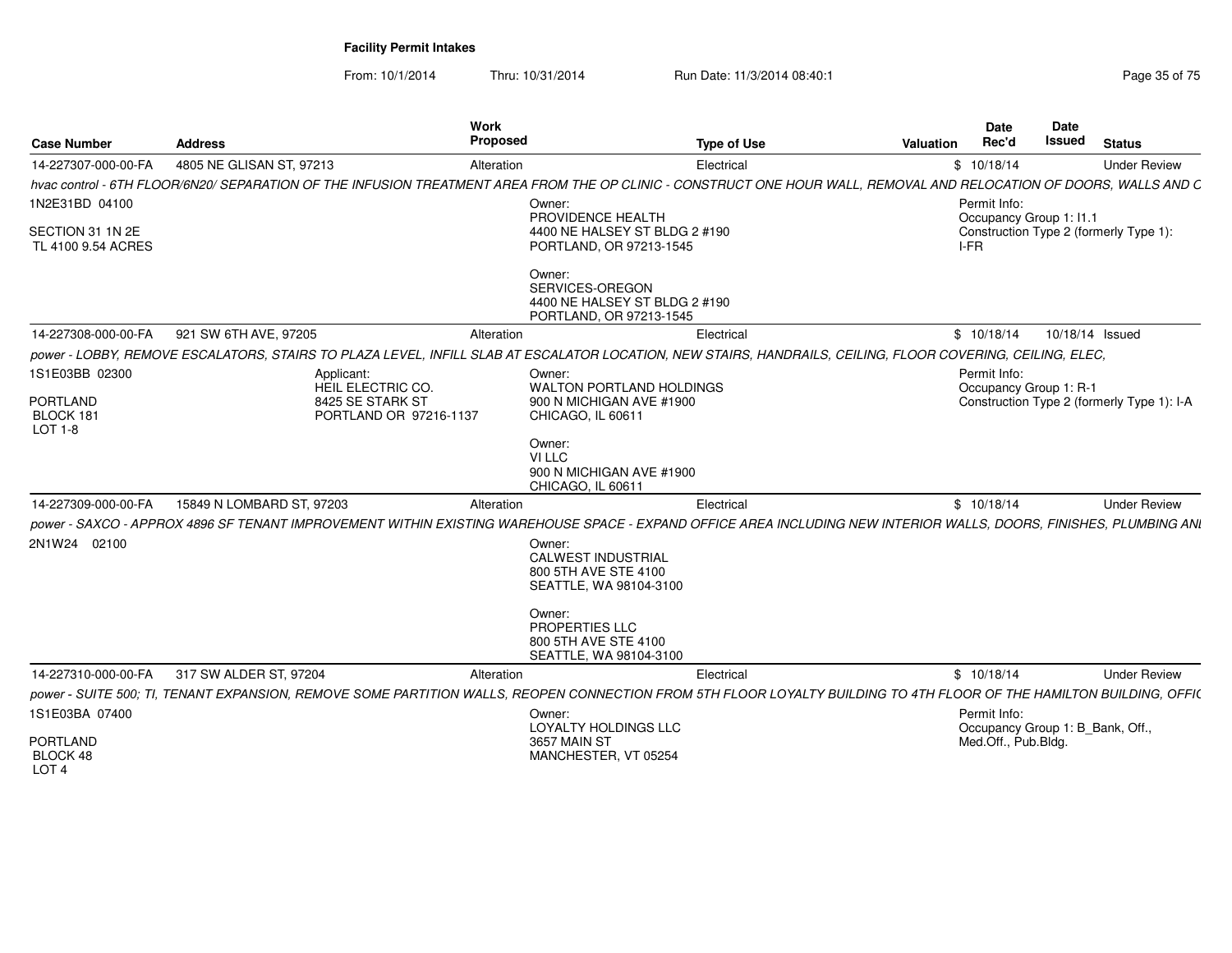| <b>Case Number</b>                              | <b>Address</b>                                                                                                                                                       | Work<br>Proposed                                                                      | <b>Type of Use</b>              | Valuation | <b>Date</b><br>Rec'd                             | Date<br>Issued  | <b>Status</b>                              |
|-------------------------------------------------|----------------------------------------------------------------------------------------------------------------------------------------------------------------------|---------------------------------------------------------------------------------------|---------------------------------|-----------|--------------------------------------------------|-----------------|--------------------------------------------|
| 14-227307-000-00-FA                             | 4805 NE GLISAN ST, 97213                                                                                                                                             | Alteration                                                                            | Electrical                      |           | \$10/18/14                                       |                 | <b>Under Review</b>                        |
|                                                 | hvac control - 6TH FLOOR/6N20/ SEPARATION OF THE INFUSION TREATMENT AREA FROM THE OP CLINIC - CONSTRUCT ONE HOUR WALL, REMOVAL AND RELOCATION OF DOORS, WALLS AND C  |                                                                                       |                                 |           |                                                  |                 |                                            |
| 1N2E31BD 04100                                  |                                                                                                                                                                      | Owner:<br>PROVIDENCE HEALTH                                                           |                                 |           | Permit Info:<br>Occupancy Group 1: 11.1          |                 |                                            |
| SECTION 31 1N 2E<br>TL 4100 9.54 ACRES          |                                                                                                                                                                      | PORTLAND, OR 97213-1545                                                               | 4400 NE HALSEY ST BLDG 2 #190   |           | $I-FR$                                           |                 | Construction Type 2 (formerly Type 1):     |
|                                                 |                                                                                                                                                                      | Owner:<br>SERVICES-OREGON<br>PORTLAND, OR 97213-1545                                  | 4400 NE HALSEY ST BLDG 2 #190   |           |                                                  |                 |                                            |
| 14-227308-000-00-FA                             | 921 SW 6TH AVE, 97205                                                                                                                                                | Alteration                                                                            | Electrical                      |           | \$10/18/14                                       | 10/18/14 Issued |                                            |
|                                                 | DOWER - LOBBY, REMOVE ESCALATORS, STAIRS TO PLAZA LEVEL, INFILL SLAB AT ESCALATOR LOCATION, NEW STAIRS, HANDRAILS, CEILING, FLOOR COVERING, CEILING, ELEC,           |                                                                                       |                                 |           |                                                  |                 |                                            |
| 1S1E03BB 02300                                  | Applicant:<br>HEIL ELECTRIC CO.                                                                                                                                      | Owner:                                                                                | <b>WALTON PORTLAND HOLDINGS</b> |           | Permit Info:<br>Occupancy Group 1: R-1           |                 |                                            |
| <b>PORTLAND</b><br>BLOCK 181<br>$LOT 1-8$       | 8425 SE STARK ST<br>PORTLAND OR 97216-1137                                                                                                                           | CHICAGO, IL 60611                                                                     | 900 N MICHIGAN AVE #1900        |           |                                                  |                 | Construction Type 2 (formerly Type 1): I-A |
|                                                 |                                                                                                                                                                      | Owner:<br>VI LLC<br>CHICAGO, IL 60611                                                 | 900 N MICHIGAN AVE #1900        |           |                                                  |                 |                                            |
| 14-227309-000-00-FA                             | 15849 N LOMBARD ST, 97203                                                                                                                                            | Alteration                                                                            | Electrical                      |           | \$10/18/14                                       |                 | <b>Under Review</b>                        |
|                                                 | power - SAXCO - APPROX 4896 SF TENANT IMPROVEMENT WITHIN EXISTING WAREHOUSE SPACE - EXPAND OFFICE AREA INCLUDING NEW INTERIOR WALLS, DOORS, FINISHES, PLUMBING ANI   |                                                                                       |                                 |           |                                                  |                 |                                            |
| 2N1W24 02100                                    |                                                                                                                                                                      | Owner:<br><b>CALWEST INDUSTRIAL</b><br>800 5TH AVE STE 4100<br>SEATTLE, WA 98104-3100 |                                 |           |                                                  |                 |                                            |
|                                                 |                                                                                                                                                                      | Owner:<br><b>PROPERTIES LLC</b><br>800 5TH AVE STE 4100<br>SEATTLE, WA 98104-3100     |                                 |           |                                                  |                 |                                            |
| 14-227310-000-00-FA                             | 317 SW ALDER ST, 97204                                                                                                                                               | Alteration                                                                            | Electrical                      |           | \$10/18/14                                       |                 | <b>Under Review</b>                        |
|                                                 | DOWER - SUITE 500: TI. TENANT EXPANSION, REMOVE SOME PARTITION WALLS, REOPEN CONNECTION FROM 5TH FLOOR LOYALTY BUILDING TO 4TH FLOOR OF THE HAMILTON BUILDING, OFFIC |                                                                                       |                                 |           |                                                  |                 |                                            |
| 1S1E03BA 07400                                  |                                                                                                                                                                      | Owner:<br>LOYALTY HOLDINGS LLC                                                        |                                 |           | Permit Info:<br>Occupancy Group 1: B_Bank, Off., |                 |                                            |
| <b>PORTLAND</b><br>BLOCK 48<br>LOT <sub>4</sub> |                                                                                                                                                                      | 3657 MAIN ST<br>MANCHESTER, VT 05254                                                  |                                 |           | Med.Off., Pub.Bldg.                              |                 |                                            |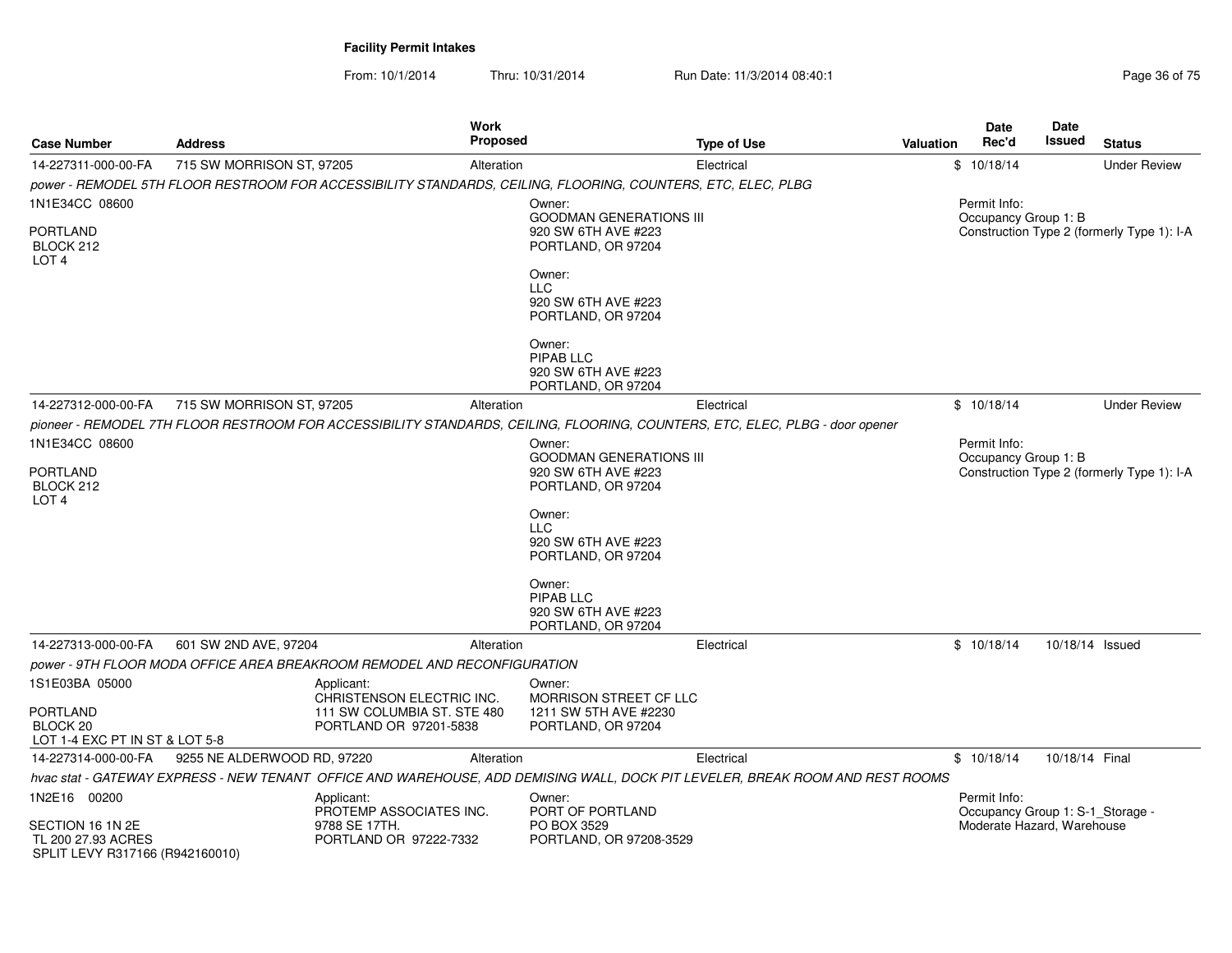| Case Number                                           | <b>Address</b>              |                                                                          | <b>Work</b><br><b>Proposed</b> |                                                                                                              | Type of Use                                                                                                                   | <b>Valuation</b>                           | <b>Date</b><br>Rec'd                                           | <b>Date</b><br>Issued | <b>Status</b>                              |
|-------------------------------------------------------|-----------------------------|--------------------------------------------------------------------------|--------------------------------|--------------------------------------------------------------------------------------------------------------|-------------------------------------------------------------------------------------------------------------------------------|--------------------------------------------|----------------------------------------------------------------|-----------------------|--------------------------------------------|
| 14-227311-000-00-FA                                   | 715 SW MORRISON ST, 97205   |                                                                          | Alteration                     |                                                                                                              | Electrical                                                                                                                    |                                            | \$10/18/14                                                     |                       | <b>Under Review</b>                        |
|                                                       |                             |                                                                          |                                | power - REMODEL 5TH FLOOR RESTROOM FOR ACCESSIBILITY STANDARDS, CEILING, FLOORING, COUNTERS, ETC, ELEC, PLBG |                                                                                                                               |                                            |                                                                |                       |                                            |
| 1N1E34CC 08600                                        |                             |                                                                          |                                | Owner:                                                                                                       |                                                                                                                               |                                            | Permit Info:                                                   |                       |                                            |
|                                                       |                             |                                                                          |                                | <b>GOODMAN GENERATIONS III</b>                                                                               |                                                                                                                               |                                            | Occupancy Group 1: B                                           |                       |                                            |
| <b>PORTLAND</b>                                       |                             |                                                                          |                                | 920 SW 6TH AVE #223                                                                                          |                                                                                                                               |                                            |                                                                |                       | Construction Type 2 (formerly Type 1): I-A |
| BLOCK 212<br>LOT <sub>4</sub>                         |                             |                                                                          |                                | PORTLAND, OR 97204                                                                                           |                                                                                                                               |                                            |                                                                |                       |                                            |
|                                                       |                             |                                                                          |                                | Owner:                                                                                                       |                                                                                                                               |                                            |                                                                |                       |                                            |
|                                                       |                             |                                                                          |                                | <b>LLC</b><br>920 SW 6TH AVE #223                                                                            |                                                                                                                               |                                            |                                                                |                       |                                            |
|                                                       |                             |                                                                          |                                | PORTLAND, OR 97204                                                                                           |                                                                                                                               |                                            |                                                                |                       |                                            |
|                                                       |                             |                                                                          |                                | Owner:                                                                                                       |                                                                                                                               |                                            |                                                                |                       |                                            |
|                                                       |                             |                                                                          |                                | PIPAB LLC<br>920 SW 6TH AVE #223                                                                             |                                                                                                                               |                                            |                                                                |                       |                                            |
|                                                       |                             |                                                                          |                                | PORTLAND, OR 97204                                                                                           |                                                                                                                               |                                            |                                                                |                       |                                            |
| 14-227312-000-00-FA                                   | 715 SW MORRISON ST, 97205   |                                                                          | Alteration                     |                                                                                                              | Electrical                                                                                                                    |                                            | \$10/18/14                                                     |                       | <b>Under Review</b>                        |
|                                                       |                             |                                                                          |                                |                                                                                                              | pioneer - REMODEL 7TH FLOOR RESTROOM FOR ACCESSIBILITY STANDARDS, CEILING, FLOORING, COUNTERS, ETC, ELEC, PLBG - door opener  |                                            |                                                                |                       |                                            |
| 1N1E34CC 08600                                        |                             |                                                                          |                                | Owner:                                                                                                       |                                                                                                                               |                                            | Permit Info:                                                   |                       |                                            |
| <b>PORTLAND</b>                                       |                             |                                                                          |                                | <b>GOODMAN GENERATIONS III</b><br>920 SW 6TH AVE #223                                                        |                                                                                                                               |                                            | Occupancy Group 1: B                                           |                       |                                            |
| BLOCK 212<br>LOT <sub>4</sub>                         |                             |                                                                          |                                | PORTLAND, OR 97204                                                                                           |                                                                                                                               | Construction Type 2 (formerly Type 1): I-A |                                                                |                       |                                            |
|                                                       |                             |                                                                          |                                | Owner:                                                                                                       |                                                                                                                               |                                            |                                                                |                       |                                            |
|                                                       |                             |                                                                          |                                | <b>LLC</b>                                                                                                   |                                                                                                                               |                                            |                                                                |                       |                                            |
|                                                       |                             |                                                                          |                                | 920 SW 6TH AVE #223<br>PORTLAND, OR 97204                                                                    |                                                                                                                               |                                            |                                                                |                       |                                            |
|                                                       |                             |                                                                          |                                | Owner:                                                                                                       |                                                                                                                               |                                            |                                                                |                       |                                            |
|                                                       |                             |                                                                          |                                | PIPAB LLC<br>920 SW 6TH AVE #223                                                                             |                                                                                                                               |                                            |                                                                |                       |                                            |
|                                                       |                             |                                                                          |                                | PORTLAND, OR 97204                                                                                           |                                                                                                                               |                                            |                                                                |                       |                                            |
| 14-227313-000-00-FA                                   | 601 SW 2ND AVE, 97204       |                                                                          | Alteration                     |                                                                                                              | Electrical                                                                                                                    |                                            | \$10/18/14                                                     | 10/18/14 Issued       |                                            |
|                                                       |                             | power - 9TH FLOOR MODA OFFICE AREA BREAKROOM REMODEL AND RECONFIGURATION |                                |                                                                                                              |                                                                                                                               |                                            |                                                                |                       |                                            |
| 1S1E03BA 05000                                        |                             | Applicant:                                                               |                                | Owner:                                                                                                       |                                                                                                                               |                                            |                                                                |                       |                                            |
| <b>PORTLAND</b>                                       |                             | CHRISTENSON ELECTRIC INC.<br>111 SW COLUMBIA ST. STE 480                 |                                | <b>MORRISON STREET CF LLC</b><br>1211 SW 5TH AVE #2230                                                       |                                                                                                                               |                                            |                                                                |                       |                                            |
| BLOCK <sub>20</sub>                                   |                             | PORTLAND OR 97201-5838                                                   |                                | PORTLAND, OR 97204                                                                                           |                                                                                                                               |                                            |                                                                |                       |                                            |
| LOT 1-4 EXC PT IN ST & LOT 5-8                        |                             |                                                                          |                                |                                                                                                              |                                                                                                                               |                                            |                                                                |                       |                                            |
| 14-227314-000-00-FA                                   | 9255 NE ALDERWOOD RD, 97220 |                                                                          | Alteration                     |                                                                                                              | Electrical                                                                                                                    |                                            | \$10/18/14                                                     | 10/18/14 Final        |                                            |
|                                                       |                             |                                                                          |                                |                                                                                                              | hvac stat - GATEWAY EXPRESS - NEW TENANT OFFICE AND WAREHOUSE, ADD DEMISING WALL, DOCK PIT LEVELER, BREAK ROOM AND REST ROOMS |                                            |                                                                |                       |                                            |
| 1N2E16 00200                                          |                             | Applicant:<br>PROTEMP ASSOCIATES INC.                                    |                                | Owner:<br>PORT OF PORTLAND                                                                                   |                                                                                                                               |                                            | Permit Info:                                                   |                       |                                            |
| SECTION 16 1N 2E                                      |                             | 9788 SE 17TH.                                                            |                                |                                                                                                              |                                                                                                                               |                                            | Occupancy Group 1: S-1_Storage -<br>Moderate Hazard, Warehouse |                       |                                            |
| TL 200 27.93 ACRES<br>SPLIT LEVY R317166 (R942160010) |                             | PORTLAND OR 97222-7332                                                   |                                | PORTLAND, OR 97208-3529                                                                                      |                                                                                                                               |                                            |                                                                |                       |                                            |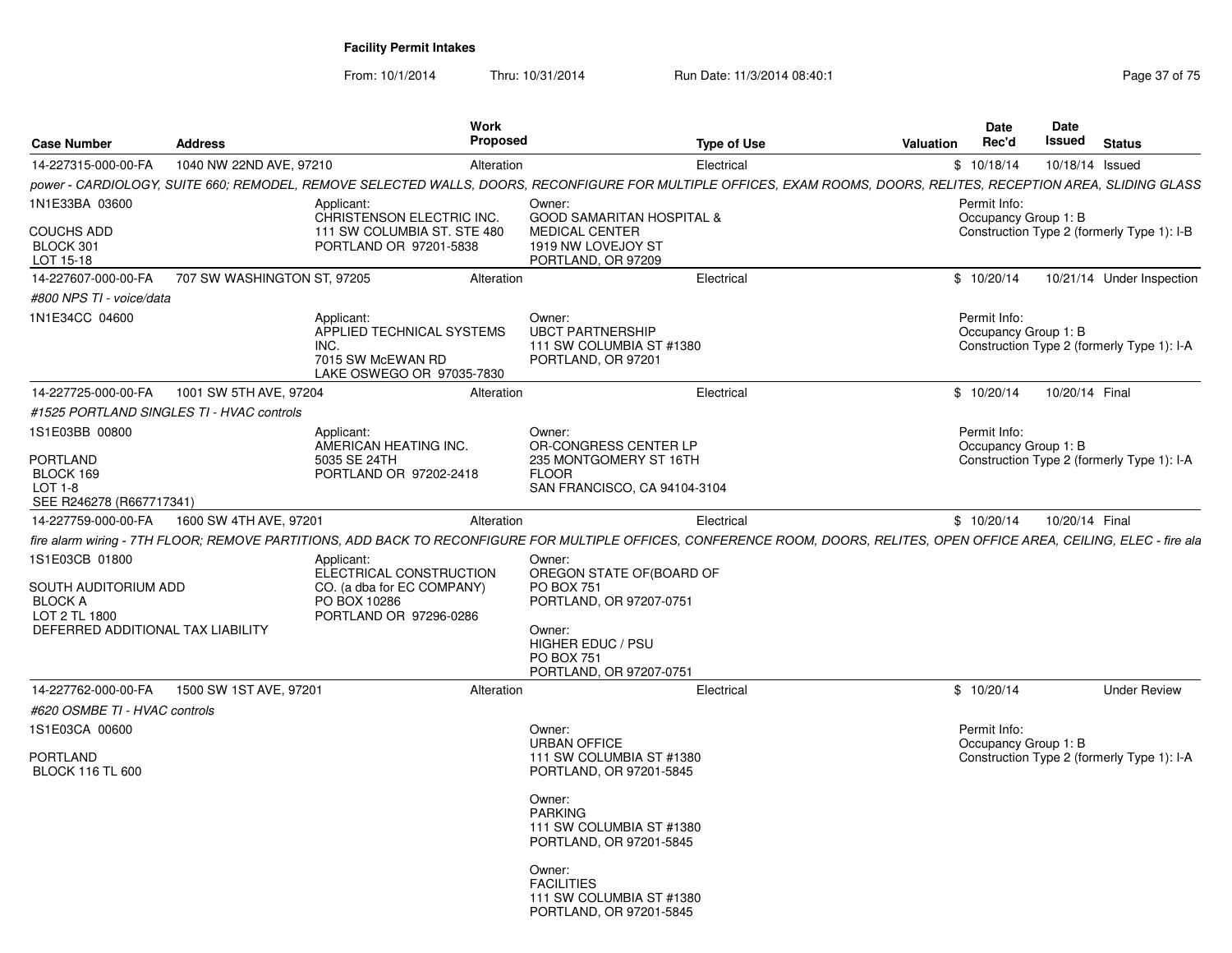| <b>Case Number</b>                                                                    | <b>Address</b>                             | Work<br><b>Proposed</b>                                                                           | <b>Type of Use</b>                                                                                                                                                          | Valuation | <b>Date</b><br>Rec'd                 | Date<br>Issued  | <b>Status</b>                              |
|---------------------------------------------------------------------------------------|--------------------------------------------|---------------------------------------------------------------------------------------------------|-----------------------------------------------------------------------------------------------------------------------------------------------------------------------------|-----------|--------------------------------------|-----------------|--------------------------------------------|
| 14-227315-000-00-FA                                                                   | 1040 NW 22ND AVE, 97210                    | Alteration                                                                                        | Electrical                                                                                                                                                                  |           | \$10/18/14                           | 10/18/14 Issued |                                            |
|                                                                                       |                                            |                                                                                                   | power - CARDIOLOGY, SUITE 660; REMODEL, REMOVE SELECTED WALLS, DOORS, RECONFIGURE FOR MULTIPLE OFFICES, EXAM ROOMS, DOORS, RELITES, RECEPTION AREA, SLIDING GLASS           |           |                                      |                 |                                            |
| 1N1E33BA 03600<br><b>COUCHS ADD</b><br>BLOCK 301<br>LOT 15-18                         |                                            | Applicant:<br>CHRISTENSON ELECTRIC INC.<br>111 SW COLUMBIA ST. STE 480<br>PORTLAND OR 97201-5838  | Owner:<br><b>GOOD SAMARITAN HOSPITAL &amp;</b><br><b>MEDICAL CENTER</b><br>1919 NW LOVEJOY ST<br>PORTLAND, OR 97209                                                         |           | Permit Info:<br>Occupancy Group 1: B |                 | Construction Type 2 (formerly Type 1): I-B |
| 14-227607-000-00-FA                                                                   | 707 SW WASHINGTON ST, 97205                | Alteration                                                                                        | Electrical                                                                                                                                                                  |           | \$10/20/14                           |                 | 10/21/14 Under Inspection                  |
| #800 NPS TI - voice/data                                                              |                                            |                                                                                                   |                                                                                                                                                                             |           |                                      |                 |                                            |
| 1N1E34CC 04600                                                                        |                                            | Applicant:<br>APPLIED TECHNICAL SYSTEMS<br>INC.<br>7015 SW McEWAN RD<br>LAKE OSWEGO OR 97035-7830 | Owner:<br><b>UBCT PARTNERSHIP</b><br>111 SW COLUMBIA ST #1380<br>PORTLAND, OR 97201                                                                                         |           | Permit Info:<br>Occupancy Group 1: B |                 | Construction Type 2 (formerly Type 1): I-A |
| 14-227725-000-00-FA                                                                   | 1001 SW 5TH AVE, 97204                     | Alteration                                                                                        | Electrical                                                                                                                                                                  |           | \$10/20/14                           | 10/20/14 Final  |                                            |
|                                                                                       | #1525 PORTLAND SINGLES TI - HVAC controls  |                                                                                                   |                                                                                                                                                                             |           |                                      |                 |                                            |
| 1S1E03BB 00800<br><b>PORTLAND</b><br>BLOCK 169<br>LOT 1-8<br>SEE R246278 (R667717341) |                                            | Applicant:<br>AMERICAN HEATING INC.<br>5035 SE 24TH<br>PORTLAND OR 97202-2418                     | Owner:<br>OR-CONGRESS CENTER LP<br>235 MONTGOMERY ST 16TH<br><b>FLOOR</b><br>SAN FRANCISCO, CA 94104-3104                                                                   |           | Permit Info:<br>Occupancy Group 1: B |                 | Construction Type 2 (formerly Type 1): I-A |
|                                                                                       | 14-227759-000-00-FA 1600 SW 4TH AVE, 97201 | Alteration                                                                                        | Electrical                                                                                                                                                                  |           | \$10/20/14                           | 10/20/14 Final  |                                            |
|                                                                                       |                                            |                                                                                                   | fire alarm wiring - 7TH FLOOR; REMOVE PARTITIONS, ADD BACK TO RECONFIGURE FOR MULTIPLE OFFICES, CONFERENCE ROOM, DOORS, RELITES, OPEN OFFICE AREA, CEILING, ELEC - fire ala |           |                                      |                 |                                            |
| 1S1E03CB 01800<br>SOUTH AUDITORIUM ADD<br><b>BLOCK A</b>                              |                                            | Applicant:<br>ELECTRICAL CONSTRUCTION<br>CO. (a dba for EC COMPANY)<br>PO BOX 10286               | Owner:<br>OREGON STATE OF (BOARD OF<br><b>PO BOX 751</b><br>PORTLAND, OR 97207-0751                                                                                         |           |                                      |                 |                                            |
| LOT 2 TL 1800<br>DEFERRED ADDITIONAL TAX LIABILITY                                    |                                            | PORTLAND OR 97296-0286                                                                            | Owner:<br>HIGHER EDUC / PSU<br><b>PO BOX 751</b><br>PORTLAND, OR 97207-0751                                                                                                 |           |                                      |                 |                                            |
| 14-227762-000-00-FA                                                                   | 1500 SW 1ST AVE, 97201                     | Alteration                                                                                        | Electrical                                                                                                                                                                  |           | \$10/20/14                           |                 | <b>Under Review</b>                        |
| #620 OSMBE TI - HVAC controls                                                         |                                            |                                                                                                   |                                                                                                                                                                             |           |                                      |                 |                                            |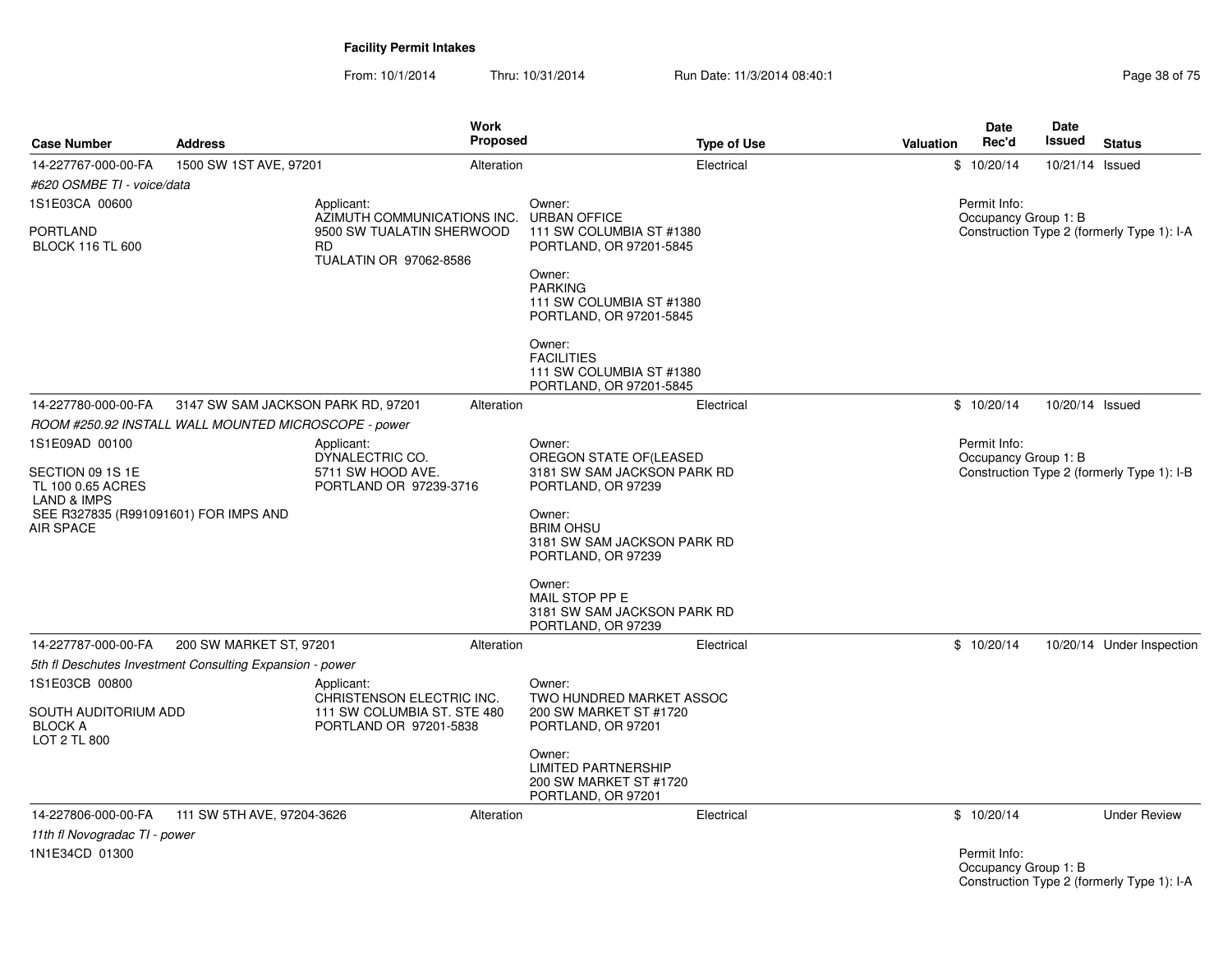From: 10/1/2014Thru: 10/31/2014 Run Date: 11/3/2014 08:40:1<br>
Page 38 of 75

| <b>Case Number</b>                                                                                                           | <b>Address</b>                                                                             | Work<br>Proposed                                                                                 |                                                                                                                                                                                              | Valuation<br><b>Type of Use</b> | <b>Date</b><br>Rec'd | Date<br>Issued                                   | <b>Status</b>                              |
|------------------------------------------------------------------------------------------------------------------------------|--------------------------------------------------------------------------------------------|--------------------------------------------------------------------------------------------------|----------------------------------------------------------------------------------------------------------------------------------------------------------------------------------------------|---------------------------------|----------------------|--------------------------------------------------|--------------------------------------------|
| 14-227767-000-00-FA<br>#620 OSMBE TI - voice/data                                                                            | 1500 SW 1ST AVE, 97201                                                                     | Alteration                                                                                       | Electrical                                                                                                                                                                                   |                                 | \$10/20/14           | 10/21/14 Issued                                  |                                            |
| 1S1E03CA 00600                                                                                                               |                                                                                            | Applicant:                                                                                       | Owner:                                                                                                                                                                                       |                                 | Permit Info:         |                                                  |                                            |
| <b>PORTLAND</b><br><b>BLOCK 116 TL 600</b>                                                                                   |                                                                                            | AZIMUTH COMMUNICATIONS INC.<br>9500 SW TUALATIN SHERWOOD<br><b>RD</b><br>TUALATIN OR 97062-8586  | <b>URBAN OFFICE</b><br>111 SW COLUMBIA ST #1380<br>PORTLAND, OR 97201-5845<br>Owner:<br><b>PARKING</b><br>111 SW COLUMBIA ST #1380<br>PORTLAND, OR 97201-5845<br>Owner:<br><b>FACILITIES</b> |                                 | Occupancy Group 1: B |                                                  | Construction Type 2 (formerly Type 1): I-A |
|                                                                                                                              |                                                                                            |                                                                                                  | 111 SW COLUMBIA ST #1380<br>PORTLAND, OR 97201-5845                                                                                                                                          |                                 |                      |                                                  |                                            |
| 14-227780-000-00-FA                                                                                                          | 3147 SW SAM JACKSON PARK RD, 97201<br>ROOM #250.92 INSTALL WALL MOUNTED MICROSCOPE - power | Alteration                                                                                       | Electrical                                                                                                                                                                                   |                                 | \$10/20/14           | 10/20/14 Issued                                  |                                            |
| 1S1E09AD 00100                                                                                                               |                                                                                            | Applicant:                                                                                       | Owner:                                                                                                                                                                                       |                                 | Permit Info:         |                                                  |                                            |
| SECTION 09 1S 1E<br>TL 100 0.65 ACRES<br><b>LAND &amp; IMPS</b><br>SEE R327835 (R991091601) FOR IMPS AND<br><b>AIR SPACE</b> |                                                                                            | DYNALECTRIC CO.<br>5711 SW HOOD AVE.<br>PORTLAND OR 97239-3716                                   | OREGON STATE OF(LEASED<br>3181 SW SAM JACKSON PARK RD<br>PORTLAND, OR 97239<br>Owner:<br><b>BRIM OHSU</b><br>3181 SW SAM JACKSON PARK RD<br>PORTLAND, OR 97239                               |                                 | Occupancy Group 1: B |                                                  | Construction Type 2 (formerly Type 1): I-B |
|                                                                                                                              |                                                                                            |                                                                                                  | Owner:<br>MAIL STOP PP E<br>3181 SW SAM JACKSON PARK RD<br>PORTLAND, OR 97239                                                                                                                |                                 |                      |                                                  |                                            |
| 14-227787-000-00-FA                                                                                                          | 200 SW MARKET ST, 97201                                                                    | Alteration                                                                                       | Electrical                                                                                                                                                                                   |                                 | \$10/20/14           |                                                  | 10/20/14 Under Inspection                  |
|                                                                                                                              | 5th fl Deschutes Investment Consulting Expansion - power                                   |                                                                                                  |                                                                                                                                                                                              |                                 |                      |                                                  |                                            |
| 1S1E03CB 00800<br>SOUTH AUDITORIUM ADD<br><b>BLOCK A</b><br>LOT 2 TL 800                                                     |                                                                                            | Applicant:<br>CHRISTENSON ELECTRIC INC.<br>111 SW COLUMBIA ST. STE 480<br>PORTLAND OR 97201-5838 | Owner:<br>TWO HUNDRED MARKET ASSOC<br>200 SW MARKET ST #1720<br>PORTLAND, OR 97201<br>Owner:                                                                                                 |                                 |                      |                                                  |                                            |
|                                                                                                                              |                                                                                            |                                                                                                  | <b>LIMITED PARTNERSHIP</b><br>200 SW MARKET ST #1720<br>PORTLAND, OR 97201                                                                                                                   |                                 |                      |                                                  |                                            |
| 14-227806-000-00-FA                                                                                                          | 111 SW 5TH AVE, 97204-3626                                                                 | Alteration                                                                                       | Electrical                                                                                                                                                                                   |                                 | \$10/20/14           |                                                  | <b>Under Review</b>                        |
| 11th fl Novogradac TI - power<br>1N1E34CD 01300                                                                              |                                                                                            |                                                                                                  |                                                                                                                                                                                              |                                 | Permit Info:         | $\sim$ $\sim$ $\sim$ $\sim$ $\sim$ $\sim$ $\sim$ |                                            |

Occupancy Group 1: B Construction Type 2 (formerly Type 1): I-A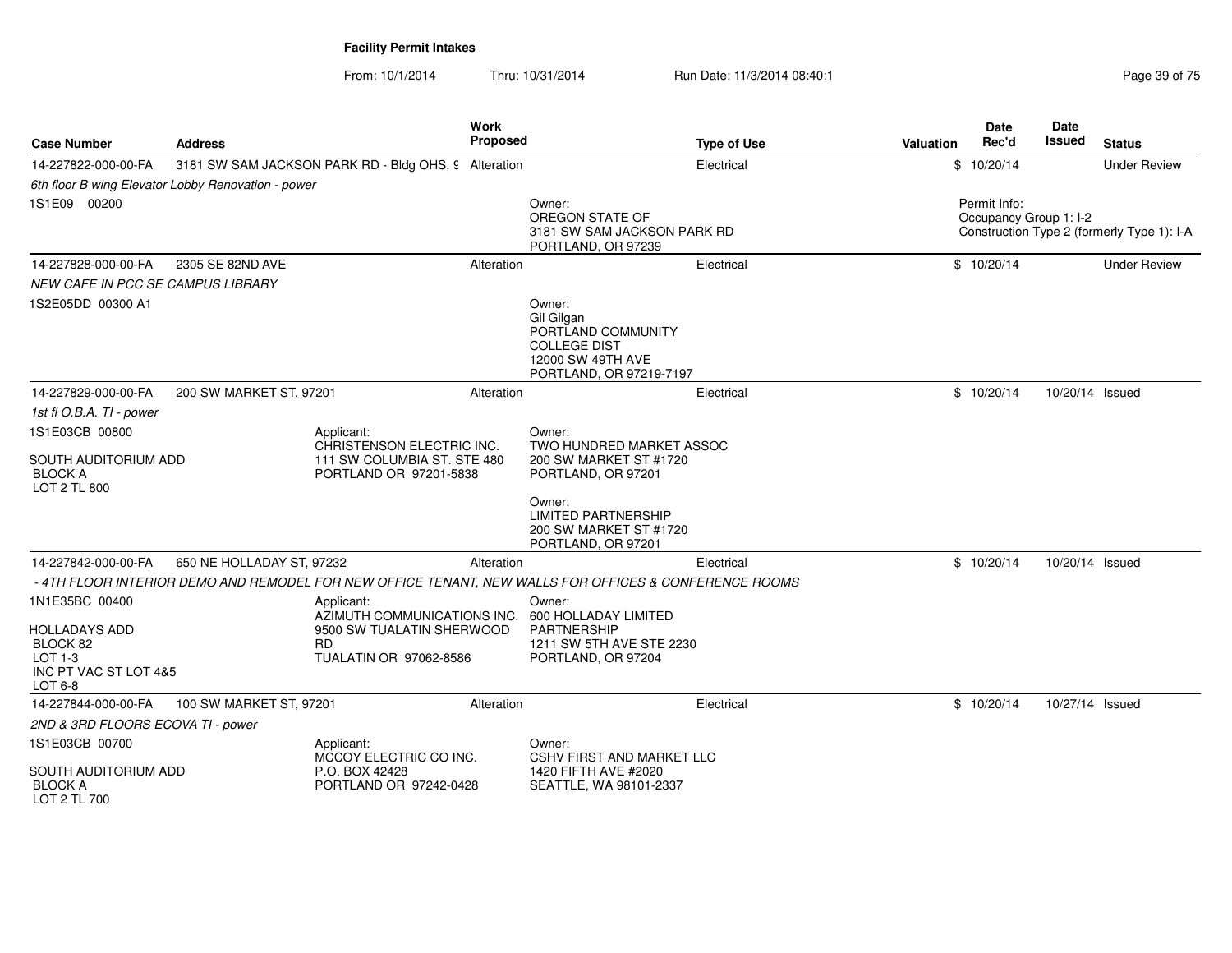| <b>Case Number</b>                                                       | <b>Address</b>                                     |                                                                  | <b>Work</b><br>Proposed |                                                                                                                   | <b>Type of Use</b> | Valuation | Date<br>Rec'd                          | Date<br>Issued  | <b>Status</b>                              |
|--------------------------------------------------------------------------|----------------------------------------------------|------------------------------------------------------------------|-------------------------|-------------------------------------------------------------------------------------------------------------------|--------------------|-----------|----------------------------------------|-----------------|--------------------------------------------|
| 14-227822-000-00-FA                                                      |                                                    | 3181 SW SAM JACKSON PARK RD - Bldg OHS, 9 Alteration             |                         |                                                                                                                   | Electrical         |           | \$10/20/14                             |                 | <b>Under Review</b>                        |
|                                                                          | 6th floor B wing Elevator Lobby Renovation - power |                                                                  |                         |                                                                                                                   |                    |           |                                        |                 |                                            |
| 1S1E09 00200                                                             |                                                    |                                                                  |                         | Owner:<br>OREGON STATE OF<br>3181 SW SAM JACKSON PARK RD<br>PORTLAND, OR 97239                                    |                    |           | Permit Info:<br>Occupancy Group 1: I-2 |                 | Construction Type 2 (formerly Type 1): I-A |
| 14-227828-000-00-FA                                                      | 2305 SE 82ND AVE                                   |                                                                  | Alteration              |                                                                                                                   | Electrical         |           | \$10/20/14                             |                 | <b>Under Review</b>                        |
| <b>NEW CAFE IN PCC SE CAMPUS LIBRARY</b>                                 |                                                    |                                                                  |                         |                                                                                                                   |                    |           |                                        |                 |                                            |
| 1S2E05DD 00300 A1                                                        |                                                    |                                                                  |                         | Owner:<br>Gil Gilgan<br>PORTLAND COMMUNITY<br><b>COLLEGE DIST</b><br>12000 SW 49TH AVE<br>PORTLAND, OR 97219-7197 |                    |           |                                        |                 |                                            |
| 14-227829-000-00-FA                                                      | 200 SW MARKET ST, 97201                            |                                                                  | Alteration              |                                                                                                                   | Electrical         |           | \$10/20/14                             | 10/20/14 Issued |                                            |
| 1st fl O.B.A. TI - power                                                 |                                                    |                                                                  |                         |                                                                                                                   |                    |           |                                        |                 |                                            |
| 1S1E03CB 00800                                                           |                                                    | Applicant:<br>CHRISTENSON ELECTRIC INC.                          |                         | Owner:<br>TWO HUNDRED MARKET ASSOC                                                                                |                    |           |                                        |                 |                                            |
| SOUTH AUDITORIUM ADD<br><b>BLOCK A</b><br><b>LOT 2 TL 800</b>            |                                                    | 111 SW COLUMBIA ST. STE 480<br>PORTLAND OR 97201-5838            |                         | 200 SW MARKET ST #1720<br>PORTLAND, OR 97201                                                                      |                    |           |                                        |                 |                                            |
|                                                                          |                                                    |                                                                  |                         | Owner:<br><b>LIMITED PARTNERSHIP</b><br>200 SW MARKET ST #1720<br>PORTLAND, OR 97201                              |                    |           |                                        |                 |                                            |
| 14-227842-000-00-FA                                                      | 650 NE HOLLADAY ST, 97232                          |                                                                  | Alteration              |                                                                                                                   | Electrical         |           | \$10/20/14                             | 10/20/14 Issued |                                            |
|                                                                          |                                                    |                                                                  |                         | - 4TH FLOOR INTERIOR DEMO AND REMODEL FOR NEW OFFICE TENANT, NEW WALLS FOR OFFICES & CONFERENCE ROOMS             |                    |           |                                        |                 |                                            |
| 1N1E35BC 00400                                                           |                                                    | Applicant:<br>AZIMUTH COMMUNICATIONS INC.                        |                         | Owner:<br>600 HOLLADAY LIMITED                                                                                    |                    |           |                                        |                 |                                            |
| HOLLADAYS ADD<br>BLOCK 82<br>LOT 1-3<br>INC PT VAC ST LOT 4&5<br>LOT 6-8 |                                                    | 9500 SW TUALATIN SHERWOOD<br><b>RD</b><br>TUALATIN OR 97062-8586 |                         | <b>PARTNERSHIP</b><br>1211 SW 5TH AVE STE 2230<br>PORTLAND, OR 97204                                              |                    |           |                                        |                 |                                            |
| 14-227844-000-00-FA                                                      | 100 SW MARKET ST, 97201                            |                                                                  | Alteration              |                                                                                                                   | Electrical         |           | \$10/20/14                             | 10/27/14 Issued |                                            |
| 2ND & 3RD FLOORS ECOVA TI - power                                        |                                                    |                                                                  |                         |                                                                                                                   |                    |           |                                        |                 |                                            |
| 1S1E03CB 00700                                                           |                                                    | Applicant:<br>MCCOY ELECTRIC CO INC.                             |                         | Owner:<br><b>CSHV FIRST AND MARKET LLC</b>                                                                        |                    |           |                                        |                 |                                            |
| SOUTH AUDITORIUM ADD<br><b>BLOCK A</b><br>LOT 2 TL 700                   |                                                    | P.O. BOX 42428<br>PORTLAND OR 97242-0428                         |                         | 1420 FIFTH AVE #2020<br>SEATTLE, WA 98101-2337                                                                    |                    |           |                                        |                 |                                            |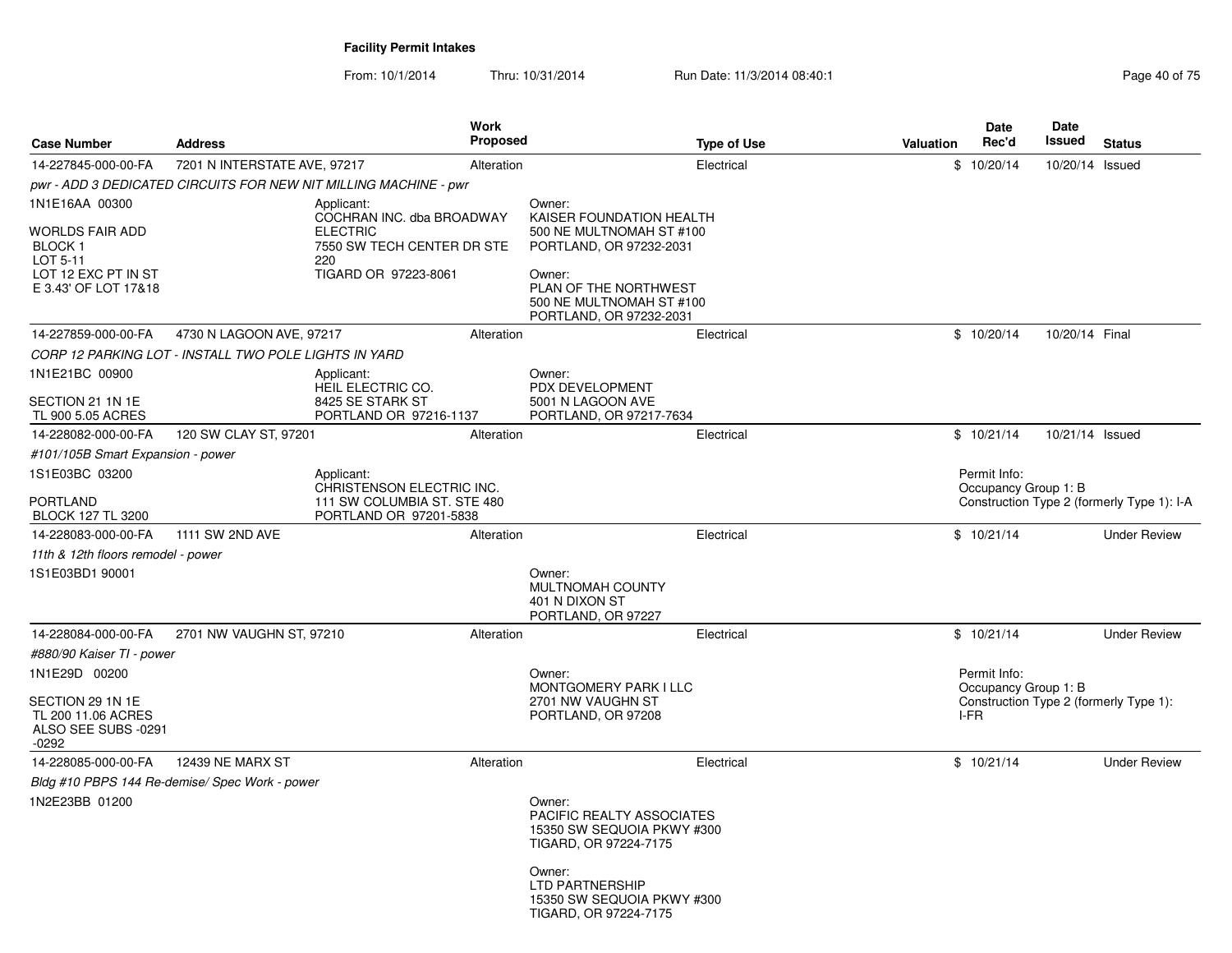| <b>Case Number</b>                                                     | <b>Address</b>                                        |                                                                  | <b>Work</b><br><b>Proposed</b> |                                                                                            | <b>Type of Use</b> | <b>Valuation</b> | <b>Date</b><br>Rec'd                 | Date<br>Issued  | <b>Status</b>                              |
|------------------------------------------------------------------------|-------------------------------------------------------|------------------------------------------------------------------|--------------------------------|--------------------------------------------------------------------------------------------|--------------------|------------------|--------------------------------------|-----------------|--------------------------------------------|
| 14-227845-000-00-FA                                                    | 7201 N INTERSTATE AVE, 97217                          |                                                                  | Alteration                     |                                                                                            | Electrical         |                  | \$10/20/14                           | 10/20/14 Issued |                                            |
|                                                                        |                                                       | pwr - ADD 3 DEDICATED CIRCUITS FOR NEW NIT MILLING MACHINE - pwr |                                |                                                                                            |                    |                  |                                      |                 |                                            |
| 1N1E16AA 00300                                                         |                                                       | Applicant:<br>COCHRAN INC. dba BROADWAY                          |                                | Owner:<br>KAISER FOUNDATION HEALTH                                                         |                    |                  |                                      |                 |                                            |
| WORLDS FAIR ADD<br><b>BLOCK1</b><br>LOT 5-11                           |                                                       | <b>ELECTRIC</b><br>7550 SW TECH CENTER DR STE<br>220             |                                | 500 NE MULTNOMAH ST #100<br>PORTLAND, OR 97232-2031                                        |                    |                  |                                      |                 |                                            |
| LOT 12 EXC PT IN ST<br>E 3.43' OF LOT 17&18                            |                                                       | TIGARD OR 97223-8061                                             |                                | Owner:<br>PLAN OF THE NORTHWEST<br>500 NE MULTNOMAH ST #100<br>PORTLAND, OR 97232-2031     |                    |                  |                                      |                 |                                            |
| 14-227859-000-00-FA                                                    | 4730 N LAGOON AVE, 97217                              |                                                                  | Alteration                     |                                                                                            | Electrical         |                  | \$10/20/14                           | 10/20/14 Final  |                                            |
|                                                                        | CORP 12 PARKING LOT - INSTALL TWO POLE LIGHTS IN YARD |                                                                  |                                |                                                                                            |                    |                  |                                      |                 |                                            |
| 1N1E21BC 00900                                                         |                                                       | Applicant:<br>HEIL ELECTRIC CO.                                  |                                | Owner:<br>PDX DEVELOPMENT                                                                  |                    |                  |                                      |                 |                                            |
| SECTION 21 1N 1E<br>TL 900 5.05 ACRES                                  |                                                       | 8425 SE STARK ST<br>PORTLAND OR 97216-1137                       |                                | 5001 N LAGOON AVE<br>PORTLAND, OR 97217-7634                                               |                    |                  |                                      |                 |                                            |
| 14-228082-000-00-FA                                                    | 120 SW CLAY ST, 97201                                 |                                                                  | Alteration                     |                                                                                            | Electrical         |                  | \$10/21/14                           | 10/21/14 Issued |                                            |
| #101/105B Smart Expansion - power                                      |                                                       |                                                                  |                                |                                                                                            |                    |                  |                                      |                 |                                            |
| 1S1E03BC 03200                                                         |                                                       | Applicant:<br>CHRISTENSON ELECTRIC INC.                          |                                |                                                                                            |                    |                  | Permit Info:<br>Occupancy Group 1: B |                 |                                            |
| PORTLAND<br>BLOCK 127 TL 3200                                          |                                                       | 111 SW COLUMBIA ST. STE 480<br>PORTLAND OR 97201-5838            |                                |                                                                                            |                    |                  |                                      |                 | Construction Type 2 (formerly Type 1): I-A |
| 14-228083-000-00-FA                                                    | 1111 SW 2ND AVE                                       |                                                                  | Alteration                     |                                                                                            | Electrical         |                  | \$10/21/14                           |                 | <b>Under Review</b>                        |
| 11th & 12th floors remodel - power                                     |                                                       |                                                                  |                                |                                                                                            |                    |                  |                                      |                 |                                            |
| 1S1E03BD1 90001                                                        |                                                       |                                                                  |                                | Owner:<br>MULTNOMAH COUNTY<br>401 N DIXON ST<br>PORTLAND, OR 97227                         |                    |                  |                                      |                 |                                            |
| 14-228084-000-00-FA                                                    | 2701 NW VAUGHN ST, 97210                              |                                                                  | Alteration                     |                                                                                            | Electrical         |                  | \$10/21/14                           |                 | <b>Under Review</b>                        |
| #880/90 Kaiser TI - power                                              |                                                       |                                                                  |                                |                                                                                            |                    |                  |                                      |                 |                                            |
| 1N1E29D 00200                                                          |                                                       |                                                                  |                                | Owner:<br><b>MONTGOMERY PARK I LLC</b>                                                     |                    |                  | Permit Info:<br>Occupancy Group 1: B |                 |                                            |
| SECTION 29 1N 1E<br>TL 200 11.06 ACRES<br>ALSO SEE SUBS -0291<br>-0292 |                                                       |                                                                  |                                | 2701 NW VAUGHN ST<br>PORTLAND, OR 97208                                                    |                    |                  | I-FR                                 |                 | Construction Type 2 (formerly Type 1):     |
| 14-228085-000-00-FA                                                    | 12439 NE MARX ST                                      |                                                                  | Alteration                     |                                                                                            | Electrical         |                  | \$10/21/14                           |                 | <b>Under Review</b>                        |
|                                                                        | Bldg #10 PBPS 144 Re-demise/ Spec Work - power        |                                                                  |                                |                                                                                            |                    |                  |                                      |                 |                                            |
| 1N2E23BB 01200                                                         |                                                       |                                                                  |                                | Owner:<br>PACIFIC REALTY ASSOCIATES<br>15350 SW SEQUOIA PKWY #300<br>TIGARD, OR 97224-7175 |                    |                  |                                      |                 |                                            |
|                                                                        |                                                       |                                                                  |                                | Owner:<br>LTD PARTNERSHIP<br>15350 SW SEQUOIA PKWY #300<br>TIGARD, OR 97224-7175           |                    |                  |                                      |                 |                                            |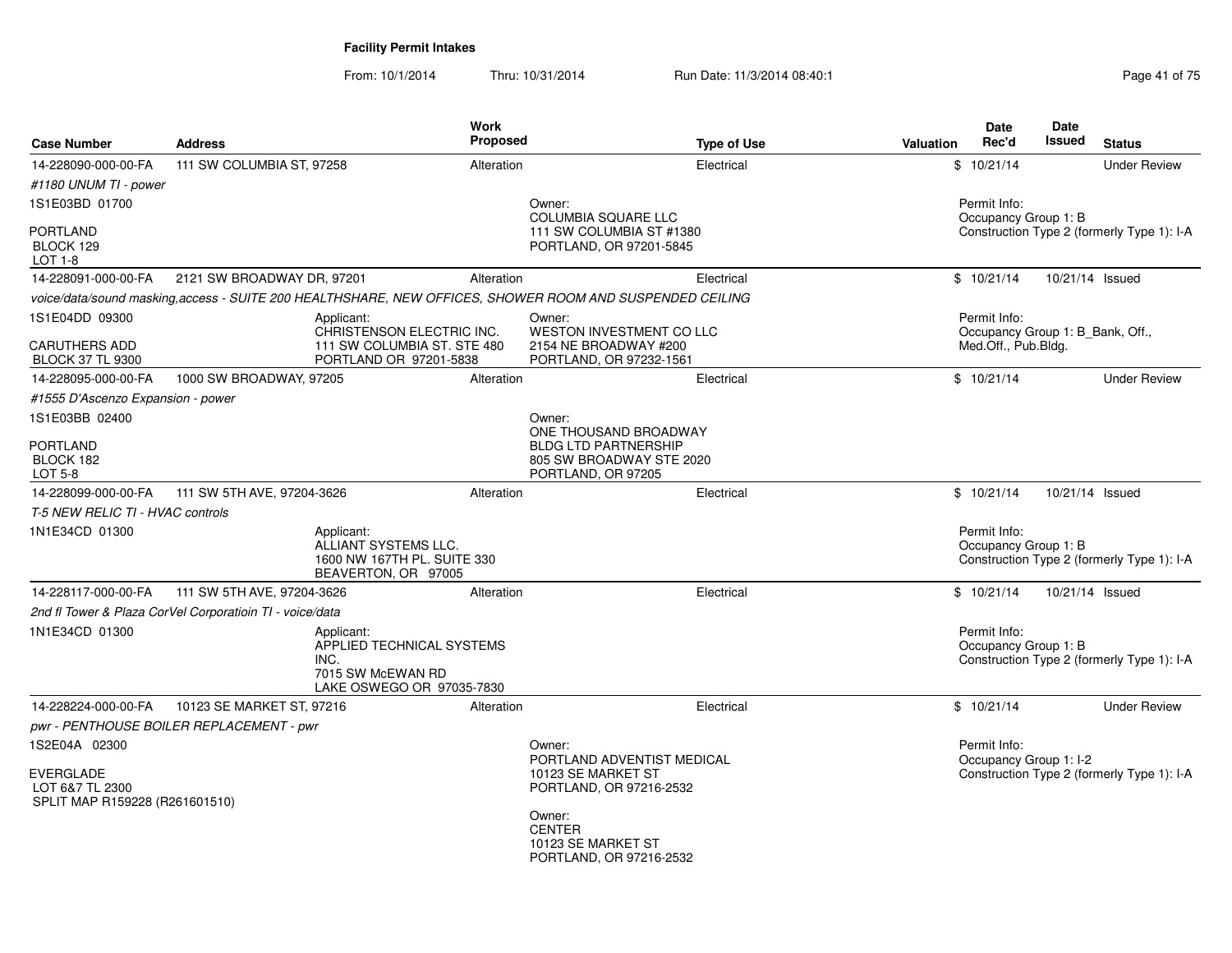From: 10/1/2014Thru: 10/31/2014 Run Date: 11/3/2014 08:40:1<br>
Run Date: 11/3/2014 08:40:1

| <b>Case Number</b>                                                                     | <b>Address</b>                                                                                           | <b>Work</b><br><b>Proposed</b>                         | <b>Type of Use</b>                                                            | <b>Date</b><br>Rec'd<br>Valuation      | Date<br>Issued<br><b>Status</b>            |
|----------------------------------------------------------------------------------------|----------------------------------------------------------------------------------------------------------|--------------------------------------------------------|-------------------------------------------------------------------------------|----------------------------------------|--------------------------------------------|
| 14-228090-000-00-FA                                                                    | 111 SW COLUMBIA ST, 97258                                                                                | Alteration                                             | Electrical                                                                    | \$10/21/14                             | <b>Under Review</b>                        |
| #1180 UNUM TI - power                                                                  |                                                                                                          |                                                        |                                                                               |                                        |                                            |
| 1S1E03BD 01700                                                                         |                                                                                                          | Owner:                                                 | <b>COLUMBIA SQUARE LLC</b>                                                    | Permit Info:<br>Occupancy Group 1: B   |                                            |
| PORTLAND<br>BLOCK 129<br><b>LOT 1-8</b>                                                |                                                                                                          |                                                        | 111 SW COLUMBIA ST #1380<br>PORTLAND, OR 97201-5845                           |                                        | Construction Type 2 (formerly Type 1): I-A |
| 14-228091-000-00-FA                                                                    | 2121 SW BROADWAY DR, 97201                                                                               | Alteration                                             | Electrical                                                                    | \$10/21/14                             | 10/21/14 Issued                            |
|                                                                                        | voice/data/sound masking, access - SUITE 200 HEALTHSHARE, NEW OFFICES, SHOWER ROOM AND SUSPENDED CEILING |                                                        |                                                                               |                                        |                                            |
| 1S1E04DD 09300                                                                         | Applicant:                                                                                               | Owner:<br>CHRISTENSON ELECTRIC INC.                    | <b>WESTON INVESTMENT CO LLC</b>                                               | Permit Info:                           | Occupancy Group 1: B_Bank, Off.,           |
| <b>CARUTHERS ADD</b><br><b>BLOCK 37 TL 9300</b>                                        |                                                                                                          | 111 SW COLUMBIA ST. STE 480<br>PORTLAND OR 97201-5838  | 2154 NE BROADWAY #200<br>PORTLAND, OR 97232-1561                              | Med.Off., Pub.Bldg.                    |                                            |
| 14-228095-000-00-FA                                                                    | 1000 SW BROADWAY, 97205                                                                                  | Alteration                                             | Electrical                                                                    | \$10/21/14                             | <b>Under Review</b>                        |
| #1555 D'Ascenzo Expansion - power                                                      |                                                                                                          |                                                        |                                                                               |                                        |                                            |
| 1S1E03BB 02400                                                                         |                                                                                                          | Owner:                                                 | ONE THOUSAND BROADWAY                                                         |                                        |                                            |
| PORTLAND<br>BLOCK 182<br>LOT 5-8                                                       |                                                                                                          |                                                        | <b>BLDG LTD PARTNERSHIP</b><br>805 SW BROADWAY STE 2020<br>PORTLAND, OR 97205 |                                        |                                            |
| 14-228099-000-00-FA                                                                    | 111 SW 5TH AVE, 97204-3626                                                                               | Alteration                                             | Electrical                                                                    | \$10/21/14                             | 10/21/14 Issued                            |
| T-5 NEW RELIC TI - HVAC controls                                                       |                                                                                                          |                                                        |                                                                               |                                        |                                            |
| 1N1E34CD 01300                                                                         | Applicant:<br>ALLIANT SYSTEMS LLC.<br>BEAVERTON, OR 97005                                                | 1600 NW 167TH PL, SUITE 330                            |                                                                               | Permit Info:<br>Occupancy Group 1: B   | Construction Type 2 (formerly Type 1): I-A |
| 14-228117-000-00-FA                                                                    | 111 SW 5TH AVE, 97204-3626                                                                               | Alteration                                             | Electrical                                                                    | \$10/21/14                             | 10/21/14 Issued                            |
|                                                                                        | 2nd fl Tower & Plaza CorVel Corporatioin TI - voice/data                                                 |                                                        |                                                                               |                                        |                                            |
| 1N1E34CD 01300                                                                         | Applicant:<br>INC.<br>7015 SW McEWAN RD                                                                  | APPLIED TECHNICAL SYSTEMS<br>LAKE OSWEGO OR 97035-7830 |                                                                               | Permit Info:<br>Occupancy Group 1: B   | Construction Type 2 (formerly Type 1): I-A |
| 14-228224-000-00-FA                                                                    | 10123 SE MARKET ST, 97216                                                                                | Alteration                                             | Electrical                                                                    | \$10/21/14                             | <b>Under Review</b>                        |
|                                                                                        | pwr - PENTHOUSE BOILER REPLACEMENT - pwr                                                                 |                                                        |                                                                               |                                        |                                            |
| 1S2E04A 02300<br><b>EVERGLADE</b><br>LOT 6&7 TL 2300<br>SPLIT MAP R159228 (R261601510) |                                                                                                          | Owner:                                                 | PORTLAND ADVENTIST MEDICAL<br>10123 SE MARKET ST<br>PORTLAND, OR 97216-2532   | Permit Info:<br>Occupancy Group 1: I-2 | Construction Type 2 (formerly Type 1): I-A |
|                                                                                        |                                                                                                          | Owner:<br><b>CENTER</b>                                | 10123 SE MARKET ST<br>PORTLAND, OR 97216-2532                                 |                                        |                                            |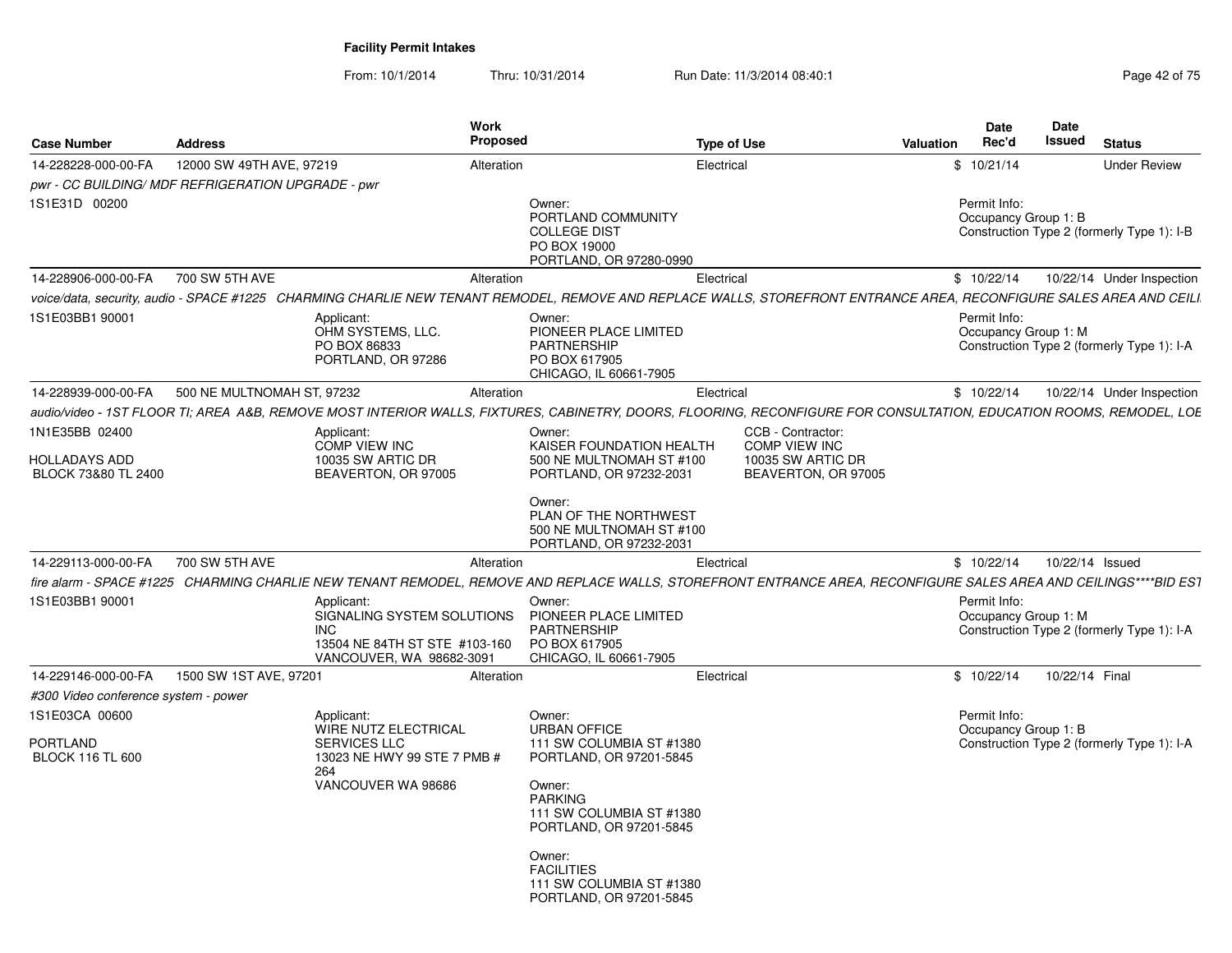| <b>Case Number</b>                                     | <b>Address</b>             |                                                                                                                     | Work<br><b>Proposed</b> |                                                                                                                                                                     | <b>Type of Use</b> |                                           | Valuation | <b>Date</b><br>Rec'd                 | <b>Date</b><br>Issued | <b>Status</b>                              |
|--------------------------------------------------------|----------------------------|---------------------------------------------------------------------------------------------------------------------|-------------------------|---------------------------------------------------------------------------------------------------------------------------------------------------------------------|--------------------|-------------------------------------------|-----------|--------------------------------------|-----------------------|--------------------------------------------|
| 14-228228-000-00-FA                                    | 12000 SW 49TH AVE, 97219   |                                                                                                                     | Alteration              |                                                                                                                                                                     | Electrical         |                                           |           | \$10/21/14                           |                       | <b>Under Review</b>                        |
| pwr - CC BUILDING/ MDF REFRIGERATION UPGRADE - pwr     |                            |                                                                                                                     |                         |                                                                                                                                                                     |                    |                                           |           |                                      |                       |                                            |
| 1S1E31D 00200                                          |                            |                                                                                                                     |                         | Owner:<br>PORTLAND COMMUNITY<br><b>COLLEGE DIST</b><br>PO BOX 19000<br>PORTLAND, OR 97280-0990                                                                      |                    |                                           |           | Permit Info:<br>Occupancy Group 1: B |                       | Construction Type 2 (formerly Type 1): I-B |
| 14-228906-000-00-FA                                    | 700 SW 5TH AVE             |                                                                                                                     | Alteration              |                                                                                                                                                                     | Electrical         |                                           |           | \$10/22/14                           |                       | 10/22/14 Under Inspection                  |
|                                                        |                            |                                                                                                                     |                         | voice/data, security, audio - SPACE #1225 CHARMING CHARLIE NEW TENANT REMODEL, REMOVE AND REPLACE WALLS, STOREFRONT ENTRANCE AREA, RECONFIGURE SALES AREA AND CEILI |                    |                                           |           |                                      |                       |                                            |
| 1S1E03BB1 90001                                        |                            | Applicant:<br>OHM SYSTEMS, LLC.<br>PO BOX 86833<br>PORTLAND, OR 97286                                               |                         | Owner:<br>PIONEER PLACE LIMITED<br><b>PARTNERSHIP</b><br>PO BOX 617905<br>CHICAGO, IL 60661-7905                                                                    |                    |                                           |           | Permit Info:<br>Occupancy Group 1: M |                       | Construction Type 2 (formerly Type 1): I-A |
| 14-228939-000-00-FA                                    | 500 NE MULTNOMAH ST, 97232 |                                                                                                                     | Alteration              |                                                                                                                                                                     | Electrical         |                                           |           | \$10/22/14                           |                       | 10/22/14 Under Inspection                  |
|                                                        |                            |                                                                                                                     |                         | audio/video - 1ST FLOOR TI; AREA A&B, REMOVE MOST INTERIOR WALLS, FIXTURES, CABINETRY, DOORS, FLOORING, RECONFIGURE FOR CONSULTATION, EDUCATION ROOMS, REMODEL, LOE |                    |                                           |           |                                      |                       |                                            |
| 1N1E35BB 02400                                         |                            | Applicant:<br><b>COMP VIEW INC</b>                                                                                  |                         | Owner:<br>KAISER FOUNDATION HEALTH                                                                                                                                  |                    | CCB - Contractor:<br><b>COMP VIEW INC</b> |           |                                      |                       |                                            |
| <b>HOLLADAYS ADD</b><br>BLOCK 73&80 TL 2400            |                            | 10035 SW ARTIC DR<br>BEAVERTON, OR 97005                                                                            |                         | 500 NE MULTNOMAH ST #100<br>PORTLAND, OR 97232-2031                                                                                                                 |                    | 10035 SW ARTIC DR<br>BEAVERTON, OR 97005  |           |                                      |                       |                                            |
|                                                        |                            |                                                                                                                     |                         | Owner:<br>PLAN OF THE NORTHWEST<br>500 NE MULTNOMAH ST #100<br>PORTLAND, OR 97232-2031                                                                              |                    |                                           |           |                                      |                       |                                            |
| 14-229113-000-00-FA                                    | 700 SW 5TH AVE             |                                                                                                                     | Alteration              |                                                                                                                                                                     | Electrical         |                                           |           | \$10/22/14                           | 10/22/14 Issued       |                                            |
|                                                        |                            |                                                                                                                     |                         | fire alarm - SPACE #1225 CHARMING CHARLIE NEW TENANT REMODEL, REMOVE AND REPLACE WALLS, STOREFRONT ENTRANCE AREA, RECONFIGURE SALES AREA AND CEILINGS****BID ES1    |                    |                                           |           |                                      |                       |                                            |
| 1S1E03BB1 90001                                        |                            | Applicant:<br>SIGNALING SYSTEM SOLUTIONS<br><b>INC</b><br>13504 NE 84TH ST STE #103-160<br>VANCOUVER, WA 98682-3091 |                         | Owner:<br>PIONEER PLACE LIMITED<br><b>PARTNERSHIP</b><br>PO BOX 617905<br>CHICAGO, IL 60661-7905                                                                    |                    |                                           |           | Permit Info:<br>Occupancy Group 1: M |                       | Construction Type 2 (formerly Type 1): I-A |
| 14-229146-000-00-FA                                    | 1500 SW 1ST AVE, 97201     |                                                                                                                     | Alteration              |                                                                                                                                                                     | Electrical         |                                           |           | \$10/22/14                           | 10/22/14 Final        |                                            |
| #300 Video conference system - power<br>1S1E03CA 00600 |                            | Applicant:                                                                                                          |                         | Owner:                                                                                                                                                              |                    |                                           |           | Permit Info:                         |                       |                                            |
|                                                        |                            | WIRE NUTZ ELECTRICAL                                                                                                |                         | <b>URBAN OFFICE</b>                                                                                                                                                 |                    |                                           |           | Occupancy Group 1: B                 |                       |                                            |
| <b>PORTLAND</b><br><b>BLOCK 116 TL 600</b>             |                            | <b>SERVICES LLC</b><br>13023 NE HWY 99 STE 7 PMB #<br>264                                                           |                         | 111 SW COLUMBIA ST #1380<br>PORTLAND, OR 97201-5845                                                                                                                 |                    |                                           |           |                                      |                       | Construction Type 2 (formerly Type 1): I-A |
|                                                        |                            | VANCOUVER WA 98686                                                                                                  |                         | Owner:<br><b>PARKING</b><br>111 SW COLUMBIA ST #1380<br>PORTLAND, OR 97201-5845                                                                                     |                    |                                           |           |                                      |                       |                                            |
|                                                        |                            |                                                                                                                     |                         | Owner:<br><b>FACILITIES</b><br>111 SW COLUMBIA ST #1380<br>PORTLAND, OR 97201-5845                                                                                  |                    |                                           |           |                                      |                       |                                            |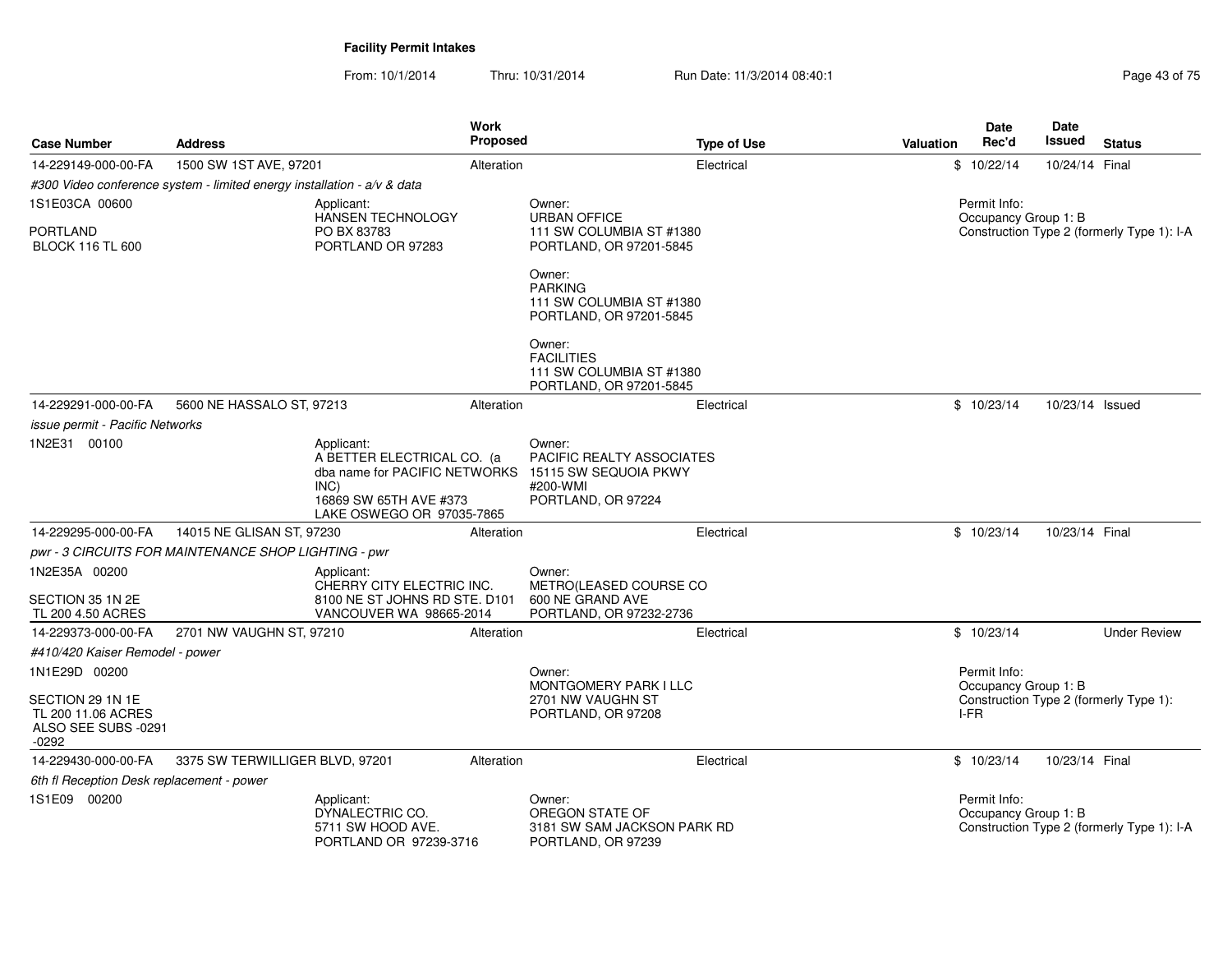| <b>Case Number</b>                                                       | <b>Address</b>                                                          |                                                                                                                                          | Work<br>Proposed |                                                                                                | <b>Type of Use</b> | Valuation | Date<br>Rec'd                        | Date<br>Issued  | <b>Status</b>                              |
|--------------------------------------------------------------------------|-------------------------------------------------------------------------|------------------------------------------------------------------------------------------------------------------------------------------|------------------|------------------------------------------------------------------------------------------------|--------------------|-----------|--------------------------------------|-----------------|--------------------------------------------|
| 14-229149-000-00-FA                                                      | 1500 SW 1ST AVE, 97201                                                  |                                                                                                                                          | Alteration       |                                                                                                | Electrical         |           | \$10/22/14                           | 10/24/14 Final  |                                            |
|                                                                          | #300 Video conference system - limited energy installation - a/v & data |                                                                                                                                          |                  |                                                                                                |                    |           |                                      |                 |                                            |
| 1S1E03CA 00600                                                           |                                                                         | Applicant:<br>HANSEN TECHNOLOGY                                                                                                          |                  | Owner:<br><b>URBAN OFFICE</b>                                                                  |                    |           | Permit Info:<br>Occupancy Group 1: B |                 |                                            |
| <b>PORTLAND</b><br><b>BLOCK 116 TL 600</b>                               |                                                                         | PO BX 83783<br>PORTLAND OR 97283                                                                                                         |                  | 111 SW COLUMBIA ST #1380<br>PORTLAND, OR 97201-5845                                            |                    |           |                                      |                 | Construction Type 2 (formerly Type 1): I-A |
|                                                                          |                                                                         |                                                                                                                                          |                  | Owner:<br><b>PARKING</b><br>111 SW COLUMBIA ST #1380<br>PORTLAND, OR 97201-5845                |                    |           |                                      |                 |                                            |
|                                                                          |                                                                         |                                                                                                                                          |                  | Owner:<br><b>FACILITIES</b><br>111 SW COLUMBIA ST #1380<br>PORTLAND, OR 97201-5845             |                    |           |                                      |                 |                                            |
| 14-229291-000-00-FA                                                      | 5600 NE HASSALO ST, 97213                                               |                                                                                                                                          | Alteration       |                                                                                                | Electrical         |           | \$10/23/14                           | 10/23/14 Issued |                                            |
| issue permit - Pacific Networks                                          |                                                                         |                                                                                                                                          |                  |                                                                                                |                    |           |                                      |                 |                                            |
| 1N2E31 00100                                                             |                                                                         | Applicant:<br>A BETTER ELECTRICAL CO. (a<br>dba name for PACIFIC NETWORKS<br>INC)<br>16869 SW 65TH AVE #373<br>LAKE OSWEGO OR 97035-7865 |                  | Owner:<br>PACIFIC REALTY ASSOCIATES<br>15115 SW SEQUOIA PKWY<br>#200-WMI<br>PORTLAND, OR 97224 |                    |           |                                      |                 |                                            |
| 14-229295-000-00-FA                                                      | 14015 NE GLISAN ST, 97230                                               |                                                                                                                                          | Alteration       |                                                                                                | Electrical         |           | \$10/23/14                           | 10/23/14 Final  |                                            |
|                                                                          | pwr - 3 CIRCUITS FOR MAINTENANCE SHOP LIGHTING - pwr                    |                                                                                                                                          |                  |                                                                                                |                    |           |                                      |                 |                                            |
| 1N2E35A 00200                                                            |                                                                         | Applicant:<br>CHERRY CITY ELECTRIC INC.                                                                                                  |                  | Owner:<br>METRO(LEASED COURSE CO                                                               |                    |           |                                      |                 |                                            |
| SECTION 35 1N 2E<br>TL 200 4.50 ACRES                                    |                                                                         | 8100 NE ST JOHNS RD STE. D101<br>VANCOUVER WA 98665-2014                                                                                 |                  | 600 NE GRAND AVE<br>PORTLAND, OR 97232-2736                                                    |                    |           |                                      |                 |                                            |
| 14-229373-000-00-FA                                                      | 2701 NW VAUGHN ST, 97210                                                |                                                                                                                                          | Alteration       |                                                                                                | Electrical         |           | \$10/23/14                           |                 | <b>Under Review</b>                        |
| #410/420 Kaiser Remodel - power                                          |                                                                         |                                                                                                                                          |                  |                                                                                                |                    |           |                                      |                 |                                            |
| 1N1E29D 00200                                                            |                                                                         |                                                                                                                                          |                  | Owner:                                                                                         |                    |           | Permit Info:                         |                 |                                            |
| SECTION 29 1N 1E<br>TL 200 11.06 ACRES<br>ALSO SEE SUBS -0291<br>$-0292$ |                                                                         |                                                                                                                                          |                  | <b>MONTGOMERY PARK I LLC</b><br>2701 NW VAUGHN ST<br>PORTLAND, OR 97208                        |                    |           | Occupancy Group 1: B<br>I-FR         |                 | Construction Type 2 (formerly Type 1):     |
| 14-229430-000-00-FA                                                      | 3375 SW TERWILLIGER BLVD, 97201                                         |                                                                                                                                          | Alteration       |                                                                                                | Electrical         |           | \$10/23/14                           | 10/23/14 Final  |                                            |
| 6th fl Reception Desk replacement - power                                |                                                                         |                                                                                                                                          |                  |                                                                                                |                    |           |                                      |                 |                                            |
| 1S1E09 00200                                                             |                                                                         | Applicant:<br>DYNALECTRIC CO.<br>5711 SW HOOD AVE.<br>PORTLAND OR 97239-3716                                                             |                  | Owner:<br>OREGON STATE OF<br>3181 SW SAM JACKSON PARK RD<br>PORTLAND, OR 97239                 |                    |           | Permit Info:<br>Occupancy Group 1: B |                 | Construction Type 2 (formerly Type 1): I-A |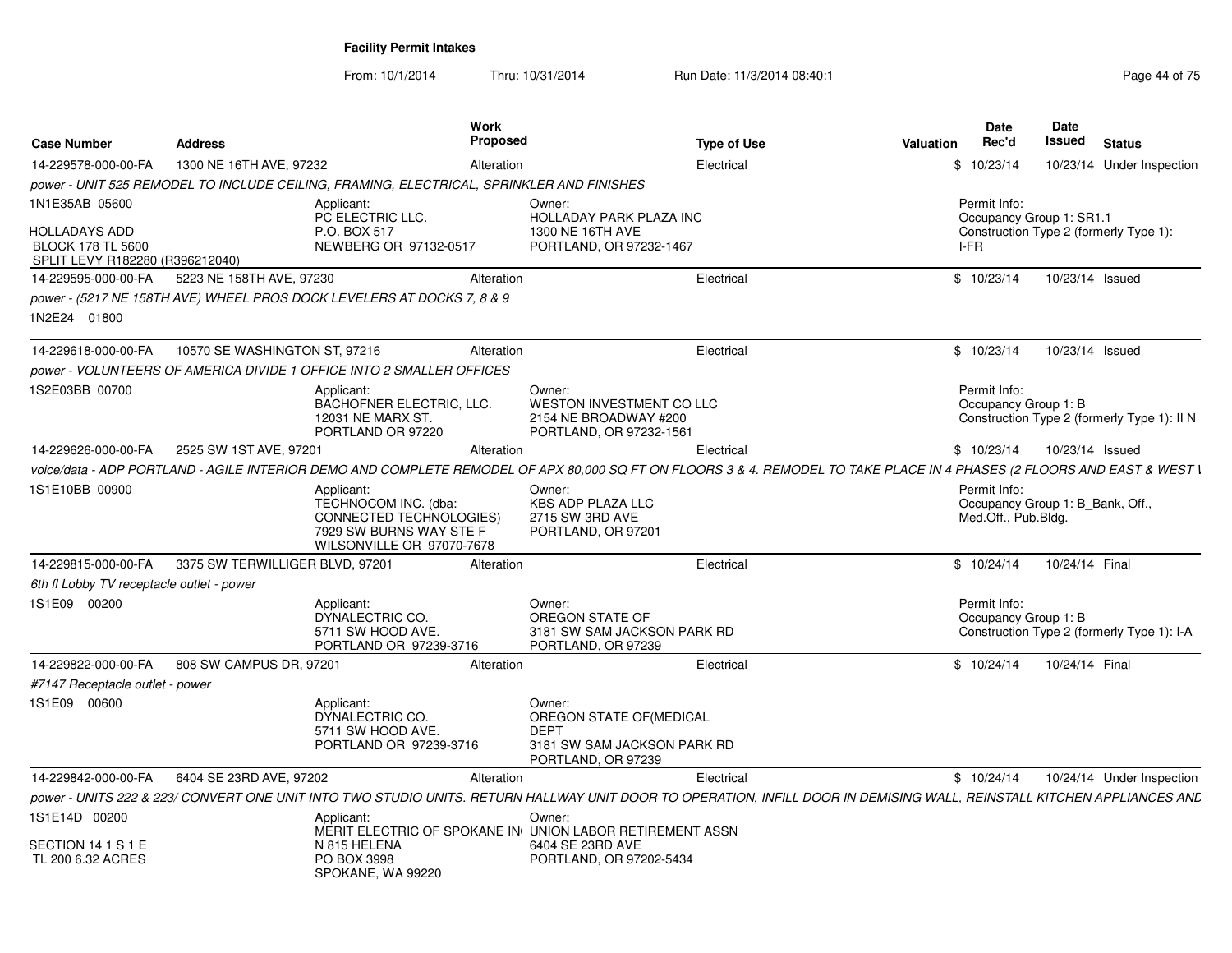From: 10/1/2014Thru: 10/31/2014 Run Date: 11/3/2014 08:40:1<br>
Run Date: 11/3/2014 08:40:1

| <b>Case Number</b>                                                                  | <b>Address</b>                                                                                                               | Work<br><b>Proposed</b> | <b>Type of Use</b>                                                                                                                                                      | <b>Valuation</b> | Date<br>Rec'd                                                           | <b>Date</b><br>Issued | <b>Status</b>                               |
|-------------------------------------------------------------------------------------|------------------------------------------------------------------------------------------------------------------------------|-------------------------|-------------------------------------------------------------------------------------------------------------------------------------------------------------------------|------------------|-------------------------------------------------------------------------|-----------------------|---------------------------------------------|
| 14-229578-000-00-FA                                                                 | 1300 NE 16TH AVE, 97232                                                                                                      | Alteration              | Electrical                                                                                                                                                              |                  | \$10/23/14                                                              |                       | 10/23/14 Under Inspection                   |
|                                                                                     | power - UNIT 525 REMODEL TO INCLUDE CEILING, FRAMING, ELECTRICAL, SPRINKLER AND FINISHES                                     |                         |                                                                                                                                                                         |                  |                                                                         |                       |                                             |
| 1N1E35AB 05600                                                                      | Applicant:<br>PC ELECTRIC LLC.                                                                                               |                         | Owner:<br><b>HOLLADAY PARK PLAZA INC</b>                                                                                                                                |                  | Permit Info:<br>Occupancy Group 1: SR1.1                                |                       |                                             |
| <b>HOLLADAYS ADD</b><br><b>BLOCK 178 TL 5600</b><br>SPLIT LEVY R182280 (R396212040) | P.O. BOX 517<br>NEWBERG OR 97132-0517                                                                                        |                         | 1300 NE 16TH AVE<br>PORTLAND, OR 97232-1467                                                                                                                             | I-FR             |                                                                         |                       | Construction Type 2 (formerly Type 1):      |
| 14-229595-000-00-FA                                                                 | 5223 NE 158TH AVE, 97230                                                                                                     | Alteration              | Electrical                                                                                                                                                              |                  | \$10/23/14                                                              | 10/23/14 Issued       |                                             |
|                                                                                     | power - (5217 NE 158TH AVE) WHEEL PROS DOCK LEVELERS AT DOCKS 7, 8 & 9                                                       |                         |                                                                                                                                                                         |                  |                                                                         |                       |                                             |
| 1N2E24 01800                                                                        |                                                                                                                              |                         |                                                                                                                                                                         |                  |                                                                         |                       |                                             |
| 14-229618-000-00-FA                                                                 | 10570 SE WASHINGTON ST, 97216                                                                                                | Alteration              | Electrical                                                                                                                                                              |                  | \$10/23/14                                                              | 10/23/14 Issued       |                                             |
|                                                                                     | power - VOLUNTEERS OF AMERICA DIVIDE 1 OFFICE INTO 2 SMALLER OFFICES                                                         |                         |                                                                                                                                                                         |                  |                                                                         |                       |                                             |
| IS2E03BB 00700                                                                      | Applicant:<br>BACHOFNER ELECTRIC, LLC.<br>12031 NE MARX ST.<br>PORTLAND OR 97220                                             |                         | Owner:<br>WESTON INVESTMENT CO LLC<br>2154 NE BROADWAY #200<br>PORTLAND, OR 97232-1561                                                                                  |                  | Permit Info:<br>Occupancy Group 1: B                                    |                       | Construction Type 2 (formerly Type 1): II N |
| 14-229626-000-00-FA                                                                 | 2525 SW 1ST AVE, 97201                                                                                                       | Alteration              | Electrical                                                                                                                                                              |                  | \$10/23/14                                                              | 10/23/14 Issued       |                                             |
|                                                                                     |                                                                                                                              |                         | voice/data - ADP PORTLAND - AGILE INTERIOR DEMO AND COMPLETE REMODEL OF APX 80,000 SQ FT ON FLOORS 3 & 4. REMODEL TO TAKE PLACE IN 4 PHASES (2 FLOORS AND EAST & WEST I |                  |                                                                         |                       |                                             |
| 1S1E10BB 00900                                                                      | Applicant:<br>TECHNOCOM INC. (dba:<br><b>CONNECTED TECHNOLOGIES)</b><br>7929 SW BURNS WAY STE F<br>WILSONVILLE OR 97070-7678 |                         | Owner:<br><b>KBS ADP PLAZA LLC</b><br>2715 SW 3RD AVE<br>PORTLAND, OR 97201                                                                                             |                  | Permit Info:<br>Occupancy Group 1: B Bank, Off.,<br>Med.Off., Pub.Bldg. |                       |                                             |
| 14-229815-000-00-FA                                                                 | 3375 SW TERWILLIGER BLVD, 97201                                                                                              | Alteration              | Electrical                                                                                                                                                              |                  | \$10/24/14                                                              | 10/24/14 Final        |                                             |
| 6th fl Lobby TV receptacle outlet - power                                           |                                                                                                                              |                         |                                                                                                                                                                         |                  |                                                                         |                       |                                             |
| IS1E09 00200                                                                        | Applicant:<br>DYNALECTRIC CO.<br>5711 SW HOOD AVE.<br>PORTLAND OR 97239-3716                                                 |                         | Owner:<br>OREGON STATE OF<br>3181 SW SAM JACKSON PARK RD<br>PORTLAND, OR 97239                                                                                          |                  | Permit Info:<br>Occupancy Group 1: B                                    |                       | Construction Type 2 (formerly Type 1): I-A  |
| 14-229822-000-00-FA                                                                 | 808 SW CAMPUS DR, 97201                                                                                                      | Alteration              | Electrical                                                                                                                                                              |                  | \$10/24/14                                                              | 10/24/14 Final        |                                             |
| #7147 Receptacle outlet - power                                                     |                                                                                                                              |                         |                                                                                                                                                                         |                  |                                                                         |                       |                                             |
| 1S1E09 00600                                                                        | Applicant:<br>DYNALECTRIC CO.<br>5711 SW HOOD AVE.<br>PORTLAND OR 97239-3716                                                 |                         | Owner:<br>OREGON STATE OF (MEDICAL<br><b>DEPT</b><br>3181 SW SAM JACKSON PARK RD<br>PORTLAND, OR 97239                                                                  |                  |                                                                         |                       |                                             |
| 14-229842-000-00-FA                                                                 | 6404 SE 23RD AVE, 97202                                                                                                      | Alteration              | Electrical                                                                                                                                                              |                  | \$10/24/14                                                              |                       | 10/24/14 Under Inspection                   |
|                                                                                     |                                                                                                                              |                         | DOWER - UNITS 222 & 223/ CONVERT ONE UNIT INTO TWO STUDIO UNITS. RETURN HALLWAY UNIT DOOR TO OPERATION. INFILL DOOR IN DEMISING WALL. REINSTALL KITCHEN APPLIANCES AND  |                  |                                                                         |                       |                                             |
| 1S1E14D 00200                                                                       | Applicant:                                                                                                                   |                         | Owner:<br>MERIT ELECTRIC OF SPOKANE IN UNION LABOR RETIREMENT ASSN                                                                                                      |                  |                                                                         |                       |                                             |
| SECTION 14 1 S 1 E<br>TL 200 6.32 ACRES                                             | N 815 HELENA<br>PO BOX 3998<br>SPOKANE, WA 99220                                                                             |                         | 6404 SE 23RD AVE<br>PORTLAND, OR 97202-5434                                                                                                                             |                  |                                                                         |                       |                                             |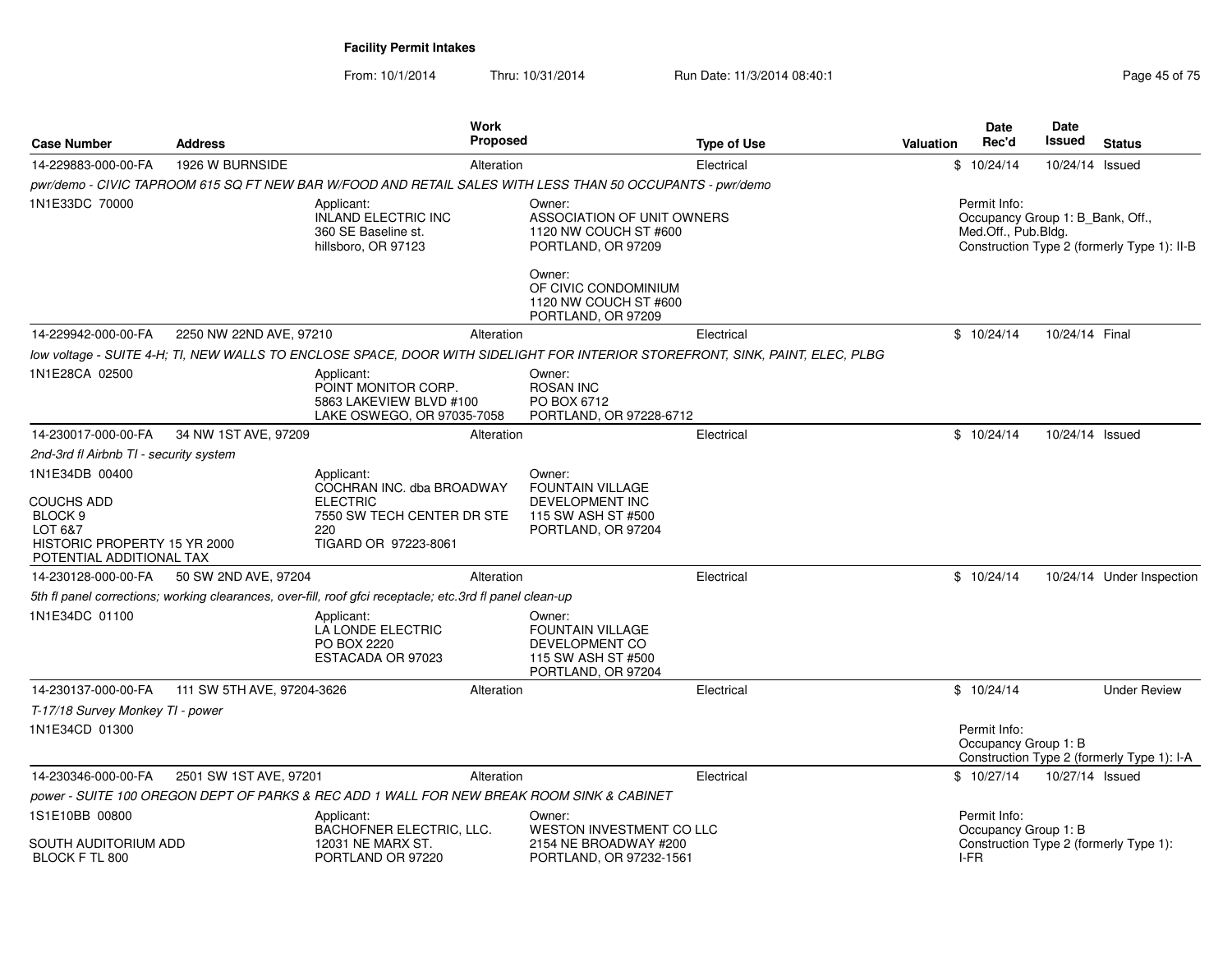| <b>Proposed</b><br><b>Address</b><br><b>Case Number</b><br>1926 W BURNSIDE<br>14-229883-000-00-FA<br>Alteration<br>pwr/demo - CIVIC TAPROOM 615 SQ FT NEW BAR W/FOOD AND RETAIL SALES WITH LESS THAN 50 OCCUPANTS - pwr/demo<br>1N1E33DC 70000<br>Owner:<br>Applicant:                                                                                                 | <b>Type of Use</b><br>Electrical | Rec'd<br>Issued<br>Valuation<br><b>Status</b><br>\$10/24/14<br>10/24/14 Issued                                         |
|------------------------------------------------------------------------------------------------------------------------------------------------------------------------------------------------------------------------------------------------------------------------------------------------------------------------------------------------------------------------|----------------------------------|------------------------------------------------------------------------------------------------------------------------|
|                                                                                                                                                                                                                                                                                                                                                                        |                                  |                                                                                                                        |
|                                                                                                                                                                                                                                                                                                                                                                        |                                  |                                                                                                                        |
| <b>INLAND ELECTRIC INC</b><br>ASSOCIATION OF UNIT OWNERS<br>360 SE Baseline st.<br>1120 NW COUCH ST #600<br>hillsboro, OR 97123<br>PORTLAND, OR 97209<br>Owner:<br>OF CIVIC CONDOMINIUM<br>1120 NW COUCH ST #600<br>PORTLAND, OR 97209                                                                                                                                 |                                  | Permit Info:<br>Occupancy Group 1: B_Bank, Off.,<br>Med.Off., Pub.Bldg.<br>Construction Type 2 (formerly Type 1): II-B |
| 14-229942-000-00-FA<br>2250 NW 22ND AVE, 97210<br>Alteration                                                                                                                                                                                                                                                                                                           | Electrical                       | \$10/24/14<br>10/24/14 Final                                                                                           |
| low voltage - SUITE 4-H; TI, NEW WALLS TO ENCLOSE SPACE, DOOR WITH SIDELIGHT FOR INTERIOR STOREFRONT, SINK, PAINT, ELEC, PLBG                                                                                                                                                                                                                                          |                                  |                                                                                                                        |
| 1N1E28CA 02500<br>Applicant:<br>Owner:<br>POINT MONITOR CORP.<br><b>ROSAN INC</b><br>5863 LAKEVIEW BLVD #100<br>PO BOX 6712<br>LAKE OSWEGO, OR 97035-7058<br>PORTLAND, OR 97228-6712                                                                                                                                                                                   |                                  |                                                                                                                        |
| 34 NW 1ST AVE, 97209<br>14-230017-000-00-FA<br>Alteration                                                                                                                                                                                                                                                                                                              | Electrical                       | \$10/24/14<br>10/24/14 Issued                                                                                          |
| 2nd-3rd fl Airbnb TI - security system                                                                                                                                                                                                                                                                                                                                 |                                  |                                                                                                                        |
| 1N1E34DB 00400<br>Applicant:<br>Owner:<br>COCHRAN INC. dba BROADWAY<br><b>FOUNTAIN VILLAGE</b><br><b>DEVELOPMENT INC</b><br><b>COUCHS ADD</b><br><b>ELECTRIC</b><br>BLOCK <sub>9</sub><br>7550 SW TECH CENTER DR STE<br>115 SW ASH ST #500<br>LOT 6&7<br>PORTLAND, OR 97204<br>220<br>TIGARD OR 97223-8061<br>HISTORIC PROPERTY 15 YR 2000<br>POTENTIAL ADDITIONAL TAX |                                  |                                                                                                                        |
| 50 SW 2ND AVE, 97204<br>14-230128-000-00-FA<br>Alteration                                                                                                                                                                                                                                                                                                              | Electrical                       | \$10/24/14<br>10/24/14 Under Inspection                                                                                |
| 5th fl panel corrections; working clearances, over-fill, roof gfci receptacle; etc.3rd fl panel clean-up                                                                                                                                                                                                                                                               |                                  |                                                                                                                        |
| 1N1E34DC 01100<br>Applicant:<br>Owner:<br><b>FOUNTAIN VILLAGE</b><br>LA LONDE ELECTRIC<br>DEVELOPMENT CO<br>PO BOX 2220<br>ESTACADA OR 97023<br>115 SW ASH ST #500<br>PORTLAND, OR 97204                                                                                                                                                                               |                                  |                                                                                                                        |
| 14-230137-000-00-FA<br>111 SW 5TH AVE, 97204-3626<br>Alteration                                                                                                                                                                                                                                                                                                        | Electrical                       | \$10/24/14<br><b>Under Review</b>                                                                                      |
| T-17/18 Survey Monkey TI - power<br>1N1E34CD 01300                                                                                                                                                                                                                                                                                                                     |                                  | Permit Info:<br>Occupancy Group 1: B<br>Construction Type 2 (formerly Type 1): I-A                                     |
| 14-230346-000-00-FA<br>2501 SW 1ST AVE, 97201<br>Alteration                                                                                                                                                                                                                                                                                                            | Electrical                       | \$10/27/14<br>10/27/14 Issued                                                                                          |
| power - SUITE 100 OREGON DEPT OF PARKS & REC ADD 1 WALL FOR NEW BREAK ROOM SINK & CABINET                                                                                                                                                                                                                                                                              |                                  |                                                                                                                        |
| 1S1E10BB 00800<br>Applicant:<br>Owner:<br><b>WESTON INVESTMENT CO LLC</b><br>BACHOFNER ELECTRIC, LLC.<br>SOUTH AUDITORIUM ADD<br>12031 NE MARX ST.<br>2154 NE BROADWAY #200<br>BLOCK F TL 800<br>PORTLAND OR 97220<br>PORTLAND, OR 97232-1561                                                                                                                          |                                  | Permit Info:<br>Occupancy Group 1: B<br>Construction Type 2 (formerly Type 1):<br>I-FR                                 |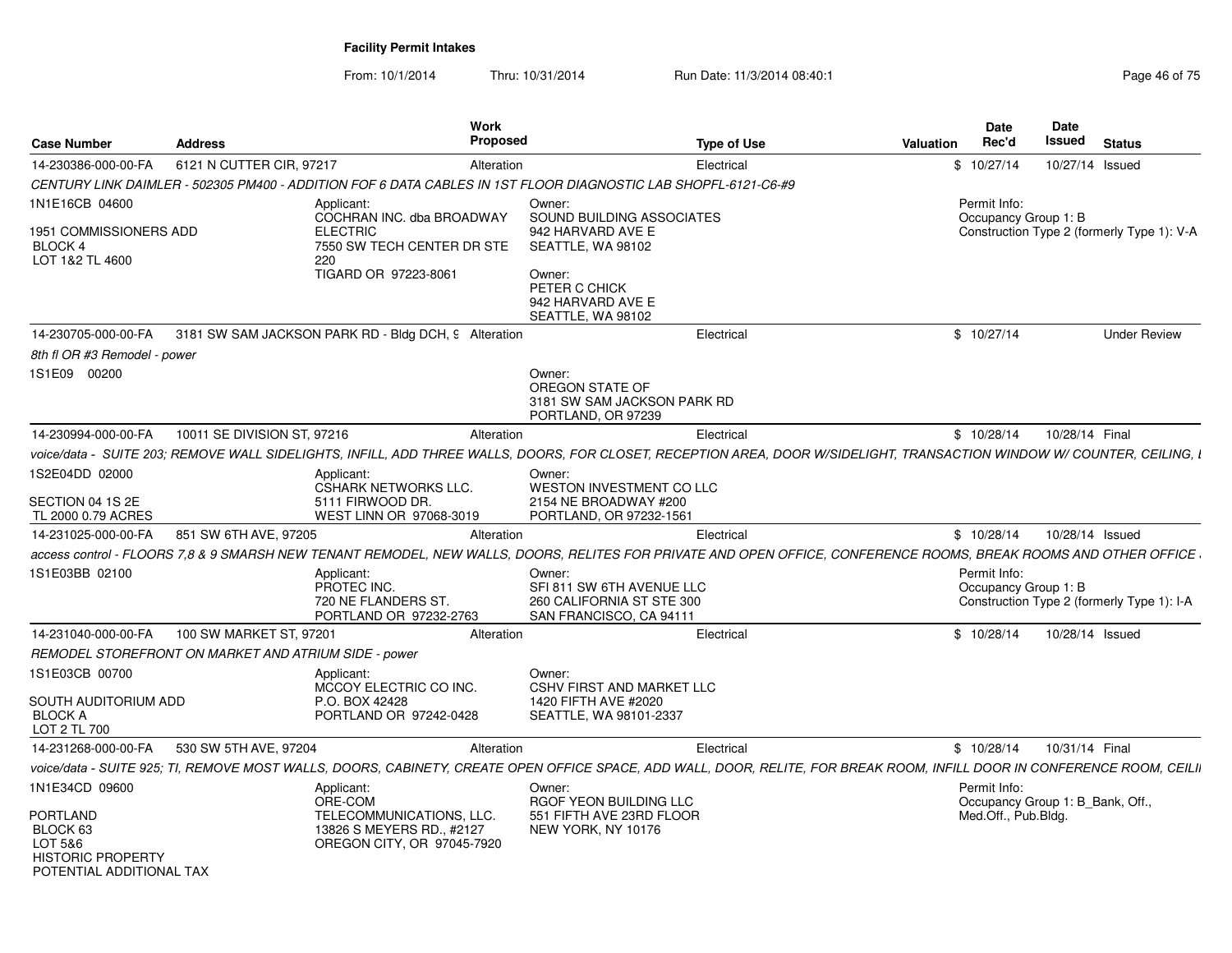| <b>Case Number</b>                                                                      | <b>Address</b>                                       | <b>Work</b><br><b>Proposed</b>                                                                                                                                           |                                                                                             | <b>Type of Use</b> | <b>Valuation</b> | Date<br>Rec'd                                    | Date<br>Issued  | <b>Status</b>                              |
|-----------------------------------------------------------------------------------------|------------------------------------------------------|--------------------------------------------------------------------------------------------------------------------------------------------------------------------------|---------------------------------------------------------------------------------------------|--------------------|------------------|--------------------------------------------------|-----------------|--------------------------------------------|
| 14-230386-000-00-FA                                                                     | 6121 N CUTTER CIR, 97217                             | Alteration                                                                                                                                                               |                                                                                             | Electrical         |                  | \$10/27/14                                       | 10/27/14 Issued |                                            |
|                                                                                         |                                                      | CENTURY LINK DAIMLER - 502305 PM400 - ADDITION FOF 6 DATA CABLES IN 1ST FLOOR DIAGNOSTIC LAB SHOPFL-6121-C6-#9                                                           |                                                                                             |                    |                  |                                                  |                 |                                            |
| 1N1E16CB 04600<br>1951 COMMISSIONERS ADD                                                |                                                      | Applicant:<br>COCHRAN INC. dba BROADWAY<br><b>ELECTRIC</b>                                                                                                               | Owner:<br>SOUND BUILDING ASSOCIATES<br>942 HARVARD AVE E                                    |                    |                  | Permit Info:<br>Occupancy Group 1: B             |                 | Construction Type 2 (formerly Type 1): V-A |
| <b>BLOCK 4</b><br>LOT 1&2 TL 4600                                                       |                                                      | 7550 SW TECH CENTER DR STE<br>220<br>TIGARD OR 97223-8061                                                                                                                | SEATTLE, WA 98102<br>Owner:<br>PETER C CHICK<br>942 HARVARD AVE E<br>SEATTLE, WA 98102      |                    |                  |                                                  |                 |                                            |
| 14-230705-000-00-FA                                                                     |                                                      | 3181 SW SAM JACKSON PARK RD - Bldg DCH, 9 Alteration                                                                                                                     |                                                                                             | Electrical         |                  | \$10/27/14                                       |                 | <b>Under Review</b>                        |
| 8th fl OR #3 Remodel - power                                                            |                                                      |                                                                                                                                                                          |                                                                                             |                    |                  |                                                  |                 |                                            |
| 1S1E09 00200                                                                            |                                                      |                                                                                                                                                                          | Owner:<br>OREGON STATE OF<br>3181 SW SAM JACKSON PARK RD<br>PORTLAND, OR 97239              |                    |                  |                                                  |                 |                                            |
| 14-230994-000-00-FA                                                                     | 10011 SE DIVISION ST, 97216                          | Alteration                                                                                                                                                               |                                                                                             | Electrical         |                  | \$10/28/14                                       | 10/28/14 Final  |                                            |
|                                                                                         |                                                      | voice/data - SUITE 203; REMOVE WALL SIDELIGHTS, INFILL, ADD THREE WALLS, DOORS, FOR CLOSET, RECEPTION AREA, DOOR W/SIDELIGHT, TRANSACTION WINDOW W/ COUNTER, CEILING, I  |                                                                                             |                    |                  |                                                  |                 |                                            |
| 1S2E04DD 02000                                                                          |                                                      | Applicant:<br><b>CSHARK NETWORKS LLC.</b>                                                                                                                                | Owner:<br><b>WESTON INVESTMENT CO LLC</b>                                                   |                    |                  |                                                  |                 |                                            |
| SECTION 04 1S 2E<br>TL 2000 0.79 ACRES                                                  |                                                      | 5111 FIRWOOD DR.<br>WEST LINN OR 97068-3019                                                                                                                              | 2154 NE BROADWAY #200<br>PORTLAND, OR 97232-1561                                            |                    |                  |                                                  |                 |                                            |
| 14-231025-000-00-FA                                                                     | 851 SW 6TH AVE, 97205                                | Alteration                                                                                                                                                               |                                                                                             | Electrical         |                  | \$10/28/14                                       | 10/28/14 Issued |                                            |
|                                                                                         |                                                      | access control - FLOORS 7.8 & 9 SMARSH NEW TENANT REMODEL, NEW WALLS, DOORS, RELITES FOR PRIVATE AND OPEN OFFICE, CONFERENCE ROOMS, BREAK ROOMS AND OTHER OFFICE         |                                                                                             |                    |                  |                                                  |                 |                                            |
| 1S1E03BB 02100                                                                          |                                                      | Applicant:<br>PROTEC INC.<br>720 NE FLANDERS ST.<br>PORTLAND OR 97232-2763                                                                                               | Owner:<br>SFI 811 SW 6TH AVENUE LLC<br>260 CALIFORNIA ST STE 300<br>SAN FRANCISCO, CA 94111 |                    |                  | Permit Info:<br>Occupancy Group 1: B             |                 | Construction Type 2 (formerly Type 1): I-A |
| 14-231040-000-00-FA                                                                     | 100 SW MARKET ST, 97201                              | Alteration                                                                                                                                                               |                                                                                             | Electrical         |                  | \$10/28/14                                       | 10/28/14 Issued |                                            |
|                                                                                         | REMODEL STOREFRONT ON MARKET AND ATRIUM SIDE - power |                                                                                                                                                                          |                                                                                             |                    |                  |                                                  |                 |                                            |
| 1S1E03CB 00700                                                                          |                                                      | Applicant:<br>MCCOY ELECTRIC CO INC.                                                                                                                                     | Owner:<br><b>CSHV FIRST AND MARKET LLC</b>                                                  |                    |                  |                                                  |                 |                                            |
| SOUTH AUDITORIUM ADD<br><b>BLOCK A</b><br>LOT 2 TL 700                                  |                                                      | P.O. BOX 42428<br>PORTLAND OR 97242-0428                                                                                                                                 | 1420 FIFTH AVE #2020<br>SEATTLE, WA 98101-2337                                              |                    |                  |                                                  |                 |                                            |
| 14-231268-000-00-FA                                                                     | 530 SW 5TH AVE, 97204                                | Alteration                                                                                                                                                               |                                                                                             | Electrical         |                  | \$10/28/14                                       | 10/31/14 Final  |                                            |
|                                                                                         |                                                      | voice/data - SUITE 925: TI. REMOVE MOST WALLS. DOORS. CABINETY. CREATE OPEN OFFICE SPACE. ADD WALL. DOOR. RELITE. FOR BREAK ROOM. INFILL DOOR IN CONFERENCE ROOM. CEILII |                                                                                             |                    |                  |                                                  |                 |                                            |
| 1N1E34CD 09600                                                                          |                                                      | Applicant:<br>ORE-COM                                                                                                                                                    | Owner:<br>RGOF YEON BUILDING LLC                                                            |                    |                  | Permit Info:<br>Occupancy Group 1: B Bank, Off., |                 |                                            |
| PORTLAND<br>BLOCK 63<br>LOT 5&6<br><b>HISTORIC PROPERTY</b><br>POTENTIAL ADDITIONAL TAX |                                                      | TELECOMMUNICATIONS, LLC.<br>13826 S MEYERS RD., #2127<br>OREGON CITY, OR 97045-7920                                                                                      | 551 FIFTH AVE 23RD FLOOR<br>NEW YORK, NY 10176                                              |                    |                  | Med.Off., Pub.Bldg.                              |                 |                                            |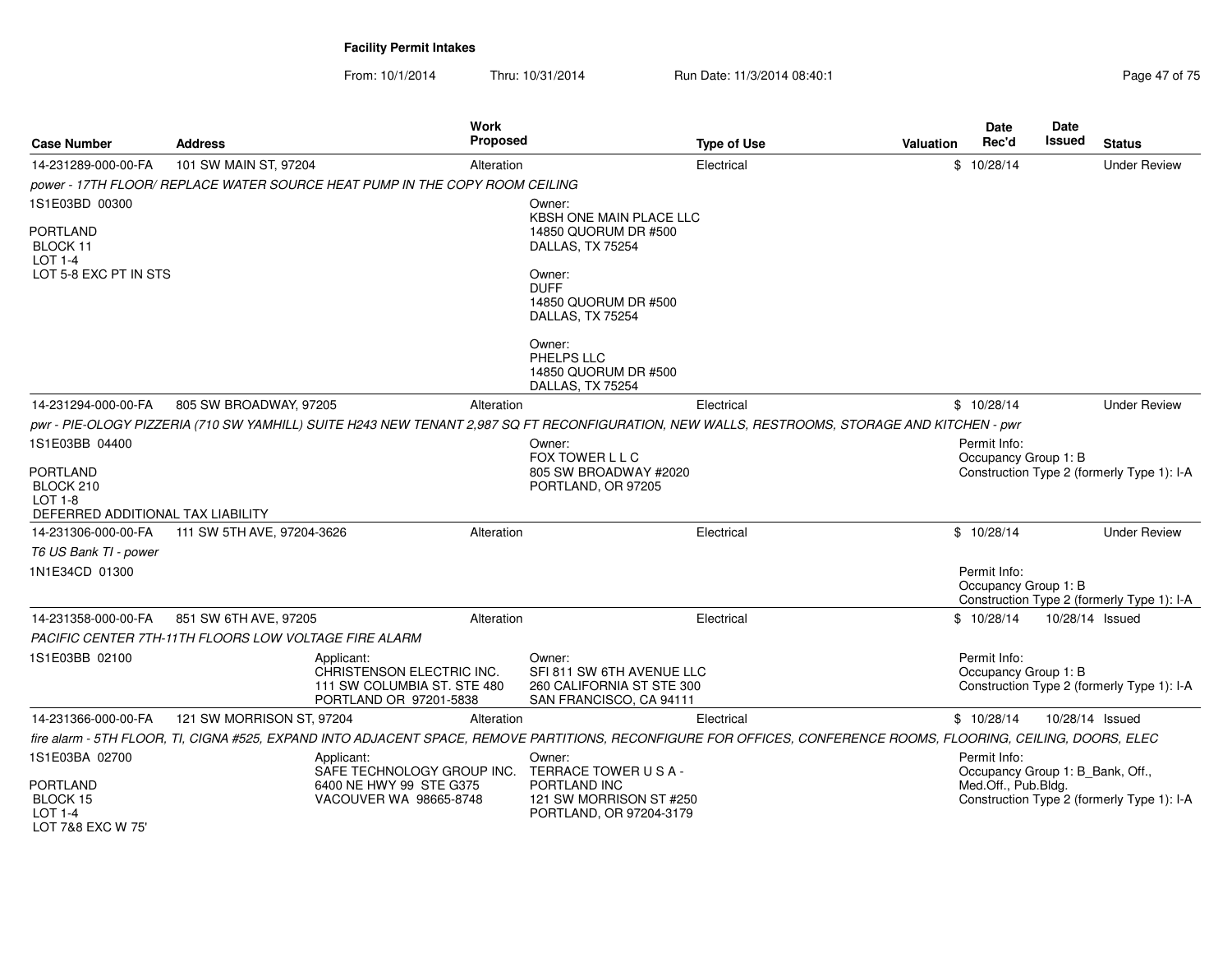From: 10/1/2014Thru: 10/31/2014 Run Date: 11/3/2014 08:40:1<br>
Page 47 of 75

| <b>Case Number</b>                                                                  | <b>Address</b>                                        | Work<br><b>Proposed</b>                                                                                                                                          |                                                                                                                      | <b>Type of Use</b> | Valuation | <b>Date</b><br>Rec'd                             | Date<br><b>Issued</b> | <b>Status</b>                              |
|-------------------------------------------------------------------------------------|-------------------------------------------------------|------------------------------------------------------------------------------------------------------------------------------------------------------------------|----------------------------------------------------------------------------------------------------------------------|--------------------|-----------|--------------------------------------------------|-----------------------|--------------------------------------------|
| 14-231289-000-00-FA                                                                 | 101 SW MAIN ST, 97204                                 | Alteration                                                                                                                                                       |                                                                                                                      | Electrical         |           | \$10/28/14                                       |                       | <b>Under Review</b>                        |
|                                                                                     |                                                       | power - 17TH FLOOR/ REPLACE WATER SOURCE HEAT PUMP IN THE COPY ROOM CEILING                                                                                      |                                                                                                                      |                    |           |                                                  |                       |                                            |
| 1S1E03BD 00300                                                                      |                                                       |                                                                                                                                                                  | Owner:                                                                                                               |                    |           |                                                  |                       |                                            |
| <b>PORTLAND</b><br>BLOCK 11<br><b>LOT 1-4</b><br>LOT 5-8 EXC PT IN STS              |                                                       |                                                                                                                                                                  | KBSH ONE MAIN PLACE LLC<br>14850 QUORUM DR #500<br>DALLAS, TX 75254<br>Owner:<br><b>DUFF</b><br>14850 QUORUM DR #500 |                    |           |                                                  |                       |                                            |
|                                                                                     |                                                       |                                                                                                                                                                  | DALLAS, TX 75254                                                                                                     |                    |           |                                                  |                       |                                            |
|                                                                                     |                                                       |                                                                                                                                                                  | Owner:<br>PHELPS LLC<br>14850 QUORUM DR #500<br>DALLAS, TX 75254                                                     |                    |           |                                                  |                       |                                            |
| 14-231294-000-00-FA                                                                 | 805 SW BROADWAY, 97205                                | Alteration                                                                                                                                                       |                                                                                                                      | Electrical         |           | \$10/28/14                                       |                       | <b>Under Review</b>                        |
|                                                                                     |                                                       | pwr - PIE-OLOGY PIZZERIA (710 SW YAMHILL) SUITE H243 NEW TENANT 2,987 SQ FT RECONFIGURATION, NEW WALLS, RESTROOMS, STORAGE AND KITCHEN - pwr                     |                                                                                                                      |                    |           |                                                  |                       |                                            |
| 1S1E03BB 04400                                                                      |                                                       |                                                                                                                                                                  | Owner:                                                                                                               |                    |           | Permit Info:                                     |                       |                                            |
| <b>PORTLAND</b><br>BLOCK 210<br><b>LOT 1-8</b><br>DEFERRED ADDITIONAL TAX LIABILITY |                                                       |                                                                                                                                                                  | FOX TOWER L L C<br>805 SW BROADWAY #2020<br>PORTLAND, OR 97205                                                       |                    |           | Occupancy Group 1: B                             |                       | Construction Type 2 (formerly Type 1): I-A |
| 14-231306-000-00-FA                                                                 | 111 SW 5TH AVE, 97204-3626                            | Alteration                                                                                                                                                       |                                                                                                                      | Electrical         |           | \$10/28/14                                       |                       | <b>Under Review</b>                        |
| T6 US Bank TI - power                                                               |                                                       |                                                                                                                                                                  |                                                                                                                      |                    |           |                                                  |                       |                                            |
| 1N1E34CD 01300                                                                      |                                                       |                                                                                                                                                                  |                                                                                                                      |                    |           | Permit Info:<br>Occupancy Group 1: B             |                       | Construction Type 2 (formerly Type 1): I-A |
| 14-231358-000-00-FA                                                                 | 851 SW 6TH AVE, 97205                                 | Alteration                                                                                                                                                       |                                                                                                                      | Electrical         |           | \$10/28/14                                       | 10/28/14 Issued       |                                            |
|                                                                                     | PACIFIC CENTER 7TH-11TH FLOORS LOW VOLTAGE FIRE ALARM |                                                                                                                                                                  |                                                                                                                      |                    |           |                                                  |                       |                                            |
| 1S1E03BB 02100                                                                      |                                                       | Applicant:<br>CHRISTENSON ELECTRIC INC.<br>111 SW COLUMBIA ST. STE 480<br>PORTLAND OR 97201-5838                                                                 | Owner:<br>SFI 811 SW 6TH AVENUE LLC<br>260 CALIFORNIA ST STE 300<br>SAN FRANCISCO, CA 94111                          |                    |           | Permit Info:<br>Occupancy Group 1: B             |                       | Construction Type 2 (formerly Type 1): I-A |
| 14-231366-000-00-FA                                                                 | 121 SW MORRISON ST, 97204                             | Alteration                                                                                                                                                       |                                                                                                                      | Electrical         |           | \$10/28/14                                       | 10/28/14 Issued       |                                            |
|                                                                                     |                                                       | fire alarm - 5TH FLOOR, TI, CIGNA #525, EXPAND INTO ADJACENT SPACE, REMOVE PARTITIONS, RECONFIGURE FOR OFFICES, CONFERENCE ROOMS, FLOORING, CEILING, DOORS, ELEC |                                                                                                                      |                    |           |                                                  |                       |                                            |
| 1S1E03BA 02700                                                                      |                                                       | Applicant:<br>SAFE TECHNOLOGY GROUP INC.                                                                                                                         | Owner:<br>TERRACE TOWER USA-                                                                                         |                    |           | Permit Info:<br>Occupancy Group 1: B_Bank, Off., |                       |                                            |
| <b>PORTLAND</b><br>BLOCK 15<br><b>LOT 1-4</b><br>LOT 7&8 EXC W 75'                  |                                                       | 6400 NE HWY 99 STE G375<br>VACOUVER WA 98665-8748                                                                                                                | PORTLAND INC<br>121 SW MORRISON ST #250<br>PORTLAND, OR 97204-3179                                                   |                    |           | Med.Off., Pub.Bldg.                              |                       | Construction Type 2 (formerly Type 1): I-A |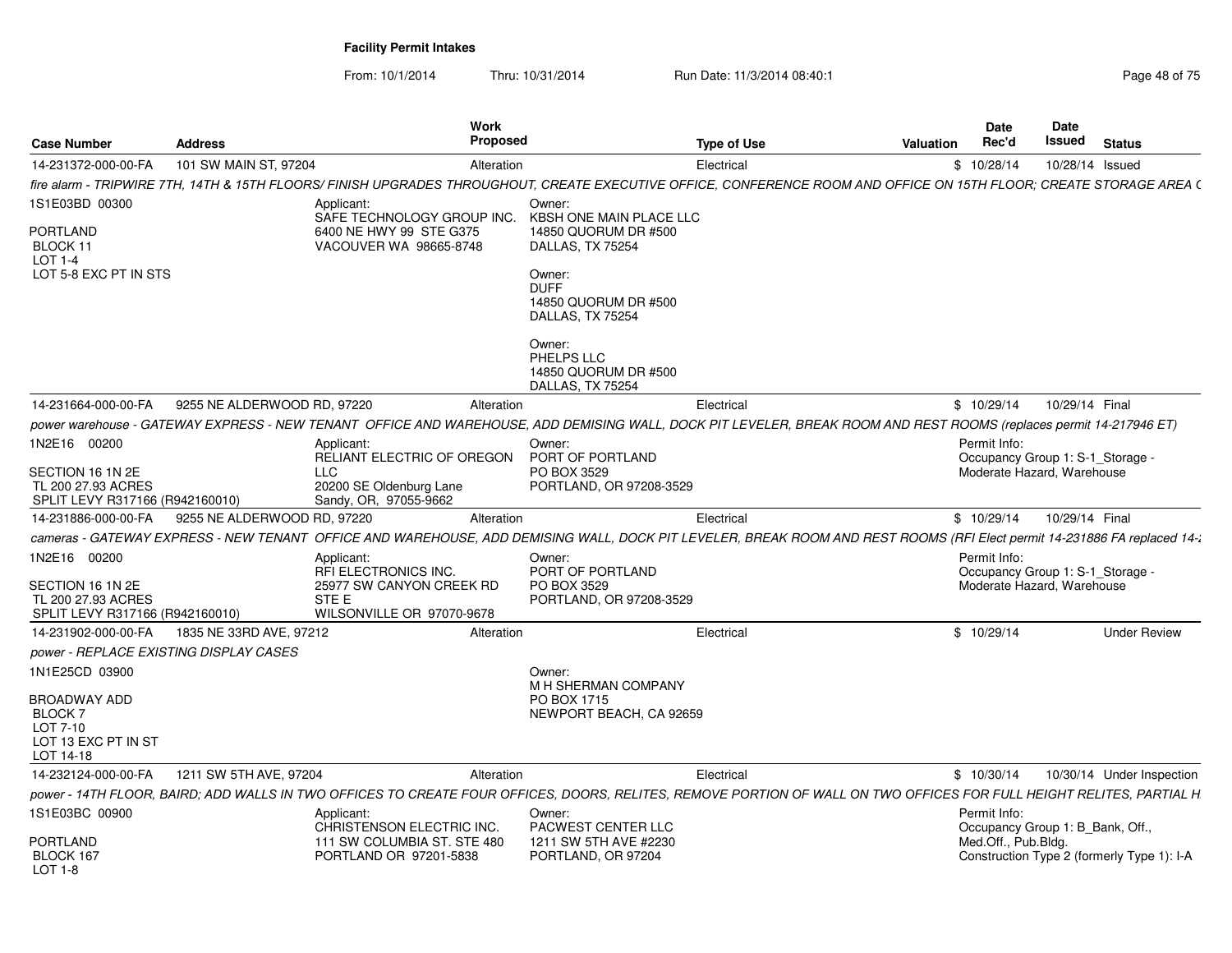From: 10/1/2014

Thru: 10/31/2014 Run Date: 11/3/2014 08:40:1

| <b>Case Number</b>                                                        | <b>Address</b>              | <b>Work</b><br><b>Proposed</b>                                                                                                                                           |                                                                   | <b>Type of Use</b> | Valuation | Date<br>Rec'd                                    | Date<br>Issued  | <b>Status</b>                              |
|---------------------------------------------------------------------------|-----------------------------|--------------------------------------------------------------------------------------------------------------------------------------------------------------------------|-------------------------------------------------------------------|--------------------|-----------|--------------------------------------------------|-----------------|--------------------------------------------|
| 14-231372-000-00-FA                                                       | 101 SW MAIN ST, 97204       | Alteration                                                                                                                                                               |                                                                   | Electrical         |           | \$10/28/14                                       | 10/28/14 Issued |                                            |
|                                                                           |                             | fire alarm - TRIPWIRE 7TH. 14TH & 15TH FLOORS/ FINISH UPGRADES THROUGHOUT. CREATE EXECUTIVE OFFICE. CONFERENCE ROOM AND OFFICE ON 15TH FLOOR: CREATE STORAGE AREA (      |                                                                   |                    |           |                                                  |                 |                                            |
| 1S1E03BD 00300                                                            |                             | Applicant:<br>SAFE TECHNOLOGY GROUP INC.                                                                                                                                 | Owner:<br>KBSH ONE MAIN PLACE LLC                                 |                    |           |                                                  |                 |                                            |
| PORTLAND<br>BLOCK 11<br>LOT 1-4                                           |                             | 6400 NE HWY 99 STE G375<br>VACOUVER WA 98665-8748                                                                                                                        | 14850 QUORUM DR #500<br>DALLAS, TX 75254                          |                    |           |                                                  |                 |                                            |
| LOT 5-8 EXC PT IN STS                                                     |                             |                                                                                                                                                                          | Owner:<br><b>DUFF</b><br>14850 QUORUM DR #500<br>DALLAS, TX 75254 |                    |           |                                                  |                 |                                            |
|                                                                           |                             |                                                                                                                                                                          | Owner:<br>PHELPS LLC<br>14850 QUORUM DR #500<br>DALLAS, TX 75254  |                    |           |                                                  |                 |                                            |
| 14-231664-000-00-FA                                                       | 9255 NE ALDERWOOD RD, 97220 | Alteration                                                                                                                                                               |                                                                   | Electrical         |           | \$10/29/14                                       | 10/29/14 Final  |                                            |
|                                                                           |                             | power warehouse - GATEWAY EXPRESS - NEW TENANT OFFICE AND WAREHOUSE, ADD DEMISING WALL, DOCK PIT LEVELER, BREAK ROOM AND REST ROOMS (replaces permit 14-217946 ET)       |                                                                   |                    |           |                                                  |                 |                                            |
| 1N2E16 00200                                                              |                             | Applicant:<br>RELIANT ELECTRIC OF OREGON                                                                                                                                 | Owner:<br>PORT OF PORTLAND                                        |                    |           | Permit Info:<br>Occupancy Group 1: S-1 Storage - |                 |                                            |
| SECTION 16 1N 2E<br>TL 200 27.93 ACRES<br>SPLIT LEVY R317166 (R942160010) |                             | <b>LLC</b><br>20200 SE Oldenburg Lane<br>Sandy, OR, 97055-9662                                                                                                           | PO BOX 3529<br>PORTLAND, OR 97208-3529                            |                    |           | Moderate Hazard, Warehouse                       |                 |                                            |
| 14-231886-000-00-FA                                                       | 9255 NE ALDERWOOD RD, 97220 | Alteration                                                                                                                                                               |                                                                   | Electrical         |           | \$10/29/14                                       | 10/29/14 Final  |                                            |
|                                                                           |                             | cameras - GATEWAY EXPRESS - NEW TENANT OFFICE AND WAREHOUSE, ADD DEMISING WALL, DOCK PIT LEVELER, BREAK ROOM AND REST ROOMS (RFI Elect permit 14-231886 FA replaced 14-2 |                                                                   |                    |           |                                                  |                 |                                            |
| 1N2E16 00200                                                              |                             | Applicant:<br>RFI ELECTRONICS INC.                                                                                                                                       | Owner:<br>PORT OF PORTLAND                                        |                    |           | Permit Info:<br>Occupancy Group 1: S-1_Storage - |                 |                                            |
| SECTION 16 1N 2E<br>TL 200 27.93 ACRES<br>SPLIT LEVY R317166 (R942160010) |                             | 25977 SW CANYON CREEK RD<br>STE E<br>WILSONVILLE OR 97070-9678                                                                                                           | PO BOX 3529<br>PORTLAND, OR 97208-3529                            |                    |           | Moderate Hazard, Warehouse                       |                 |                                            |
| 14-231902-000-00-FA                                                       | 1835 NE 33RD AVE, 97212     | Alteration                                                                                                                                                               |                                                                   | Electrical         |           | \$10/29/14                                       |                 | <b>Under Review</b>                        |
| <i>power - REPLACE EXISTING DISPLAY CASES</i>                             |                             |                                                                                                                                                                          |                                                                   |                    |           |                                                  |                 |                                            |
| 1N1E25CD 03900                                                            |                             |                                                                                                                                                                          | Owner:<br>M H SHERMAN COMPANY                                     |                    |           |                                                  |                 |                                            |
| BROADWAY ADD<br>BLOCK 7                                                   |                             |                                                                                                                                                                          | PO BOX 1715<br>NEWPORT BEACH, CA 92659                            |                    |           |                                                  |                 |                                            |
| LOT 7-10<br>LOT 13 EXC PT IN ST<br>LOT 14-18                              |                             |                                                                                                                                                                          |                                                                   |                    |           |                                                  |                 |                                            |
| 14-232124-000-00-FA                                                       | 1211 SW 5TH AVE, 97204      | Alteration                                                                                                                                                               |                                                                   | Electrical         |           | \$10/30/14                                       |                 | 10/30/14 Under Inspection                  |
|                                                                           |                             | power - 14TH FLOOR, BAIRD; ADD WALLS IN TWO OFFICES TO CREATE FOUR OFFICES, DOORS, RELITES, REMOVE PORTION OF WALL ON TWO OFFICES FOR FULL HEIGHT RELITES, PARTIAL H     |                                                                   |                    |           |                                                  |                 |                                            |
| 1S1E03BC 00900                                                            |                             | Applicant:<br>CHRISTENSON ELECTRIC INC.                                                                                                                                  | Owner:<br>PACWEST CENTER LLC                                      |                    |           | Permit Info:<br>Occupancy Group 1: B Bank, Off., |                 |                                            |
| PORTLAND<br>BLOCK 167<br>LOT 1-8                                          |                             | 111 SW COLUMBIA ST. STE 480<br>PORTLAND OR 97201-5838                                                                                                                    | 1211 SW 5TH AVE #2230<br>PORTLAND, OR 97204                       |                    |           | Med.Off., Pub.Bldg.                              |                 | Construction Type 2 (formerly Type 1): I-A |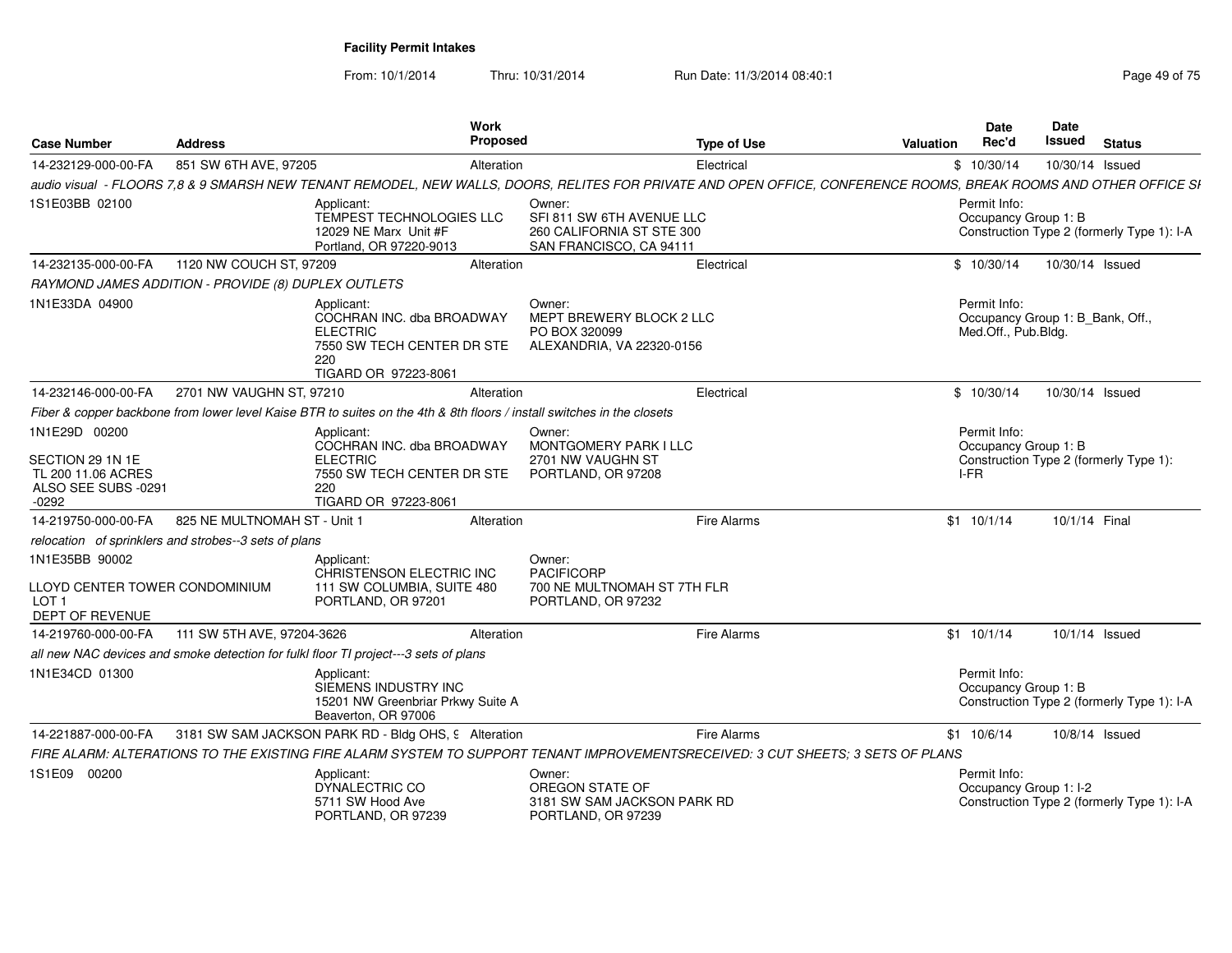From: 10/1/2014Thru: 10/31/2014 Run Date: 11/3/2014 08:40:1<br>
Run Date: 11/3/2014 08:40:1

| <b>Case Number</b>                                                                      | <b>Address</b>                                        | <b>Work</b><br>Proposed                                                                                                 | <b>Type of Use</b>                                                                                                                                                | <b>Date</b><br>Rec'd<br><b>Valuation</b> | Date<br>Issued<br><b>Status</b>                                      |
|-----------------------------------------------------------------------------------------|-------------------------------------------------------|-------------------------------------------------------------------------------------------------------------------------|-------------------------------------------------------------------------------------------------------------------------------------------------------------------|------------------------------------------|----------------------------------------------------------------------|
| 14-232129-000-00-FA                                                                     | 851 SW 6TH AVE, 97205                                 | Alteration                                                                                                              | Electrical                                                                                                                                                        | \$10/30/14                               | 10/30/14 Issued                                                      |
|                                                                                         |                                                       |                                                                                                                         | audio visual - FLOORS 7,8 & 9 SMARSH NEW TENANT REMODEL, NEW WALLS, DOORS, RELITES FOR PRIVATE AND OPEN OFFICE, CONFERENCE ROOMS, BREAK ROOMS AND OTHER OFFICE SI |                                          |                                                                      |
| 1S1E03BB 02100                                                                          |                                                       | Applicant:<br>TEMPEST TECHNOLOGIES LLC<br>12029 NE Marx Unit #F<br>Portland, OR 97220-9013                              | Owner:<br>SFI 811 SW 6TH AVENUE LLC<br>260 CALIFORNIA ST STE 300<br>SAN FRANCISCO, CA 94111                                                                       | Permit Info:<br>Occupancy Group 1: B     | Construction Type 2 (formerly Type 1): I-A                           |
| 14-232135-000-00-FA                                                                     | 1120 NW COUCH ST, 97209                               | Alteration                                                                                                              | Electrical                                                                                                                                                        | \$10/30/14                               | 10/30/14 Issued                                                      |
|                                                                                         | RAYMOND JAMES ADDITION - PROVIDE (8) DUPLEX OUTLETS   |                                                                                                                         |                                                                                                                                                                   |                                          |                                                                      |
| 1N1E33DA 04900                                                                          |                                                       | Applicant:<br>COCHRAN INC. dba BROADWAY<br><b>ELECTRIC</b><br>7550 SW TECH CENTER DR STE<br>220<br>TIGARD OR 97223-8061 | Owner:<br>MEPT BREWERY BLOCK 2 LLC<br>PO BOX 320099<br>ALEXANDRIA, VA 22320-0156                                                                                  | Permit Info:<br>Med.Off., Pub.Bldg.      | Occupancy Group 1: B_Bank, Off.,                                     |
| 14-232146-000-00-FA                                                                     | 2701 NW VAUGHN ST, 97210                              | Alteration                                                                                                              | Electrical                                                                                                                                                        | \$10/30/14                               | 10/30/14 Issued                                                      |
|                                                                                         |                                                       | Fiber & copper backbone from lower level Kaise BTR to suites on the 4th & 8th floors / install switches in the closets  |                                                                                                                                                                   |                                          |                                                                      |
| 1N1E29D 00200                                                                           |                                                       | Applicant:                                                                                                              | Owner:                                                                                                                                                            | Permit Info:                             |                                                                      |
| SECTION 29 1N 1E<br>TL 200 11.06 ACRES<br>ALSO SEE SUBS -0291<br>$-0292$                |                                                       | COCHRAN INC. dba BROADWAY<br><b>ELECTRIC</b><br>7550 SW TECH CENTER DR STE<br>220<br>TIGARD OR 97223-8061               | MONTGOMERY PARK I LLC<br>2701 NW VAUGHN ST<br>PORTLAND, OR 97208                                                                                                  | Occupancy Group 1: B<br>I-FR             | Construction Type 2 (formerly Type 1):                               |
| 14-219750-000-00-FA                                                                     | 825 NE MULTNOMAH ST - Unit 1                          | Alteration                                                                                                              | Fire Alarms                                                                                                                                                       | $$1$ 10/1/14                             | 10/1/14 Final                                                        |
|                                                                                         | relocation of sprinklers and strobes--3 sets of plans |                                                                                                                         |                                                                                                                                                                   |                                          |                                                                      |
| 1N1E35BB 90002<br>LLOYD CENTER TOWER CONDOMINIUM<br>LOT <sub>1</sub><br>DEPT OF REVENUE |                                                       | Applicant:<br>CHRISTENSON ELECTRIC INC<br>111 SW COLUMBIA, SUITE 480<br>PORTLAND, OR 97201                              | Owner:<br><b>PACIFICORP</b><br>700 NE MULTNOMAH ST 7TH FLR<br>PORTLAND, OR 97232                                                                                  |                                          |                                                                      |
| 14-219760-000-00-FA                                                                     | 111 SW 5TH AVE, 97204-3626                            | Alteration                                                                                                              | Fire Alarms                                                                                                                                                       | \$1 10/1/14                              | 10/1/14 Issued                                                       |
|                                                                                         |                                                       | all new NAC devices and smoke detection for fulkl floor TI project---3 sets of plans                                    |                                                                                                                                                                   |                                          |                                                                      |
| 1N1E34CD 01300                                                                          |                                                       | Applicant:<br>SIEMENS INDUSTRY INC<br>15201 NW Greenbriar Prkwy Suite A<br>Beaverton, OR 97006                          |                                                                                                                                                                   | Permit Info:<br>Occupancy Group 1: B     | Construction Type 2 (formerly Type 1): I-A                           |
| 14-221887-000-00-FA                                                                     |                                                       | 3181 SW SAM JACKSON PARK RD - Bldg OHS, 9 Alteration                                                                    | Fire Alarms                                                                                                                                                       | \$1 10/6/14                              | 10/8/14 Issued                                                       |
|                                                                                         |                                                       |                                                                                                                         | FIRE ALARM: ALTERATIONS TO THE EXISTING FIRE ALARM SYSTEM TO SUPPORT TENANT IMPROVEMENTSRECEIVED: 3 CUT SHEETS; 3 SETS OF PLANS                                   |                                          |                                                                      |
| 1S1E09 00200                                                                            |                                                       | Applicant:<br>DYNALECTRIC CO<br>5711 SW Hood Ave<br>PORTLAND, OR 97239                                                  | Owner:<br>OREGON STATE OF<br>3181 SW SAM JACKSON PARK RD<br>PORTLAND, OR 97239                                                                                    | Permit Info:                             | Occupancy Group 1: I-2<br>Construction Type 2 (formerly Type 1): I-A |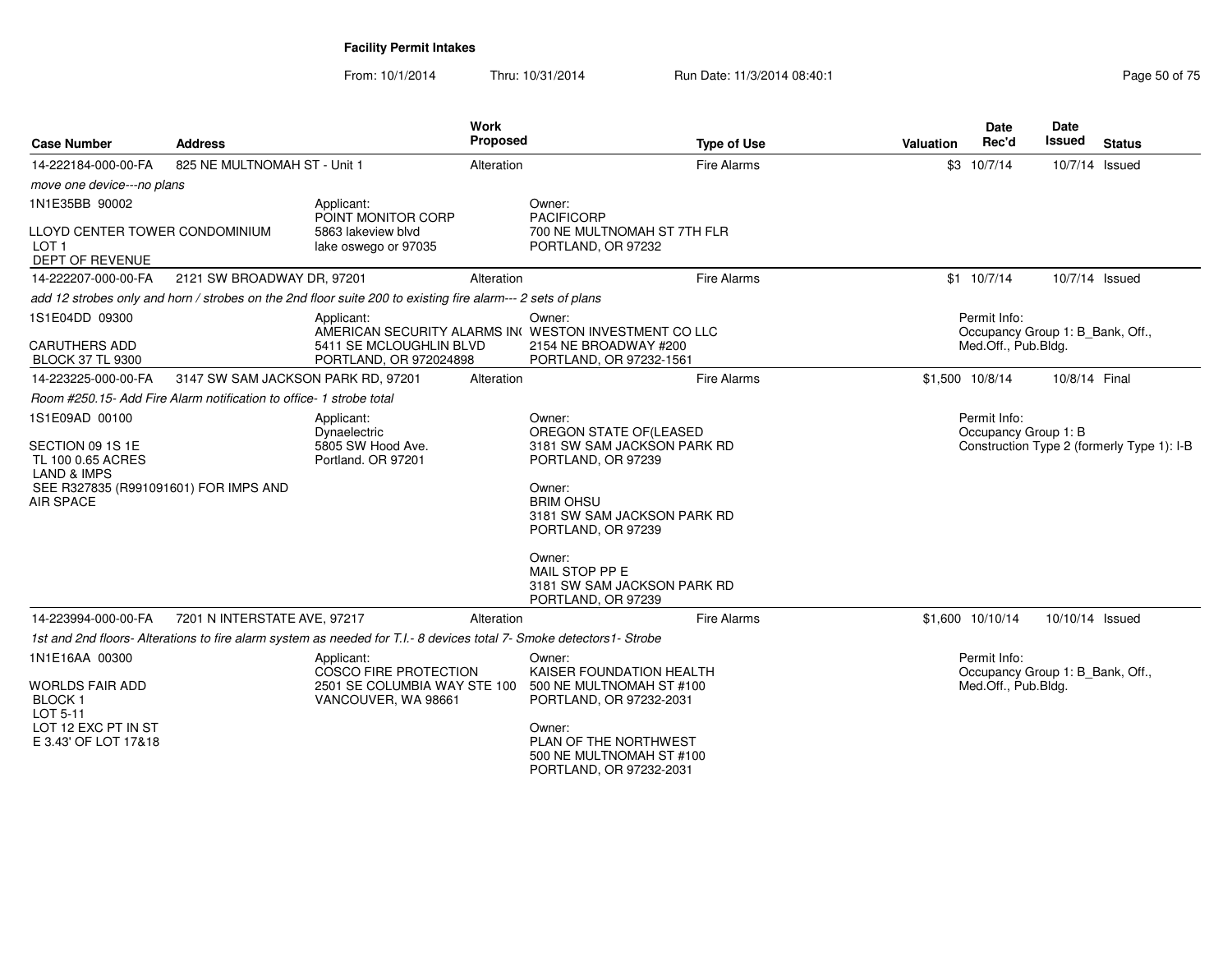| <b>Case Number</b>                                                                                                                      | <b>Address</b>                                                      |                                                                                                                      | <b>Work</b><br><b>Proposed</b> | <b>Type of Use</b>                                                                                                                                                                                                                   | <b>Valuation</b> | Date<br>Rec'd                                                           | <b>Date</b><br>Issued | <b>Status</b>                              |
|-----------------------------------------------------------------------------------------------------------------------------------------|---------------------------------------------------------------------|----------------------------------------------------------------------------------------------------------------------|--------------------------------|--------------------------------------------------------------------------------------------------------------------------------------------------------------------------------------------------------------------------------------|------------------|-------------------------------------------------------------------------|-----------------------|--------------------------------------------|
| 14-222184-000-00-FA                                                                                                                     | 825 NE MULTNOMAH ST - Unit 1                                        |                                                                                                                      | Alteration                     | <b>Fire Alarms</b>                                                                                                                                                                                                                   |                  | \$3 10/7/14                                                             | 10/7/14 Issued        |                                            |
| move one device---no plans                                                                                                              |                                                                     |                                                                                                                      |                                |                                                                                                                                                                                                                                      |                  |                                                                         |                       |                                            |
| 1N1E35BB 90002<br>LLOYD CENTER TOWER CONDOMINIUM<br>LOT <sub>1</sub><br><b>DEPT OF REVENUE</b>                                          |                                                                     | Applicant:<br>POINT MONITOR CORP<br>5863 lakeview blvd<br>lake oswego or 97035                                       |                                | Owner:<br><b>PACIFICORP</b><br>700 NE MULTNOMAH ST 7TH FLR<br>PORTLAND, OR 97232                                                                                                                                                     |                  |                                                                         |                       |                                            |
| 14-222207-000-00-FA                                                                                                                     | 2121 SW BROADWAY DR, 97201                                          |                                                                                                                      | Alteration                     | <b>Fire Alarms</b>                                                                                                                                                                                                                   |                  | \$1 10/7/14                                                             | 10/7/14 Issued        |                                            |
|                                                                                                                                         |                                                                     | add 12 strobes only and horn / strobes on the 2nd floor suite 200 to existing fire alarm--- 2 sets of plans          |                                |                                                                                                                                                                                                                                      |                  |                                                                         |                       |                                            |
| 1S1E04DD 09300<br>CARUTHERS ADD<br><b>BLOCK 37 TL 9300</b>                                                                              |                                                                     | Applicant:<br>5411 SE MCLOUGHLIN BLVD<br>PORTLAND, OR 972024898                                                      |                                | Owner:<br>AMERICAN SECURITY ALARMS IN WESTON INVESTMENT CO LLC<br>2154 NE BROADWAY #200<br>PORTLAND, OR 97232-1561                                                                                                                   |                  | Permit Info:<br>Occupancy Group 1: B_Bank, Off.,<br>Med.Off., Pub.Bldg. |                       |                                            |
| 14-223225-000-00-FA                                                                                                                     | 3147 SW SAM JACKSON PARK RD, 97201                                  |                                                                                                                      | Alteration                     | <b>Fire Alarms</b>                                                                                                                                                                                                                   |                  | \$1,500 10/8/14                                                         | 10/8/14 Final         |                                            |
|                                                                                                                                         | Room #250.15- Add Fire Alarm notification to office- 1 strobe total |                                                                                                                      |                                |                                                                                                                                                                                                                                      |                  |                                                                         |                       |                                            |
| 1S1E09AD 00100<br>SECTION 09 1S 1E<br>TL 100 0.65 ACRES<br><b>LAND &amp; IMPS</b><br>SEE R327835 (R991091601) FOR IMPS AND<br>AIR SPACE |                                                                     | Applicant:<br>Dynaelectric<br>5805 SW Hood Ave.<br>Portland. OR 97201                                                |                                | Owner:<br>OREGON STATE OF (LEASED<br>3181 SW SAM JACKSON PARK RD<br>PORTLAND, OR 97239<br>Owner:<br><b>BRIM OHSU</b><br>3181 SW SAM JACKSON PARK RD<br>PORTLAND, OR 97239<br>Owner:<br>MAIL STOP PP E<br>3181 SW SAM JACKSON PARK RD |                  | Permit Info:<br>Occupancy Group 1: B                                    |                       | Construction Type 2 (formerly Type 1): I-B |
| 14-223994-000-00-FA                                                                                                                     | 7201 N INTERSTATE AVE, 97217                                        |                                                                                                                      | Alteration                     | PORTLAND, OR 97239<br><b>Fire Alarms</b>                                                                                                                                                                                             |                  | \$1,600 10/10/14                                                        | 10/10/14 Issued       |                                            |
|                                                                                                                                         |                                                                     | 1st and 2nd floors- Alterations to fire alarm system as needed for T.I.- 8 devices total 7- Smoke detectors1- Strobe |                                |                                                                                                                                                                                                                                      |                  |                                                                         |                       |                                            |
| 1N1E16AA 00300                                                                                                                          |                                                                     | Applicant:<br><b>COSCO FIRE PROTECTION</b>                                                                           |                                | Owner:<br>KAISER FOUNDATION HEALTH                                                                                                                                                                                                   |                  | Permit Info:<br>Occupancy Group 1: B Bank, Off.,                        |                       |                                            |
| <b>WORLDS FAIR ADD</b><br><b>BLOCK1</b><br>LOT 5-11<br>LOT 12 EXC PT IN ST<br>E 3.43' OF LOT 17&18                                      |                                                                     | 2501 SE COLUMBIA WAY STE 100<br>VANCOUVER, WA 98661                                                                  |                                | 500 NE MULTNOMAH ST #100<br>PORTLAND, OR 97232-2031<br>Owner:<br>PLAN OF THE NORTHWEST<br>500 NE MULTNOMAH ST #100<br>PORTLAND, OR 97232-2031                                                                                        |                  | Med.Off., Pub.Bldg.                                                     |                       |                                            |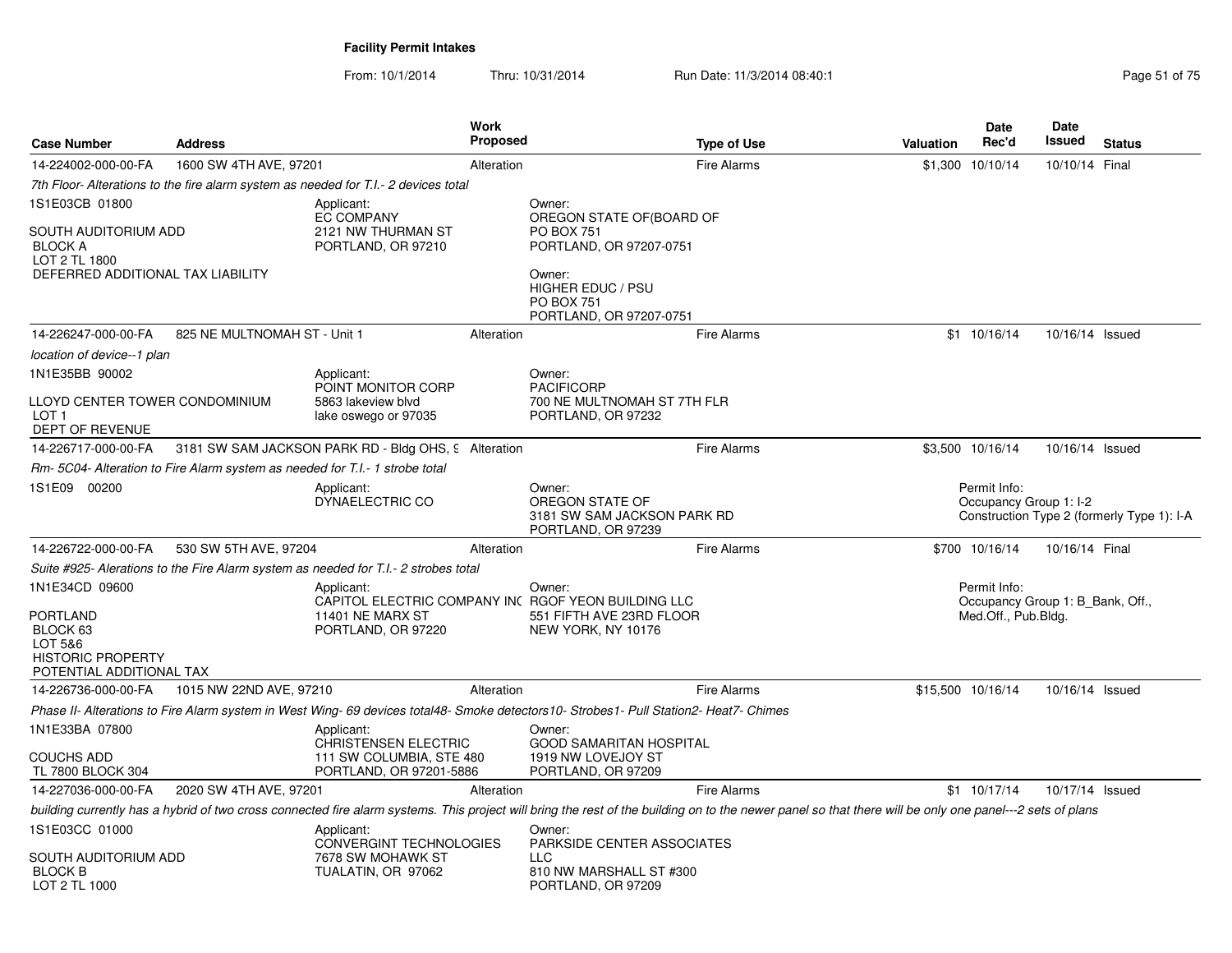| <b>Case Number</b>                                                          | <b>Address</b>               |                                                                                     | <b>Work</b><br><b>Proposed</b> |                                                                                                                                                                                                          | <b>Type of Use</b> | <b>Valuation</b> | Date<br>Rec'd                                                           | <b>Date</b><br>Issued | <b>Status</b>                              |
|-----------------------------------------------------------------------------|------------------------------|-------------------------------------------------------------------------------------|--------------------------------|----------------------------------------------------------------------------------------------------------------------------------------------------------------------------------------------------------|--------------------|------------------|-------------------------------------------------------------------------|-----------------------|--------------------------------------------|
| 14-224002-000-00-FA                                                         | 1600 SW 4TH AVE, 97201       |                                                                                     | Alteration                     |                                                                                                                                                                                                          | <b>Fire Alarms</b> |                  | \$1,300 10/10/14                                                        | 10/10/14 Final        |                                            |
|                                                                             |                              | 7th Floor-Alterations to the fire alarm system as needed for T.I.- 2 devices total  |                                |                                                                                                                                                                                                          |                    |                  |                                                                         |                       |                                            |
| 1S1E03CB 01800<br>SOUTH AUDITORIUM ADD                                      |                              | Applicant:<br><b>EC COMPANY</b><br>2121 NW THURMAN ST                               |                                | Owner:<br>OREGON STATE OF (BOARD OF<br><b>PO BOX 751</b>                                                                                                                                                 |                    |                  |                                                                         |                       |                                            |
| <b>BLOCK A</b><br>LOT 2 TL 1800<br>DEFERRED ADDITIONAL TAX LIABILITY        |                              | PORTLAND, OR 97210                                                                  |                                | PORTLAND, OR 97207-0751<br>Owner:<br>HIGHER EDUC / PSU<br><b>PO BOX 751</b><br>PORTLAND, OR 97207-0751                                                                                                   |                    |                  |                                                                         |                       |                                            |
| 14-226247-000-00-FA                                                         | 825 NE MULTNOMAH ST - Unit 1 |                                                                                     | Alteration                     |                                                                                                                                                                                                          | <b>Fire Alarms</b> |                  | $$1$ 10/16/14                                                           | 10/16/14 Issued       |                                            |
| location of device--1 plan                                                  |                              |                                                                                     |                                |                                                                                                                                                                                                          |                    |                  |                                                                         |                       |                                            |
| 1N1E35BB 90002                                                              |                              | Applicant:<br>POINT MONITOR CORP                                                    |                                | Owner:<br><b>PACIFICORP</b>                                                                                                                                                                              |                    |                  |                                                                         |                       |                                            |
| LLOYD CENTER TOWER CONDOMINIUM<br>LOT <sub>1</sub><br>DEPT OF REVENUE       |                              | 5863 lakeview blvd<br>lake oswego or 97035                                          |                                | 700 NE MULTNOMAH ST 7TH FLR<br>PORTLAND, OR 97232                                                                                                                                                        |                    |                  |                                                                         |                       |                                            |
| 14-226717-000-00-FA                                                         |                              | 3181 SW SAM JACKSON PARK RD - Bldg OHS, 9 Alteration                                |                                |                                                                                                                                                                                                          | <b>Fire Alarms</b> |                  | \$3,500 10/16/14                                                        | 10/16/14 Issued       |                                            |
|                                                                             |                              | Rm-5C04- Alteration to Fire Alarm system as needed for T.I.- 1 strobe total         |                                |                                                                                                                                                                                                          |                    |                  |                                                                         |                       |                                            |
| 1S1E09 00200                                                                |                              | Applicant:<br>DYNAELECTRIC CO                                                       |                                | Owner:<br>OREGON STATE OF<br>3181 SW SAM JACKSON PARK RD<br>PORTLAND, OR 97239                                                                                                                           |                    |                  | Permit Info:<br>Occupancy Group 1: I-2                                  |                       | Construction Type 2 (formerly Type 1): I-A |
| 14-226722-000-00-FA                                                         | 530 SW 5TH AVE, 97204        |                                                                                     | Alteration                     |                                                                                                                                                                                                          | <b>Fire Alarms</b> |                  | \$700 10/16/14                                                          | 10/16/14 Final        |                                            |
|                                                                             |                              | Suite #925- Alerations to the Fire Alarm system as needed for T.I.- 2 strobes total |                                |                                                                                                                                                                                                          |                    |                  |                                                                         |                       |                                            |
| 1N1E34CD 09600<br><b>PORTLAND</b>                                           |                              | Applicant:<br>11401 NE MARX ST                                                      |                                | Owner:<br>CAPITOL ELECTRIC COMPANY INC RGOF YEON BUILDING LLC<br>551 FIFTH AVE 23RD FLOOR                                                                                                                |                    |                  | Permit Info:<br>Occupancy Group 1: B Bank, Off.,<br>Med.Off., Pub.Bldg. |                       |                                            |
| BLOCK 63<br>LOT 5&6<br><b>HISTORIC PROPERTY</b><br>POTENTIAL ADDITIONAL TAX |                              | PORTLAND, OR 97220                                                                  |                                | NEW YORK, NY 10176                                                                                                                                                                                       |                    |                  |                                                                         |                       |                                            |
| 14-226736-000-00-FA                                                         | 1015 NW 22ND AVE, 97210      |                                                                                     | Alteration                     |                                                                                                                                                                                                          | <b>Fire Alarms</b> |                  | \$15,500 10/16/14                                                       | 10/16/14 Issued       |                                            |
|                                                                             |                              |                                                                                     |                                | Phase II- Alterations to Fire Alarm system in West Wing- 69 devices total48- Smoke detectors10- Strobes1- Pull Station2- Heat7- Chimes                                                                   |                    |                  |                                                                         |                       |                                            |
| 1N1E33BA 07800                                                              |                              | Applicant:<br><b>CHRISTENSEN ELECTRIC</b>                                           |                                | Owner:<br><b>GOOD SAMARITAN HOSPITAL</b>                                                                                                                                                                 |                    |                  |                                                                         |                       |                                            |
| <b>COUCHS ADD</b><br>TL 7800 BLOCK 304                                      |                              | 111 SW COLUMBIA, STE 480<br>PORTLAND, OR 97201-5886                                 |                                | 1919 NW LOVEJOY ST<br>PORTLAND, OR 97209                                                                                                                                                                 |                    |                  |                                                                         |                       |                                            |
| 14-227036-000-00-FA                                                         | 2020 SW 4TH AVE, 97201       |                                                                                     | Alteration                     |                                                                                                                                                                                                          | <b>Fire Alarms</b> |                  | $$1$ 10/17/14                                                           | 10/17/14 Issued       |                                            |
|                                                                             |                              |                                                                                     |                                | building currently has a hybrid of two cross connected fire alarm systems. This project will bring the rest of the building on to the newer panel so that there will be only one panel---2 sets of plans |                    |                  |                                                                         |                       |                                            |
| 1S1E03CC 01000                                                              |                              | Applicant:<br><b>CONVERGINT TECHNOLOGIES</b>                                        |                                | Owner:<br>PARKSIDE CENTER ASSOCIATES                                                                                                                                                                     |                    |                  |                                                                         |                       |                                            |
| SOUTH AUDITORIUM ADD<br><b>BLOCK B</b><br>LOT 2 TL 1000                     |                              | 7678 SW MOHAWK ST<br>TUALATIN, OR 97062                                             |                                | <b>LLC</b><br>810 NW MARSHALL ST #300<br>PORTLAND, OR 97209                                                                                                                                              |                    |                  |                                                                         |                       |                                            |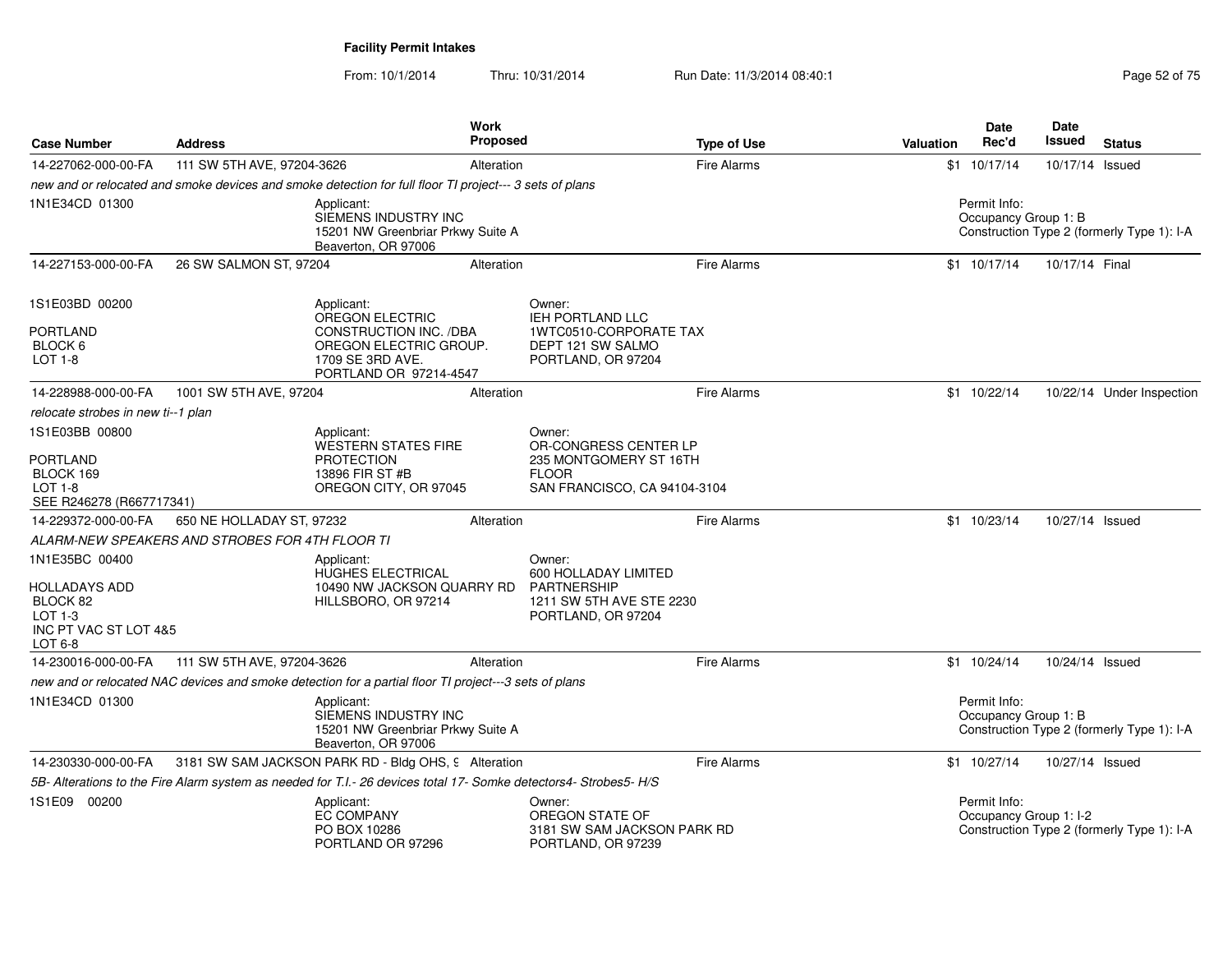| <b>Case Number</b>                                                                           | <b>Address</b>                                  |                                                                                                                   | <b>Work</b><br>Proposed |                                                                                                        | <b>Type of Use</b> | Valuation | <b>Date</b><br>Rec'd                   | Date<br>Issued  | <b>Status</b>                              |
|----------------------------------------------------------------------------------------------|-------------------------------------------------|-------------------------------------------------------------------------------------------------------------------|-------------------------|--------------------------------------------------------------------------------------------------------|--------------------|-----------|----------------------------------------|-----------------|--------------------------------------------|
| 14-227062-000-00-FA                                                                          | 111 SW 5TH AVE, 97204-3626                      |                                                                                                                   | Alteration              |                                                                                                        | <b>Fire Alarms</b> |           | $$1 \t10/17/14$                        | 10/17/14 Issued |                                            |
|                                                                                              |                                                 | new and or relocated and smoke devices and smoke detection for full floor TI project--- 3 sets of plans           |                         |                                                                                                        |                    |           |                                        |                 |                                            |
| 1N1E34CD 01300                                                                               |                                                 | Applicant:<br>SIEMENS INDUSTRY INC<br>15201 NW Greenbriar Prkwy Suite A<br>Beaverton, OR 97006                    |                         |                                                                                                        |                    |           | Permit Info:<br>Occupancy Group 1: B   |                 | Construction Type 2 (formerly Type 1): I-A |
| 14-227153-000-00-FA                                                                          | 26 SW SALMON ST, 97204                          |                                                                                                                   | Alteration              |                                                                                                        | <b>Fire Alarms</b> |           | \$1 10/17/14                           | 10/17/14 Final  |                                            |
| 1S1E03BD 00200<br><b>PORTLAND</b><br>BLOCK <sub>6</sub><br>LOT 1-8                           |                                                 | Applicant:<br>OREGON ELECTRIC<br><b>CONSTRUCTION INC. /DBA</b><br>OREGON ELECTRIC GROUP.<br>1709 SE 3RD AVE.      |                         | Owner:<br><b>IEH PORTLAND LLC</b><br>1WTC0510-CORPORATE TAX<br>DEPT 121 SW SALMO<br>PORTLAND, OR 97204 |                    |           |                                        |                 |                                            |
| 14-228988-000-00-FA                                                                          | 1001 SW 5TH AVE, 97204                          | PORTLAND OR 97214-4547                                                                                            | Alteration              |                                                                                                        | <b>Fire Alarms</b> |           | \$1 10/22/14                           |                 | 10/22/14 Under Inspection                  |
| relocate strobes in new ti--1 plan                                                           |                                                 |                                                                                                                   |                         |                                                                                                        |                    |           |                                        |                 |                                            |
| 1S1E03BB 00800                                                                               |                                                 | Applicant:<br><b>WESTERN STATES FIRE</b>                                                                          |                         | Owner:<br>OR-CONGRESS CENTER LP                                                                        |                    |           |                                        |                 |                                            |
| <b>PORTLAND</b><br>BLOCK 169<br><b>LOT 1-8</b><br>SEE R246278 (R667717341)                   |                                                 | <b>PROTECTION</b><br>13896 FIR ST #B<br>OREGON CITY, OR 97045                                                     |                         | 235 MONTGOMERY ST 16TH<br><b>FLOOR</b><br>SAN FRANCISCO, CA 94104-3104                                 |                    |           |                                        |                 |                                            |
| 14-229372-000-00-FA                                                                          | 650 NE HOLLADAY ST, 97232                       |                                                                                                                   | Alteration              |                                                                                                        | <b>Fire Alarms</b> |           | \$1 10/23/14                           | 10/27/14 Issued |                                            |
|                                                                                              | ALARM-NEW SPEAKERS AND STROBES FOR 4TH FLOOR TI |                                                                                                                   |                         |                                                                                                        |                    |           |                                        |                 |                                            |
| 1N1E35BC 00400<br>HOLLADAYS ADD<br>BLOCK 82<br>$LOT 1-3$<br>INC PT VAC ST LOT 4&5<br>LOT 6-8 |                                                 | Applicant:<br><b>HUGHES ELECTRICAL</b><br>10490 NW JACKSON QUARRY RD<br>HILLSBORO, OR 97214                       |                         | Owner:<br>600 HOLLADAY LIMITED<br><b>PARTNERSHIP</b><br>1211 SW 5TH AVE STE 2230<br>PORTLAND, OR 97204 |                    |           |                                        |                 |                                            |
| 14-230016-000-00-FA                                                                          | 111 SW 5TH AVE, 97204-3626                      |                                                                                                                   | Alteration              |                                                                                                        | <b>Fire Alarms</b> |           | $$1 \t10/24/14$                        | 10/24/14 Issued |                                            |
|                                                                                              |                                                 | new and or relocated NAC devices and smoke detection for a partial floor TI project---3 sets of plans             |                         |                                                                                                        |                    |           |                                        |                 |                                            |
| 1N1E34CD 01300                                                                               |                                                 | Applicant:<br>SIEMENS INDUSTRY INC<br>15201 NW Greenbriar Prkwy Suite A<br>Beaverton, OR 97006                    |                         |                                                                                                        |                    |           | Permit Info:<br>Occupancy Group 1: B   |                 | Construction Type 2 (formerly Type 1): I-A |
| 14-230330-000-00-FA                                                                          |                                                 | 3181 SW SAM JACKSON PARK RD - Bldg OHS, 9 Alteration                                                              |                         |                                                                                                        | <b>Fire Alarms</b> |           | $$1$ 10/27/14                          | 10/27/14 Issued |                                            |
|                                                                                              |                                                 | 5B- Alterations to the Fire Alarm system as needed for T.I.- 26 devices total 17- Somke detectors4- Strobes5- H/S |                         |                                                                                                        |                    |           |                                        |                 |                                            |
| 1S1E09 00200                                                                                 |                                                 | Applicant:<br><b>EC COMPANY</b><br>PO BOX 10286<br>PORTLAND OR 97296                                              |                         | Owner:<br>OREGON STATE OF<br>3181 SW SAM JACKSON PARK RD<br>PORTLAND, OR 97239                         |                    |           | Permit Info:<br>Occupancy Group 1: I-2 |                 | Construction Type 2 (formerly Type 1): I-A |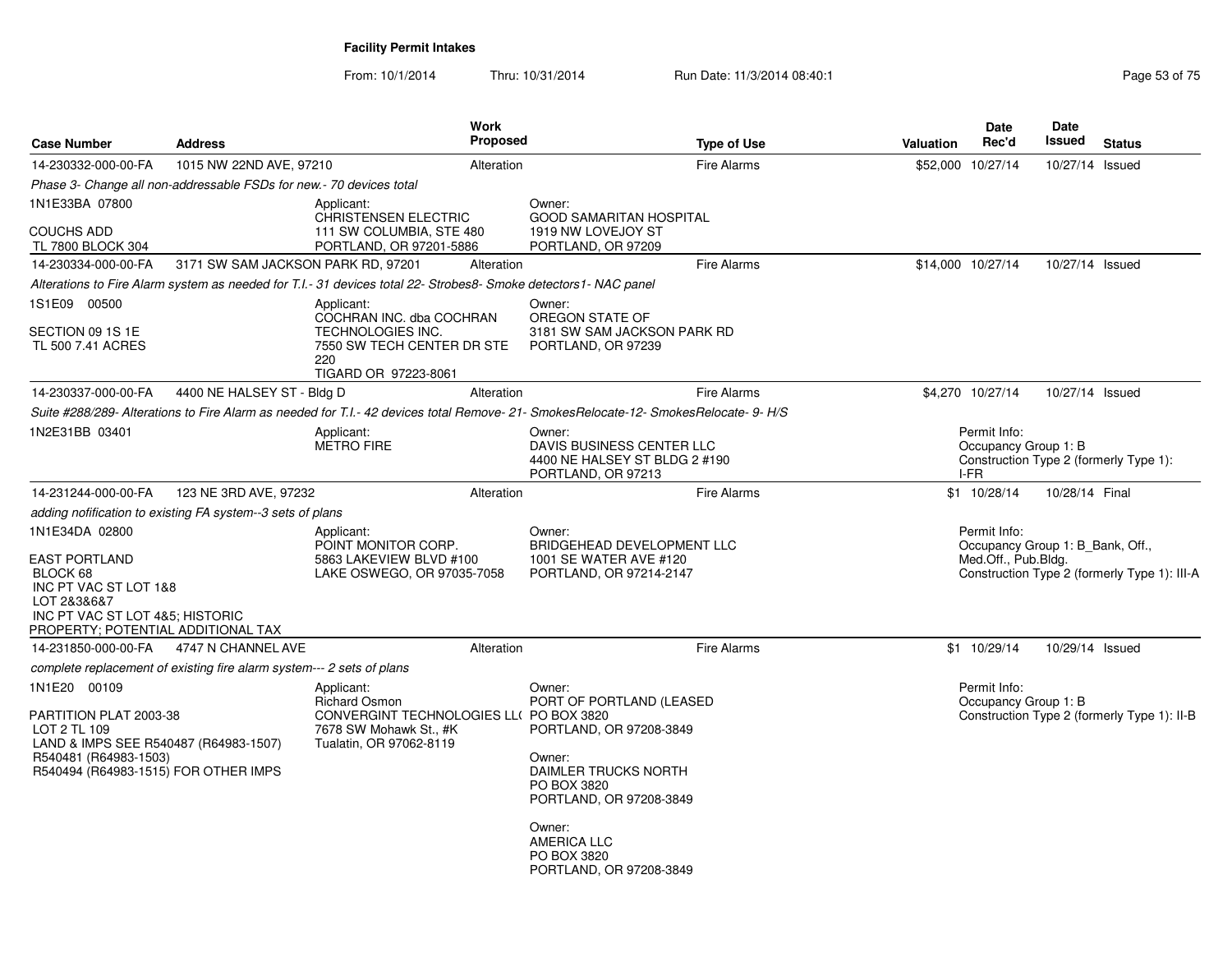| <b>Case Number</b>                                                                                                                                               | <b>Address</b>                                                                                                                                                                                                       |                                                                                                                                    | <b>Work</b><br><b>Proposed</b>                                                            |                                                                                                                                                                                                                     | <b>Type of Use</b> | <b>Valuation</b> | <b>Date</b><br>Rec'd                                                    | Date<br><b>Issued</b> | <b>Status</b>                                |
|------------------------------------------------------------------------------------------------------------------------------------------------------------------|----------------------------------------------------------------------------------------------------------------------------------------------------------------------------------------------------------------------|------------------------------------------------------------------------------------------------------------------------------------|-------------------------------------------------------------------------------------------|---------------------------------------------------------------------------------------------------------------------------------------------------------------------------------------------------------------------|--------------------|------------------|-------------------------------------------------------------------------|-----------------------|----------------------------------------------|
| 14-230332-000-00-FA                                                                                                                                              | 1015 NW 22ND AVE, 97210                                                                                                                                                                                              |                                                                                                                                    | Alteration                                                                                |                                                                                                                                                                                                                     | <b>Fire Alarms</b> |                  | \$52,000 10/27/14                                                       | 10/27/14 Issued       |                                              |
|                                                                                                                                                                  | Phase 3- Change all non-addressable FSDs for new.- 70 devices total                                                                                                                                                  |                                                                                                                                    |                                                                                           |                                                                                                                                                                                                                     |                    |                  |                                                                         |                       |                                              |
| 1N1E33BA 07800<br><b>COUCHS ADD</b>                                                                                                                              |                                                                                                                                                                                                                      | Applicant:<br><b>CHRISTENSEN ELECTRIC</b><br>111 SW COLUMBIA, STE 480                                                              |                                                                                           | Owner:<br>GOOD SAMARITAN HOSPITAL<br>1919 NW LOVEJOY ST                                                                                                                                                             |                    |                  |                                                                         |                       |                                              |
| TL 7800 BLOCK 304<br>14-230334-000-00-FA                                                                                                                         | 3171 SW SAM JACKSON PARK RD, 97201                                                                                                                                                                                   | PORTLAND, OR 97201-5886                                                                                                            | Alteration                                                                                | PORTLAND, OR 97209                                                                                                                                                                                                  | <b>Fire Alarms</b> |                  | \$14,000 10/27/14                                                       | 10/27/14 Issued       |                                              |
|                                                                                                                                                                  |                                                                                                                                                                                                                      | Alterations to Fire Alarm system as needed for T.I.- 31 devices total 22- Strobes8- Smoke detectors1- NAC panel                    |                                                                                           |                                                                                                                                                                                                                     |                    |                  |                                                                         |                       |                                              |
| 1S1E09 00500                                                                                                                                                     |                                                                                                                                                                                                                      | Applicant:                                                                                                                         |                                                                                           | Owner:                                                                                                                                                                                                              |                    |                  |                                                                         |                       |                                              |
| SECTION 09 1S 1E<br>TL 500 7.41 ACRES                                                                                                                            |                                                                                                                                                                                                                      | COCHRAN INC. dba COCHRAN<br><b>TECHNOLOGIES INC.</b><br>7550 SW TECH CENTER DR STE<br>220<br>TIGARD OR 97223-8061                  |                                                                                           | OREGON STATE OF<br>3181 SW SAM JACKSON PARK RD<br>PORTLAND, OR 97239                                                                                                                                                |                    |                  |                                                                         |                       |                                              |
| 14-230337-000-00-FA                                                                                                                                              | 4400 NE HALSEY ST - Bldg D                                                                                                                                                                                           |                                                                                                                                    | Alteration                                                                                |                                                                                                                                                                                                                     | <b>Fire Alarms</b> |                  | \$4,270 10/27/14                                                        | 10/27/14 Issued       |                                              |
|                                                                                                                                                                  |                                                                                                                                                                                                                      |                                                                                                                                    |                                                                                           | Suite #288/289- Alterations to Fire Alarm as needed for T.I.- 42 devices total Remove- 21- SmokesRelocate-12- SmokesRelocate- 9- H/S                                                                                |                    |                  |                                                                         |                       |                                              |
| 1N2E31BB 03401                                                                                                                                                   | Applicant:<br><b>METRO FIRE</b>                                                                                                                                                                                      |                                                                                                                                    |                                                                                           | Owner:<br>DAVIS BUSINESS CENTER LLC<br>4400 NE HALSEY ST BLDG 2 #190<br>PORTLAND, OR 97213                                                                                                                          |                    |                  | Permit Info:<br>Occupancy Group 1: B<br>I-FR                            |                       | Construction Type 2 (formerly Type 1):       |
| 14-231244-000-00-FA                                                                                                                                              | 123 NE 3RD AVE, 97232                                                                                                                                                                                                |                                                                                                                                    | Alteration                                                                                |                                                                                                                                                                                                                     | <b>Fire Alarms</b> |                  | \$1 10/28/14                                                            | 10/28/14 Final        |                                              |
|                                                                                                                                                                  |                                                                                                                                                                                                                      |                                                                                                                                    |                                                                                           |                                                                                                                                                                                                                     |                    |                  |                                                                         |                       |                                              |
| 1N1E34DA 02800<br><b>EAST PORTLAND</b><br>BLOCK 68<br>LOT 2838687<br>PROPERTY; POTENTIAL ADDITIONAL TAX                                                          | adding nofification to existing FA system--3 sets of plans<br>Applicant:<br>POINT MONITOR CORP.<br>5863 LAKEVIEW BLVD #100<br>LAKE OSWEGO, OR 97035-7058<br>INC PT VAC ST LOT 1&8<br>INC PT VAC ST LOT 4&5; HISTORIC |                                                                                                                                    | Owner:<br>BRIDGEHEAD DEVELOPMENT LLC<br>1001 SE WATER AVE #120<br>PORTLAND, OR 97214-2147 |                                                                                                                                                                                                                     |                    |                  | Permit Info:<br>Occupancy Group 1: B_Bank, Off.,<br>Med.Off., Pub.Bldg. |                       | Construction Type 2 (formerly Type 1): III-A |
| 14-231850-000-00-FA                                                                                                                                              | 4747 N CHANNEL AVE                                                                                                                                                                                                   |                                                                                                                                    | Alteration                                                                                |                                                                                                                                                                                                                     | <b>Fire Alarms</b> |                  | \$1 10/29/14                                                            | 10/29/14 Issued       |                                              |
|                                                                                                                                                                  | complete replacement of existing fire alarm system--- 2 sets of plans                                                                                                                                                |                                                                                                                                    |                                                                                           |                                                                                                                                                                                                                     |                    |                  |                                                                         |                       |                                              |
| 1N1E20 00109<br>PARTITION PLAT 2003-38<br>LOT 2 TL 109<br>LAND & IMPS SEE R540487 (R64983-1507)<br>R540481 (R64983-1503)<br>R540494 (R64983-1515) FOR OTHER IMPS |                                                                                                                                                                                                                      | Applicant:<br><b>Richard Osmon</b><br>CONVERGINT TECHNOLOGIES LL( PO BOX 3820<br>7678 SW Mohawk St., #K<br>Tualatin, OR 97062-8119 |                                                                                           | Owner:<br>PORT OF PORTLAND (LEASED<br>PORTLAND, OR 97208-3849<br>Owner:<br>DAIMLER TRUCKS NORTH<br>PO BOX 3820<br>PORTLAND, OR 97208-3849<br>Owner:<br><b>AMERICA LLC</b><br>PO BOX 3820<br>PORTLAND, OR 97208-3849 |                    |                  | Permit Info:<br>Occupancy Group 1: B                                    |                       | Construction Type 2 (formerly Type 1): II-B  |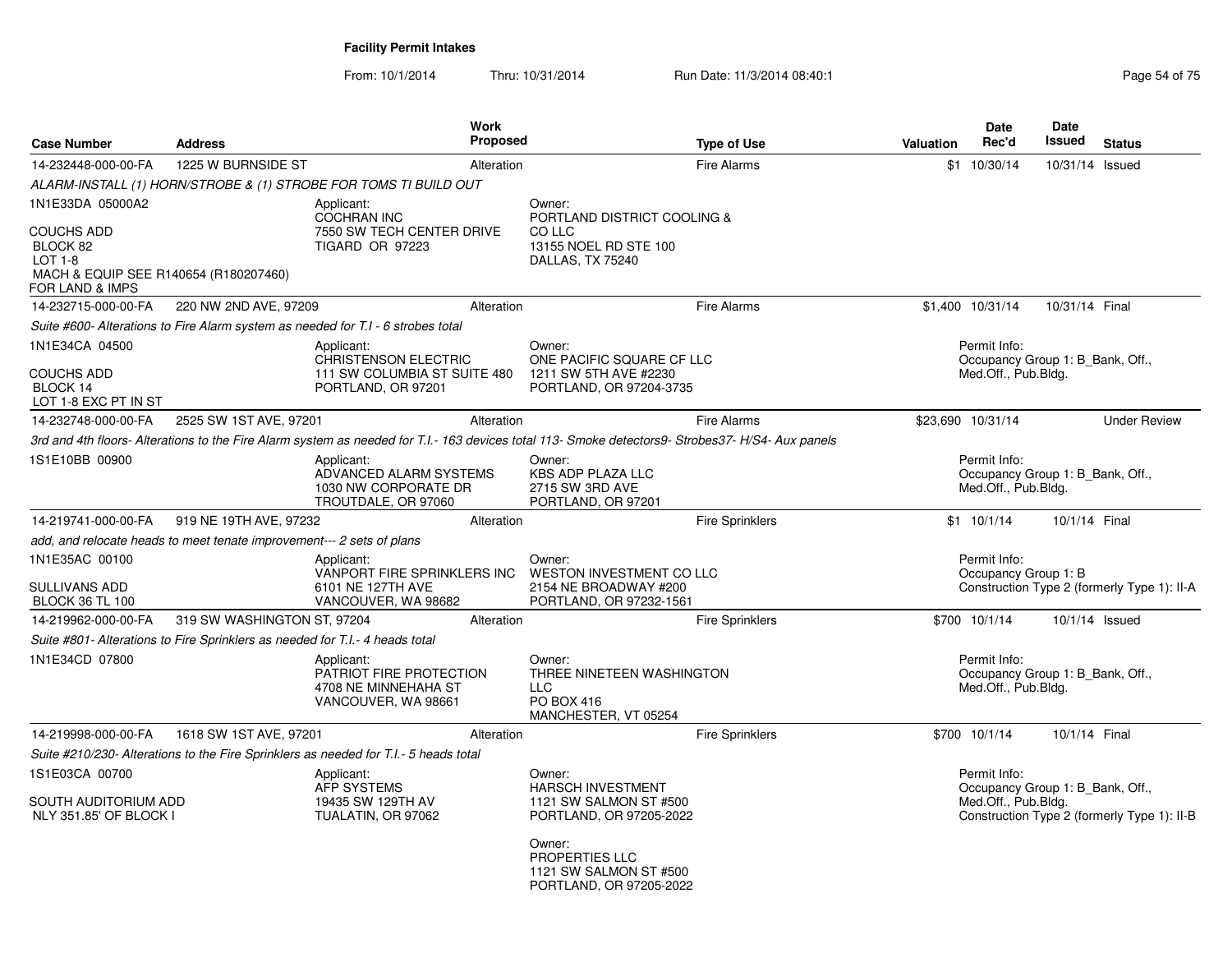From: 10/1/2014Thru: 10/31/2014 Run Date: 11/3/2014 08:40:1

| <b>Case Number</b>                                                                                   | <b>Address</b>                                                               | <b>Work</b><br><b>Proposed</b>                                                                                                                    |                                                                                         | <b>Type of Use</b>     | <b>Valuation</b> | Date<br>Rec'd                                                           | <b>Date</b><br>Issued | <b>Status</b>                               |
|------------------------------------------------------------------------------------------------------|------------------------------------------------------------------------------|---------------------------------------------------------------------------------------------------------------------------------------------------|-----------------------------------------------------------------------------------------|------------------------|------------------|-------------------------------------------------------------------------|-----------------------|---------------------------------------------|
| 14-232448-000-00-FA                                                                                  | 1225 W BURNSIDE ST                                                           | Alteration                                                                                                                                        |                                                                                         | <b>Fire Alarms</b>     |                  | \$1 10/30/14                                                            | 10/31/14 Issued       |                                             |
|                                                                                                      |                                                                              | ALARM-INSTALL (1) HORN/STROBE & (1) STROBE FOR TOMS TI BUILD OUT                                                                                  |                                                                                         |                        |                  |                                                                         |                       |                                             |
| 1N1E33DA 05000A2                                                                                     |                                                                              | Applicant:                                                                                                                                        | Owner:                                                                                  |                        |                  |                                                                         |                       |                                             |
| <b>COUCHS ADD</b><br>BLOCK 82<br>LOT 1-8<br>MACH & EQUIP SEE R140654 (R180207460)<br>FOR LAND & IMPS |                                                                              | <b>COCHRAN INC</b><br>7550 SW TECH CENTER DRIVE<br><b>TIGARD OR 97223</b>                                                                         | PORTLAND DISTRICT COOLING &<br>CO LLC<br>13155 NOEL RD STE 100<br>DALLAS, TX 75240      |                        |                  |                                                                         |                       |                                             |
| 14-232715-000-00-FA                                                                                  | 220 NW 2ND AVE, 97209                                                        | Alteration                                                                                                                                        |                                                                                         | <b>Fire Alarms</b>     |                  | \$1,400 10/31/14                                                        | 10/31/14 Final        |                                             |
|                                                                                                      |                                                                              | Suite #600- Alterations to Fire Alarm system as needed for T.I - 6 strobes total                                                                  |                                                                                         |                        |                  |                                                                         |                       |                                             |
| 1N1E34CA 04500<br><b>COUCHS ADD</b><br>BLOCK 14<br>LOT 1-8 EXC PT IN ST                              |                                                                              | Applicant:<br><b>CHRISTENSON ELECTRIC</b><br>111 SW COLUMBIA ST SUITE 480<br>PORTLAND, OR 97201                                                   | Owner:<br>ONE PACIFIC SQUARE CF LLC<br>1211 SW 5TH AVE #2230<br>PORTLAND, OR 97204-3735 |                        |                  | Permit Info:<br>Occupancy Group 1: B_Bank, Off.,<br>Med.Off., Pub.Bldg. |                       |                                             |
| 14-232748-000-00-FA                                                                                  | 2525 SW 1ST AVE, 97201                                                       | Alteration                                                                                                                                        |                                                                                         | <b>Fire Alarms</b>     |                  | \$23,690 10/31/14                                                       |                       | <b>Under Review</b>                         |
|                                                                                                      |                                                                              | 3rd and 4th floors- Alterations to the Fire Alarm system as needed for T.I.- 163 devices total 113- Smoke detectors9- Strobes37- H/S4- Aux panels |                                                                                         |                        |                  |                                                                         |                       |                                             |
| 1S1E10BB 00900                                                                                       |                                                                              | Applicant:<br>ADVANCED ALARM SYSTEMS<br>1030 NW CORPORATE DR<br>TROUTDALE, OR 97060                                                               | Owner:<br><b>KBS ADP PLAZA LLC</b><br>2715 SW 3RD AVE<br>PORTLAND, OR 97201             |                        |                  | Permit Info:<br>Occupancy Group 1: B Bank, Off.,<br>Med.Off., Pub.Bldg. |                       |                                             |
| 14-219741-000-00-FA                                                                                  | 919 NE 19TH AVE, 97232                                                       | Alteration                                                                                                                                        |                                                                                         | <b>Fire Sprinklers</b> |                  | $$1 \t10/1/14$                                                          | 10/1/14 Final         |                                             |
|                                                                                                      | add, and relocate heads to meet tenate improvement--- 2 sets of plans        |                                                                                                                                                   |                                                                                         |                        |                  |                                                                         |                       |                                             |
| 1N1E35AC 00100<br><b>SULLIVANS ADD</b><br><b>BLOCK 36 TL 100</b>                                     |                                                                              | Applicant:<br>VANPORT FIRE SPRINKLERS INC<br>6101 NE 127TH AVE<br>VANCOUVER, WA 98682                                                             | Owner:<br>WESTON INVESTMENT CO LLC<br>2154 NE BROADWAY #200<br>PORTLAND, OR 97232-1561  |                        |                  | Permit Info:<br>Occupancy Group 1: B                                    |                       | Construction Type 2 (formerly Type 1): II-A |
| 14-219962-000-00-FA                                                                                  | 319 SW WASHINGTON ST, 97204                                                  | Alteration                                                                                                                                        |                                                                                         | <b>Fire Sprinklers</b> |                  | \$700 10/1/14                                                           |                       | 10/1/14 Issued                              |
|                                                                                                      | Suite #801- Alterations to Fire Sprinklers as needed for T.I.- 4 heads total |                                                                                                                                                   |                                                                                         |                        |                  |                                                                         |                       |                                             |
| 1N1E34CD 07800                                                                                       |                                                                              | Applicant:<br>PATRIOT FIRE PROTECTION<br>4708 NE MINNEHAHA ST<br>VANCOUVER, WA 98661                                                              | Owner:<br>THREE NINETEEN WASHINGTON<br><b>LLC</b><br>PO BOX 416<br>MANCHESTER, VT 05254 |                        |                  | Permit Info:<br>Occupancy Group 1: B_Bank, Off.,<br>Med.Off., Pub.Bldg. |                       |                                             |
| 14-219998-000-00-FA                                                                                  | 1618 SW 1ST AVE, 97201                                                       | Alteration                                                                                                                                        |                                                                                         | <b>Fire Sprinklers</b> |                  | \$700 10/1/14                                                           | 10/1/14 Final         |                                             |
|                                                                                                      |                                                                              | Suite #210/230- Alterations to the Fire Sprinklers as needed for T.I.- 5 heads total                                                              |                                                                                         |                        |                  |                                                                         |                       |                                             |
| 1S1E03CA 00700<br>SOUTH AUDITORIUM ADD<br>NLY 351.85' OF BLOCK I                                     |                                                                              | Applicant:<br>AFP SYSTEMS<br>19435 SW 129TH AV<br>TUALATIN, OR 97062                                                                              | Owner:<br><b>HARSCH INVESTMENT</b><br>1121 SW SALMON ST #500<br>PORTLAND, OR 97205-2022 |                        |                  | Permit Info:<br>Occupancy Group 1: B Bank, Off.,<br>Med.Off., Pub.Bldg. |                       | Construction Type 2 (formerly Type 1): II-B |
|                                                                                                      |                                                                              |                                                                                                                                                   | Owner:<br><b>PROPERTIES LLC</b><br>1121 SW SALMON ST #500                               |                        |                  |                                                                         |                       |                                             |

PORTLAND, OR 97205-2022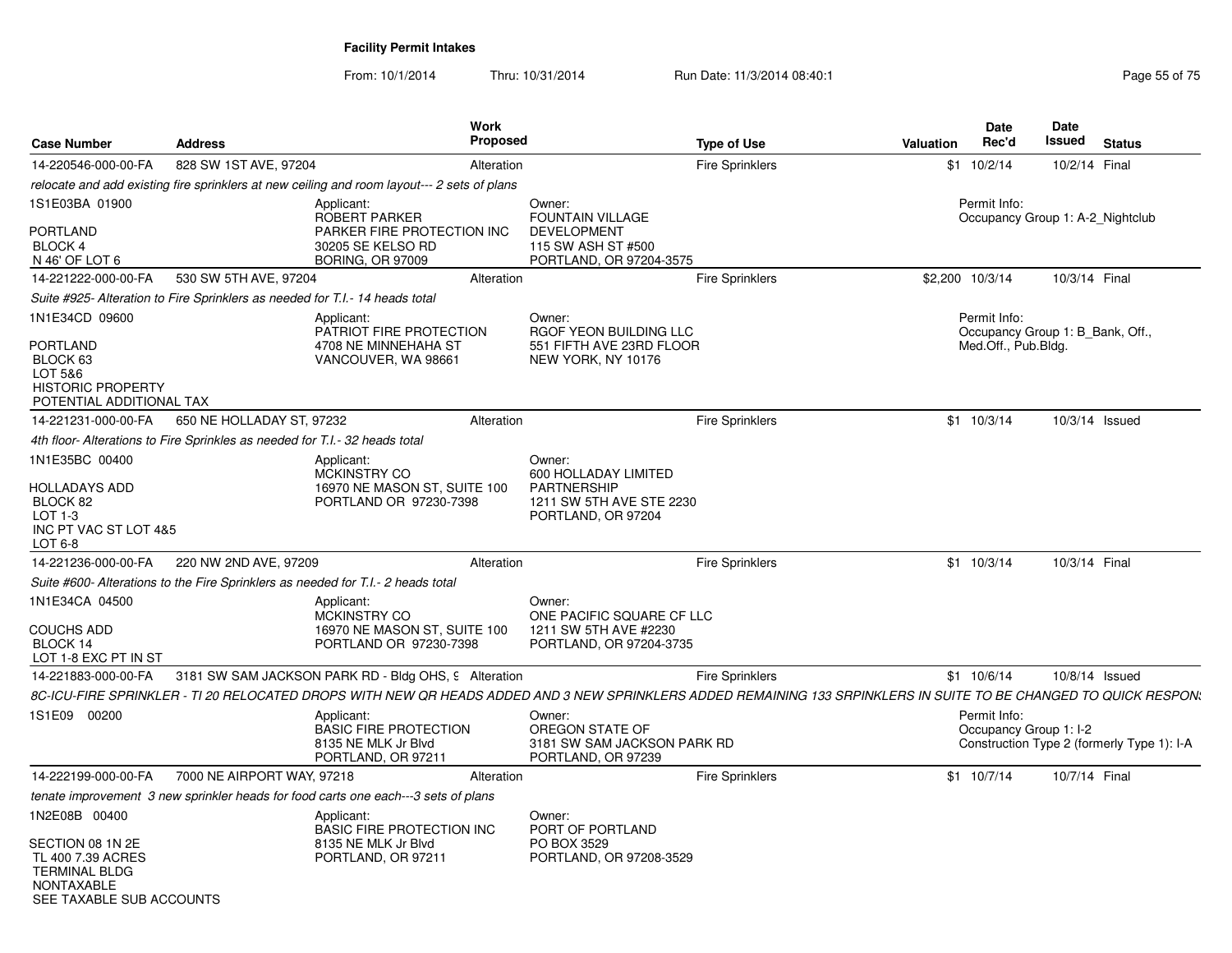| <b>Case Number</b>                                                                             | <b>Address</b>                                                               |                                                                                             | <b>Work</b><br><b>Proposed</b> |                                                                                                                                                                   | <b>Type of Use</b>     | Valuation | Date<br>Rec'd                                    | Date<br>Issued | <b>Status</b>                              |
|------------------------------------------------------------------------------------------------|------------------------------------------------------------------------------|---------------------------------------------------------------------------------------------|--------------------------------|-------------------------------------------------------------------------------------------------------------------------------------------------------------------|------------------------|-----------|--------------------------------------------------|----------------|--------------------------------------------|
| 14-220546-000-00-FA                                                                            | 828 SW 1ST AVE, 97204                                                        |                                                                                             | Alteration                     |                                                                                                                                                                   | <b>Fire Sprinklers</b> | \$1       | 10/2/14                                          | 10/2/14 Final  |                                            |
|                                                                                                |                                                                              | relocate and add existing fire sprinklers at new ceiling and room layout--- 2 sets of plans |                                |                                                                                                                                                                   |                        |           |                                                  |                |                                            |
| 1S1E03BA 01900<br><b>PORTLAND</b><br><b>BLOCK 4</b>                                            |                                                                              | Applicant:<br>ROBERT PARKER<br>PARKER FIRE PROTECTION INC<br>30205 SE KELSO RD              |                                | Owner:<br><b>FOUNTAIN VILLAGE</b><br><b>DEVELOPMENT</b><br>115 SW ASH ST #500                                                                                     |                        |           | Permit Info:<br>Occupancy Group 1: A-2 Nightclub |                |                                            |
| N 46' OF LOT 6<br>14-221222-000-00-FA                                                          | 530 SW 5TH AVE, 97204                                                        | <b>BORING, OR 97009</b>                                                                     | Alteration                     | PORTLAND, OR 97204-3575                                                                                                                                           | <b>Fire Sprinklers</b> |           | \$2,200 10/3/14                                  | 10/3/14 Final  |                                            |
|                                                                                                | Suite #925- Alteration to Fire Sprinklers as needed for T.I.- 14 heads total |                                                                                             |                                |                                                                                                                                                                   |                        |           |                                                  |                |                                            |
| 1N1E34CD 09600                                                                                 |                                                                              | Applicant:<br>PATRIOT FIRE PROTECTION                                                       |                                | Owner:<br>RGOF YEON BUILDING LLC                                                                                                                                  |                        |           | Permit Info:<br>Occupancy Group 1: B Bank, Off., |                |                                            |
| <b>PORTLAND</b><br>BLOCK 63<br>LOT 5&6<br><b>HISTORIC PROPERTY</b><br>POTENTIAL ADDITIONAL TAX |                                                                              | 4708 NE MINNEHAHA ST<br>VANCOUVER, WA 98661                                                 |                                | 551 FIFTH AVE 23RD FLOOR<br>NEW YORK, NY 10176                                                                                                                    |                        |           | Med.Off., Pub.Bldg.                              |                |                                            |
| 14-221231-000-00-FA                                                                            | 650 NE HOLLADAY ST, 97232                                                    |                                                                                             | Alteration                     |                                                                                                                                                                   | <b>Fire Sprinklers</b> |           | $$1 \t10/3/14$                                   | 10/3/14 Issued |                                            |
|                                                                                                | 4th floor- Alterations to Fire Sprinkles as needed for T.I.- 32 heads total  |                                                                                             |                                |                                                                                                                                                                   |                        |           |                                                  |                |                                            |
| 1N1E35BC 00400<br><b>HOLLADAYS ADD</b>                                                         |                                                                              | Applicant:<br><b>MCKINSTRY CO</b><br>16970 NE MASON ST, SUITE 100                           |                                | Owner:<br>600 HOLLADAY LIMITED<br><b>PARTNERSHIP</b>                                                                                                              |                        |           |                                                  |                |                                            |
| BLOCK 82<br>LOT $1-3$<br>INC PT VAC ST LOT 4&5<br>LOT 6-8                                      |                                                                              | PORTLAND OR 97230-7398                                                                      |                                | 1211 SW 5TH AVE STE 2230<br>PORTLAND, OR 97204                                                                                                                    |                        |           |                                                  |                |                                            |
| 14-221236-000-00-FA                                                                            | 220 NW 2ND AVE, 97209                                                        |                                                                                             | Alteration                     |                                                                                                                                                                   | <b>Fire Sprinklers</b> |           | $$1 \t10/3/14$                                   | 10/3/14 Final  |                                            |
|                                                                                                |                                                                              | Suite #600- Alterations to the Fire Sprinklers as needed for T.I.- 2 heads total            |                                |                                                                                                                                                                   |                        |           |                                                  |                |                                            |
| 1N1E34CA 04500<br><b>COUCHS ADD</b><br>BLOCK 14<br>LOT 1-8 EXC PT IN ST                        |                                                                              | Applicant:<br>MCKINSTRY CO<br>16970 NE MASON ST, SUITE 100<br>PORTLAND OR 97230-7398        |                                | Owner:<br>ONE PACIFIC SQUARE CF LLC<br>1211 SW 5TH AVE #2230<br>PORTLAND, OR 97204-3735                                                                           |                        |           |                                                  |                |                                            |
| 14-221883-000-00-FA                                                                            |                                                                              | 3181 SW SAM JACKSON PARK RD - Bldg OHS, 9 Alteration                                        |                                |                                                                                                                                                                   | <b>Fire Sprinklers</b> |           | $$1 \t10/6/14$                                   | 10/8/14 Issued |                                            |
|                                                                                                |                                                                              |                                                                                             |                                | 8C-ICU-FIRE SPRINKLER - TI 20 RELOCATED DROPS WITH NEW QR HEADS ADDED AND 3 NEW SPRINKLERS ADDED REMAINING 133 SRPINKLERS IN SUITE TO BE CHANGED TO QUICK RESPON. |                        |           |                                                  |                |                                            |
| 1S1E09 00200                                                                                   |                                                                              | Applicant:<br><b>BASIC FIRE PROTECTION</b><br>8135 NE MLK Jr Blvd<br>PORTLAND, OR 97211     |                                | Owner:<br>OREGON STATE OF<br>3181 SW SAM JACKSON PARK RD<br>PORTLAND, OR 97239                                                                                    |                        |           | Permit Info:<br>Occupancy Group 1: I-2           |                | Construction Type 2 (formerly Type 1): I-A |
| 14-222199-000-00-FA                                                                            | 7000 NE AIRPORT WAY, 97218                                                   |                                                                                             | Alteration                     |                                                                                                                                                                   | <b>Fire Sprinklers</b> |           | $$1 \t10/7/14$                                   | 10/7/14 Final  |                                            |
|                                                                                                |                                                                              | tenate improvement 3 new sprinkler heads for food carts one each---3 sets of plans          |                                |                                                                                                                                                                   |                        |           |                                                  |                |                                            |
| 1N2E08B 00400<br>SECTION 08 1N 2E                                                              |                                                                              | Applicant:<br><b>BASIC FIRE PROTECTION INC</b><br>8135 NE MLK Jr Blvd                       |                                | Owner:<br>PORT OF PORTLAND<br>PO BOX 3529                                                                                                                         |                        |           |                                                  |                |                                            |
| TL 400 7.39 ACRES<br><b>TERMINAL BLDG</b><br><b>NONTAXABLE</b><br>SEE TAXABLE SUB ACCOUNTS     |                                                                              | PORTLAND, OR 97211                                                                          |                                | PORTLAND, OR 97208-3529                                                                                                                                           |                        |           |                                                  |                |                                            |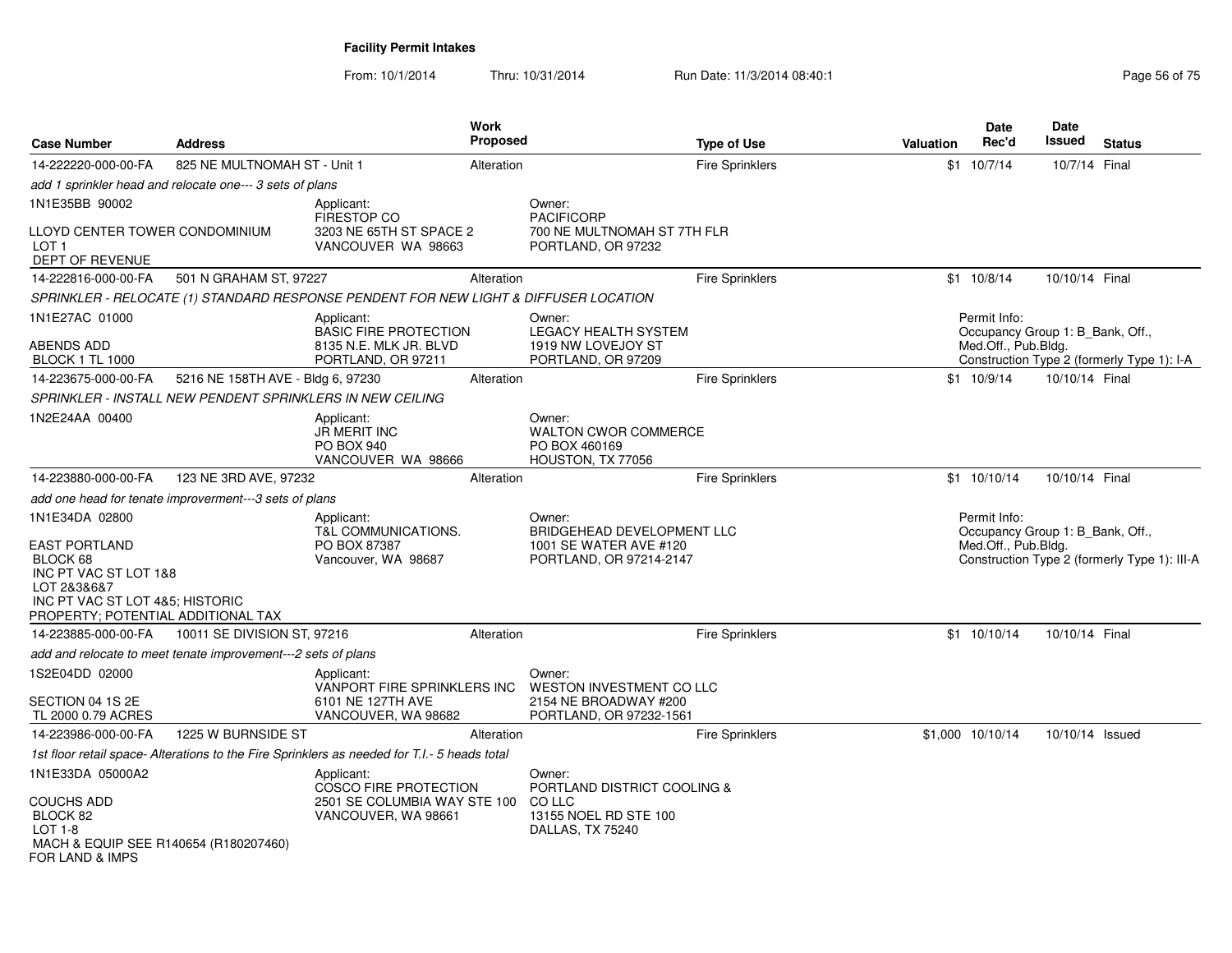| <b>Case Number</b>                                                                                                                                                  | <b>Address</b>                                                |                                                                                              | Work<br><b>Proposed</b> |                                                                                              | <b>Type of Use</b>     | Valuation | Date<br>Rec'd                                                           | <b>Date</b><br>Issued | <b>Status</b>                                |
|---------------------------------------------------------------------------------------------------------------------------------------------------------------------|---------------------------------------------------------------|----------------------------------------------------------------------------------------------|-------------------------|----------------------------------------------------------------------------------------------|------------------------|-----------|-------------------------------------------------------------------------|-----------------------|----------------------------------------------|
| 14-222220-000-00-FA                                                                                                                                                 | 825 NE MULTNOMAH ST - Unit 1                                  |                                                                                              | Alteration              |                                                                                              | <b>Fire Sprinklers</b> |           | $$1 \t10/7/14$                                                          | 10/7/14 Final         |                                              |
|                                                                                                                                                                     | add 1 sprinkler head and relocate one--- 3 sets of plans      |                                                                                              |                         |                                                                                              |                        |           |                                                                         |                       |                                              |
| 1N1E35BB 90002                                                                                                                                                      |                                                               | Applicant:                                                                                   |                         | Owner:                                                                                       |                        |           |                                                                         |                       |                                              |
| LLOYD CENTER TOWER CONDOMINIUM<br>LOT <sub>1</sub><br>DEPT OF REVENUE                                                                                               |                                                               | <b>FIRESTOP CO</b><br>3203 NE 65TH ST SPACE 2<br>VANCOUVER WA 98663                          |                         | <b>PACIFICORP</b><br>700 NE MULTNOMAH ST 7TH FLR<br>PORTLAND, OR 97232                       |                        |           |                                                                         |                       |                                              |
| 14-222816-000-00-FA                                                                                                                                                 | 501 N GRAHAM ST, 97227                                        |                                                                                              | Alteration              |                                                                                              | <b>Fire Sprinklers</b> |           | \$1 10/8/14                                                             | 10/10/14 Final        |                                              |
|                                                                                                                                                                     |                                                               | SPRINKLER - RELOCATE (1) STANDARD RESPONSE PENDENT FOR NEW LIGHT & DIFFUSER LOCATION         |                         |                                                                                              |                        |           |                                                                         |                       |                                              |
| 1N1E27AC 01000<br><b>ABENDS ADD</b><br><b>BLOCK 1 TL 1000</b>                                                                                                       |                                                               | Applicant:<br><b>BASIC FIRE PROTECTION</b><br>8135 N.E. MLK JR. BLVD<br>PORTLAND, OR 97211   |                         | Owner:<br>LEGACY HEALTH SYSTEM<br>1919 NW LOVEJOY ST<br>PORTLAND, OR 97209                   |                        |           | Permit Info:<br>Occupancy Group 1: B Bank, Off.,<br>Med.Off., Pub.Bldg. |                       | Construction Type 2 (formerly Type 1): I-A   |
| 14-223675-000-00-FA                                                                                                                                                 | 5216 NE 158TH AVE - Bldg 6, 97230                             |                                                                                              | Alteration              |                                                                                              | <b>Fire Sprinklers</b> |           | \$1 10/9/14                                                             | 10/10/14 Final        |                                              |
|                                                                                                                                                                     | SPRINKLER - INSTALL NEW PENDENT SPRINKLERS IN NEW CEILING     |                                                                                              |                         |                                                                                              |                        |           |                                                                         |                       |                                              |
| 1N2E24AA 00400                                                                                                                                                      |                                                               | Applicant:<br><b>JR MERIT INC</b><br><b>PO BOX 940</b><br>VANCOUVER WA 98666                 |                         | Owner:<br><b>WALTON CWOR COMMERCE</b><br>PO BOX 460169<br>HOUSTON, TX 77056                  |                        |           |                                                                         |                       |                                              |
| 14-223880-000-00-FA                                                                                                                                                 | 123 NE 3RD AVE, 97232                                         |                                                                                              | Alteration              |                                                                                              | <b>Fire Sprinklers</b> |           | $$1$ 10/10/14                                                           | 10/10/14 Final        |                                              |
|                                                                                                                                                                     | add one head for tenate improverment---3 sets of plans        |                                                                                              |                         |                                                                                              |                        |           |                                                                         |                       |                                              |
| 1N1E34DA 02800<br><b>EAST PORTLAND</b><br>BLOCK 68<br>INC PT VAC ST LOT 1&8<br>LOT 2&3&6&7<br>INC PT VAC ST LOT 4&5; HISTORIC<br>PROPERTY; POTENTIAL ADDITIONAL TAX |                                                               | Applicant:<br><b>T&amp;L COMMUNICATIONS.</b><br>PO BOX 87387<br>Vancouver, WA 98687          |                         | Owner:<br>BRIDGEHEAD DEVELOPMENT LLC<br>1001 SE WATER AVE #120<br>PORTLAND, OR 97214-2147    |                        |           | Permit Info:<br>Occupancy Group 1: B_Bank, Off.,<br>Med.Off., Pub.Bldg. |                       | Construction Type 2 (formerly Type 1): III-A |
| 14-223885-000-00-FA                                                                                                                                                 | 10011 SE DIVISION ST, 97216                                   |                                                                                              | Alteration              |                                                                                              | Fire Sprinklers        |           | \$1 10/10/14                                                            | 10/10/14 Final        |                                              |
|                                                                                                                                                                     | add and relocate to meet tenate improvement---2 sets of plans |                                                                                              |                         |                                                                                              |                        |           |                                                                         |                       |                                              |
| 1S2E04DD 02000                                                                                                                                                      |                                                               | Applicant:<br>VANPORT FIRE SPRINKLERS INC                                                    |                         | Owner:<br>WESTON INVESTMENT CO LLC                                                           |                        |           |                                                                         |                       |                                              |
| SECTION 04 1S 2E<br>TL 2000 0.79 ACRES                                                                                                                              |                                                               | 6101 NE 127TH AVE<br>VANCOUVER, WA 98682                                                     |                         | 2154 NE BROADWAY #200<br>PORTLAND, OR 97232-1561                                             |                        |           |                                                                         |                       |                                              |
| 14-223986-000-00-FA                                                                                                                                                 | 1225 W BURNSIDE ST                                            |                                                                                              | Alteration              |                                                                                              | <b>Fire Sprinklers</b> |           | \$1,000 10/10/14                                                        | 10/10/14 Issued       |                                              |
|                                                                                                                                                                     |                                                               | 1st floor retail space- Alterations to the Fire Sprinklers as needed for T.I.- 5 heads total |                         |                                                                                              |                        |           |                                                                         |                       |                                              |
| 1N1E33DA 05000A2<br><b>COUCHS ADD</b><br>BLOCK 82<br>LOT 1-8<br>MACH & EQUIP SEE R140654 (R180207460)<br>FOR LAND & IMPS                                            |                                                               | Applicant:<br>COSCO FIRE PROTECTION<br>2501 SE COLUMBIA WAY STE 100<br>VANCOUVER, WA 98661   |                         | Owner:<br>PORTLAND DISTRICT COOLING &<br>CO LLC<br>13155 NOEL RD STE 100<br>DALLAS, TX 75240 |                        |           |                                                                         |                       |                                              |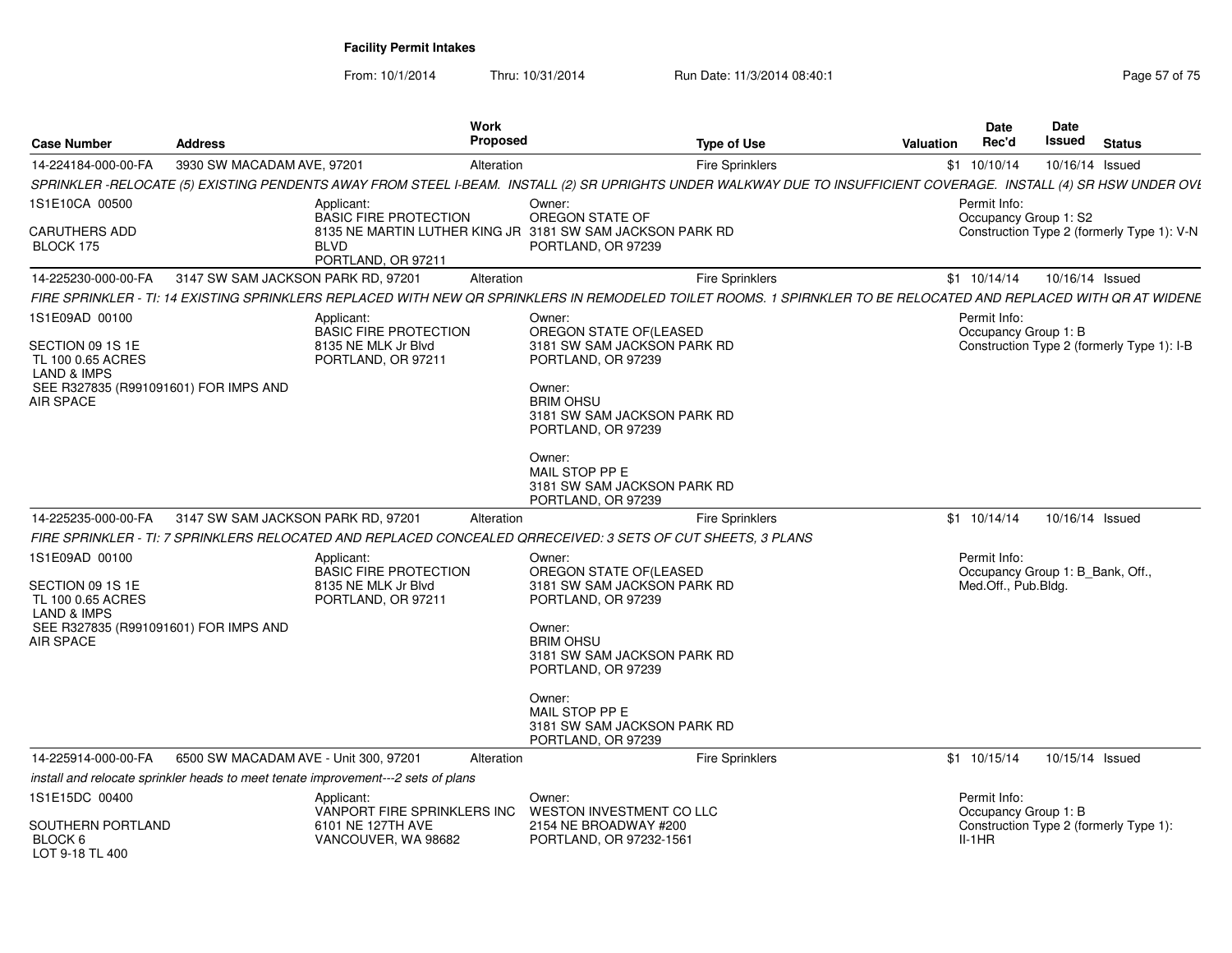From: 10/1/2014

Thru: 10/31/2014 Run Date: 11/3/2014 08:40:1

| <b>Case Number</b>                                                                                                                             | <b>Address</b>                                                                                               | Work<br>Proposed                                                 | <b>Type of Use</b>                                                                                                                                                                    | <b>Date</b><br>Rec'd<br><b>Valuation</b>                                | Date<br>Issued  | <b>Status</b>                              |
|------------------------------------------------------------------------------------------------------------------------------------------------|--------------------------------------------------------------------------------------------------------------|------------------------------------------------------------------|---------------------------------------------------------------------------------------------------------------------------------------------------------------------------------------|-------------------------------------------------------------------------|-----------------|--------------------------------------------|
| 14-224184-000-00-FA                                                                                                                            | 3930 SW MACADAM AVE, 97201                                                                                   | Alteration                                                       | <b>Fire Sprinklers</b>                                                                                                                                                                | \$1 10/10/14                                                            | 10/16/14 Issued |                                            |
|                                                                                                                                                |                                                                                                              |                                                                  | SPRINKLER -RELOCATE (5) EXISTING PENDENTS AWAY FROM STEEL I-BEAM. INSTALL (2) SR UPRIGHTS UNDER WALKWAY DUE TO INSUFFICIENT COVERAGE. INSTALL (4) SR HSW UNDER OVI                    |                                                                         |                 |                                            |
| 1S1E10CA 00500                                                                                                                                 | Applicant:<br><b>BASIC FIRE PROTECTION</b>                                                                   | Owner:                                                           | OREGON STATE OF                                                                                                                                                                       | Permit Info:<br>Occupancy Group 1: S2                                   |                 |                                            |
| <b>CARUTHERS ADD</b><br>BLOCK 175                                                                                                              | <b>BLVD</b><br>PORTLAND, OR 97211                                                                            | 8135 NE MARTIN LUTHER KING JR 3181 SW SAM JACKSON PARK RD        | PORTLAND, OR 97239                                                                                                                                                                    |                                                                         |                 | Construction Type 2 (formerly Type 1): V-N |
| 14-225230-000-00-FA                                                                                                                            | 3147 SW SAM JACKSON PARK RD, 97201                                                                           | Alteration                                                       | <b>Fire Sprinklers</b>                                                                                                                                                                | $$1 \t10/14/14$                                                         | 10/16/14 Issued |                                            |
|                                                                                                                                                |                                                                                                              |                                                                  | FIRE SPRINKLER - TI: 14 EXISTING SPRINKLERS REPLACED WITH NEW QR SPRINKLERS IN REMODELED TOILET ROOMS. 1 SPIRNKLER TO BE RELOCATED AND REPLACED WITH QR AT WIDENE                     |                                                                         |                 |                                            |
| 1S1E09AD 00100<br>SECTION 09 1S 1E<br>TL 100 0.65 ACRES                                                                                        | Applicant:<br><b>BASIC FIRE PROTECTION</b><br>8135 NE MLK Jr Blvd<br>PORTLAND, OR 97211                      | Owner:                                                           | OREGON STATE OF(LEASED<br>3181 SW SAM JACKSON PARK RD<br>PORTLAND, OR 97239                                                                                                           | Permit Info:<br>Occupancy Group 1: B                                    |                 | Construction Type 2 (formerly Type 1): I-B |
| <b>LAND &amp; IMPS</b><br>SEE R327835 (R991091601) FOR IMPS AND<br><b>AIR SPACE</b>                                                            |                                                                                                              | Owner:<br><b>BRIM OHSU</b><br>Owner:<br>MAIL STOP PP E           | 3181 SW SAM JACKSON PARK RD<br>PORTLAND, OR 97239<br>3181 SW SAM JACKSON PARK RD<br>PORTLAND, OR 97239                                                                                |                                                                         |                 |                                            |
| 14-225235-000-00-FA                                                                                                                            | 3147 SW SAM JACKSON PARK RD, 97201                                                                           | Alteration                                                       | <b>Fire Sprinklers</b>                                                                                                                                                                | $$1$ 10/14/14                                                           | 10/16/14 Issued |                                            |
|                                                                                                                                                | FIRE SPRINKLER - TI: 7 SPRINKLERS RELOCATED AND REPLACED CONCEALED QRRECEIVED: 3 SETS OF CUT SHEETS, 3 PLANS |                                                                  |                                                                                                                                                                                       |                                                                         |                 |                                            |
| 1S1E09AD 00100<br>SECTION 09 1S 1E<br>TL 100 0.65 ACRES<br><b>LAND &amp; IMPS</b><br>SEE R327835 (R991091601) FOR IMPS AND<br><b>AIR SPACE</b> | Applicant:<br><b>BASIC FIRE PROTECTION</b><br>8135 NE MLK Jr Blvd<br>PORTLAND, OR 97211                      | Owner:<br>Owner:<br><b>BRIM OHSU</b><br>Owner:<br>MAIL STOP PP E | OREGON STATE OF(LEASED<br>3181 SW SAM JACKSON PARK RD<br>PORTLAND, OR 97239<br>3181 SW SAM JACKSON PARK RD<br>PORTLAND, OR 97239<br>3181 SW SAM JACKSON PARK RD<br>PORTLAND, OR 97239 | Permit Info:<br>Occupancy Group 1: B_Bank, Off.,<br>Med.Off., Pub.Bldg. |                 |                                            |
| 14-225914-000-00-FA                                                                                                                            | 6500 SW MACADAM AVE - Unit 300, 97201                                                                        | Alteration                                                       | <b>Fire Sprinklers</b>                                                                                                                                                                | $$1$ 10/15/14                                                           | 10/15/14 Issued |                                            |
|                                                                                                                                                | install and relocate sprinkler heads to meet tenate improvement---2 sets of plans                            |                                                                  |                                                                                                                                                                                       |                                                                         |                 |                                            |
| 1S1E15DC 00400                                                                                                                                 | Applicant:<br>VANPORT FIRE SPRINKLERS INC                                                                    | Owner:                                                           | WESTON INVESTMENT CO LLC                                                                                                                                                              | Permit Info:<br>Occupancy Group 1: B                                    |                 |                                            |
| SOUTHERN PORTLAND<br>BLOCK <sub>6</sub><br>LOT 9-18 TL 400                                                                                     | 6101 NE 127TH AVE<br>VANCOUVER, WA 98682                                                                     |                                                                  | 2154 NE BROADWAY #200<br>PORTLAND, OR 97232-1561                                                                                                                                      | $II-1HR$                                                                |                 | Construction Type 2 (formerly Type 1):     |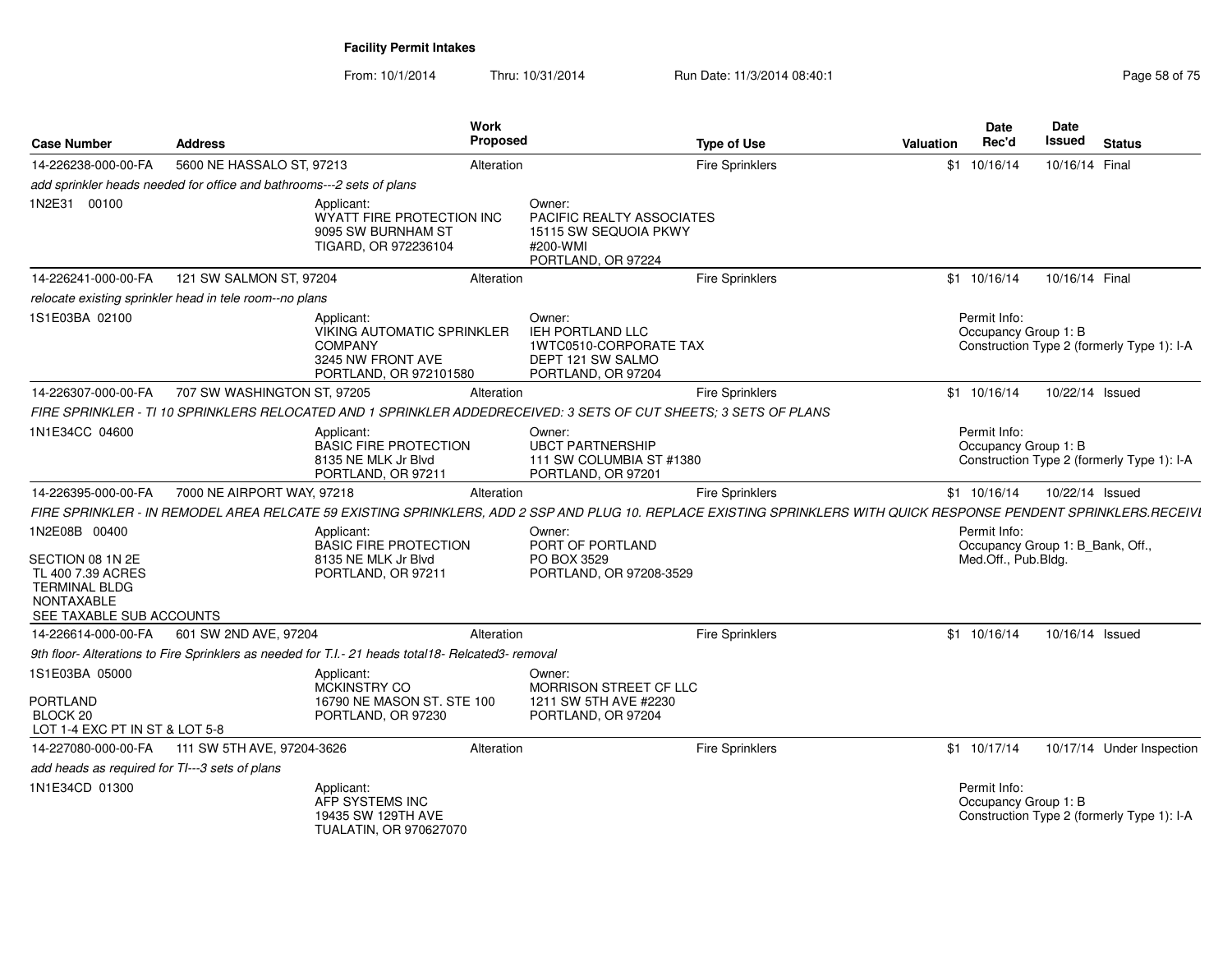| <b>Case Number</b>                                                                                                              | <b>Address</b>                                                        |                                                                                                                                                                    | Work<br><b>Proposed</b> |                                                                                                        | <b>Type of Use</b>     | <b>Valuation</b> | <b>Date</b><br>Rec'd                                                    | <b>Date</b><br>Issued | <b>Status</b>                              |
|---------------------------------------------------------------------------------------------------------------------------------|-----------------------------------------------------------------------|--------------------------------------------------------------------------------------------------------------------------------------------------------------------|-------------------------|--------------------------------------------------------------------------------------------------------|------------------------|------------------|-------------------------------------------------------------------------|-----------------------|--------------------------------------------|
| 14-226238-000-00-FA                                                                                                             | 5600 NE HASSALO ST. 97213                                             |                                                                                                                                                                    | Alteration              |                                                                                                        | <b>Fire Sprinklers</b> |                  | $$1 \t10/16/14$                                                         | 10/16/14 Final        |                                            |
|                                                                                                                                 | add sprinkler heads needed for office and bathrooms---2 sets of plans |                                                                                                                                                                    |                         |                                                                                                        |                        |                  |                                                                         |                       |                                            |
| 1N2E31 00100                                                                                                                    |                                                                       | Applicant:<br>WYATT FIRE PROTECTION INC<br>9095 SW BURNHAM ST<br>TIGARD, OR 972236104                                                                              |                         | Owner:<br><b>PACIFIC REALTY ASSOCIATES</b><br>15115 SW SEQUOIA PKWY<br>#200-WMI<br>PORTLAND, OR 97224  |                        |                  |                                                                         |                       |                                            |
| 14-226241-000-00-FA                                                                                                             | 121 SW SALMON ST, 97204                                               |                                                                                                                                                                    | Alteration              |                                                                                                        | <b>Fire Sprinklers</b> |                  | $$1$ 10/16/14                                                           | 10/16/14 Final        |                                            |
|                                                                                                                                 | relocate existing sprinkler head in tele room--no plans               |                                                                                                                                                                    |                         |                                                                                                        |                        |                  |                                                                         |                       |                                            |
| 1S1E03BA 02100                                                                                                                  |                                                                       | Applicant:<br><b>VIKING AUTOMATIC SPRINKLER</b><br><b>COMPANY</b><br>3245 NW FRONT AVE<br>PORTLAND, OR 972101580                                                   |                         | Owner:<br><b>IEH PORTLAND LLC</b><br>1WTC0510-CORPORATE TAX<br>DEPT 121 SW SALMO<br>PORTLAND, OR 97204 |                        |                  | Permit Info:<br>Occupancy Group 1: B                                    |                       | Construction Type 2 (formerly Type 1): I-A |
| 14-226307-000-00-FA                                                                                                             | 707 SW WASHINGTON ST, 97205                                           |                                                                                                                                                                    | Alteration              |                                                                                                        | <b>Fire Sprinklers</b> |                  | $$1$ 10/16/14                                                           | 10/22/14 Issued       |                                            |
|                                                                                                                                 |                                                                       | FIRE SPRINKLER - TI 10 SPRINKLERS RELOCATED AND 1 SPRINKLER ADDEDRECEIVED: 3 SETS OF CUT SHEETS; 3 SETS OF PLANS                                                   |                         |                                                                                                        |                        |                  |                                                                         |                       |                                            |
| 1N1E34CC 04600                                                                                                                  |                                                                       | Applicant:<br><b>BASIC FIRE PROTECTION</b><br>8135 NE MLK Jr Blyd<br>PORTLAND, OR 97211                                                                            |                         | Owner:<br><b>UBCT PARTNERSHIP</b><br>111 SW COLUMBIA ST #1380<br>PORTLAND, OR 97201                    |                        |                  | Permit Info:<br>Occupancy Group 1: B                                    |                       | Construction Type 2 (formerly Type 1): I-A |
| 14-226395-000-00-FA                                                                                                             | 7000 NE AIRPORT WAY, 97218                                            |                                                                                                                                                                    | Alteration              |                                                                                                        | <b>Fire Sprinklers</b> |                  | $$1 \t10/16/14$                                                         | 10/22/14 Issued       |                                            |
|                                                                                                                                 |                                                                       | FIRE SPRINKLER - IN REMODEL AREA RELCATE 59 EXISTING SPRINKLERS, ADD 2 SSP AND PLUG 10. REPLACE EXISTING SPRINKLERS WITH QUICK RESPONSE PENDENT SPRINKLERS.RECEIVI |                         |                                                                                                        |                        |                  |                                                                         |                       |                                            |
| 1N2E08B 00400<br>SECTION 08 1N 2E<br>TL 400 7.39 ACRES<br><b>TERMINAL BLDG</b><br><b>NONTAXABLE</b><br>SEE TAXABLE SUB ACCOUNTS |                                                                       | Applicant:<br><b>BASIC FIRE PROTECTION</b><br>8135 NE MLK Jr Blvd<br>PORTLAND, OR 97211                                                                            |                         | Owner:<br>PORT OF PORTLAND<br>PO BOX 3529<br>PORTLAND, OR 97208-3529                                   |                        |                  | Permit Info:<br>Occupancy Group 1: B_Bank, Off.,<br>Med.Off., Pub.Bldg. |                       |                                            |
| 14-226614-000-00-FA                                                                                                             | 601 SW 2ND AVE, 97204                                                 |                                                                                                                                                                    | Alteration              |                                                                                                        | Fire Sprinklers        |                  | $$1 \t10/16/14$                                                         | 10/16/14 Issued       |                                            |
|                                                                                                                                 |                                                                       | 9th floor- Alterations to Fire Sprinklers as needed for T.I.- 21 heads total18- Relcated3- removal                                                                 |                         |                                                                                                        |                        |                  |                                                                         |                       |                                            |
| 1S1E03BA 05000<br>PORTLAND<br>BLOCK 20<br>LOT 1-4 EXC PT IN ST & LOT 5-8                                                        |                                                                       | Applicant:<br><b>MCKINSTRY CO</b><br>16790 NE MASON ST, STE 100<br>PORTLAND, OR 97230                                                                              |                         | Owner:<br>MORRISON STREET CF LLC<br>1211 SW 5TH AVE #2230<br>PORTLAND, OR 97204                        |                        |                  |                                                                         |                       |                                            |
| 14-227080-000-00-FA                                                                                                             | 111 SW 5TH AVE, 97204-3626                                            |                                                                                                                                                                    | Alteration              |                                                                                                        | Fire Sprinklers        |                  | $$1$ 10/17/14                                                           |                       | 10/17/14 Under Inspection                  |
| add heads as required for TI---3 sets of plans                                                                                  |                                                                       |                                                                                                                                                                    |                         |                                                                                                        |                        |                  |                                                                         |                       |                                            |
| 1N1E34CD 01300                                                                                                                  |                                                                       | Applicant:<br>AFP SYSTEMS INC<br>19435 SW 129TH AVE<br><b>TUALATIN, OR 970627070</b>                                                                               |                         |                                                                                                        |                        |                  | Permit Info:<br>Occupancy Group 1: B                                    |                       | Construction Type 2 (formerly Type 1): I-A |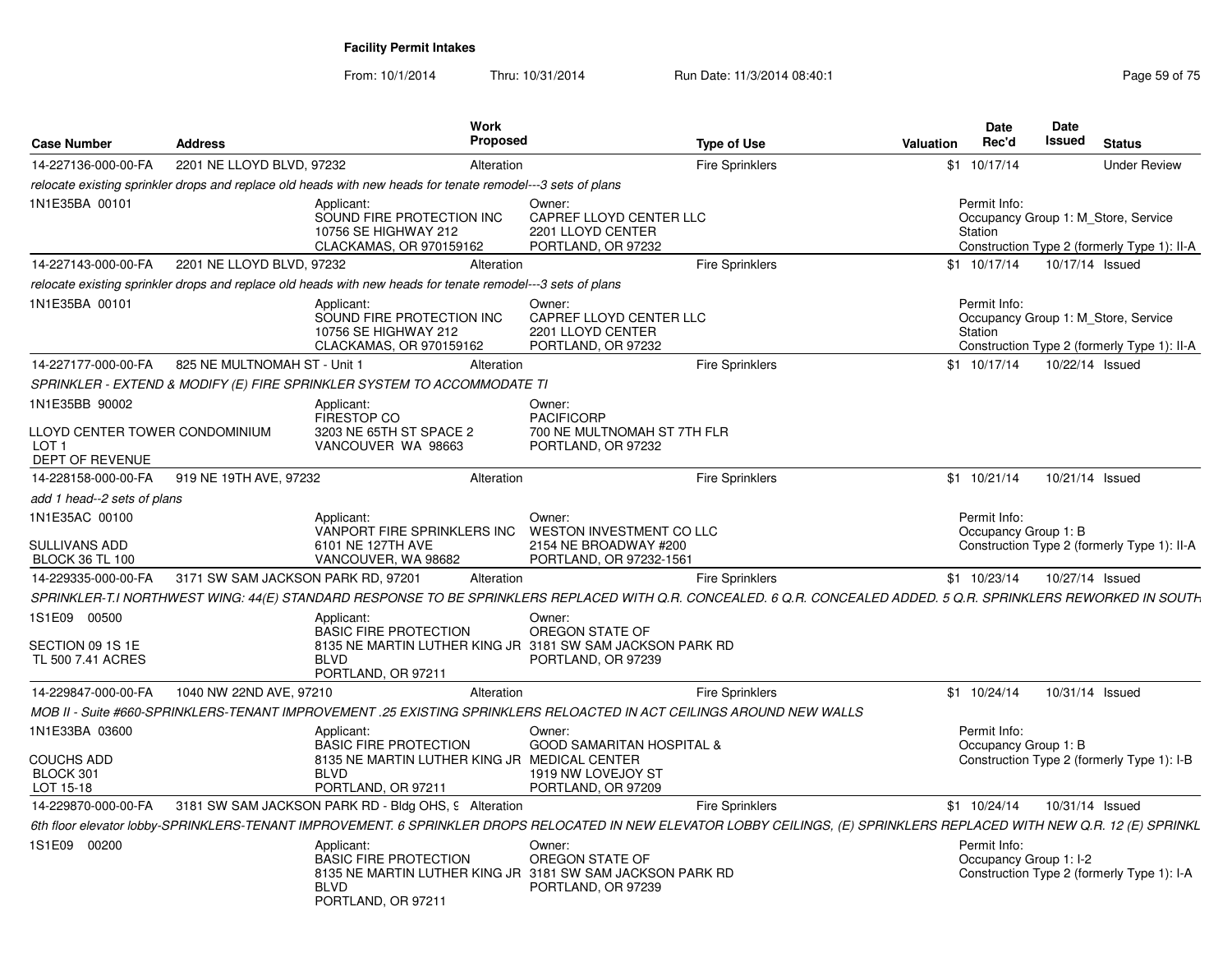| <b>Case Number</b>                                         | <b>Address</b>                     | <b>Work</b>                                                                                                                                                              | <b>Proposed</b>                                                                        | <b>Type of Use</b>     | <b>Valuation</b> | <b>Date</b><br>Rec'd                   | Date<br>Issued<br><b>Status</b>                                                    |
|------------------------------------------------------------|------------------------------------|--------------------------------------------------------------------------------------------------------------------------------------------------------------------------|----------------------------------------------------------------------------------------|------------------------|------------------|----------------------------------------|------------------------------------------------------------------------------------|
| 14-227136-000-00-FA                                        | 2201 NE LLOYD BLVD, 97232          |                                                                                                                                                                          | Alteration                                                                             | <b>Fire Sprinklers</b> |                  | \$1 10/17/14                           | <b>Under Review</b>                                                                |
|                                                            |                                    | relocate existing sprinkler drops and replace old heads with new heads for tenate remodel---3 sets of plans                                                              |                                                                                        |                        |                  |                                        |                                                                                    |
| 1N1E35BA 00101                                             |                                    | Applicant:<br>SOUND FIRE PROTECTION INC<br>10756 SE HIGHWAY 212<br>CLACKAMAS, OR 970159162                                                                               | Owner:<br>CAPREF LLOYD CENTER LLC<br>2201 LLOYD CENTER<br>PORTLAND, OR 97232           |                        |                  | Permit Info:<br>Station                | Occupancy Group 1: M Store, Service<br>Construction Type 2 (formerly Type 1): II-A |
| 14-227143-000-00-FA                                        | 2201 NE LLOYD BLVD, 97232          |                                                                                                                                                                          | Alteration                                                                             | <b>Fire Sprinklers</b> |                  | $$1 \t10/17/14$                        | 10/17/14 Issued                                                                    |
|                                                            |                                    | relocate existing sprinkler drops and replace old heads with new heads for tenate remodel---3 sets of plans                                                              |                                                                                        |                        |                  |                                        |                                                                                    |
| 1N1E35BA 00101                                             |                                    | Applicant:<br>SOUND FIRE PROTECTION INC<br>10756 SE HIGHWAY 212<br>CLACKAMAS, OR 970159162                                                                               | Owner:<br>CAPREF LLOYD CENTER LLC<br>2201 LLOYD CENTER<br>PORTLAND, OR 97232           |                        |                  | Permit Info:<br>Station                | Occupancy Group 1: M Store, Service<br>Construction Type 2 (formerly Type 1): II-A |
| 14-227177-000-00-FA                                        | 825 NE MULTNOMAH ST - Unit 1       |                                                                                                                                                                          | Alteration                                                                             | <b>Fire Sprinklers</b> |                  | $$1$ 10/17/14                          | 10/22/14 Issued                                                                    |
|                                                            |                                    | SPRINKLER - EXTEND & MODIFY (E) FIRE SPRINKLER SYSTEM TO ACCOMMODATE TI                                                                                                  |                                                                                        |                        |                  |                                        |                                                                                    |
| 1N1E35BB 90002                                             |                                    | Applicant:<br>FIRESTOP CO                                                                                                                                                | Owner:<br><b>PACIFICORP</b>                                                            |                        |                  |                                        |                                                                                    |
| LLOYD CENTER TOWER CONDOMINIUM<br>LOT 1<br>DEPT OF REVENUE |                                    | 3203 NE 65TH ST SPACE 2<br>VANCOUVER WA 98663                                                                                                                            | 700 NE MULTNOMAH ST 7TH FLR<br>PORTLAND, OR 97232                                      |                        |                  |                                        |                                                                                    |
| 14-228158-000-00-FA                                        | 919 NE 19TH AVE, 97232             |                                                                                                                                                                          | Alteration                                                                             | <b>Fire Sprinklers</b> |                  | $$1$ 10/21/14                          | 10/21/14 Issued                                                                    |
| add 1 head--2 sets of plans                                |                                    |                                                                                                                                                                          |                                                                                        |                        |                  |                                        |                                                                                    |
| 1N1E35AC 00100<br>SULLIVANS ADD<br><b>BLOCK 36 TL 100</b>  |                                    | Applicant:<br>VANPORT FIRE SPRINKLERS INC<br>6101 NE 127TH AVE<br>VANCOUVER, WA 98682                                                                                    | Owner:<br>WESTON INVESTMENT CO LLC<br>2154 NE BROADWAY #200<br>PORTLAND, OR 97232-1561 |                        |                  | Permit Info:<br>Occupancy Group 1: B   | Construction Type 2 (formerly Type 1): II-A                                        |
| 14-229335-000-00-FA                                        | 3171 SW SAM JACKSON PARK RD, 97201 |                                                                                                                                                                          | Alteration                                                                             | <b>Fire Sprinklers</b> |                  | $$1$ 10/23/14                          | 10/27/14 Issued                                                                    |
|                                                            |                                    | SPRINKLER-T.I NORTHWEST WING: 44(E) STANDARD RESPONSE TO BE SPRINKLERS REPLACED WITH Q.R. CONCEALED. 6 Q.R. CONCEALED ADDED. 5 Q.R. SPRINKLERS REWORKED IN SOUTH         |                                                                                        |                        |                  |                                        |                                                                                    |
| 1S1E09 00500<br>SECTION 09 1S 1E<br>TL 500 7.41 ACRES      |                                    | Applicant:<br><b>BASIC FIRE PROTECTION</b><br>8135 NE MARTIN LUTHER KING JR 3181 SW SAM JACKSON PARK RD<br><b>BLVD</b><br>PORTLAND, OR 97211                             | Owner:<br>OREGON STATE OF<br>PORTLAND, OR 97239                                        |                        |                  |                                        |                                                                                    |
| 14-229847-000-00-FA                                        | 1040 NW 22ND AVE, 97210            |                                                                                                                                                                          | Alteration                                                                             | <b>Fire Sprinklers</b> |                  | \$1 10/24/14                           | 10/31/14 Issued                                                                    |
|                                                            |                                    | MOB II - Suite #660-SPRINKLERS-TENANT IMPROVEMENT .25 EXISTING SPRINKLERS RELOACTED IN ACT CEILINGS AROUND NEW WALLS                                                     |                                                                                        |                        |                  |                                        |                                                                                    |
| 1N1E33BA 03600                                             |                                    | Applicant:<br><b>BASIC FIRE PROTECTION</b>                                                                                                                               | Owner:<br><b>GOOD SAMARITAN HOSPITAL &amp;</b>                                         |                        |                  | Permit Info:<br>Occupancy Group 1: B   |                                                                                    |
| COUCHS ADD<br>BLOCK 301<br>LOT 15-18                       |                                    | 8135 NE MARTIN LUTHER KING JR MEDICAL CENTER<br><b>BLVD</b><br>PORTLAND, OR 97211                                                                                        | 1919 NW LOVEJOY ST<br>PORTLAND, OR 97209                                               |                        |                  |                                        | Construction Type 2 (formerly Type 1): I-B                                         |
| 14-229870-000-00-FA                                        |                                    | 3181 SW SAM JACKSON PARK RD - Bldg OHS, 9 Alteration                                                                                                                     |                                                                                        | <b>Fire Sprinklers</b> |                  | $$1 \t10/24/14$                        | 10/31/14 Issued                                                                    |
|                                                            |                                    | 6th floor elevator lobby-SPRINKLERS-TENANT IMPROVEMENT. 6 SPRINKLER DROPS RELOCATED IN NEW ELEVATOR LOBBY CEILINGS, (E) SPRINKLERS REPLACED WITH NEW Q.R. 12 (E) SPRINKL |                                                                                        |                        |                  |                                        |                                                                                    |
| 1S1E09 00200                                               |                                    | Applicant:<br><b>BASIC FIRE PROTECTION</b><br>8135 NE MARTIN LUTHER KING JR 3181 SW SAM JACKSON PARK RD<br><b>BLVD</b><br>PORTLAND, OR 97211                             | Owner:<br>OREGON STATE OF<br>PORTLAND, OR 97239                                        |                        |                  | Permit Info:<br>Occupancy Group 1: I-2 | Construction Type 2 (formerly Type 1): I-A                                         |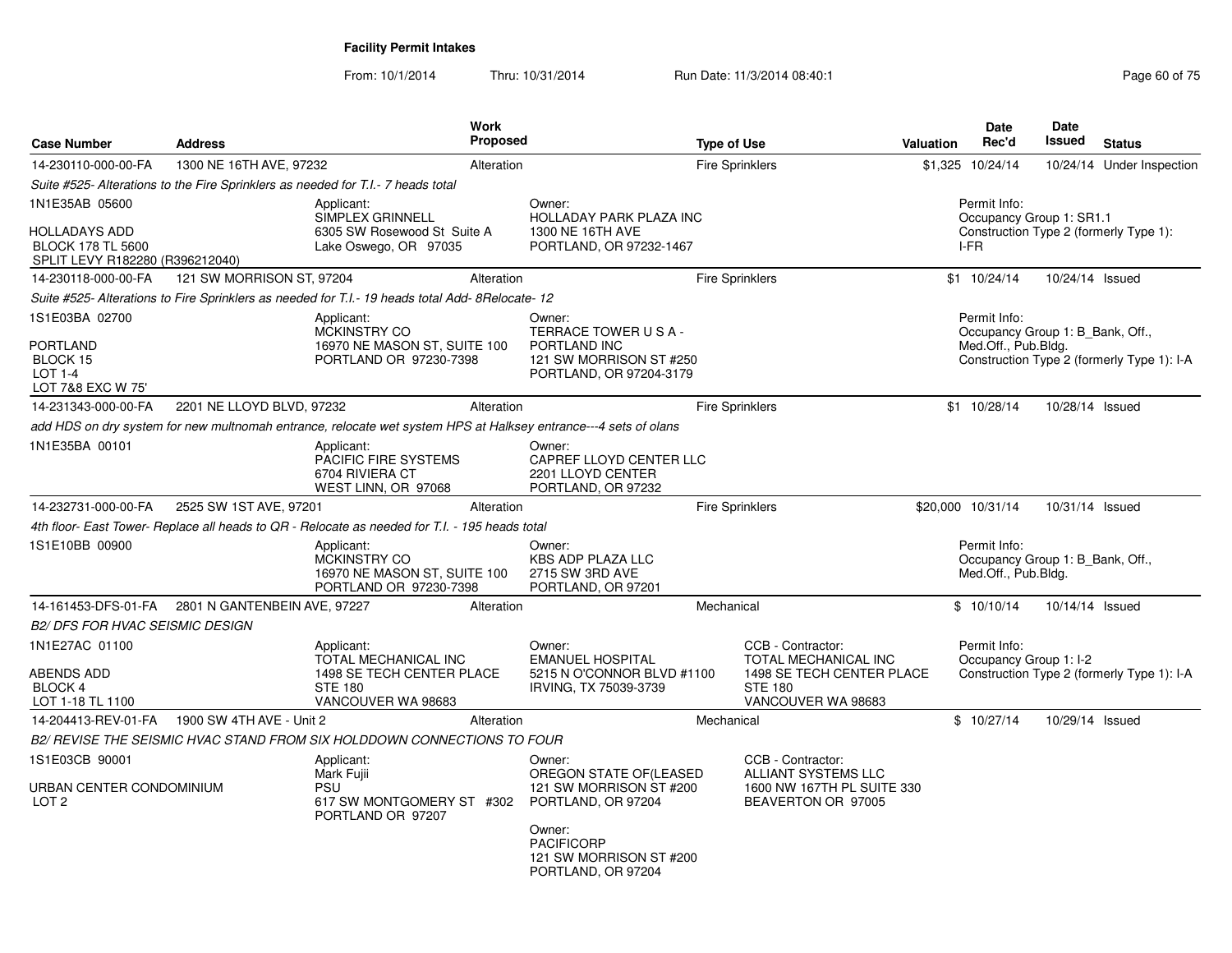| <b>Case Number</b>                                                 | <b>Address</b>            |                                                                                                                 | Work<br>Proposed |                                                                                                                                                                    | <b>Type of Use</b> |                                                                                                                | <b>Valuation</b> | <b>Date</b><br>Rec'd                                                    | <b>Date</b><br>Issued | <b>Status</b>                              |
|--------------------------------------------------------------------|---------------------------|-----------------------------------------------------------------------------------------------------------------|------------------|--------------------------------------------------------------------------------------------------------------------------------------------------------------------|--------------------|----------------------------------------------------------------------------------------------------------------|------------------|-------------------------------------------------------------------------|-----------------------|--------------------------------------------|
| 14-230110-000-00-FA                                                | 1300 NE 16TH AVE, 97232   |                                                                                                                 | Alteration       |                                                                                                                                                                    |                    | <b>Fire Sprinklers</b>                                                                                         |                  | \$1,325 10/24/14                                                        |                       | 10/24/14 Under Inspection                  |
|                                                                    |                           | Suite #525- Alterations to the Fire Sprinklers as needed for T.I.- 7 heads total                                |                  |                                                                                                                                                                    |                    |                                                                                                                |                  |                                                                         |                       |                                            |
| 1N1E35AB 05600<br><b>HOLLADAYS ADD</b><br><b>BLOCK 178 TL 5600</b> |                           | Applicant:<br><b>SIMPLEX GRINNELL</b><br>6305 SW Rosewood St Suite A<br>Lake Oswego, OR 97035                   |                  | Owner:<br>HOLLADAY PARK PLAZA INC<br>1300 NE 16TH AVE<br>PORTLAND, OR 97232-1467                                                                                   |                    |                                                                                                                |                  | Permit Info:<br>Occupancy Group 1: SR1.1<br>I-FR                        |                       | Construction Type 2 (formerly Type 1):     |
| SPLIT LEVY R182280 (R396212040)<br>14-230118-000-00-FA             | 121 SW MORRISON ST, 97204 |                                                                                                                 | Alteration       |                                                                                                                                                                    |                    | Fire Sprinklers                                                                                                |                  | $$1$ 10/24/14                                                           | 10/24/14 Issued       |                                            |
|                                                                    |                           | Suite #525- Alterations to Fire Sprinklers as needed for T.I.- 19 heads total Add- 8Relocate- 12                |                  |                                                                                                                                                                    |                    |                                                                                                                |                  |                                                                         |                       |                                            |
| 1S1E03BA 02700                                                     |                           |                                                                                                                 |                  | Owner:                                                                                                                                                             |                    |                                                                                                                |                  | Permit Info:                                                            |                       |                                            |
| PORTLAND<br>BLOCK 15<br><b>LOT 1-4</b><br>LOT 7&8 EXC W 75'        |                           | Applicant:<br><b>MCKINSTRY CO</b><br>16970 NE MASON ST, SUITE 100<br>PORTLAND OR 97230-7398                     |                  | TERRACE TOWER USA-<br>PORTLAND INC<br>121 SW MORRISON ST #250<br>PORTLAND, OR 97204-3179                                                                           |                    |                                                                                                                |                  | Occupancy Group 1: B Bank, Off.,<br>Med.Off., Pub.Bldg.                 |                       | Construction Type 2 (formerly Type 1): I-A |
| 14-231343-000-00-FA                                                | 2201 NE LLOYD BLVD, 97232 |                                                                                                                 | Alteration       |                                                                                                                                                                    |                    | <b>Fire Sprinklers</b>                                                                                         |                  | \$1 10/28/14                                                            | 10/28/14 Issued       |                                            |
|                                                                    |                           | add HDS on dry system for new multnomah entrance, relocate wet system HPS at Halksey entrance---4 sets of olans |                  |                                                                                                                                                                    |                    |                                                                                                                |                  |                                                                         |                       |                                            |
| 1N1E35BA 00101                                                     |                           | Applicant:<br>PACIFIC FIRE SYSTEMS<br>6704 RIVIERA CT<br>WEST LINN, OR 97068                                    |                  | Owner:<br>CAPREF LLOYD CENTER LLC<br>2201 LLOYD CENTER<br>PORTLAND, OR 97232                                                                                       |                    |                                                                                                                |                  |                                                                         |                       |                                            |
| 14-232731-000-00-FA                                                | 2525 SW 1ST AVE, 97201    |                                                                                                                 | Alteration       |                                                                                                                                                                    |                    | <b>Fire Sprinklers</b>                                                                                         |                  | \$20,000 10/31/14                                                       | 10/31/14 Issued       |                                            |
|                                                                    |                           | 4th floor- East Tower- Replace all heads to QR - Relocate as needed for T.I. - 195 heads total                  |                  |                                                                                                                                                                    |                    |                                                                                                                |                  |                                                                         |                       |                                            |
| 1S1E10BB 00900                                                     |                           | Applicant:<br>MCKINSTRY CO<br>16970 NE MASON ST, SUITE 100<br>PORTLAND OR 97230-7398                            |                  | Owner:<br><b>KBS ADP PLAZA LLC</b><br>2715 SW 3RD AVE<br>PORTLAND, OR 97201                                                                                        |                    |                                                                                                                |                  | Permit Info:<br>Occupancy Group 1: B Bank, Off.,<br>Med.Off., Pub.Bldg. |                       |                                            |
| 14-161453-DFS-01-FA 2801 N GANTENBEIN AVE, 97227                   |                           |                                                                                                                 | Alteration       |                                                                                                                                                                    | Mechanical         |                                                                                                                |                  | \$10/10/14                                                              | 10/14/14 Issued       |                                            |
| <b>B2/ DFS FOR HVAC SEISMIC DESIGN</b>                             |                           |                                                                                                                 |                  |                                                                                                                                                                    |                    |                                                                                                                |                  |                                                                         |                       |                                            |
| 1N1E27AC 01100<br>ABENDS ADD<br>BLOCK 4<br>LOT 1-18 TL 1100        |                           | Applicant:<br>TOTAL MECHANICAL INC<br>1498 SE TECH CENTER PLACE<br><b>STE 180</b><br>VANCOUVER WA 98683         |                  | Owner:<br><b>EMANUEL HOSPITAL</b><br>5215 N O'CONNOR BLVD #1100<br>IRVING, TX 75039-3739                                                                           |                    | CCB - Contractor:<br>TOTAL MECHANICAL INC<br>1498 SE TECH CENTER PLACE<br><b>STE 180</b><br>VANCOUVER WA 98683 |                  | Permit Info:<br>Occupancy Group 1: I-2                                  |                       | Construction Type 2 (formerly Type 1): I-A |
| 14-204413-REV-01-FA                                                | 1900 SW 4TH AVE - Unit 2  |                                                                                                                 | Alteration       |                                                                                                                                                                    | Mechanical         |                                                                                                                |                  | \$10/27/14                                                              | 10/29/14 Issued       |                                            |
|                                                                    |                           | B2/ REVISE THE SEISMIC HVAC STAND FROM SIX HOLDDOWN CONNECTIONS TO FOUR                                         |                  |                                                                                                                                                                    |                    |                                                                                                                |                  |                                                                         |                       |                                            |
| 1S1E03CB 90001<br>URBAN CENTER CONDOMINIUM<br>LOT <sub>2</sub>     |                           | Applicant:<br>Mark Fujii<br><b>PSU</b><br>617 SW MONTGOMERY ST #302<br>PORTLAND OR 97207                        |                  | Owner:<br>OREGON STATE OF (LEASED<br>121 SW MORRISON ST #200<br>PORTLAND, OR 97204<br>Owner:<br><b>PACIFICORP</b><br>121 SW MORRISON ST #200<br>PORTLAND, OR 97204 |                    | CCB - Contractor:<br><b>ALLIANT SYSTEMS LLC</b><br>1600 NW 167TH PL SUITE 330<br>BEAVERTON OR 97005            |                  |                                                                         |                       |                                            |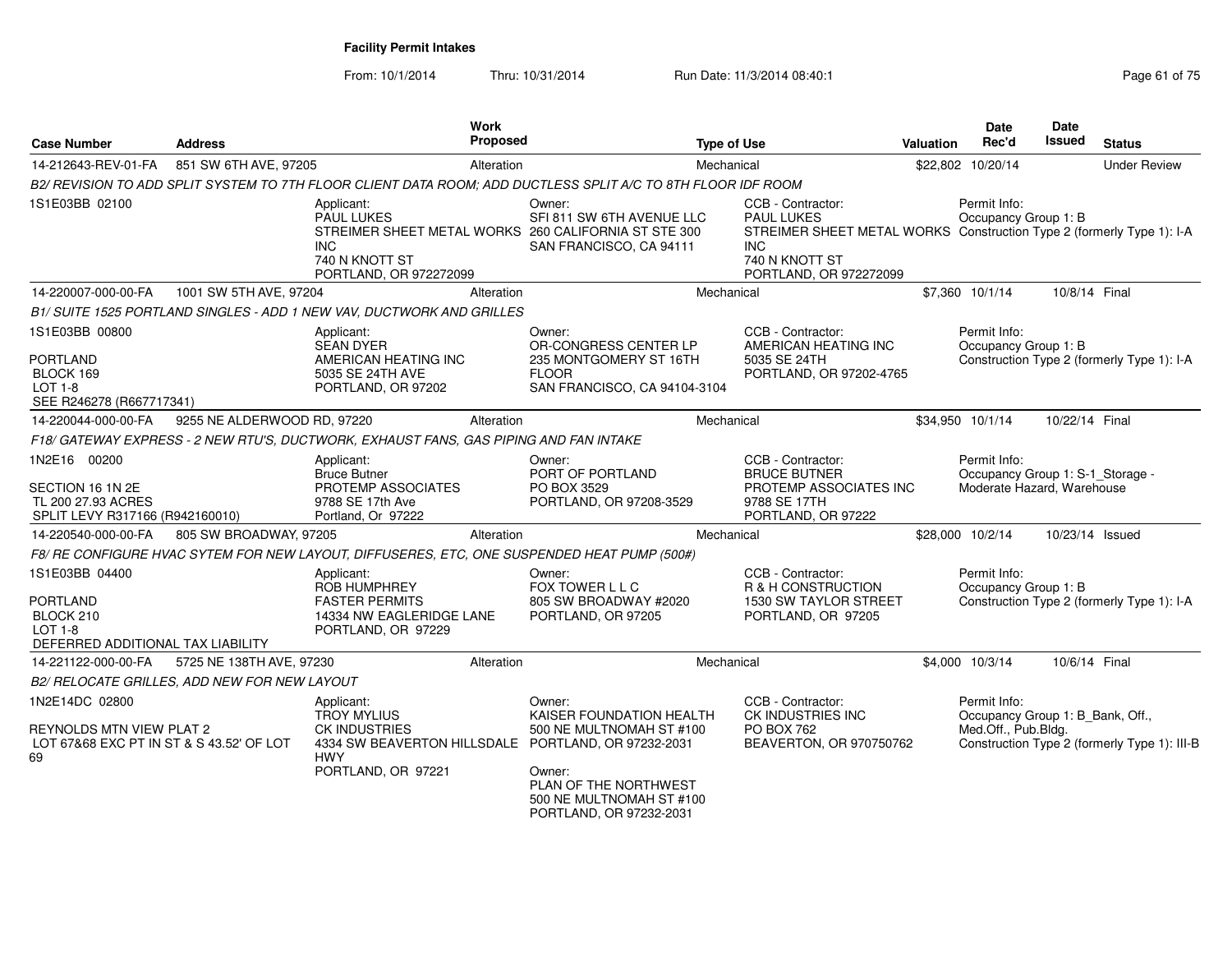| <b>Case Number</b>                                                                                    | <b>Address</b>                               | <b>Work</b><br>Proposed                                                                                                                             |                                                                                                                                                          | <b>Type of Use</b>                                                                                                                                                        | <b>Valuation</b> | Date<br>Rec'd                                                                  | <b>Date</b><br><b>Issued</b> | <b>Status</b>                                |
|-------------------------------------------------------------------------------------------------------|----------------------------------------------|-----------------------------------------------------------------------------------------------------------------------------------------------------|----------------------------------------------------------------------------------------------------------------------------------------------------------|---------------------------------------------------------------------------------------------------------------------------------------------------------------------------|------------------|--------------------------------------------------------------------------------|------------------------------|----------------------------------------------|
| 14-212643-REV-01-FA                                                                                   | 851 SW 6TH AVE, 97205                        | Alteration                                                                                                                                          |                                                                                                                                                          | Mechanical                                                                                                                                                                |                  | \$22,802 10/20/14                                                              |                              | <b>Under Review</b>                          |
|                                                                                                       |                                              | B2/ REVISION TO ADD SPLIT SYSTEM TO 7TH FLOOR CLIENT DATA ROOM; ADD DUCTLESS SPLIT A/C TO 8TH FLOOR IDF ROOM                                        |                                                                                                                                                          |                                                                                                                                                                           |                  |                                                                                |                              |                                              |
| 1S1E03BB 02100                                                                                        |                                              | Applicant:<br><b>PAUL LUKES</b><br>STREIMER SHEET METAL WORKS 260 CALIFORNIA ST STE 300<br>INC.<br>740 N KNOTT ST<br>PORTLAND, OR 972272099         | Owner:<br>SFI 811 SW 6TH AVENUE LLC<br>SAN FRANCISCO, CA 94111                                                                                           | CCB - Contractor:<br><b>PAUL LUKES</b><br>STREIMER SHEET METAL WORKS Construction Type 2 (formerly Type 1): I-A<br><b>INC</b><br>740 N KNOTT ST<br>PORTLAND, OR 972272099 |                  | Permit Info:<br>Occupancy Group 1: B                                           |                              |                                              |
| 14-220007-000-00-FA                                                                                   | 1001 SW 5TH AVE, 97204                       | Alteration                                                                                                                                          |                                                                                                                                                          | Mechanical                                                                                                                                                                |                  | \$7,360 10/1/14                                                                | 10/8/14 Final                |                                              |
|                                                                                                       |                                              | B1/ SUITE 1525 PORTLAND SINGLES - ADD 1 NEW VAV, DUCTWORK AND GRILLES                                                                               |                                                                                                                                                          |                                                                                                                                                                           |                  |                                                                                |                              |                                              |
| 1S1E03BB 00800<br><b>PORTLAND</b><br>BLOCK 169<br><b>LOT 1-8</b><br>SEE R246278 (R667717341)          |                                              | Applicant:<br><b>SEAN DYER</b><br>AMERICAN HEATING INC<br>5035 SE 24TH AVE<br>PORTLAND, OR 97202                                                    | Owner:<br>OR-CONGRESS CENTER LP<br>235 MONTGOMERY ST 16TH<br><b>FLOOR</b><br>SAN FRANCISCO, CA 94104-3104                                                | CCB - Contractor:<br>AMERICAN HEATING INC<br>5035 SE 24TH<br>PORTLAND, OR 97202-4765                                                                                      |                  | Permit Info:<br>Occupancy Group 1: B                                           |                              | Construction Type 2 (formerly Type 1): I-A   |
| 14-220044-000-00-FA                                                                                   | 9255 NE ALDERWOOD RD, 97220                  | Alteration                                                                                                                                          |                                                                                                                                                          | Mechanical                                                                                                                                                                |                  | \$34,950 10/1/14                                                               | 10/22/14 Final               |                                              |
|                                                                                                       |                                              | F18/ GATEWAY EXPRESS - 2 NEW RTU'S, DUCTWORK, EXHAUST FANS, GAS PIPING AND FAN INTAKE                                                               |                                                                                                                                                          |                                                                                                                                                                           |                  |                                                                                |                              |                                              |
| 1N2E16 00200<br>SECTION 16 1N 2E<br>TL 200 27.93 ACRES<br>SPLIT LEVY R317166 (R942160010)             |                                              | Applicant:<br><b>Bruce Butner</b><br>PROTEMP ASSOCIATES<br>9788 SE 17th Ave<br>Portland, Or 97222                                                   | Owner:<br>PORT OF PORTLAND<br>PO BOX 3529<br>PORTLAND, OR 97208-3529                                                                                     | CCB - Contractor:<br><b>BRUCE BUTNER</b><br>PROTEMP ASSOCIATES INC<br>9788 SE 17TH<br>PORTLAND, OR 97222                                                                  |                  | Permit Info:<br>Occupancy Group 1: S-1_Storage -<br>Moderate Hazard, Warehouse |                              |                                              |
| 14-220540-000-00-FA                                                                                   | 805 SW BROADWAY, 97205                       | Alteration                                                                                                                                          |                                                                                                                                                          | Mechanical                                                                                                                                                                |                  | \$28,000 10/2/14                                                               | 10/23/14 Issued              |                                              |
|                                                                                                       |                                              | F8/ RE CONFIGURE HVAC SYTEM FOR NEW LAYOUT, DIFFUSERES, ETC, ONE SUSPENDED HEAT PUMP (500#)                                                         |                                                                                                                                                          |                                                                                                                                                                           |                  |                                                                                |                              |                                              |
| 1S1E03BB 04400<br><b>PORTLAND</b><br>BLOCK 210<br><b>LOT 1-8</b><br>DEFERRED ADDITIONAL TAX LIABILITY |                                              | Applicant:<br>ROB HUMPHREY<br><b>FASTER PERMITS</b><br>14334 NW EAGLERIDGE LANE<br>PORTLAND, OR 97229                                               | Owner:<br>FOX TOWER L L C<br>805 SW BROADWAY #2020<br>PORTLAND, OR 97205                                                                                 | CCB - Contractor:<br>R & H CONSTRUCTION<br>1530 SW TAYLOR STREET<br>PORTLAND, OR 97205                                                                                    |                  | Permit Info:<br>Occupancy Group 1: B                                           |                              | Construction Type 2 (formerly Type 1): I-A   |
| 14-221122-000-00-FA                                                                                   | 5725 NE 138TH AVE, 97230                     | Alteration                                                                                                                                          |                                                                                                                                                          | Mechanical                                                                                                                                                                |                  | \$4,000 10/3/14                                                                | 10/6/14 Final                |                                              |
|                                                                                                       | B2/ RELOCATE GRILLES, ADD NEW FOR NEW LAYOUT |                                                                                                                                                     |                                                                                                                                                          |                                                                                                                                                                           |                  |                                                                                |                              |                                              |
| 1N2E14DC 02800<br>REYNOLDS MTN VIEW PLAT 2<br>LOT 67&68 EXC PT IN ST & S 43.52' OF LOT<br>69          |                                              | Applicant:<br><b>TROY MYLIUS</b><br><b>CK INDUSTRIES</b><br>4334 SW BEAVERTON HILLSDALE PORTLAND, OR 97232-2031<br><b>HWY</b><br>PORTLAND, OR 97221 | Owner:<br>KAISER FOUNDATION HEALTH<br>500 NE MULTNOMAH ST #100<br>Owner:<br>PLAN OF THE NORTHWEST<br>500 NE MULTNOMAH ST #100<br>PORTLAND, OR 97232-2031 | CCB - Contractor:<br>CK INDUSTRIES INC<br><b>PO BOX 762</b><br>BEAVERTON, OR 970750762                                                                                    |                  | Permit Info:<br>Occupancy Group 1: B_Bank, Off.,<br>Med.Off., Pub.Bldg.        |                              | Construction Type 2 (formerly Type 1): III-B |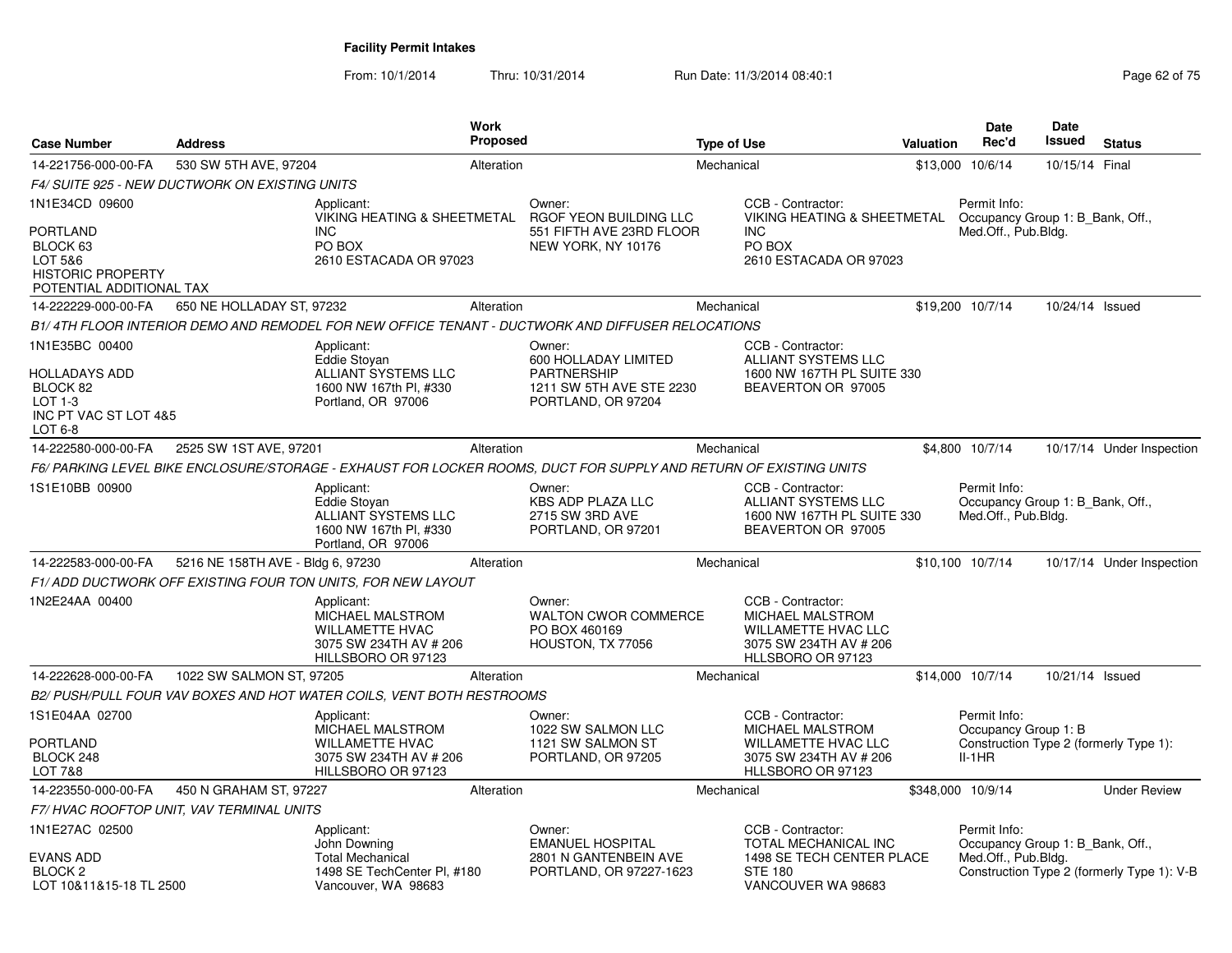| <b>Case Number</b>                                                                             | <b>Address</b>                                 |                                                                                                                 | <b>Work</b><br><b>Proposed</b> |                                                                                                                   | <b>Type of Use</b> |                                                                                                                    | <b>Valuation</b> | <b>Date</b><br>Rec'd                                                                       | <b>Date</b><br><b>Issued</b> | <b>Status</b>                              |
|------------------------------------------------------------------------------------------------|------------------------------------------------|-----------------------------------------------------------------------------------------------------------------|--------------------------------|-------------------------------------------------------------------------------------------------------------------|--------------------|--------------------------------------------------------------------------------------------------------------------|------------------|--------------------------------------------------------------------------------------------|------------------------------|--------------------------------------------|
| 14-221756-000-00-FA                                                                            | 530 SW 5TH AVE, 97204                          |                                                                                                                 | Alteration                     |                                                                                                                   | Mechanical         |                                                                                                                    |                  | \$13,000 10/6/14                                                                           | 10/15/14 Final               |                                            |
|                                                                                                | F4/ SUITE 925 - NEW DUCTWORK ON EXISTING UNITS |                                                                                                                 |                                |                                                                                                                   |                    |                                                                                                                    |                  |                                                                                            |                              |                                            |
| 1N1E34CD 09600                                                                                 |                                                | Applicant:<br><b>VIKING HEATING &amp; SHEETMETAL</b>                                                            |                                | Owner:<br>RGOF YEON BUILDING LLC                                                                                  |                    | CCB - Contractor:<br><b>VIKING HEATING &amp; SHEETMETAL</b>                                                        |                  | Permit Info:<br>Occupancy Group 1: B Bank, Off.,                                           |                              |                                            |
| <b>PORTLAND</b><br>BLOCK 63<br>LOT 5&6<br><b>HISTORIC PROPERTY</b><br>POTENTIAL ADDITIONAL TAX |                                                | <b>INC</b><br>PO BOX<br>2610 ESTACADA OR 97023                                                                  |                                | 551 FIFTH AVE 23RD FLOOR<br>NEW YORK, NY 10176                                                                    |                    | <b>INC</b><br>PO BOX<br>2610 ESTACADA OR 97023                                                                     |                  | Med.Off., Pub.Bldg.                                                                        |                              |                                            |
| 14-222229-000-00-FA                                                                            | 650 NE HOLLADAY ST, 97232                      |                                                                                                                 | Alteration                     |                                                                                                                   | Mechanical         |                                                                                                                    |                  | \$19,200 10/7/14                                                                           | 10/24/14 Issued              |                                            |
|                                                                                                |                                                |                                                                                                                 |                                | B1/4TH FLOOR INTERIOR DEMO AND REMODEL FOR NEW OFFICE TENANT - DUCTWORK AND DIFFUSER RELOCATIONS                  |                    |                                                                                                                    |                  |                                                                                            |                              |                                            |
| 1N1E35BC 00400                                                                                 |                                                | Applicant:<br>Eddie Stovan                                                                                      |                                | Owner:<br>600 HOLLADAY LIMITED                                                                                    |                    | CCB - Contractor:<br>ALLIANT SYSTEMS LLC                                                                           |                  |                                                                                            |                              |                                            |
| <b>HOLLADAYS ADD</b><br>BLOCK 82<br>LOT 1-3<br>INC PT VAC ST LOT 4&5<br>LOT 6-8                |                                                | ALLIANT SYSTEMS LLC<br>1600 NW 167th Pl. #330<br>Portland, OR 97006                                             |                                | <b>PARTNERSHIP</b><br>1211 SW 5TH AVE STE 2230<br>PORTLAND, OR 97204                                              |                    | 1600 NW 167TH PL SUITE 330<br>BEAVERTON OR 97005                                                                   |                  |                                                                                            |                              |                                            |
| 14-222580-000-00-FA                                                                            | 2525 SW 1ST AVE, 97201                         |                                                                                                                 | Alteration                     |                                                                                                                   | Mechanical         |                                                                                                                    |                  | \$4,800 10/7/14                                                                            |                              | 10/17/14 Under Inspection                  |
|                                                                                                |                                                |                                                                                                                 |                                | F6/ PARKING LEVEL BIKE ENCLOSURE/STORAGE - EXHAUST FOR LOCKER ROOMS. DUCT FOR SUPPLY AND RETURN OF EXISTING UNITS |                    |                                                                                                                    |                  |                                                                                            |                              |                                            |
| 1S1E10BB 00900                                                                                 |                                                | Applicant:<br>Eddie Stoyan<br>ALLIANT SYSTEMS LLC<br>1600 NW 167th Pl, #330<br>Portland, OR 97006               |                                | Owner:<br><b>KBS ADP PLAZA LLC</b><br>2715 SW 3RD AVE<br>PORTLAND, OR 97201                                       |                    | CCB - Contractor:<br>ALLIANT SYSTEMS LLC<br>1600 NW 167TH PL SUITE 330<br>BEAVERTON OR 97005                       |                  | Permit Info:<br>Occupancy Group 1: B Bank, Off.,<br>Med.Off., Pub.Bldg.                    |                              |                                            |
| 14-222583-000-00-FA                                                                            | 5216 NE 158TH AVE - Bldg 6, 97230              |                                                                                                                 | Alteration                     |                                                                                                                   | Mechanical         |                                                                                                                    |                  | \$10,100 10/7/14                                                                           |                              | 10/17/14 Under Inspection                  |
|                                                                                                |                                                | F1/ADD DUCTWORK OFF EXISTING FOUR TON UNITS, FOR NEW LAYOUT                                                     |                                |                                                                                                                   |                    |                                                                                                                    |                  |                                                                                            |                              |                                            |
| 1N2E24AA 00400                                                                                 |                                                | Applicant:<br><b>MICHAEL MALSTROM</b><br><b>WILLAMETTE HVAC</b><br>3075 SW 234TH AV # 206<br>HILLSBORO OR 97123 |                                | Owner:<br><b>WALTON CWOR COMMERCE</b><br>PO BOX 460169<br>HOUSTON, TX 77056                                       |                    | CCB - Contractor:<br>MICHAEL MALSTROM<br><b>WILLAMETTE HVAC LLC</b><br>3075 SW 234TH AV # 206<br>HLLSBORO OR 97123 |                  |                                                                                            |                              |                                            |
| 14-222628-000-00-FA                                                                            | 1022 SW SALMON ST, 97205                       |                                                                                                                 | Alteration                     |                                                                                                                   | Mechanical         |                                                                                                                    |                  | \$14,000 10/7/14                                                                           | 10/21/14 Issued              |                                            |
|                                                                                                |                                                | B2/ PUSH/PULL FOUR VAV BOXES AND HOT WATER COILS, VENT BOTH RESTROOMS                                           |                                |                                                                                                                   |                    |                                                                                                                    |                  |                                                                                            |                              |                                            |
| 1S1E04AA 02700<br>PORTLAND<br>BLOCK 248                                                        |                                                | Applicant:<br>MICHAEL MALSTROM<br><b>WILLAMETTE HVAC</b><br>3075 SW 234TH AV # 206                              |                                | Owner:<br>1022 SW SALMON LLC<br>1121 SW SALMON ST<br>PORTLAND, OR 97205                                           |                    | CCB - Contractor:<br>MICHAEL MALSTROM<br><b>WILLAMETTE HVAC LLC</b><br>3075 SW 234TH AV # 206                      |                  | Permit Info:<br>Occupancy Group 1: B<br>Construction Type 2 (formerly Type 1):<br>$II-1HR$ |                              |                                            |
| LOT 7&8                                                                                        |                                                | HILLSBORO OR 97123                                                                                              |                                |                                                                                                                   |                    | HLLSBORO OR 97123                                                                                                  |                  |                                                                                            |                              |                                            |
| 14-223550-000-00-FA                                                                            | 450 N GRAHAM ST, 97227                         |                                                                                                                 | Alteration                     |                                                                                                                   | Mechanical         |                                                                                                                    |                  | \$348,000 10/9/14                                                                          |                              | <b>Under Review</b>                        |
|                                                                                                | F7/ HVAC ROOFTOP UNIT, VAV TERMINAL UNITS      |                                                                                                                 |                                |                                                                                                                   |                    |                                                                                                                    |                  |                                                                                            |                              |                                            |
| 1N1E27AC 02500<br><b>EVANS ADD</b><br>BLOCK <sub>2</sub><br>LOT 10&11&15-18 TL 2500            |                                                | Applicant:<br>John Downing<br><b>Total Mechanical</b><br>1498 SE TechCenter Pl, #180<br>Vancouver, WA 98683     |                                | Owner:<br><b>EMANUEL HOSPITAL</b><br>2801 N GANTENBEIN AVE<br>PORTLAND, OR 97227-1623                             |                    | CCB - Contractor:<br>TOTAL MECHANICAL INC<br>1498 SE TECH CENTER PLACE<br><b>STE 180</b><br>VANCOUVER WA 98683     |                  | Permit Info:<br>Occupancy Group 1: B Bank, Off.,<br>Med.Off., Pub.Bldg.                    |                              | Construction Type 2 (formerly Type 1): V-B |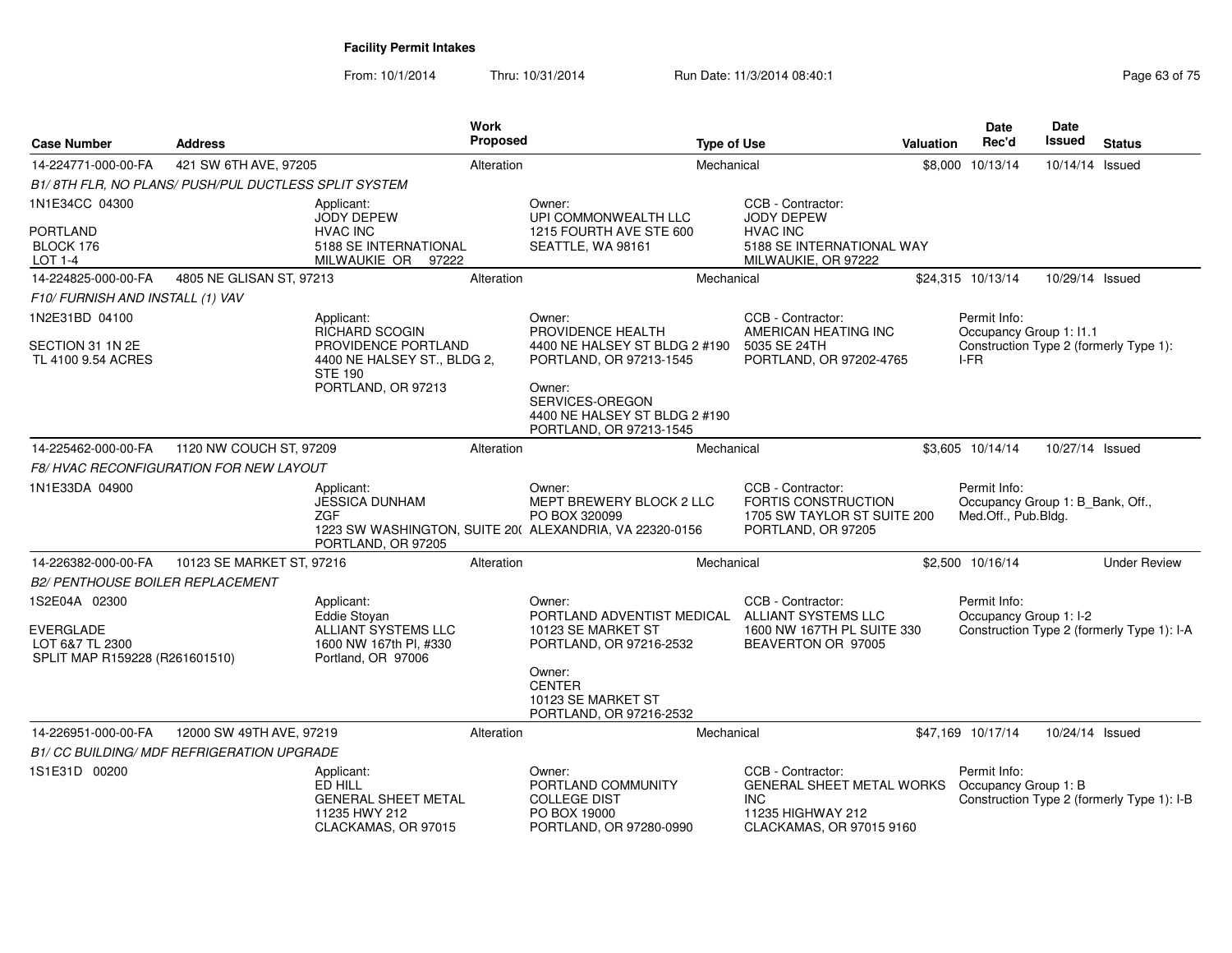| Page 63 of 75 |  |  |
|---------------|--|--|
|---------------|--|--|

| <b>Case Number</b>                                                                     | <b>Address</b>                                       |                                                                                                   | Work<br>Proposed |                                                                                                                                                   | <b>Type of Use</b> |                                                                                                               | <b>Valuation</b> | Date<br>Rec'd                                                           | Date<br><b>Issued</b> | <b>Status</b>                              |
|----------------------------------------------------------------------------------------|------------------------------------------------------|---------------------------------------------------------------------------------------------------|------------------|---------------------------------------------------------------------------------------------------------------------------------------------------|--------------------|---------------------------------------------------------------------------------------------------------------|------------------|-------------------------------------------------------------------------|-----------------------|--------------------------------------------|
| 14-224771-000-00-FA                                                                    | 421 SW 6TH AVE, 97205                                |                                                                                                   | Alteration       |                                                                                                                                                   | Mechanical         |                                                                                                               |                  | \$8,000 10/13/14                                                        | 10/14/14 Issued       |                                            |
|                                                                                        | B1/8TH FLR, NO PLANS/ PUSH/PUL DUCTLESS SPLIT SYSTEM |                                                                                                   |                  |                                                                                                                                                   |                    |                                                                                                               |                  |                                                                         |                       |                                            |
| 1N1E34CC 04300                                                                         |                                                      | Applicant:<br><b>JODY DEPEW</b>                                                                   |                  | Owner:<br>UPI COMMONWEALTH LLC                                                                                                                    |                    | CCB - Contractor:<br><b>JODY DEPEW</b>                                                                        |                  |                                                                         |                       |                                            |
| <b>PORTLAND</b><br>BLOCK 176<br>LOT 1-4                                                |                                                      | <b>HVAC INC</b><br>5188 SE INTERNATIONAL<br>MILWAUKIE OR 97222                                    |                  | 1215 FOURTH AVE STE 600<br>SEATTLE, WA 98161                                                                                                      |                    | <b>HVAC INC</b><br>5188 SE INTERNATIONAL WAY<br>MILWAUKIE, OR 97222                                           |                  |                                                                         |                       |                                            |
| 14-224825-000-00-FA                                                                    | 4805 NE GLISAN ST, 97213                             |                                                                                                   | Alteration       |                                                                                                                                                   | Mechanical         |                                                                                                               |                  | \$24,315 10/13/14                                                       | 10/29/14 Issued       |                                            |
| F10/ FURNISH AND INSTALL (1) VAV                                                       |                                                      |                                                                                                   |                  |                                                                                                                                                   |                    |                                                                                                               |                  |                                                                         |                       |                                            |
| 1N2E31BD 04100                                                                         |                                                      | Applicant:<br>RICHARD SCOGIN                                                                      |                  | Owner:<br>PROVIDENCE HEALTH                                                                                                                       |                    | CCB - Contractor:<br>AMERICAN HEATING INC                                                                     |                  | Permit Info:<br>Occupancy Group 1: I1.1                                 |                       |                                            |
| SECTION 31 1N 2E<br>TL 4100 9.54 ACRES                                                 |                                                      | PROVIDENCE PORTLAND<br>4400 NE HALSEY ST., BLDG 2,<br><b>STE 190</b><br>PORTLAND, OR 97213        |                  | 4400 NE HALSEY ST BLDG 2 #190<br>PORTLAND, OR 97213-1545<br>Owner:<br>SERVICES-OREGON<br>4400 NE HALSEY ST BLDG 2 #190<br>PORTLAND, OR 97213-1545 |                    | 5035 SE 24TH<br>PORTLAND, OR 97202-4765                                                                       |                  | I-FR                                                                    |                       | Construction Type 2 (formerly Type 1):     |
| 14-225462-000-00-FA                                                                    | 1120 NW COUCH ST, 97209                              |                                                                                                   | Alteration       |                                                                                                                                                   | Mechanical         |                                                                                                               |                  | \$3,605 10/14/14                                                        | 10/27/14 Issued       |                                            |
|                                                                                        | <b>F8/ HVAC RECONFIGURATION FOR NEW LAYOUT</b>       |                                                                                                   |                  |                                                                                                                                                   |                    |                                                                                                               |                  |                                                                         |                       |                                            |
| 1N1E33DA 04900                                                                         |                                                      | Applicant:<br><b>JESSICA DUNHAM</b><br><b>ZGF</b><br>PORTLAND, OR 97205                           |                  | Owner:<br><b>MEPT BREWERY BLOCK 2 LLC</b><br>PO BOX 320099<br>1223 SW WASHINGTON, SUITE 20( ALEXANDRIA, VA 22320-0156                             |                    | CCB - Contractor:<br><b>FORTIS CONSTRUCTION</b><br>1705 SW TAYLOR ST SUITE 200<br>PORTLAND, OR 97205          |                  | Permit Info:<br>Occupancy Group 1: B_Bank, Off.,<br>Med.Off., Pub.Bldg. |                       |                                            |
| 14-226382-000-00-FA                                                                    | 10123 SE MARKET ST, 97216                            |                                                                                                   | Alteration       |                                                                                                                                                   | Mechanical         |                                                                                                               |                  | \$2,500 10/16/14                                                        |                       | <b>Under Review</b>                        |
| <b>B2/ PENTHOUSE BOILER REPLACEMENT</b>                                                |                                                      |                                                                                                   |                  |                                                                                                                                                   |                    |                                                                                                               |                  |                                                                         |                       |                                            |
| 1S2E04A 02300<br><b>EVERGLADE</b><br>LOT 6&7 TL 2300<br>SPLIT MAP R159228 (R261601510) |                                                      | Applicant:<br>Eddie Stoyan<br>ALLIANT SYSTEMS LLC<br>1600 NW 167th PI, #330<br>Portland, OR 97006 |                  | Owner:<br>PORTLAND ADVENTIST MEDICAL<br>10123 SE MARKET ST<br>PORTLAND, OR 97216-2532                                                             |                    | CCB - Contractor:<br>ALLIANT SYSTEMS LLC<br>1600 NW 167TH PL SUITE 330<br>BEAVERTON OR 97005                  |                  | Permit Info:<br>Occupancy Group 1: I-2                                  |                       | Construction Type 2 (formerly Type 1): I-A |
|                                                                                        |                                                      |                                                                                                   |                  | Owner:<br><b>CENTER</b><br>10123 SE MARKET ST<br>PORTLAND, OR 97216-2532                                                                          |                    |                                                                                                               |                  |                                                                         |                       |                                            |
| 14-226951-000-00-FA                                                                    | 12000 SW 49TH AVE, 97219                             |                                                                                                   | Alteration       |                                                                                                                                                   | Mechanical         |                                                                                                               |                  | \$47,169 10/17/14                                                       | 10/24/14 Issued       |                                            |
|                                                                                        | <b>B1/ CC BUILDING/ MDF REFRIGERATION UPGRADE</b>    |                                                                                                   |                  |                                                                                                                                                   |                    |                                                                                                               |                  |                                                                         |                       |                                            |
| 1S1E31D 00200                                                                          |                                                      | Applicant:<br>ED HILL<br><b>GENERAL SHEET METAL</b><br>11235 HWY 212<br>CLACKAMAS, OR 97015       |                  | Owner:<br>PORTLAND COMMUNITY<br><b>COLLEGE DIST</b><br>PO BOX 19000<br>PORTLAND, OR 97280-0990                                                    |                    | CCB - Contractor:<br>GENERAL SHEET METAL WORKS<br><b>INC</b><br>11235 HIGHWAY 212<br>CLACKAMAS, OR 97015 9160 |                  | Permit Info:<br>Occupancy Group 1: B                                    |                       | Construction Type 2 (formerly Type 1): I-B |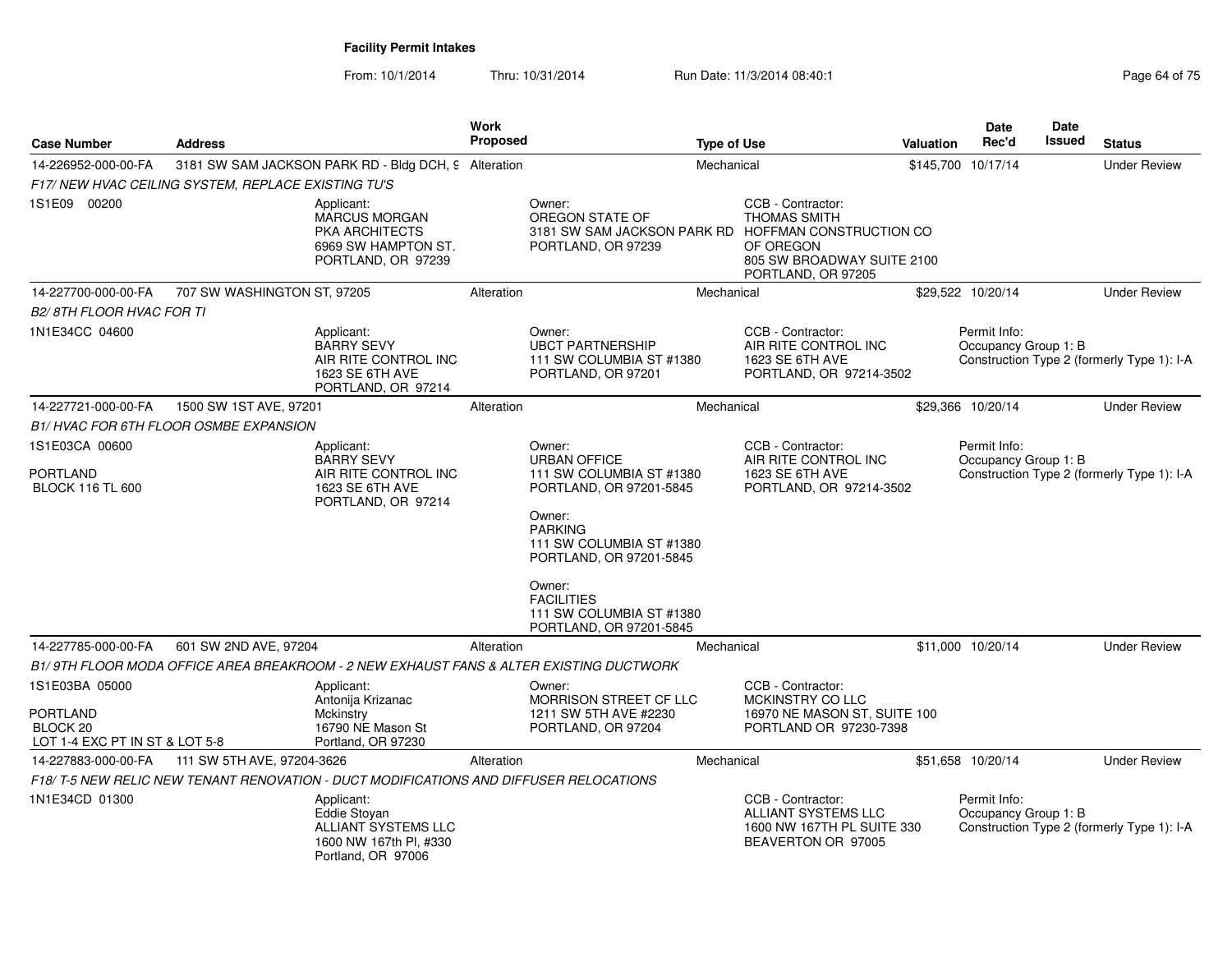| <b>Case Number</b>                                                                         | <b>Address</b>                                     |                                                                                                   | Work<br><b>Proposed</b> |                                                                                                                                                               | <b>Type of Use</b> |                                                                                                           | Valuation | <b>Date</b><br>Rec'd                 | Date<br><b>Issued</b> | <b>Status</b>                              |
|--------------------------------------------------------------------------------------------|----------------------------------------------------|---------------------------------------------------------------------------------------------------|-------------------------|---------------------------------------------------------------------------------------------------------------------------------------------------------------|--------------------|-----------------------------------------------------------------------------------------------------------|-----------|--------------------------------------|-----------------------|--------------------------------------------|
| 14-226952-000-00-FA                                                                        |                                                    | 3181 SW SAM JACKSON PARK RD - Bldg DCH, 9 Alteration                                              |                         |                                                                                                                                                               | Mechanical         |                                                                                                           |           | \$145,700 10/17/14                   |                       | <b>Under Review</b>                        |
|                                                                                            | F17/NEW HVAC CEILING SYSTEM, REPLACE EXISTING TU'S |                                                                                                   |                         |                                                                                                                                                               |                    |                                                                                                           |           |                                      |                       |                                            |
| 1S1E09 00200                                                                               |                                                    | Applicant:<br><b>MARCUS MORGAN</b><br>PKA ARCHITECTS<br>6969 SW HAMPTON ST.<br>PORTLAND, OR 97239 |                         | Owner:<br>OREGON STATE OF<br>3181 SW SAM JACKSON PARK RD HOFFMAN CONSTRUCTION CO<br>PORTLAND, OR 97239                                                        |                    | CCB - Contractor:<br><b>THOMAS SMITH</b><br>OF OREGON<br>805 SW BROADWAY SUITE 2100<br>PORTLAND, OR 97205 |           |                                      |                       |                                            |
| 14-227700-000-00-FA                                                                        | 707 SW WASHINGTON ST, 97205                        |                                                                                                   | Alteration              |                                                                                                                                                               | Mechanical         |                                                                                                           |           | \$29,522 10/20/14                    |                       | <b>Under Review</b>                        |
| <b>B2/8TH FLOOR HVAC FOR TI</b>                                                            |                                                    |                                                                                                   |                         |                                                                                                                                                               |                    |                                                                                                           |           |                                      |                       |                                            |
| 1N1E34CC 04600                                                                             |                                                    | Applicant:<br><b>BARRY SEVY</b><br>AIR RITE CONTROL INC<br>1623 SE 6TH AVE<br>PORTLAND, OR 97214  |                         | Owner:<br><b>UBCT PARTNERSHIP</b><br>111 SW COLUMBIA ST #1380<br>PORTLAND, OR 97201                                                                           |                    | CCB - Contractor:<br>AIR RITE CONTROL INC<br>1623 SE 6TH AVE<br>PORTLAND, OR 97214-3502                   |           | Permit Info:<br>Occupancy Group 1: B |                       | Construction Type 2 (formerly Type 1): I-A |
| 14-227721-000-00-FA                                                                        | 1500 SW 1ST AVE, 97201                             |                                                                                                   | Alteration              |                                                                                                                                                               | Mechanical         |                                                                                                           |           | \$29,366 10/20/14                    |                       | <b>Under Review</b>                        |
|                                                                                            | B1/HVAC FOR 6TH FLOOR OSMBE EXPANSION              |                                                                                                   |                         |                                                                                                                                                               |                    |                                                                                                           |           |                                      |                       |                                            |
| 1S1E03CA 00600                                                                             |                                                    | Applicant:                                                                                        |                         | Owner:                                                                                                                                                        |                    | CCB - Contractor:                                                                                         |           | Permit Info:                         |                       |                                            |
| <b>PORTLAND</b><br><b>BLOCK 116 TL 600</b>                                                 |                                                    | <b>BARRY SEVY</b><br>AIR RITE CONTROL INC<br>1623 SE 6TH AVE<br>PORTLAND, OR 97214                |                         | <b>URBAN OFFICE</b><br>111 SW COLUMBIA ST #1380<br>PORTLAND, OR 97201-5845<br>Owner:<br><b>PARKING</b><br>111 SW COLUMBIA ST #1380<br>PORTLAND, OR 97201-5845 |                    | AIR RITE CONTROL INC<br>1623 SE 6TH AVE<br>PORTLAND, OR 97214-3502                                        |           | Occupancy Group 1: B                 |                       | Construction Type 2 (formerly Type 1): I-A |
|                                                                                            |                                                    |                                                                                                   |                         | Owner:<br><b>FACILITIES</b><br>111 SW COLUMBIA ST #1380<br>PORTLAND, OR 97201-5845                                                                            |                    |                                                                                                           |           |                                      |                       |                                            |
| 14-227785-000-00-FA                                                                        | 601 SW 2ND AVE, 97204                              |                                                                                                   | Alteration              |                                                                                                                                                               | Mechanical         |                                                                                                           |           | \$11.000 10/20/14                    |                       | <b>Under Review</b>                        |
|                                                                                            |                                                    |                                                                                                   |                         | B1/9TH FLOOR MODA OFFICE AREA BREAKROOM - 2 NEW EXHAUST FANS & ALTER EXISTING DUCTWORK                                                                        |                    |                                                                                                           |           |                                      |                       |                                            |
| 1S1E03BA 05000<br><b>PORTLAND</b><br>BLOCK <sub>20</sub><br>LOT 1-4 EXC PT IN ST & LOT 5-8 |                                                    | Applicant:<br>Antonija Krizanac<br>Mckinstry<br>16790 NE Mason St<br>Portland, OR 97230           |                         | Owner:<br>MORRISON STREET CF LLC<br>1211 SW 5TH AVE #2230<br>PORTLAND, OR 97204                                                                               |                    | CCB - Contractor:<br>MCKINSTRY CO LLC<br>16970 NE MASON ST, SUITE 100<br>PORTLAND OR 97230-7398           |           |                                      |                       |                                            |
| 14-227883-000-00-FA                                                                        | 111 SW 5TH AVE, 97204-3626                         |                                                                                                   | Alteration              |                                                                                                                                                               | Mechanical         |                                                                                                           |           | \$51,658 10/20/14                    |                       | <b>Under Review</b>                        |
|                                                                                            |                                                    | F18/T-5 NEW RELIC NEW TENANT RENOVATION - DUCT MODIFICATIONS AND DIFFUSER RELOCATIONS             |                         |                                                                                                                                                               |                    |                                                                                                           |           |                                      |                       |                                            |
| 1N1E34CD 01300                                                                             |                                                    | Applicant:<br>Eddie Stoyan<br>ALLIANT SYSTEMS LLC<br>1600 NW 167th PI, #330<br>Portland, OR 97006 |                         |                                                                                                                                                               |                    | CCB - Contractor:<br>ALLIANT SYSTEMS LLC<br>1600 NW 167TH PL SUITE 330<br>BEAVERTON OR 97005              |           | Permit Info:<br>Occupancy Group 1: B |                       | Construction Type 2 (formerly Type 1): I-A |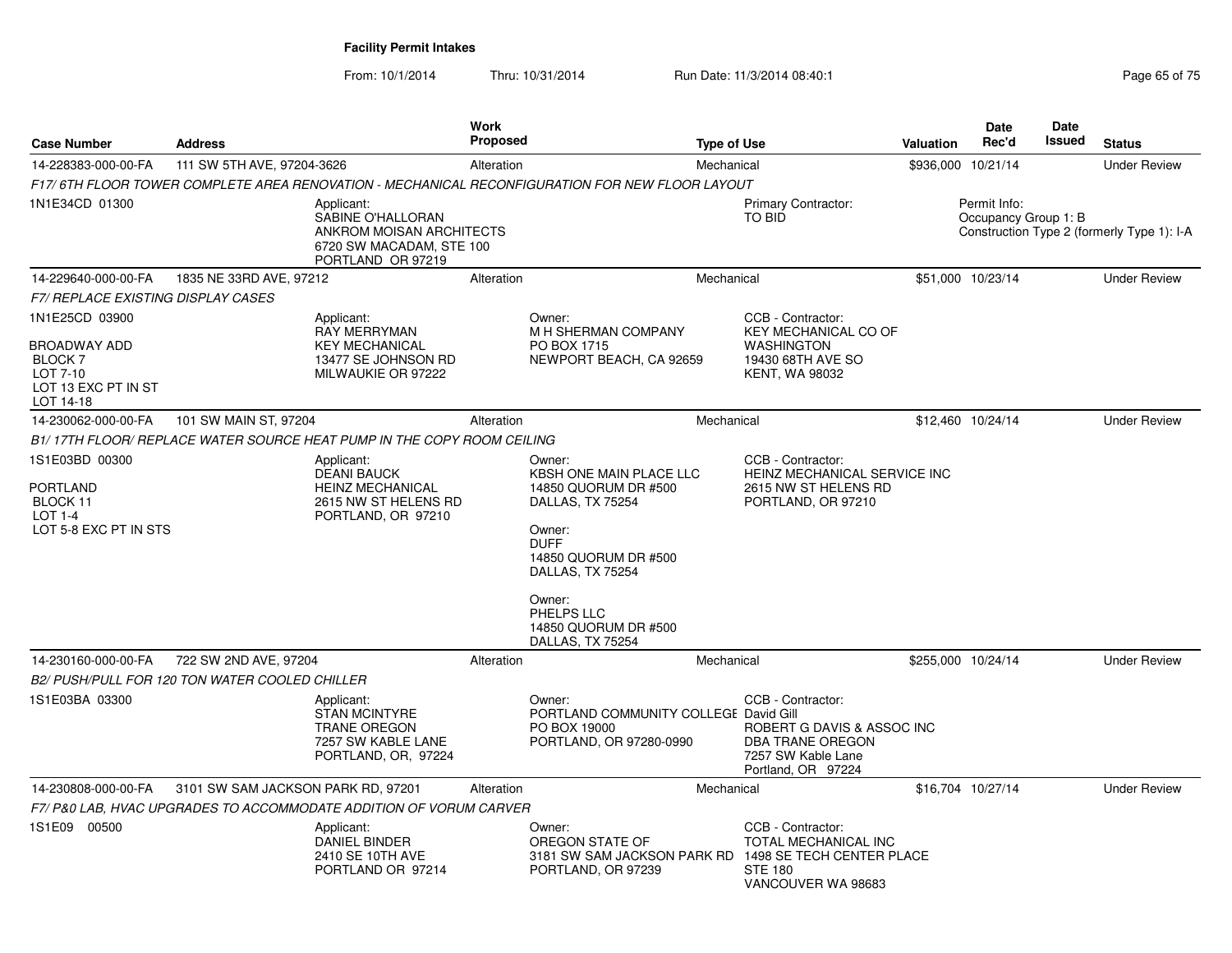| <b>Case Number</b>                                                            | <b>Address</b>                     |                                                                                                                     | Work<br>Proposed |                                                                                                                                                              | <b>Type of Use</b> |                                                                                                                        | <b>Valuation</b> | Date<br>Rec'd                        | Date<br>Issued | <b>Status</b>                              |
|-------------------------------------------------------------------------------|------------------------------------|---------------------------------------------------------------------------------------------------------------------|------------------|--------------------------------------------------------------------------------------------------------------------------------------------------------------|--------------------|------------------------------------------------------------------------------------------------------------------------|------------------|--------------------------------------|----------------|--------------------------------------------|
| 14-228383-000-00-FA                                                           | 111 SW 5TH AVE, 97204-3626         |                                                                                                                     | Alteration       |                                                                                                                                                              | Mechanical         |                                                                                                                        |                  | \$936,000 10/21/14                   |                | <b>Under Review</b>                        |
|                                                                               |                                    |                                                                                                                     |                  | F17/ 6TH FLOOR TOWER COMPLETE AREA RENOVATION - MECHANICAL RECONFIGURATION FOR NEW FLOOR LAYOUT                                                              |                    |                                                                                                                        |                  |                                      |                |                                            |
| 1N1E34CD 01300                                                                |                                    | Applicant:<br><b>SABINE O'HALLORAN</b><br>ANKROM MOISAN ARCHITECTS<br>6720 SW MACADAM, STE 100<br>PORTLAND OR 97219 |                  |                                                                                                                                                              |                    | <b>Primary Contractor:</b><br><b>TO BID</b>                                                                            |                  | Permit Info:<br>Occupancy Group 1: B |                | Construction Type 2 (formerly Type 1): I-A |
| 14-229640-000-00-FA                                                           | 1835 NE 33RD AVE, 97212            |                                                                                                                     | Alteration       |                                                                                                                                                              | Mechanical         |                                                                                                                        |                  | \$51,000 10/23/14                    |                | <b>Under Review</b>                        |
| F7/ REPLACE EXISTING DISPLAY CASES                                            |                                    |                                                                                                                     |                  |                                                                                                                                                              |                    |                                                                                                                        |                  |                                      |                |                                            |
| 1N1E25CD 03900                                                                |                                    | Applicant:<br><b>RAY MERRYMAN</b>                                                                                   |                  | Owner:<br>M H SHERMAN COMPANY                                                                                                                                |                    | CCB - Contractor:<br><b>KEY MECHANICAL CO OF</b>                                                                       |                  |                                      |                |                                            |
| BROADWAY ADD<br><b>BLOCK7</b><br>LOT 7-10<br>LOT 13 EXC PT IN ST<br>LOT 14-18 |                                    | <b>KEY MECHANICAL</b><br>13477 SE JOHNSON RD<br>MILWAUKIE OR 97222                                                  |                  | PO BOX 1715<br>NEWPORT BEACH, CA 92659                                                                                                                       |                    | <b>WASHINGTON</b><br>19430 68TH AVE SO<br><b>KENT, WA 98032</b>                                                        |                  |                                      |                |                                            |
| 14-230062-000-00-FA                                                           | 101 SW MAIN ST, 97204              |                                                                                                                     | Alteration       |                                                                                                                                                              | Mechanical         |                                                                                                                        |                  | \$12,460 10/24/14                    |                | <b>Under Review</b>                        |
|                                                                               |                                    | B1/ 17TH FLOOR/ REPLACE WATER SOURCE HEAT PUMP IN THE COPY ROOM CEILING                                             |                  |                                                                                                                                                              |                    |                                                                                                                        |                  |                                      |                |                                            |
| 1S1E03BD 00300<br>PORTLAND<br>BLOCK 11<br>$LOT 1-4$<br>LOT 5-8 EXC PT IN STS  |                                    | Applicant:<br><b>DEANI BAUCK</b><br><b>HEINZ MECHANICAL</b><br>2615 NW ST HELENS RD<br>PORTLAND, OR 97210           |                  | Owner:<br>KBSH ONE MAIN PLACE LLC<br>14850 QUORUM DR #500<br>DALLAS, TX 75254<br>Owner:<br><b>DUFF</b><br>14850 QUORUM DR #500<br>DALLAS, TX 75254<br>Owner: |                    | CCB - Contractor:<br>HEINZ MECHANICAL SERVICE INC<br>2615 NW ST HELENS RD<br>PORTLAND, OR 97210                        |                  |                                      |                |                                            |
|                                                                               |                                    |                                                                                                                     |                  | PHELPS LLC<br>14850 QUORUM DR #500<br>DALLAS, TX 75254                                                                                                       |                    |                                                                                                                        |                  |                                      |                |                                            |
| 14-230160-000-00-FA                                                           | 722 SW 2ND AVE, 97204              |                                                                                                                     | Alteration       |                                                                                                                                                              | Mechanical         |                                                                                                                        |                  | \$255,000 10/24/14                   |                | <b>Under Review</b>                        |
| B2/ PUSH/PULL FOR 120 TON WATER COOLED CHILLER                                |                                    |                                                                                                                     |                  |                                                                                                                                                              |                    |                                                                                                                        |                  |                                      |                |                                            |
| 1S1E03BA 03300                                                                |                                    | Applicant:<br><b>STAN MCINTYRE</b><br><b>TRANE OREGON</b><br>7257 SW KABLE LANE<br>PORTLAND, OR, 97224              |                  | Owner:<br>PORTLAND COMMUNITY COLLEGE David Gill<br>PO BOX 19000<br>PORTLAND, OR 97280-0990                                                                   |                    | CCB - Contractor:<br>ROBERT G DAVIS & ASSOC INC<br><b>DBA TRANE OREGON</b><br>7257 SW Kable Lane<br>Portland, OR 97224 |                  |                                      |                |                                            |
| 14-230808-000-00-FA                                                           | 3101 SW SAM JACKSON PARK RD, 97201 |                                                                                                                     | Alteration       |                                                                                                                                                              | Mechanical         |                                                                                                                        |                  | \$16,704 10/27/14                    |                | <b>Under Review</b>                        |
|                                                                               |                                    | F7/P&0 LAB, HVAC UPGRADES TO ACCOMMODATE ADDITION OF VORUM CARVER                                                   |                  |                                                                                                                                                              |                    |                                                                                                                        |                  |                                      |                |                                            |
| 1S1E09 00500                                                                  |                                    | Applicant:<br><b>DANIEL BINDER</b><br>2410 SE 10TH AVE<br>PORTLAND OR 97214                                         |                  | Owner:<br>OREGON STATE OF<br>3181 SW SAM JACKSON PARK RD<br>PORTLAND, OR 97239                                                                               |                    | CCB - Contractor:<br>TOTAL MECHANICAL INC<br>1498 SE TECH CENTER PLACE<br><b>STE 180</b><br>VANCOUVER WA 98683         |                  |                                      |                |                                            |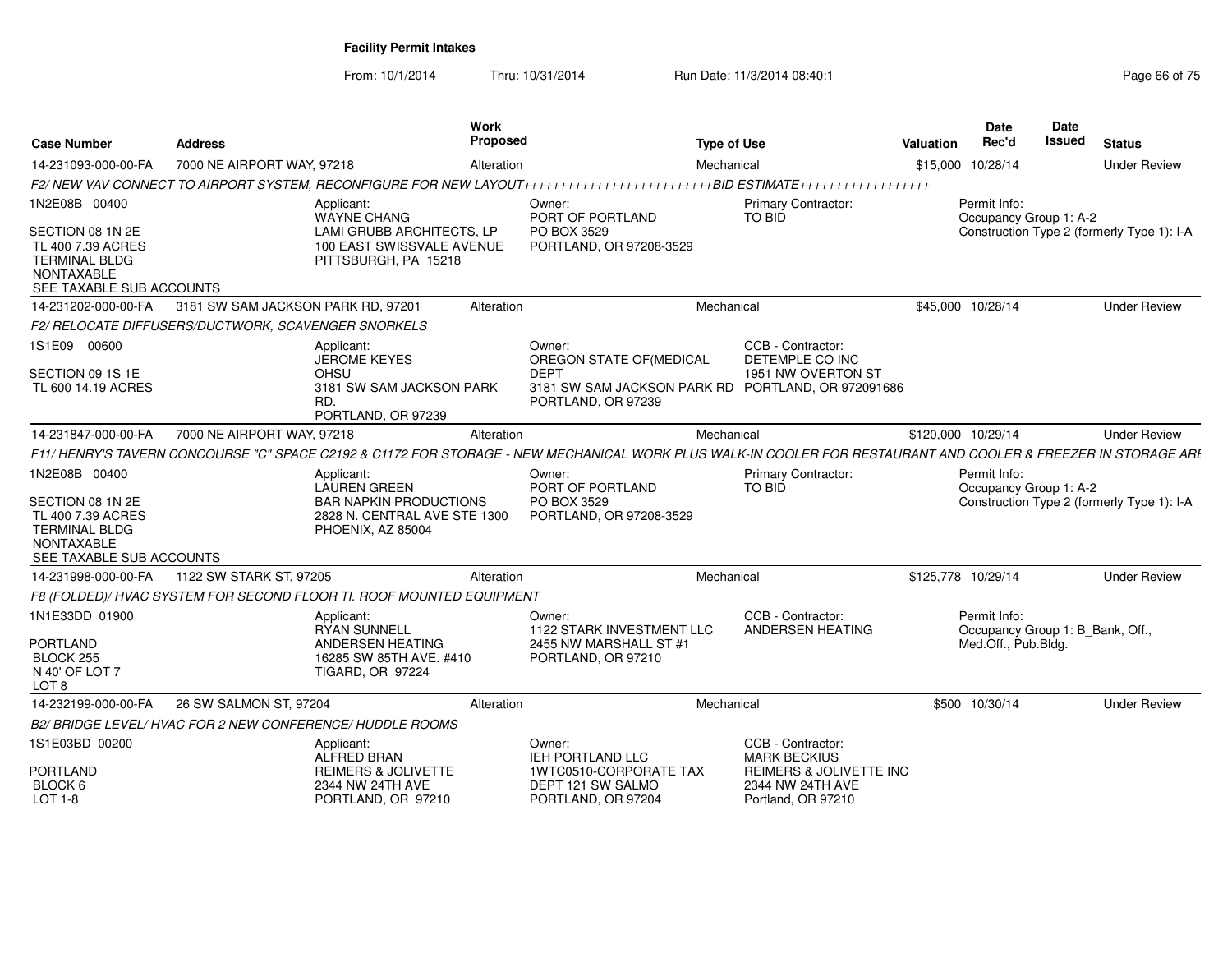| <b>Case Number</b>                                                                                                              | <b>Address</b>                                      |                                                                                                                         | <b>Work</b><br>Proposed |                                                                                                                                                                | <b>Type of Use</b>                                                           | <b>Valuation</b> | <b>Date</b><br>Rec'd                             | Date<br>Issued | <b>Status</b>                              |
|---------------------------------------------------------------------------------------------------------------------------------|-----------------------------------------------------|-------------------------------------------------------------------------------------------------------------------------|-------------------------|----------------------------------------------------------------------------------------------------------------------------------------------------------------|------------------------------------------------------------------------------|------------------|--------------------------------------------------|----------------|--------------------------------------------|
| 14-231093-000-00-FA                                                                                                             | 7000 NE AIRPORT WAY, 97218                          |                                                                                                                         | Alteration              |                                                                                                                                                                | Mechanical                                                                   | \$15,000         | 10/28/14                                         |                | <b>Under Review</b>                        |
|                                                                                                                                 |                                                     |                                                                                                                         |                         |                                                                                                                                                                |                                                                              |                  |                                                  |                |                                            |
| 1N2E08B 00400                                                                                                                   |                                                     | Applicant:<br>WAYNE CHANG                                                                                               |                         | Owner:<br>PORT OF PORTLAND                                                                                                                                     | <b>Primary Contractor:</b><br>TO BID                                         |                  | Permit Info:<br>Occupancy Group 1: A-2           |                |                                            |
| SECTION 08 1N 2E<br>TL 400 7.39 ACRES<br><b>TERMINAL BLDG</b><br>NONTAXABLE<br>SEE TAXABLE SUB ACCOUNTS                         |                                                     | LAMI GRUBB ARCHITECTS, LP<br>100 EAST SWISSVALE AVENUE<br>PITTSBURGH, PA 15218                                          |                         | PO BOX 3529<br>PORTLAND, OR 97208-3529                                                                                                                         |                                                                              |                  |                                                  |                | Construction Type 2 (formerly Type 1): I-A |
| 14-231202-000-00-FA                                                                                                             | 3181 SW SAM JACKSON PARK RD, 97201                  |                                                                                                                         | Alteration              |                                                                                                                                                                | Mechanical                                                                   |                  | \$45,000 10/28/14                                |                | <b>Under Review</b>                        |
|                                                                                                                                 | F2/ RELOCATE DIFFUSERS/DUCTWORK, SCAVENGER SNORKELS |                                                                                                                         |                         |                                                                                                                                                                |                                                                              |                  |                                                  |                |                                            |
| 1S1E09 00600                                                                                                                    |                                                     | Applicant:<br><b>JEROME KEYES</b>                                                                                       |                         | Owner:<br>OREGON STATE OF (MEDICAL                                                                                                                             | CCB - Contractor:<br>DETEMPLE CO INC                                         |                  |                                                  |                |                                            |
| SECTION 09 1S 1E<br>TL 600 14.19 ACRES                                                                                          |                                                     | <b>OHSU</b><br>3181 SW SAM JACKSON PARK<br>RD.<br>PORTLAND, OR 97239                                                    |                         | <b>DEPT</b><br>3181 SW SAM JACKSON PARK RD PORTLAND, OR 972091686<br>PORTLAND, OR 97239                                                                        | 1951 NW OVERTON ST                                                           |                  |                                                  |                |                                            |
| 14-231847-000-00-FA                                                                                                             | 7000 NE AIRPORT WAY, 97218                          |                                                                                                                         | Alteration              |                                                                                                                                                                | Mechanical                                                                   |                  | \$120,000 10/29/14                               |                | <b>Under Review</b>                        |
|                                                                                                                                 |                                                     |                                                                                                                         |                         | F11/ HENRY'S TAVERN CONCOURSE "C" SPACE C2192 & C1172 FOR STORAGE - NEW MECHANICAL WORK PLUS WALK-IN COOLER FOR RESTAURANT AND COOLER & FREEZER IN STORAGE ARL |                                                                              |                  |                                                  |                |                                            |
| 1N2E08B 00400<br>SECTION 08 1N 2E<br>TL 400 7.39 ACRES<br><b>TERMINAL BLDG</b><br><b>NONTAXABLE</b><br>SEE TAXABLE SUB ACCOUNTS |                                                     | Applicant:<br><b>LAUREN GREEN</b><br><b>BAR NAPKIN PRODUCTIONS</b><br>2828 N. CENTRAL AVE STE 1300<br>PHOENIX, AZ 85004 |                         | Owner:<br>PORT OF PORTLAND<br>PO BOX 3529<br>PORTLAND, OR 97208-3529                                                                                           | Primary Contractor:<br>TO BID                                                |                  | Permit Info:<br>Occupancy Group 1: A-2           |                | Construction Type 2 (formerly Type 1): I-A |
| 14-231998-000-00-FA                                                                                                             | 1122 SW STARK ST, 97205                             |                                                                                                                         | Alteration              |                                                                                                                                                                | Mechanical                                                                   |                  | \$125,778 10/29/14                               |                | <b>Under Review</b>                        |
|                                                                                                                                 |                                                     | F8 (FOLDED)/ HVAC SYSTEM FOR SECOND FLOOR TI. ROOF MOUNTED EQUIPMENT                                                    |                         |                                                                                                                                                                |                                                                              |                  |                                                  |                |                                            |
| 1N1E33DD 01900                                                                                                                  |                                                     | Applicant:<br><b>RYAN SUNNELL</b>                                                                                       |                         | Owner:<br><b>1122 STARK INVESTMENT LLC</b>                                                                                                                     | CCB - Contractor:<br>ANDERSEN HEATING                                        |                  | Permit Info:<br>Occupancy Group 1: B_Bank, Off., |                |                                            |
| <b>PORTLAND</b><br>BLOCK 255<br>N 40' OF LOT 7<br>LOT 8                                                                         |                                                     | ANDERSEN HEATING<br>16285 SW 85TH AVE. #410<br><b>TIGARD, OR 97224</b>                                                  |                         | 2455 NW MARSHALL ST #1<br>PORTLAND, OR 97210                                                                                                                   |                                                                              |                  | Med.Off., Pub.Bldg.                              |                |                                            |
| 14-232199-000-00-FA                                                                                                             | 26 SW SALMON ST, 97204                              |                                                                                                                         | Alteration              |                                                                                                                                                                | Mechanical                                                                   |                  | \$500 10/30/14                                   |                | <b>Under Review</b>                        |
|                                                                                                                                 |                                                     | B2/BRIDGE LEVEL/HVAC FOR 2 NEW CONFERENCE/HUDDLE ROOMS                                                                  |                         |                                                                                                                                                                |                                                                              |                  |                                                  |                |                                            |
| 1S1E03BD 00200                                                                                                                  |                                                     | Applicant:<br>ALFRED BRAN                                                                                               |                         | Owner:<br>IEH PORTLAND LLC                                                                                                                                     | CCB - Contractor:<br><b>MARK BECKIUS</b>                                     |                  |                                                  |                |                                            |
| <b>PORTLAND</b><br>BLOCK 6<br>LOT 1-8                                                                                           |                                                     | <b>REIMERS &amp; JOLIVETTE</b><br>2344 NW 24TH AVE<br>PORTLAND, OR 97210                                                |                         | 1WTC0510-CORPORATE TAX<br>DEPT 121 SW SALMO<br>PORTLAND, OR 97204                                                                                              | <b>REIMERS &amp; JOLIVETTE INC</b><br>2344 NW 24TH AVE<br>Portland, OR 97210 |                  |                                                  |                |                                            |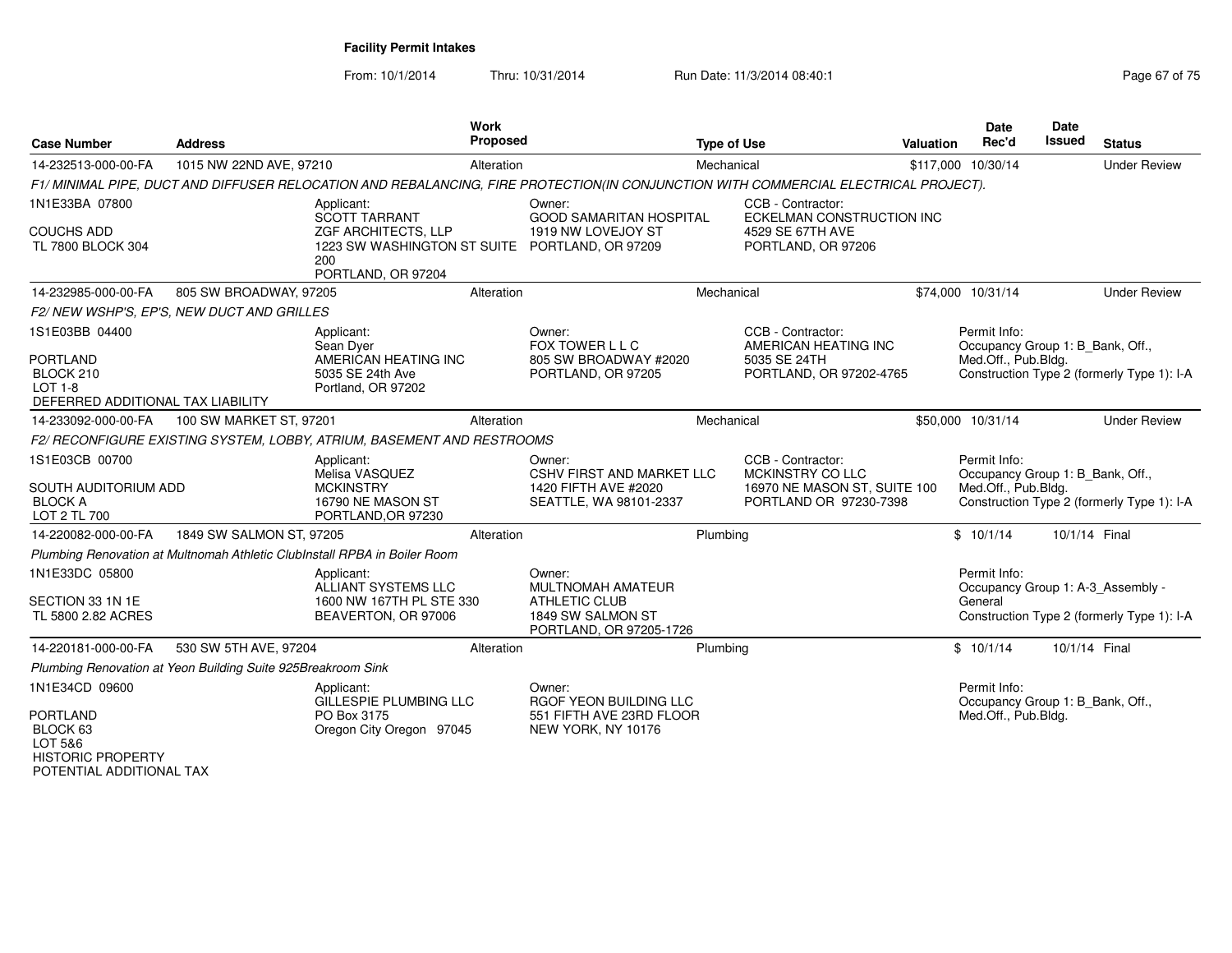From: 10/1/2014Thru: 10/31/2014 Run Date: 11/3/2014 08:40:1

| <b>Case Number</b>                                                                                    | <b>Address</b>                                               |                                                                                                                                          | <b>Work</b><br><b>Proposed</b> |                                                                                                                                     | <b>Type of Use</b> |                                                                                                 | Valuation | <b>Date</b><br>Rec'd                                                    | <b>Date</b><br><b>Issued</b> | <b>Status</b>                              |
|-------------------------------------------------------------------------------------------------------|--------------------------------------------------------------|------------------------------------------------------------------------------------------------------------------------------------------|--------------------------------|-------------------------------------------------------------------------------------------------------------------------------------|--------------------|-------------------------------------------------------------------------------------------------|-----------|-------------------------------------------------------------------------|------------------------------|--------------------------------------------|
| 14-232513-000-00-FA                                                                                   | 1015 NW 22ND AVE, 97210                                      |                                                                                                                                          | Alteration                     |                                                                                                                                     | Mechanical         |                                                                                                 |           | \$117,000 10/30/14                                                      |                              | <b>Under Review</b>                        |
|                                                                                                       |                                                              |                                                                                                                                          |                                | F1/ MINIMAL PIPE, DUCT AND DIFFUSER RELOCATION AND REBALANCING, FIRE PROTECTION(IN CONJUNCTION WITH COMMERCIAL ELECTRICAL PROJECT). |                    |                                                                                                 |           |                                                                         |                              |                                            |
| 1N1E33BA 07800<br><b>COUCHS ADD</b><br>TL 7800 BLOCK 304                                              |                                                              | Applicant:<br><b>SCOTT TARRANT</b><br>ZGF ARCHITECTS, LLP<br>1223 SW WASHINGTON ST SUITE PORTLAND, OR 97209<br>200<br>PORTLAND, OR 97204 |                                | Owner:<br>GOOD SAMARITAN HOSPITAL<br>1919 NW LOVEJOY ST                                                                             |                    | CCB - Contractor:<br>ECKELMAN CONSTRUCTION INC<br>4529 SE 67TH AVE<br>PORTLAND, OR 97206        |           |                                                                         |                              |                                            |
| 14-232985-000-00-FA                                                                                   | 805 SW BROADWAY, 97205                                       |                                                                                                                                          | Alteration                     |                                                                                                                                     | Mechanical         |                                                                                                 |           | \$74,000 10/31/14                                                       |                              | <b>Under Review</b>                        |
|                                                                                                       | F2/NEW WSHP'S, EP'S, NEW DUCT AND GRILLES                    |                                                                                                                                          |                                |                                                                                                                                     |                    |                                                                                                 |           |                                                                         |                              |                                            |
| 1S1E03BB 04400<br><b>PORTLAND</b><br>BLOCK 210<br><b>LOT 1-8</b><br>DEFERRED ADDITIONAL TAX LIABILITY |                                                              | Applicant:<br>Sean Dver<br>AMERICAN HEATING INC<br>5035 SE 24th Ave<br>Portland, OR 97202                                                |                                | Owner:<br>FOX TOWER L L C<br>805 SW BROADWAY #2020<br>PORTLAND, OR 97205                                                            |                    | CCB - Contractor:<br>AMERICAN HEATING INC<br>5035 SE 24TH<br>PORTLAND, OR 97202-4765            |           | Permit Info:<br>Occupancy Group 1: B Bank, Off.,<br>Med.Off., Pub.Bldg. |                              | Construction Type 2 (formerly Type 1): I-A |
| 14-233092-000-00-FA                                                                                   | 100 SW MARKET ST, 97201                                      |                                                                                                                                          | Alteration                     |                                                                                                                                     | Mechanical         |                                                                                                 |           | \$50,000 10/31/14                                                       |                              | <b>Under Review</b>                        |
|                                                                                                       |                                                              | F2/ RECONFIGURE EXISTING SYSTEM, LOBBY, ATRIUM, BASEMENT AND RESTROOMS                                                                   |                                |                                                                                                                                     |                    |                                                                                                 |           |                                                                         |                              |                                            |
| 1S1E03CB 00700<br>SOUTH AUDITORIUM ADD<br><b>BLOCK A</b><br>LOT 2 TL 700                              |                                                              | Applicant:<br>Melisa VASQUEZ<br><b>MCKINSTRY</b><br>16790 NE MASON ST<br>PORTLAND, OR 97230                                              |                                | Owner:<br><b>CSHV FIRST AND MARKET LLC</b><br>1420 FIFTH AVE #2020<br>SEATTLE, WA 98101-2337                                        |                    | CCB - Contractor:<br>MCKINSTRY CO LLC<br>16970 NE MASON ST, SUITE 100<br>PORTLAND OR 97230-7398 |           | Permit Info:<br>Occupancy Group 1: B_Bank, Off.,<br>Med.Off., Pub.Bldg. |                              | Construction Type 2 (formerly Type 1): I-A |
| 14-220082-000-00-FA                                                                                   | 1849 SW SALMON ST, 97205                                     |                                                                                                                                          | Alteration                     |                                                                                                                                     | Plumbing           |                                                                                                 |           | \$10/1/14                                                               | 10/1/14 Final                |                                            |
|                                                                                                       |                                                              | Plumbing Renovation at Multnomah Athletic ClubInstall RPBA in Boiler Room                                                                |                                |                                                                                                                                     |                    |                                                                                                 |           |                                                                         |                              |                                            |
| 1N1E33DC 05800<br>SECTION 33 1N 1E<br>TL 5800 2.82 ACRES                                              |                                                              | Applicant:<br>ALLIANT SYSTEMS LLC<br>1600 NW 167TH PL STE 330<br>BEAVERTON, OR 97006                                                     |                                | Owner:<br>MULTNOMAH AMATEUR<br><b>ATHLETIC CLUB</b><br>1849 SW SALMON ST<br>PORTLAND, OR 97205-1726                                 |                    |                                                                                                 |           | Permit Info:<br>Occupancy Group 1: A-3_Assembly -<br>General            |                              | Construction Type 2 (formerly Type 1): I-A |
| 14-220181-000-00-FA                                                                                   | 530 SW 5TH AVE, 97204                                        |                                                                                                                                          | Alteration                     |                                                                                                                                     | Plumbing           |                                                                                                 |           | \$10/1/14                                                               | 10/1/14 Final                |                                            |
|                                                                                                       | Plumbing Renovation at Yeon Building Suite 925Breakroom Sink |                                                                                                                                          |                                |                                                                                                                                     |                    |                                                                                                 |           |                                                                         |                              |                                            |
| 1N1E34CD 09600<br><b>PORTLAND</b><br>BLOCK 63<br>LOT 5&6<br><b>HISTORIC PROPERTY</b>                  |                                                              | Applicant:<br>GILLESPIE PLUMBING LLC<br>PO Box 3175<br>Oregon City Oregon 97045                                                          |                                | Owner:<br>RGOF YEON BUILDING LLC<br>551 FIFTH AVE 23RD FLOOR<br>NEW YORK, NY 10176                                                  |                    |                                                                                                 |           | Permit Info:<br>Occupancy Group 1: B_Bank, Off.,<br>Med.Off., Pub.Bldg. |                              |                                            |

POTENTIAL ADDITIONAL TAX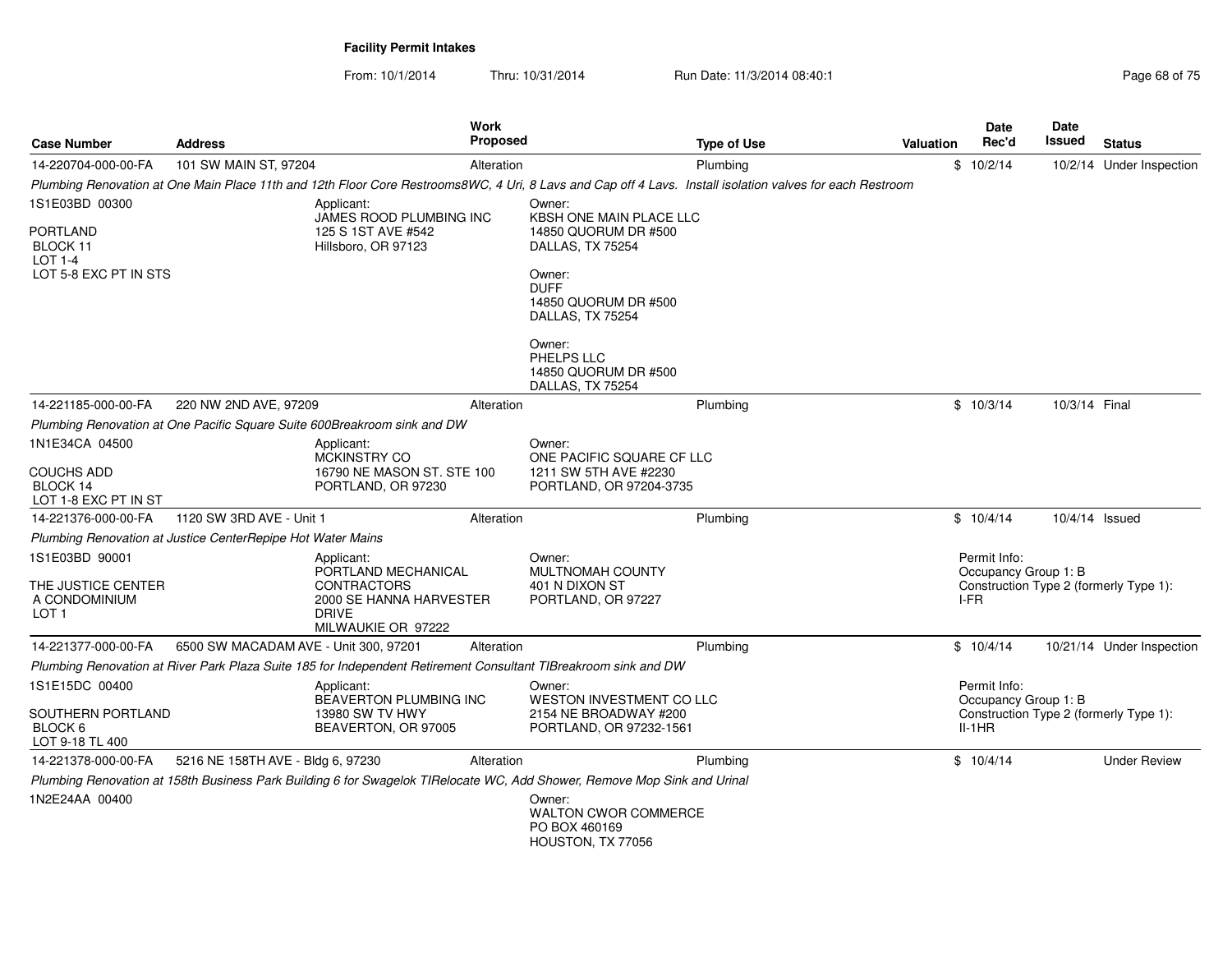| <b>Case Number</b>                                      | <b>Address</b>                                              | <b>Work</b><br><b>Proposed</b>                                                                                           |                                                                               | <b>Type of Use</b>                                                                                                                                        | <b>Valuation</b> | Date<br>Rec'd                        | Date<br><b>Issued</b> | <b>Status</b>                          |
|---------------------------------------------------------|-------------------------------------------------------------|--------------------------------------------------------------------------------------------------------------------------|-------------------------------------------------------------------------------|-----------------------------------------------------------------------------------------------------------------------------------------------------------|------------------|--------------------------------------|-----------------------|----------------------------------------|
| 14-220704-000-00-FA                                     | 101 SW MAIN ST, 97204                                       | Alteration                                                                                                               |                                                                               | Plumbing                                                                                                                                                  |                  | \$10/2/14                            |                       | 10/2/14 Under Inspection               |
|                                                         |                                                             |                                                                                                                          |                                                                               | Plumbing Renovation at One Main Place 11th and 12th Floor Core Restrooms8WC, 4 Uri, 8 Lavs and Cap off 4 Lavs. Install isolation valves for each Restroom |                  |                                      |                       |                                        |
| 1S1E03BD 00300<br><b>PORTLAND</b>                       |                                                             | Applicant:<br>JAMES ROOD PLUMBING INC<br>125 S 1ST AVE #542                                                              | Owner:<br>KBSH ONE MAIN PLACE LLC<br>14850 QUORUM DR #500                     |                                                                                                                                                           |                  |                                      |                       |                                        |
| BLOCK 11<br>$LOT 1-4$                                   |                                                             | Hillsboro, OR 97123                                                                                                      | DALLAS, TX 75254                                                              |                                                                                                                                                           |                  |                                      |                       |                                        |
| LOT 5-8 EXC PT IN STS                                   |                                                             |                                                                                                                          | Owner:<br><b>DUFF</b><br>14850 QUORUM DR #500<br>DALLAS, TX 75254             |                                                                                                                                                           |                  |                                      |                       |                                        |
|                                                         |                                                             |                                                                                                                          | Owner:<br>PHELPS LLC<br>14850 QUORUM DR #500<br>DALLAS, TX 75254              |                                                                                                                                                           |                  |                                      |                       |                                        |
| 14-221185-000-00-FA                                     | 220 NW 2ND AVE, 97209                                       | Alteration                                                                                                               |                                                                               | Plumbing                                                                                                                                                  |                  | \$10/3/14                            | 10/3/14 Final         |                                        |
|                                                         |                                                             | Plumbing Renovation at One Pacific Square Suite 600Breakroom sink and DW                                                 |                                                                               |                                                                                                                                                           |                  |                                      |                       |                                        |
| 1N1E34CA 04500                                          |                                                             | Applicant:                                                                                                               | Owner:                                                                        |                                                                                                                                                           |                  |                                      |                       |                                        |
| <b>COUCHS ADD</b><br>BLOCK 14<br>LOT 1-8 EXC PT IN ST   |                                                             | <b>MCKINSTRY CO</b><br>16790 NE MASON ST. STE 100<br>PORTLAND, OR 97230                                                  | ONE PACIFIC SQUARE CF LLC<br>1211 SW 5TH AVE #2230<br>PORTLAND, OR 97204-3735 |                                                                                                                                                           |                  |                                      |                       |                                        |
| 14-221376-000-00-FA                                     | 1120 SW 3RD AVE - Unit 1                                    | Alteration                                                                                                               |                                                                               | Plumbing                                                                                                                                                  |                  | \$10/4/14                            | 10/4/14 Issued        |                                        |
|                                                         | Plumbing Renovation at Justice CenterRepipe Hot Water Mains |                                                                                                                          |                                                                               |                                                                                                                                                           |                  |                                      |                       |                                        |
| 1S1E03BD 90001                                          |                                                             | Applicant:<br>PORTLAND MECHANICAL                                                                                        | Owner:<br>MULTNOMAH COUNTY                                                    |                                                                                                                                                           |                  | Permit Info:<br>Occupancy Group 1: B |                       |                                        |
| THE JUSTICE CENTER<br>A CONDOMINIUM<br>LOT <sub>1</sub> |                                                             | <b>CONTRACTORS</b><br>2000 SE HANNA HARVESTER<br><b>DRIVE</b><br>MILWAUKIE OR 97222                                      | 401 N DIXON ST<br>PORTLAND, OR 97227                                          |                                                                                                                                                           |                  | I-FR                                 |                       | Construction Type 2 (formerly Type 1): |
| 14-221377-000-00-FA                                     | 6500 SW MACADAM AVE - Unit 300, 97201                       | Alteration                                                                                                               |                                                                               | Plumbing                                                                                                                                                  |                  | \$10/4/14                            |                       | 10/21/14 Under Inspection              |
|                                                         |                                                             | Plumbing Renovation at River Park Plaza Suite 185 for Independent Retirement Consultant TIBreakroom sink and DW          |                                                                               |                                                                                                                                                           |                  |                                      |                       |                                        |
| 1S1E15DC 00400                                          |                                                             | Applicant:                                                                                                               | Owner:                                                                        |                                                                                                                                                           |                  | Permit Info:                         |                       |                                        |
| SOUTHERN PORTLAND<br>BLOCK 6<br>LOT 9-18 TL 400         |                                                             | <b>BEAVERTON PLUMBING INC</b><br>13980 SW TV HWY<br>BEAVERTON, OR 97005                                                  | WESTON INVESTMENT CO LLC<br>2154 NE BROADWAY #200<br>PORTLAND, OR 97232-1561  |                                                                                                                                                           |                  | Occupancy Group 1: B<br>$II-1HR$     |                       | Construction Type 2 (formerly Type 1): |
| 14-221378-000-00-FA                                     | 5216 NE 158TH AVE - Bldg 6, 97230                           | Alteration                                                                                                               |                                                                               | Plumbing                                                                                                                                                  |                  | \$10/4/14                            |                       | <b>Under Review</b>                    |
|                                                         |                                                             | Plumbing Renovation at 158th Business Park Building 6 for Swagelok TIRelocate WC, Add Shower, Remove Mop Sink and Urinal |                                                                               |                                                                                                                                                           |                  |                                      |                       |                                        |
| 1N2E24AA 00400                                          |                                                             |                                                                                                                          | Owner:<br>WALTON CWOR COMMERCE<br>PO BOX 460169<br>HOUSTON, TX 77056          |                                                                                                                                                           |                  |                                      |                       |                                        |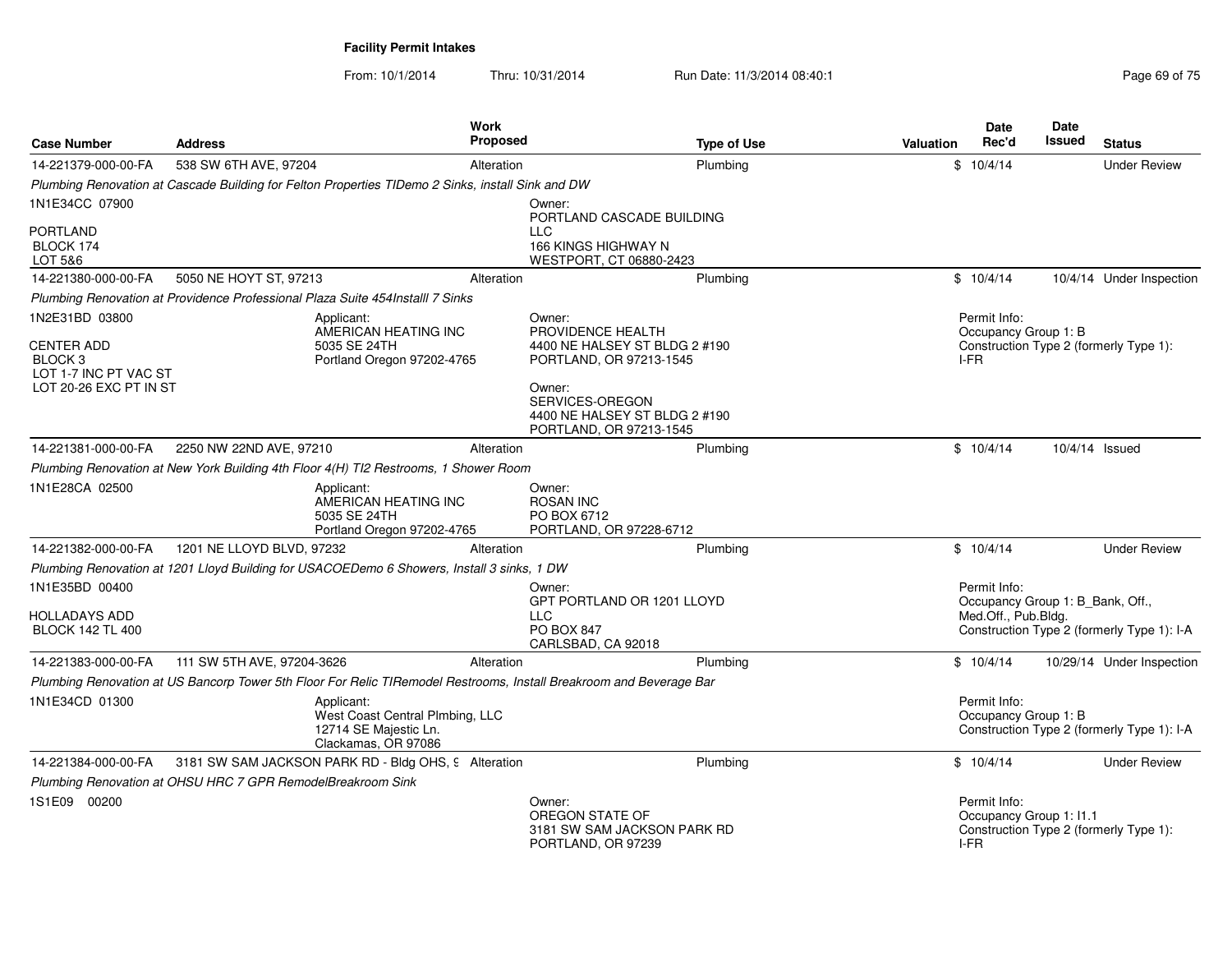| <b>Case Number</b>                                                                         | <b>Address</b>                                                                                    |                                                                                               | Work<br><b>Proposed</b> |                                                                                                                     | <b>Type of Use</b> | Valuation | <b>Date</b><br>Rec'd                                    | <b>Date</b><br>Issued | <b>Status</b>                              |
|--------------------------------------------------------------------------------------------|---------------------------------------------------------------------------------------------------|-----------------------------------------------------------------------------------------------|-------------------------|---------------------------------------------------------------------------------------------------------------------|--------------------|-----------|---------------------------------------------------------|-----------------------|--------------------------------------------|
| 14-221379-000-00-FA                                                                        | 538 SW 6TH AVE, 97204                                                                             |                                                                                               | Alteration              |                                                                                                                     | Plumbing           |           | \$10/4/14                                               |                       | <b>Under Review</b>                        |
|                                                                                            | Plumbing Renovation at Cascade Building for Felton Properties TIDemo 2 Sinks, install Sink and DW |                                                                                               |                         |                                                                                                                     |                    |           |                                                         |                       |                                            |
| 1N1E34CC 07900                                                                             |                                                                                                   |                                                                                               |                         | Owner:<br>PORTLAND CASCADE BUILDING                                                                                 |                    |           |                                                         |                       |                                            |
| PORTLAND<br>BLOCK 174<br>LOT 5&6                                                           |                                                                                                   |                                                                                               |                         | <b>LLC</b><br>166 KINGS HIGHWAY N<br>WESTPORT, CT 06880-2423                                                        |                    |           |                                                         |                       |                                            |
| 14-221380-000-00-FA                                                                        | 5050 NE HOYT ST, 97213                                                                            |                                                                                               | Alteration              |                                                                                                                     | Plumbing           |           | \$10/4/14                                               |                       | 10/4/14 Under Inspection                   |
|                                                                                            | Plumbing Renovation at Providence Professional Plaza Suite 454Installl 7 Sinks                    |                                                                                               |                         |                                                                                                                     |                    |           |                                                         |                       |                                            |
| 1N2E31BD 03800                                                                             |                                                                                                   | Applicant:                                                                                    |                         | Owner:                                                                                                              |                    |           | Permit Info:                                            |                       |                                            |
| <b>CENTER ADD</b><br>BLOCK <sub>3</sub><br>LOT 1-7 INC PT VAC ST<br>LOT 20-26 EXC PT IN ST |                                                                                                   | AMERICAN HEATING INC<br>5035 SE 24TH<br>Portland Oregon 97202-4765                            |                         | PROVIDENCE HEALTH<br>4400 NE HALSEY ST BLDG 2 #190<br>PORTLAND, OR 97213-1545<br>Owner:<br>SERVICES-OREGON          |                    |           | Occupancy Group 1: B<br>I-FR                            |                       | Construction Type 2 (formerly Type 1):     |
|                                                                                            |                                                                                                   |                                                                                               |                         | 4400 NE HALSEY ST BLDG 2 #190                                                                                       |                    |           |                                                         |                       |                                            |
|                                                                                            |                                                                                                   |                                                                                               |                         | PORTLAND, OR 97213-1545                                                                                             |                    |           |                                                         |                       |                                            |
| 14-221381-000-00-FA                                                                        | 2250 NW 22ND AVE, 97210                                                                           |                                                                                               | Alteration              |                                                                                                                     | Plumbing           |           | \$10/4/14                                               | 10/4/14 Issued        |                                            |
|                                                                                            | Plumbing Renovation at New York Building 4th Floor 4(H) TI2 Restrooms, 1 Shower Room              |                                                                                               |                         |                                                                                                                     |                    |           |                                                         |                       |                                            |
| 1N1E28CA 02500                                                                             |                                                                                                   | Applicant:<br>AMERICAN HEATING INC<br>5035 SE 24TH<br>Portland Oregon 97202-4765              |                         | Owner:<br><b>ROSAN INC</b><br>PO BOX 6712<br>PORTLAND, OR 97228-6712                                                |                    |           |                                                         |                       |                                            |
| 14-221382-000-00-FA                                                                        | 1201 NE LLOYD BLVD, 97232                                                                         |                                                                                               | Alteration              |                                                                                                                     | Plumbing           |           | \$10/4/14                                               |                       | <b>Under Review</b>                        |
|                                                                                            | Plumbing Renovation at 1201 Lloyd Building for USACOEDemo 6 Showers, Install 3 sinks, 1 DW        |                                                                                               |                         |                                                                                                                     |                    |           |                                                         |                       |                                            |
| 1N1E35BD 00400                                                                             |                                                                                                   |                                                                                               |                         | Owner:                                                                                                              |                    |           | Permit Info:                                            |                       |                                            |
| HOLLADAYS ADD<br><b>BLOCK 142 TL 400</b>                                                   |                                                                                                   |                                                                                               |                         | GPT PORTLAND OR 1201 LLOYD<br><b>LLC</b><br><b>PO BOX 847</b><br>CARLSBAD, CA 92018                                 |                    |           | Occupancy Group 1: B_Bank, Off.,<br>Med.Off., Pub.Bldg. |                       | Construction Type 2 (formerly Type 1): I-A |
| 14-221383-000-00-FA                                                                        | 111 SW 5TH AVE, 97204-3626                                                                        |                                                                                               | Alteration              |                                                                                                                     | Plumbing           |           | \$10/4/14                                               |                       | 10/29/14 Under Inspection                  |
|                                                                                            |                                                                                                   |                                                                                               |                         | Plumbing Renovation at US Bancorp Tower 5th Floor For Relic TIRemodel Restrooms, Install Breakroom and Beverage Bar |                    |           |                                                         |                       |                                            |
| 1N1E34CD 01300                                                                             |                                                                                                   | Applicant:<br>West Coast Central Plmbing, LLC<br>12714 SE Majestic Ln.<br>Clackamas, OR 97086 |                         |                                                                                                                     |                    |           | Permit Info:<br>Occupancy Group 1: B                    |                       | Construction Type 2 (formerly Type 1): I-A |
| 14-221384-000-00-FA                                                                        | 3181 SW SAM JACKSON PARK RD - Bldg OHS, 9 Alteration                                              |                                                                                               |                         |                                                                                                                     | Plumbing           |           | \$10/4/14                                               |                       | <b>Under Review</b>                        |
|                                                                                            | Plumbing Renovation at OHSU HRC 7 GPR RemodelBreakroom Sink                                       |                                                                                               |                         |                                                                                                                     |                    |           |                                                         |                       |                                            |
| 1S1E09 00200                                                                               |                                                                                                   |                                                                                               |                         | Owner:<br>OREGON STATE OF<br>3181 SW SAM JACKSON PARK RD<br>PORTLAND, OR 97239                                      |                    |           | Permit Info:<br>Occupancy Group 1: 11.1<br>I-FR         |                       | Construction Type 2 (formerly Type 1):     |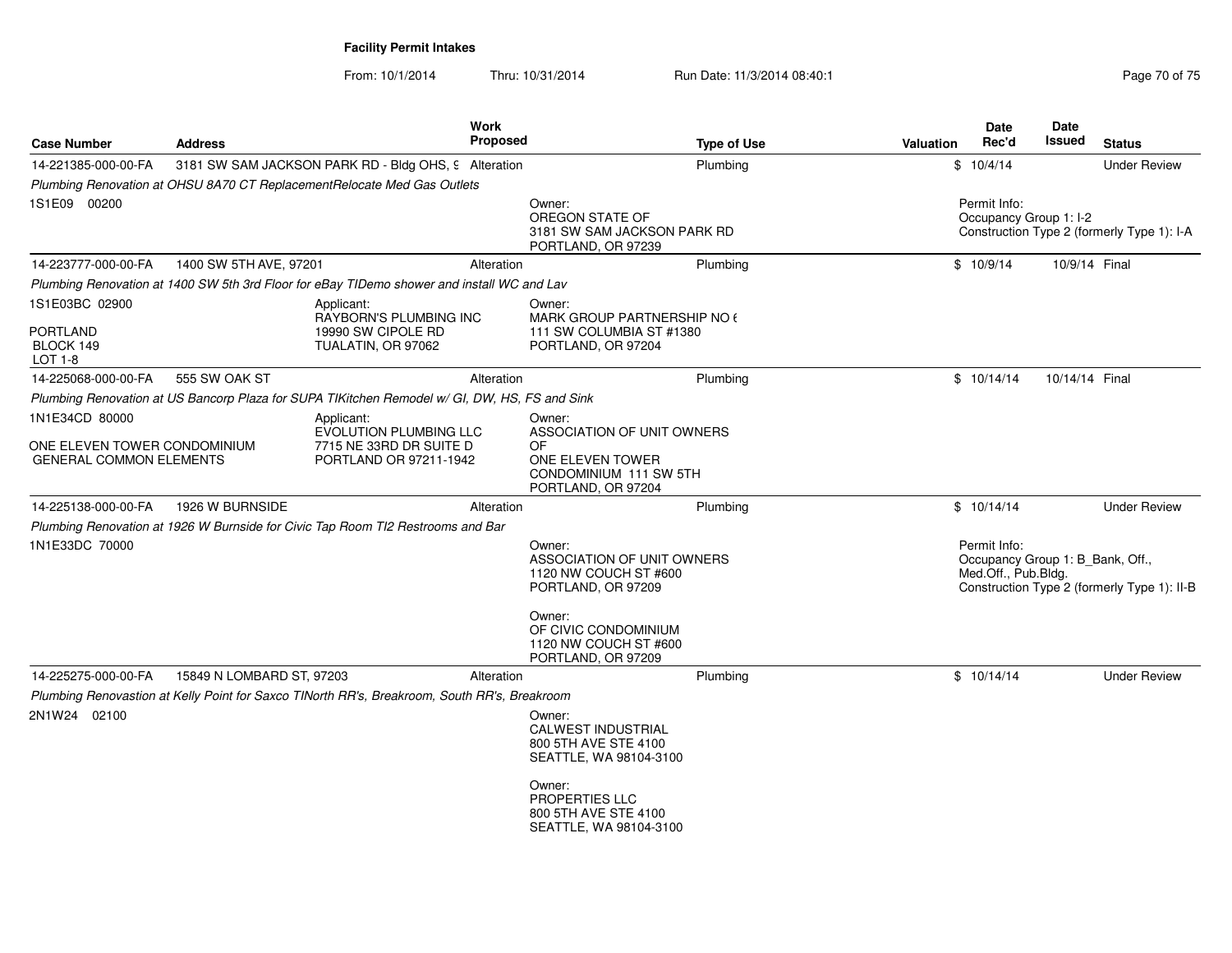| <b>Case Number</b>                                             | <b>Address</b>            | Work                                                                                          | Proposed   | <b>Type of Use</b>                                                                                   | Valuation | <b>Date</b><br>Rec'd                                                    | <b>Date</b><br>Issued | <b>Status</b>                               |
|----------------------------------------------------------------|---------------------------|-----------------------------------------------------------------------------------------------|------------|------------------------------------------------------------------------------------------------------|-----------|-------------------------------------------------------------------------|-----------------------|---------------------------------------------|
| 14-221385-000-00-FA                                            |                           | 3181 SW SAM JACKSON PARK RD - Bldg OHS, 9 Alteration                                          |            | Plumbing                                                                                             |           | \$10/4/14                                                               |                       | <b>Under Review</b>                         |
|                                                                |                           | Plumbing Renovation at OHSU 8A70 CT ReplacementRelocate Med Gas Outlets                       |            |                                                                                                      |           |                                                                         |                       |                                             |
| 1S1E09 00200                                                   |                           |                                                                                               |            | Owner:<br>OREGON STATE OF<br>3181 SW SAM JACKSON PARK RD<br>PORTLAND, OR 97239                       |           | Permit Info:<br>Occupancy Group 1: I-2                                  |                       | Construction Type 2 (formerly Type 1): I-A  |
| 14-223777-000-00-FA                                            | 1400 SW 5TH AVE, 97201    |                                                                                               | Alteration | Plumbing                                                                                             |           | \$10/9/14                                                               | 10/9/14 Final         |                                             |
|                                                                |                           | Plumbing Renovation at 1400 SW 5th 3rd Floor for eBay TIDemo shower and install WC and Lav    |            |                                                                                                      |           |                                                                         |                       |                                             |
| 1S1E03BC 02900<br><b>PORTLAND</b><br>BLOCK 149<br>LOT 1-8      |                           | Applicant:<br>RAYBORN'S PLUMBING INC<br>19990 SW CIPOLE RD<br>TUALATIN, OR 97062              |            | Owner:<br>MARK GROUP PARTNERSHIP NO 6<br>111 SW COLUMBIA ST #1380<br>PORTLAND, OR 97204              |           |                                                                         |                       |                                             |
| 14-225068-000-00-FA                                            | 555 SW OAK ST             |                                                                                               | Alteration | Plumbing                                                                                             |           | \$10/14/14                                                              | 10/14/14 Final        |                                             |
|                                                                |                           | Plumbing Renovation at US Bancorp Plaza for SUPA TIKitchen Remodel w/ GI, DW, HS, FS and Sink |            |                                                                                                      |           |                                                                         |                       |                                             |
| 1N1E34CD 80000                                                 |                           | Applicant:                                                                                    |            | Owner:                                                                                               |           |                                                                         |                       |                                             |
| ONE ELEVEN TOWER CONDOMINIUM<br><b>GENERAL COMMON ELEMENTS</b> |                           | <b>EVOLUTION PLUMBING LLC</b><br>7715 NE 33RD DR SUITE D<br>PORTLAND OR 97211-1942            |            | ASSOCIATION OF UNIT OWNERS<br>OF<br>ONE ELEVEN TOWER<br>CONDOMINIUM 111 SW 5TH<br>PORTLAND, OR 97204 |           |                                                                         |                       |                                             |
| 14-225138-000-00-FA                                            | 1926 W BURNSIDE           |                                                                                               | Alteration | Plumbing                                                                                             |           | \$10/14/14                                                              |                       | <b>Under Review</b>                         |
|                                                                |                           | Plumbing Renovation at 1926 W Burnside for Civic Tap Room TI2 Restrooms and Bar               |            |                                                                                                      |           |                                                                         |                       |                                             |
| 1N1E33DC 70000                                                 |                           |                                                                                               |            | Owner:<br><b>ASSOCIATION OF UNIT OWNERS</b><br>1120 NW COUCH ST #600<br>PORTLAND, OR 97209           |           | Permit Info:<br>Occupancy Group 1: B_Bank, Off.,<br>Med.Off., Pub.Bldg. |                       | Construction Type 2 (formerly Type 1): II-B |
|                                                                |                           |                                                                                               |            | Owner:<br>OF CIVIC CONDOMINIUM<br>1120 NW COUCH ST #600<br>PORTLAND, OR 97209                        |           |                                                                         |                       |                                             |
| 14-225275-000-00-FA                                            | 15849 N LOMBARD ST, 97203 |                                                                                               | Alteration | Plumbing                                                                                             |           | \$10/14/14                                                              |                       | <b>Under Review</b>                         |
|                                                                |                           | Plumbing Renovastion at Kelly Point for Saxco TINorth RR's, Breakroom, South RR's, Breakroom  |            |                                                                                                      |           |                                                                         |                       |                                             |
| 2N1W24 02100                                                   |                           |                                                                                               |            | Owner:<br><b>CALWEST INDUSTRIAL</b><br>800 5TH AVE STE 4100<br>SEATTLE, WA 98104-3100                |           |                                                                         |                       |                                             |
|                                                                |                           |                                                                                               |            | Owner:<br>PROPERTIES LLC<br>800 5TH AVE STE 4100<br>SEATTLE, WA 98104-3100                           |           |                                                                         |                       |                                             |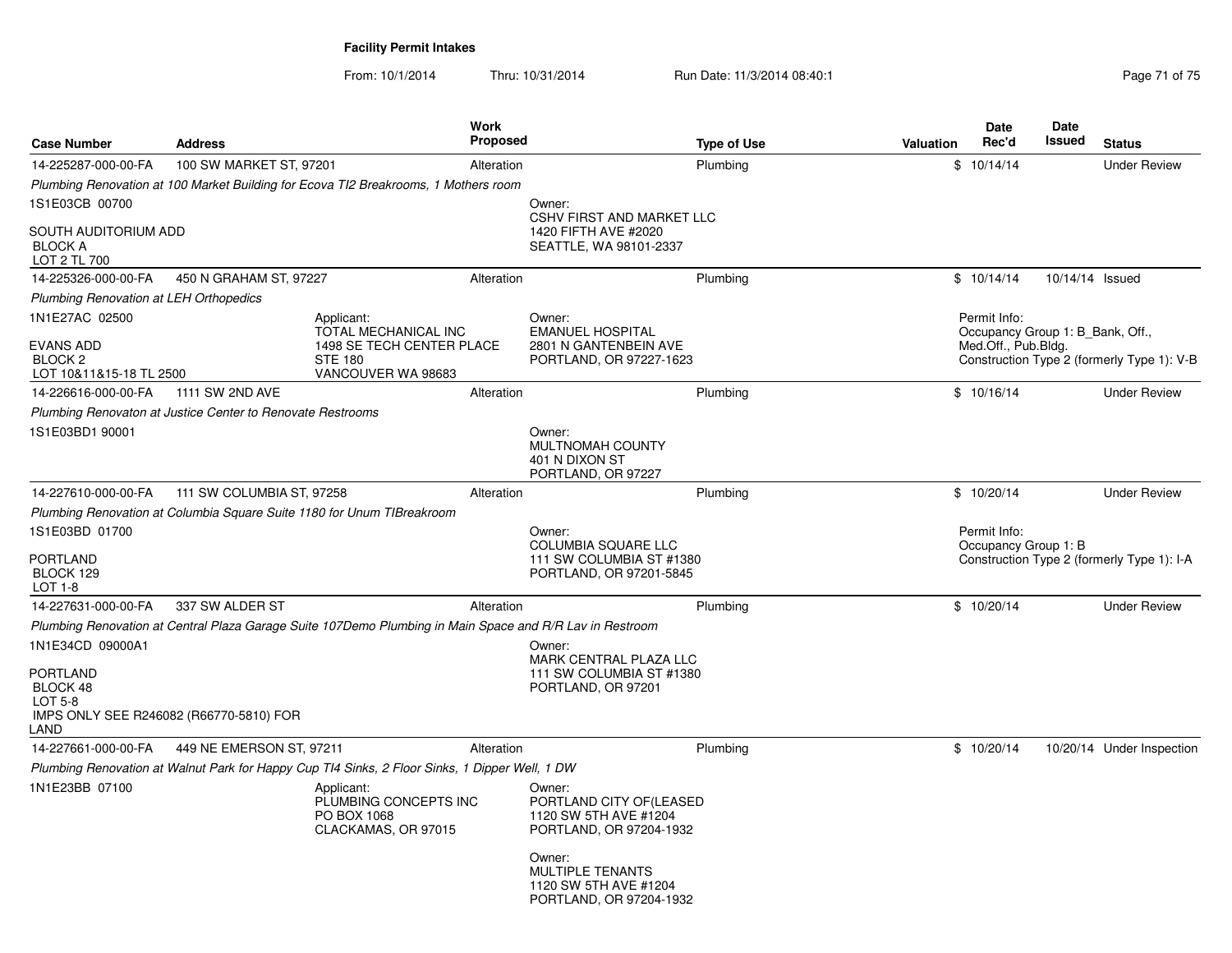| <b>Case Number</b>                                         | <b>Address</b>                                             |                                                                                                          | Work<br><b>Proposed</b> |                                                                                             | <b>Type of Use</b> | Valuation | Date<br>Rec'd                                    | Date<br>Issued  | <b>Status</b>                              |
|------------------------------------------------------------|------------------------------------------------------------|----------------------------------------------------------------------------------------------------------|-------------------------|---------------------------------------------------------------------------------------------|--------------------|-----------|--------------------------------------------------|-----------------|--------------------------------------------|
| 14-225287-000-00-FA                                        | 100 SW MARKET ST, 97201                                    |                                                                                                          | Alteration              |                                                                                             | Plumbing           |           | \$10/14/14                                       |                 | <b>Under Review</b>                        |
|                                                            |                                                            | Plumbing Renovation at 100 Market Building for Ecova TI2 Breakrooms, 1 Mothers room                      |                         |                                                                                             |                    |           |                                                  |                 |                                            |
| 1S1E03CB 00700                                             |                                                            |                                                                                                          |                         | Owner:<br>CSHV FIRST AND MARKET LLC                                                         |                    |           |                                                  |                 |                                            |
| SOUTH AUDITORIUM ADD<br><b>BLOCK A</b><br>LOT 2 TL 700     |                                                            |                                                                                                          |                         | 1420 FIFTH AVE #2020<br>SEATTLE, WA 98101-2337                                              |                    |           |                                                  |                 |                                            |
| 14-225326-000-00-FA                                        | 450 N GRAHAM ST, 97227                                     |                                                                                                          | Alteration              |                                                                                             | Plumbing           |           | \$10/14/14                                       | 10/14/14 Issued |                                            |
| <b>Plumbing Renovation at LEH Orthopedics</b>              |                                                            |                                                                                                          |                         |                                                                                             |                    |           |                                                  |                 |                                            |
| 1N1E27AC 02500                                             |                                                            | Applicant:<br>TOTAL MECHANICAL INC                                                                       |                         | Owner:<br><b>EMANUEL HOSPITAL</b>                                                           |                    |           | Permit Info:<br>Occupancy Group 1: B Bank, Off., |                 |                                            |
| EVANS ADD<br>BLOCK <sub>2</sub><br>LOT 10&11&15-18 TL 2500 |                                                            | 1498 SE TECH CENTER PLACE<br><b>STE 180</b><br>VANCOUVER WA 98683                                        |                         | 2801 N GANTENBEIN AVE<br>PORTLAND, OR 97227-1623                                            |                    |           | Med.Off., Pub.Bldg.                              |                 | Construction Type 2 (formerly Type 1): V-B |
| 14-226616-000-00-FA                                        | 1111 SW 2ND AVE                                            |                                                                                                          | Alteration              |                                                                                             | Plumbing           |           | \$10/16/14                                       |                 | <b>Under Review</b>                        |
|                                                            | Plumbing Renovaton at Justice Center to Renovate Restrooms |                                                                                                          |                         |                                                                                             |                    |           |                                                  |                 |                                            |
| 1S1E03BD1 90001                                            |                                                            |                                                                                                          |                         | Owner:<br>MULTNOMAH COUNTY<br>401 N DIXON ST<br>PORTLAND, OR 97227                          |                    |           |                                                  |                 |                                            |
| 14-227610-000-00-FA                                        | 111 SW COLUMBIA ST, 97258                                  |                                                                                                          | Alteration              |                                                                                             | Plumbing           |           | \$10/20/14                                       |                 | <b>Under Review</b>                        |
|                                                            |                                                            | Plumbing Renovation at Columbia Square Suite 1180 for Unum TIBreakroom                                   |                         |                                                                                             |                    |           |                                                  |                 |                                            |
| 1S1E03BD 01700<br>PORTLAND<br>BLOCK 129<br>$LOT 1-8$       |                                                            |                                                                                                          |                         | Owner:<br><b>COLUMBIA SQUARE LLC</b><br>111 SW COLUMBIA ST #1380<br>PORTLAND, OR 97201-5845 |                    |           | Permit Info:<br>Occupancy Group 1: B             |                 | Construction Type 2 (formerly Type 1): I-A |
| 14-227631-000-00-FA                                        | 337 SW ALDER ST                                            |                                                                                                          | Alteration              |                                                                                             | Plumbing           |           | \$10/20/14                                       |                 | <b>Under Review</b>                        |
|                                                            |                                                            | Plumbing Renovation at Central Plaza Garage Suite 107Demo Plumbing in Main Space and R/R Lav in Restroom |                         |                                                                                             |                    |           |                                                  |                 |                                            |
| 1N1E34CD 09000A1                                           |                                                            |                                                                                                          |                         | Owner:                                                                                      |                    |           |                                                  |                 |                                            |
| <b>PORTLAND</b><br>BLOCK 48                                |                                                            |                                                                                                          |                         | MARK CENTRAL PLAZA LLC<br>111 SW COLUMBIA ST #1380<br>PORTLAND, OR 97201                    |                    |           |                                                  |                 |                                            |
| LOT 5-8<br>LAND                                            | IMPS ONLY SEE R246082 (R66770-5810) FOR                    |                                                                                                          |                         |                                                                                             |                    |           |                                                  |                 |                                            |
| 14-227661-000-00-FA                                        | 449 NE EMERSON ST, 97211                                   |                                                                                                          | Alteration              |                                                                                             | Plumbing           |           | \$10/20/14                                       |                 | 10/20/14 Under Inspection                  |
|                                                            |                                                            | Plumbing Renovation at Walnut Park for Happy Cup TI4 Sinks, 2 Floor Sinks, 1 Dipper Well, 1 DW           |                         |                                                                                             |                    |           |                                                  |                 |                                            |
| 1N1E23BB 07100                                             |                                                            | Applicant:<br>PLUMBING CONCEPTS INC<br>PO BOX 1068<br>CLACKAMAS, OR 97015                                |                         | Owner:<br>PORTLAND CITY OF(LEASED<br>1120 SW 5TH AVE #1204<br>PORTLAND, OR 97204-1932       |                    |           |                                                  |                 |                                            |
|                                                            |                                                            |                                                                                                          |                         | Owner:<br><b>MULTIPLE TENANTS</b><br>1120 SW 5TH AVE #1204<br>PORTLAND, OR 97204-1932       |                    |           |                                                  |                 |                                            |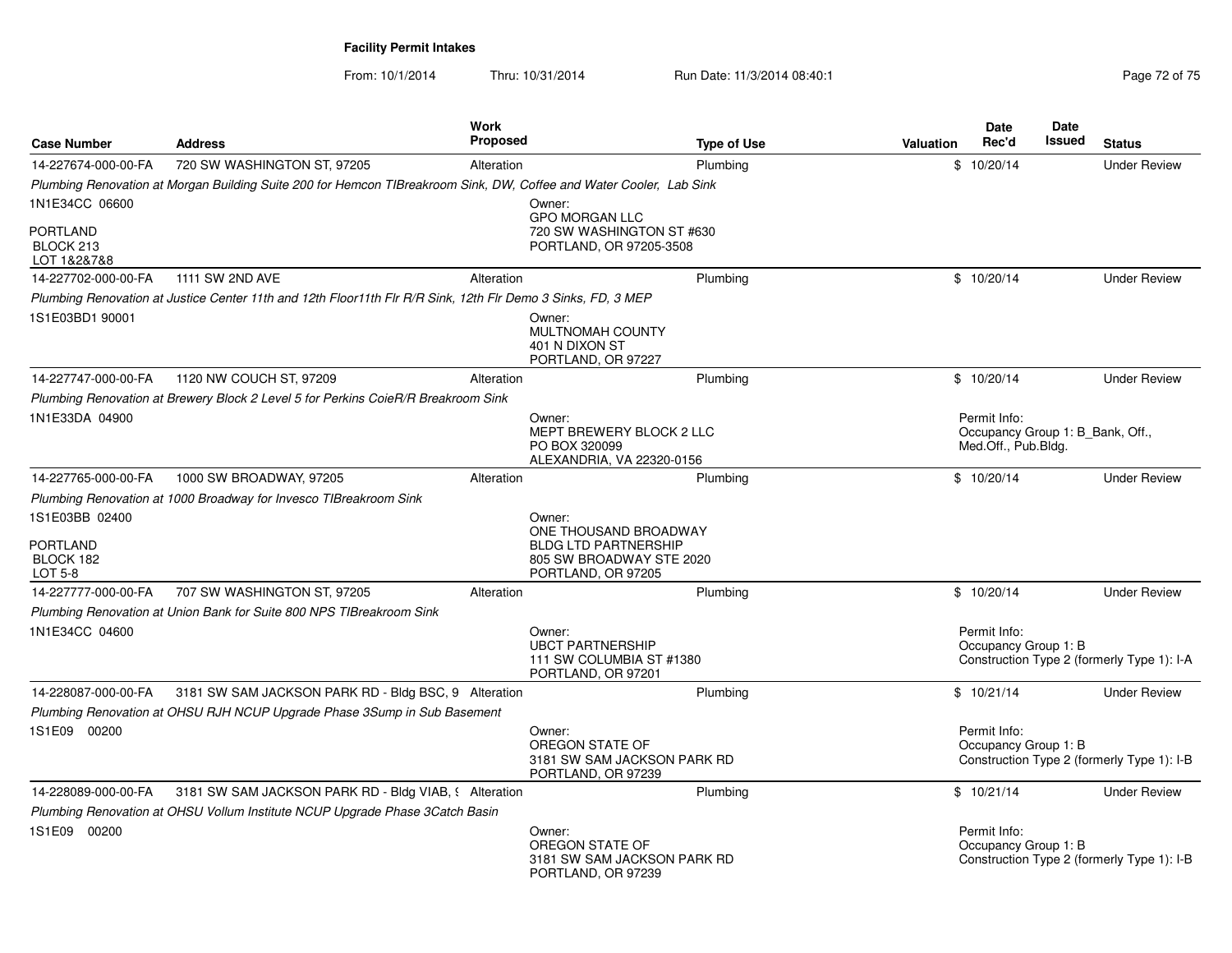| <b>Case Number</b>                                        | <b>Address</b>                                                                                                      | Work<br><b>Proposed</b> |                                                                                                                  | <b>Type of Use</b> | Valuation | <b>Date</b><br>Rec'd                                                    | <b>Date</b><br>Issued | <b>Status</b>                              |
|-----------------------------------------------------------|---------------------------------------------------------------------------------------------------------------------|-------------------------|------------------------------------------------------------------------------------------------------------------|--------------------|-----------|-------------------------------------------------------------------------|-----------------------|--------------------------------------------|
| 14-227674-000-00-FA                                       | 720 SW WASHINGTON ST, 97205                                                                                         | Alteration              |                                                                                                                  | Plumbing           |           | \$10/20/14                                                              |                       | <b>Under Review</b>                        |
|                                                           | Plumbing Renovation at Morgan Building Suite 200 for Hemcon TIBreakroom Sink, DW, Coffee and Water Cooler, Lab Sink |                         |                                                                                                                  |                    |           |                                                                         |                       |                                            |
| 1N1E34CC 06600                                            |                                                                                                                     |                         | Owner:                                                                                                           |                    |           |                                                                         |                       |                                            |
| PORTLAND<br>BLOCK 213<br>LOT 1&2&7&8                      |                                                                                                                     |                         | <b>GPO MORGAN LLC</b><br>720 SW WASHINGTON ST #630<br>PORTLAND, OR 97205-3508                                    |                    |           |                                                                         |                       |                                            |
| 14-227702-000-00-FA                                       | 1111 SW 2ND AVE                                                                                                     | Alteration              |                                                                                                                  | Plumbing           |           | \$10/20/14                                                              |                       | <b>Under Review</b>                        |
|                                                           | Plumbing Renovation at Justice Center 11th and 12th Floor11th Flr R/R Sink, 12th Flr Demo 3 Sinks, FD, 3 MEP        |                         |                                                                                                                  |                    |           |                                                                         |                       |                                            |
| 1S1E03BD1 90001                                           |                                                                                                                     |                         | Owner:<br><b>MULTNOMAH COUNTY</b><br>401 N DIXON ST<br>PORTLAND, OR 97227                                        |                    |           |                                                                         |                       |                                            |
| 14-227747-000-00-FA                                       | 1120 NW COUCH ST, 97209                                                                                             | Alteration              |                                                                                                                  | Plumbing           |           | \$10/20/14                                                              |                       | <b>Under Review</b>                        |
|                                                           | Plumbing Renovation at Brewery Block 2 Level 5 for Perkins CoieR/R Breakroom Sink                                   |                         |                                                                                                                  |                    |           |                                                                         |                       |                                            |
| 1N1E33DA 04900                                            |                                                                                                                     |                         | Owner:<br>MEPT BREWERY BLOCK 2 LLC<br>PO BOX 320099<br>ALEXANDRIA, VA 22320-0156                                 |                    |           | Permit Info:<br>Occupancy Group 1: B_Bank, Off.,<br>Med.Off., Pub.Bldg. |                       |                                            |
| 14-227765-000-00-FA                                       | 1000 SW BROADWAY, 97205                                                                                             | Alteration              |                                                                                                                  | Plumbing           |           | \$10/20/14                                                              |                       | <b>Under Review</b>                        |
|                                                           | Plumbing Renovation at 1000 Broadway for Invesco TIBreakroom Sink                                                   |                         |                                                                                                                  |                    |           |                                                                         |                       |                                            |
| 1S1E03BB 02400<br><b>PORTLAND</b><br>BLOCK 182<br>LOT 5-8 |                                                                                                                     |                         | Owner:<br>ONE THOUSAND BROADWAY<br><b>BLDG LTD PARTNERSHIP</b><br>805 SW BROADWAY STE 2020<br>PORTLAND, OR 97205 |                    |           |                                                                         |                       |                                            |
| 14-227777-000-00-FA                                       | 707 SW WASHINGTON ST, 97205                                                                                         | Alteration              |                                                                                                                  | Plumbing           |           | \$10/20/14                                                              |                       | <b>Under Review</b>                        |
|                                                           | Plumbing Renovation at Union Bank for Suite 800 NPS TIBreakroom Sink                                                |                         |                                                                                                                  |                    |           |                                                                         |                       |                                            |
| 1N1E34CC 04600                                            |                                                                                                                     |                         | Owner:<br><b>UBCT PARTNERSHIP</b><br>111 SW COLUMBIA ST #1380<br>PORTLAND, OR 97201                              |                    |           | Permit Info:<br>Occupancy Group 1: B                                    |                       | Construction Type 2 (formerly Type 1): I-A |
| 14-228087-000-00-FA                                       | 3181 SW SAM JACKSON PARK RD - Bldg BSC, 9 Alteration                                                                |                         |                                                                                                                  | Plumbing           |           | \$10/21/14                                                              |                       | <b>Under Review</b>                        |
|                                                           | Plumbing Renovation at OHSU RJH NCUP Upgrade Phase 3Sump in Sub Basement                                            |                         |                                                                                                                  |                    |           |                                                                         |                       |                                            |
| 1S1E09 00200                                              |                                                                                                                     |                         | Owner:<br>OREGON STATE OF<br>3181 SW SAM JACKSON PARK RD<br>PORTLAND, OR 97239                                   |                    |           | Permit Info:<br>Occupancy Group 1: B                                    |                       | Construction Type 2 (formerly Type 1): I-B |
| 14-228089-000-00-FA                                       | 3181 SW SAM JACKSON PARK RD - Bldg VIAB, § Alteration                                                               |                         |                                                                                                                  | Plumbing           |           | \$10/21/14                                                              |                       | <b>Under Review</b>                        |
|                                                           | Plumbing Renovation at OHSU Vollum Institute NCUP Upgrade Phase 3Catch Basin                                        |                         |                                                                                                                  |                    |           |                                                                         |                       |                                            |
| 1S1E09 00200                                              |                                                                                                                     |                         | Owner:<br>OREGON STATE OF<br>3181 SW SAM JACKSON PARK RD<br>PORTLAND, OR 97239                                   |                    |           | Permit Info:<br>Occupancy Group 1: B                                    |                       | Construction Type 2 (formerly Type 1): I-B |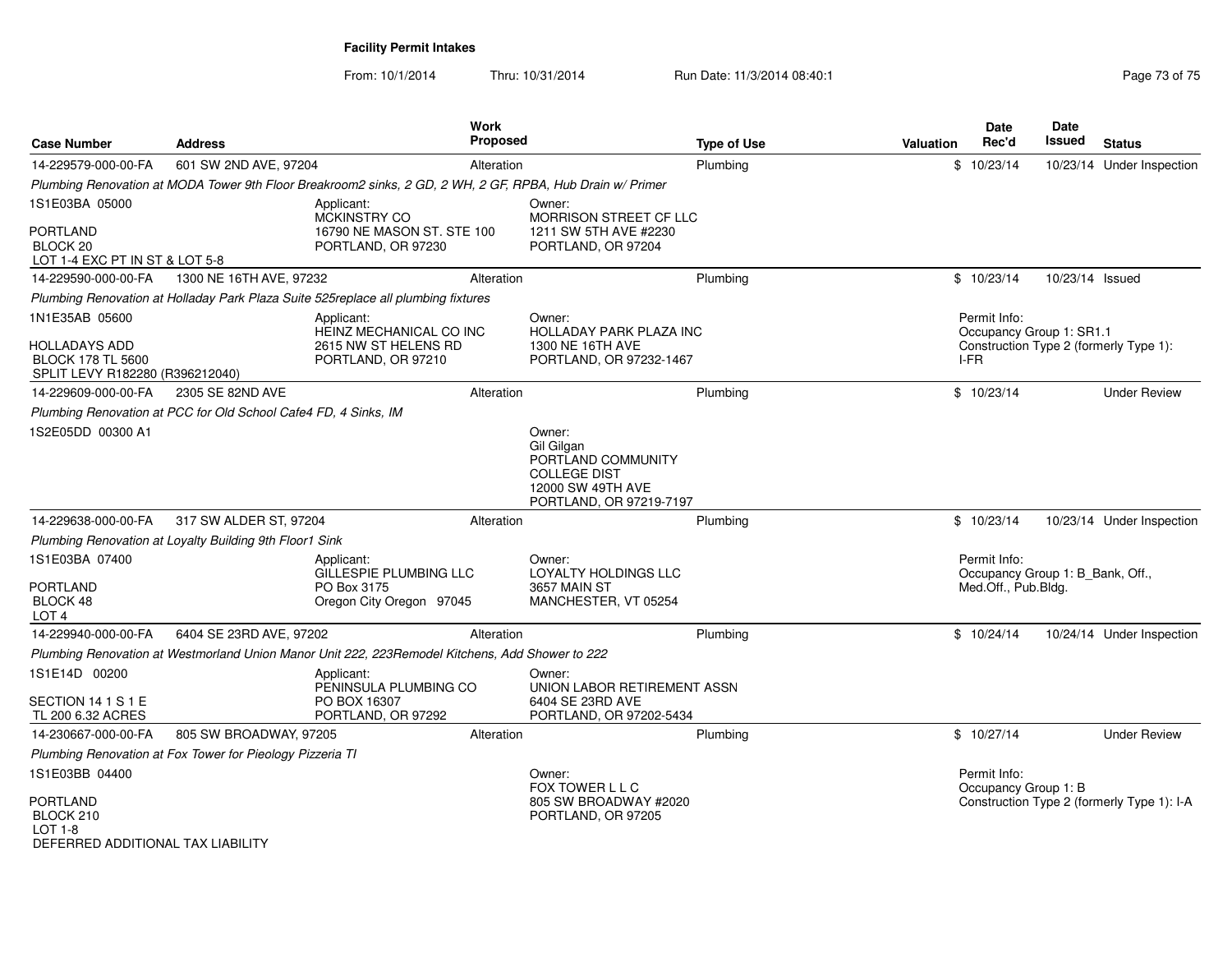**Facility Permit Intakes**

| <b>Case Number</b>                                                           | <b>Address</b>                                                  | <b>Work</b><br><b>Proposed</b>                                                                            |                                                                                                                   | <b>Type of Use</b> | <b>Valuation</b> | <b>Date</b><br>Rec'd                                                    | Date<br>Issued  | <b>Status</b>                              |
|------------------------------------------------------------------------------|-----------------------------------------------------------------|-----------------------------------------------------------------------------------------------------------|-------------------------------------------------------------------------------------------------------------------|--------------------|------------------|-------------------------------------------------------------------------|-----------------|--------------------------------------------|
| 14-229579-000-00-FA                                                          | 601 SW 2ND AVE, 97204                                           | Alteration                                                                                                |                                                                                                                   | Plumbing           |                  | \$10/23/14                                                              |                 | 10/23/14 Under Inspection                  |
|                                                                              |                                                                 | Plumbing Renovation at MODA Tower 9th Floor Breakroom2 sinks, 2 GD, 2 WH, 2 GF, RPBA, Hub Drain w/ Primer |                                                                                                                   |                    |                  |                                                                         |                 |                                            |
| 1S1E03BA 05000                                                               |                                                                 | Applicant:<br>MCKINSTRY CO                                                                                | Owner:<br>MORRISON STREET CF LLC                                                                                  |                    |                  |                                                                         |                 |                                            |
| PORTLAND<br>BLOCK <sub>20</sub><br>LOT 1-4 EXC PT IN ST & LOT 5-8            |                                                                 | 16790 NE MASON ST. STE 100<br>PORTLAND, OR 97230                                                          | 1211 SW 5TH AVE #2230<br>PORTLAND, OR 97204                                                                       |                    |                  |                                                                         |                 |                                            |
| 14-229590-000-00-FA                                                          | 1300 NE 16TH AVE, 97232                                         | Alteration                                                                                                |                                                                                                                   | Plumbing           |                  | \$10/23/14                                                              | 10/23/14 Issued |                                            |
|                                                                              |                                                                 | Plumbing Renovation at Holladay Park Plaza Suite 525replace all plumbing fixtures                         |                                                                                                                   |                    |                  |                                                                         |                 |                                            |
| 1N1E35AB 05600                                                               |                                                                 | Applicant:<br>HEINZ MECHANICAL CO INC                                                                     | Owner:<br>HOLLADAY PARK PLAZA INC                                                                                 |                    |                  | Permit Info:<br>Occupancy Group 1: SR1.1                                |                 |                                            |
| HOLLADAYS ADD<br><b>BLOCK 178 TL 5600</b><br>SPLIT LEVY R182280 (R396212040) |                                                                 | 2615 NW ST HELENS RD<br>PORTLAND, OR 97210                                                                | 1300 NE 16TH AVE<br>PORTLAND, OR 97232-1467                                                                       |                    |                  | I-FR                                                                    |                 | Construction Type 2 (formerly Type 1):     |
| 14-229609-000-00-FA                                                          | 2305 SE 82ND AVE                                                | Alteration                                                                                                |                                                                                                                   | Plumbing           |                  | \$10/23/14                                                              |                 | <b>Under Review</b>                        |
|                                                                              | Plumbing Renovation at PCC for Old School Cafe4 FD, 4 Sinks, IM |                                                                                                           |                                                                                                                   |                    |                  |                                                                         |                 |                                            |
| 1S2E05DD 00300 A1                                                            |                                                                 |                                                                                                           | Owner:<br>Gil Gilgan<br>PORTLAND COMMUNITY<br><b>COLLEGE DIST</b><br>12000 SW 49TH AVE<br>PORTLAND, OR 97219-7197 |                    |                  |                                                                         |                 |                                            |
| 14-229638-000-00-FA                                                          | 317 SW ALDER ST, 97204                                          | Alteration                                                                                                |                                                                                                                   | Plumbing           |                  | \$10/23/14                                                              |                 | 10/23/14 Under Inspection                  |
|                                                                              | Plumbing Renovation at Loyalty Building 9th Floor1 Sink         |                                                                                                           |                                                                                                                   |                    |                  |                                                                         |                 |                                            |
| 1S1E03BA 07400<br>PORTLAND<br>BLOCK 48<br>LOT <sub>4</sub>                   |                                                                 | Applicant:<br>GILLESPIE PLUMBING LLC<br>PO Box 3175<br>Oregon City Oregon 97045                           | Owner:<br><b>LOYALTY HOLDINGS LLC</b><br><b>3657 MAIN ST</b><br>MANCHESTER, VT 05254                              |                    |                  | Permit Info:<br>Occupancy Group 1: B_Bank, Off.,<br>Med.Off., Pub.Bldg. |                 |                                            |
| 14-229940-000-00-FA                                                          | 6404 SE 23RD AVE, 97202                                         | Alteration                                                                                                |                                                                                                                   | Plumbing           |                  | \$10/24/14                                                              |                 | 10/24/14 Under Inspection                  |
|                                                                              |                                                                 | Plumbing Renovation at Westmorland Union Manor Unit 222, 223Remodel Kitchens, Add Shower to 222           |                                                                                                                   |                    |                  |                                                                         |                 |                                            |
| 1S1E14D 00200                                                                |                                                                 | Applicant:<br>PENINSULA PLUMBING CO                                                                       | Owner:<br>UNION LABOR RETIREMENT ASSN                                                                             |                    |                  |                                                                         |                 |                                            |
| SECTION 14 1 S 1 E<br>TL 200 6.32 ACRES                                      |                                                                 | PO BOX 16307<br>PORTLAND, OR 97292                                                                        | 6404 SE 23RD AVE<br>PORTLAND, OR 97202-5434                                                                       |                    |                  |                                                                         |                 |                                            |
| 14-230667-000-00-FA                                                          | 805 SW BROADWAY, 97205                                          | Alteration                                                                                                |                                                                                                                   | Plumbing           |                  | \$10/27/14                                                              |                 | <b>Under Review</b>                        |
|                                                                              | Plumbing Renovation at Fox Tower for Pieology Pizzeria TI       |                                                                                                           |                                                                                                                   |                    |                  |                                                                         |                 |                                            |
| 1S1E03BB 04400                                                               |                                                                 |                                                                                                           | Owner:<br>FOX TOWER L L C                                                                                         |                    |                  | Permit Info:<br>Occupancy Group 1: B                                    |                 |                                            |
| PORTLAND<br>BLOCK 210<br>$LOT 1-8$<br>DEFERRED ADDITIONAL TAX LIABILITY      |                                                                 |                                                                                                           | 805 SW BROADWAY #2020<br>PORTLAND, OR 97205                                                                       |                    |                  |                                                                         |                 | Construction Type 2 (formerly Type 1): I-A |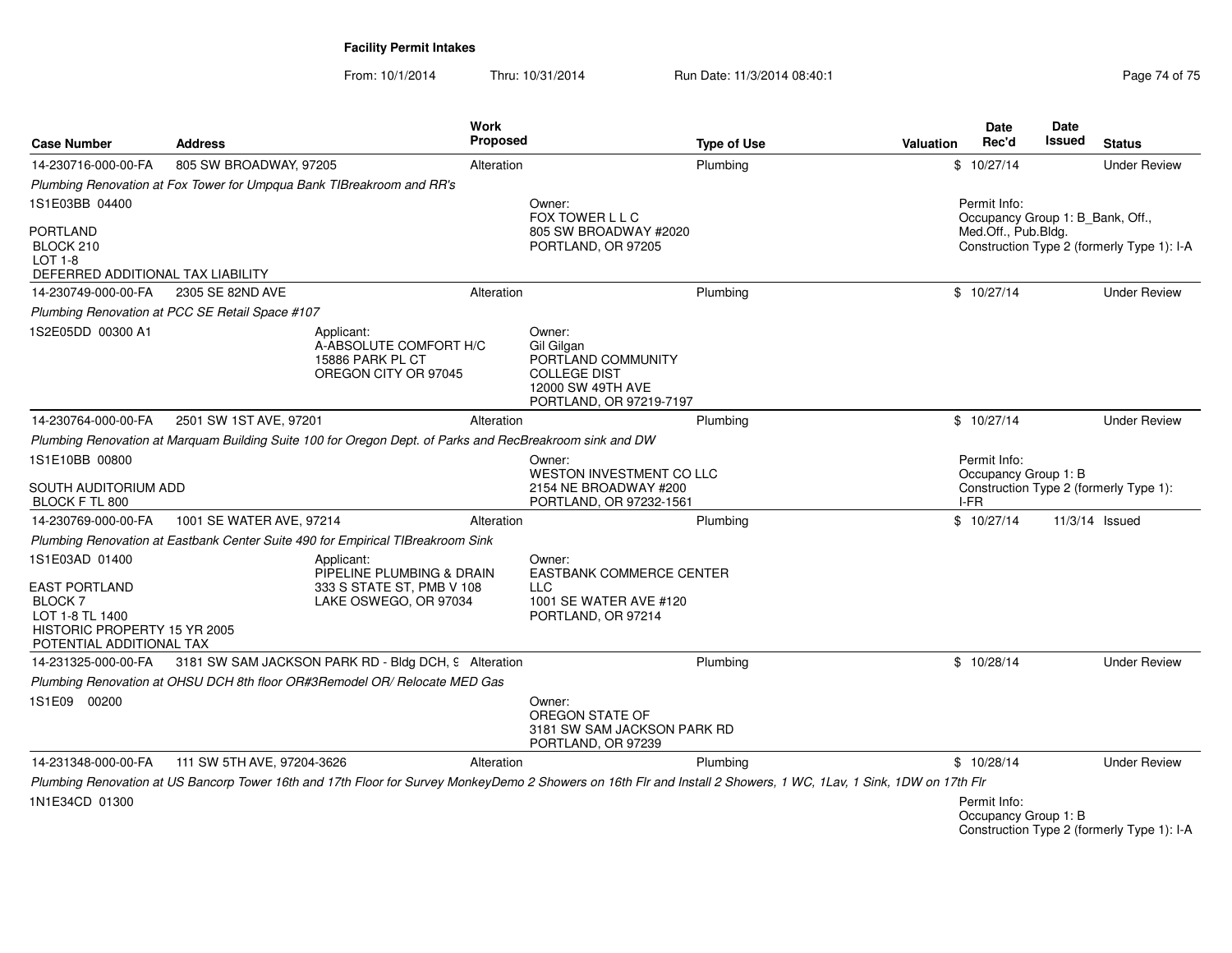**Facility Permit Intakes**

| <b>Case Number</b>                                                                                                                     | <b>Address</b>                                                                                                                                                     | Work<br>Proposed                                       |                                                                                                                   | <b>Type of Use</b> | <b>Valuation</b> | <b>Date</b><br>Rec'd                                    | Date<br>Issued | <b>Status</b>                              |
|----------------------------------------------------------------------------------------------------------------------------------------|--------------------------------------------------------------------------------------------------------------------------------------------------------------------|--------------------------------------------------------|-------------------------------------------------------------------------------------------------------------------|--------------------|------------------|---------------------------------------------------------|----------------|--------------------------------------------|
| 14-230716-000-00-FA                                                                                                                    | 805 SW BROADWAY, 97205                                                                                                                                             | Alteration                                             |                                                                                                                   | Plumbing           |                  | \$10/27/14                                              |                | <b>Under Review</b>                        |
|                                                                                                                                        | Plumbing Renovation at Fox Tower for Umpqua Bank TIBreakroom and RR's                                                                                              |                                                        |                                                                                                                   |                    |                  |                                                         |                |                                            |
| 1S1E03BB 04400                                                                                                                         |                                                                                                                                                                    |                                                        | Owner:                                                                                                            |                    |                  | Permit Info:                                            |                |                                            |
| <b>PORTLAND</b><br>BLOCK 210<br>$LOT 1-8$<br>DEFERRED ADDITIONAL TAX LIABILITY                                                         |                                                                                                                                                                    |                                                        | FOX TOWER L L C<br>805 SW BROADWAY #2020<br>PORTLAND, OR 97205                                                    |                    |                  | Occupancy Group 1: B Bank, Off.,<br>Med.Off., Pub.Bldg. |                | Construction Type 2 (formerly Type 1): I-A |
| 14-230749-000-00-FA                                                                                                                    | 2305 SE 82ND AVE                                                                                                                                                   | Alteration                                             |                                                                                                                   | Plumbing           |                  | \$10/27/14                                              |                | <b>Under Review</b>                        |
|                                                                                                                                        | Plumbing Renovation at PCC SE Retail Space #107                                                                                                                    |                                                        |                                                                                                                   |                    |                  |                                                         |                |                                            |
| 1S2E05DD 00300 A1                                                                                                                      | Applicant:<br>15886 PARK PL CT<br>OREGON CITY OR 97045                                                                                                             | A-ABSOLUTE COMFORT H/C                                 | Owner:<br>Gil Gilgan<br>PORTLAND COMMUNITY<br><b>COLLEGE DIST</b><br>12000 SW 49TH AVE<br>PORTLAND, OR 97219-7197 |                    |                  |                                                         |                |                                            |
| 14-230764-000-00-FA                                                                                                                    | 2501 SW 1ST AVE, 97201                                                                                                                                             | Alteration                                             |                                                                                                                   | Plumbing           |                  | \$10/27/14                                              |                | <b>Under Review</b>                        |
|                                                                                                                                        | Plumbing Renovation at Marquam Building Suite 100 for Oregon Dept. of Parks and RecBreakroom sink and DW                                                           |                                                        |                                                                                                                   |                    |                  |                                                         |                |                                            |
| 1S1E10BB 00800<br>SOUTH AUDITORIUM ADD<br>BLOCK F TL 800                                                                               |                                                                                                                                                                    |                                                        | Owner:<br><b>WESTON INVESTMENT CO LLC</b><br>2154 NE BROADWAY #200<br>PORTLAND, OR 97232-1561                     |                    |                  | Permit Info:<br>Occupancy Group 1: B<br>I-FR            |                | Construction Type 2 (formerly Type 1):     |
| 14-230769-000-00-FA                                                                                                                    | 1001 SE WATER AVE, 97214                                                                                                                                           | Alteration                                             |                                                                                                                   | Plumbing           |                  | \$10/27/14                                              |                | 11/3/14 Issued                             |
|                                                                                                                                        | Plumbing Renovation at Eastbank Center Suite 490 for Empirical TIBreakroom Sink                                                                                    |                                                        |                                                                                                                   |                    |                  |                                                         |                |                                            |
| 1S1E03AD 01400<br><b>EAST PORTLAND</b><br><b>BLOCK7</b><br>LOT 1-8 TL 1400<br>HISTORIC PROPERTY 15 YR 2005<br>POTENTIAL ADDITIONAL TAX | Applicant:<br>LAKE OSWEGO, OR 97034                                                                                                                                | PIPELINE PLUMBING & DRAIN<br>333 S STATE ST, PMB V 108 | Owner:<br><b>EASTBANK COMMERCE CENTER</b><br><b>LLC</b><br>1001 SE WATER AVE #120<br>PORTLAND, OR 97214           |                    |                  |                                                         |                |                                            |
| 14-231325-000-00-FA                                                                                                                    | 3181 SW SAM JACKSON PARK RD - Bldg DCH, 9 Alteration                                                                                                               |                                                        |                                                                                                                   | Plumbing           |                  | \$10/28/14                                              |                | <b>Under Review</b>                        |
|                                                                                                                                        | Plumbing Renovation at OHSU DCH 8th floor OR#3Remodel OR/ Relocate MED Gas                                                                                         |                                                        |                                                                                                                   |                    |                  |                                                         |                |                                            |
| 1S1E09 00200                                                                                                                           |                                                                                                                                                                    |                                                        | Owner:<br>OREGON STATE OF<br>3181 SW SAM JACKSON PARK RD<br>PORTLAND, OR 97239                                    |                    |                  |                                                         |                |                                            |
| 14-231348-000-00-FA                                                                                                                    | 111 SW 5TH AVE, 97204-3626                                                                                                                                         | Alteration                                             |                                                                                                                   | Plumbing           |                  | \$10/28/14                                              |                | <b>Under Review</b>                        |
| 1N1E34CD 01300                                                                                                                         | Plumbing Renovation at US Bancorp Tower 16th and 17th Floor for Survey MonkeyDemo 2 Showers on 16th Flr and Install 2 Showers, 1 WC, 1Lav, 1 Sink, 1DW on 17th Flr |                                                        |                                                                                                                   |                    |                  | Permit Info:<br>Occupancy Group 1: B                    |                | Construction Type 2 (formerly Type 1): I-A |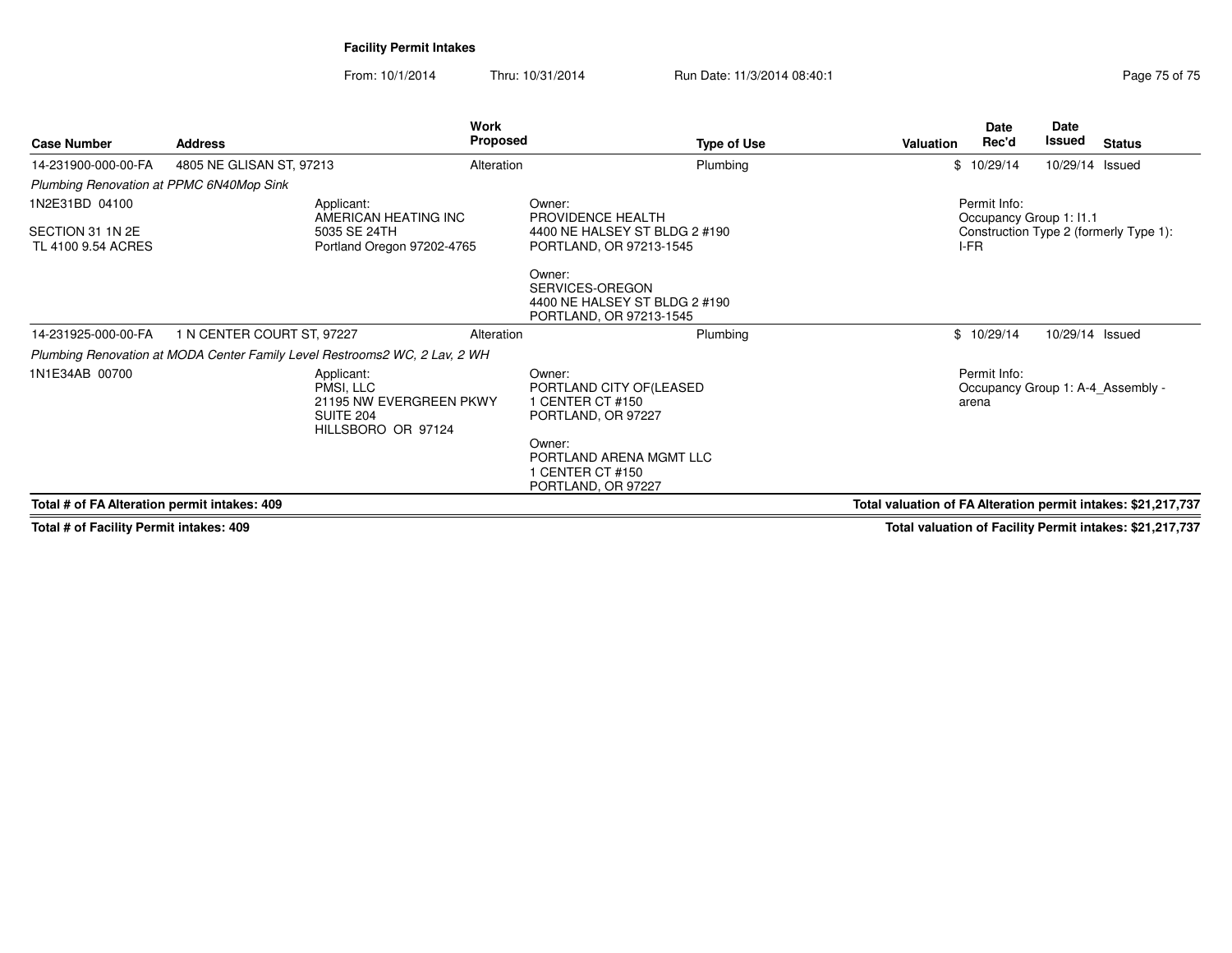**Facility Permit Intakes**

From: 10/1/2014Thru: 10/31/2014 Run Date: 11/3/2014 08:40:1

|                                              |                                                                            | <b>Work</b>                                                                                  |                                                                                       |                                                               | Date                                    | Date            |                                        |
|----------------------------------------------|----------------------------------------------------------------------------|----------------------------------------------------------------------------------------------|---------------------------------------------------------------------------------------|---------------------------------------------------------------|-----------------------------------------|-----------------|----------------------------------------|
| <b>Case Number</b>                           | <b>Address</b>                                                             | <b>Proposed</b>                                                                              | <b>Type of Use</b>                                                                    | Valuation                                                     | Rec'd                                   | Issued          | <b>Status</b>                          |
| 14-231900-000-00-FA                          | 4805 NE GLISAN ST, 97213                                                   | Alteration                                                                                   | Plumbing                                                                              |                                                               | \$10/29/14                              | 10/29/14 Issued |                                        |
| Plumbing Renovation at PPMC 6N40Mop Sink     |                                                                            |                                                                                              |                                                                                       |                                                               |                                         |                 |                                        |
| 1N2E31BD 04100                               |                                                                            | Applicant:<br>AMERICAN HEATING INC                                                           | Owner:<br>PROVIDENCE HEALTH                                                           |                                                               | Permit Info:<br>Occupancy Group 1: 11.1 |                 |                                        |
| SECTION 31 1N 2E<br>TL 4100 9.54 ACRES       |                                                                            | 5035 SE 24TH<br>Portland Oregon 97202-4765                                                   | 4400 NE HALSEY ST BLDG 2 #190<br>PORTLAND, OR 97213-1545                              | I-FR                                                          |                                         |                 | Construction Type 2 (formerly Type 1): |
|                                              |                                                                            |                                                                                              | Owner:<br>SERVICES-OREGON<br>4400 NE HALSEY ST BLDG 2 #190<br>PORTLAND, OR 97213-1545 |                                                               |                                         |                 |                                        |
| 14-231925-000-00-FA                          | 1 N CENTER COURT ST, 97227                                                 | Alteration                                                                                   | Plumbing                                                                              |                                                               | \$10/29/14                              | 10/29/14 Issued |                                        |
|                                              | Plumbing Renovation at MODA Center Family Level Restrooms2 WC, 2 Lav, 2 WH |                                                                                              |                                                                                       |                                                               |                                         |                 |                                        |
| 1N1E34AB 00700                               |                                                                            | Applicant:<br>PMSI, LLC<br>21195 NW EVERGREEN PKWY<br><b>SUITE 204</b><br>HILLSBORO OR 97124 | Owner:<br>PORTLAND CITY OF (LEASED<br>1 CENTER CT #150<br>PORTLAND, OR 97227          |                                                               | Permit Info:<br>arena                   |                 | Occupancy Group 1: A-4 Assembly -      |
|                                              |                                                                            |                                                                                              | Owner:<br>PORTLAND ARENA MGMT LLC<br>1 CENTER CT #150<br>PORTLAND, OR 97227           |                                                               |                                         |                 |                                        |
| Total # of FA Alteration permit intakes: 409 |                                                                            |                                                                                              |                                                                                       | Total valuation of FA Alteration permit intakes: \$21,217,737 |                                         |                 |                                        |

**Total # of Facility Permit intakes: 409**

**Total valuation of Facility Permit intakes: \$21,217,737**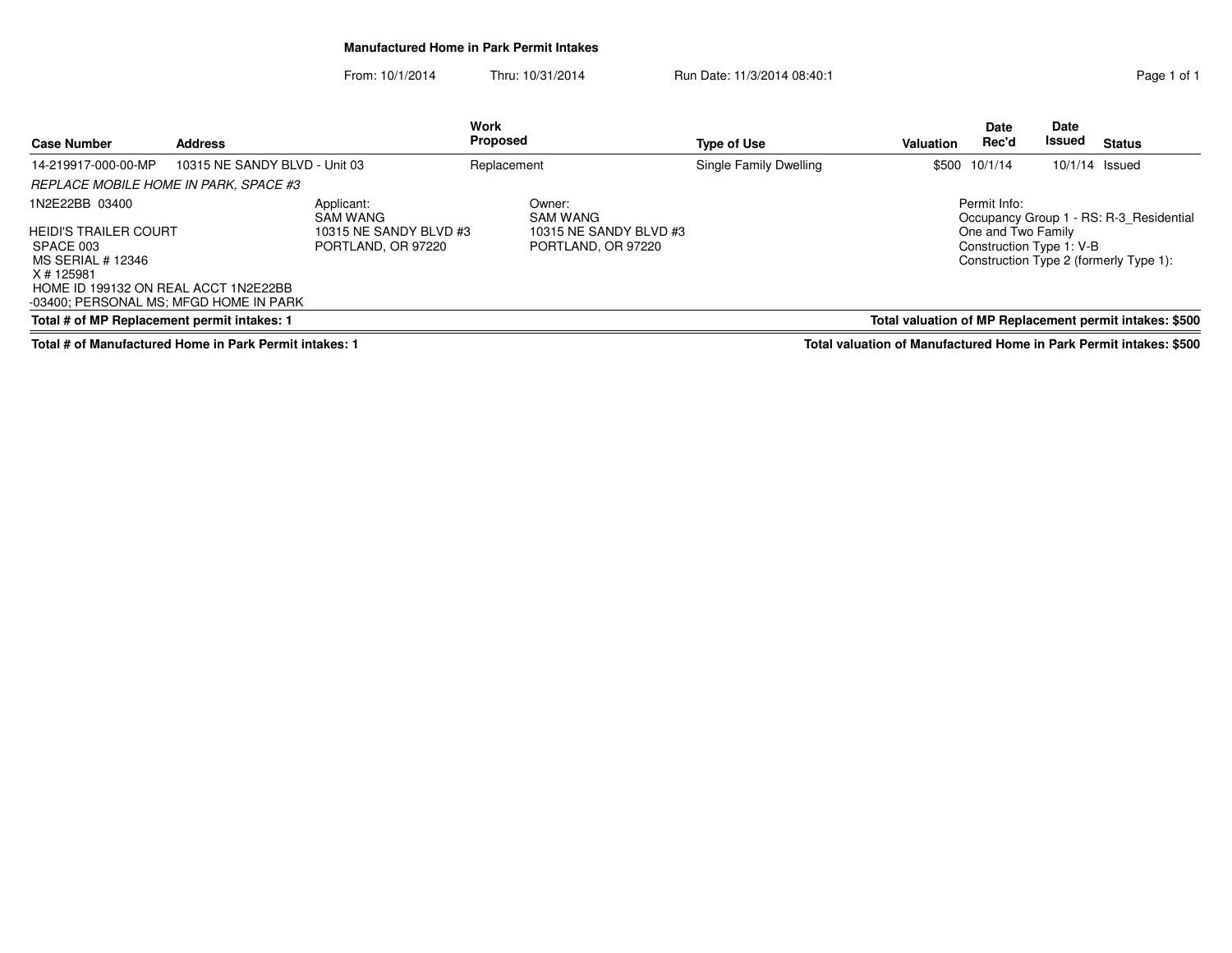#### **Manufactured Home in Park Permit Intakes**

From: 10/1/2014Thru: 10/31/2014 Run Date: 11/3/2014 08:40:1<br>
Page 1 of 1

|                                                                                              |                               |                                              | Work            |                                              |                        |                  |                      | Date                     |                                                         |
|----------------------------------------------------------------------------------------------|-------------------------------|----------------------------------------------|-----------------|----------------------------------------------|------------------------|------------------|----------------------|--------------------------|---------------------------------------------------------|
| <b>Case Number</b>                                                                           | <b>Address</b>                |                                              | <b>Proposed</b> |                                              | <b>Type of Use</b>     | <b>Valuation</b> | <b>Date</b><br>Rec'd | Issued                   | <b>Status</b>                                           |
| 14-219917-000-00-MP                                                                          | 10315 NE SANDY BLVD - Unit 03 |                                              | Replacement     |                                              | Single Family Dwelling |                  | \$500 10/1/14        | 10/1/14 Issued           |                                                         |
| REPLACE MOBILE HOME IN PARK, SPACE #3                                                        |                               |                                              |                 |                                              |                        |                  |                      |                          |                                                         |
| 1N2E22BB 03400                                                                               |                               | Applicant:<br>SAM WANG                       |                 | Owner:<br><b>SAM WANG</b>                    |                        |                  | Permit Info:         |                          | Occupancy Group 1 - RS: R-3 Residential                 |
| HEIDI'S TRAILER COURT<br>SPACE 003<br>MS SERIAL # 12346                                      |                               | 10315 NE SANDY BLVD #3<br>PORTLAND, OR 97220 |                 | 10315 NE SANDY BLVD #3<br>PORTLAND, OR 97220 |                        |                  | One and Two Family   | Construction Type 1: V-B | Construction Type 2 (formerly Type 1):                  |
| X # 125981<br>HOME ID 199132 ON REAL ACCT 1N2E22BB<br>-03400; PERSONAL MS; MFGD HOME IN PARK |                               |                                              |                 |                                              |                        |                  |                      |                          |                                                         |
| Total # of MP Replacement permit intakes: 1                                                  |                               |                                              |                 |                                              |                        |                  |                      |                          | Total valuation of MP Replacement permit intakes: \$500 |
|                                                                                              |                               |                                              |                 |                                              |                        |                  |                      |                          |                                                         |

**Total # of Manufactured Home in Park Permit intakes: 1**

**Total valuation of Manufactured Home in Park Permit intakes: \$500**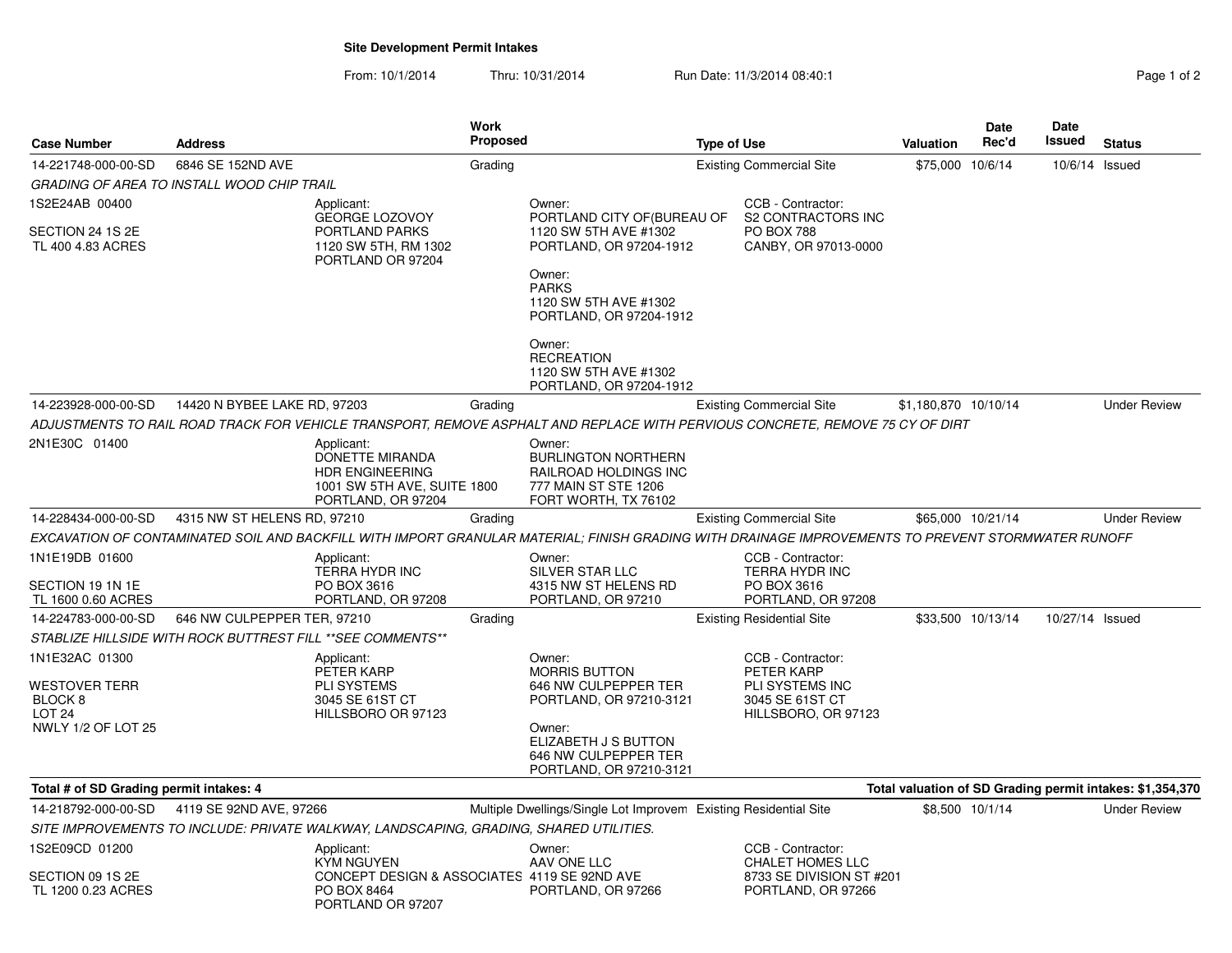## **Site Development Permit Intakes**

From: 10/1/2014Thru: 10/31/2014 **Run Date: 11/3/2014 08:40:1 Report 20:12** Page 1 of

| Page 1 of 2 |  |  |
|-------------|--|--|
|             |  |  |

| <b>Case Number</b>                                                     |                                                                                                                                                                                                                                                                                                                                                                                                                                                                        |                                                                                                                     | Work<br>Proposed |                                                                                                               | <b>Type of Use</b> |                                                                                              | Valuation            | Date<br>Rec'd     | Date<br><b>Issued</b> | <b>Status</b>                                             |
|------------------------------------------------------------------------|------------------------------------------------------------------------------------------------------------------------------------------------------------------------------------------------------------------------------------------------------------------------------------------------------------------------------------------------------------------------------------------------------------------------------------------------------------------------|---------------------------------------------------------------------------------------------------------------------|------------------|---------------------------------------------------------------------------------------------------------------|--------------------|----------------------------------------------------------------------------------------------|----------------------|-------------------|-----------------------|-----------------------------------------------------------|
| 14-221748-000-00-SD                                                    | <b>Address</b><br>6846 SE 152ND AVE<br>GRADING OF AREA TO INSTALL WOOD CHIP TRAIL<br>14420 N BYBEE LAKE RD, 97203<br>ADJUSTMENTS TO RAIL ROAD TRACK FOR VEHICLE TRANSPORT, REMOVE ASPHALT AND REPLACE WITH PERVIOUS CONCRETE, REMOVE 75 CY OF DIRT<br>4315 NW ST HELENS RD, 97210<br>EXCAVATION OF CONTAMINATED SOIL AND BACKFILL WITH IMPORT GRANULAR MATERIAL; FINISH GRADING WITH DRAINAGE IMPROVEMENTS TO PREVENT STORMWATER RUNOFF<br>646 NW CULPEPPER TER, 97210 |                                                                                                                     | Grading          |                                                                                                               |                    | <b>Existing Commercial Site</b>                                                              | \$75,000 10/6/14     |                   | 10/6/14 Issued        |                                                           |
|                                                                        |                                                                                                                                                                                                                                                                                                                                                                                                                                                                        |                                                                                                                     |                  |                                                                                                               |                    |                                                                                              |                      |                   |                       |                                                           |
| 1S2E24AB 00400                                                         |                                                                                                                                                                                                                                                                                                                                                                                                                                                                        | Applicant:<br><b>GEORGE LOZOVOY</b>                                                                                 |                  | Owner:<br>PORTLAND CITY OF (BUREAU OF                                                                         |                    | CCB - Contractor:<br>S2 CONTRACTORS INC                                                      |                      |                   |                       |                                                           |
| SECTION 24 1S 2E<br>TL 400 4.83 ACRES                                  |                                                                                                                                                                                                                                                                                                                                                                                                                                                                        | PORTLAND PARKS<br>1120 SW 5TH, RM 1302<br>PORTLAND OR 97204                                                         |                  | 1120 SW 5TH AVE #1302<br>PORTLAND, OR 97204-1912                                                              |                    | <b>PO BOX 788</b><br>CANBY, OR 97013-0000                                                    |                      |                   |                       |                                                           |
|                                                                        |                                                                                                                                                                                                                                                                                                                                                                                                                                                                        |                                                                                                                     |                  | Owner:<br><b>PARKS</b><br>1120 SW 5TH AVE #1302<br>PORTLAND, OR 97204-1912                                    |                    |                                                                                              |                      |                   |                       |                                                           |
|                                                                        |                                                                                                                                                                                                                                                                                                                                                                                                                                                                        |                                                                                                                     |                  | Owner:<br><b>RECREATION</b><br>1120 SW 5TH AVE #1302<br>PORTLAND, OR 97204-1912                               |                    |                                                                                              |                      |                   |                       |                                                           |
| 14-223928-000-00-SD                                                    |                                                                                                                                                                                                                                                                                                                                                                                                                                                                        |                                                                                                                     | Grading          |                                                                                                               |                    | <b>Existing Commercial Site</b>                                                              | \$1,180,870 10/10/14 |                   |                       | <b>Under Review</b>                                       |
|                                                                        |                                                                                                                                                                                                                                                                                                                                                                                                                                                                        |                                                                                                                     |                  |                                                                                                               |                    |                                                                                              |                      |                   |                       |                                                           |
| 2N1E30C 01400                                                          |                                                                                                                                                                                                                                                                                                                                                                                                                                                                        | Applicant:<br><b>DONETTE MIRANDA</b><br><b>HDR ENGINEERING</b><br>1001 SW 5TH AVE, SUITE 1800<br>PORTLAND, OR 97204 |                  | Owner:<br><b>BURLINGTON NORTHERN</b><br>RAILROAD HOLDINGS INC<br>777 MAIN ST STE 1206<br>FORT WORTH, TX 76102 |                    |                                                                                              |                      |                   |                       |                                                           |
| 14-228434-000-00-SD                                                    |                                                                                                                                                                                                                                                                                                                                                                                                                                                                        |                                                                                                                     | Grading          |                                                                                                               |                    | <b>Existing Commercial Site</b>                                                              |                      | \$65,000 10/21/14 |                       | <b>Under Review</b>                                       |
|                                                                        |                                                                                                                                                                                                                                                                                                                                                                                                                                                                        |                                                                                                                     |                  |                                                                                                               |                    |                                                                                              |                      |                   |                       |                                                           |
| 1N1E19DB 01600                                                         |                                                                                                                                                                                                                                                                                                                                                                                                                                                                        | Applicant:<br><b>TERRA HYDR INC</b>                                                                                 |                  | Owner:<br>SILVER STAR LLC                                                                                     |                    | CCB - Contractor:<br><b>TERRA HYDR INC</b>                                                   |                      |                   |                       |                                                           |
| SECTION 19 1N 1E<br>TL 1600 0.60 ACRES                                 |                                                                                                                                                                                                                                                                                                                                                                                                                                                                        | PO BOX 3616<br>PORTLAND, OR 97208                                                                                   |                  | 4315 NW ST HELENS RD<br>PORTLAND, OR 97210                                                                    |                    | PO BOX 3616<br>PORTLAND, OR 97208                                                            |                      |                   |                       |                                                           |
| 14-224783-000-00-SD                                                    |                                                                                                                                                                                                                                                                                                                                                                                                                                                                        |                                                                                                                     | Grading          |                                                                                                               |                    | <b>Existing Residential Site</b>                                                             |                      | \$33,500 10/13/14 | 10/27/14 Issued       |                                                           |
|                                                                        | STABLIZE HILLSIDE WITH ROCK BUTTREST FILL ** SEE COMMENTS**                                                                                                                                                                                                                                                                                                                                                                                                            |                                                                                                                     |                  |                                                                                                               |                    |                                                                                              |                      |                   |                       |                                                           |
| 1N1E32AC 01300<br>WESTOVER TERR<br><b>BLOCK 8</b><br>LOT <sub>24</sub> |                                                                                                                                                                                                                                                                                                                                                                                                                                                                        | Applicant:<br>PETER KARP<br><b>PLI SYSTEMS</b><br>3045 SE 61ST CT<br>HILLSBORO OR 97123                             |                  | Owner:<br><b>MORRIS BUTTON</b><br>646 NW CULPEPPER TER<br>PORTLAND, OR 97210-3121                             |                    | CCB - Contractor:<br>PETER KARP<br>PLI SYSTEMS INC<br>3045 SE 61ST CT<br>HILLSBORO, OR 97123 |                      |                   |                       |                                                           |
| NWLY 1/2 OF LOT 25                                                     |                                                                                                                                                                                                                                                                                                                                                                                                                                                                        |                                                                                                                     |                  | Owner:<br>ELIZABETH J S BUTTON<br>646 NW CULPEPPER TER<br>PORTLAND, OR 97210-3121                             |                    |                                                                                              |                      |                   |                       |                                                           |
| Total # of SD Grading permit intakes: 4                                |                                                                                                                                                                                                                                                                                                                                                                                                                                                                        |                                                                                                                     |                  |                                                                                                               |                    |                                                                                              |                      |                   |                       | Total valuation of SD Grading permit intakes: \$1,354,370 |
| 14-218792-000-00-SD                                                    | 4119 SE 92ND AVE, 97266                                                                                                                                                                                                                                                                                                                                                                                                                                                |                                                                                                                     |                  | Multiple Dwellings/Single Lot Improvem Existing Residential Site                                              |                    |                                                                                              |                      | \$8,500 10/1/14   |                       | <b>Under Review</b>                                       |
|                                                                        |                                                                                                                                                                                                                                                                                                                                                                                                                                                                        | SITE IMPROVEMENTS TO INCLUDE: PRIVATE WALKWAY, LANDSCAPING, GRADING, SHARED UTILITIES.                              |                  |                                                                                                               |                    |                                                                                              |                      |                   |                       |                                                           |
| 1S2E09CD 01200                                                         |                                                                                                                                                                                                                                                                                                                                                                                                                                                                        | Applicant:<br><b>KYM NGUYEN</b>                                                                                     |                  | Owner:<br>AAV ONE LLC                                                                                         |                    | CCB - Contractor:<br><b>CHALET HOMES LLC</b>                                                 |                      |                   |                       |                                                           |
| SECTION 09 1S 2E<br>TL 1200 0.23 ACRES                                 |                                                                                                                                                                                                                                                                                                                                                                                                                                                                        | CONCEPT DESIGN & ASSOCIATES 4119 SE 92ND AVE<br>PO BOX 8464<br>PORTLAND OR 97207                                    |                  | PORTLAND, OR 97266                                                                                            |                    | 8733 SE DIVISION ST #201<br>PORTLAND, OR 97266                                               |                      |                   |                       |                                                           |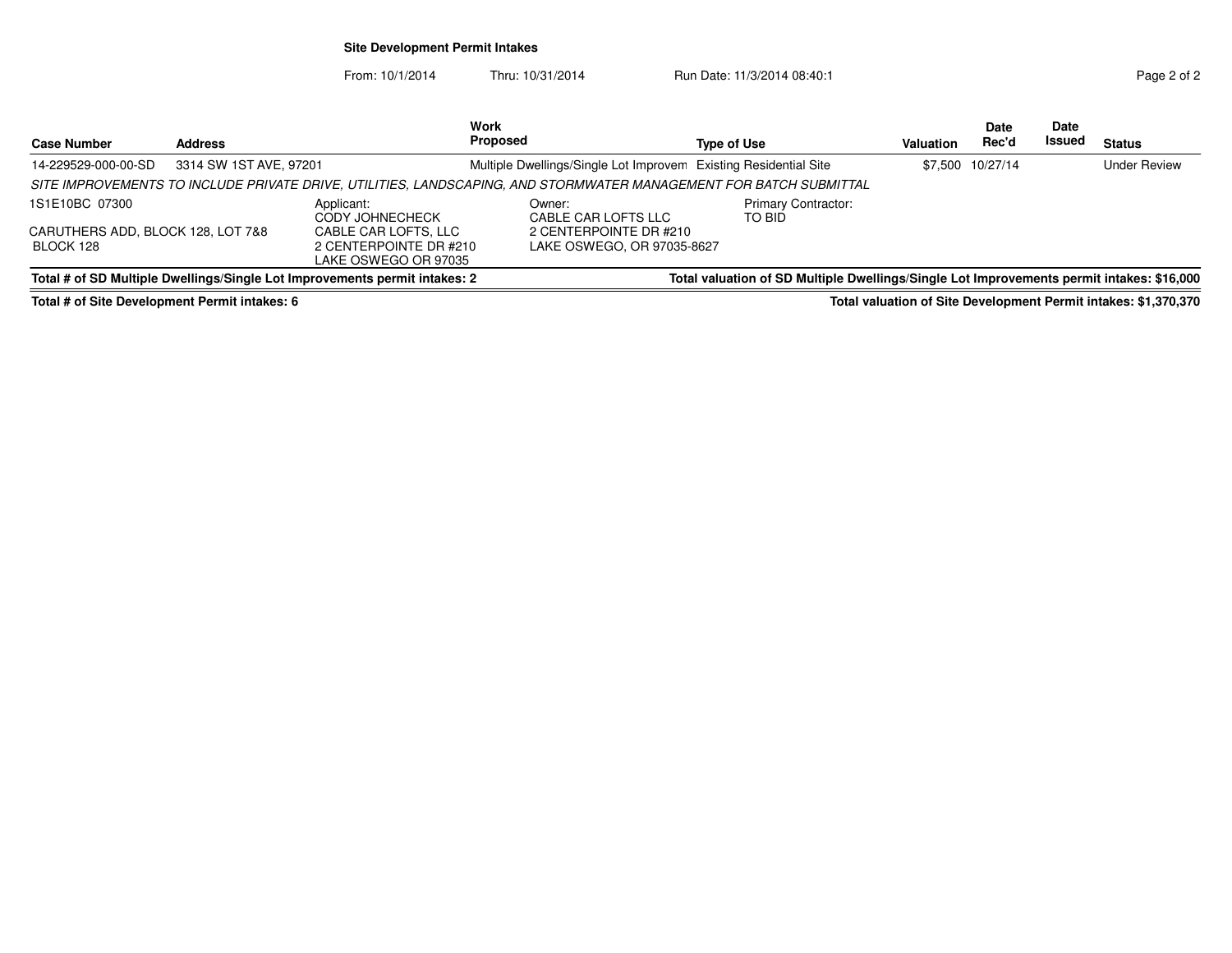## **Site Development Permit Intakes**

From: 10/1/2014Thru: 10/31/2014 Run Date: 11/3/2014 08:40:1

|                                   |                        |                                                                            | Work                                                                                                              |                                                                                           |           | Date             | <b>Date</b> |                     |
|-----------------------------------|------------------------|----------------------------------------------------------------------------|-------------------------------------------------------------------------------------------------------------------|-------------------------------------------------------------------------------------------|-----------|------------------|-------------|---------------------|
| <b>Case Number</b>                | <b>Address</b>         |                                                                            | <b>Proposed</b>                                                                                                   | Type of Use                                                                               | Valuation | Rec'd            | Issued      | <b>Status</b>       |
| 14-229529-000-00-SD               | 3314 SW 1ST AVE, 97201 |                                                                            | Multiple Dwellings/Single Lot Improvem Existing Residential Site                                                  |                                                                                           |           | \$7,500 10/27/14 |             | <b>Under Review</b> |
|                                   |                        |                                                                            | SITE IMPROVEMENTS TO INCLUDE PRIVATE DRIVE, UTILITIES, LANDSCAPING, AND STORMWATER MANAGEMENT FOR BATCH SUBMITTAL |                                                                                           |           |                  |             |                     |
| 1S1E10BC 07300                    |                        | Applicant:<br>CODY JOHNECHECK                                              | Owner:<br>CABLE CAR LOFTS LLC                                                                                     | <b>Primary Contractor:</b><br>TO BID                                                      |           |                  |             |                     |
| CARUTHERS ADD, BLOCK 128, LOT 7&8 |                        | CABLE CAR LOFTS, LLC                                                       | 2 CENTERPOINTE DR #210                                                                                            |                                                                                           |           |                  |             |                     |
| BLOCK 128                         |                        | 2 CENTERPOINTE DR #210                                                     | LAKE OSWEGO, OR 97035-8627                                                                                        |                                                                                           |           |                  |             |                     |
|                                   |                        | LAKE OSWEGO OR 97035                                                       |                                                                                                                   |                                                                                           |           |                  |             |                     |
|                                   |                        | Total # of SD Multiple Dwellings/Single Lot Improvements permit intakes: 2 |                                                                                                                   | Total valuation of SD Multiple Dwellings/Single Lot Improvements permit intakes: \$16,000 |           |                  |             |                     |

**Total # of Site Development Permit intakes: 6**

**Total valuation of Site Development Permit intakes: \$1,370,370**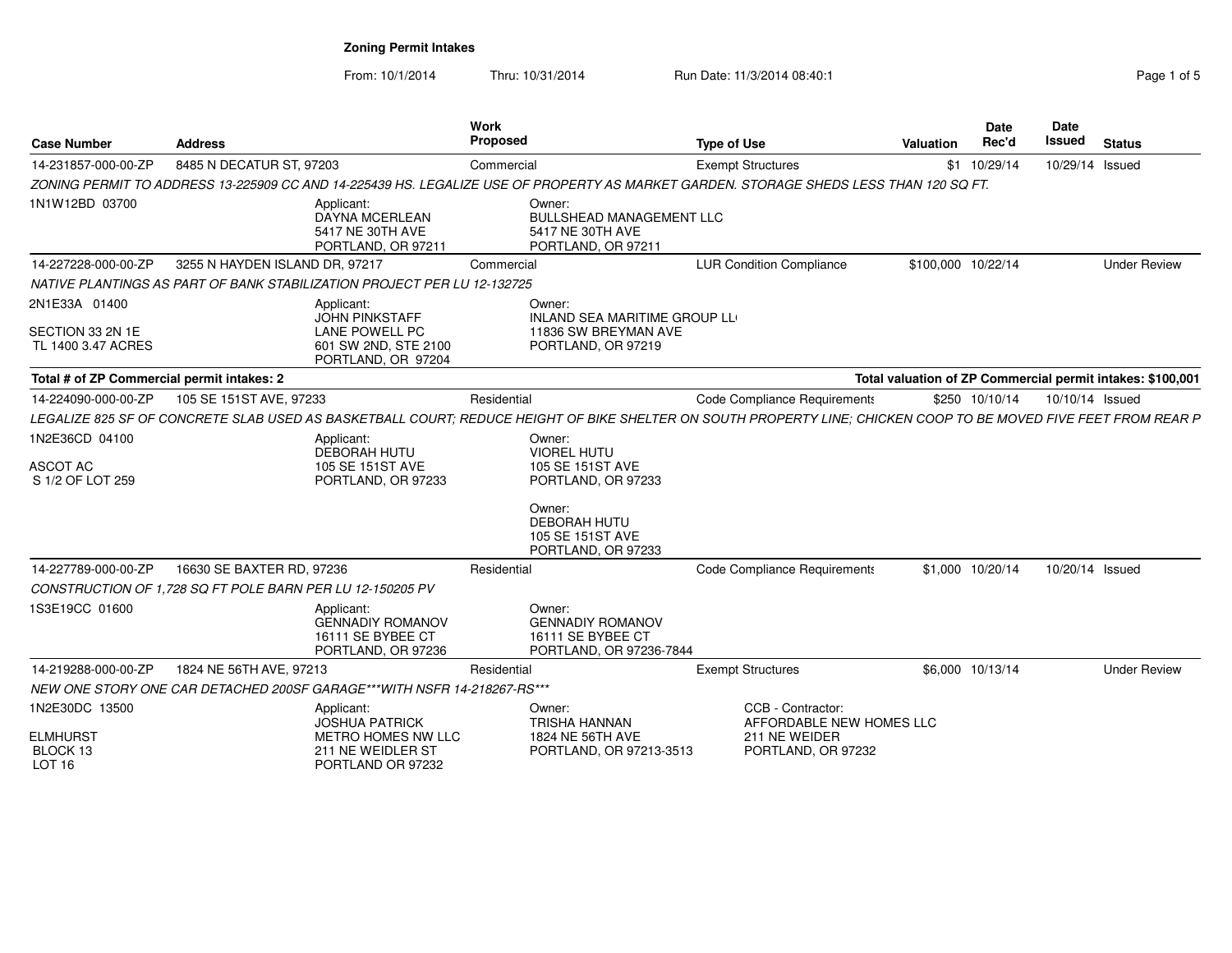| Page 1 of 5 |  |  |
|-------------|--|--|
|             |  |  |

| <b>Case Number</b>                                    | <b>Address</b>                                            |                                                                                  | Work<br><b>Proposed</b>                                                             | <b>Type of Use</b>                                                                                                                                              | Valuation                                                  | Date<br>Rec'd      | Date<br><b>Issued</b> | <b>Status</b>       |
|-------------------------------------------------------|-----------------------------------------------------------|----------------------------------------------------------------------------------|-------------------------------------------------------------------------------------|-----------------------------------------------------------------------------------------------------------------------------------------------------------------|------------------------------------------------------------|--------------------|-----------------------|---------------------|
| 14-231857-000-00-ZP                                   | 8485 N DECATUR ST, 97203                                  |                                                                                  | Commercial                                                                          | <b>Exempt Structures</b>                                                                                                                                        |                                                            | \$1 10/29/14       | 10/29/14 Issued       |                     |
|                                                       |                                                           |                                                                                  |                                                                                     | ZONING PERMIT TO ADDRESS 13-225909 CC AND 14-225439 HS. LEGALIZE USE OF PROPERTY AS MARKET GARDEN. STORAGE SHEDS LESS THAN 120 SQ FT.                           |                                                            |                    |                       |                     |
| 1N1W12BD 03700                                        |                                                           | Applicant:<br><b>DAYNA MCERLEAN</b><br>5417 NE 30TH AVE<br>PORTLAND, OR 97211    | Owner:<br><b>BULLSHEAD MANAGEMENT LLC</b><br>5417 NE 30TH AVE<br>PORTLAND, OR 97211 |                                                                                                                                                                 |                                                            |                    |                       |                     |
| 14-227228-000-00-ZP                                   | 3255 N HAYDEN ISLAND DR, 97217                            |                                                                                  | Commercial                                                                          | <b>LUR Condition Compliance</b>                                                                                                                                 |                                                            | \$100,000 10/22/14 |                       | <b>Under Review</b> |
|                                                       |                                                           | NATIVE PLANTINGS AS PART OF BANK STABILIZATION PROJECT PER LU 12-132725          |                                                                                     |                                                                                                                                                                 |                                                            |                    |                       |                     |
| 2N1E33A 01400                                         |                                                           | Applicant:<br><b>JOHN PINKSTAFF</b>                                              | Owner:<br>INLAND SEA MARITIME GROUP LL                                              |                                                                                                                                                                 |                                                            |                    |                       |                     |
| SECTION 33 2N 1E<br>TL 1400 3.47 ACRES                |                                                           | <b>LANE POWELL PC</b><br>601 SW 2ND, STE 2100<br>PORTLAND, OR 97204              | 11836 SW BREYMAN AVE<br>PORTLAND, OR 97219                                          |                                                                                                                                                                 |                                                            |                    |                       |                     |
| Total # of ZP Commercial permit intakes: 2            |                                                           |                                                                                  |                                                                                     |                                                                                                                                                                 | Total valuation of ZP Commercial permit intakes: \$100,001 |                    |                       |                     |
| 14-224090-000-00-ZP                                   | 105 SE 151ST AVE, 97233                                   |                                                                                  | Residential                                                                         | Code Compliance Requirements                                                                                                                                    |                                                            | \$250 10/10/14     | 10/10/14 Issued       |                     |
|                                                       |                                                           |                                                                                  |                                                                                     | LEGALIZE 825 SF OF CONCRETE SLAB USED AS BASKETBALL COURT; REDUCE HEIGHT OF BIKE SHELTER ON SOUTH PROPERTY LINE; CHICKEN COOP TO BE MOVED FIVE FEET FROM REAR P |                                                            |                    |                       |                     |
| 1N2E36CD 04100<br><b>ASCOT AC</b><br>S 1/2 OF LOT 259 |                                                           | Applicant:<br>DEBORAH HUTU<br>105 SE 151ST AVE<br>PORTLAND, OR 97233             | Owner:<br><b>VIOREL HUTU</b><br>105 SE 151ST AVE<br>PORTLAND, OR 97233              |                                                                                                                                                                 |                                                            |                    |                       |                     |
|                                                       |                                                           |                                                                                  | Owner:<br><b>DEBORAH HUTU</b><br>105 SE 151ST AVE<br>PORTLAND, OR 97233             |                                                                                                                                                                 |                                                            |                    |                       |                     |
| 14-227789-000-00-ZP                                   | 16630 SE BAXTER RD, 97236                                 |                                                                                  | Residential                                                                         | Code Compliance Requirements                                                                                                                                    |                                                            | \$1,000 10/20/14   | 10/20/14 Issued       |                     |
|                                                       | CONSTRUCTION OF 1,728 SQ FT POLE BARN PER LU 12-150205 PV |                                                                                  |                                                                                     |                                                                                                                                                                 |                                                            |                    |                       |                     |
| 1S3E19CC 01600                                        |                                                           | Applicant:<br><b>GENNADIY ROMANOV</b><br>16111 SE BYBEE CT<br>PORTLAND, OR 97236 | Owner:<br><b>GENNADIY ROMANOV</b><br>16111 SE BYBEE CT<br>PORTLAND, OR 97236-7844   |                                                                                                                                                                 |                                                            |                    |                       |                     |
| 14-219288-000-00-ZP                                   | 1824 NE 56TH AVE, 97213                                   |                                                                                  | Residential                                                                         | <b>Exempt Structures</b>                                                                                                                                        |                                                            | \$6,000 10/13/14   |                       | <b>Under Review</b> |
|                                                       |                                                           | NEW ONE STORY ONE CAR DETACHED 200SF GARAGE***WITH NSFR 14-218267-RS***          |                                                                                     |                                                                                                                                                                 |                                                            |                    |                       |                     |
| 1N2E30DC 13500                                        |                                                           | Applicant:<br><b>JOSHUA PATRICK</b>                                              | Owner:<br>TRISHA HANNAN                                                             | CCB - Contractor:<br>AFFORDABLE NEW HOMES LLC                                                                                                                   |                                                            |                    |                       |                     |
| <b>ELMHURST</b><br>BLOCK 13<br>LOT <sub>16</sub>      |                                                           | METRO HOMES NW LLC<br>211 NE WEIDLER ST<br>PORTLAND OR 97232                     | 1824 NE 56TH AVE<br>PORTLAND, OR 97213-3513                                         | 211 NE WEIDER<br>PORTLAND, OR 97232                                                                                                                             |                                                            |                    |                       |                     |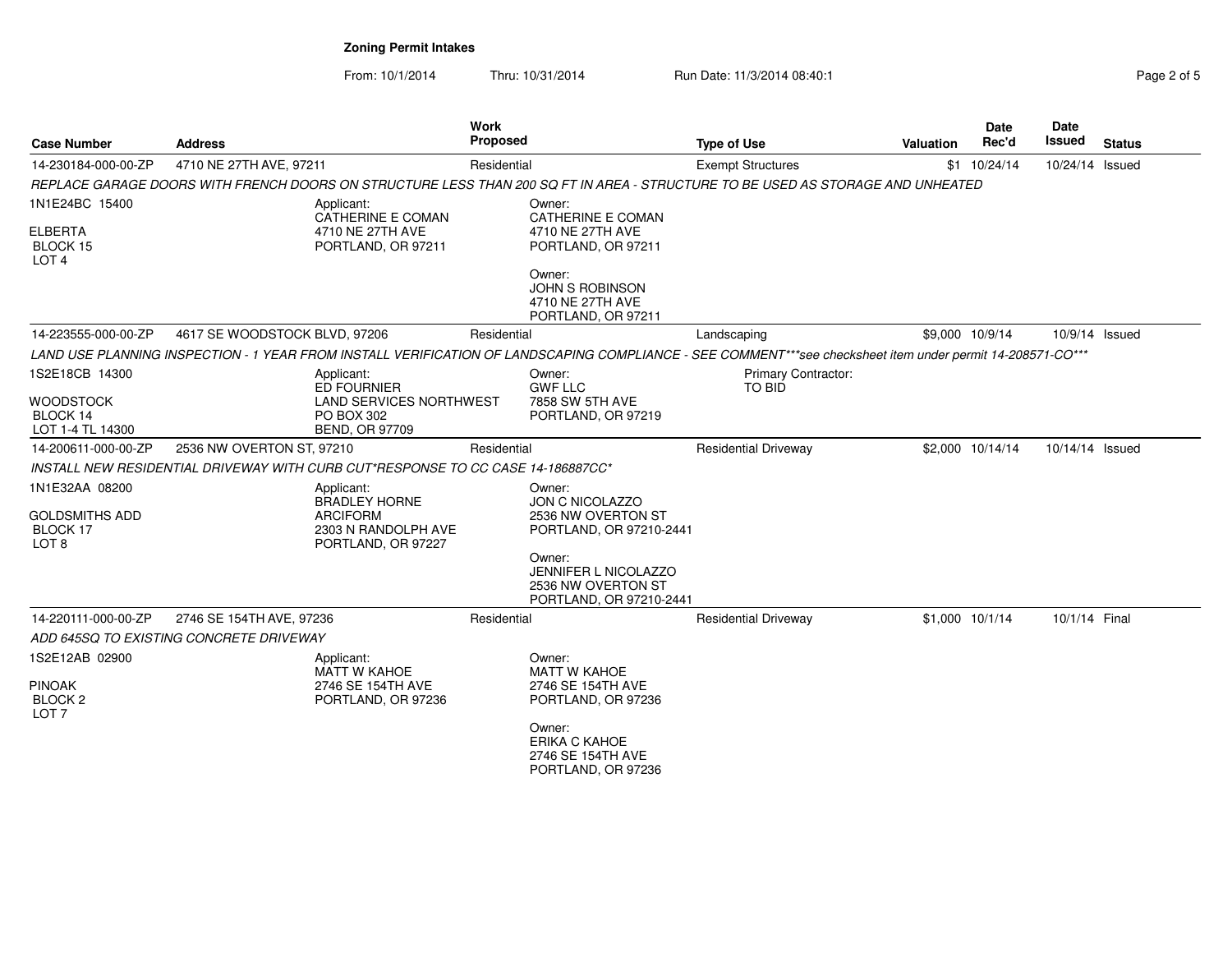| <b>Case Number</b>                                                      | <b>Address</b>                                                                  | <b>Work</b><br><b>Proposed</b>                                     |                                                                                   | <b>Type of Use</b>                                                                                                                                         | <b>Valuation</b> | Date<br>Rec'd    | Date<br>Issued  | <b>Status</b> |
|-------------------------------------------------------------------------|---------------------------------------------------------------------------------|--------------------------------------------------------------------|-----------------------------------------------------------------------------------|------------------------------------------------------------------------------------------------------------------------------------------------------------|------------------|------------------|-----------------|---------------|
| 14-230184-000-00-ZP                                                     | 4710 NE 27TH AVE, 97211                                                         | Residential                                                        |                                                                                   | <b>Exempt Structures</b>                                                                                                                                   |                  | $$1 \t10/24/14$  | 10/24/14 Issued |               |
|                                                                         |                                                                                 |                                                                    |                                                                                   | REPLACE GARAGE DOORS WITH FRENCH DOORS ON STRUCTURE LESS THAN 200 SQ FT IN AREA - STRUCTURE TO BE USED AS STORAGE AND UNHEATED                             |                  |                  |                 |               |
| 1N1E24BC 15400<br>ELBERTA<br>BLOCK 15<br>LOT <sub>4</sub>               | Applicant:                                                                      | <b>CATHERINE E COMAN</b><br>4710 NE 27TH AVE<br>PORTLAND, OR 97211 | Owner:<br>CATHERINE E COMAN<br>4710 NE 27TH AVE<br>PORTLAND, OR 97211             |                                                                                                                                                            |                  |                  |                 |               |
|                                                                         |                                                                                 |                                                                    | Owner:<br><b>JOHN S ROBINSON</b><br>4710 NE 27TH AVE<br>PORTLAND, OR 97211        |                                                                                                                                                            |                  |                  |                 |               |
| 14-223555-000-00-ZP                                                     | 4617 SE WOODSTOCK BLVD, 97206                                                   | Residential                                                        |                                                                                   | Landscaping                                                                                                                                                |                  | \$9,000 10/9/14  | 10/9/14 Issued  |               |
|                                                                         |                                                                                 |                                                                    |                                                                                   | LAND USE PLANNING INSPECTION - 1 YEAR FROM INSTALL VERIFICATION OF LANDSCAPING COMPLIANCE - SEE COMMENT***see checksheet item under permit 14-208571-CO*** |                  |                  |                 |               |
| 1S2E18CB 14300                                                          | Applicant:                                                                      | <b>ED FOURNIER</b>                                                 | Owner:<br><b>GWF LLC</b>                                                          | <b>Primary Contractor:</b><br>TO BID                                                                                                                       |                  |                  |                 |               |
| WOODSTOCK<br>BLOCK 14<br>LOT 1-4 TL 14300                               | PO BOX 302                                                                      | <b>LAND SERVICES NORTHWEST</b><br><b>BEND, OR 97709</b>            | 7858 SW 5TH AVE<br>PORTLAND, OR 97219                                             |                                                                                                                                                            |                  |                  |                 |               |
| 14-200611-000-00-ZP                                                     | 2536 NW OVERTON ST, 97210                                                       | Residential                                                        |                                                                                   | <b>Residential Driveway</b>                                                                                                                                |                  | \$2,000 10/14/14 | 10/14/14 Issued |               |
|                                                                         | INSTALL NEW RESIDENTIAL DRIVEWAY WITH CURB CUT*RESPONSE TO CC CASE 14-186887CC* |                                                                    |                                                                                   |                                                                                                                                                            |                  |                  |                 |               |
| 1N1E32AA 08200<br>GOLDSMITHS ADD<br><b>BLOCK 17</b><br>LOT <sub>8</sub> | Applicant:<br><b>ARCIFORM</b>                                                   | <b>BRADLEY HORNE</b><br>2303 N RANDOLPH AVE<br>PORTLAND, OR 97227  | Owner:<br><b>JON C NICOLAZZO</b><br>2536 NW OVERTON ST<br>PORTLAND, OR 97210-2441 |                                                                                                                                                            |                  |                  |                 |               |
|                                                                         |                                                                                 |                                                                    | Owner:<br>JENNIFER L NICOLAZZO<br>2536 NW OVERTON ST<br>PORTLAND, OR 97210-2441   |                                                                                                                                                            |                  |                  |                 |               |
| 14-220111-000-00-ZP                                                     | 2746 SE 154TH AVE, 97236                                                        | Residential                                                        |                                                                                   | <b>Residential Driveway</b>                                                                                                                                |                  | \$1,000 10/1/14  | 10/1/14 Final   |               |
|                                                                         | ADD 645SQ TO EXISTING CONCRETE DRIVEWAY                                         |                                                                    |                                                                                   |                                                                                                                                                            |                  |                  |                 |               |
| 1S2E12AB 02900<br><b>PINOAK</b>                                         | Applicant:                                                                      | <b>MATT W KAHOE</b><br>2746 SE 154TH AVE                           | Owner:<br><b>MATT W KAHOE</b><br>2746 SE 154TH AVE                                |                                                                                                                                                            |                  |                  |                 |               |
| BLOCK <sub>2</sub><br>LOT <sub>7</sub>                                  |                                                                                 | PORTLAND, OR 97236                                                 | PORTLAND, OR 97236<br>Owner:<br>ERIKA C KAHOE                                     |                                                                                                                                                            |                  |                  |                 |               |
|                                                                         |                                                                                 |                                                                    | 2746 SE 154TH AVE<br>PORTLAND, OR 97236                                           |                                                                                                                                                            |                  |                  |                 |               |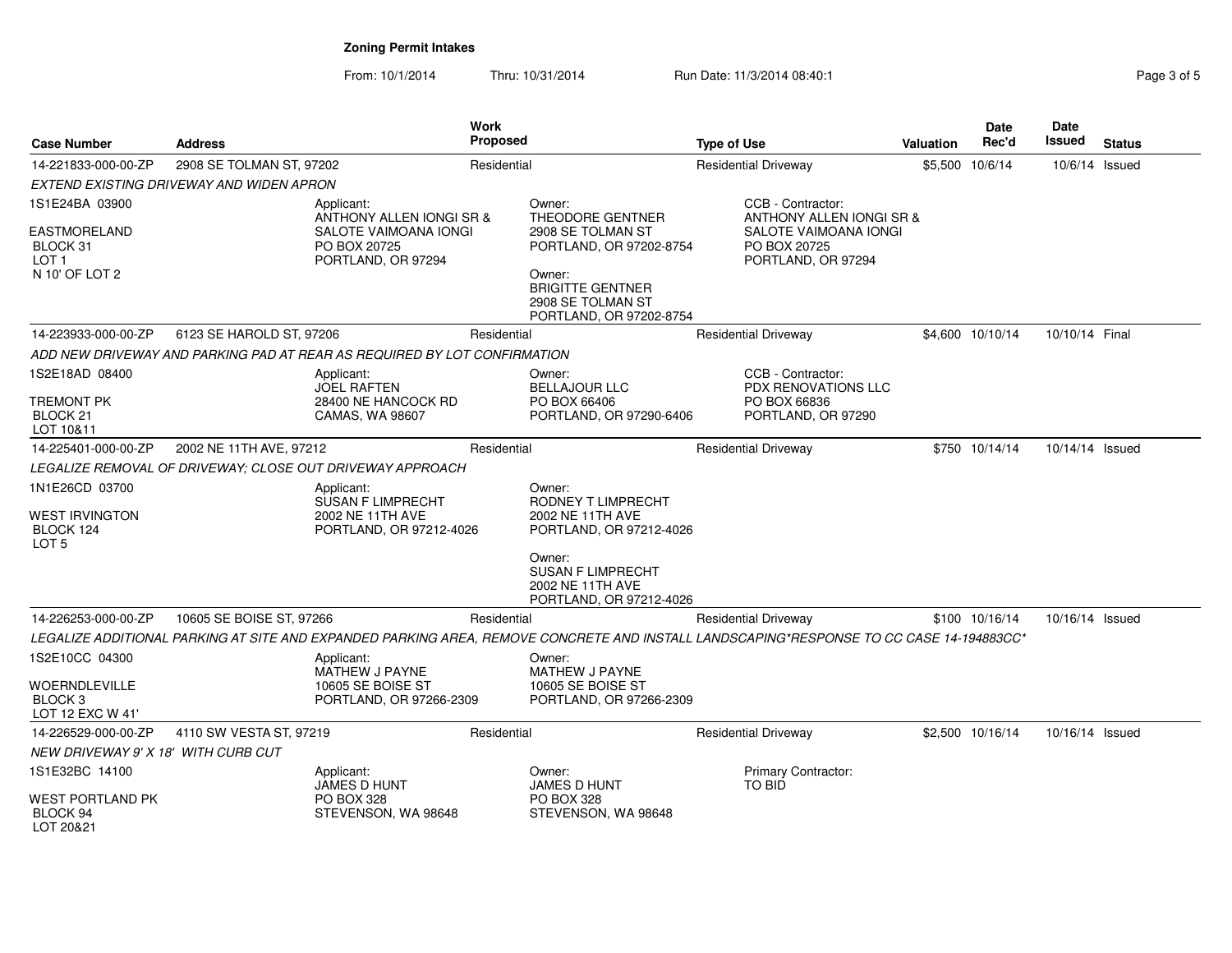| <b>Case Number</b>                                                | Address                                  |                                                                                       | <b>Work</b><br>Proposed |                                                                                   | <b>Type of Use</b>                                                                                                                      | <b>Valuation</b> | <b>Date</b><br>Rec'd | Date<br><b>Issued</b> | <b>Status</b> |
|-------------------------------------------------------------------|------------------------------------------|---------------------------------------------------------------------------------------|-------------------------|-----------------------------------------------------------------------------------|-----------------------------------------------------------------------------------------------------------------------------------------|------------------|----------------------|-----------------------|---------------|
| 14-221833-000-00-ZP                                               | 2908 SE TOLMAN ST, 97202                 |                                                                                       | Residential             |                                                                                   | <b>Residential Driveway</b>                                                                                                             |                  | \$5,500 10/6/14      | 10/6/14 Issued        |               |
|                                                                   | EXTEND EXISTING DRIVEWAY AND WIDEN APRON |                                                                                       |                         |                                                                                   |                                                                                                                                         |                  |                      |                       |               |
| 1S1E24BA 03900                                                    |                                          | Applicant:<br>ANTHONY ALLEN IONGI SR &                                                |                         | Owner:<br><b>THEODORE GENTNER</b>                                                 | CCB - Contractor:<br>ANTHONY ALLEN IONGI SR &                                                                                           |                  |                      |                       |               |
| EASTMORELAND<br>BLOCK 31<br>LOT <sub>1</sub><br>N 10' OF LOT 2    |                                          | SALOTE VAIMOANA IONGI<br>PO BOX 20725<br>PORTLAND, OR 97294                           |                         | 2908 SE TOLMAN ST<br>PORTLAND, OR 97202-8754<br>Owner:                            | SALOTE VAIMOANA IONGI<br>PO BOX 20725<br>PORTLAND, OR 97294                                                                             |                  |                      |                       |               |
|                                                                   |                                          |                                                                                       |                         | <b>BRIGITTE GENTNER</b><br>2908 SE TOLMAN ST<br>PORTLAND, OR 97202-8754           |                                                                                                                                         |                  |                      |                       |               |
| 14-223933-000-00-ZP                                               | 6123 SE HAROLD ST, 97206                 |                                                                                       | Residential             |                                                                                   | <b>Residential Driveway</b>                                                                                                             |                  | \$4,600 10/10/14     | 10/10/14 Final        |               |
|                                                                   |                                          | ADD NEW DRIVEWAY AND PARKING PAD AT REAR AS REQUIRED BY LOT CONFIRMATION              |                         |                                                                                   |                                                                                                                                         |                  |                      |                       |               |
| 1S2E18AD 08400                                                    |                                          | Applicant:<br><b>JOEL RAFTEN</b>                                                      |                         | Owner:<br><b>BELLAJOUR LLC</b>                                                    | CCB - Contractor:<br>PDX RENOVATIONS LLC                                                                                                |                  |                      |                       |               |
| TREMONT PK<br>BLOCK 21<br>LOT 10&11                               |                                          | 28400 NE HANCOCK RD<br>CAMAS, WA 98607                                                |                         | PO BOX 66406<br>PORTLAND, OR 97290-6406                                           | PO BOX 66836<br>PORTLAND, OR 97290                                                                                                      |                  |                      |                       |               |
| 14-225401-000-00-ZP                                               | 2002 NE 11TH AVE, 97212                  |                                                                                       | Residential             |                                                                                   | <b>Residential Driveway</b>                                                                                                             |                  | \$750 10/14/14       | 10/14/14 Issued       |               |
|                                                                   |                                          | LEGALIZE REMOVAL OF DRIVEWAY; CLOSE OUT DRIVEWAY APPROACH                             |                         |                                                                                   |                                                                                                                                         |                  |                      |                       |               |
| 1N1E26CD 03700<br>WEST IRVINGTON<br>BLOCK 124<br>LOT <sub>5</sub> |                                          | Applicant:<br><b>SUSAN F LIMPRECHT</b><br>2002 NE 11TH AVE<br>PORTLAND, OR 97212-4026 |                         | Owner:<br>RODNEY T LIMPRECHT<br>2002 NE 11TH AVE<br>PORTLAND, OR 97212-4026       |                                                                                                                                         |                  |                      |                       |               |
|                                                                   |                                          |                                                                                       |                         | Owner:<br><b>SUSAN F LIMPRECHT</b><br>2002 NE 11TH AVE<br>PORTLAND, OR 97212-4026 |                                                                                                                                         |                  |                      |                       |               |
| 14-226253-000-00-ZP                                               | 10605 SE BOISE ST, 97266                 |                                                                                       | Residential             |                                                                                   | <b>Residential Driveway</b>                                                                                                             |                  | \$100 10/16/14       | 10/16/14 Issued       |               |
|                                                                   |                                          |                                                                                       |                         |                                                                                   | LEGALIZE ADDITIONAL PARKING AT SITE AND EXPANDED PARKING AREA. REMOVE CONCRETE AND INSTALL LANDSCAPING*RESPONSE TO CC CASE 14-194883CC* |                  |                      |                       |               |
| 1S2E10CC 04300                                                    |                                          | Applicant:<br>MATHEW J PAYNE                                                          |                         | Owner:<br>MATHEW J PAYNE                                                          |                                                                                                                                         |                  |                      |                       |               |
| WOERNDLEVILLE<br>BLOCK <sub>3</sub><br>LOT 12 EXC W 41'           |                                          | 10605 SE BOISE ST<br>PORTLAND, OR 97266-2309                                          |                         | 10605 SE BOISE ST<br>PORTLAND, OR 97266-2309                                      |                                                                                                                                         |                  |                      |                       |               |
| 14-226529-000-00-ZP                                               | 4110 SW VESTA ST, 97219                  |                                                                                       | Residential             |                                                                                   | <b>Residential Driveway</b>                                                                                                             |                  | \$2,500 10/16/14     | 10/16/14 Issued       |               |
| NEW DRIVEWAY 9' X 18' WITH CURB CUT                               |                                          |                                                                                       |                         |                                                                                   |                                                                                                                                         |                  |                      |                       |               |
| 1S1E32BC 14100                                                    |                                          | Applicant:<br><b>JAMES D HUNT</b>                                                     |                         | Owner:<br>JAMES D HUNT                                                            | <b>Primary Contractor:</b><br><b>TO BID</b>                                                                                             |                  |                      |                       |               |
| WEST PORTLAND PK<br>BLOCK 94<br>LOT 20&21                         |                                          | <b>PO BOX 328</b><br>STEVENSON, WA 98648                                              |                         | <b>PO BOX 328</b><br>STEVENSON, WA 98648                                          |                                                                                                                                         |                  |                      |                       |               |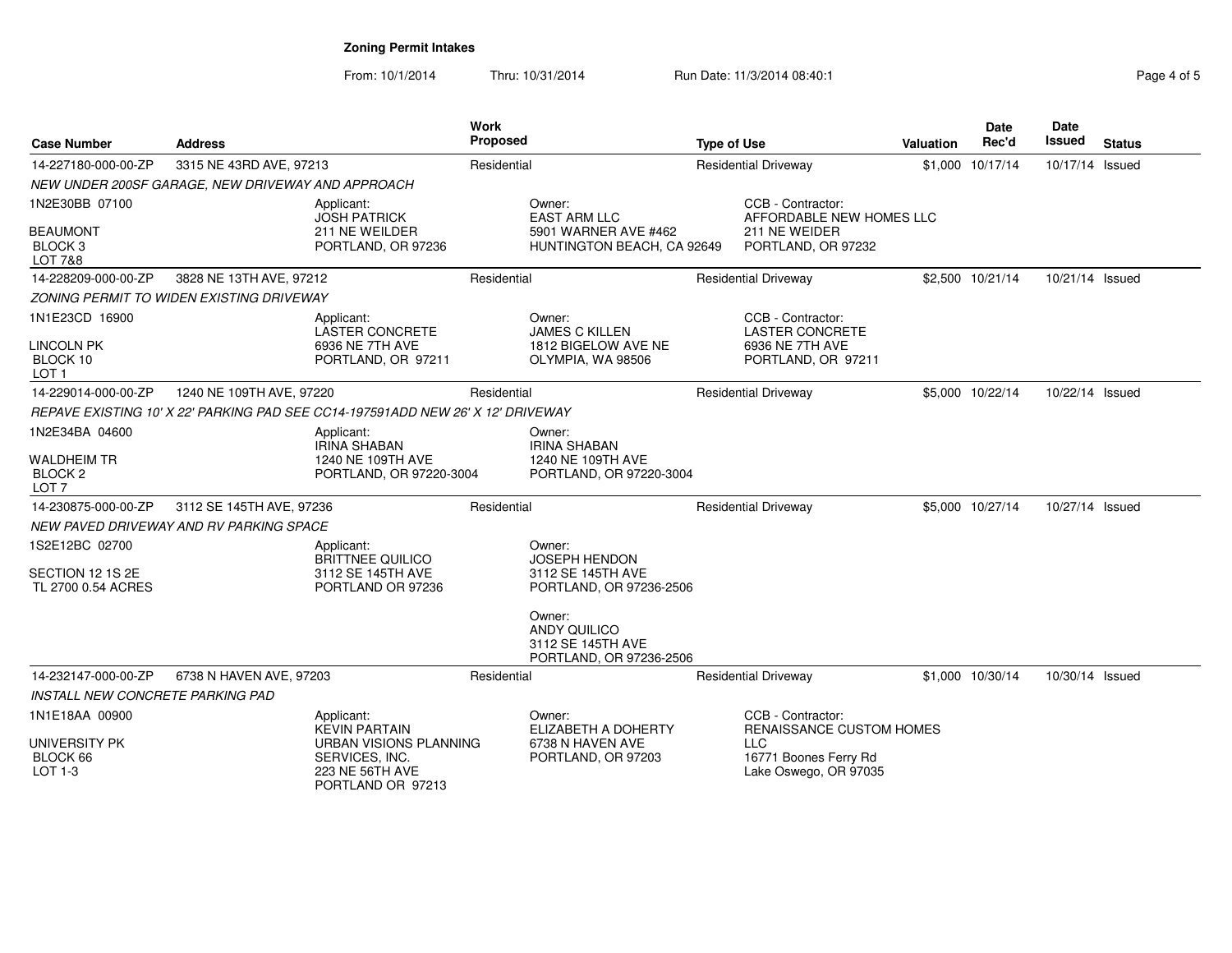| <b>Case Number</b>                                                  | <b>Address</b>                                    |                                                                                                | <b>Work</b><br><b>Proposed</b> |                                                                                     | <b>Type of Use</b> |                                                                                      | Valuation | Date<br>Rec'd    | <b>Date</b><br>Issued | <b>Status</b> |
|---------------------------------------------------------------------|---------------------------------------------------|------------------------------------------------------------------------------------------------|--------------------------------|-------------------------------------------------------------------------------------|--------------------|--------------------------------------------------------------------------------------|-----------|------------------|-----------------------|---------------|
| 14-227180-000-00-ZP                                                 | 3315 NE 43RD AVE, 97213                           |                                                                                                | Residential                    |                                                                                     |                    | <b>Residential Driveway</b>                                                          |           | \$1,000 10/17/14 | 10/17/14 Issued       |               |
|                                                                     | NEW UNDER 200SF GARAGE, NEW DRIVEWAY AND APPROACH |                                                                                                |                                |                                                                                     |                    |                                                                                      |           |                  |                       |               |
| 1N2E30BB 07100<br><b>BEAUMONT</b><br>BLOCK <sub>3</sub>             |                                                   | Applicant:<br><b>JOSH PATRICK</b><br>211 NE WEILDER<br>PORTLAND, OR 97236                      |                                | Owner:<br><b>EAST ARM LLC</b><br>5901 WARNER AVE #462<br>HUNTINGTON BEACH, CA 92649 |                    | CCB - Contractor:<br>AFFORDABLE NEW HOMES LLC<br>211 NE WEIDER<br>PORTLAND, OR 97232 |           |                  |                       |               |
| LOT 7&8<br>14-228209-000-00-ZP                                      | 3828 NE 13TH AVE, 97212                           |                                                                                                | Residential                    |                                                                                     |                    |                                                                                      |           | \$2,500 10/21/14 | 10/21/14 Issued       |               |
|                                                                     |                                                   |                                                                                                |                                |                                                                                     |                    | <b>Residential Driveway</b>                                                          |           |                  |                       |               |
|                                                                     | ZONING PERMIT TO WIDEN EXISTING DRIVEWAY          |                                                                                                |                                |                                                                                     |                    |                                                                                      |           |                  |                       |               |
| 1N1E23CD 16900<br><b>LINCOLN PK</b><br>BLOCK 10<br>LOT <sub>1</sub> |                                                   | Applicant:<br><b>LASTER CONCRETE</b><br>6936 NE 7TH AVE<br>PORTLAND, OR 97211                  |                                | Owner:<br><b>JAMES C KILLEN</b><br>1812 BIGELOW AVE NE<br>OLYMPIA, WA 98506         |                    | CCB - Contractor:<br><b>LASTER CONCRETE</b><br>6936 NE 7TH AVE<br>PORTLAND, OR 97211 |           |                  |                       |               |
| 14-229014-000-00-ZP                                                 | 1240 NE 109TH AVE, 97220                          |                                                                                                | Residential                    |                                                                                     |                    | <b>Residential Driveway</b>                                                          |           | \$5,000 10/22/14 | 10/22/14 Issued       |               |
|                                                                     |                                                   | REPAVE EXISTING 10' X 22' PARKING PAD SEE CC14-197591ADD NEW 26' X 12' DRIVEWAY                |                                |                                                                                     |                    |                                                                                      |           |                  |                       |               |
| 1N2E34BA 04600                                                      |                                                   | Applicant:<br><b>IRINA SHABAN</b><br>1240 NE 109TH AVE                                         |                                | Owner:<br><b>IRINA SHABAN</b><br>1240 NE 109TH AVE                                  |                    |                                                                                      |           |                  |                       |               |
| <b>WALDHEIM TR</b><br>BLOCK <sub>2</sub><br>LOT <sub>7</sub>        |                                                   | PORTLAND, OR 97220-3004                                                                        |                                | PORTLAND, OR 97220-3004                                                             |                    |                                                                                      |           |                  |                       |               |
| 14-230875-000-00-ZP                                                 | 3112 SE 145TH AVE, 97236                          |                                                                                                | Residential                    |                                                                                     |                    | <b>Residential Driveway</b>                                                          |           | \$5,000 10/27/14 | 10/27/14 Issued       |               |
|                                                                     | NEW PAVED DRIVEWAY AND RV PARKING SPACE           |                                                                                                |                                |                                                                                     |                    |                                                                                      |           |                  |                       |               |
| 1S2E12BC 02700                                                      |                                                   | Applicant:<br><b>BRITTNEE QUILICO</b>                                                          |                                | Owner:<br>JOSEPH HENDON                                                             |                    |                                                                                      |           |                  |                       |               |
| SECTION 12 1S 2E<br>TL 2700 0.54 ACRES                              |                                                   | 3112 SE 145TH AVE<br>PORTLAND OR 97236                                                         |                                | 3112 SE 145TH AVE<br>PORTLAND, OR 97236-2506                                        |                    |                                                                                      |           |                  |                       |               |
|                                                                     |                                                   |                                                                                                |                                | Owner:<br><b>ANDY QUILICO</b><br>3112 SE 145TH AVE<br>PORTLAND, OR 97236-2506       |                    |                                                                                      |           |                  |                       |               |
| 14-232147-000-00-ZP                                                 | 6738 N HAVEN AVE, 97203                           |                                                                                                | Residential                    |                                                                                     |                    | <b>Residential Driveway</b>                                                          |           | \$1,000 10/30/14 | 10/30/14 Issued       |               |
| <b>INSTALL NEW CONCRETE PARKING PAD</b>                             |                                                   |                                                                                                |                                |                                                                                     |                    |                                                                                      |           |                  |                       |               |
| 1N1E18AA 00900                                                      |                                                   | Applicant:<br><b>KEVIN PARTAIN</b>                                                             |                                | Owner:<br>ELIZABETH A DOHERTY                                                       |                    | CCB - Contractor:<br>RENAISSANCE CUSTOM HOMES                                        |           |                  |                       |               |
| <b>UNIVERSITY PK</b><br>BLOCK 66<br>LOT 1-3                         |                                                   | <b>URBAN VISIONS PLANNING</b><br>SERVICES, INC.<br><b>223 NE 56TH AVE</b><br>PORTLAND OR 97213 |                                | 6738 N HAVEN AVE<br>PORTLAND, OR 97203                                              |                    | <b>LLC</b><br>16771 Boones Ferry Rd<br>Lake Oswego, OR 97035                         |           |                  |                       |               |